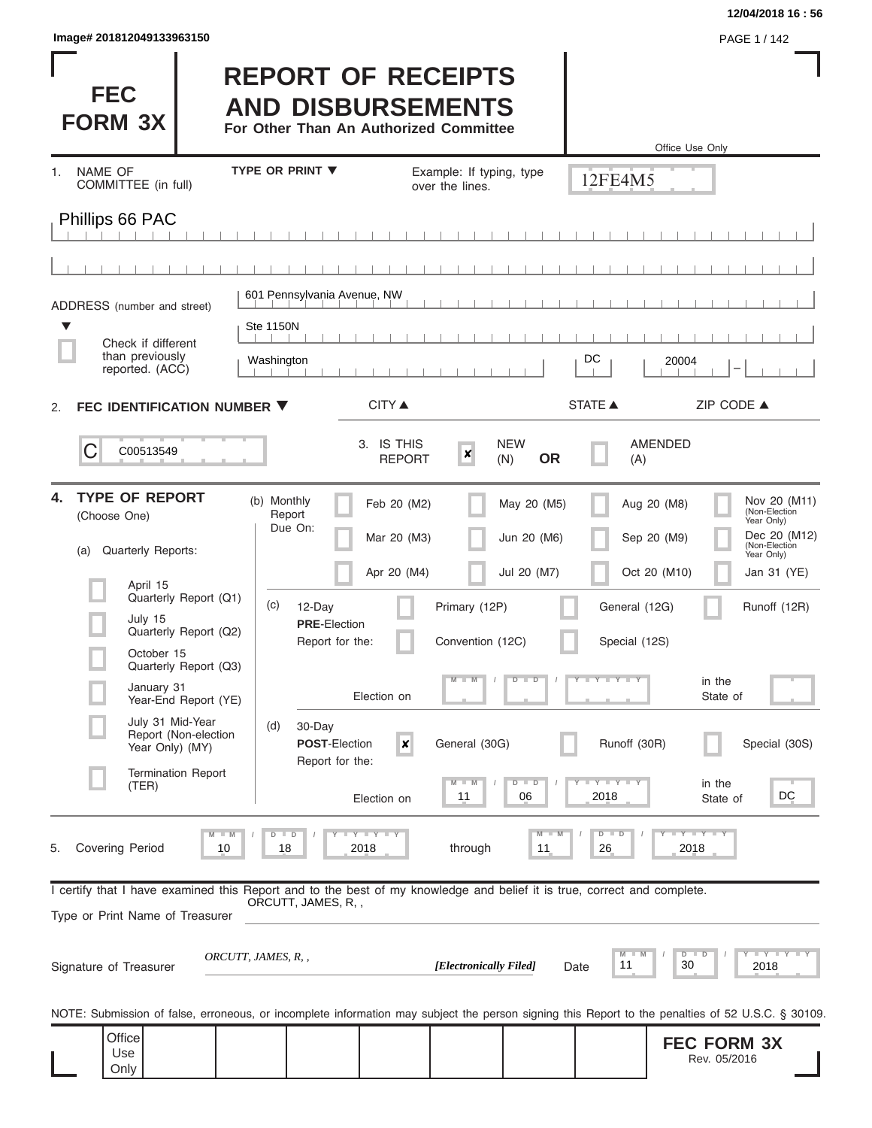| lmage# 201812049133963150 |  |  |  |  |
|---------------------------|--|--|--|--|
|---------------------------|--|--|--|--|

## **12/04/2018 16 : 56**

I

**Image 2018 PAGE 1 / 142** 

| <b>FEC</b><br><b>FORM 3X</b>                                                                                                                               |                                                |                                         | <b>REPORT OF RECEIPTS</b><br><b>AND DISBURSEMENTS</b><br>For Other Than An Authorized Committee |                                             |                                           |                       | Office Use Only                            |                                                                                                                           |
|------------------------------------------------------------------------------------------------------------------------------------------------------------|------------------------------------------------|-----------------------------------------|-------------------------------------------------------------------------------------------------|---------------------------------------------|-------------------------------------------|-----------------------|--------------------------------------------|---------------------------------------------------------------------------------------------------------------------------|
| <b>NAME OF</b><br>1.<br>COMMITTEE (in full)                                                                                                                |                                                | <b>TYPE OR PRINT ▼</b>                  |                                                                                                 | Example: If typing, type<br>over the lines. |                                           | 12FE4M5               |                                            |                                                                                                                           |
| Phillips 66 PAC                                                                                                                                            |                                                |                                         |                                                                                                 |                                             |                                           |                       |                                            |                                                                                                                           |
|                                                                                                                                                            |                                                |                                         |                                                                                                 |                                             |                                           |                       |                                            |                                                                                                                           |
| ADDRESS (number and street)                                                                                                                                |                                                |                                         | 601 Pennsylvania Avenue, NW                                                                     |                                             |                                           |                       |                                            |                                                                                                                           |
| ▼<br>Check if different                                                                                                                                    |                                                | <b>Ste 1150N</b>                        |                                                                                                 |                                             |                                           |                       |                                            |                                                                                                                           |
| than previously<br>reported. (ACC)                                                                                                                         |                                                | Washington                              |                                                                                                 |                                             |                                           | DC                    | 20004                                      |                                                                                                                           |
| FEC IDENTIFICATION NUMBER ▼<br>2.                                                                                                                          |                                                |                                         | CITY ▲                                                                                          |                                             |                                           | <b>STATE ▲</b>        | ZIP CODE ▲                                 |                                                                                                                           |
| C<br>C00513549                                                                                                                                             |                                                |                                         | 3. IS THIS<br><b>REPORT</b>                                                                     | $\boldsymbol{x}$                            | <b>NEW</b><br><b>OR</b><br>(N)            | (A)                   | AMENDED                                    |                                                                                                                           |
| <b>TYPE OF REPORT</b><br>4.<br>(Choose One)<br>Quarterly Reports:<br>(a)<br>April 15                                                                       | Quarterly Report (Q1)                          | (b) Monthly<br>Report<br>Due On:<br>(c) | Feb 20 (M2)<br>Mar 20 (M3)<br>Apr 20 (M4)<br>12-Day                                             | Primary (12P)                               | May 20 (M5)<br>Jun 20 (M6)<br>Jul 20 (M7) | General (12G)         | Aug 20 (M8)<br>Sep 20 (M9)<br>Oct 20 (M10) | Nov 20 (M11)<br>(Non-Election<br>Year Only)<br>Dec 20 (M12)<br>(Non-Election<br>Year Only)<br>Jan 31 (YE)<br>Runoff (12R) |
| July 15<br>October 15                                                                                                                                      | Quarterly Report (Q2)<br>Quarterly Report (Q3) |                                         | <b>PRE-Election</b><br>Report for the:                                                          | Convention (12C)                            |                                           | Special (12S)         |                                            |                                                                                                                           |
| January 31                                                                                                                                                 | Year-End Report (YE)                           |                                         | Election on                                                                                     | M                                           | $D$ $\Box$<br>$\overline{\mathbb{D}}$     | $T$ $Y$ $T$ $Y$ $T$   | in the<br>State of                         |                                                                                                                           |
| July 31 Mid-Year<br>Year Only) (MY)                                                                                                                        | Report (Non-election                           | (d)                                     | $30$ -Day<br><b>POST-Election</b><br>$\pmb{\mathsf{x}}$<br>Report for the:                      | General (30G)                               |                                           | Runoff (30R)          |                                            | Special (30S)                                                                                                             |
| (TER)                                                                                                                                                      | <b>Termination Report</b>                      |                                         | Election on                                                                                     | $M - M$<br>11                               | $D$ $D$<br>06                             | $-Y - Y - TY$<br>2018 | in the<br>State of                         | DC                                                                                                                        |
| <b>Covering Period</b><br>5.                                                                                                                               | $M - M$<br>10                                  | $D$ $D$<br>18                           | $T$ $T$ $T$ $T$ $T$ $T$ $T$ $T$ $T$<br>2018                                                     | through                                     | $M - M$<br>11                             | $D$ $D$<br>26         | $Y - Y - Y - I - Y$<br>2018                |                                                                                                                           |
| I certify that I have examined this Report and to the best of my knowledge and belief it is true, correct and complete.<br>Type or Print Name of Treasurer |                                                | ORCUTT, JAMES, R,,                      |                                                                                                 |                                             |                                           |                       |                                            |                                                                                                                           |
| Signature of Treasurer                                                                                                                                     |                                                | ORCUTT, JAMES, R, ,                     |                                                                                                 | [Electronically Filed]                      |                                           | M<br>M<br>11<br>Date  | $D$ $D$<br>30                              | Y I Y I Y I Y<br>2018                                                                                                     |
| NOTE: Submission of false, erroneous, or incomplete information may subject the person signing this Report to the penalties of 52 U.S.C. § 30109.          |                                                |                                         |                                                                                                 |                                             |                                           |                       |                                            |                                                                                                                           |
| Office<br>Use<br>Only                                                                                                                                      |                                                |                                         |                                                                                                 |                                             |                                           |                       | <b>FEC FORM 3X</b><br>Rev. 05/2016         |                                                                                                                           |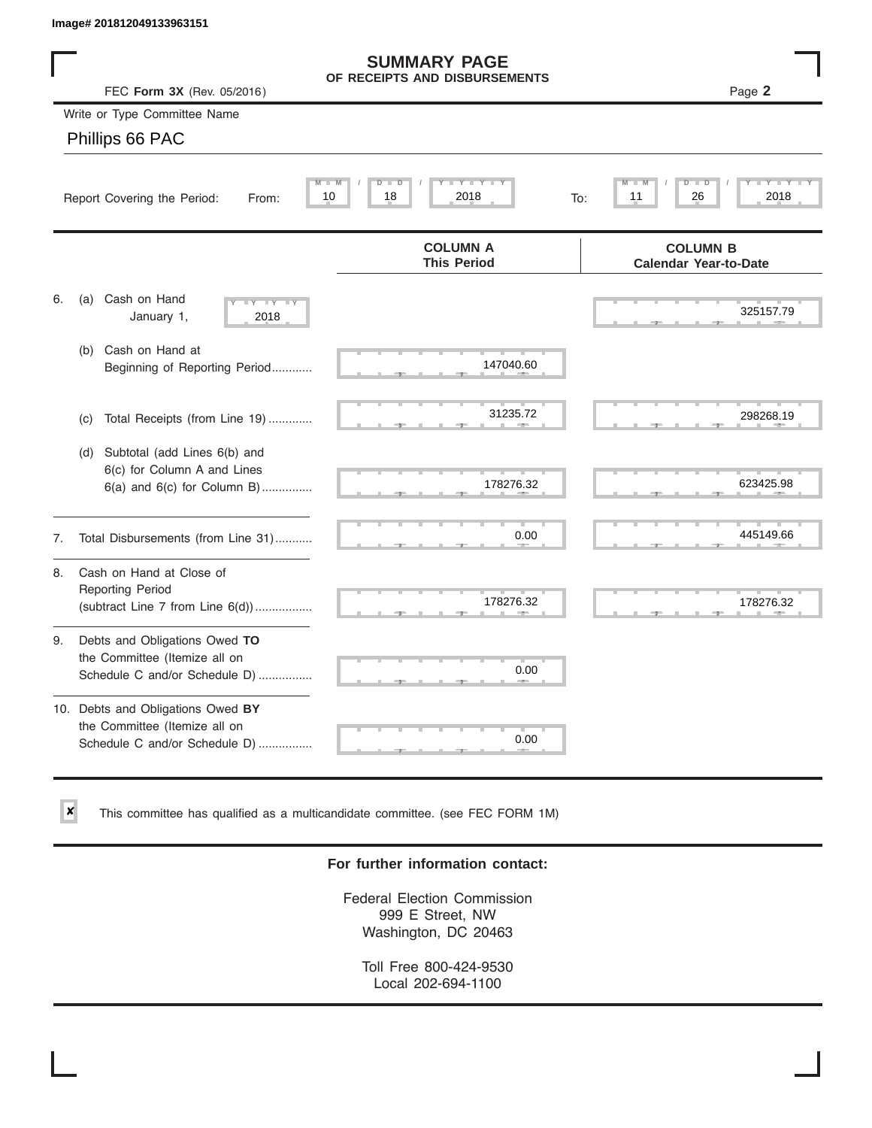$\vert x \vert$ 

|    | Image# 201812049133963151                                                                           |                                                      |                                                 |
|----|-----------------------------------------------------------------------------------------------------|------------------------------------------------------|-------------------------------------------------|
|    | FEC Form 3X (Rev. 05/2016)                                                                          | <b>SUMMARY PAGE</b><br>OF RECEIPTS AND DISBURSEMENTS | Page 2                                          |
|    | Write or Type Committee Name                                                                        |                                                      |                                                 |
|    | Phillips 66 PAC                                                                                     |                                                      |                                                 |
|    | Report Covering the Period:<br>From:                                                                | Y LY L<br>$M - M$<br>$D$ $D$<br>10<br>18<br>2018     | ₽<br>D<br>26<br>2018<br>11<br>To:               |
|    |                                                                                                     | <b>COLUMN A</b><br><b>This Period</b>                | <b>COLUMN B</b><br><b>Calendar Year-to-Date</b> |
| 6. | Cash on Hand<br>(a)<br>$-Y - Y - IY$<br>January 1,<br>2018                                          |                                                      | 325157.79                                       |
|    | Cash on Hand at<br>(b)<br>Beginning of Reporting Period                                             | 147040.60                                            |                                                 |
|    | Total Receipts (from Line 19)<br>(c)                                                                | 31235.72                                             | 298268.19                                       |
|    | Subtotal (add Lines 6(b) and<br>(d)<br>6(c) for Column A and Lines<br>6(a) and 6(c) for Column B)   | 178276.32                                            | 623425.98                                       |
| 7. | Total Disbursements (from Line 31)                                                                  | 0.00                                                 | 445149.66                                       |
| 8. | Cash on Hand at Close of<br><b>Reporting Period</b><br>(subtract Line $7$ from Line $6(d)$ )        | 178276.32                                            | 178276.32                                       |
| 9. | Debts and Obligations Owed TO<br>the Committee (Itemize all on<br>Schedule C and/or Schedule D)     | 0.00                                                 |                                                 |
|    | 10. Debts and Obligations Owed BY<br>the Committee (Itemize all on<br>Schedule C and/or Schedule D) | T.<br>0.00                                           |                                                 |

This committee has qualified as a multicandidate committee. (see FEC FORM 1M)

## **For further information contact:**

Federal Election Commission 999 E Street, NW Washington, DC 20463

Toll Free 800-424-9530 Local 202-694-1100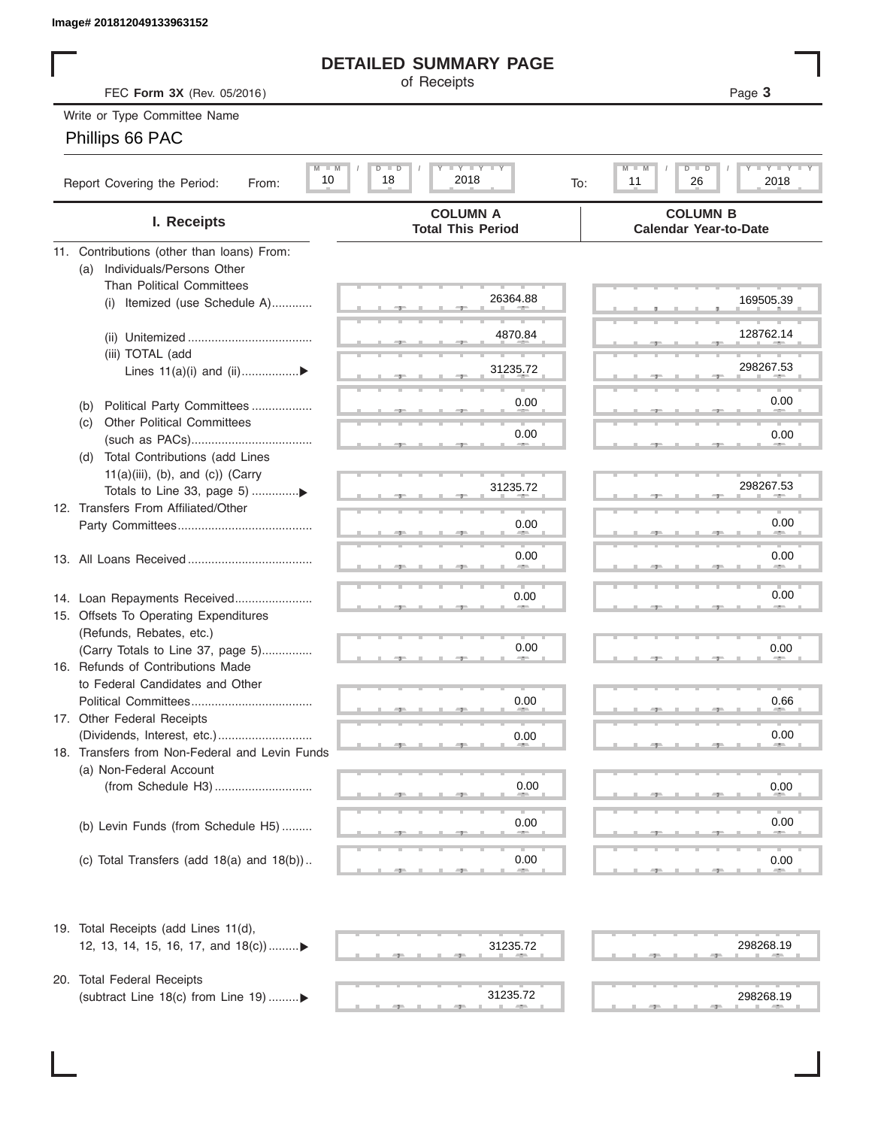## **DETAILED SUMMARY PAGE**

## Phillips 66 PAC

|                                                       | <b>DETAILED SUMMARY PAGE</b>                  |                                                         |
|-------------------------------------------------------|-----------------------------------------------|---------------------------------------------------------|
| FEC Form 3X (Rev. 05/2016)                            | of Receipts                                   | Page 3                                                  |
| Write or Type Committee Name                          |                                               |                                                         |
| Phillips 66 PAC                                       |                                               |                                                         |
|                                                       |                                               |                                                         |
| $M$ $M$<br>10<br>Report Covering the Period:<br>From: | <b>LYLYLY</b><br>$D$ $D$<br>18<br>2018<br>To: | <b>LYLYLY</b><br>$M$ $M$<br>$D$ $D$<br>26<br>2018<br>11 |
| I. Receipts                                           | <b>COLUMN A</b><br><b>Total This Period</b>   | <b>COLUMN B</b><br><b>Calendar Year-to-Date</b>         |
| 11. Contributions (other than loans) From:            |                                               |                                                         |
| Individuals/Persons Other<br>(a)                      |                                               |                                                         |
| <b>Than Political Committees</b>                      | 26364.88                                      | 169505.39                                               |
| Itemized (use Schedule A)<br>(i)                      |                                               |                                                         |
|                                                       | 4870.84                                       | 128762.14                                               |
| (iii) TOTAL (add                                      |                                               |                                                         |
| Lines $11(a)(i)$ and $(ii)$                           | 31235.72                                      | 298267.53                                               |
|                                                       |                                               |                                                         |
| Political Party Committees<br>(b)                     | 0.00                                          | 0.00                                                    |
| <b>Other Political Committees</b><br>(C)              |                                               |                                                         |
|                                                       | 0.00                                          | 0.00                                                    |
| Total Contributions (add Lines<br>(d)                 |                                               |                                                         |
| $11(a)(iii)$ , (b), and (c)) (Carry                   |                                               |                                                         |
|                                                       | 31235.72                                      | 298267.53                                               |
| 12. Transfers From Affiliated/Other                   |                                               |                                                         |
|                                                       | 0.00                                          | 0.00                                                    |
|                                                       |                                               |                                                         |
|                                                       | 0.00                                          | 0.00                                                    |
|                                                       |                                               |                                                         |
| 14. Loan Repayments Received                          | 0.00                                          | 0.00                                                    |
| 15. Offsets To Operating Expenditures                 |                                               |                                                         |
| (Refunds, Rebates, etc.)                              |                                               |                                                         |
| (Carry Totals to Line 37, page 5)                     | 0.00                                          | 0.00                                                    |
| 16. Refunds of Contributions Made                     |                                               |                                                         |
| to Federal Candidates and Other                       |                                               |                                                         |
| Political Committees<br>17. Other Federal Receipts    | 0.00                                          | 0.66                                                    |
|                                                       |                                               | 0.00                                                    |
| 18. Transfers from Non-Federal and Levin Funds        | 0.00                                          |                                                         |
| (a) Non-Federal Account                               |                                               |                                                         |
|                                                       | 0.00                                          | 0.00                                                    |
|                                                       |                                               |                                                         |
| (b) Levin Funds (from Schedule H5)                    | 0.00                                          | 0.00                                                    |
|                                                       |                                               |                                                         |
| (c) Total Transfers (add $18(a)$ and $18(b)$ )        | 0.00                                          | 0.00                                                    |
|                                                       |                                               |                                                         |
| 19. Total Receipts (add Lines 11(d),                  |                                               |                                                         |
| 12, 13, 14, 15, 16, 17, and 18(c)                     | 31235.72                                      | 298268.19                                               |
|                                                       |                                               |                                                         |
| 20. Total Federal Receipts                            |                                               |                                                         |
| (subtract Line 18(c) from Line 19) ▶                  | 31235.72                                      | 298268.19                                               |
|                                                       |                                               |                                                         |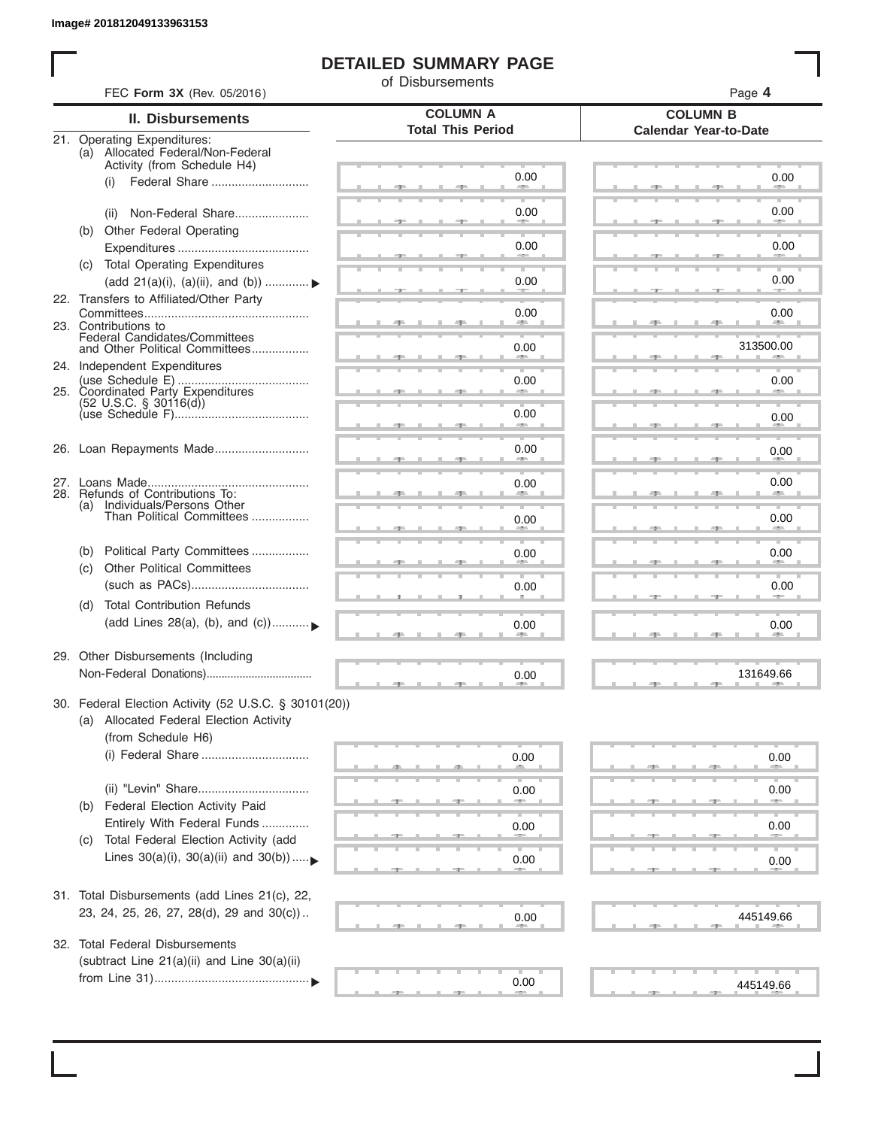I

## **DETAILED SUMMARY PAGE**

of Disbursements

|     | FEC Form 3X (Rev. 05/2016)                                              |                                             | Page 4                                          |
|-----|-------------------------------------------------------------------------|---------------------------------------------|-------------------------------------------------|
|     | <b>II. Disbursements</b>                                                | <b>COLUMN A</b><br><b>Total This Period</b> | <b>COLUMN B</b><br><b>Calendar Year-to-Date</b> |
|     | 21. Operating Expenditures:<br>(a) Allocated Federal/Non-Federal        |                                             |                                                 |
|     | Activity (from Schedule H4)                                             |                                             |                                                 |
|     | (i)                                                                     | 0.00                                        | 0.00                                            |
|     | Non-Federal Share<br>(ii)                                               | 0.00                                        | 0.00                                            |
|     | Other Federal Operating<br>(b)                                          |                                             |                                                 |
|     |                                                                         | 0.00                                        | 0.00                                            |
|     | (c) Total Operating Expenditures                                        |                                             |                                                 |
|     | (add 21(a)(i), (a)(ii), and (b))                                        | 0.00                                        | 0.00                                            |
|     | 22. Transfers to Affiliated/Other Party                                 |                                             |                                                 |
|     | 23. Contributions to                                                    | 0.00<br>an a                                | 0.00<br><b>ALL</b>                              |
|     | Federal Candidates/Committees<br>and Other Political Committees         | 0.00                                        | 313500.00                                       |
|     | 24. Independent Expenditures                                            |                                             |                                                 |
|     |                                                                         | 0.00                                        | 0.00                                            |
|     | 25. Coordinated Party Expenditures<br>$(52 \text{ U.S.C. }$ § 30116(d)) |                                             |                                                 |
|     |                                                                         | 0.00<br><b>Allen</b>                        | 0.00                                            |
|     |                                                                         |                                             |                                                 |
|     | 26. Loan Repayments Made                                                | 0.00                                        | 0.00                                            |
|     |                                                                         | 0.00                                        | 0.00                                            |
|     | 28. Refunds of Contributions To:                                        |                                             |                                                 |
|     | (a) Individuals/Persons Other<br>Than Political Committees              | 0.00                                        | 0.00                                            |
|     |                                                                         |                                             |                                                 |
|     | Political Party Committees<br>(b)                                       | 0.00                                        | 0.00                                            |
|     | <b>Other Political Committees</b><br>(C)                                |                                             |                                                 |
|     |                                                                         | 0.00                                        | 0.00                                            |
|     | <b>Total Contribution Refunds</b><br>(d)                                |                                             |                                                 |
|     | (add Lines 28(a), (b), and (c))                                         | 0.00                                        | 0.00                                            |
|     | 29. Other Disbursements (Including                                      |                                             |                                                 |
|     |                                                                         | 0.00                                        | 131649.66                                       |
|     |                                                                         |                                             |                                                 |
|     | 30. Federal Election Activity (52 U.S.C. § 30101(20))                   |                                             |                                                 |
|     | (a) Allocated Federal Election Activity                                 |                                             |                                                 |
|     | (from Schedule H6)<br>(i) Federal Share                                 |                                             |                                                 |
|     |                                                                         | 0.00                                        | 0.00                                            |
|     |                                                                         | 0.00                                        | 0.00                                            |
|     | Federal Election Activity Paid<br>(b)                                   |                                             |                                                 |
|     | Entirely With Federal Funds                                             | 0.00                                        | 0.00                                            |
|     | Total Federal Election Activity (add<br>(C)                             |                                             |                                                 |
|     | Lines $30(a)(i)$ , $30(a)(ii)$ and $30(b))$                             | 0.00                                        | 0.00                                            |
|     |                                                                         |                                             |                                                 |
|     | 31. Total Disbursements (add Lines 21(c), 22,                           |                                             |                                                 |
|     | 23, 24, 25, 26, 27, 28(d), 29 and 30(c))                                | 0.00                                        | 445149.66                                       |
| 32. | <b>Total Federal Disbursements</b>                                      |                                             |                                                 |
|     | (subtract Line 21(a)(ii) and Line 30(a)(ii)                             |                                             |                                                 |
|     |                                                                         | 0.00                                        | 445149.66                                       |
|     |                                                                         |                                             |                                                 |
|     |                                                                         |                                             |                                                 |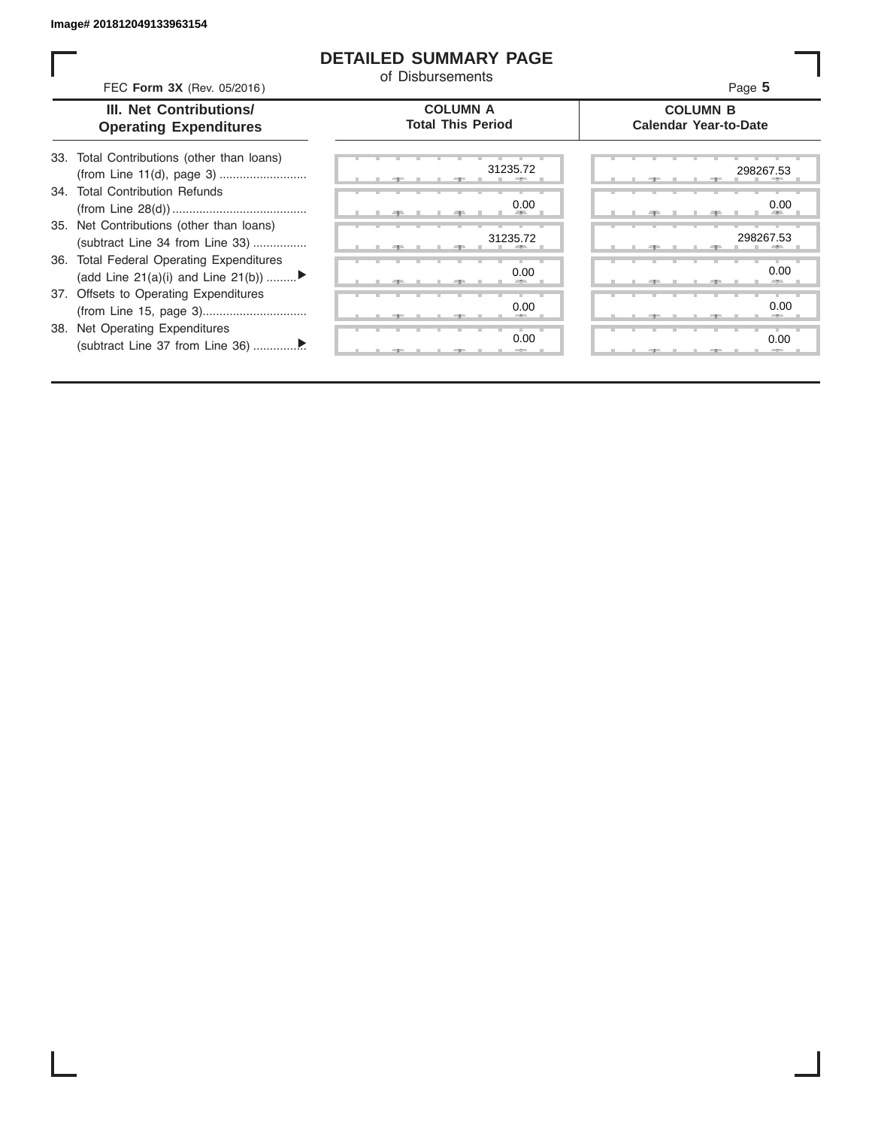ı

## **DETAILED SUMMARY PAGE**

of Disbursements

| FEC Form 3X (Rev. 05/2016)                                                     | u Disnaiscilicitus                          | Page 5                                          |
|--------------------------------------------------------------------------------|---------------------------------------------|-------------------------------------------------|
| III. Net Contributions/<br><b>Operating Expenditures</b>                       | <b>COLUMN A</b><br><b>Total This Period</b> | <b>COLUMN B</b><br><b>Calendar Year-to-Date</b> |
| 33. Total Contributions (other than loans)                                     | 31235.72                                    | 298267.53                                       |
| 34. Total Contribution Refunds                                                 | 0.00                                        | 0.00                                            |
| 35. Net Contributions (other than loans)<br>(subtract Line 34 from Line 33)    | 31235.72                                    | 298267.53                                       |
| 36. Total Federal Operating Expenditures<br>(add Line 21(a)(i) and Line 21(b)) | 0.00                                        | 0.00                                            |
| 37. Offsets to Operating Expenditures                                          | 0.00                                        | 0.00                                            |
| 38. Net Operating Expenditures                                                 | 0.00                                        | 0.00                                            |
|                                                                                |                                             |                                                 |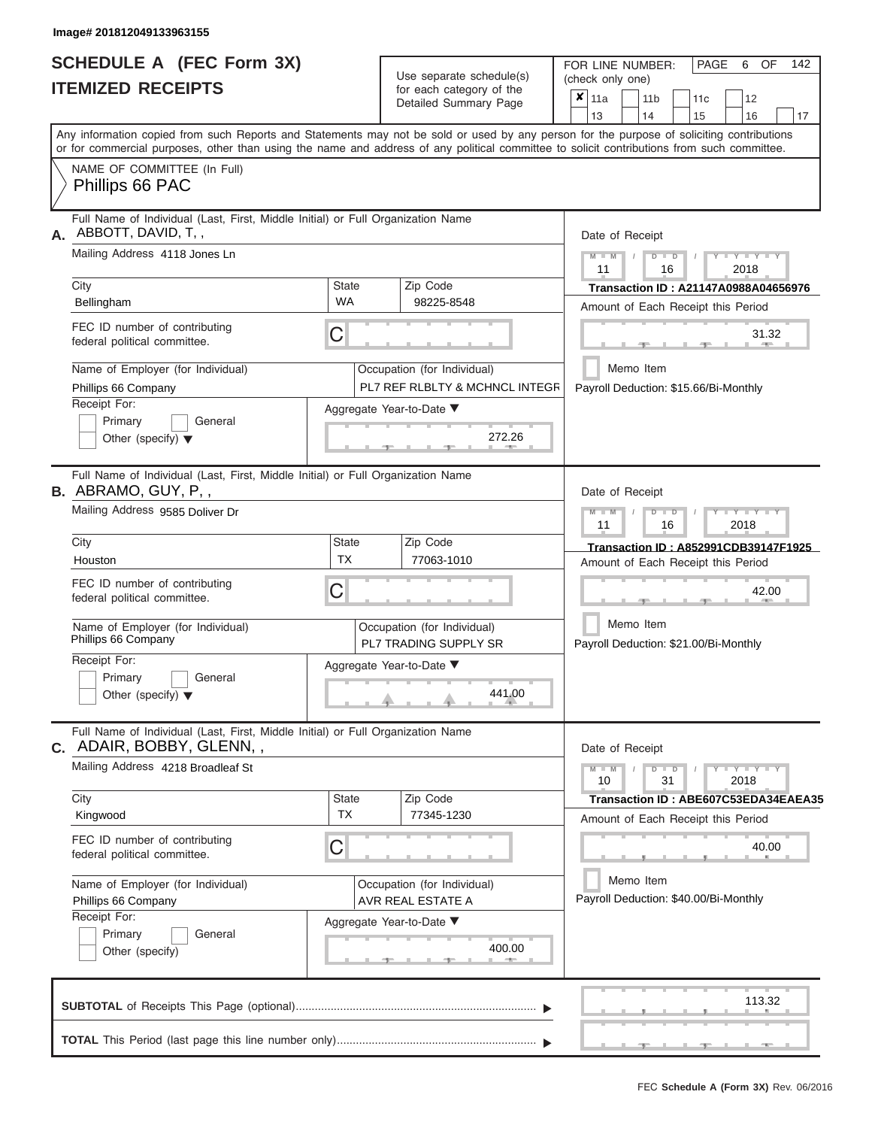|                          | <b>SCHEDULE A (FEC Form 3X)</b> |  |
|--------------------------|---------------------------------|--|
| <b>ITEMIZED RECEIPTS</b> |                                 |  |

Use separate schedule(s)

FOR LINE NUMBER: PAGE<br>
(check only one)

6 OF 142

| IIEMIZEU REVEIFIJ                                                                                                                          |                    | for each category of the<br>Detailed Summary Page             | ×<br>11a        | 11 <sub>b</sub>                                    | 11c | 12                              |    |
|--------------------------------------------------------------------------------------------------------------------------------------------|--------------------|---------------------------------------------------------------|-----------------|----------------------------------------------------|-----|---------------------------------|----|
| Any information copied from such Reports and Statements may not be sold or used by any person for the purpose of soliciting contributions  |                    |                                                               | 13              | 14                                                 | 15  | 16                              | 17 |
| or for commercial purposes, other than using the name and address of any political committee to solicit contributions from such committee. |                    |                                                               |                 |                                                    |     |                                 |    |
| NAME OF COMMITTEE (In Full)                                                                                                                |                    |                                                               |                 |                                                    |     |                                 |    |
| Phillips 66 PAC                                                                                                                            |                    |                                                               |                 |                                                    |     |                                 |    |
| Full Name of Individual (Last, First, Middle Initial) or Full Organization Name<br>ABBOTT, DAVID, T,,<br>А.                                | Date of Receipt    |                                                               |                 |                                                    |     |                                 |    |
| Mailing Address 4118 Jones Ln                                                                                                              |                    |                                                               | $M - M$<br>11   | $D$ $D$<br>16                                      |     | $Y - Y - Y - Y$<br>2018         |    |
| City                                                                                                                                       | <b>State</b>       | Zip Code                                                      |                 | Transaction ID: A21147A0988A04656976               |     |                                 |    |
| Bellingham                                                                                                                                 | <b>WA</b>          | 98225-8548                                                    |                 | Amount of Each Receipt this Period                 |     |                                 |    |
| FEC ID number of contributing<br>federal political committee.                                                                              | C                  |                                                               |                 |                                                    |     | 31.32                           |    |
| Name of Employer (for Individual)<br>Phillips 66 Company                                                                                   |                    | Occupation (for Individual)<br>PL7 REF RLBLTY & MCHNCL INTEGR |                 | Memo Item<br>Payroll Deduction: \$15.66/Bi-Monthly |     |                                 |    |
| Receipt For:                                                                                                                               |                    | Aggregate Year-to-Date ▼                                      |                 |                                                    |     |                                 |    |
| Primary<br>General<br>Other (specify) $\blacktriangledown$                                                                                 |                    | 272.26                                                        |                 |                                                    |     |                                 |    |
| Full Name of Individual (Last, First, Middle Initial) or Full Organization Name<br><b>B.</b> ABRAMO, GUY, P,,                              |                    |                                                               | Date of Receipt |                                                    |     |                                 |    |
| Mailing Address 9585 Doliver Dr                                                                                                            |                    |                                                               | $M - M$<br>11   | $D$ $\Box$ $D$<br>16                               |     | $T - Y = T - Y = T - Y$<br>2018 |    |
| City                                                                                                                                       | <b>State</b>       | Zip Code                                                      |                 | Transaction ID: A852991CDB39147F1925               |     |                                 |    |
| Houston                                                                                                                                    | <b>TX</b>          | 77063-1010                                                    |                 | Amount of Each Receipt this Period                 |     |                                 |    |
| FEC ID number of contributing<br>federal political committee.                                                                              | C                  |                                                               |                 |                                                    |     | 42.00                           |    |
| Name of Employer (for Individual)<br>Phillips 66 Company                                                                                   |                    | Occupation (for Individual)<br><b>PL7 TRADING SUPPLY SR</b>   |                 | Memo Item<br>Payroll Deduction: \$21.00/Bi-Monthly |     |                                 |    |
| Receipt For:                                                                                                                               |                    | Aggregate Year-to-Date ▼                                      |                 |                                                    |     |                                 |    |
| Primary<br>General<br>Other (specify) $\blacktriangledown$                                                                                 |                    | 441.00                                                        |                 |                                                    |     |                                 |    |
| Full Name of Individual (Last, First, Middle Initial) or Full Organization Name<br><b>c.</b> ADAIR, BOBBY, GLENN, ,                        |                    |                                                               | Date of Receipt |                                                    |     |                                 |    |
| Mailing Address 4218 Broadleaf St                                                                                                          |                    |                                                               | $M - M$<br>10   | $D$ $D$<br>31                                      |     | $Y = Y = Y = Y$<br>2018         |    |
| City                                                                                                                                       | State<br><b>TX</b> | Zip Code                                                      |                 | Transaction ID: ABE607C53EDA34EAEA35               |     |                                 |    |
| Kingwood                                                                                                                                   |                    | 77345-1230                                                    |                 | Amount of Each Receipt this Period                 |     |                                 |    |
| FEC ID number of contributing<br>federal political committee.                                                                              | С                  |                                                               |                 |                                                    |     | 40.00                           |    |
| Name of Employer (for Individual)<br>Phillips 66 Company                                                                                   |                    | Occupation (for Individual)<br>AVR REAL ESTATE A              |                 | Memo Item<br>Payroll Deduction: \$40.00/Bi-Monthly |     |                                 |    |
| Receipt For:                                                                                                                               |                    | Aggregate Year-to-Date ▼                                      |                 |                                                    |     |                                 |    |
| Primary<br>General<br>Other (specify)                                                                                                      |                    | 400.00<br><b>AND</b>                                          |                 |                                                    |     |                                 |    |
|                                                                                                                                            |                    |                                                               |                 |                                                    |     | 113.32                          |    |
|                                                                                                                                            |                    |                                                               |                 |                                                    |     |                                 |    |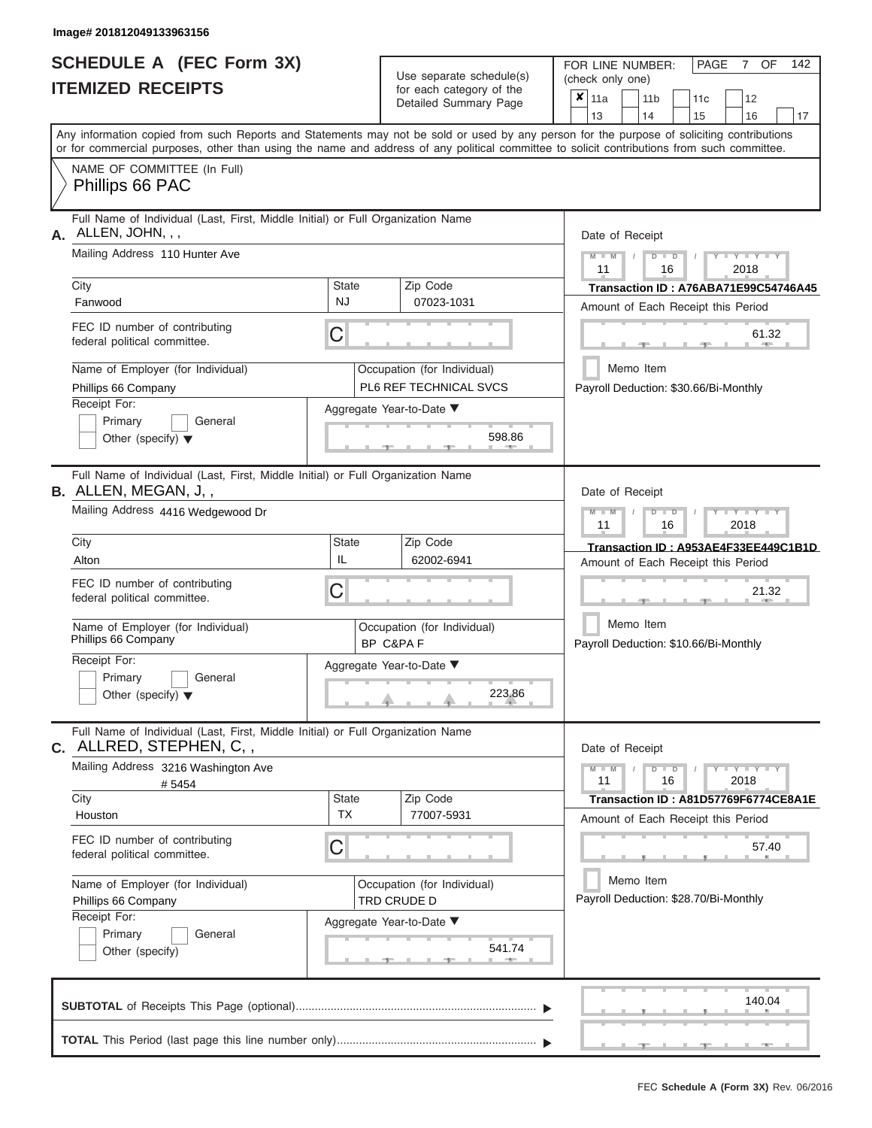|                          | <b>SCHEDULE A (FEC Form 3X)</b> |
|--------------------------|---------------------------------|
| <b>ITEMIZED RECEIPTS</b> |                                 |

Use separate schedule(s)<br>for each category of the

FOR LINE NUMBER:<br>(check only one)

PAGE 7 OF 142

|                 |                                                                                                                                            |                                              | badii balogory of life<br>Detailed Summary Page       |  | $x_{\vert 11a}$                                                                                   |  | 11 <sub>b</sub> |               | 11c | 12                                                                         |    |
|-----------------|--------------------------------------------------------------------------------------------------------------------------------------------|----------------------------------------------|-------------------------------------------------------|--|---------------------------------------------------------------------------------------------------|--|-----------------|---------------|-----|----------------------------------------------------------------------------|----|
|                 | Any information copied from such Reports and Statements may not be sold or used by any person for the purpose of soliciting contributions  |                                              |                                                       |  | 13                                                                                                |  | 14              |               | 15  | 16                                                                         | 17 |
|                 | or for commercial purposes, other than using the name and address of any political committee to solicit contributions from such committee. |                                              |                                                       |  |                                                                                                   |  |                 |               |     |                                                                            |    |
|                 | NAME OF COMMITTEE (In Full)<br>Phillips 66 PAC                                                                                             |                                              |                                                       |  |                                                                                                   |  |                 |               |     |                                                                            |    |
|                 | Full Name of Individual (Last, First, Middle Initial) or Full Organization Name<br>$A.$ ALLEN, JOHN, , ,                                   |                                              |                                                       |  | Date of Receipt                                                                                   |  |                 |               |     |                                                                            |    |
|                 | Mailing Address 110 Hunter Ave                                                                                                             |                                              |                                                       |  |                                                                                                   |  |                 | $D$ $D$<br>16 |     | $Y - Y - Y$<br>2018                                                        |    |
| City<br>Fanwood |                                                                                                                                            | <b>State</b><br>NJ                           | Zip Code<br>07023-1031                                |  |                                                                                                   |  |                 |               |     | Transaction ID: A76ABA71E99C54746A45                                       |    |
|                 | FEC ID number of contributing<br>federal political committee.                                                                              | С                                            |                                                       |  |                                                                                                   |  |                 |               |     | Amount of Each Receipt this Period<br>61.32                                |    |
|                 | Name of Employer (for Individual)<br>Phillips 66 Company                                                                                   |                                              | Occupation (for Individual)<br>PL6 REF TECHNICAL SVCS |  |                                                                                                   |  | Memo Item       |               |     | Payroll Deduction: \$30.66/Bi-Monthly                                      |    |
| Receipt For:    | Primary<br>General<br>Other (specify) $\blacktriangledown$                                                                                 |                                              | Aggregate Year-to-Date ▼<br>598.86                    |  |                                                                                                   |  |                 |               |     |                                                                            |    |
|                 | Full Name of Individual (Last, First, Middle Initial) or Full Organization Name<br><b>B.</b> ALLEN, MEGAN, J,,                             |                                              |                                                       |  | Date of Receipt                                                                                   |  |                 |               |     |                                                                            |    |
|                 | Mailing Address 4416 Wedgewood Dr                                                                                                          |                                              |                                                       |  | $M - M$<br>11                                                                                     |  |                 | $D$ $D$<br>16 |     | Y I Y I<br>2018                                                            |    |
| City<br>Alton   |                                                                                                                                            | <b>State</b><br>IL                           | Zip Code<br>62002-6941                                |  |                                                                                                   |  |                 |               |     | Transaction ID: A953AE4F33EE449C1B1D                                       |    |
|                 | FEC ID number of contributing<br>federal political committee.                                                                              | С<br>Occupation (for Individual)<br>BP C&PAF |                                                       |  | Amount of Each Receipt this Period<br>21.32<br>Memo Item<br>Payroll Deduction: \$10.66/Bi-Monthly |  |                 |               |     |                                                                            |    |
|                 | Name of Employer (for Individual)<br>Phillips 66 Company                                                                                   |                                              |                                                       |  |                                                                                                   |  |                 |               |     |                                                                            |    |
| Receipt For:    | Primary<br>General<br>Other (specify) $\blacktriangledown$                                                                                 |                                              | Aggregate Year-to-Date ▼<br>223.86                    |  |                                                                                                   |  |                 |               |     |                                                                            |    |
|                 | Full Name of Individual (Last, First, Middle Initial) or Full Organization Name<br>C. ALLRED, STEPHEN, C,,                                 |                                              |                                                       |  | Date of Receipt                                                                                   |  |                 |               |     |                                                                            |    |
|                 | Mailing Address 3216 Washington Ave<br>#5454                                                                                               |                                              |                                                       |  | $M - M$<br>11                                                                                     |  |                 | $D$ $D$<br>16 |     | $Y - Y - Y - Y - Y$<br>2018                                                |    |
| City<br>Houston |                                                                                                                                            | <b>State</b><br><b>TX</b>                    | Zip Code<br>77007-5931                                |  |                                                                                                   |  |                 |               |     | Transaction ID: A81D57769F6774CE8A1E<br>Amount of Each Receipt this Period |    |
|                 | FEC ID number of contributing<br>federal political committee.                                                                              | С                                            |                                                       |  |                                                                                                   |  |                 |               |     | 57.40                                                                      |    |
|                 | Name of Employer (for Individual)<br>Phillips 66 Company                                                                                   |                                              | Occupation (for Individual)<br>TRD CRUDE D            |  |                                                                                                   |  | Memo Item       |               |     | Payroll Deduction: \$28.70/Bi-Monthly                                      |    |
| Receipt For:    | Primary<br>General<br>Other (specify)                                                                                                      |                                              | Aggregate Year-to-Date ▼<br>541.74                    |  |                                                                                                   |  |                 |               |     |                                                                            |    |
|                 |                                                                                                                                            |                                              |                                                       |  |                                                                                                   |  |                 |               |     | 140.04                                                                     |    |
|                 |                                                                                                                                            |                                              |                                                       |  |                                                                                                   |  |                 |               |     |                                                                            |    |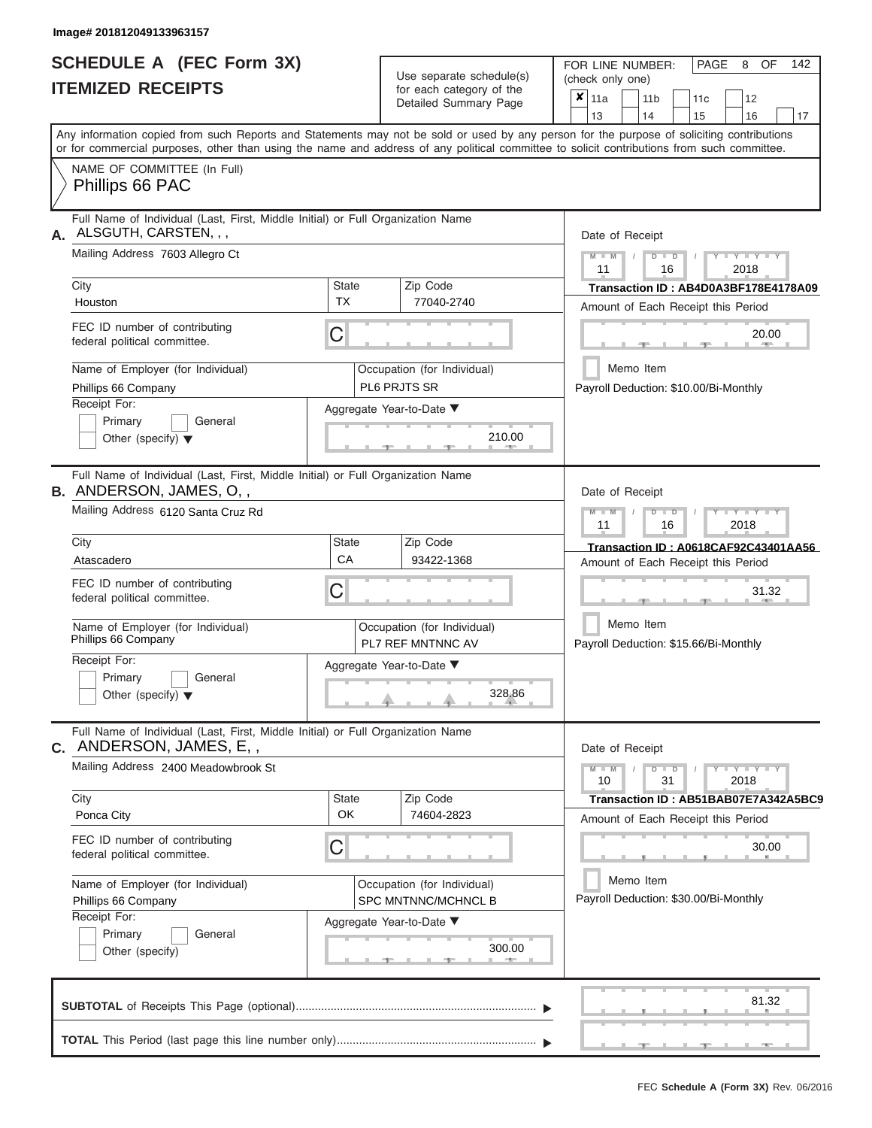|                          | SCHEDULE A (FEC Form 3X) |
|--------------------------|--------------------------|
| <b>ITEMIZED RECEIPTS</b> |                          |

Use separate schedule(s)<br>for each category of the

FOR LINE NUMBER:

PAGE 8 OF 142

| <b>ITEMIZED RECEIPTS</b>                                                                                                                   |                                               | Use separate schedule(s)                           | (check only one)                                                                                                                                                        |  |  |  |  |  |
|--------------------------------------------------------------------------------------------------------------------------------------------|-----------------------------------------------|----------------------------------------------------|-------------------------------------------------------------------------------------------------------------------------------------------------------------------------|--|--|--|--|--|
|                                                                                                                                            |                                               | for each category of the<br>Detailed Summary Page  | $\boldsymbol{x}$   11a<br>12<br>11 <sub>b</sub><br>11 <sub>c</sub>                                                                                                      |  |  |  |  |  |
|                                                                                                                                            |                                               |                                                    | 13<br>14<br>15<br>16<br>17<br>Any information copied from such Reports and Statements may not be sold or used by any person for the purpose of soliciting contributions |  |  |  |  |  |
| or for commercial purposes, other than using the name and address of any political committee to solicit contributions from such committee. |                                               |                                                    |                                                                                                                                                                         |  |  |  |  |  |
| NAME OF COMMITTEE (In Full)<br>Phillips 66 PAC                                                                                             |                                               |                                                    |                                                                                                                                                                         |  |  |  |  |  |
| Full Name of Individual (Last, First, Middle Initial) or Full Organization Name<br>ALSGUTH, CARSTEN, , ,<br>А.                             |                                               |                                                    | Date of Receipt                                                                                                                                                         |  |  |  |  |  |
| Mailing Address 7603 Allegro Ct                                                                                                            |                                               |                                                    | $Y = Y = Y$<br>$\blacksquare$<br>D<br>2018<br>11<br>16                                                                                                                  |  |  |  |  |  |
| City<br>Houston                                                                                                                            | <b>State</b><br><b>TX</b>                     | Zip Code<br>77040-2740                             | Transaction ID: AB4D0A3BF178E4178A09<br>Amount of Each Receipt this Period                                                                                              |  |  |  |  |  |
| FEC ID number of contributing<br>federal political committee.                                                                              | C                                             |                                                    | 20.00                                                                                                                                                                   |  |  |  |  |  |
| Name of Employer (for Individual)<br>Phillips 66 Company                                                                                   |                                               | Occupation (for Individual)<br>PL6 PRJTS SR        | Memo Item<br>Payroll Deduction: \$10.00/Bi-Monthly                                                                                                                      |  |  |  |  |  |
| Receipt For:<br>Primary<br>General<br>Other (specify) $\blacktriangledown$                                                                 |                                               | Aggregate Year-to-Date ▼<br>210.00                 |                                                                                                                                                                         |  |  |  |  |  |
|                                                                                                                                            |                                               |                                                    |                                                                                                                                                                         |  |  |  |  |  |
| Full Name of Individual (Last, First, Middle Initial) or Full Organization Name<br><b>B.</b> ANDERSON, JAMES, O,,                          |                                               |                                                    | Date of Receipt                                                                                                                                                         |  |  |  |  |  |
| Mailing Address 6120 Santa Cruz Rd                                                                                                         | Y I Y I<br>$\blacksquare$<br>11<br>16<br>2018 |                                                    |                                                                                                                                                                         |  |  |  |  |  |
| City<br>Atascadero                                                                                                                         | <b>State</b><br>CA                            | Zip Code<br>93422-1368                             | Transaction ID: A0618CAF92C43401AA56<br>Amount of Each Receipt this Period                                                                                              |  |  |  |  |  |
| FEC ID number of contributing<br>federal political committee.                                                                              | C                                             |                                                    | 31.32                                                                                                                                                                   |  |  |  |  |  |
| Name of Employer (for Individual)<br>Phillips 66 Company                                                                                   |                                               | Occupation (for Individual)<br>PL7 REF MNTNNC AV   | Memo Item<br>Payroll Deduction: \$15.66/Bi-Monthly                                                                                                                      |  |  |  |  |  |
| Receipt For:<br>Primary<br>General<br>Other (specify) $\blacktriangledown$                                                                 |                                               | Aggregate Year-to-Date ▼<br>328.86                 |                                                                                                                                                                         |  |  |  |  |  |
| Full Name of Individual (Last, First, Middle Initial) or Full Organization Name<br>C. ANDERSON, JAMES, E,,                                 |                                               |                                                    | Date of Receipt                                                                                                                                                         |  |  |  |  |  |
| Mailing Address 2400 Meadowbrook St                                                                                                        |                                               |                                                    | $Y - Y - Y$<br>$\Box$<br>D<br>10<br>31<br>2018                                                                                                                          |  |  |  |  |  |
| City<br>Ponca City                                                                                                                         | <b>State</b><br>OK                            | Zip Code<br>74604-2823                             | Transaction ID: AB51BAB07E7A342A5BC9<br>Amount of Each Receipt this Period                                                                                              |  |  |  |  |  |
| FEC ID number of contributing<br>federal political committee.                                                                              | С                                             |                                                    | 30.00                                                                                                                                                                   |  |  |  |  |  |
| Name of Employer (for Individual)<br>Phillips 66 Company                                                                                   |                                               | Occupation (for Individual)<br>SPC MNTNNC/MCHNCL B | Memo Item<br>Payroll Deduction: \$30.00/Bi-Monthly                                                                                                                      |  |  |  |  |  |
| Receipt For:<br>Primary<br>General<br>Other (specify)                                                                                      |                                               | Aggregate Year-to-Date ▼<br>300.00                 |                                                                                                                                                                         |  |  |  |  |  |
|                                                                                                                                            |                                               |                                                    | 81.32                                                                                                                                                                   |  |  |  |  |  |
|                                                                                                                                            |                                               |                                                    |                                                                                                                                                                         |  |  |  |  |  |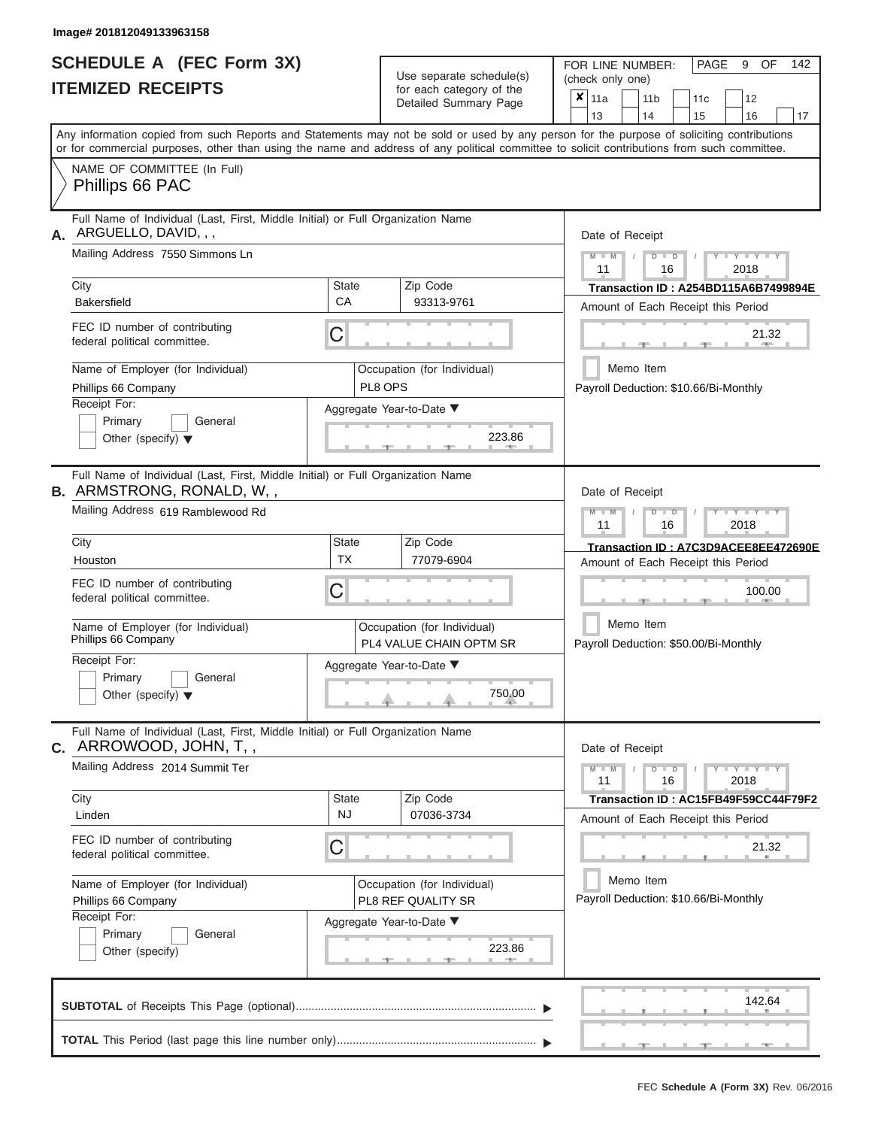|                          | <b>SCHEDULE A (FEC Form 3X)</b> |
|--------------------------|---------------------------------|
| <b>ITEMIZED RECEIPTS</b> |                                 |

Use separate schedule(s)<br>for each category of the

FOR LINE NUMBER:

PAGE 9 OF 142

| <b>ITEMIZED RECEIPTS</b>                                                                                            |                    | Use separate schedule(s)                                      | (check only one)                                                                                                                                                                                                                                                                        |  |  |  |  |  |  |  |
|---------------------------------------------------------------------------------------------------------------------|--------------------|---------------------------------------------------------------|-----------------------------------------------------------------------------------------------------------------------------------------------------------------------------------------------------------------------------------------------------------------------------------------|--|--|--|--|--|--|--|
|                                                                                                                     |                    | for each category of the<br>Detailed Summary Page             | $x _{11a}$<br>12<br>11 <sub>b</sub><br>11c<br>13<br>14<br>15<br>17<br>16                                                                                                                                                                                                                |  |  |  |  |  |  |  |
|                                                                                                                     |                    |                                                               | Any information copied from such Reports and Statements may not be sold or used by any person for the purpose of soliciting contributions<br>or for commercial purposes, other than using the name and address of any political committee to solicit contributions from such committee. |  |  |  |  |  |  |  |
| NAME OF COMMITTEE (In Full)<br>Phillips 66 PAC                                                                      |                    |                                                               |                                                                                                                                                                                                                                                                                         |  |  |  |  |  |  |  |
| Full Name of Individual (Last, First, Middle Initial) or Full Organization Name<br>ARGUELLO, DAVID, , ,<br>А.       |                    |                                                               | Date of Receipt                                                                                                                                                                                                                                                                         |  |  |  |  |  |  |  |
| Mailing Address 7550 Simmons Ln                                                                                     |                    |                                                               | $M - M$<br>$Y - Y - Y$<br>$D$ $D$<br>11<br>16<br>2018                                                                                                                                                                                                                                   |  |  |  |  |  |  |  |
| City<br><b>Bakersfield</b>                                                                                          | <b>State</b><br>CA | Zip Code<br>93313-9761                                        | Transaction ID: A254BD115A6B7499894E<br>Amount of Each Receipt this Period                                                                                                                                                                                                              |  |  |  |  |  |  |  |
| FEC ID number of contributing<br>federal political committee.                                                       | C                  |                                                               | 21.32                                                                                                                                                                                                                                                                                   |  |  |  |  |  |  |  |
| Name of Employer (for Individual)<br>Phillips 66 Company                                                            |                    | Occupation (for Individual)<br>PL8 OPS                        | Memo Item<br>Payroll Deduction: \$10.66/Bi-Monthly                                                                                                                                                                                                                                      |  |  |  |  |  |  |  |
| Receipt For:<br>Primary<br>General<br>Other (specify) $\blacktriangledown$                                          |                    | Aggregate Year-to-Date ▼<br>223.86                            |                                                                                                                                                                                                                                                                                         |  |  |  |  |  |  |  |
| Full Name of Individual (Last, First, Middle Initial) or Full Organization Name<br><b>B.</b> ARMSTRONG, RONALD, W,, |                    |                                                               | Date of Receipt                                                                                                                                                                                                                                                                         |  |  |  |  |  |  |  |
| Mailing Address 619 Ramblewood Rd                                                                                   |                    |                                                               | $M - M$<br>$T - Y = T - Y = T - Y$<br>$D$ $\Box$ $D$<br>11<br>16<br>2018                                                                                                                                                                                                                |  |  |  |  |  |  |  |
| City<br>Houston                                                                                                     | State<br><b>TX</b> | Zip Code<br>77079-6904                                        | Transaction ID: A7C3D9ACEE8EE472690E<br>Amount of Each Receipt this Period                                                                                                                                                                                                              |  |  |  |  |  |  |  |
| FEC ID number of contributing<br>federal political committee.                                                       | С                  |                                                               | 100.00                                                                                                                                                                                                                                                                                  |  |  |  |  |  |  |  |
| Name of Employer (for Individual)<br>Phillips 66 Company                                                            |                    | Occupation (for Individual)<br>PL4 VALUE CHAIN OPTM SR        | Memo Item<br>Payroll Deduction: \$50.00/Bi-Monthly                                                                                                                                                                                                                                      |  |  |  |  |  |  |  |
| Receipt For:<br>Primary<br>General<br>Other (specify) $\blacktriangledown$                                          |                    | Aggregate Year-to-Date ▼<br>750.00                            |                                                                                                                                                                                                                                                                                         |  |  |  |  |  |  |  |
| Full Name of Individual (Last, First, Middle Initial) or Full Organization Name<br>$c.$ ARROWOOD, JOHN, T,,         |                    |                                                               | Date of Receipt                                                                                                                                                                                                                                                                         |  |  |  |  |  |  |  |
| Mailing Address 2014 Summit Ter                                                                                     |                    |                                                               | $Y - Y - Y - Y - Y$<br>$M - M$<br>$D$ $D$<br>11<br>16<br>2018                                                                                                                                                                                                                           |  |  |  |  |  |  |  |
| City<br>Linden                                                                                                      | State<br><b>NJ</b> | Zip Code<br>07036-3734                                        | Transaction ID: AC15FB49F59CC44F79F2<br>Amount of Each Receipt this Period                                                                                                                                                                                                              |  |  |  |  |  |  |  |
| FEC ID number of contributing<br>federal political committee.                                                       | С                  |                                                               | 21.32                                                                                                                                                                                                                                                                                   |  |  |  |  |  |  |  |
| Name of Employer (for Individual)<br>Phillips 66 Company                                                            |                    | Occupation (for Individual)<br>PL8 REF QUALITY SR             | Memo Item<br>Payroll Deduction: \$10.66/Bi-Monthly                                                                                                                                                                                                                                      |  |  |  |  |  |  |  |
| Receipt For:<br>Primary<br>General<br>Other (specify)                                                               |                    | Aggregate Year-to-Date ▼<br>223.86<br><b>ARCHITECT</b><br>- 1 |                                                                                                                                                                                                                                                                                         |  |  |  |  |  |  |  |
|                                                                                                                     |                    |                                                               | 142.64                                                                                                                                                                                                                                                                                  |  |  |  |  |  |  |  |
|                                                                                                                     |                    |                                                               |                                                                                                                                                                                                                                                                                         |  |  |  |  |  |  |  |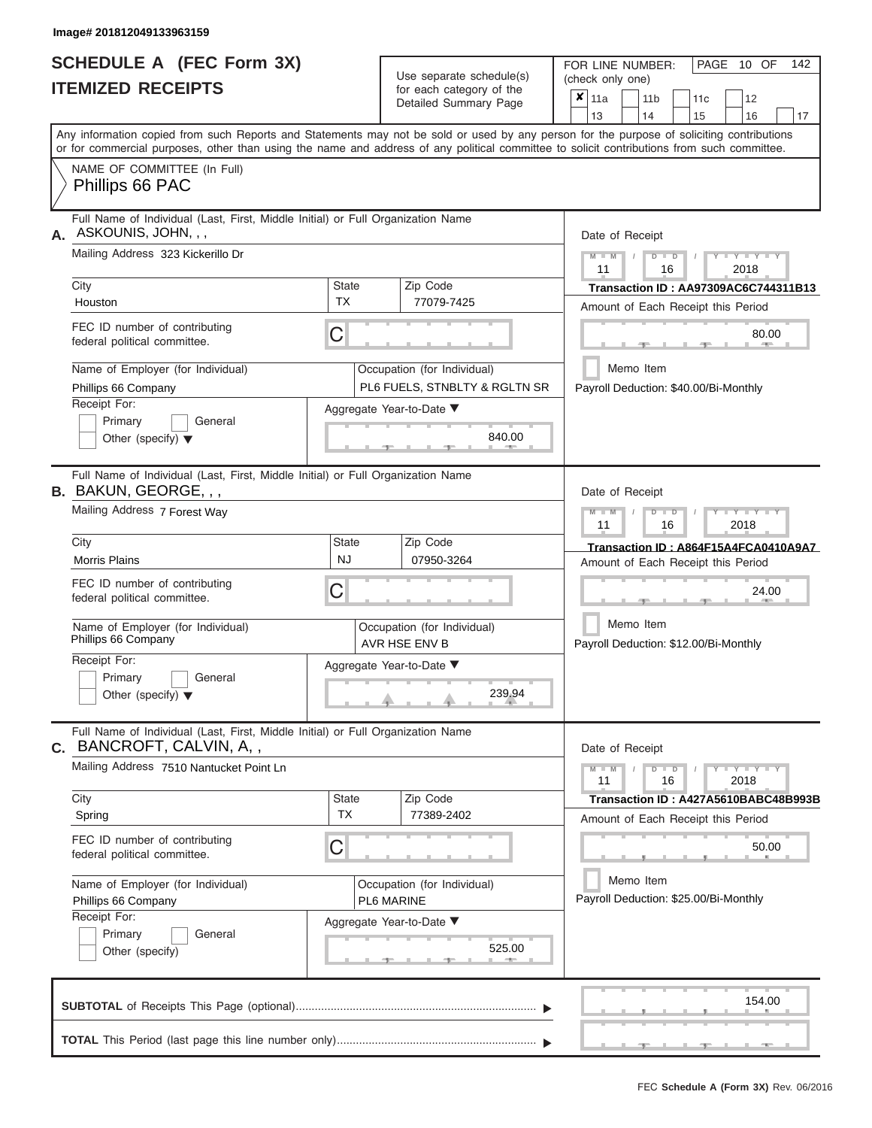|                          | <b>SCHEDULE A (FEC Form 3X)</b> |
|--------------------------|---------------------------------|
| <b>ITEMIZED RECEIPTS</b> |                                 |

Use separate schedule(s) (check only one)<br>for each category of the  $\begin{array}{|c|c|c|c|c|}\n\hline\n\text{Initial Summary goes} & & \text{with } & \text{with } & \text{with } & \text{with } & \text{with } & \text{with } & \text{with } & \text{with } & \text{with } & \text{with } & \text{with } & \text{with } & \text{with } & \text{with } & \text{with } & \text{with } & \text{with } & \text{with } & \text{with } & \text{with } & \text$ 

FOR LINE NUMBER:

 $\overline{\phantom{0}}$ 

PAGE 10 OF 142

|                                                                                                                 |                                                                        | Detailed Summary Page                        | х<br>  11a<br>11 b<br>11 <sub>c</sub><br>12                                                                                                                                                                                                                                                                           |  |  |  |  |  |  |  |
|-----------------------------------------------------------------------------------------------------------------|------------------------------------------------------------------------|----------------------------------------------|-----------------------------------------------------------------------------------------------------------------------------------------------------------------------------------------------------------------------------------------------------------------------------------------------------------------------|--|--|--|--|--|--|--|
|                                                                                                                 |                                                                        |                                              | 13<br>14<br>15<br>16<br>17<br>Any information copied from such Reports and Statements may not be sold or used by any person for the purpose of soliciting contributions<br>or for commercial purposes, other than using the name and address of any political committee to solicit contributions from such committee. |  |  |  |  |  |  |  |
| NAME OF COMMITTEE (In Full)<br>Phillips 66 PAC                                                                  |                                                                        |                                              |                                                                                                                                                                                                                                                                                                                       |  |  |  |  |  |  |  |
| Full Name of Individual (Last, First, Middle Initial) or Full Organization Name<br>ASKOUNIS, JOHN, , ,<br>А.    |                                                                        |                                              | Date of Receipt                                                                                                                                                                                                                                                                                                       |  |  |  |  |  |  |  |
| Mailing Address 323 Kickerillo Dr                                                                               | $Y = Y + Y$<br>$D$ $D$<br>$M - M$<br>т<br>$\prime$<br>11<br>16<br>2018 |                                              |                                                                                                                                                                                                                                                                                                                       |  |  |  |  |  |  |  |
| City                                                                                                            | <b>State</b>                                                           | Zip Code                                     | <b>Transaction ID: AA97309AC6C744311B13</b>                                                                                                                                                                                                                                                                           |  |  |  |  |  |  |  |
| Houston                                                                                                         | <b>TX</b>                                                              | 77079-7425                                   | Amount of Each Receipt this Period                                                                                                                                                                                                                                                                                    |  |  |  |  |  |  |  |
| FEC ID number of contributing<br>federal political committee.                                                   | C                                                                      | 80.00<br><b>AND IN</b>                       |                                                                                                                                                                                                                                                                                                                       |  |  |  |  |  |  |  |
| Name of Employer (for Individual)                                                                               |                                                                        | Occupation (for Individual)                  | Memo Item                                                                                                                                                                                                                                                                                                             |  |  |  |  |  |  |  |
| Phillips 66 Company                                                                                             |                                                                        | PL6 FUELS, STNBLTY & RGLTN SR                | Payroll Deduction: \$40.00/Bi-Monthly                                                                                                                                                                                                                                                                                 |  |  |  |  |  |  |  |
| Receipt For:                                                                                                    |                                                                        | Aggregate Year-to-Date ▼                     |                                                                                                                                                                                                                                                                                                                       |  |  |  |  |  |  |  |
| Primary<br>General                                                                                              |                                                                        | 840.00                                       |                                                                                                                                                                                                                                                                                                                       |  |  |  |  |  |  |  |
| Other (specify) $\blacktriangledown$                                                                            |                                                                        |                                              |                                                                                                                                                                                                                                                                                                                       |  |  |  |  |  |  |  |
| Full Name of Individual (Last, First, Middle Initial) or Full Organization Name<br><b>B.</b> BAKUN, GEORGE, , , |                                                                        |                                              | Date of Receipt                                                                                                                                                                                                                                                                                                       |  |  |  |  |  |  |  |
| Mailing Address 7 Forest Way                                                                                    |                                                                        |                                              | $D$ $\Box$ $D$<br>$T$ $Y$ $T$ $Y$ $T$ $Y$<br>$M - M$<br>11<br>16<br>2018                                                                                                                                                                                                                                              |  |  |  |  |  |  |  |
| City                                                                                                            | State                                                                  | Zip Code                                     | Transaction ID: A864F15A4FCA0410A9A7                                                                                                                                                                                                                                                                                  |  |  |  |  |  |  |  |
| <b>Morris Plains</b>                                                                                            | <b>NJ</b>                                                              | 07950-3264                                   | Amount of Each Receipt this Period                                                                                                                                                                                                                                                                                    |  |  |  |  |  |  |  |
| FEC ID number of contributing<br>federal political committee.                                                   | C                                                                      |                                              | 24.00                                                                                                                                                                                                                                                                                                                 |  |  |  |  |  |  |  |
| Name of Employer (for Individual)<br>Phillips 66 Company                                                        |                                                                        | Occupation (for Individual)<br>AVR HSE ENV B | Memo Item<br>Payroll Deduction: \$12.00/Bi-Monthly                                                                                                                                                                                                                                                                    |  |  |  |  |  |  |  |
| Receipt For:                                                                                                    |                                                                        | Aggregate Year-to-Date ▼                     |                                                                                                                                                                                                                                                                                                                       |  |  |  |  |  |  |  |
| Primary<br>General                                                                                              |                                                                        |                                              |                                                                                                                                                                                                                                                                                                                       |  |  |  |  |  |  |  |
| Other (specify) $\blacktriangledown$                                                                            |                                                                        | 239.94                                       |                                                                                                                                                                                                                                                                                                                       |  |  |  |  |  |  |  |
| Full Name of Individual (Last, First, Middle Initial) or Full Organization Name<br>C. BANCROFT, CALVIN, A,,     |                                                                        |                                              | Date of Receipt                                                                                                                                                                                                                                                                                                       |  |  |  |  |  |  |  |
| Mailing Address 7510 Nantucket Point Ln                                                                         |                                                                        |                                              | $\frac{1}{2}$ $\frac{1}{2}$ $\frac{1}{2}$ $\frac{1}{2}$ $\frac{1}{2}$ $\frac{1}{2}$ $\frac{1}{2}$ $\frac{1}{2}$ $\frac{1}{2}$ $\frac{1}{2}$ $\frac{1}{2}$ $\frac{1}{2}$ $\frac{1}{2}$<br>$M - M$<br>$D$ $\Box$ $D$<br>11<br>16<br>2018                                                                                |  |  |  |  |  |  |  |
| City                                                                                                            | State                                                                  | Zip Code                                     | Transaction ID: A427A5610BABC48B993B                                                                                                                                                                                                                                                                                  |  |  |  |  |  |  |  |
| Spring                                                                                                          | <b>TX</b>                                                              | 77389-2402                                   | Amount of Each Receipt this Period                                                                                                                                                                                                                                                                                    |  |  |  |  |  |  |  |
| FEC ID number of contributing<br>federal political committee.                                                   | C                                                                      |                                              | 50.00                                                                                                                                                                                                                                                                                                                 |  |  |  |  |  |  |  |
| Name of Employer (for Individual)                                                                               |                                                                        | Occupation (for Individual)                  | Memo Item                                                                                                                                                                                                                                                                                                             |  |  |  |  |  |  |  |
| Phillips 66 Company                                                                                             |                                                                        | PL6 MARINE                                   | Payroll Deduction: \$25.00/Bi-Monthly                                                                                                                                                                                                                                                                                 |  |  |  |  |  |  |  |
| Receipt For:                                                                                                    |                                                                        | Aggregate Year-to-Date ▼                     |                                                                                                                                                                                                                                                                                                                       |  |  |  |  |  |  |  |
| Primary<br>General                                                                                              |                                                                        | 525.00                                       |                                                                                                                                                                                                                                                                                                                       |  |  |  |  |  |  |  |
| Other (specify)                                                                                                 |                                                                        |                                              |                                                                                                                                                                                                                                                                                                                       |  |  |  |  |  |  |  |
|                                                                                                                 |                                                                        |                                              | 154.00                                                                                                                                                                                                                                                                                                                |  |  |  |  |  |  |  |
|                                                                                                                 |                                                                        |                                              |                                                                                                                                                                                                                                                                                                                       |  |  |  |  |  |  |  |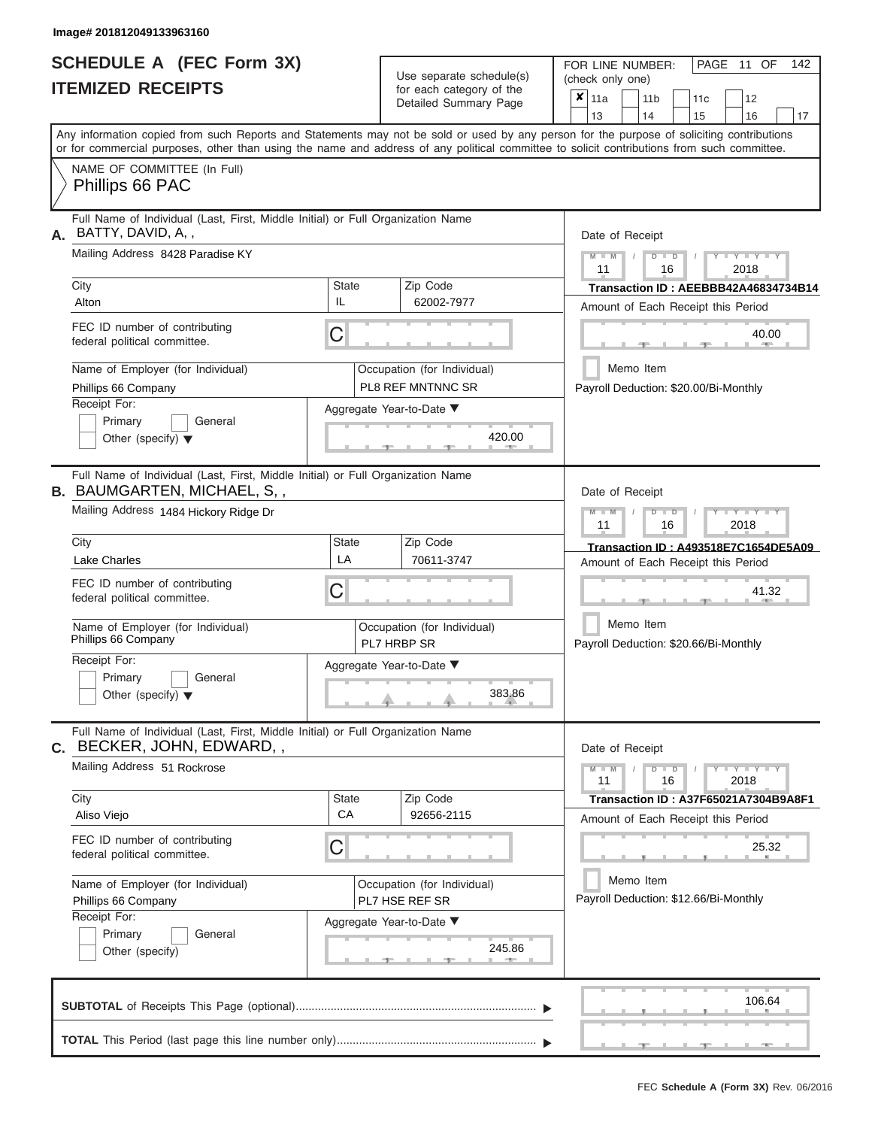|                          | <b>SCHEDULE A (FEC Form 3X)</b> |  |
|--------------------------|---------------------------------|--|
| <b>ITEMIZED RECEIPTS</b> |                                 |  |

Use separate schedule(s)<br>for each category of the

FOR LINE NUMBER:<br>(check only one)

PAGE 11 OF 142

|                                                                                                                                            |              | ivi vavii valvyviy vi liiv<br>Detailed Summary Page | ×                                    | 11a                                |  | 11 <sub>b</sub>            |                | 11 <sub>c</sub> | 12                                                                            |    |  |  |
|--------------------------------------------------------------------------------------------------------------------------------------------|--------------|-----------------------------------------------------|--------------------------------------|------------------------------------|--|----------------------------|----------------|-----------------|-------------------------------------------------------------------------------|----|--|--|
| Any information copied from such Reports and Statements may not be sold or used by any person for the purpose of soliciting contributions  |              |                                                     |                                      | 13                                 |  | 14                         |                | 15              | 16                                                                            | 17 |  |  |
| or for commercial purposes, other than using the name and address of any political committee to solicit contributions from such committee. |              |                                                     |                                      |                                    |  |                            |                |                 |                                                                               |    |  |  |
| NAME OF COMMITTEE (In Full)                                                                                                                |              |                                                     |                                      |                                    |  |                            |                |                 |                                                                               |    |  |  |
| Phillips 66 PAC                                                                                                                            |              |                                                     |                                      |                                    |  |                            |                |                 |                                                                               |    |  |  |
| Full Name of Individual (Last, First, Middle Initial) or Full Organization Name<br>BATTY, DAVID, A,,<br>А.                                 |              |                                                     |                                      | Date of Receipt                    |  |                            |                |                 |                                                                               |    |  |  |
| Mailing Address 8428 Paradise KY                                                                                                           |              |                                                     |                                      | $M - M$ /<br>11                    |  |                            | $D$ $D$<br>16  |                 | $Y - Y - Y$<br>2018                                                           |    |  |  |
| City                                                                                                                                       | <b>State</b> | Zip Code                                            | Transaction ID: AEEBBB42A46834734B14 |                                    |  |                            |                |                 |                                                                               |    |  |  |
| Alton                                                                                                                                      | IL           | 62002-7977                                          |                                      | Amount of Each Receipt this Period |  |                            |                |                 |                                                                               |    |  |  |
| FEC ID number of contributing<br>federal political committee.                                                                              | С            |                                                     |                                      |                                    |  | 40.00<br><b>COLLECTIVE</b> |                |                 |                                                                               |    |  |  |
| Name of Employer (for Individual)                                                                                                          |              | Occupation (for Individual)                         |                                      |                                    |  | Memo Item                  |                |                 |                                                                               |    |  |  |
| Phillips 66 Company                                                                                                                        |              | PL8 REF MNTNNC SR                                   |                                      |                                    |  |                            |                |                 | Payroll Deduction: \$20.00/Bi-Monthly                                         |    |  |  |
| Receipt For:                                                                                                                               |              | Aggregate Year-to-Date ▼                            |                                      |                                    |  |                            |                |                 |                                                                               |    |  |  |
| Primary<br>General                                                                                                                         |              |                                                     |                                      |                                    |  |                            |                |                 |                                                                               |    |  |  |
| Other (specify) $\blacktriangledown$                                                                                                       |              | 420.00<br>$-1-$                                     |                                      |                                    |  |                            |                |                 |                                                                               |    |  |  |
| Full Name of Individual (Last, First, Middle Initial) or Full Organization Name<br><b>B. BAUMGARTEN, MICHAEL, S,,</b>                      |              |                                                     |                                      | Date of Receipt                    |  |                            |                |                 |                                                                               |    |  |  |
| Mailing Address 1484 Hickory Ridge Dr                                                                                                      |              |                                                     |                                      | $M - M$                            |  |                            | $D$ $\Box$ $D$ |                 | $\blacksquare$ $\vdash$ $\vdash$ $\vdash$ $\vdash$ $\vdash$ $\vdash$ $\vdash$ |    |  |  |
|                                                                                                                                            |              |                                                     |                                      | 11                                 |  |                            | 16             |                 | 2018                                                                          |    |  |  |
| City                                                                                                                                       | State        | Zip Code                                            |                                      |                                    |  |                            |                |                 | Transaction ID: A493518E7C1654DE5A09                                          |    |  |  |
| <b>Lake Charles</b>                                                                                                                        | LA           | 70611-3747                                          |                                      |                                    |  |                            |                |                 | Amount of Each Receipt this Period                                            |    |  |  |
| FEC ID number of contributing                                                                                                              | С            |                                                     |                                      |                                    |  |                            |                |                 | 41.32                                                                         |    |  |  |
| federal political committee.                                                                                                               |              |                                                     |                                      |                                    |  |                            |                |                 |                                                                               |    |  |  |
| Name of Employer (for Individual)<br>Phillips 66 Company                                                                                   |              | Occupation (for Individual)<br>PL7 HRBP SR          |                                      |                                    |  | Memo Item                  |                |                 | Payroll Deduction: \$20.66/Bi-Monthly                                         |    |  |  |
| Receipt For:                                                                                                                               |              |                                                     |                                      |                                    |  |                            |                |                 |                                                                               |    |  |  |
| Primary<br>General                                                                                                                         |              | Aggregate Year-to-Date ▼                            |                                      |                                    |  |                            |                |                 |                                                                               |    |  |  |
| Other (specify) $\blacktriangledown$                                                                                                       |              | 383.86                                              |                                      |                                    |  |                            |                |                 |                                                                               |    |  |  |
|                                                                                                                                            |              |                                                     |                                      |                                    |  |                            |                |                 |                                                                               |    |  |  |
| Full Name of Individual (Last, First, Middle Initial) or Full Organization Name<br>C. BECKER, JOHN, EDWARD, ,                              |              |                                                     |                                      | Date of Receipt                    |  |                            |                |                 |                                                                               |    |  |  |
| Mailing Address 51 Rockrose                                                                                                                |              |                                                     |                                      | $M - M$<br>11                      |  |                            | $D$ $D$<br>16  |                 | $Y - Y - Y - Y - Y$<br>2018                                                   |    |  |  |
| City                                                                                                                                       | State        | Zip Code                                            |                                      |                                    |  |                            |                |                 | Transaction ID: A37F65021A7304B9A8F1                                          |    |  |  |
| Aliso Viejo                                                                                                                                | CA           | 92656-2115                                          |                                      |                                    |  |                            |                |                 | Amount of Each Receipt this Period                                            |    |  |  |
| FEC ID number of contributing<br>federal political committee.                                                                              | С            |                                                     |                                      |                                    |  |                            |                |                 | 25.32                                                                         |    |  |  |
| Name of Employer (for Individual)                                                                                                          |              | Occupation (for Individual)                         |                                      |                                    |  | Memo Item                  |                |                 |                                                                               |    |  |  |
| Phillips 66 Company                                                                                                                        |              | PL7 HSE REF SR                                      |                                      |                                    |  |                            |                |                 | Payroll Deduction: \$12.66/Bi-Monthly                                         |    |  |  |
| Receipt For:                                                                                                                               |              | Aggregate Year-to-Date ▼                            |                                      |                                    |  |                            |                |                 |                                                                               |    |  |  |
| General<br>Primary                                                                                                                         |              |                                                     |                                      |                                    |  |                            |                |                 |                                                                               |    |  |  |
| Other (specify)                                                                                                                            |              | 245.86<br>___                                       |                                      |                                    |  |                            |                |                 |                                                                               |    |  |  |
|                                                                                                                                            |              |                                                     |                                      |                                    |  |                            |                |                 | 106.64                                                                        |    |  |  |
|                                                                                                                                            |              |                                                     |                                      |                                    |  |                            |                |                 |                                                                               |    |  |  |
|                                                                                                                                            |              |                                                     |                                      |                                    |  |                            |                |                 |                                                                               |    |  |  |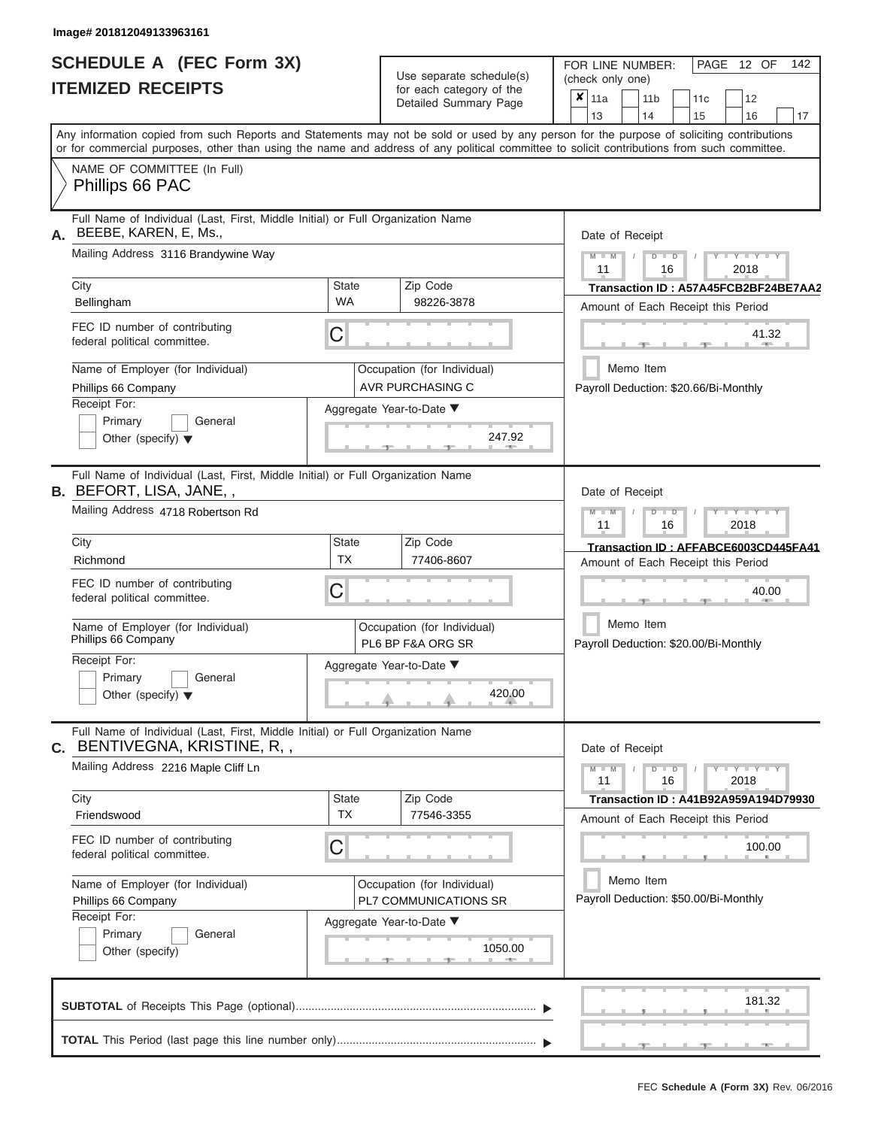|                          | <b>SCHEDULE A (FEC Form 3X)</b> |
|--------------------------|---------------------------------|
| <b>ITEMIZED RECEIPTS</b> |                                 |

Use separate schedule(s) (check only one) for each category of the  $\sqrt{\frac{1}{12}}$ 

FOR LINE NUMBER:<br>(check only one)

PAGE 12 OF 142

| IIEMIZED RECEIPIS                                                                                                                                                                                                                                                                                                                                                      |                                | for each category of the<br>Detailed Summary Page                                                                     | ×<br>11a<br>11c<br>12<br>11 <sub>b</sub><br>13<br>14<br>15<br>16<br>17                                                                                                                                                                                                                  |
|------------------------------------------------------------------------------------------------------------------------------------------------------------------------------------------------------------------------------------------------------------------------------------------------------------------------------------------------------------------------|--------------------------------|-----------------------------------------------------------------------------------------------------------------------|-----------------------------------------------------------------------------------------------------------------------------------------------------------------------------------------------------------------------------------------------------------------------------------------|
|                                                                                                                                                                                                                                                                                                                                                                        |                                |                                                                                                                       | Any information copied from such Reports and Statements may not be sold or used by any person for the purpose of soliciting contributions<br>or for commercial purposes, other than using the name and address of any political committee to solicit contributions from such committee. |
| NAME OF COMMITTEE (In Full)<br>Phillips 66 PAC                                                                                                                                                                                                                                                                                                                         |                                |                                                                                                                       |                                                                                                                                                                                                                                                                                         |
| Full Name of Individual (Last, First, Middle Initial) or Full Organization Name<br>BEEBE, KAREN, E, Ms.,<br>А.<br>Mailing Address 3116 Brandywine Way<br>City<br>Bellingham<br>FEC ID number of contributing<br>federal political committee.                                                                                                                           | <b>State</b><br><b>WA</b><br>С | Zip Code<br>98226-3878                                                                                                | Date of Receipt<br>$Y = Y =$<br>$\blacksquare$<br>D<br>11<br>16<br>2018<br>Transaction ID: A57A45FCB2BF24BE7AA2<br>Amount of Each Receipt this Period<br>41.32                                                                                                                          |
| Name of Employer (for Individual)<br>Phillips 66 Company<br>Receipt For:<br>Primary<br>General<br>Other (specify) $\blacktriangledown$                                                                                                                                                                                                                                 |                                | Occupation (for Individual)<br>AVR PURCHASING C<br>Aggregate Year-to-Date ▼<br>247.92                                 | Memo Item<br>Payroll Deduction: \$20.66/Bi-Monthly                                                                                                                                                                                                                                      |
| Full Name of Individual (Last, First, Middle Initial) or Full Organization Name<br><b>B.</b> BEFORT, LISA, JANE,,<br>Mailing Address 4718 Robertson Rd<br>City<br>Richmond<br>FEC ID number of contributing                                                                                                                                                            | <b>State</b><br>ТX<br>С        | Zip Code<br>77406-8607                                                                                                | Date of Receipt<br>$Y - Y$<br>$\overline{\mathbb{D}}$<br>2018<br>11<br>16<br>Transaction ID: AFFABCE6003CD445FA41<br>Amount of Each Receipt this Period<br>40.00                                                                                                                        |
| federal political committee.<br>Name of Employer (for Individual)<br>Phillips 66 Company<br>Receipt For:<br>Primary<br>General<br>Other (specify) $\blacktriangledown$                                                                                                                                                                                                 |                                | Occupation (for Individual)<br>PL6 BP F&A ORG SR<br>Aggregate Year-to-Date ▼<br>420.00                                | Memo Item<br>Payroll Deduction: \$20.00/Bi-Monthly                                                                                                                                                                                                                                      |
| Full Name of Individual (Last, First, Middle Initial) or Full Organization Name<br>BENTIVEGNA, KRISTINE, R,,<br>С.<br>Mailing Address 2216 Maple Cliff Ln<br>City<br>Friendswood<br>FEC ID number of contributing<br>federal political committee.<br>Name of Employer (for Individual)<br>Phillips 66 Company<br>Receipt For:<br>Primary<br>General<br>Other (specify) | State<br><b>TX</b><br>C        | Zip Code<br>77546-3355<br>Occupation (for Individual)<br>PL7 COMMUNICATIONS SR<br>Aggregate Year-to-Date ▼<br>1050.00 | Date of Receipt<br>$Y - Y - Y$<br>$\blacksquare$<br>$M - M$<br>D<br>11<br>16<br>2018<br><b>Transaction ID: A41B92A959A194D79930</b><br>Amount of Each Receipt this Period<br>100.00<br>Memo Item<br>Payroll Deduction: \$50.00/Bi-Monthly                                               |
|                                                                                                                                                                                                                                                                                                                                                                        |                                |                                                                                                                       | 181.32                                                                                                                                                                                                                                                                                  |
|                                                                                                                                                                                                                                                                                                                                                                        |                                |                                                                                                                       |                                                                                                                                                                                                                                                                                         |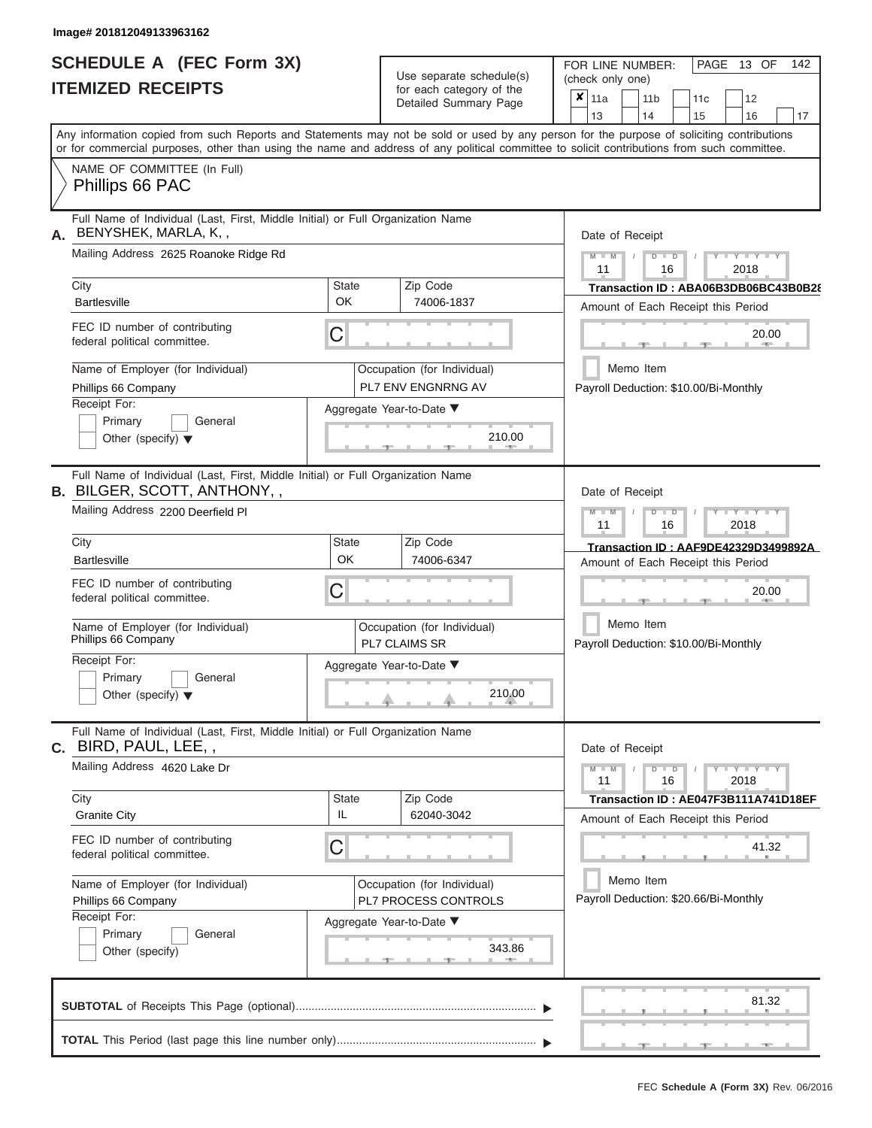| <b>SCHEDULE A (FEC Form 3X)</b> |  |  |
|---------------------------------|--|--|
| <b>ITEMIZED RECEIPTS</b>        |  |  |

Use separate schedule(s) (check only one) for each category of the  $\sqrt{\frac{1}{12}}$ 

FOR LINE NUMBER:<br>(check only one)

PAGE 13 OF 142

| IIEMIZED RECEIPIS                                                                                                                                       |                           | for each category of the<br>Detailed Summary Page   | ×<br>11a<br>11c<br>12<br>11 <sub>b</sub><br>13<br>14<br>15<br>16<br>17                                                                                                                                                                                                                  |
|---------------------------------------------------------------------------------------------------------------------------------------------------------|---------------------------|-----------------------------------------------------|-----------------------------------------------------------------------------------------------------------------------------------------------------------------------------------------------------------------------------------------------------------------------------------------|
|                                                                                                                                                         |                           |                                                     | Any information copied from such Reports and Statements may not be sold or used by any person for the purpose of soliciting contributions<br>or for commercial purposes, other than using the name and address of any political committee to solicit contributions from such committee. |
| NAME OF COMMITTEE (In Full)<br>Phillips 66 PAC                                                                                                          |                           |                                                     |                                                                                                                                                                                                                                                                                         |
| Full Name of Individual (Last, First, Middle Initial) or Full Organization Name<br>BENYSHEK, MARLA, K, ,<br>А.<br>Mailing Address 2625 Roanoke Ridge Rd |                           |                                                     | Date of Receipt<br>$Y = Y =$<br>$\blacksquare$<br>D                                                                                                                                                                                                                                     |
| City                                                                                                                                                    | <b>State</b><br>OK        | Zip Code                                            | 11<br>16<br>2018<br>Transaction ID: ABA06B3DB06BC43B0B28                                                                                                                                                                                                                                |
| <b>Bartlesville</b><br>FEC ID number of contributing<br>federal political committee.                                                                    | C                         | 74006-1837                                          | Amount of Each Receipt this Period<br>20.00                                                                                                                                                                                                                                             |
| Name of Employer (for Individual)<br>Phillips 66 Company                                                                                                |                           | Occupation (for Individual)<br>PL7 ENV ENGNRNG AV   | Memo Item<br>Payroll Deduction: \$10.00/Bi-Monthly                                                                                                                                                                                                                                      |
| Receipt For:<br>Primary<br>General<br>Other (specify) $\blacktriangledown$                                                                              | Aggregate Year-to-Date ▼  | 210.00                                              |                                                                                                                                                                                                                                                                                         |
| Full Name of Individual (Last, First, Middle Initial) or Full Organization Name<br><b>B.</b> BILGER, SCOTT, ANTHONY,,                                   |                           |                                                     | Date of Receipt                                                                                                                                                                                                                                                                         |
| Mailing Address 2200 Deerfield PI                                                                                                                       |                           |                                                     | $Y - Y$<br>$\overline{\mathbb{D}}$<br>2018<br>11<br>16                                                                                                                                                                                                                                  |
| City<br><b>Bartlesville</b>                                                                                                                             | <b>State</b><br><b>OK</b> | Zip Code<br>74006-6347                              | Transaction ID: AAF9DE42329D3499892A<br>Amount of Each Receipt this Period                                                                                                                                                                                                              |
| FEC ID number of contributing<br>federal political committee.                                                                                           | С                         |                                                     | 20.00                                                                                                                                                                                                                                                                                   |
| Name of Employer (for Individual)<br>Phillips 66 Company                                                                                                | <b>PL7 CLAIMS SR</b>      | Occupation (for Individual)                         | Memo Item<br>Payroll Deduction: \$10.00/Bi-Monthly                                                                                                                                                                                                                                      |
| Receipt For:<br>Primary<br>General<br>Other (specify) $\blacktriangledown$                                                                              | Aggregate Year-to-Date ▼  | 210.00                                              |                                                                                                                                                                                                                                                                                         |
| Full Name of Individual (Last, First, Middle Initial) or Full Organization Name<br>BIRD, PAUL, LEE, ,<br>С.                                             |                           |                                                     | Date of Receipt                                                                                                                                                                                                                                                                         |
| Mailing Address 4620 Lake Dr                                                                                                                            |                           |                                                     | $Y = Y = Y$<br>$M - M$<br>$\blacksquare$<br>$\overline{D}$<br>11<br>16<br>2018                                                                                                                                                                                                          |
| City<br><b>Granite City</b>                                                                                                                             | State<br>IL               | Zip Code<br>62040-3042                              | Transaction ID: AE047F3B111A741D18EF<br>Amount of Each Receipt this Period                                                                                                                                                                                                              |
| FEC ID number of contributing<br>federal political committee.                                                                                           | C                         |                                                     | 41.32                                                                                                                                                                                                                                                                                   |
| Name of Employer (for Individual)<br>Phillips 66 Company<br>Receipt For:                                                                                |                           | Occupation (for Individual)<br>PL7 PROCESS CONTROLS | Memo Item<br>Payroll Deduction: \$20.66/Bi-Monthly                                                                                                                                                                                                                                      |
| Primary<br>General<br>Other (specify)                                                                                                                   | Aggregate Year-to-Date ▼  | 343.86                                              |                                                                                                                                                                                                                                                                                         |
|                                                                                                                                                         |                           |                                                     | 81.32                                                                                                                                                                                                                                                                                   |
|                                                                                                                                                         |                           |                                                     |                                                                                                                                                                                                                                                                                         |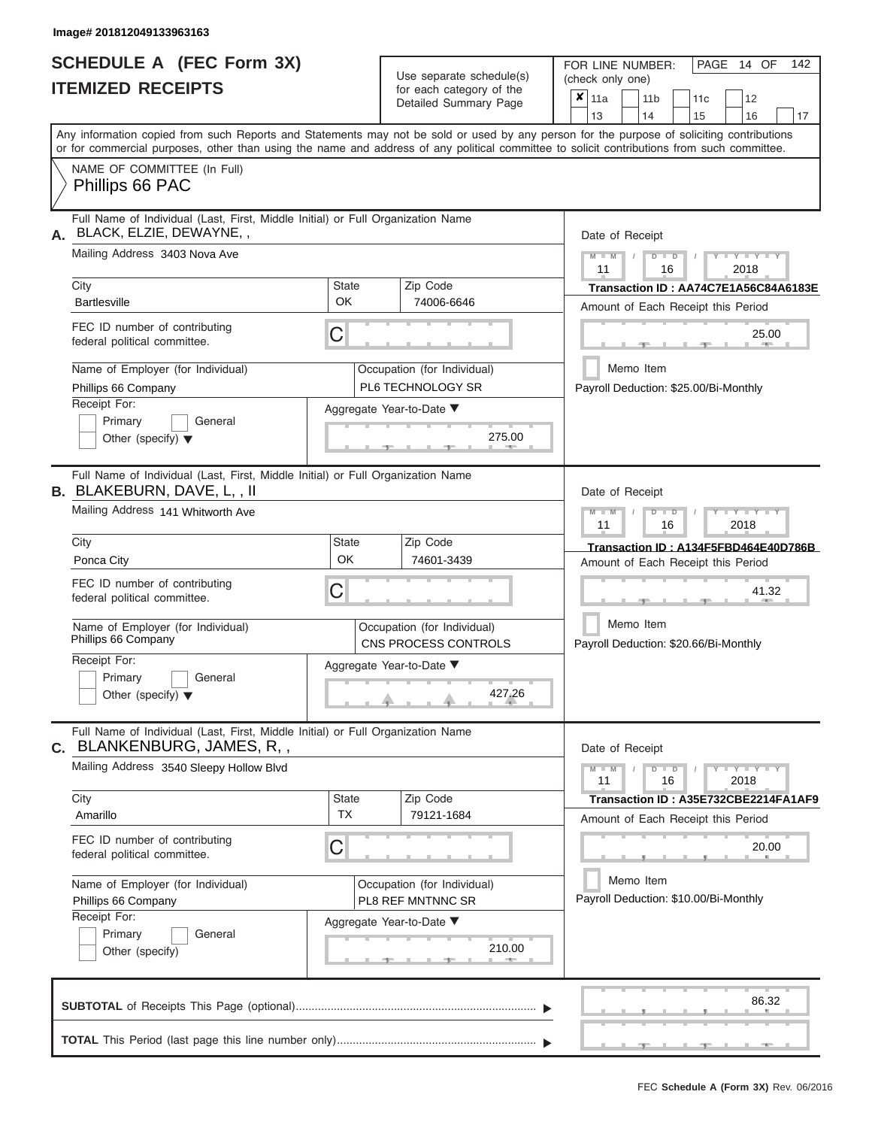|                          | SCHEDULE A (FEC Form 3X) |
|--------------------------|--------------------------|
| <b>ITEMIZED RECEIPTS</b> |                          |

Use separate schedule(s)<br>for each category of the

FOR LINE NUMBER:<br>(check only one)

PAGE 14 OF 142

|                                                                                                                                                                                                                                                                                         |                    | $\frac{1}{2}$ case category of the<br>Detailed Summary Page | $x \mid$ 11a                                                               |  | 11 <sub>b</sub> |               | 11 <sub>c</sub>                       | 12                                                                         |    |  |  |
|-----------------------------------------------------------------------------------------------------------------------------------------------------------------------------------------------------------------------------------------------------------------------------------------|--------------------|-------------------------------------------------------------|----------------------------------------------------------------------------|--|-----------------|---------------|---------------------------------------|----------------------------------------------------------------------------|----|--|--|
|                                                                                                                                                                                                                                                                                         |                    |                                                             | 13                                                                         |  | 14              |               | 15                                    | 16                                                                         | 17 |  |  |
| Any information copied from such Reports and Statements may not be sold or used by any person for the purpose of soliciting contributions<br>or for commercial purposes, other than using the name and address of any political committee to solicit contributions from such committee. |                    |                                                             |                                                                            |  |                 |               |                                       |                                                                            |    |  |  |
| NAME OF COMMITTEE (In Full)<br>Phillips 66 PAC                                                                                                                                                                                                                                          |                    |                                                             |                                                                            |  |                 |               |                                       |                                                                            |    |  |  |
| Full Name of Individual (Last, First, Middle Initial) or Full Organization Name<br>BLACK, ELZIE, DEWAYNE,,<br>А.                                                                                                                                                                        |                    |                                                             | Date of Receipt                                                            |  |                 |               |                                       |                                                                            |    |  |  |
| Mailing Address 3403 Nova Ave                                                                                                                                                                                                                                                           |                    |                                                             | $Y$ $Y$ $Y$ $Y$<br>$M - M$<br>$D$ $D$<br>11<br>2018<br>16                  |  |                 |               |                                       |                                                                            |    |  |  |
| City<br><b>Bartlesville</b>                                                                                                                                                                                                                                                             | <b>State</b><br>OK | Zip Code<br>74006-6646                                      | Transaction ID: AA74C7E1A56C84A6183E<br>Amount of Each Receipt this Period |  |                 |               |                                       |                                                                            |    |  |  |
| FEC ID number of contributing<br>federal political committee.                                                                                                                                                                                                                           | C                  |                                                             |                                                                            |  |                 |               | 25.00<br>$\sim$                       |                                                                            |    |  |  |
| Name of Employer (for Individual)<br>Phillips 66 Company                                                                                                                                                                                                                                |                    | Occupation (for Individual)<br>PL6 TECHNOLOGY SR            |                                                                            |  | Memo Item       |               |                                       | Payroll Deduction: \$25.00/Bi-Monthly                                      |    |  |  |
| Receipt For:<br>Primary<br>General<br>Other (specify) $\blacktriangledown$                                                                                                                                                                                                              |                    | Aggregate Year-to-Date ▼<br>275.00<br>-91                   |                                                                            |  |                 |               |                                       |                                                                            |    |  |  |
| Full Name of Individual (Last, First, Middle Initial) or Full Organization Name<br><b>B. BLAKEBURN, DAVE, L,, II</b>                                                                                                                                                                    |                    |                                                             | Date of Receipt                                                            |  |                 |               |                                       |                                                                            |    |  |  |
| Mailing Address 141 Whitworth Ave                                                                                                                                                                                                                                                       |                    |                                                             | $M - M$<br>11                                                              |  |                 | $D$ $D$<br>16 |                                       | Y TYT<br>2018                                                              |    |  |  |
| City<br>Ponca City                                                                                                                                                                                                                                                                      | State<br>OK        | Zip Code<br>74601-3439                                      |                                                                            |  |                 |               |                                       | Transaction ID: A134F5FBD464E40D786B<br>Amount of Each Receipt this Period |    |  |  |
| FEC ID number of contributing<br>federal political committee.                                                                                                                                                                                                                           | С                  | 41.32                                                       |                                                                            |  |                 |               |                                       |                                                                            |    |  |  |
| Name of Employer (for Individual)<br>Phillips 66 Company                                                                                                                                                                                                                                |                    | Occupation (for Individual)<br>CNS PROCESS CONTROLS         |                                                                            |  | Memo Item       |               | Payroll Deduction: \$20.66/Bi-Monthly |                                                                            |    |  |  |
| Receipt For:<br>Primary<br>General<br>Other (specify) $\blacktriangledown$                                                                                                                                                                                                              |                    | Aggregate Year-to-Date ▼<br>427.26                          |                                                                            |  |                 |               |                                       |                                                                            |    |  |  |
| Full Name of Individual (Last, First, Middle Initial) or Full Organization Name<br>C. BLANKENBURG, JAMES, R, ,                                                                                                                                                                          |                    |                                                             | Date of Receipt                                                            |  |                 |               |                                       |                                                                            |    |  |  |
| Mailing Address 3540 Sleepy Hollow Blvd                                                                                                                                                                                                                                                 |                    |                                                             | $M - M$<br>11                                                              |  |                 | $D$ $D$<br>16 |                                       | $\overline{Y} = Y = Y' + Y' + Y$<br>2018                                   |    |  |  |
| City<br>Amarillo                                                                                                                                                                                                                                                                        | State<br><b>TX</b> | Zip Code<br>79121-1684                                      |                                                                            |  |                 |               |                                       | Transaction ID: A35E732CBE2214FA1AF9<br>Amount of Each Receipt this Period |    |  |  |
| FEC ID number of contributing<br>federal political committee.                                                                                                                                                                                                                           | C                  |                                                             |                                                                            |  |                 |               |                                       | 20.00                                                                      |    |  |  |
| Name of Employer (for Individual)<br>Phillips 66 Company                                                                                                                                                                                                                                |                    | Occupation (for Individual)<br><b>PL8 REF MNTNNC SR</b>     |                                                                            |  | Memo Item       |               |                                       | Payroll Deduction: \$10.00/Bi-Monthly                                      |    |  |  |
| Receipt For:<br>Primary<br>General<br>Other (specify)                                                                                                                                                                                                                                   |                    | Aggregate Year-to-Date ▼<br>210.00                          |                                                                            |  |                 |               |                                       |                                                                            |    |  |  |
|                                                                                                                                                                                                                                                                                         |                    |                                                             |                                                                            |  |                 |               |                                       | 86.32                                                                      |    |  |  |
|                                                                                                                                                                                                                                                                                         |                    |                                                             |                                                                            |  |                 |               | - 90-                                 | $-1 -$                                                                     |    |  |  |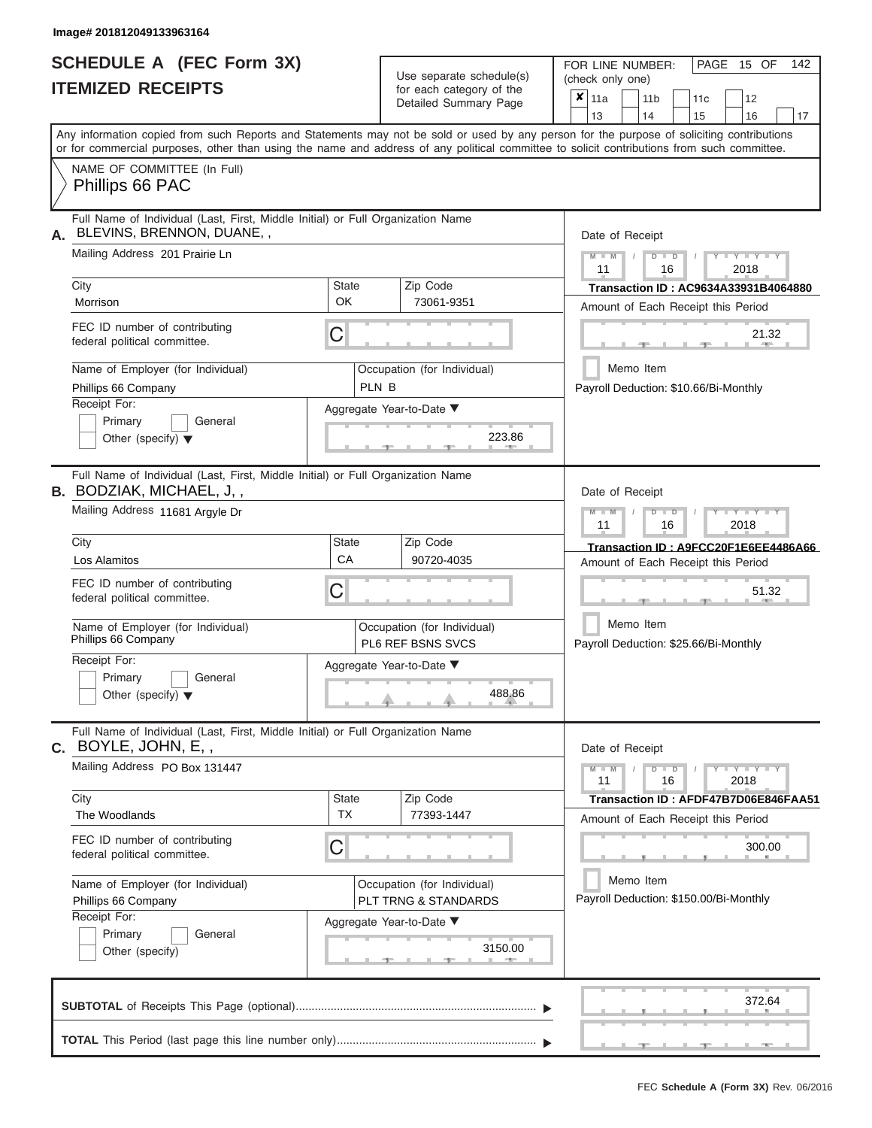# **SCHEDULE A (FEC Form 3X)**

| SCHEDULE A (FEC Form 3X)<br><b>ITEMIZED RECEIPTS</b>                                                                                                                                                                                                                                                                                                                                     |                                         | Use separate schedule(s)<br>for each category of the<br>Detailed Summary Page                                           | 142<br>FOR LINE NUMBER:<br>PAGE 15 OF<br>(check only one)<br>$\overline{\mathbf{x}}$   11a<br>11 <sub>b</sub><br>12<br>11 <sub>c</sub>                                                                                                      |
|------------------------------------------------------------------------------------------------------------------------------------------------------------------------------------------------------------------------------------------------------------------------------------------------------------------------------------------------------------------------------------------|-----------------------------------------|-------------------------------------------------------------------------------------------------------------------------|---------------------------------------------------------------------------------------------------------------------------------------------------------------------------------------------------------------------------------------------|
| Any information copied from such Reports and Statements may not be sold or used by any person for the purpose of soliciting contributions<br>or for commercial purposes, other than using the name and address of any political committee to solicit contributions from such committee.                                                                                                  |                                         |                                                                                                                         | 13<br>14<br>15<br>16<br>17                                                                                                                                                                                                                  |
| NAME OF COMMITTEE (In Full)<br>Phillips 66 PAC                                                                                                                                                                                                                                                                                                                                           |                                         |                                                                                                                         |                                                                                                                                                                                                                                             |
| Full Name of Individual (Last, First, Middle Initial) or Full Organization Name<br>BLEVINS, BRENNON, DUANE,,<br>А.<br>Mailing Address 201 Prairie Ln<br>City<br>Morrison<br>FEC ID number of contributing<br>federal political committee.<br>Name of Employer (for Individual)<br>Phillips 66 Company<br>Receipt For:<br>Primary<br>General<br>Other (specify) $\blacktriangledown$      | <b>State</b><br><b>OK</b><br>C<br>PLN B | Zip Code<br>73061-9351<br>Occupation (for Individual)<br>Aggregate Year-to-Date ▼<br>223.86                             | Date of Receipt<br>$M$ – $M$ /<br>$+Y+Y+Y$<br>$D$ $D$<br>11<br>2018<br>16<br>Transaction ID: AC9634A33931B4064880<br>Amount of Each Receipt this Period<br>21.32<br><b>STATISTICS</b><br>Memo Item<br>Payroll Deduction: \$10.66/Bi-Monthly |
| Full Name of Individual (Last, First, Middle Initial) or Full Organization Name<br><b>B.</b> BODZIAK, MICHAEL, J,,<br>Mailing Address 11681 Argyle Dr<br>City<br>Los Alamitos<br>FEC ID number of contributing<br>federal political committee.<br>Name of Employer (for Individual)<br>Phillips 66 Company<br>Receipt For:<br>Primary<br>General<br>Other (specify) $\blacktriangledown$ | <b>State</b><br>CA<br>С                 | Zip Code<br>90720-4035<br>Occupation (for Individual)<br><b>PL6 REF BSNS SVCS</b><br>Aggregate Year-to-Date ▼<br>488.86 | Date of Receipt<br>$M - M$<br>$D$ $\Box$ $D$<br>$T - Y = Y - T Y$<br>11<br>2018<br>16<br>Transaction ID: A9FCC20F1E6EE4486A66<br>Amount of Each Receipt this Period<br>51.32<br>Memo Item<br>Payroll Deduction: \$25.66/Bi-Monthly          |
| Full Name of Individual (Last, First, Middle Initial) or Full Organization Name<br>C. BOYLE, JOHN, E,,<br>Mailing Address PO Box 131447<br>City<br>The Woodlands<br>FEC ID number of contributing<br>federal political committee.<br>Name of Employer (for Individual)<br>Phillips 66 Company<br>Receipt For:<br>Primary<br>General<br>Other (specify)                                   | <b>State</b><br><b>TX</b><br>С          | Zip Code<br>77393-1447<br>Occupation (for Individual)<br>PLT TRNG & STANDARDS<br>Aggregate Year-to-Date ▼<br>3150.00    | Date of Receipt<br>$M - M$<br>$D$ $D$<br>$Y - Y - Y - Y - Y$<br>11<br>16<br>2018<br>Transaction ID: AFDF47B7D06E846FAA51<br>Amount of Each Receipt this Period<br>300.00<br>Memo Item<br>Payroll Deduction: \$150.00/Bi-Monthly             |
|                                                                                                                                                                                                                                                                                                                                                                                          |                                         |                                                                                                                         | 372.64<br>- 7 - 1<br>$-1$<br>$-1$                                                                                                                                                                                                           |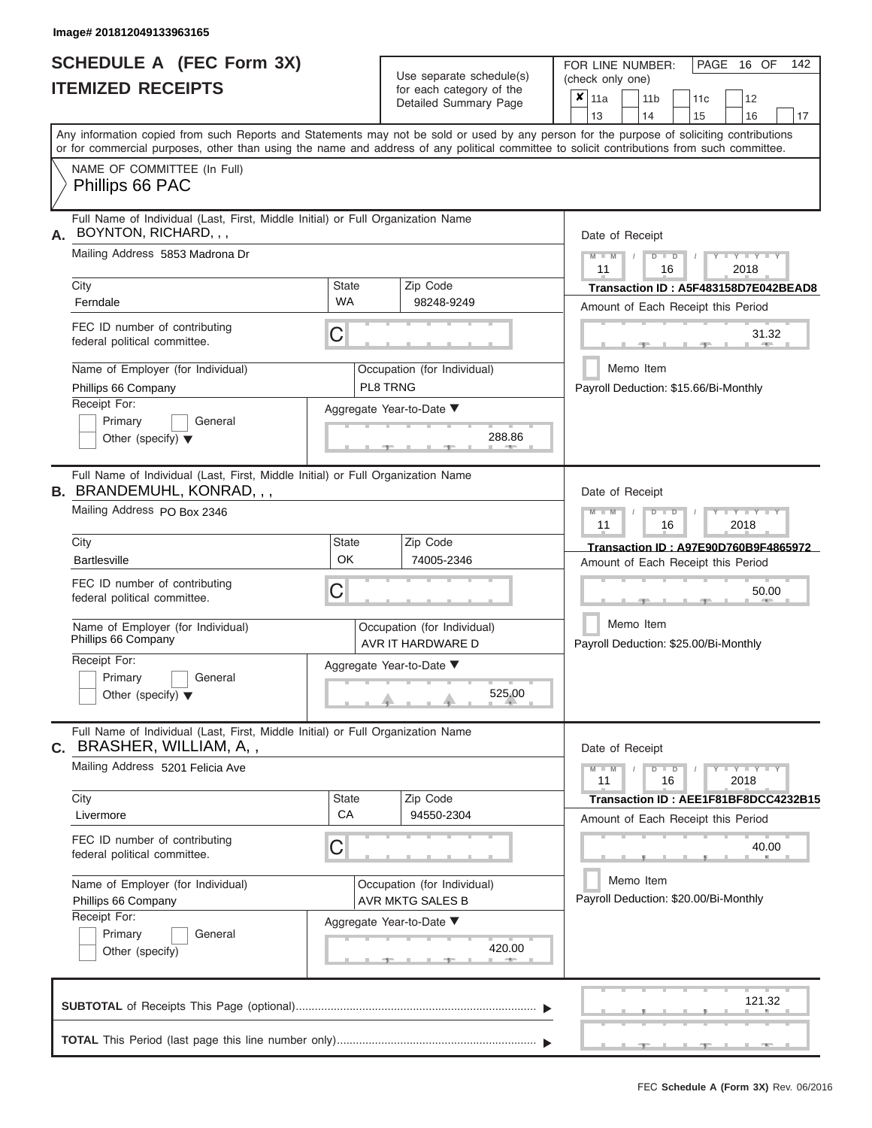| <b>SCHEDULE A (FEC Form 3X)</b> |  |  |
|---------------------------------|--|--|
| <b>ITEMIZED RECEIPTS</b>        |  |  |

Use separate schedule(s)<br>for each category of the

FOR LINE NUMBER:<br>(check only one)

PAGE 16 OF 142

|                                                                                                                                                                                                                                                                                         |                                                       | $\alpha$<br>Detailed Summary Page       |                                       | $x \mid$ 11a                                       |           | 11 <sub>b</sub> |               | 11 <sub>c</sub> | 12                                       |        |
|-----------------------------------------------------------------------------------------------------------------------------------------------------------------------------------------------------------------------------------------------------------------------------------------|-------------------------------------------------------|-----------------------------------------|---------------------------------------|----------------------------------------------------|-----------|-----------------|---------------|-----------------|------------------------------------------|--------|
|                                                                                                                                                                                                                                                                                         |                                                       |                                         |                                       | 13                                                 |           | 14              |               | 15              | 16                                       | 17     |
| Any information copied from such Reports and Statements may not be sold or used by any person for the purpose of soliciting contributions<br>or for commercial purposes, other than using the name and address of any political committee to solicit contributions from such committee. |                                                       |                                         |                                       |                                                    |           |                 |               |                 |                                          |        |
| NAME OF COMMITTEE (In Full)                                                                                                                                                                                                                                                             |                                                       |                                         |                                       |                                                    |           |                 |               |                 |                                          |        |
| Phillips 66 PAC                                                                                                                                                                                                                                                                         |                                                       |                                         |                                       |                                                    |           |                 |               |                 |                                          |        |
| Full Name of Individual (Last, First, Middle Initial) or Full Organization Name<br>BOYNTON, RICHARD, , ,                                                                                                                                                                                |                                                       |                                         |                                       | Date of Receipt                                    |           |                 |               |                 |                                          |        |
| Mailing Address 5853 Madrona Dr                                                                                                                                                                                                                                                         |                                                       |                                         |                                       | $M - M$<br>11                                      |           |                 | $D$ $D$<br>16 |                 | $Y - Y - Y$<br>2018                      |        |
| City                                                                                                                                                                                                                                                                                    | <b>State</b>                                          | Zip Code                                |                                       |                                                    |           |                 |               |                 | Transaction ID: A5F483158D7E042BEAD8     |        |
| Ferndale                                                                                                                                                                                                                                                                                | <b>WA</b>                                             | 98248-9249                              |                                       |                                                    |           |                 |               |                 | Amount of Each Receipt this Period       |        |
| FEC ID number of contributing<br>federal political committee.                                                                                                                                                                                                                           | С                                                     |                                         |                                       |                                                    |           |                 |               |                 |                                          | 31.32  |
| Name of Employer (for Individual)<br>Phillips 66 Company                                                                                                                                                                                                                                |                                                       | Occupation (for Individual)<br>PL8 TRNG |                                       |                                                    | Memo Item |                 |               |                 | Payroll Deduction: \$15.66/Bi-Monthly    |        |
| Receipt For:                                                                                                                                                                                                                                                                            |                                                       | Aggregate Year-to-Date ▼                |                                       |                                                    |           |                 |               |                 |                                          |        |
| Primary<br>General                                                                                                                                                                                                                                                                      |                                                       |                                         |                                       |                                                    |           |                 |               |                 |                                          |        |
| Other (specify) $\blacktriangledown$                                                                                                                                                                                                                                                    |                                                       | 288.86                                  |                                       |                                                    |           |                 |               |                 |                                          |        |
| Full Name of Individual (Last, First, Middle Initial) or Full Organization Name<br><b>B. BRANDEMUHL, KONRAD,,,</b>                                                                                                                                                                      |                                                       |                                         |                                       | Date of Receipt                                    |           |                 |               |                 |                                          |        |
| Mailing Address PO Box 2346                                                                                                                                                                                                                                                             |                                                       |                                         |                                       | $M - M$<br>11                                      |           |                 | $D$ $D$<br>16 |                 | Y TYT<br>2018                            |        |
| City                                                                                                                                                                                                                                                                                    | State                                                 | Zip Code                                |                                       |                                                    |           |                 |               |                 | Transaction ID: A97E90D760B9F4865972     |        |
| <b>Bartlesville</b>                                                                                                                                                                                                                                                                     | OK                                                    | 74005-2346                              |                                       | Amount of Each Receipt this Period                 |           |                 |               |                 |                                          |        |
| FEC ID number of contributing<br>federal political committee.                                                                                                                                                                                                                           | С<br>Occupation (for Individual)<br>AVR IT HARDWARE D |                                         |                                       | 50.00                                              |           |                 |               |                 |                                          |        |
| Name of Employer (for Individual)<br>Phillips 66 Company                                                                                                                                                                                                                                |                                                       |                                         |                                       | Memo Item<br>Payroll Deduction: \$25.00/Bi-Monthly |           |                 |               |                 |                                          |        |
| Receipt For:                                                                                                                                                                                                                                                                            |                                                       | Aggregate Year-to-Date ▼                |                                       |                                                    |           |                 |               |                 |                                          |        |
| Primary<br>General                                                                                                                                                                                                                                                                      |                                                       |                                         |                                       |                                                    |           |                 |               |                 |                                          |        |
| Other (specify) $\blacktriangledown$                                                                                                                                                                                                                                                    |                                                       | 525.00                                  |                                       |                                                    |           |                 |               |                 |                                          |        |
| Full Name of Individual (Last, First, Middle Initial) or Full Organization Name<br>C. BRASHER, WILLIAM, A,,                                                                                                                                                                             |                                                       |                                         |                                       | Date of Receipt                                    |           |                 |               |                 |                                          |        |
| Mailing Address 5201 Felicia Ave                                                                                                                                                                                                                                                        |                                                       |                                         |                                       | $M - M$<br>11                                      |           |                 | $D$ $D$<br>16 |                 | $\overline{Y} = Y - Y' + Y' + Y$<br>2018 |        |
| City                                                                                                                                                                                                                                                                                    | State                                                 | Zip Code                                |                                       |                                                    |           |                 |               |                 | Transaction ID: AEE1F81BF8DCC4232B15     |        |
| Livermore                                                                                                                                                                                                                                                                               | CA                                                    | 94550-2304                              |                                       |                                                    |           |                 |               |                 | Amount of Each Receipt this Period       |        |
| FEC ID number of contributing<br>federal political committee.                                                                                                                                                                                                                           | С                                                     |                                         |                                       |                                                    |           |                 |               |                 |                                          | 40.00  |
| Name of Employer (for Individual)                                                                                                                                                                                                                                                       |                                                       | Occupation (for Individual)             | Memo Item                             |                                                    |           |                 |               |                 |                                          |        |
| Phillips 66 Company                                                                                                                                                                                                                                                                     |                                                       | AVR MKTG SALES B                        | Payroll Deduction: \$20.00/Bi-Monthly |                                                    |           |                 |               |                 |                                          |        |
| Receipt For:                                                                                                                                                                                                                                                                            |                                                       | Aggregate Year-to-Date ▼                |                                       |                                                    |           |                 |               |                 |                                          |        |
| Primary<br>General                                                                                                                                                                                                                                                                      |                                                       |                                         |                                       |                                                    |           |                 |               |                 |                                          |        |
| Other (specify)                                                                                                                                                                                                                                                                         |                                                       | 420.00                                  |                                       |                                                    |           |                 |               |                 |                                          |        |
|                                                                                                                                                                                                                                                                                         |                                                       |                                         |                                       |                                                    |           |                 |               |                 |                                          | 121.32 |
|                                                                                                                                                                                                                                                                                         |                                                       |                                         |                                       |                                                    |           |                 |               |                 |                                          |        |
|                                                                                                                                                                                                                                                                                         |                                                       |                                         |                                       |                                                    |           |                 |               |                 |                                          |        |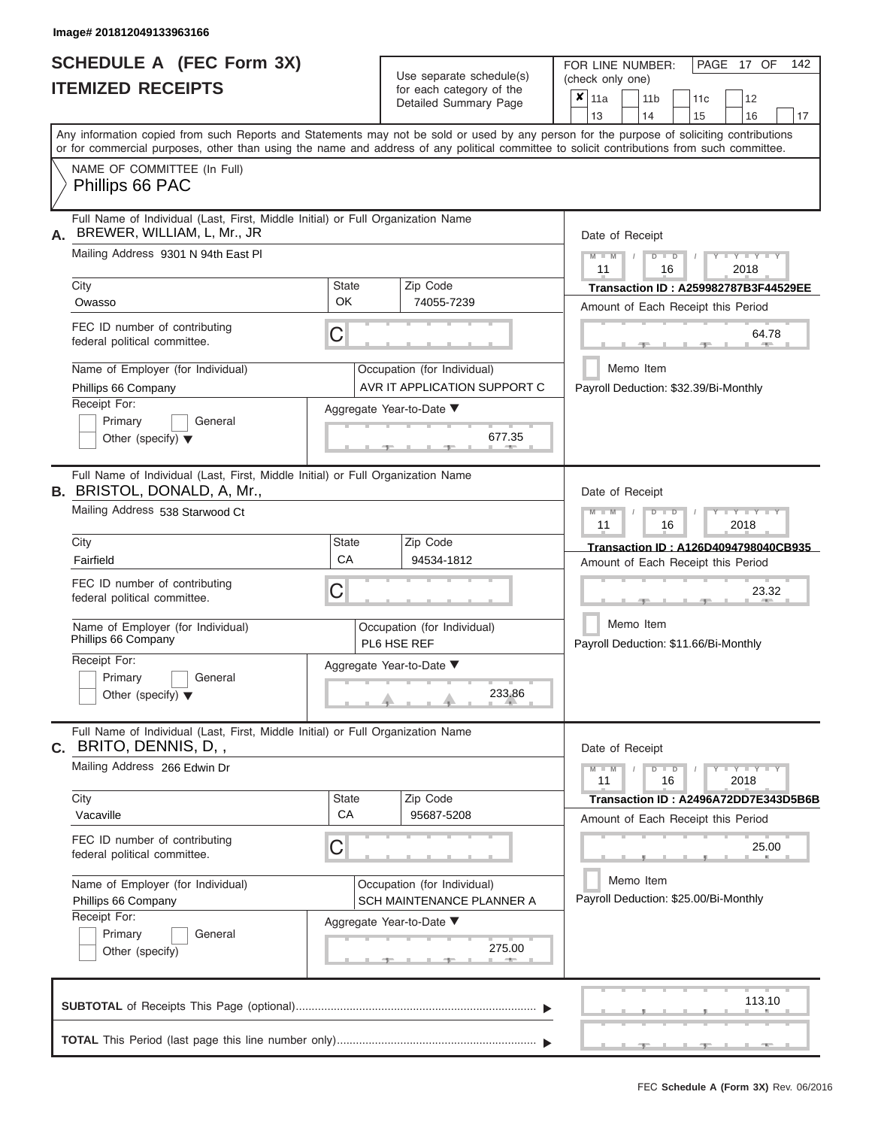# **SCHEDULE A (FEC Form 3X)**

| SCHEDULE A (FEC Form 3X)<br><b>ITEMIZED RECEIPTS</b>                                                                                                                                                                                                                                                                                                                                     |                                | Use separate schedule(s)<br>for each category of the<br>Detailed Summary Page                                               | 142<br>FOR LINE NUMBER:<br>PAGE 17 OF<br>(check only one)<br>$\overline{\mathbf{x}}$   11a<br>11 <sub>b</sub><br>12<br>11 <sub>c</sub>                                                                                                  |
|------------------------------------------------------------------------------------------------------------------------------------------------------------------------------------------------------------------------------------------------------------------------------------------------------------------------------------------------------------------------------------------|--------------------------------|-----------------------------------------------------------------------------------------------------------------------------|-----------------------------------------------------------------------------------------------------------------------------------------------------------------------------------------------------------------------------------------|
| Any information copied from such Reports and Statements may not be sold or used by any person for the purpose of soliciting contributions<br>or for commercial purposes, other than using the name and address of any political committee to solicit contributions from such committee.<br>NAME OF COMMITTEE (In Full)                                                                   |                                |                                                                                                                             | 13<br>14<br>15<br>16<br>17                                                                                                                                                                                                              |
| Phillips 66 PAC                                                                                                                                                                                                                                                                                                                                                                          |                                |                                                                                                                             |                                                                                                                                                                                                                                         |
| Full Name of Individual (Last, First, Middle Initial) or Full Organization Name<br>BREWER, WILLIAM, L, Mr., JR<br>А.<br>Mailing Address 9301 N 94th East PI<br>City<br>Owasso<br>FEC ID number of contributing<br>federal political committee.<br>Name of Employer (for Individual)<br>Phillips 66 Company<br>Receipt For:<br>Primary<br>General<br>Other (specify) $\blacktriangledown$ | <b>State</b><br><b>OK</b><br>С | Zip Code<br>74055-7239<br>Occupation (for Individual)<br>AVR IT APPLICATION SUPPORT C<br>Aggregate Year-to-Date ▼<br>677.35 | Date of Receipt<br>$M$ – $M$ /<br>$+Y+Y+Y$<br>$D$ $D$<br>11<br>2018<br>16<br>Transaction ID: A259982787B3F44529EE<br>Amount of Each Receipt this Period<br>64.78<br><b>AND IN</b><br>Memo Item<br>Payroll Deduction: \$32.39/Bi-Monthly |
| Full Name of Individual (Last, First, Middle Initial) or Full Organization Name<br><b>B.</b> BRISTOL, DONALD, A, Mr.,<br>Mailing Address 538 Starwood Ct<br>City<br>Fairfield<br>FEC ID number of contributing<br>federal political committee.<br>Name of Employer (for Individual)<br>Phillips 66 Company<br>Receipt For:<br>Primary<br>General<br>Other (specify) $\blacktriangledown$ | <b>State</b><br>CA<br>С        | Zip Code<br>94534-1812<br>Occupation (for Individual)<br>PL6 HSE REF<br>Aggregate Year-to-Date ▼<br>233.86                  | Date of Receipt<br>$M - M$<br>$D$ $\Box$ $D$<br>$T - Y = Y - T Y$<br>11<br>2018<br>16<br>Transaction ID: A126D4094798040CB935<br>Amount of Each Receipt this Period<br>23.32<br>Memo Item<br>Payroll Deduction: \$11.66/Bi-Monthly      |
| Full Name of Individual (Last, First, Middle Initial) or Full Organization Name<br>C. BRITO, DENNIS, D,,<br>Mailing Address 266 Edwin Dr<br>City<br>Vacaville<br>FEC ID number of contributing<br>federal political committee.<br>Name of Employer (for Individual)<br>Phillips 66 Company<br>Receipt For:<br>Primary<br>General<br>Other (specify)                                      | <b>State</b><br><b>CA</b><br>С | Zip Code<br>95687-5208<br>Occupation (for Individual)<br>SCH MAINTENANCE PLANNER A<br>Aggregate Year-to-Date ▼<br>275.00    | Date of Receipt<br>$M - M$<br>$D$ $D$<br>$Y - Y - Y - Y - Y$<br>11<br>16<br>2018<br>Transaction ID: A2496A72DD7E343D5B6B<br>Amount of Each Receipt this Period<br>25.00<br>Memo Item<br>Payroll Deduction: \$25.00/Bi-Monthly           |
|                                                                                                                                                                                                                                                                                                                                                                                          |                                |                                                                                                                             | 113.10<br><b>STEP</b>                                                                                                                                                                                                                   |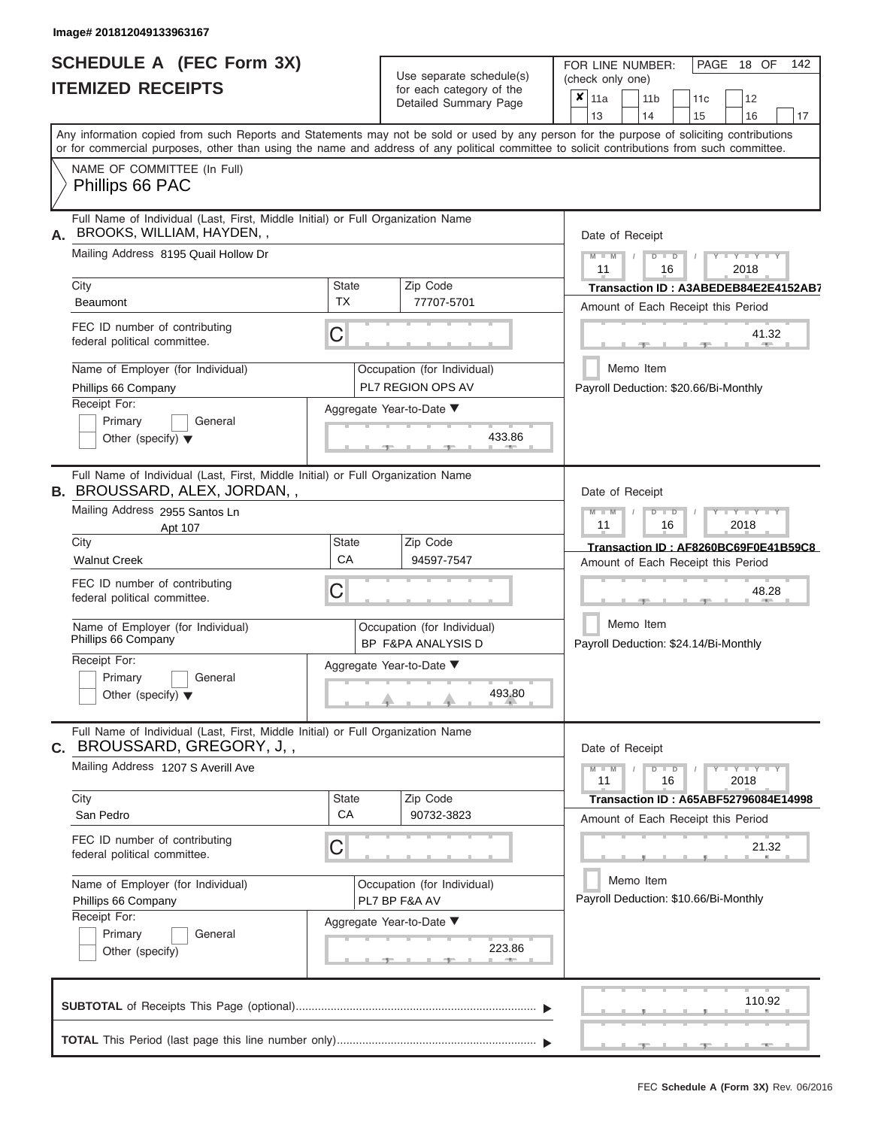|                          | SCHEDULE A (FEC Form 3X) |
|--------------------------|--------------------------|
| <b>ITEMIZED RECEIPTS</b> |                          |

Use separate schedule(s)<br>for each category of the

FOR LINE NUMBER:<br>(check only one)

PAGE 18 OF 142

|    |                                                                                                                                                                                                                                                                                         |              | Detailed Summary Page                             |                                                    |                 |  | 11 <sub>b</sub> |               | 11 <sub>c</sub> | 12                                    |        |
|----|-----------------------------------------------------------------------------------------------------------------------------------------------------------------------------------------------------------------------------------------------------------------------------------------|--------------|---------------------------------------------------|----------------------------------------------------|-----------------|--|-----------------|---------------|-----------------|---------------------------------------|--------|
|    |                                                                                                                                                                                                                                                                                         |              |                                                   |                                                    | 13              |  | 14              |               | 15              | 16                                    | 17     |
|    | Any information copied from such Reports and Statements may not be sold or used by any person for the purpose of soliciting contributions<br>or for commercial purposes, other than using the name and address of any political committee to solicit contributions from such committee. |              |                                                   |                                                    |                 |  |                 |               |                 |                                       |        |
|    | NAME OF COMMITTEE (In Full)<br>Phillips 66 PAC                                                                                                                                                                                                                                          |              |                                                   |                                                    |                 |  |                 |               |                 |                                       |        |
|    | Full Name of Individual (Last, First, Middle Initial) or Full Organization Name<br>BROOKS, WILLIAM, HAYDEN,,                                                                                                                                                                            |              |                                                   |                                                    | Date of Receipt |  |                 |               |                 |                                       |        |
|    | Mailing Address 8195 Quail Hollow Dr                                                                                                                                                                                                                                                    |              |                                                   |                                                    | $M = M$ /<br>11 |  |                 | $D$ $D$<br>16 |                 | $Y - Y - Y$<br>2018                   |        |
|    | City                                                                                                                                                                                                                                                                                    | <b>State</b> | Zip Code                                          |                                                    |                 |  |                 |               |                 | Transaction ID: A3ABEDEB84E2E4152AB7  |        |
|    | <b>Beaumont</b>                                                                                                                                                                                                                                                                         | <b>TX</b>    | 77707-5701                                        |                                                    |                 |  |                 |               |                 | Amount of Each Receipt this Period    |        |
|    | FEC ID number of contributing<br>federal political committee.                                                                                                                                                                                                                           | C            |                                                   |                                                    |                 |  |                 |               | $-9 -$          | 41.32<br>$1 - 400$                    |        |
|    | Name of Employer (for Individual)                                                                                                                                                                                                                                                       |              | Occupation (for Individual)                       |                                                    |                 |  | Memo Item       |               |                 |                                       |        |
|    | Phillips 66 Company                                                                                                                                                                                                                                                                     |              | PL7 REGION OPS AV                                 |                                                    |                 |  |                 |               |                 | Payroll Deduction: \$20.66/Bi-Monthly |        |
|    | Receipt For:                                                                                                                                                                                                                                                                            |              | Aggregate Year-to-Date ▼                          |                                                    |                 |  |                 |               |                 |                                       |        |
|    | Primary<br>General                                                                                                                                                                                                                                                                      |              |                                                   |                                                    |                 |  |                 |               |                 |                                       |        |
|    | Other (specify) $\blacktriangledown$                                                                                                                                                                                                                                                    |              | 433.86<br>$-1$                                    |                                                    |                 |  |                 |               |                 |                                       |        |
|    | Full Name of Individual (Last, First, Middle Initial) or Full Organization Name<br>B. BROUSSARD, ALEX, JORDAN,,                                                                                                                                                                         |              |                                                   |                                                    | Date of Receipt |  |                 |               |                 |                                       |        |
|    | Mailing Address 2955 Santos Ln<br>Apt 107                                                                                                                                                                                                                                               |              |                                                   |                                                    | $M - M$<br>11   |  |                 | $D$ $D$<br>16 |                 | Y TY<br>2018                          |        |
|    | City                                                                                                                                                                                                                                                                                    | <b>State</b> | Zip Code                                          |                                                    |                 |  |                 |               |                 | Transaction ID: AF8260BC69F0E41B59C8  |        |
|    | <b>Walnut Creek</b>                                                                                                                                                                                                                                                                     | CA           | 94597-7547                                        |                                                    |                 |  |                 |               |                 | Amount of Each Receipt this Period    |        |
|    | FEC ID number of contributing<br>federal political committee.                                                                                                                                                                                                                           | C            |                                                   |                                                    | 48.28<br>- 92   |  |                 |               |                 |                                       |        |
|    | Name of Employer (for Individual)<br>Phillips 66 Company                                                                                                                                                                                                                                |              | Occupation (for Individual)<br>BP F&PA ANALYSIS D | Memo Item<br>Payroll Deduction: \$24.14/Bi-Monthly |                 |  |                 |               |                 |                                       |        |
|    | Receipt For:                                                                                                                                                                                                                                                                            |              | Aggregate Year-to-Date ▼                          |                                                    |                 |  |                 |               |                 |                                       |        |
|    | Primary<br>General<br>Other (specify) $\blacktriangledown$                                                                                                                                                                                                                              |              | 493.80                                            |                                                    |                 |  |                 |               |                 |                                       |        |
| C. | Full Name of Individual (Last, First, Middle Initial) or Full Organization Name<br>BROUSSARD, GREGORY, J,,                                                                                                                                                                              |              |                                                   |                                                    | Date of Receipt |  |                 |               |                 |                                       |        |
|    | Mailing Address 1207 S Averill Ave                                                                                                                                                                                                                                                      |              |                                                   |                                                    | $M - M$<br>11   |  |                 | $D$ $D$<br>16 |                 | $Y - Y - Y - Y$<br>2018               |        |
|    | City                                                                                                                                                                                                                                                                                    | State        | Zip Code                                          |                                                    |                 |  |                 |               |                 | Transaction ID: A65ABF52796084E14998  |        |
|    | San Pedro                                                                                                                                                                                                                                                                               | CA           | 90732-3823                                        |                                                    |                 |  |                 |               |                 | Amount of Each Receipt this Period    |        |
|    | FEC ID number of contributing<br>federal political committee.                                                                                                                                                                                                                           | C            |                                                   |                                                    |                 |  |                 |               |                 | 21.32                                 |        |
|    | Name of Employer (for Individual)                                                                                                                                                                                                                                                       |              | Occupation (for Individual)                       |                                                    |                 |  | Memo Item       |               |                 |                                       |        |
|    | Phillips 66 Company                                                                                                                                                                                                                                                                     |              | PL7 BP F&A AV                                     |                                                    |                 |  |                 |               |                 | Payroll Deduction: \$10.66/Bi-Monthly |        |
|    | Receipt For:                                                                                                                                                                                                                                                                            |              | Aggregate Year-to-Date ▼                          |                                                    |                 |  |                 |               |                 |                                       |        |
|    | Primary<br>General                                                                                                                                                                                                                                                                      |              |                                                   |                                                    |                 |  |                 |               |                 |                                       |        |
|    | Other (specify)                                                                                                                                                                                                                                                                         |              | 223.86                                            |                                                    |                 |  |                 |               |                 |                                       |        |
|    |                                                                                                                                                                                                                                                                                         |              |                                                   |                                                    |                 |  |                 |               |                 |                                       | 110.92 |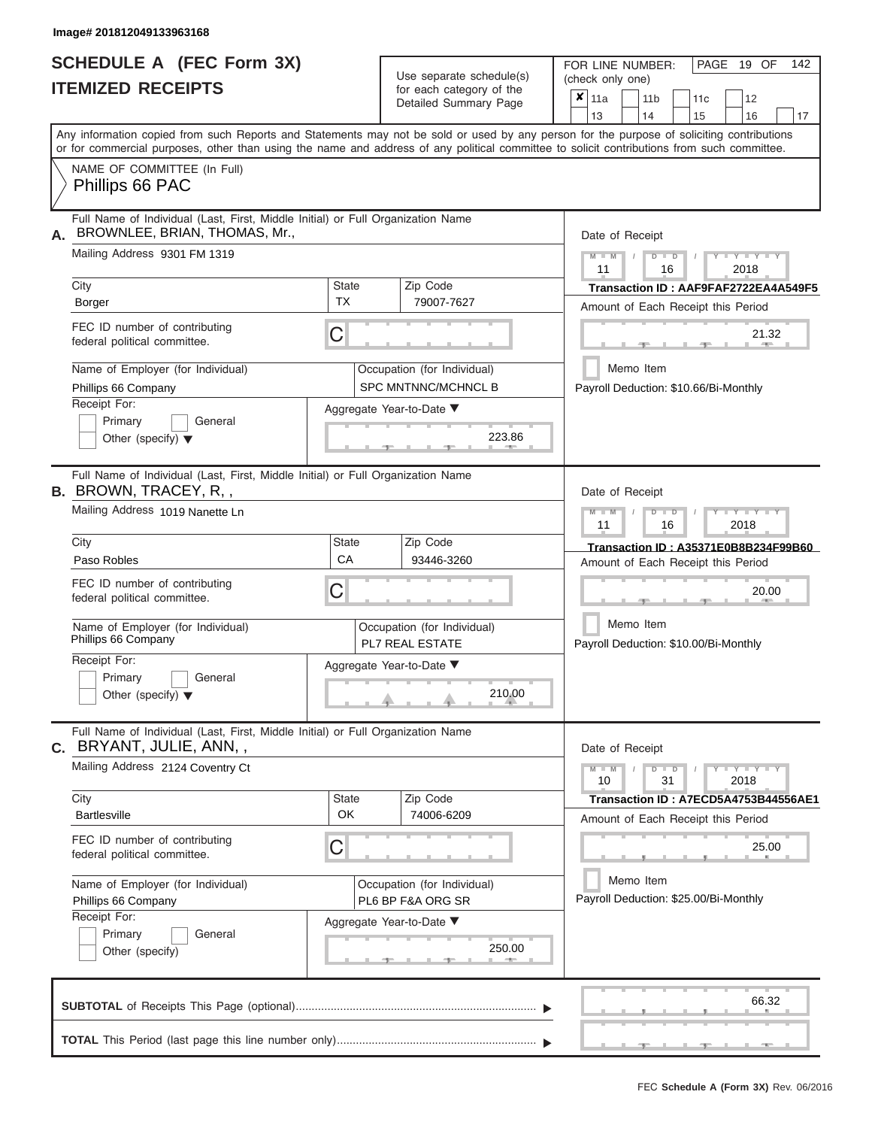## **SCHEDULE A (FEC Form 3X) ITEMIZED RECEIPTS**

FOR LINE NUMBER: PAGE 19 OF 142

| <b>ITEMIZED RECEIPTS</b>                                                                                               |                           | Use separate schedule(s)<br>for each category of the<br>Detailed Summary Page | (check only one)<br>$\boldsymbol{x}$   11a<br>12<br>11 <sub>b</sub><br>11 <sub>c</sub><br>13<br>14<br>15<br>16<br>17                                                                                                                                                                    |
|------------------------------------------------------------------------------------------------------------------------|---------------------------|-------------------------------------------------------------------------------|-----------------------------------------------------------------------------------------------------------------------------------------------------------------------------------------------------------------------------------------------------------------------------------------|
|                                                                                                                        |                           |                                                                               | Any information copied from such Reports and Statements may not be sold or used by any person for the purpose of soliciting contributions<br>or for commercial purposes, other than using the name and address of any political committee to solicit contributions from such committee. |
| NAME OF COMMITTEE (In Full)<br>Phillips 66 PAC                                                                         |                           |                                                                               |                                                                                                                                                                                                                                                                                         |
| Full Name of Individual (Last, First, Middle Initial) or Full Organization Name<br>BROWNLEE, BRIAN, THOMAS, Mr.,<br>А. |                           |                                                                               | Date of Receipt                                                                                                                                                                                                                                                                         |
| Mailing Address 9301 FM 1319                                                                                           |                           |                                                                               | $M - M$<br>$D$ $D$<br>$Y - Y - Y$<br>11<br>2018<br>16                                                                                                                                                                                                                                   |
| City<br>Borger                                                                                                         | <b>State</b><br><b>TX</b> | Zip Code<br>79007-7627                                                        | Transaction ID: AAF9FAF2722EA4A549F5<br>Amount of Each Receipt this Period                                                                                                                                                                                                              |
| FEC ID number of contributing<br>federal political committee.                                                          | С                         |                                                                               | 21.32                                                                                                                                                                                                                                                                                   |
| Name of Employer (for Individual)                                                                                      |                           | Occupation (for Individual)                                                   | Memo Item                                                                                                                                                                                                                                                                               |
| Phillips 66 Company<br>Receipt For:                                                                                    |                           | SPC MNTNNC/MCHNCL B                                                           | Payroll Deduction: \$10.66/Bi-Monthly                                                                                                                                                                                                                                                   |
| Primary<br>General                                                                                                     |                           | Aggregate Year-to-Date ▼                                                      |                                                                                                                                                                                                                                                                                         |
| Other (specify) $\blacktriangledown$                                                                                   |                           | 223.86                                                                        |                                                                                                                                                                                                                                                                                         |
| Full Name of Individual (Last, First, Middle Initial) or Full Organization Name<br><b>B.</b> BROWN, TRACEY, R,,        |                           |                                                                               | Date of Receipt                                                                                                                                                                                                                                                                         |
| Mailing Address 1019 Nanette Ln                                                                                        |                           |                                                                               | $M - M$<br>$D$ $\Box$ $D$<br>Y TYT<br>11<br>16<br>2018                                                                                                                                                                                                                                  |
| City                                                                                                                   | <b>State</b>              | Zip Code                                                                      | Transaction ID: A35371E0B8B234F99B60                                                                                                                                                                                                                                                    |
| Paso Robles                                                                                                            | CA                        | 93446-3260                                                                    | Amount of Each Receipt this Period                                                                                                                                                                                                                                                      |
| FEC ID number of contributing<br>federal political committee.                                                          | С                         |                                                                               | 20.00                                                                                                                                                                                                                                                                                   |
| Name of Employer (for Individual)<br>Phillips 66 Company                                                               |                           | Occupation (for Individual)<br><b>PL7 REAL ESTATE</b>                         | Memo Item<br>Payroll Deduction: \$10.00/Bi-Monthly                                                                                                                                                                                                                                      |
| Receipt For:<br>Primary<br>General<br>Other (specify) $\blacktriangledown$                                             |                           | Aggregate Year-to-Date ▼<br>210.00                                            |                                                                                                                                                                                                                                                                                         |
| Full Name of Individual (Last, First, Middle Initial) or Full Organization Name<br>C. BRYANT, JULIE, ANN,,             |                           |                                                                               | Date of Receipt                                                                                                                                                                                                                                                                         |
| Mailing Address 2124 Coventry Ct                                                                                       |                           |                                                                               | $Y - Y - Y - Y - I - Y$<br>$M - M$<br>$D$ $D$<br>10<br>31<br>2018                                                                                                                                                                                                                       |
| City                                                                                                                   | <b>State</b><br>OK        | Zip Code                                                                      | Transaction ID: A7ECD5A4753B44556AE1                                                                                                                                                                                                                                                    |
| <b>Bartlesville</b>                                                                                                    |                           | 74006-6209                                                                    | Amount of Each Receipt this Period                                                                                                                                                                                                                                                      |
| FEC ID number of contributing<br>federal political committee.                                                          | С                         |                                                                               | 25.00                                                                                                                                                                                                                                                                                   |
| Name of Employer (for Individual)                                                                                      |                           | Occupation (for Individual)                                                   | Memo Item                                                                                                                                                                                                                                                                               |
| Phillips 66 Company<br>Receipt For:                                                                                    |                           | PL6 BP F&A ORG SR                                                             | Payroll Deduction: \$25.00/Bi-Monthly                                                                                                                                                                                                                                                   |
| Primary<br>General                                                                                                     |                           | Aggregate Year-to-Date ▼                                                      |                                                                                                                                                                                                                                                                                         |
| Other (specify)                                                                                                        |                           | 250.00                                                                        |                                                                                                                                                                                                                                                                                         |
|                                                                                                                        |                           |                                                                               | 66.32                                                                                                                                                                                                                                                                                   |
|                                                                                                                        |                           |                                                                               |                                                                                                                                                                                                                                                                                         |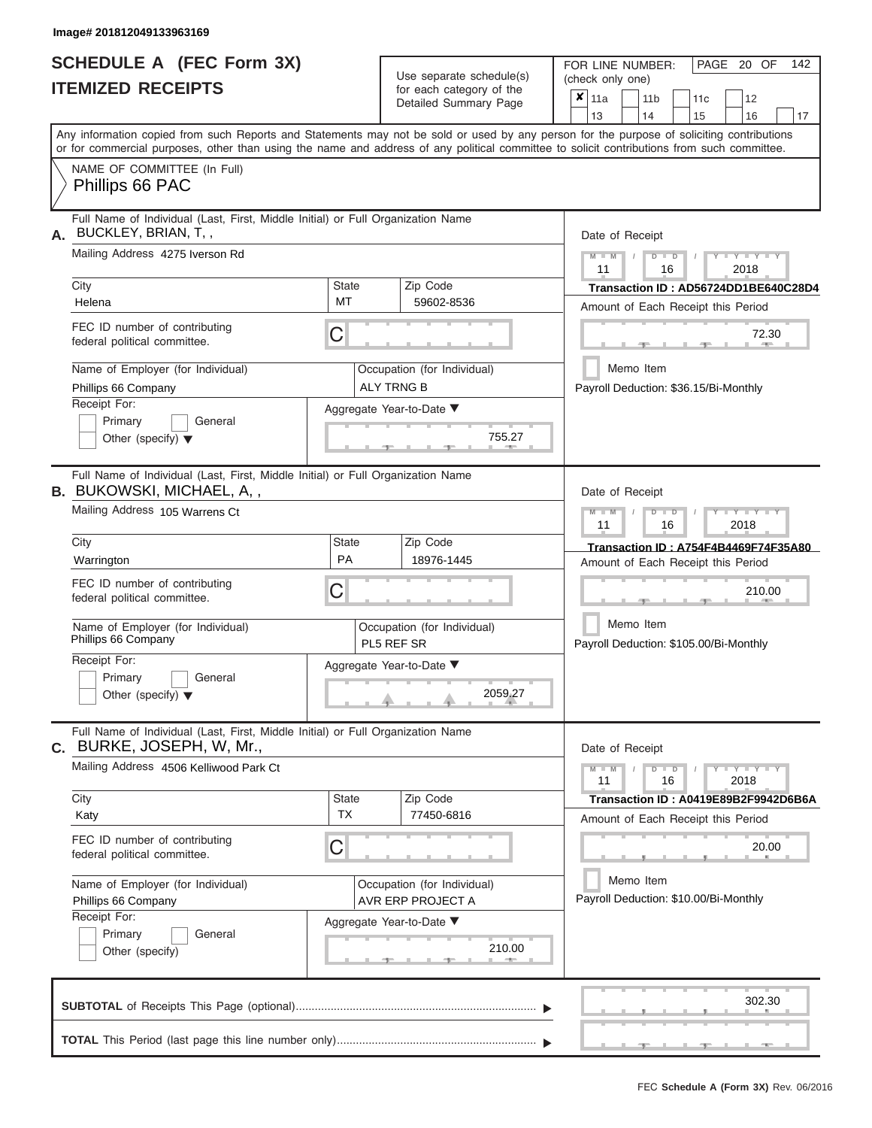ı

|                          | <b>SCHEDULE A (FEC Form 3X)</b> |  |
|--------------------------|---------------------------------|--|
| <b>ITEMIZED RECEIPTS</b> |                                 |  |

Use separate schedule(s)<br>for each category of the

FOR LINE NUMBER:<br>(check only one)

PAGE 20 OF 142

|                                                                                                                                                                                                                                                                                         |                           | $\alpha$<br>Detailed Summary Page                |                                                                            | $x \mid$ 11a    |           |    | 11 <sub>b</sub>                                     | 11 <sub>c</sub> | 12                                                                              |    |  |
|-----------------------------------------------------------------------------------------------------------------------------------------------------------------------------------------------------------------------------------------------------------------------------------------|---------------------------|--------------------------------------------------|----------------------------------------------------------------------------|-----------------|-----------|----|-----------------------------------------------------|-----------------|---------------------------------------------------------------------------------|----|--|
| Any information copied from such Reports and Statements may not be sold or used by any person for the purpose of soliciting contributions<br>or for commercial purposes, other than using the name and address of any political committee to solicit contributions from such committee. |                           |                                                  |                                                                            | 13              |           | 14 |                                                     | 15              | 16                                                                              | 17 |  |
| NAME OF COMMITTEE (In Full)<br>Phillips 66 PAC                                                                                                                                                                                                                                          |                           |                                                  |                                                                            |                 |           |    |                                                     |                 |                                                                                 |    |  |
| Full Name of Individual (Last, First, Middle Initial) or Full Organization Name<br>BUCKLEY, BRIAN, T,,<br>А.                                                                                                                                                                            |                           |                                                  |                                                                            | Date of Receipt |           |    |                                                     |                 |                                                                                 |    |  |
| Mailing Address 4275 Iverson Rd                                                                                                                                                                                                                                                         |                           |                                                  |                                                                            | $M - M$<br>11   |           |    | $D$ $D$<br>16                                       |                 | $Y - Y - Y$<br>2018                                                             |    |  |
| City<br>Helena                                                                                                                                                                                                                                                                          | <b>State</b><br>MT        | Zip Code<br>59602-8536                           |                                                                            |                 |           |    |                                                     |                 | Transaction ID: AD56724DD1BE640C28D4<br>Amount of Each Receipt this Period      |    |  |
| FEC ID number of contributing<br>federal political committee.                                                                                                                                                                                                                           | С                         |                                                  |                                                                            |                 |           |    |                                                     |                 | 72.30                                                                           |    |  |
| Name of Employer (for Individual)<br>Phillips 66 Company                                                                                                                                                                                                                                |                           | Occupation (for Individual)<br><b>ALY TRNG B</b> |                                                                            |                 | Memo Item |    |                                                     |                 | Payroll Deduction: \$36.15/Bi-Monthly                                           |    |  |
| Receipt For:<br>Primary<br>General<br>Other (specify) $\blacktriangledown$                                                                                                                                                                                                              |                           | Aggregate Year-to-Date ▼<br>755.27               |                                                                            |                 |           |    |                                                     |                 |                                                                                 |    |  |
| Full Name of Individual (Last, First, Middle Initial) or Full Organization Name<br><b>B.</b> BUKOWSKI, MICHAEL, A,,                                                                                                                                                                     |                           |                                                  |                                                                            | Date of Receipt |           |    |                                                     |                 |                                                                                 |    |  |
| Mailing Address 105 Warrens Ct                                                                                                                                                                                                                                                          |                           |                                                  |                                                                            | $M - M$<br>11   |           |    | $D$ $D$<br>16                                       |                 | Y TYT<br>2018                                                                   |    |  |
| City<br>Warrington                                                                                                                                                                                                                                                                      | State<br><b>PA</b>        | Zip Code<br>18976-1445                           | Transaction ID: A754F4B4469F74F35A80<br>Amount of Each Receipt this Period |                 |           |    |                                                     |                 |                                                                                 |    |  |
| FEC ID number of contributing<br>federal political committee.                                                                                                                                                                                                                           | С                         |                                                  |                                                                            | 210.00          |           |    |                                                     |                 |                                                                                 |    |  |
| Name of Employer (for Individual)<br>Phillips 66 Company                                                                                                                                                                                                                                |                           | Occupation (for Individual)<br>PL5 REF SR        |                                                                            |                 |           |    | Memo Item<br>Payroll Deduction: \$105.00/Bi-Monthly |                 |                                                                                 |    |  |
| Receipt For:<br>Primary<br>General<br>Other (specify) $\blacktriangledown$                                                                                                                                                                                                              |                           | Aggregate Year-to-Date ▼<br>2059.27              |                                                                            |                 |           |    |                                                     |                 |                                                                                 |    |  |
| Full Name of Individual (Last, First, Middle Initial) or Full Organization Name<br>C. BURKE, JOSEPH, W, Mr.,                                                                                                                                                                            |                           |                                                  |                                                                            | Date of Receipt |           |    |                                                     |                 |                                                                                 |    |  |
| Mailing Address 4506 Kelliwood Park Ct                                                                                                                                                                                                                                                  |                           |                                                  |                                                                            | $M - M$<br>11   |           |    | $D$ $D$<br>16                                       |                 | $\overline{Y} \perp \overline{Y} \perp \overline{Y} \perp \overline{Y}$<br>2018 |    |  |
| City<br>Katy                                                                                                                                                                                                                                                                            | <b>State</b><br><b>TX</b> | Zip Code<br>77450-6816                           |                                                                            |                 |           |    |                                                     |                 | Transaction ID: A0419E89B2F9942D6B6A<br>Amount of Each Receipt this Period      |    |  |
| FEC ID number of contributing<br>federal political committee.                                                                                                                                                                                                                           | С                         |                                                  |                                                                            |                 |           |    |                                                     |                 | 20.00                                                                           |    |  |
| Name of Employer (for Individual)<br>Phillips 66 Company                                                                                                                                                                                                                                |                           | Occupation (for Individual)<br>AVR ERP PROJECT A | Memo Item<br>Payroll Deduction: \$10.00/Bi-Monthly                         |                 |           |    |                                                     |                 |                                                                                 |    |  |
| Receipt For:<br>Primary<br>General<br>Other (specify)                                                                                                                                                                                                                                   |                           | Aggregate Year-to-Date ▼<br>210.00               |                                                                            |                 |           |    |                                                     |                 |                                                                                 |    |  |
|                                                                                                                                                                                                                                                                                         |                           |                                                  |                                                                            |                 |           |    |                                                     |                 | 302.30                                                                          |    |  |
|                                                                                                                                                                                                                                                                                         |                           |                                                  |                                                                            |                 |           |    |                                                     |                 |                                                                                 |    |  |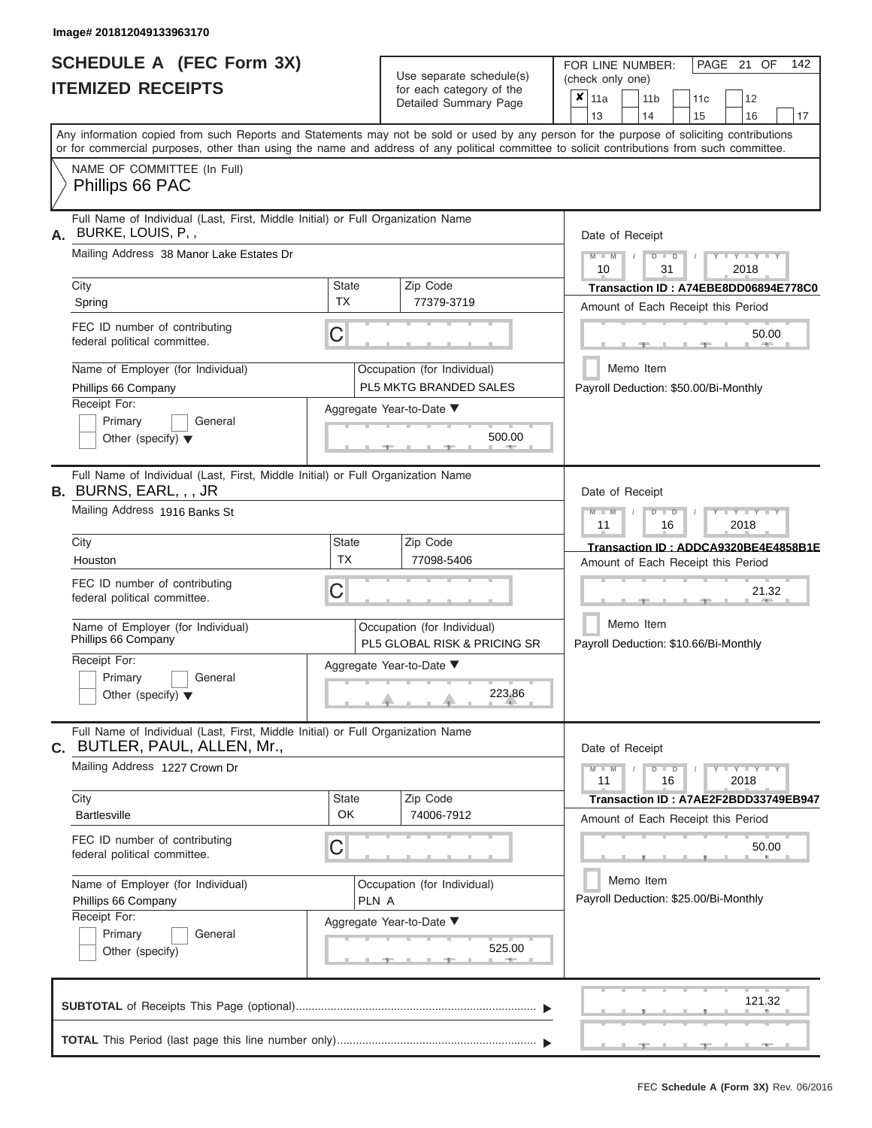ı

|                          | <b>SCHEDULE A (FEC Form 3X)</b> |  |
|--------------------------|---------------------------------|--|
| <b>ITEMIZED RECEIPTS</b> |                                 |  |

Use separate schedule(s)<br>for each category of the

FOR LINE NUMBER:

PAGE 21 OF 142

|                                                                                                                  |                    | Use separate schedule(s)                                               | (check only one)                                                                                                                                                                                                                                                                        |  |  |  |  |  |  |
|------------------------------------------------------------------------------------------------------------------|--------------------|------------------------------------------------------------------------|-----------------------------------------------------------------------------------------------------------------------------------------------------------------------------------------------------------------------------------------------------------------------------------------|--|--|--|--|--|--|
| <b>ITEMIZED RECEIPTS</b>                                                                                         |                    | for each category of the<br>Detailed Summary Page                      | $x _{11a}$<br>12<br>11 <sub>b</sub><br>11c<br>13<br>14<br>17<br>15<br>16                                                                                                                                                                                                                |  |  |  |  |  |  |
|                                                                                                                  |                    |                                                                        | Any information copied from such Reports and Statements may not be sold or used by any person for the purpose of soliciting contributions<br>or for commercial purposes, other than using the name and address of any political committee to solicit contributions from such committee. |  |  |  |  |  |  |
| NAME OF COMMITTEE (In Full)<br>Phillips 66 PAC                                                                   |                    |                                                                        |                                                                                                                                                                                                                                                                                         |  |  |  |  |  |  |
| Full Name of Individual (Last, First, Middle Initial) or Full Organization Name<br>BURKE, LOUIS, P.,<br>А.       |                    |                                                                        | Date of Receipt                                                                                                                                                                                                                                                                         |  |  |  |  |  |  |
| Mailing Address 38 Manor Lake Estates Dr                                                                         |                    |                                                                        | $Y = Y = Y$<br>$M - M$<br>$\Box$<br>D<br>10<br>31<br>2018                                                                                                                                                                                                                               |  |  |  |  |  |  |
| City<br>Spring                                                                                                   | State<br>ТX        | Zip Code<br>77379-3719                                                 | Transaction ID: A74EBE8DD06894E778C0<br>Amount of Each Receipt this Period                                                                                                                                                                                                              |  |  |  |  |  |  |
| FEC ID number of contributing<br>federal political committee.                                                    | C                  |                                                                        | 50.00                                                                                                                                                                                                                                                                                   |  |  |  |  |  |  |
| Name of Employer (for Individual)<br>Phillips 66 Company                                                         |                    | Occupation (for Individual)<br>PL5 MKTG BRANDED SALES                  | Memo Item<br>Payroll Deduction: \$50.00/Bi-Monthly                                                                                                                                                                                                                                      |  |  |  |  |  |  |
| Receipt For:<br>Primary<br>General<br>Other (specify) $\blacktriangledown$                                       |                    | Aggregate Year-to-Date ▼<br>500.00                                     |                                                                                                                                                                                                                                                                                         |  |  |  |  |  |  |
| Full Name of Individual (Last, First, Middle Initial) or Full Organization Name<br><b>B.</b> BURNS, EARL, , , JR |                    |                                                                        | Date of Receipt                                                                                                                                                                                                                                                                         |  |  |  |  |  |  |
| Mailing Address 1916 Banks St                                                                                    |                    |                                                                        | $-Y - Y - Y$<br>$\Box$<br>11<br>16<br>2018                                                                                                                                                                                                                                              |  |  |  |  |  |  |
| City<br>Houston                                                                                                  | State<br><b>TX</b> | Zip Code<br>77098-5406                                                 | Transaction ID: ADDCA9320BE4E4858B1E<br>Amount of Each Receipt this Period                                                                                                                                                                                                              |  |  |  |  |  |  |
| FEC ID number of contributing<br>federal political committee.                                                    | C                  |                                                                        | 21.32                                                                                                                                                                                                                                                                                   |  |  |  |  |  |  |
| Name of Employer (for Individual)<br>Phillips 66 Company                                                         |                    | Occupation (for Individual)<br><b>PL5 GLOBAL RISK &amp; PRICING SR</b> | Memo Item<br>Payroll Deduction: \$10.66/Bi-Monthly                                                                                                                                                                                                                                      |  |  |  |  |  |  |
| Receipt For:<br>Primary<br>General<br>Other (specify) $\blacktriangledown$                                       |                    | Aggregate Year-to-Date ▼<br>223.86                                     |                                                                                                                                                                                                                                                                                         |  |  |  |  |  |  |
| Full Name of Individual (Last, First, Middle Initial) or Full Organization Name<br>C. BUTLER, PAUL, ALLEN, Mr.,  |                    |                                                                        | Date of Receipt                                                                                                                                                                                                                                                                         |  |  |  |  |  |  |
| Mailing Address 1227 Crown Dr                                                                                    |                    |                                                                        | $Y = Y = Y$<br>$\Box$<br>11<br>16<br>2018                                                                                                                                                                                                                                               |  |  |  |  |  |  |
| City<br><b>Bartlesville</b>                                                                                      | State<br>OK        | Zip Code<br>74006-7912                                                 | Transaction ID: A7AE2F2BDD33749EB947<br>Amount of Each Receipt this Period                                                                                                                                                                                                              |  |  |  |  |  |  |
| FEC ID number of contributing<br>federal political committee.                                                    | С                  |                                                                        | 50.00                                                                                                                                                                                                                                                                                   |  |  |  |  |  |  |
| Name of Employer (for Individual)<br>Phillips 66 Company                                                         | PLN A              | Occupation (for Individual)                                            | Memo Item<br>Payroll Deduction: \$25.00/Bi-Monthly                                                                                                                                                                                                                                      |  |  |  |  |  |  |
| Receipt For:<br>Primary<br>General<br>Other (specify)                                                            |                    | Aggregate Year-to-Date ▼<br>525.00                                     |                                                                                                                                                                                                                                                                                         |  |  |  |  |  |  |
|                                                                                                                  |                    |                                                                        | 121.32                                                                                                                                                                                                                                                                                  |  |  |  |  |  |  |
|                                                                                                                  |                    |                                                                        |                                                                                                                                                                                                                                                                                         |  |  |  |  |  |  |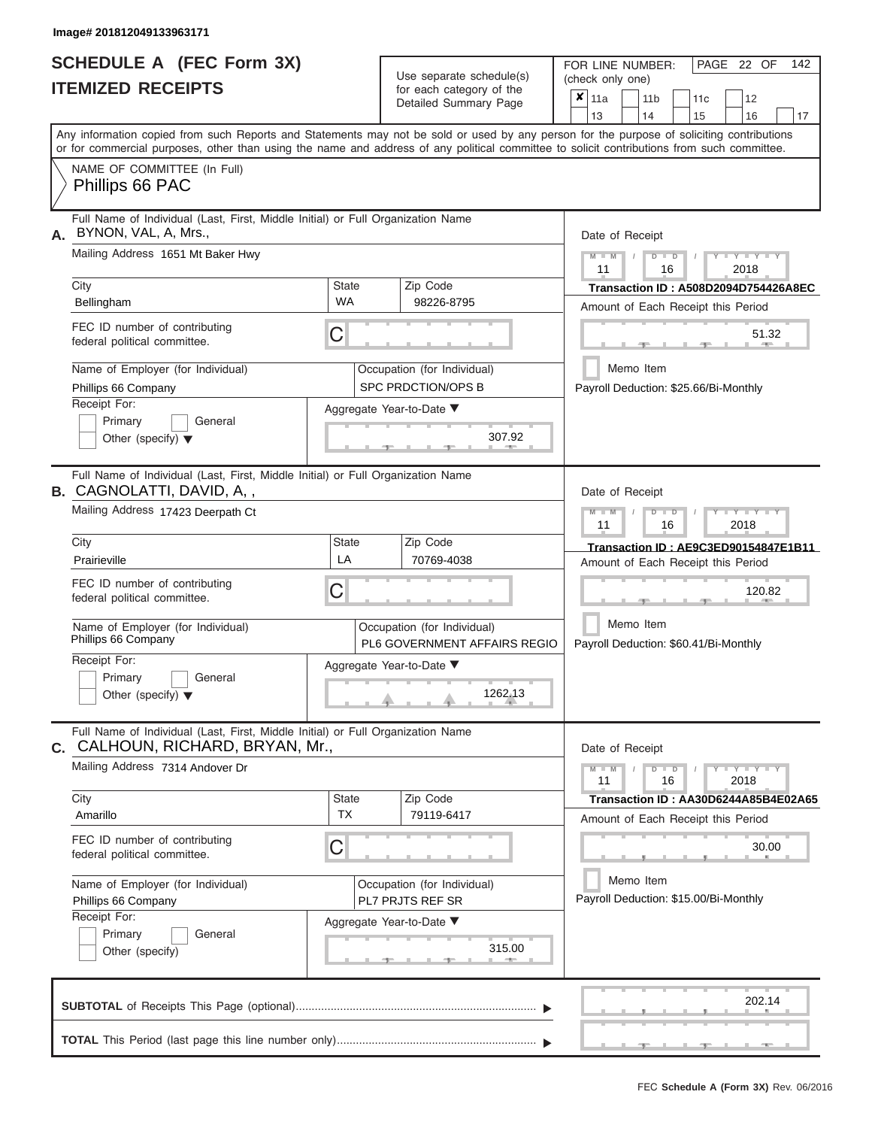| <b>SCHEDULE A (FEC Form 3X)</b> |  |  |
|---------------------------------|--|--|
| <b>ITEMIZED RECEIPTS</b>        |  |  |

Use separate schedule(s) (check only one)<br>for each category of the  $\begin{array}{|c|c|c|c|c|}\n\hline\n\text{Initial Summary goes} & & \text{with } & \text{with } & \text{with } & \text{with } & \text{with } & \text{with } & \text{with } & \text{with } & \text{with } & \text{with } & \text{with } & \text{with } & \text{with } & \text{with } & \text{with } & \text{with } & \text{with } & \text{with } & \text{with } & \text{with } & \text$ 

FOR LINE NUMBER:

PAGE 22 OF 142

|                                                                                                                     |                                                                                 | Detailed Summary Page                                       | $x_{\parallel 11a}$<br>12<br>11 <sub>b</sub><br>11c<br>13<br>14                                                                                             |  |  |  |  |  |  |  |  |  |  |
|---------------------------------------------------------------------------------------------------------------------|---------------------------------------------------------------------------------|-------------------------------------------------------------|-------------------------------------------------------------------------------------------------------------------------------------------------------------|--|--|--|--|--|--|--|--|--|--|
|                                                                                                                     |                                                                                 |                                                             | 15<br>16<br>17<br>Any information copied from such Reports and Statements may not be sold or used by any person for the purpose of soliciting contributions |  |  |  |  |  |  |  |  |  |  |
|                                                                                                                     |                                                                                 |                                                             | or for commercial purposes, other than using the name and address of any political committee to solicit contributions from such committee.                  |  |  |  |  |  |  |  |  |  |  |
| NAME OF COMMITTEE (In Full)<br>Phillips 66 PAC                                                                      |                                                                                 |                                                             |                                                                                                                                                             |  |  |  |  |  |  |  |  |  |  |
| BYNON, VAL, A, Mrs.,<br>А.                                                                                          | Full Name of Individual (Last, First, Middle Initial) or Full Organization Name |                                                             |                                                                                                                                                             |  |  |  |  |  |  |  |  |  |  |
| Mailing Address 1651 Mt Baker Hwy                                                                                   | $D$ $\Box$ $D$<br>$Y - Y - Y$<br>11<br>16<br>2018                               |                                                             |                                                                                                                                                             |  |  |  |  |  |  |  |  |  |  |
| City                                                                                                                | <b>State</b>                                                                    | Zip Code                                                    | <b>Transaction ID: A508D2094D754426A8EC</b>                                                                                                                 |  |  |  |  |  |  |  |  |  |  |
| Bellingham                                                                                                          | <b>WA</b>                                                                       | 98226-8795                                                  | Amount of Each Receipt this Period                                                                                                                          |  |  |  |  |  |  |  |  |  |  |
| FEC ID number of contributing<br>federal political committee.                                                       | С                                                                               |                                                             | 51.32<br><b>AND</b>                                                                                                                                         |  |  |  |  |  |  |  |  |  |  |
| Name of Employer (for Individual)                                                                                   |                                                                                 | Occupation (for Individual)                                 | Memo Item                                                                                                                                                   |  |  |  |  |  |  |  |  |  |  |
| Phillips 66 Company                                                                                                 |                                                                                 | SPC PRDCTION/OPS B                                          | Payroll Deduction: \$25.66/Bi-Monthly                                                                                                                       |  |  |  |  |  |  |  |  |  |  |
| Receipt For:                                                                                                        |                                                                                 | Aggregate Year-to-Date ▼                                    |                                                                                                                                                             |  |  |  |  |  |  |  |  |  |  |
| Primary<br>General<br>Other (specify) $\blacktriangledown$                                                          |                                                                                 | 307.92                                                      |                                                                                                                                                             |  |  |  |  |  |  |  |  |  |  |
| Full Name of Individual (Last, First, Middle Initial) or Full Organization Name<br><b>B.</b> CAGNOLATTI, DAVID, A,, |                                                                                 |                                                             | Date of Receipt                                                                                                                                             |  |  |  |  |  |  |  |  |  |  |
| Mailing Address 17423 Deerpath Ct                                                                                   |                                                                                 |                                                             | <b>LEYTHEY LEY</b><br>$D$ $D$<br>$M - M$<br>$\prime$<br>11<br>16<br>2018                                                                                    |  |  |  |  |  |  |  |  |  |  |
| City                                                                                                                | State                                                                           | Zip Code                                                    | Transaction ID: AE9C3ED90154847E1B11                                                                                                                        |  |  |  |  |  |  |  |  |  |  |
| Prairieville                                                                                                        | LA                                                                              | 70769-4038                                                  | Amount of Each Receipt this Period                                                                                                                          |  |  |  |  |  |  |  |  |  |  |
| FEC ID number of contributing<br>federal political committee.                                                       | C                                                                               |                                                             | 120.82                                                                                                                                                      |  |  |  |  |  |  |  |  |  |  |
| Name of Employer (for Individual)<br>Phillips 66 Company                                                            |                                                                                 | Occupation (for Individual)<br>PL6 GOVERNMENT AFFAIRS REGIO | Memo Item<br>Payroll Deduction: \$60.41/Bi-Monthly                                                                                                          |  |  |  |  |  |  |  |  |  |  |
| Receipt For:                                                                                                        |                                                                                 | Aggregate Year-to-Date ▼                                    |                                                                                                                                                             |  |  |  |  |  |  |  |  |  |  |
| Primary<br>General                                                                                                  |                                                                                 |                                                             |                                                                                                                                                             |  |  |  |  |  |  |  |  |  |  |
| Other (specify) $\blacktriangledown$                                                                                |                                                                                 | 1262.13                                                     |                                                                                                                                                             |  |  |  |  |  |  |  |  |  |  |
| Full Name of Individual (Last, First, Middle Initial) or Full Organization Name<br>C. CALHOUN, RICHARD, BRYAN, Mr., |                                                                                 |                                                             | Date of Receipt                                                                                                                                             |  |  |  |  |  |  |  |  |  |  |
| Mailing Address 7314 Andover Dr                                                                                     |                                                                                 |                                                             | $-Y - Y - Y - Y$<br>$M - M$<br>$D$ $D$<br>11<br>16<br>2018                                                                                                  |  |  |  |  |  |  |  |  |  |  |
| City                                                                                                                | <b>State</b>                                                                    | Zip Code                                                    | Transaction ID: AA30D6244A85B4E02A65                                                                                                                        |  |  |  |  |  |  |  |  |  |  |
| Amarillo                                                                                                            | <b>TX</b>                                                                       | 79119-6417                                                  | Amount of Each Receipt this Period                                                                                                                          |  |  |  |  |  |  |  |  |  |  |
| FEC ID number of contributing<br>federal political committee.                                                       | C                                                                               |                                                             | 30.00                                                                                                                                                       |  |  |  |  |  |  |  |  |  |  |
| Name of Employer (for Individual)                                                                                   |                                                                                 | Occupation (for Individual)                                 | Memo Item                                                                                                                                                   |  |  |  |  |  |  |  |  |  |  |
| Phillips 66 Company                                                                                                 |                                                                                 | PL7 PRJTS REF SR                                            | Payroll Deduction: \$15.00/Bi-Monthly                                                                                                                       |  |  |  |  |  |  |  |  |  |  |
| Receipt For:                                                                                                        |                                                                                 | Aggregate Year-to-Date ▼                                    |                                                                                                                                                             |  |  |  |  |  |  |  |  |  |  |
| Primary<br>General                                                                                                  |                                                                                 | 315.00                                                      |                                                                                                                                                             |  |  |  |  |  |  |  |  |  |  |
| Other (specify)                                                                                                     |                                                                                 |                                                             |                                                                                                                                                             |  |  |  |  |  |  |  |  |  |  |
|                                                                                                                     |                                                                                 |                                                             | 202.14                                                                                                                                                      |  |  |  |  |  |  |  |  |  |  |
|                                                                                                                     |                                                                                 |                                                             |                                                                                                                                                             |  |  |  |  |  |  |  |  |  |  |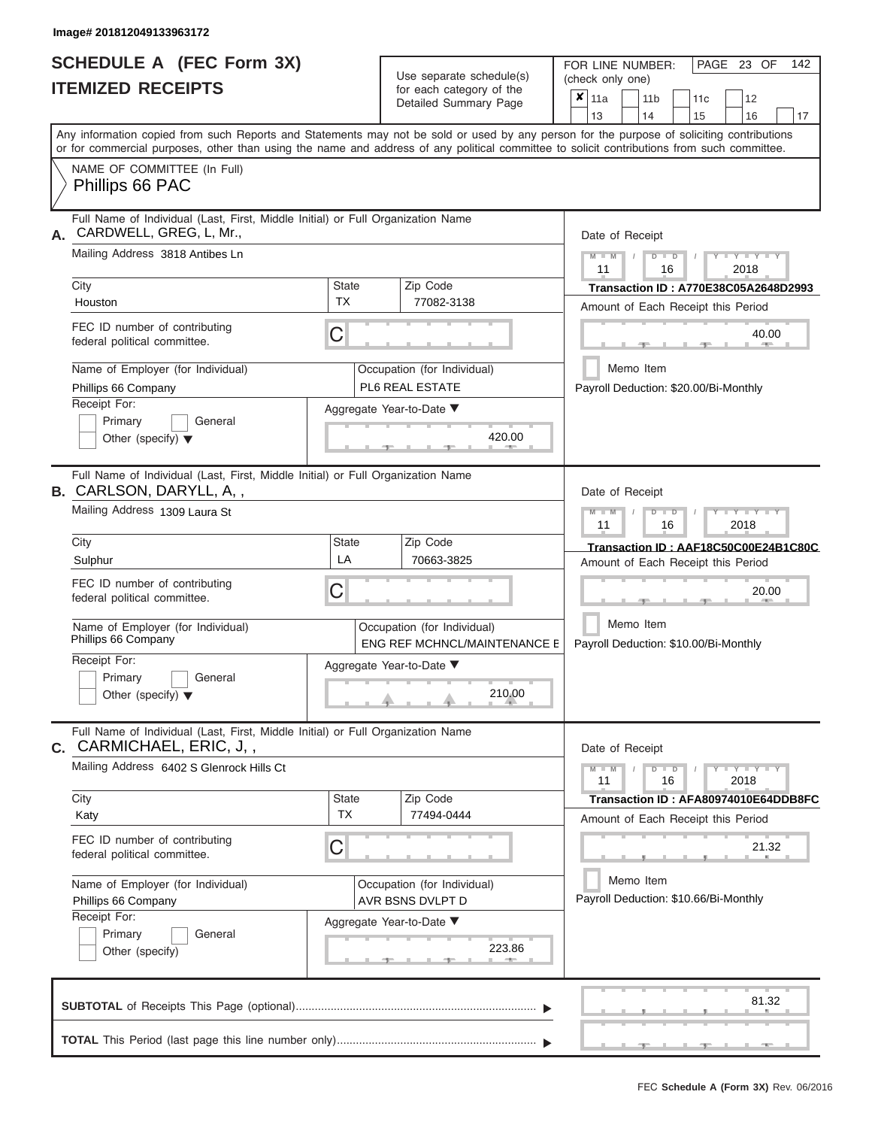# **SCHEDULE A (FEC Form 3X)**

|    | SCHEDULE A (FEC Form 3X)<br><b>ITEMIZED RECEIPTS</b>                                                                                                                                                                                                                                                                   |                           | Use separate schedule(s)<br>for each category of the<br>Detailed Summary Page | 142<br>FOR LINE NUMBER:<br>PAGE 23 OF<br>(check only one)<br>$\overline{\mathbf{x}}$   11a<br>11 <sub>b</sub><br>12<br>11 <sub>c</sub> |
|----|------------------------------------------------------------------------------------------------------------------------------------------------------------------------------------------------------------------------------------------------------------------------------------------------------------------------|---------------------------|-------------------------------------------------------------------------------|----------------------------------------------------------------------------------------------------------------------------------------|
|    | Any information copied from such Reports and Statements may not be sold or used by any person for the purpose of soliciting contributions<br>or for commercial purposes, other than using the name and address of any political committee to solicit contributions from such committee.<br>NAME OF COMMITTEE (In Full) |                           |                                                                               | 13<br>14<br>15<br>16<br>17                                                                                                             |
|    | Phillips 66 PAC<br>Full Name of Individual (Last, First, Middle Initial) or Full Organization Name                                                                                                                                                                                                                     |                           |                                                                               |                                                                                                                                        |
| А. | CARDWELL, GREG, L, Mr.,<br>Mailing Address 3818 Antibes Ln<br>City                                                                                                                                                                                                                                                     | <b>State</b>              | Zip Code                                                                      | Date of Receipt<br>$M$ – $M$ /<br>$+Y+Y+Y$<br>$D$ $D$<br>11<br>2018<br>16<br>Transaction ID: A770E38C05A2648D2993                      |
|    | Houston                                                                                                                                                                                                                                                                                                                | <b>TX</b>                 | 77082-3138                                                                    | Amount of Each Receipt this Period                                                                                                     |
|    | FEC ID number of contributing<br>federal political committee.                                                                                                                                                                                                                                                          | С                         |                                                                               | 40.00<br><b>AND</b>                                                                                                                    |
|    | Name of Employer (for Individual)<br>Phillips 66 Company                                                                                                                                                                                                                                                               |                           | Occupation (for Individual)<br>PL6 REAL ESTATE                                | Memo Item<br>Payroll Deduction: \$20.00/Bi-Monthly                                                                                     |
|    | Receipt For:<br>Primary<br>General<br>Other (specify) $\blacktriangledown$                                                                                                                                                                                                                                             |                           | Aggregate Year-to-Date ▼<br>420.00                                            |                                                                                                                                        |
|    | Full Name of Individual (Last, First, Middle Initial) or Full Organization Name<br><b>B.</b> CARLSON, DARYLL, A,,<br>Mailing Address 1309 Laura St                                                                                                                                                                     |                           |                                                                               | Date of Receipt<br>$M - M$<br>$D$ $\Box$ $D$<br>$T - Y = Y - T Y$                                                                      |
|    | City                                                                                                                                                                                                                                                                                                                   | State                     | Zip Code                                                                      | 11<br>2018<br>16                                                                                                                       |
|    | Sulphur                                                                                                                                                                                                                                                                                                                | LA                        | 70663-3825                                                                    | Transaction ID: AAF18C50C00E24B1C80C<br>Amount of Each Receipt this Period                                                             |
|    | FEC ID number of contributing<br>federal political committee.                                                                                                                                                                                                                                                          | С                         |                                                                               | 20.00                                                                                                                                  |
|    | Name of Employer (for Individual)<br>Phillips 66 Company                                                                                                                                                                                                                                                               |                           | Occupation (for Individual)<br>ENG REF MCHNCL/MAINTENANCE E                   | Memo Item<br>Payroll Deduction: \$10.00/Bi-Monthly                                                                                     |
|    | Receipt For:<br>Primary<br>General                                                                                                                                                                                                                                                                                     |                           | Aggregate Year-to-Date ▼                                                      |                                                                                                                                        |
|    | Other (specify) $\blacktriangledown$                                                                                                                                                                                                                                                                                   |                           | 210.00                                                                        |                                                                                                                                        |
|    | Full Name of Individual (Last, First, Middle Initial) or Full Organization Name<br>C. CARMICHAEL, ERIC, J,,                                                                                                                                                                                                            |                           |                                                                               | Date of Receipt                                                                                                                        |
|    | Mailing Address 6402 S Glenrock Hills Ct                                                                                                                                                                                                                                                                               |                           |                                                                               | $M - M$<br>$D$ $D$<br>$Y - Y - Y - Y - Y$<br>11<br>16<br>2018                                                                          |
|    | City<br>Katy                                                                                                                                                                                                                                                                                                           | <b>State</b><br><b>TX</b> | Zip Code<br>77494-0444                                                        | Transaction ID: AFA80974010E64DDB8FC<br>Amount of Each Receipt this Period                                                             |
|    | FEC ID number of contributing<br>federal political committee.                                                                                                                                                                                                                                                          | С                         |                                                                               | 21.32                                                                                                                                  |
|    | Name of Employer (for Individual)<br>Phillips 66 Company                                                                                                                                                                                                                                                               |                           | Occupation (for Individual)<br>AVR BSNS DVLPT D                               | Memo Item<br>Payroll Deduction: \$10.66/Bi-Monthly                                                                                     |
|    | Receipt For:<br>Primary<br>General<br>Other (specify)                                                                                                                                                                                                                                                                  |                           | Aggregate Year-to-Date ▼<br>223.86                                            |                                                                                                                                        |
|    |                                                                                                                                                                                                                                                                                                                        |                           |                                                                               | 81.32                                                                                                                                  |
|    |                                                                                                                                                                                                                                                                                                                        |                           |                                                                               | $-1$<br>$-9$<br>$-10-$                                                                                                                 |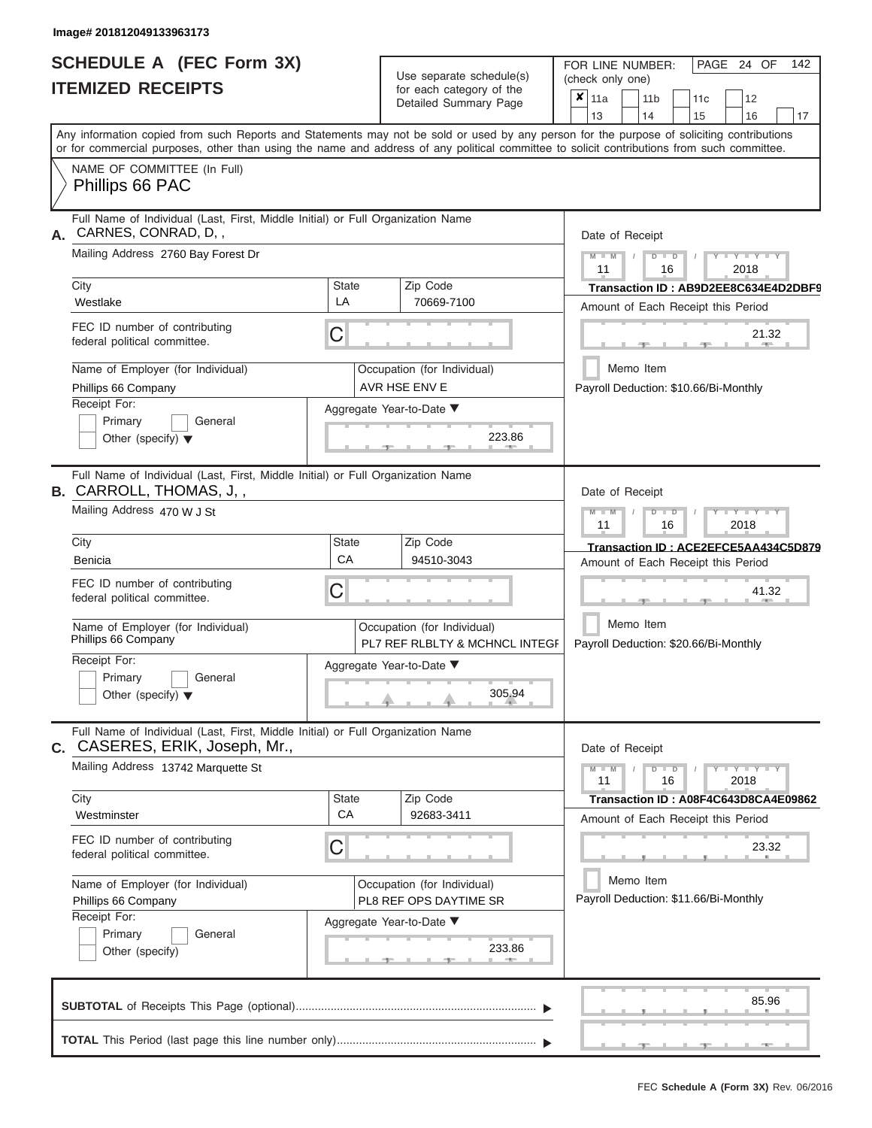|                          | <b>SCHEDULE A (FEC Form 3X)</b> |
|--------------------------|---------------------------------|
| <b>ITEMIZED RECEIPTS</b> |                                 |

| SCHEDULE A (FEC Form 3X)<br><b>ITEMIZED RECEIPTS</b>                                                                                                                                                                                                                                                                                                                                                     | Use separate schedule(s)<br>for each category of the<br>Detailed Summary Page                                                 | 142<br>FOR LINE NUMBER:<br>PAGE 24 OF<br>(check only one)<br>$\overline{\mathbf{x}}$   11a<br>11 <sub>b</sub><br>12<br>11c                                                                                                                                                                                                                    |
|----------------------------------------------------------------------------------------------------------------------------------------------------------------------------------------------------------------------------------------------------------------------------------------------------------------------------------------------------------------------------------------------------------|-------------------------------------------------------------------------------------------------------------------------------|-----------------------------------------------------------------------------------------------------------------------------------------------------------------------------------------------------------------------------------------------------------------------------------------------------------------------------------------------|
| Any information copied from such Reports and Statements may not be sold or used by any person for the purpose of soliciting contributions                                                                                                                                                                                                                                                                |                                                                                                                               | 13<br>14<br>15<br>16<br>17                                                                                                                                                                                                                                                                                                                    |
| or for commercial purposes, other than using the name and address of any political committee to solicit contributions from such committee.<br>NAME OF COMMITTEE (In Full)<br>Phillips 66 PAC                                                                                                                                                                                                             |                                                                                                                               |                                                                                                                                                                                                                                                                                                                                               |
| Full Name of Individual (Last, First, Middle Initial) or Full Organization Name<br>CARNES, CONRAD, D,,<br>А.<br>Mailing Address 2760 Bay Forest Dr<br>City<br>State<br>LA<br>Westlake<br>FEC ID number of contributing<br>С<br>federal political committee.<br>Name of Employer (for Individual)<br>Phillips 66 Company<br>Receipt For:<br>Primary<br>General<br>Other (specify) $\blacktriangledown$    | Zip Code<br>70669-7100<br>Occupation (for Individual)<br>AVR HSE ENV E<br>Aggregate Year-to-Date ▼<br>223.86                  | Date of Receipt<br>$M - M$ /<br>$Y - Y - Y$<br>$D$ $D$<br>11<br>2018<br>16<br>Transaction ID: AB9D2EE8C634E4D2DBF9<br>Amount of Each Receipt this Period<br>21.32<br><b>STATE</b><br>Memo Item<br>Payroll Deduction: \$10.66/Bi-Monthly                                                                                                       |
| Full Name of Individual (Last, First, Middle Initial) or Full Organization Name<br><b>B.</b> CARROLL, THOMAS, J,,<br>Mailing Address 470 W J St<br>City<br><b>State</b><br>CA<br>Benicia<br>FEC ID number of contributing<br>С<br>federal political committee.<br>Name of Employer (for Individual)<br>Phillips 66 Company<br>Receipt For:<br>Primary<br>General<br>Other (specify) $\blacktriangledown$ | Zip Code<br>94510-3043<br>Occupation (for Individual)<br>PL7 REF RLBLTY & MCHNCL INTEGF<br>Aggregate Year-to-Date ▼<br>305.94 | Date of Receipt<br>$M$ $M$<br>$D$ $D$<br>$\blacksquare \blacksquare \blacksquare \blacksquare \blacksquare \blacksquare \blacksquare \blacksquare \blacksquare \blacksquare$<br>11<br>2018<br>16<br>Transaction ID: ACE2EFCE5AA434C5D879<br>Amount of Each Receipt this Period<br>41.32<br>Memo Item<br>Payroll Deduction: \$20.66/Bi-Monthly |
| Full Name of Individual (Last, First, Middle Initial) or Full Organization Name<br>C. CASERES, ERIK, Joseph, Mr.,<br>Mailing Address 13742 Marquette St<br>City<br><b>State</b><br>CA<br>Westminster<br>FEC ID number of contributing<br>С<br>federal political committee.<br>Name of Employer (for Individual)<br>Phillips 66 Company<br>Receipt For:<br>Primary<br>General<br>Other (specify)          | Zip Code<br>92683-3411<br>Occupation (for Individual)<br>PL8 REF OPS DAYTIME SR<br>Aggregate Year-to-Date ▼<br>233.86         | Date of Receipt<br>$M - M$<br>$D$ $D$<br>$T - Y = Y - T Y$<br>11<br>16<br>2018<br>Transaction ID: A08F4C643D8CA4E09862<br>Amount of Each Receipt this Period<br>23.32<br>Memo Item<br>Payroll Deduction: \$11.66/Bi-Monthly                                                                                                                   |
|                                                                                                                                                                                                                                                                                                                                                                                                          |                                                                                                                               | 85.96<br>$-1$<br>$-9$                                                                                                                                                                                                                                                                                                                         |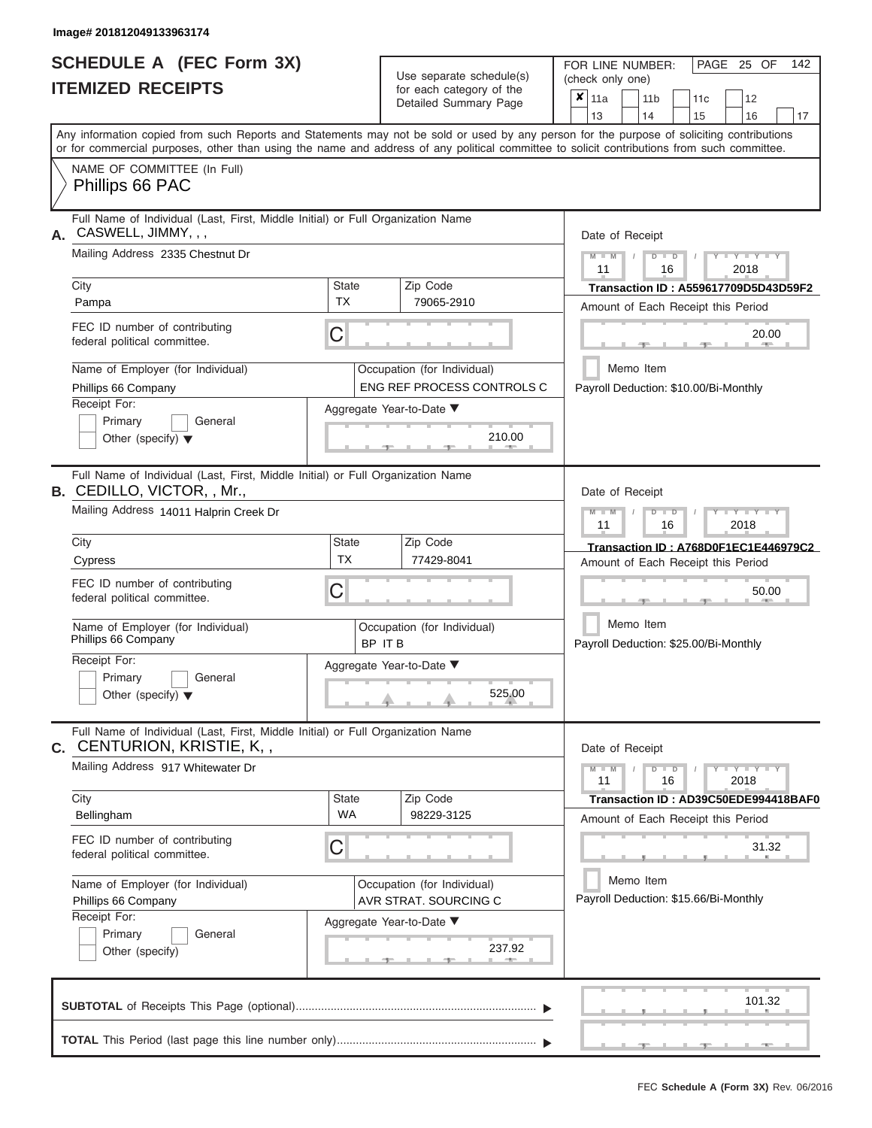|                          | SCHEDULE A (FEC Form 3X) |
|--------------------------|--------------------------|
| <b>ITEMIZED RECEIPTS</b> |                          |

Use separate schedule(s)<br>for each category of the

FOR LINE NUMBER:<br>(check only one)

PAGE 25 OF 142

|                                                                                                                                                                                                                                                                                         |                           | ivi cacii calcyory or life<br>Detailed Summary Page              | ×                                    | 11a                                                 |           | 11 <sub>b</sub>                                                     |               | 11 <sub>c</sub> | 12                                          |    |  |  |  |  |  |  |
|-----------------------------------------------------------------------------------------------------------------------------------------------------------------------------------------------------------------------------------------------------------------------------------------|---------------------------|------------------------------------------------------------------|--------------------------------------|-----------------------------------------------------|-----------|---------------------------------------------------------------------|---------------|-----------------|---------------------------------------------|----|--|--|--|--|--|--|
|                                                                                                                                                                                                                                                                                         |                           |                                                                  |                                      | 13                                                  |           | 14                                                                  |               | 15              | 16                                          | 17 |  |  |  |  |  |  |
| Any information copied from such Reports and Statements may not be sold or used by any person for the purpose of soliciting contributions<br>or for commercial purposes, other than using the name and address of any political committee to solicit contributions from such committee. |                           |                                                                  |                                      |                                                     |           |                                                                     |               |                 |                                             |    |  |  |  |  |  |  |
| NAME OF COMMITTEE (In Full)<br>Phillips 66 PAC                                                                                                                                                                                                                                          |                           |                                                                  |                                      |                                                     |           |                                                                     |               |                 |                                             |    |  |  |  |  |  |  |
| Full Name of Individual (Last, First, Middle Initial) or Full Organization Name<br>CASWELL, JIMMY, , ,<br>А.                                                                                                                                                                            |                           | Date of Receipt                                                  |                                      |                                                     |           |                                                                     |               |                 |                                             |    |  |  |  |  |  |  |
| Mailing Address 2335 Chestnut Dr                                                                                                                                                                                                                                                        |                           |                                                                  |                                      |                                                     |           | $M - M$<br>$Y - Y - Y$<br>$D$ $D$<br>$\sqrt{2}$<br>11<br>2018<br>16 |               |                 |                                             |    |  |  |  |  |  |  |
| City                                                                                                                                                                                                                                                                                    | State                     | Zip Code                                                         | Transaction ID: A559617709D5D43D59F2 |                                                     |           |                                                                     |               |                 |                                             |    |  |  |  |  |  |  |
| Pampa                                                                                                                                                                                                                                                                                   | <b>TX</b>                 | 79065-2910                                                       |                                      |                                                     |           |                                                                     |               |                 | Amount of Each Receipt this Period          |    |  |  |  |  |  |  |
| FEC ID number of contributing<br>federal political committee.                                                                                                                                                                                                                           | C                         |                                                                  |                                      |                                                     |           |                                                                     |               |                 | 20.00<br><b>AND IN</b>                      |    |  |  |  |  |  |  |
| Name of Employer (for Individual)<br>Phillips 66 Company                                                                                                                                                                                                                                |                           | Occupation (for Individual)<br><b>ENG REF PROCESS CONTROLS C</b> |                                      |                                                     | Memo Item |                                                                     |               |                 | Payroll Deduction: \$10.00/Bi-Monthly       |    |  |  |  |  |  |  |
| Receipt For:<br>Primary<br>General<br>Other (specify) $\blacktriangledown$                                                                                                                                                                                                              |                           | Aggregate Year-to-Date ▼<br>210.00<br><b>Contract Contract</b>   |                                      |                                                     |           |                                                                     |               |                 |                                             |    |  |  |  |  |  |  |
| Full Name of Individual (Last, First, Middle Initial) or Full Organization Name<br><b>B.</b> CEDILLO, VICTOR, , Mr.,                                                                                                                                                                    |                           |                                                                  |                                      | Date of Receipt                                     |           |                                                                     |               |                 |                                             |    |  |  |  |  |  |  |
| Mailing Address 14011 Halprin Creek Dr                                                                                                                                                                                                                                                  |                           |                                                                  |                                      | $M - M$<br>$D$ $D$<br>Y I Y I Y<br>11<br>2018<br>16 |           |                                                                     |               |                 |                                             |    |  |  |  |  |  |  |
| City                                                                                                                                                                                                                                                                                    | <b>State</b><br><b>TX</b> | Zip Code                                                         |                                      |                                                     |           |                                                                     |               |                 | Transaction ID: A768D0F1EC1E446979C2        |    |  |  |  |  |  |  |
| Cypress                                                                                                                                                                                                                                                                                 |                           | 77429-8041                                                       |                                      |                                                     |           |                                                                     |               |                 | Amount of Each Receipt this Period          |    |  |  |  |  |  |  |
| FEC ID number of contributing<br>federal political committee.                                                                                                                                                                                                                           | С                         | Occupation (for Individual)<br>BP IT B                           |                                      |                                                     |           | 50.00                                                               |               |                 |                                             |    |  |  |  |  |  |  |
| Name of Employer (for Individual)<br>Phillips 66 Company                                                                                                                                                                                                                                |                           |                                                                  |                                      |                                                     |           | Memo Item<br>Payroll Deduction: \$25.00/Bi-Monthly                  |               |                 |                                             |    |  |  |  |  |  |  |
| Receipt For:<br>Primary<br>General<br>Other (specify) $\blacktriangledown$                                                                                                                                                                                                              |                           | Aggregate Year-to-Date ▼<br>525.00                               |                                      |                                                     |           |                                                                     |               |                 |                                             |    |  |  |  |  |  |  |
| Full Name of Individual (Last, First, Middle Initial) or Full Organization Name<br>CENTURION, KRISTIE, K,,<br>С.                                                                                                                                                                        |                           |                                                                  |                                      | Date of Receipt                                     |           |                                                                     |               |                 |                                             |    |  |  |  |  |  |  |
| Mailing Address 917 Whitewater Dr                                                                                                                                                                                                                                                       |                           |                                                                  |                                      | $M - M$<br>11                                       |           |                                                                     | $D$ $D$<br>16 |                 | $+Y+Y+Y$<br>2018                            |    |  |  |  |  |  |  |
| City<br>Bellingham                                                                                                                                                                                                                                                                      | <b>State</b><br><b>WA</b> | Zip Code<br>98229-3125                                           |                                      |                                                     |           |                                                                     |               |                 | Transaction ID: AD39C50EDE994418BAF0        |    |  |  |  |  |  |  |
| FEC ID number of contributing<br>federal political committee.                                                                                                                                                                                                                           | C                         |                                                                  |                                      |                                                     |           |                                                                     |               |                 | Amount of Each Receipt this Period<br>31.32 |    |  |  |  |  |  |  |
| Name of Employer (for Individual)<br>Phillips 66 Company                                                                                                                                                                                                                                |                           | Occupation (for Individual)<br>AVR STRAT. SOURCING C             |                                      |                                                     |           | Memo Item<br>Payroll Deduction: \$15.66/Bi-Monthly                  |               |                 |                                             |    |  |  |  |  |  |  |
| Receipt For:                                                                                                                                                                                                                                                                            |                           | Aggregate Year-to-Date ▼                                         |                                      |                                                     |           |                                                                     |               |                 |                                             |    |  |  |  |  |  |  |
| Primary<br>General<br>Other (specify)                                                                                                                                                                                                                                                   |                           | 237.92                                                           |                                      |                                                     |           |                                                                     |               |                 |                                             |    |  |  |  |  |  |  |
|                                                                                                                                                                                                                                                                                         |                           |                                                                  |                                      |                                                     |           |                                                                     |               |                 | 101.32                                      |    |  |  |  |  |  |  |
|                                                                                                                                                                                                                                                                                         |                           |                                                                  |                                      |                                                     |           |                                                                     |               |                 |                                             |    |  |  |  |  |  |  |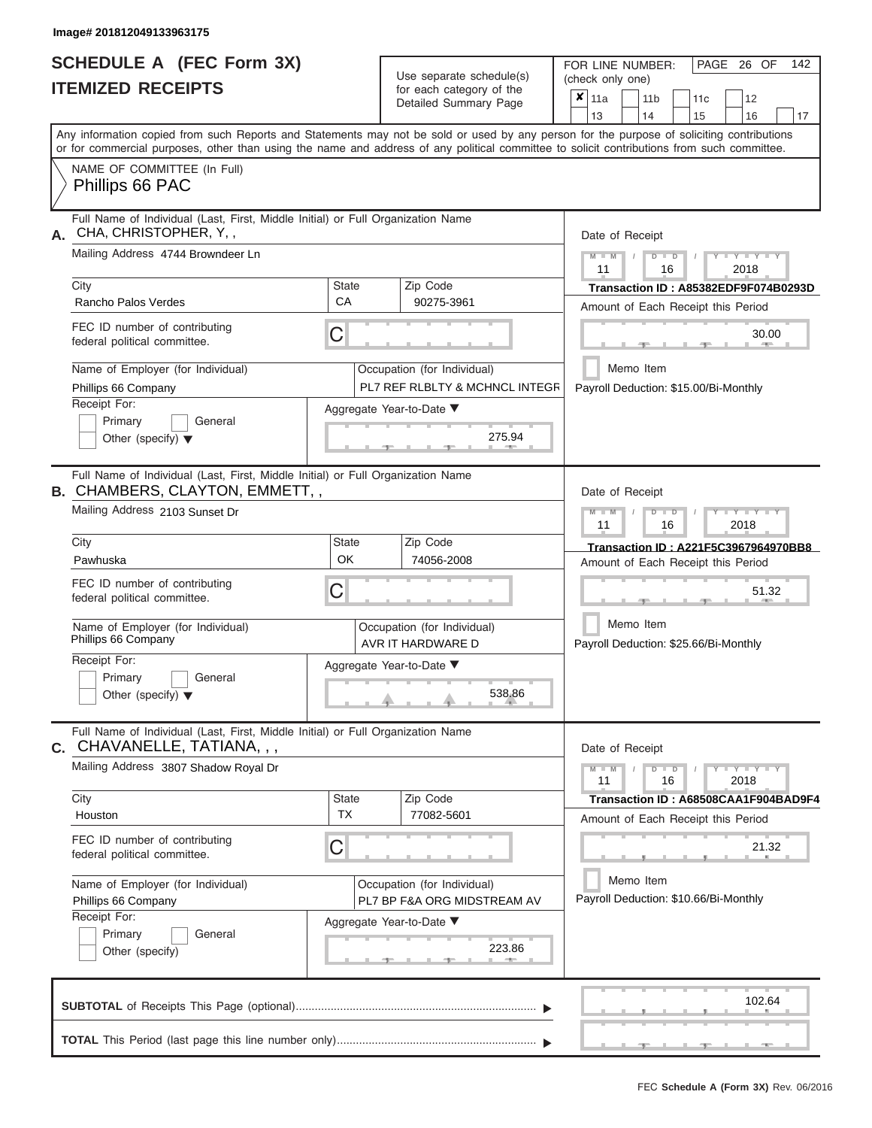|                          | <b>SCHEDULE A (FEC Form 3X)</b> |
|--------------------------|---------------------------------|
| <b>ITEMIZED RECEIPTS</b> |                                 |

| SCHEDULE A (FEC Form 3X)<br><b>ITEMIZED RECEIPTS</b>                                                                                                                                                                                                                                    |                                                            | Use separate schedule(s)<br>for each category of the          | 142<br>FOR LINE NUMBER:<br>PAGE 26 OF<br>(check only one)<br>$\overline{\mathbf{x}}$   11a<br>11 <sub>b</sub><br>12<br>11 <sub>c</sub> |  |  |  |  |  |  |  |
|-----------------------------------------------------------------------------------------------------------------------------------------------------------------------------------------------------------------------------------------------------------------------------------------|------------------------------------------------------------|---------------------------------------------------------------|----------------------------------------------------------------------------------------------------------------------------------------|--|--|--|--|--|--|--|
|                                                                                                                                                                                                                                                                                         |                                                            | Detailed Summary Page                                         | 13<br>14<br>15<br>16<br>17                                                                                                             |  |  |  |  |  |  |  |
| Any information copied from such Reports and Statements may not be sold or used by any person for the purpose of soliciting contributions<br>or for commercial purposes, other than using the name and address of any political committee to solicit contributions from such committee. |                                                            |                                                               |                                                                                                                                        |  |  |  |  |  |  |  |
| NAME OF COMMITTEE (In Full)<br>Phillips 66 PAC                                                                                                                                                                                                                                          |                                                            |                                                               |                                                                                                                                        |  |  |  |  |  |  |  |
| Full Name of Individual (Last, First, Middle Initial) or Full Organization Name<br>CHA, CHRISTOPHER, Y,,                                                                                                                                                                                |                                                            |                                                               | Date of Receipt                                                                                                                        |  |  |  |  |  |  |  |
| Mailing Address 4744 Browndeer Ln                                                                                                                                                                                                                                                       |                                                            |                                                               | $M$ – $M$ /<br>$Y + Y + Y + Y$<br>$D$ $D$<br>11<br>2018<br>16                                                                          |  |  |  |  |  |  |  |
| City<br>Rancho Palos Verdes                                                                                                                                                                                                                                                             | <b>State</b><br><b>CA</b>                                  | Zip Code<br>90275-3961                                        | Transaction ID: A85382EDF9F074B0293D<br>Amount of Each Receipt this Period                                                             |  |  |  |  |  |  |  |
| FEC ID number of contributing<br>federal political committee.                                                                                                                                                                                                                           | C                                                          |                                                               | 30.00<br><b>Brita Allien</b><br>$-9-$                                                                                                  |  |  |  |  |  |  |  |
| Name of Employer (for Individual)<br>Phillips 66 Company                                                                                                                                                                                                                                |                                                            | Occupation (for Individual)<br>PL7 REF RLBLTY & MCHNCL INTEGR | Memo Item<br>Payroll Deduction: \$15.00/Bi-Monthly                                                                                     |  |  |  |  |  |  |  |
| Receipt For:<br>Primary<br>General<br>Other (specify) $\blacktriangledown$                                                                                                                                                                                                              |                                                            | Aggregate Year-to-Date ▼<br>275.94<br><b>British Allen</b>    |                                                                                                                                        |  |  |  |  |  |  |  |
| Full Name of Individual (Last, First, Middle Initial) or Full Organization Name<br><b>B. CHAMBERS, CLAYTON, EMMETT,,</b><br>Mailing Address 2103 Sunset Dr                                                                                                                              |                                                            |                                                               | Date of Receipt<br>$M - M$<br>$D$ $D$<br>$\Box$ $\Upsilon$ $\Box$ $\Upsilon$ $\Upsilon$ $\Upsilon$<br>$\sqrt{ }$                       |  |  |  |  |  |  |  |
| City                                                                                                                                                                                                                                                                                    | <b>State</b>                                               | Zip Code                                                      | 11<br>2018<br>16                                                                                                                       |  |  |  |  |  |  |  |
| Pawhuska                                                                                                                                                                                                                                                                                | OK                                                         | 74056-2008                                                    | Transaction ID: A221F5C3967964970BB8<br>Amount of Each Receipt this Period                                                             |  |  |  |  |  |  |  |
| FEC ID number of contributing<br>federal political committee.                                                                                                                                                                                                                           | C                                                          |                                                               | 51.32                                                                                                                                  |  |  |  |  |  |  |  |
| Name of Employer (for Individual)<br>Phillips 66 Company                                                                                                                                                                                                                                |                                                            | Occupation (for Individual)<br>AVR IT HARDWARE D              | Memo Item<br>Payroll Deduction: \$25.66/Bi-Monthly                                                                                     |  |  |  |  |  |  |  |
| Receipt For:<br>Primary<br>General                                                                                                                                                                                                                                                      |                                                            | Aggregate Year-to-Date ▼                                      |                                                                                                                                        |  |  |  |  |  |  |  |
| Other (specify) $\blacktriangledown$                                                                                                                                                                                                                                                    |                                                            | 538.86                                                        |                                                                                                                                        |  |  |  |  |  |  |  |
| Full Name of Individual (Last, First, Middle Initial) or Full Organization Name<br>C. CHAVANELLE, TATIANA, , ,                                                                                                                                                                          |                                                            |                                                               | Date of Receipt                                                                                                                        |  |  |  |  |  |  |  |
| Mailing Address 3807 Shadow Royal Dr                                                                                                                                                                                                                                                    |                                                            |                                                               | $M - M$<br>$D$ $D$<br>$Y - Y - Y - Y$<br>11<br>2018<br>16                                                                              |  |  |  |  |  |  |  |
| City<br>Houston                                                                                                                                                                                                                                                                         | State<br><b>TX</b>                                         | Zip Code<br>77082-5601                                        | Transaction ID: A68508CAA1F904BAD9F4<br>Amount of Each Receipt this Period                                                             |  |  |  |  |  |  |  |
| FEC ID number of contributing<br>federal political committee.                                                                                                                                                                                                                           | C                                                          |                                                               | 21.32                                                                                                                                  |  |  |  |  |  |  |  |
| Name of Employer (for Individual)<br>Phillips 66 Company                                                                                                                                                                                                                                | Occupation (for Individual)<br>PL7 BP F&A ORG MIDSTREAM AV |                                                               | Memo Item<br>Payroll Deduction: \$10.66/Bi-Monthly                                                                                     |  |  |  |  |  |  |  |
| Receipt For:<br>Primary<br>General<br>Other (specify)                                                                                                                                                                                                                                   |                                                            | Aggregate Year-to-Date ▼<br>223.86                            |                                                                                                                                        |  |  |  |  |  |  |  |
|                                                                                                                                                                                                                                                                                         |                                                            |                                                               | 102.64                                                                                                                                 |  |  |  |  |  |  |  |
|                                                                                                                                                                                                                                                                                         |                                                            |                                                               | ___ <del>___</del> ______<br>$ -$                                                                                                      |  |  |  |  |  |  |  |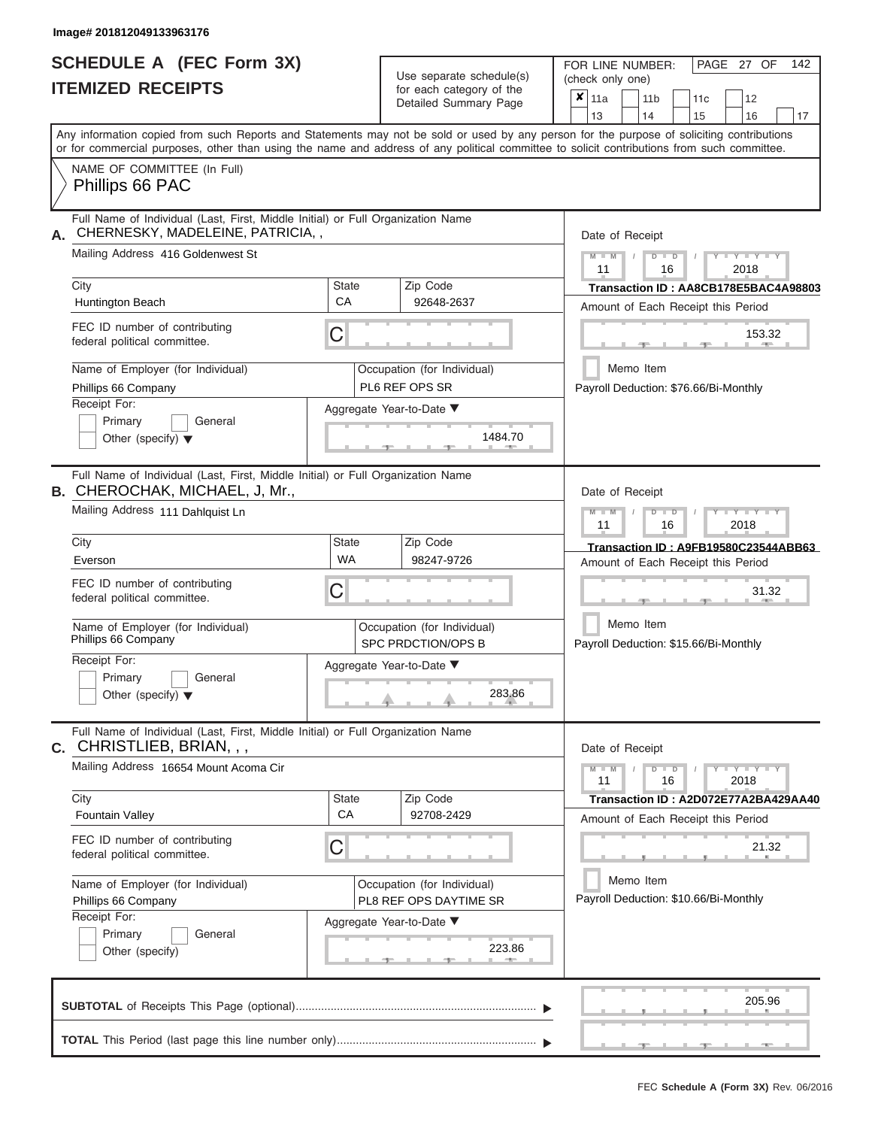# **SCHEDULE A (FEC Form 3X)**

 $Use$  separate schedule(s)

FOR LINE NUMBER:

PAGE 27 OF 142

| <b>ITEMIZED RECEIPTS</b>                                                                                                                                                                                                                                                                                                                                                                   |                                | Ose separate scriegue(s)<br>for each category of the<br>Detailed Summary Page                                         | (check only one)<br>×<br> 11a<br>11 <sub>b</sub><br>12<br>11c<br>13<br>14<br>15<br>16<br>17                                                                                                                                                                                             |
|--------------------------------------------------------------------------------------------------------------------------------------------------------------------------------------------------------------------------------------------------------------------------------------------------------------------------------------------------------------------------------------------|--------------------------------|-----------------------------------------------------------------------------------------------------------------------|-----------------------------------------------------------------------------------------------------------------------------------------------------------------------------------------------------------------------------------------------------------------------------------------|
|                                                                                                                                                                                                                                                                                                                                                                                            |                                |                                                                                                                       | Any information copied from such Reports and Statements may not be sold or used by any person for the purpose of soliciting contributions<br>or for commercial purposes, other than using the name and address of any political committee to solicit contributions from such committee. |
| NAME OF COMMITTEE (In Full)<br>Phillips 66 PAC                                                                                                                                                                                                                                                                                                                                             |                                |                                                                                                                       |                                                                                                                                                                                                                                                                                         |
| Full Name of Individual (Last, First, Middle Initial) or Full Organization Name<br>CHERNESKY, MADELEINE, PATRICIA,,<br>А.<br>Mailing Address 416 Goldenwest St<br>City<br>Huntington Beach<br>FEC ID number of contributing<br>federal political committee.                                                                                                                                | <b>State</b><br>СA<br>C        | Zip Code<br>92648-2637                                                                                                | Date of Receipt<br><b>TELEVISION</b><br>$M - M$<br>D<br>$\Box$<br>2018<br>11<br>16<br>Transaction ID: AA8CB178E5BAC4A98803<br>Amount of Each Receipt this Period<br>153.32                                                                                                              |
| Name of Employer (for Individual)<br>Phillips 66 Company<br>Receipt For:<br>Primary<br>General<br>Other (specify) $\blacktriangledown$                                                                                                                                                                                                                                                     |                                | Occupation (for Individual)<br>PL6 REF OPS SR<br>Aggregate Year-to-Date ▼<br>1484.70                                  | Memo Item<br>Payroll Deduction: \$76.66/Bi-Monthly                                                                                                                                                                                                                                      |
| Full Name of Individual (Last, First, Middle Initial) or Full Organization Name<br><b>B. CHEROCHAK, MICHAEL, J, Mr.,</b><br>Mailing Address 111 Dahlquist Ln<br>City<br>Everson<br>FEC ID number of contributing<br>federal political committee.<br>Name of Employer (for Individual)<br>Phillips 66 Company<br>Receipt For:<br>Primary<br>General<br>Other (specify) $\blacktriangledown$ | <b>State</b><br><b>WA</b><br>C | Zip Code<br>98247-9726<br>Occupation (for Individual)<br>SPC PRDCTION/OPS B<br>Aggregate Year-to-Date ▼<br>283.86     | Date of Receipt<br>$M - M$<br>$\Box$<br>$\overline{\phantom{a}}$ $\overline{\phantom{a}}$<br>ъ<br>11<br>16<br>2018<br>Transaction ID: A9FB19580C23544ABB63<br>Amount of Each Receipt this Period<br>31.32<br>Memo Item<br>Payroll Deduction: \$15.66/Bi-Monthly                         |
| Full Name of Individual (Last, First, Middle Initial) or Full Organization Name<br>C. CHRISTLIEB, BRIAN, , ,<br>Mailing Address 16654 Mount Acoma Cir<br>City<br><b>Fountain Valley</b><br>FEC ID number of contributing<br>federal political committee.<br>Name of Employer (for Individual)<br>Phillips 66 Company<br>Receipt For:<br>Primary<br>General<br>Other (specify)              | <b>State</b><br>CA<br>Ĉ        | Zip Code<br>92708-2429<br>Occupation (for Individual)<br>PL8 REF OPS DAYTIME SR<br>Aggregate Year-to-Date ▼<br>223.86 | Date of Receipt<br>$-Y - Y - Y$<br>$M - M$<br>$\blacksquare$<br>2018<br>11<br>16<br>Transaction ID: A2D072E77A2BA429AA40<br>Amount of Each Receipt this Period<br>21.32<br>Memo Item<br>Payroll Deduction: \$10.66/Bi-Monthly                                                           |
|                                                                                                                                                                                                                                                                                                                                                                                            |                                |                                                                                                                       | 205.96                                                                                                                                                                                                                                                                                  |
|                                                                                                                                                                                                                                                                                                                                                                                            |                                |                                                                                                                       |                                                                                                                                                                                                                                                                                         |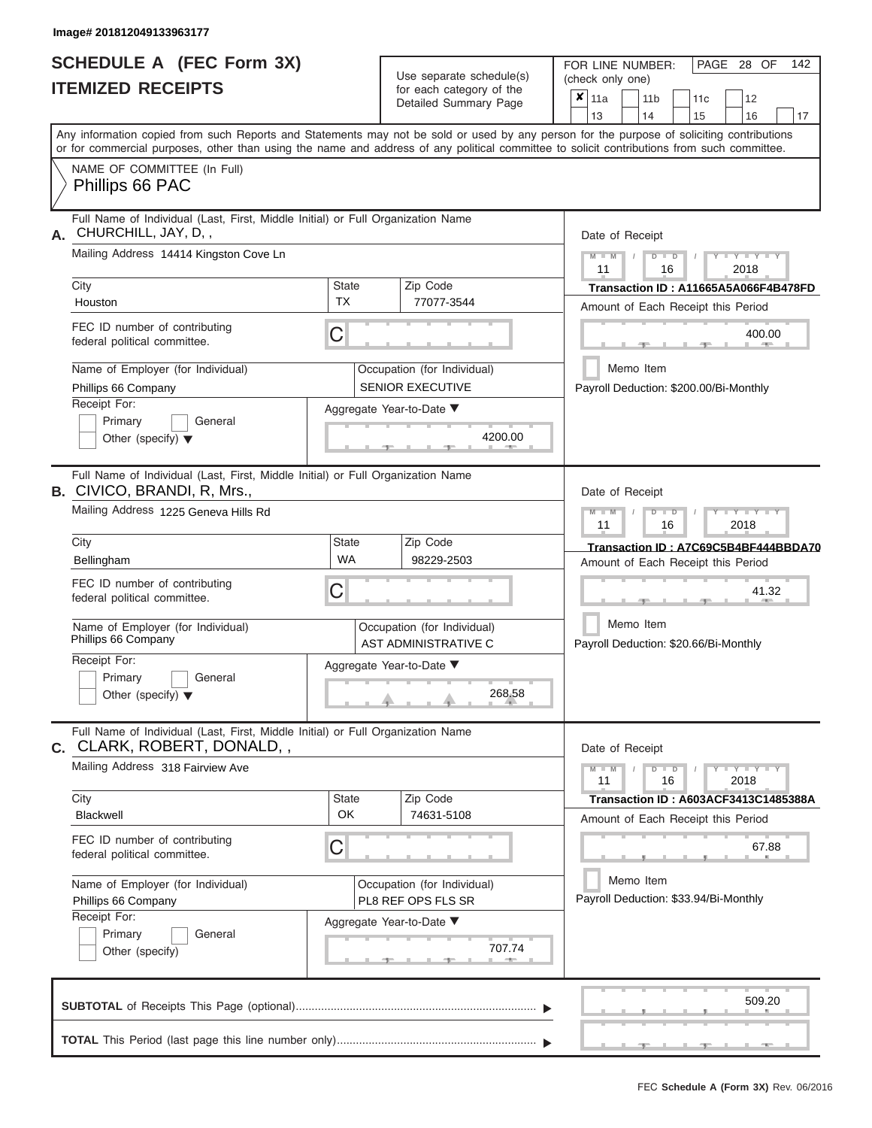|                          | SCHEDULE A (FEC Form 3X) |
|--------------------------|--------------------------|
| <b>ITEMIZED RECEIPTS</b> |                          |

Use separate schedule(s)<br>for each category of the

FOR LINE NUMBER:<br>(check only one)

PAGE 28 OF 142

|                                                                                                                                                                                                                                                                                         |                                                     | badii balogory of life<br>Detailed Summary Page        | ×      | 11a<br>13                                           |                                                    | 11 <sub>b</sub><br>14                                                      |                                                     | 11c<br>15                                                                         |      | 12<br>16                | 17 |  |  |  |  |  |
|-----------------------------------------------------------------------------------------------------------------------------------------------------------------------------------------------------------------------------------------------------------------------------------------|-----------------------------------------------------|--------------------------------------------------------|--------|-----------------------------------------------------|----------------------------------------------------|----------------------------------------------------------------------------|-----------------------------------------------------|-----------------------------------------------------------------------------------|------|-------------------------|----|--|--|--|--|--|
| Any information copied from such Reports and Statements may not be sold or used by any person for the purpose of soliciting contributions<br>or for commercial purposes, other than using the name and address of any political committee to solicit contributions from such committee. |                                                     |                                                        |        |                                                     |                                                    |                                                                            |                                                     |                                                                                   |      |                         |    |  |  |  |  |  |
| NAME OF COMMITTEE (In Full)<br>Phillips 66 PAC                                                                                                                                                                                                                                          |                                                     |                                                        |        |                                                     |                                                    |                                                                            |                                                     |                                                                                   |      |                         |    |  |  |  |  |  |
| Full Name of Individual (Last, First, Middle Initial) or Full Organization Name<br>CHURCHILL, JAY, D,,<br>А.                                                                                                                                                                            |                                                     | Date of Receipt                                        |        |                                                     |                                                    |                                                                            |                                                     |                                                                                   |      |                         |    |  |  |  |  |  |
| Mailing Address 14414 Kingston Cove Ln                                                                                                                                                                                                                                                  |                                                     |                                                        |        |                                                     |                                                    | Y I Y I<br>$M - M$<br>$D$ $D$<br>11<br>16<br>2018                          |                                                     |                                                                                   |      |                         |    |  |  |  |  |  |
| City<br>Houston                                                                                                                                                                                                                                                                         | Zip Code<br><b>State</b><br><b>TX</b><br>77077-3544 |                                                        |        |                                                     |                                                    | Transaction ID: A11665A5A066F4B478FD<br>Amount of Each Receipt this Period |                                                     |                                                                                   |      |                         |    |  |  |  |  |  |
| FEC ID number of contributing<br>federal political committee.                                                                                                                                                                                                                           | C                                                   |                                                        | 400.00 |                                                     |                                                    |                                                                            |                                                     |                                                                                   |      |                         |    |  |  |  |  |  |
| Name of Employer (for Individual)<br>Phillips 66 Company                                                                                                                                                                                                                                |                                                     | Occupation (for Individual)<br><b>SENIOR EXECUTIVE</b> |        | Memo Item<br>Payroll Deduction: \$200.00/Bi-Monthly |                                                    |                                                                            |                                                     |                                                                                   |      |                         |    |  |  |  |  |  |
| Receipt For:<br>Primary<br>General<br>Other (specify) $\blacktriangledown$                                                                                                                                                                                                              |                                                     | Aggregate Year-to-Date ▼<br>4200.00                    |        |                                                     |                                                    |                                                                            |                                                     |                                                                                   |      |                         |    |  |  |  |  |  |
| Full Name of Individual (Last, First, Middle Initial) or Full Organization Name<br><b>B.</b> CIVICO, BRANDI, R, Mrs.,                                                                                                                                                                   |                                                     |                                                        |        | Date of Receipt                                     |                                                    |                                                                            |                                                     |                                                                                   |      |                         |    |  |  |  |  |  |
|                                                                                                                                                                                                                                                                                         | Mailing Address 1225 Geneva Hills Rd                |                                                        |        |                                                     |                                                    |                                                                            | $M - M$<br>D<br>$\Box$<br>Y Y Y<br>11<br>16<br>2018 |                                                                                   |      |                         |    |  |  |  |  |  |
| City<br>Bellingham                                                                                                                                                                                                                                                                      | <b>State</b><br><b>WA</b>                           | Zip Code<br>98229-2503                                 |        |                                                     |                                                    |                                                                            |                                                     | Transaction ID: A7C69C5B4BF444BBDA70<br>Amount of Each Receipt this Period        |      |                         |    |  |  |  |  |  |
| FEC ID number of contributing<br>federal political committee.                                                                                                                                                                                                                           | С                                                   |                                                        |        |                                                     |                                                    | 41.32                                                                      |                                                     |                                                                                   |      |                         |    |  |  |  |  |  |
| Name of Employer (for Individual)<br>Phillips 66 Company                                                                                                                                                                                                                                | Occupation (for Individual)<br>AST ADMINISTRATIVE C |                                                        |        |                                                     | Memo Item<br>Payroll Deduction: \$20.66/Bi-Monthly |                                                                            |                                                     |                                                                                   |      |                         |    |  |  |  |  |  |
| Receipt For:<br>Primary<br>General<br>Other (specify) $\blacktriangledown$                                                                                                                                                                                                              |                                                     | Aggregate Year-to-Date ▼<br>268.58                     |        |                                                     |                                                    |                                                                            |                                                     |                                                                                   |      |                         |    |  |  |  |  |  |
| Full Name of Individual (Last, First, Middle Initial) or Full Organization Name<br><b>C.</b> CLARK, ROBERT, DONALD,,                                                                                                                                                                    |                                                     |                                                        |        | Date of Receipt                                     |                                                    |                                                                            |                                                     |                                                                                   |      |                         |    |  |  |  |  |  |
| Mailing Address 318 Fairview Ave                                                                                                                                                                                                                                                        |                                                     |                                                        |        | $M - M$<br>11                                       |                                                    |                                                                            | $D$ $D$<br>16                                       |                                                                                   | 2018 | $Y$ $Y$ $Y$ $Y$ $Y$ $Y$ |    |  |  |  |  |  |
| City<br>Blackwell                                                                                                                                                                                                                                                                       | State<br>OK                                         | Zip Code<br>74631-5108                                 |        |                                                     |                                                    |                                                                            |                                                     | <b>Transaction ID: A603ACF3413C1485388A</b><br>Amount of Each Receipt this Period |      |                         |    |  |  |  |  |  |
| FEC ID number of contributing<br>federal political committee.                                                                                                                                                                                                                           | С                                                   |                                                        |        |                                                     |                                                    |                                                                            |                                                     |                                                                                   |      | 67.88                   |    |  |  |  |  |  |
| Name of Employer (for Individual)<br>Phillips 66 Company                                                                                                                                                                                                                                | Occupation (for Individual)<br>PL8 REF OPS FLS SR   |                                                        |        |                                                     |                                                    |                                                                            | Memo Item<br>Payroll Deduction: \$33.94/Bi-Monthly  |                                                                                   |      |                         |    |  |  |  |  |  |
| Receipt For:<br>Primary<br>General<br>Other (specify)                                                                                                                                                                                                                                   |                                                     | Aggregate Year-to-Date ▼<br>707.74                     |        |                                                     |                                                    |                                                                            |                                                     |                                                                                   |      |                         |    |  |  |  |  |  |
|                                                                                                                                                                                                                                                                                         |                                                     |                                                        |        |                                                     |                                                    |                                                                            |                                                     |                                                                                   |      | 509.20                  |    |  |  |  |  |  |
|                                                                                                                                                                                                                                                                                         |                                                     |                                                        |        |                                                     |                                                    |                                                                            |                                                     | ___                                                                               |      |                         |    |  |  |  |  |  |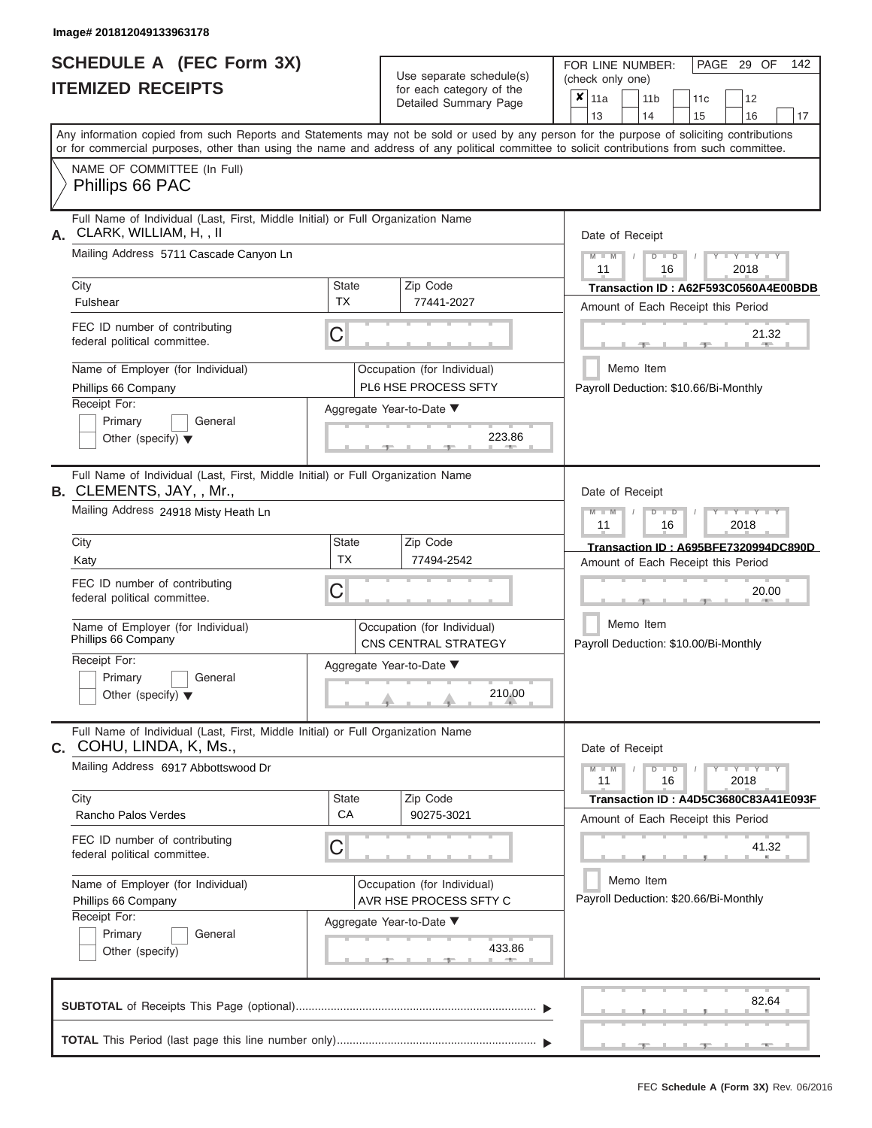# **SCHEDULE A (FEC Form 3X)**

| SCHEDULE A (FEC Form 3X)<br><b>ITEMIZED RECEIPTS</b>                                                                                                                                                                                                                                                                                                                                     |                                | Use separate schedule(s)<br>for each category of the<br>Detailed Summary Page                                         | 142<br>FOR LINE NUMBER:<br>PAGE 29 OF<br>(check only one)<br>$\overline{\mathbf{x}}$   11a<br>11 <sub>b</sub><br>12<br>11 <sub>c</sub>                                                                                                                                                         |
|------------------------------------------------------------------------------------------------------------------------------------------------------------------------------------------------------------------------------------------------------------------------------------------------------------------------------------------------------------------------------------------|--------------------------------|-----------------------------------------------------------------------------------------------------------------------|------------------------------------------------------------------------------------------------------------------------------------------------------------------------------------------------------------------------------------------------------------------------------------------------|
| Any information copied from such Reports and Statements may not be sold or used by any person for the purpose of soliciting contributions<br>or for commercial purposes, other than using the name and address of any political committee to solicit contributions from such committee.                                                                                                  |                                |                                                                                                                       | 13<br>14<br>15<br>16<br>17                                                                                                                                                                                                                                                                     |
| NAME OF COMMITTEE (In Full)<br>Phillips 66 PAC                                                                                                                                                                                                                                                                                                                                           |                                |                                                                                                                       |                                                                                                                                                                                                                                                                                                |
| Full Name of Individual (Last, First, Middle Initial) or Full Organization Name<br>CLARK, WILLIAM, H,, II<br>А.<br>Mailing Address 5711 Cascade Canyon Ln<br>City<br>Fulshear<br>FEC ID number of contributing<br>federal political committee.<br>Name of Employer (for Individual)<br>Phillips 66 Company<br>Receipt For:<br>Primary<br>General<br>Other (specify) $\blacktriangledown$ | <b>State</b><br><b>TX</b><br>C | Zip Code<br>77441-2027<br>Occupation (for Individual)<br>PL6 HSE PROCESS SFTY<br>Aggregate Year-to-Date ▼<br>223.86   | Date of Receipt<br>$M - M$ /<br>$-Y - Y - Y$<br>$D$ $D$<br>11<br>2018<br>16<br>Transaction ID: A62F593C0560A4E00BDB<br>Amount of Each Receipt this Period<br>21.32<br><b>AND IN</b><br>Memo Item<br>Payroll Deduction: \$10.66/Bi-Monthly                                                      |
| Full Name of Individual (Last, First, Middle Initial) or Full Organization Name<br>B. CLEMENTS, JAY, , Mr.,<br>Mailing Address 24918 Misty Heath Ln<br>City<br>Katy<br>FEC ID number of contributing<br>federal political committee.<br>Name of Employer (for Individual)<br>Phillips 66 Company<br>Receipt For:<br>Primary<br>General<br>Other (specify) $\blacktriangledown$           | <b>State</b><br><b>TX</b><br>С | Zip Code<br>77494-2542<br>Occupation (for Individual)<br>CNS CENTRAL STRATEGY<br>Aggregate Year-to-Date ▼<br>210.00   | Date of Receipt<br>$M - M$<br>$D$ $\Box$ $D$<br>$\blacksquare$ $\vdash$ $\vdash$ $\vdash$ $\vdash$ $\vdash$ $\vdash$ $\vdash$<br>11<br>2018<br>16<br>Transaction ID: A695BFE7320994DC890D<br>Amount of Each Receipt this Period<br>20.00<br>Memo Item<br>Payroll Deduction: \$10.00/Bi-Monthly |
| Full Name of Individual (Last, First, Middle Initial) or Full Organization Name<br>C. COHU, LINDA, K, Ms.,<br>Mailing Address 6917 Abbottswood Dr<br>City<br>Rancho Palos Verdes<br>FEC ID number of contributing<br>federal political committee.<br>Name of Employer (for Individual)<br>Phillips 66 Company<br>Receipt For:<br>Primary<br>General<br>Other (specify)                   | <b>State</b><br><b>CA</b><br>С | Zip Code<br>90275-3021<br>Occupation (for Individual)<br>AVR HSE PROCESS SFTY C<br>Aggregate Year-to-Date ▼<br>433.86 | Date of Receipt<br>$M - M$<br>$D$ $D$<br>$Y - Y - Y - Y - Y$<br>11<br>16<br>2018<br>Transaction ID: A4D5C3680C83A41E093F<br>Amount of Each Receipt this Period<br>41.32<br>Memo Item<br>Payroll Deduction: \$20.66/Bi-Monthly                                                                  |
|                                                                                                                                                                                                                                                                                                                                                                                          |                                |                                                                                                                       | 82.64<br>$-1$<br>$-9$<br>$-1$                                                                                                                                                                                                                                                                  |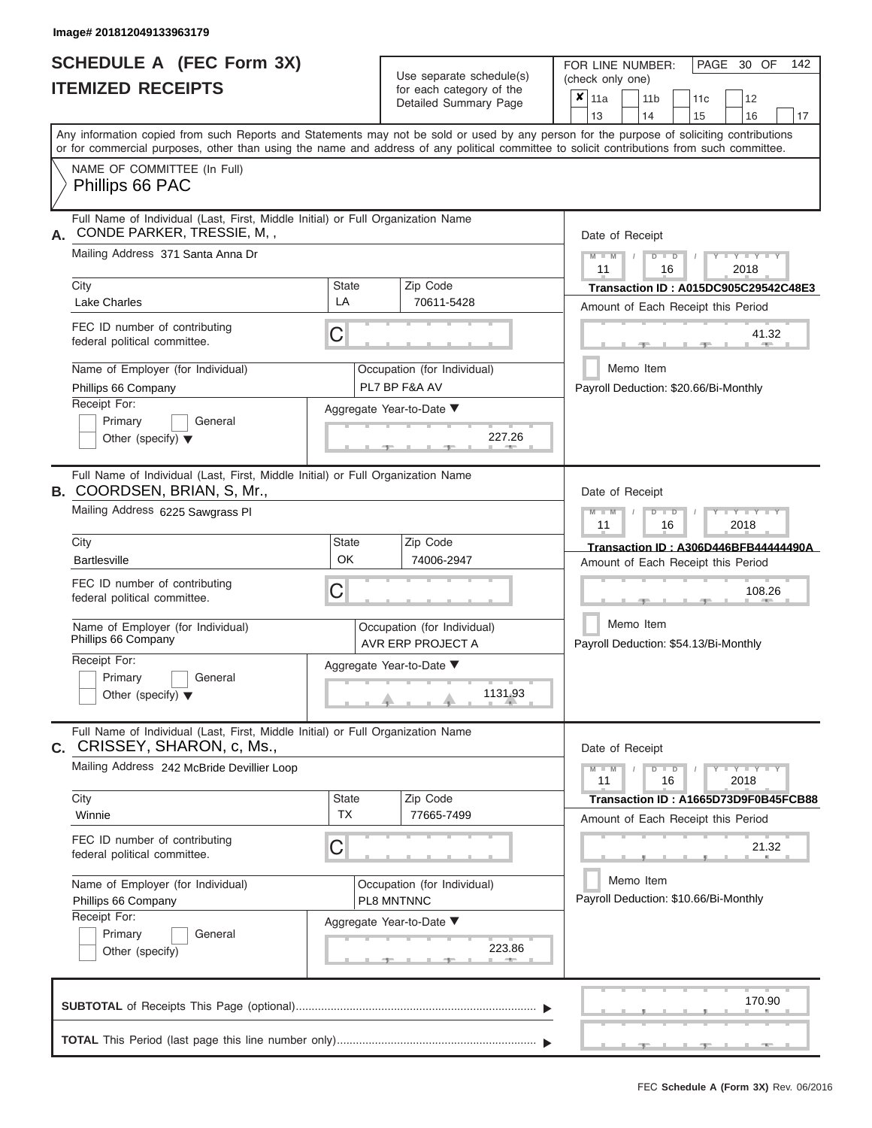# **SCHEDULE A (FEC Form 3X)**

| SCHEDULE A (FEC Form 3X)<br><b>ITEMIZED RECEIPTS</b>                                                                                                      |                                                                                 | Use separate schedule(s)<br>for each category of the<br>Detailed Summary Page | 142<br>FOR LINE NUMBER:<br>PAGE 30 OF<br>(check only one)<br>$\overline{\mathbf{x}}$   11a<br>11 <sub>b</sub><br>12<br>11 <sub>c</sub> |  |  |
|-----------------------------------------------------------------------------------------------------------------------------------------------------------|---------------------------------------------------------------------------------|-------------------------------------------------------------------------------|----------------------------------------------------------------------------------------------------------------------------------------|--|--|
| Any information copied from such Reports and Statements may not be sold or used by any person for the purpose of soliciting contributions                 |                                                                                 |                                                                               | 13<br>14<br>15<br>16<br>17                                                                                                             |  |  |
| or for commercial purposes, other than using the name and address of any political committee to solicit contributions from such committee.                |                                                                                 |                                                                               |                                                                                                                                        |  |  |
| NAME OF COMMITTEE (In Full)<br>Phillips 66 PAC                                                                                                            |                                                                                 |                                                                               |                                                                                                                                        |  |  |
| CONDE PARKER, TRESSIE, M,,<br>А.<br>Mailing Address 371 Santa Anna Dr                                                                                     | Full Name of Individual (Last, First, Middle Initial) or Full Organization Name |                                                                               |                                                                                                                                        |  |  |
| City<br>Lake Charles                                                                                                                                      | <b>State</b><br>LA                                                              | Zip Code<br>70611-5428                                                        | 11<br>2018<br>16<br>Transaction ID: A015DC905C29542C48E3<br>Amount of Each Receipt this Period                                         |  |  |
| FEC ID number of contributing<br>federal political committee.                                                                                             | C                                                                               |                                                                               | 41.32<br><b>AND IN</b>                                                                                                                 |  |  |
| Name of Employer (for Individual)<br>Phillips 66 Company                                                                                                  |                                                                                 | Occupation (for Individual)<br>PL7 BP F&A AV                                  | Memo Item<br>Payroll Deduction: \$20.66/Bi-Monthly                                                                                     |  |  |
| Receipt For:<br>Primary<br>General<br>Other (specify) $\blacktriangledown$                                                                                |                                                                                 | Aggregate Year-to-Date ▼<br>227.26                                            |                                                                                                                                        |  |  |
| Full Name of Individual (Last, First, Middle Initial) or Full Organization Name<br><b>B. COORDSEN, BRIAN, S, Mr.,</b><br>Mailing Address 6225 Sawgrass PI |                                                                                 |                                                                               | Date of Receipt<br>$M - M$<br>$D$ $\Box$ $D$<br>$T - Y = Y - T Y$                                                                      |  |  |
| City<br><b>Bartlesville</b>                                                                                                                               | <b>State</b><br>OK                                                              | Zip Code<br>74006-2947                                                        | 11<br>2018<br>16<br>Transaction ID: A306D446BFB44444490A<br>Amount of Each Receipt this Period                                         |  |  |
| FEC ID number of contributing<br>federal political committee.                                                                                             | С                                                                               |                                                                               | 108.26                                                                                                                                 |  |  |
| Name of Employer (for Individual)<br>Phillips 66 Company                                                                                                  |                                                                                 | Occupation (for Individual)<br>AVR ERP PROJECT A                              | Memo Item<br>Payroll Deduction: \$54.13/Bi-Monthly                                                                                     |  |  |
| Receipt For:                                                                                                                                              |                                                                                 | Aggregate Year-to-Date ▼                                                      |                                                                                                                                        |  |  |
| Primary<br>General<br>Other (specify) $\blacktriangledown$                                                                                                |                                                                                 | 1131.93                                                                       |                                                                                                                                        |  |  |
| Full Name of Individual (Last, First, Middle Initial) or Full Organization Name<br>C. CRISSEY, SHARON, c, Ms.,                                            |                                                                                 |                                                                               | Date of Receipt                                                                                                                        |  |  |
| Mailing Address 242 McBride Devillier Loop                                                                                                                |                                                                                 |                                                                               | $M - M$<br>$D$ $D$<br>$Y - Y - Y - Y - Y$<br>11<br>16<br>2018                                                                          |  |  |
| City<br>Winnie                                                                                                                                            | <b>State</b><br><b>TX</b>                                                       | Zip Code<br>77665-7499                                                        | Transaction ID: A1665D73D9F0B45FCB88<br>Amount of Each Receipt this Period                                                             |  |  |
| FEC ID number of contributing<br>federal political committee.                                                                                             | С                                                                               |                                                                               | 21.32                                                                                                                                  |  |  |
| Name of Employer (for Individual)<br>Phillips 66 Company                                                                                                  |                                                                                 | Occupation (for Individual)<br>PL8 MNTNNC                                     | Memo Item<br>Payroll Deduction: \$10.66/Bi-Monthly                                                                                     |  |  |
| Receipt For:<br>Primary<br>General<br>Other (specify)                                                                                                     |                                                                                 | Aggregate Year-to-Date ▼<br>223.86                                            |                                                                                                                                        |  |  |
|                                                                                                                                                           |                                                                                 |                                                                               | 170.90                                                                                                                                 |  |  |
|                                                                                                                                                           |                                                                                 |                                                                               | $-9$<br>$-9$<br>$-1$                                                                                                                   |  |  |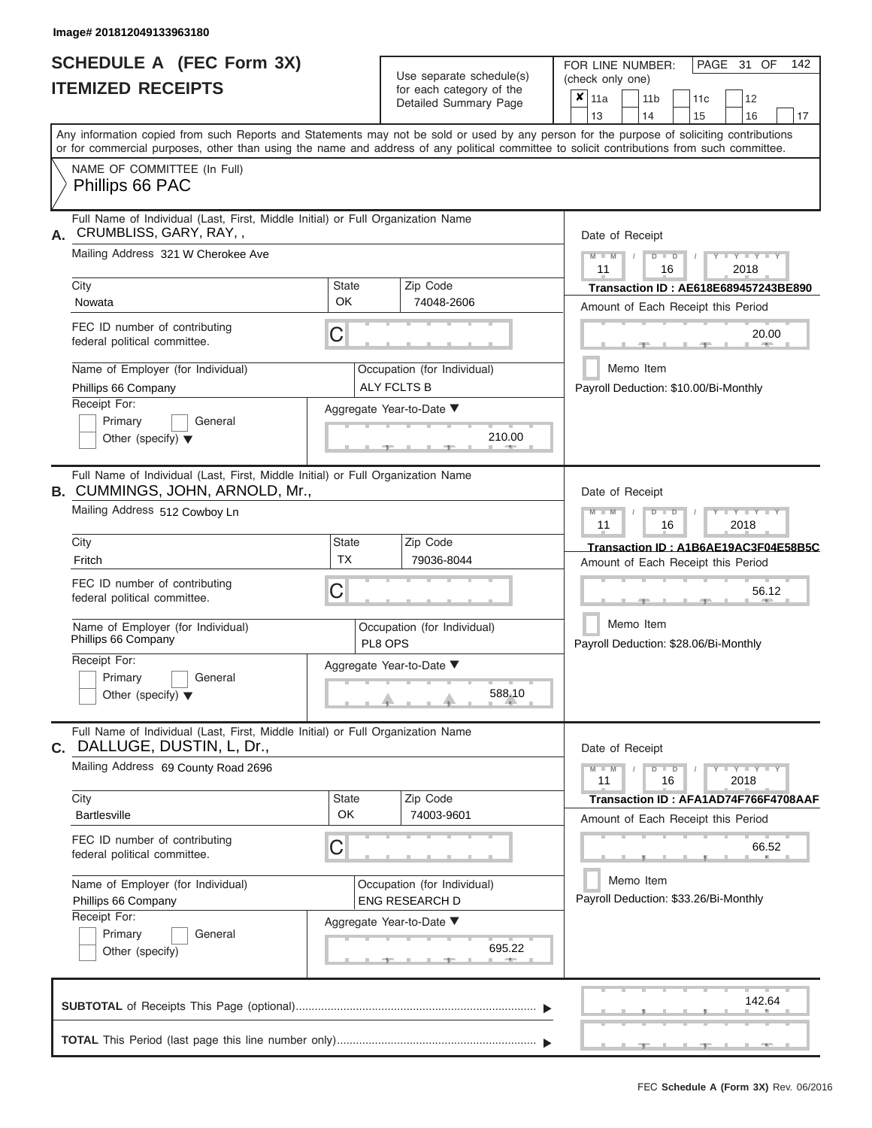|                          | <b>SCHEDULE A (FEC Form 3X)</b> |
|--------------------------|---------------------------------|
| <b>ITEMIZED RECEIPTS</b> |                                 |

Use separate schedule(s) (check only one) for each category of the  $\sqrt{\frac{1}{12}}$ 

FOR LINE NUMBER:<br>(check only one)

PAGE 31 OF 142

|      | IIEMIZED RECEIPIS                                                                                                                                                                                                                                                                       |                                    |                        | for each category of the<br>Detailed Summary Page                          | X                                                                          | 11a<br>13                                          |                                                                          | 11 <sub>b</sub><br>14 |              | 11c<br>15                             |       | 12<br>16            | 17 |
|------|-----------------------------------------------------------------------------------------------------------------------------------------------------------------------------------------------------------------------------------------------------------------------------------------|------------------------------------|------------------------|----------------------------------------------------------------------------|----------------------------------------------------------------------------|----------------------------------------------------|--------------------------------------------------------------------------|-----------------------|--------------|---------------------------------------|-------|---------------------|----|
|      | Any information copied from such Reports and Statements may not be sold or used by any person for the purpose of soliciting contributions<br>or for commercial purposes, other than using the name and address of any political committee to solicit contributions from such committee. |                                    |                        |                                                                            |                                                                            |                                                    |                                                                          |                       |              |                                       |       |                     |    |
|      | NAME OF COMMITTEE (In Full)<br>Phillips 66 PAC                                                                                                                                                                                                                                          |                                    |                        |                                                                            |                                                                            |                                                    |                                                                          |                       |              |                                       |       |                     |    |
| А.   | Full Name of Individual (Last, First, Middle Initial) or Full Organization Name<br>CRUMBLISS, GARY, RAY,,<br>Mailing Address 321 W Cherokee Ave                                                                                                                                         |                                    |                        |                                                                            |                                                                            |                                                    | Date of Receipt<br>Y L Y L<br>$M - M$<br>$\Box$<br>D<br>2018<br>11<br>16 |                       |              |                                       |       |                     |    |
| City |                                                                                                                                                                                                                                                                                         | <b>State</b><br>Zip Code<br>OK     |                        |                                                                            |                                                                            | Transaction ID: AE618E689457243BE890               |                                                                          |                       |              |                                       |       |                     |    |
|      | Nowata<br>FEC ID number of contributing<br>federal political committee.                                                                                                                                                                                                                 | C                                  |                        | 74048-2606                                                                 |                                                                            |                                                    |                                                                          |                       |              | Amount of Each Receipt this Period    |       | 20.00               |    |
|      | Name of Employer (for Individual)<br>Phillips 66 Company<br>Receipt For:<br>Primary<br>General<br>Other (specify) $\blacktriangledown$                                                                                                                                                  | Aggregate Year-to-Date ▼           |                        | Occupation (for Individual)<br><b>ALY FCLTS B</b><br>210.00                |                                                                            |                                                    | Memo Item                                                                |                       |              | Payroll Deduction: \$10.00/Bi-Monthly |       |                     |    |
|      | Full Name of Individual (Last, First, Middle Initial) or Full Organization Name<br><b>B. CUMMINGS, JOHN, ARNOLD, Mr.,</b><br>Mailing Address 512 Cowboy Ln                                                                                                                              |                                    |                        |                                                                            |                                                                            | Date of Receipt                                    |                                                                          |                       |              |                                       |       |                     |    |
|      |                                                                                                                                                                                                                                                                                         |                                    |                        |                                                                            |                                                                            | <b>TEXT LEXITE</b><br>$\Box$<br>11<br>16<br>2018   |                                                                          |                       |              |                                       |       |                     |    |
| City | Fritch                                                                                                                                                                                                                                                                                  | <b>State</b><br><b>TX</b>          | Zip Code<br>79036-8044 | Transaction ID: A1B6AE19AC3F04E58B5C<br>Amount of Each Receipt this Period |                                                                            |                                                    |                                                                          |                       |              |                                       |       |                     |    |
|      | FEC ID number of contributing<br>C<br>federal political committee.                                                                                                                                                                                                                      |                                    |                        |                                                                            |                                                                            |                                                    |                                                                          |                       |              |                                       |       | 56.12               |    |
|      | Name of Employer (for Individual)<br>Phillips 66 Company                                                                                                                                                                                                                                |                                    | PL8 OPS                | Occupation (for Individual)                                                | Memo Item<br>Payroll Deduction: \$28.06/Bi-Monthly                         |                                                    |                                                                          |                       |              |                                       |       |                     |    |
|      | Receipt For:<br>Primary<br>General<br>Other (specify) $\blacktriangledown$                                                                                                                                                                                                              | Aggregate Year-to-Date ▼<br>588.10 |                        |                                                                            |                                                                            |                                                    |                                                                          |                       |              |                                       |       |                     |    |
| С.   | Full Name of Individual (Last, First, Middle Initial) or Full Organization Name<br>DALLUGE, DUSTIN, L, Dr.,                                                                                                                                                                             |                                    |                        |                                                                            |                                                                            | Date of Receipt                                    |                                                                          |                       |              |                                       |       |                     |    |
|      | Mailing Address 69 County Road 2696                                                                                                                                                                                                                                                     |                                    |                        |                                                                            |                                                                            |                                                    | $M - M$                                                                  | $\overline{D}$        | $\Box$<br>16 |                                       |       | $Y = Y = Y$<br>2018 |    |
| City | <b>Bartlesville</b>                                                                                                                                                                                                                                                                     | <b>State</b><br>OK                 |                        | Zip Code<br>74003-9601                                                     | Transaction ID: AFA1AD74F766F4708AAF<br>Amount of Each Receipt this Period |                                                    |                                                                          |                       |              |                                       |       |                     |    |
|      | FEC ID number of contributing<br>federal political committee.                                                                                                                                                                                                                           | С                                  |                        |                                                                            |                                                                            |                                                    |                                                                          |                       |              |                                       | 66.52 |                     |    |
|      | Name of Employer (for Individual)<br>Phillips 66 Company                                                                                                                                                                                                                                |                                    |                        | Occupation (for Individual)<br><b>ENG RESEARCH D</b>                       |                                                                            | Memo Item<br>Payroll Deduction: \$33.26/Bi-Monthly |                                                                          |                       |              |                                       |       |                     |    |
|      | Receipt For:<br>Primary<br>General<br>Other (specify)                                                                                                                                                                                                                                   | Aggregate Year-to-Date ▼<br>695.22 |                        |                                                                            |                                                                            |                                                    |                                                                          |                       |              |                                       |       |                     |    |
|      |                                                                                                                                                                                                                                                                                         |                                    |                        |                                                                            |                                                                            |                                                    |                                                                          |                       |              |                                       |       | 142.64              |    |
|      |                                                                                                                                                                                                                                                                                         |                                    |                        |                                                                            |                                                                            |                                                    |                                                                          |                       |              |                                       |       |                     |    |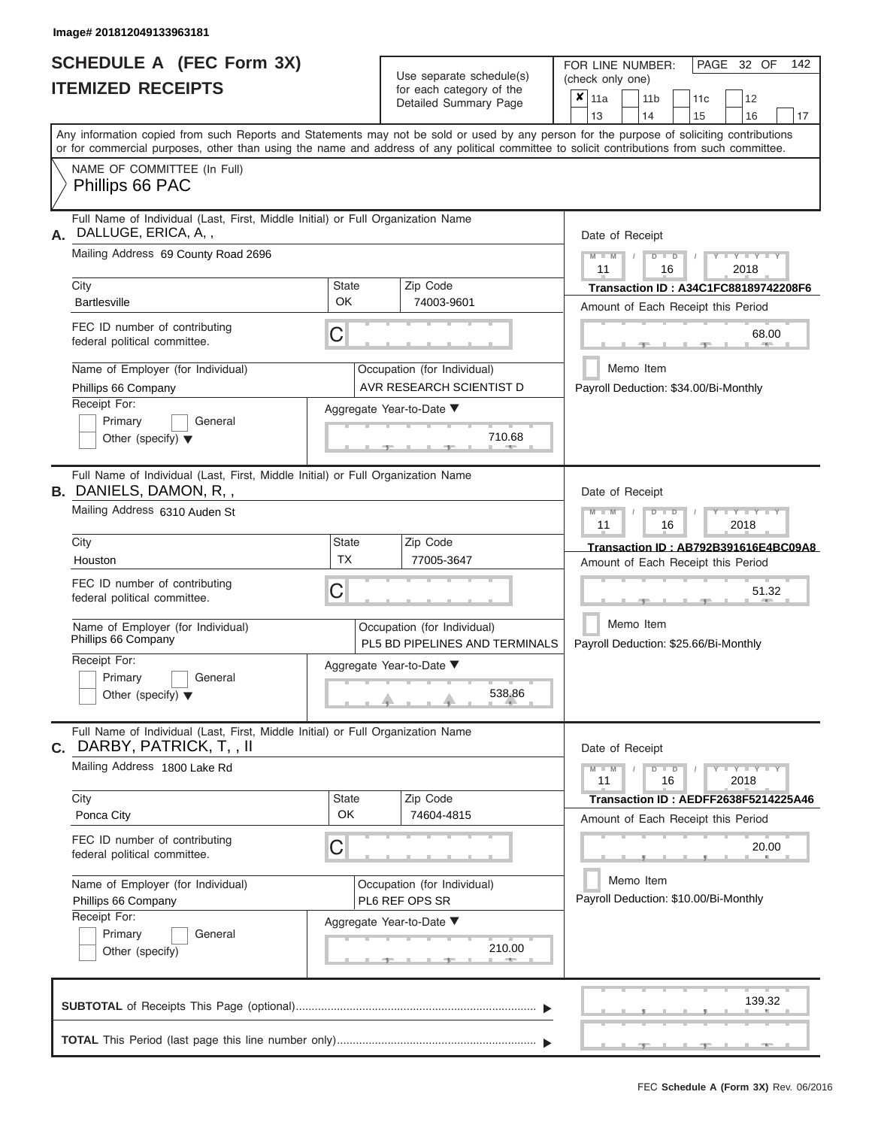| <b>SCHEDULE A (FEC Form 3X)</b> |  |  |
|---------------------------------|--|--|
| <b>ITEMIZED RECEIPTS</b>        |  |  |

Use separate schedule(s)<br>for each category of the

FOR LINE NUMBER:

PAGE 32 OF 142

|                                                                                                                  | Use separate schedule(s)                                                 |                                                               | (check only one)                                                                                                                                                                                                                                                                        |
|------------------------------------------------------------------------------------------------------------------|--------------------------------------------------------------------------|---------------------------------------------------------------|-----------------------------------------------------------------------------------------------------------------------------------------------------------------------------------------------------------------------------------------------------------------------------------------|
| <b>ITEMIZED RECEIPTS</b>                                                                                         |                                                                          | for each category of the<br>Detailed Summary Page             | $x _{11a}$<br>12<br>11 <sub>b</sub><br>11c<br>13<br>15<br>17<br>14<br>16                                                                                                                                                                                                                |
|                                                                                                                  |                                                                          |                                                               | Any information copied from such Reports and Statements may not be sold or used by any person for the purpose of soliciting contributions<br>or for commercial purposes, other than using the name and address of any political committee to solicit contributions from such committee. |
| NAME OF COMMITTEE (In Full)<br>Phillips 66 PAC                                                                   |                                                                          |                                                               |                                                                                                                                                                                                                                                                                         |
| Full Name of Individual (Last, First, Middle Initial) or Full Organization Name<br>DALLUGE, ERICA, A,,<br>А.     |                                                                          |                                                               | Date of Receipt                                                                                                                                                                                                                                                                         |
| Mailing Address 69 County Road 2696                                                                              |                                                                          |                                                               | $Y - Y - Y$<br>$M - M$<br>$D$ $D$<br>11<br>16<br>2018                                                                                                                                                                                                                                   |
| City<br><b>Bartlesville</b>                                                                                      | <b>State</b><br>OK                                                       | Zip Code<br>74003-9601                                        | Transaction ID: A34C1FC88189742208F6<br>Amount of Each Receipt this Period                                                                                                                                                                                                              |
| FEC ID number of contributing<br>federal political committee.                                                    | C                                                                        |                                                               | 68.00                                                                                                                                                                                                                                                                                   |
| Name of Employer (for Individual)<br>Phillips 66 Company                                                         |                                                                          | Occupation (for Individual)<br>AVR RESEARCH SCIENTIST D       | Memo Item<br>Payroll Deduction: \$34.00/Bi-Monthly                                                                                                                                                                                                                                      |
| Receipt For:<br>Primary<br>General<br>Other (specify) $\blacktriangledown$                                       |                                                                          | Aggregate Year-to-Date ▼<br>710.68                            |                                                                                                                                                                                                                                                                                         |
| Full Name of Individual (Last, First, Middle Initial) or Full Organization Name<br><b>B.</b> DANIELS, DAMON, R,, | Date of Receipt                                                          |                                                               |                                                                                                                                                                                                                                                                                         |
| Mailing Address 6310 Auden St                                                                                    | $M - M$<br>$T - Y = T - Y = T - Y$<br>$D$ $\Box$ $D$<br>11<br>16<br>2018 |                                                               |                                                                                                                                                                                                                                                                                         |
| City<br>Houston                                                                                                  | State<br><b>TX</b>                                                       | Zip Code<br>77005-3647                                        | Transaction ID: AB792B391616E4BC09A8<br>Amount of Each Receipt this Period                                                                                                                                                                                                              |
| FEC ID number of contributing<br>federal political committee.                                                    | C                                                                        |                                                               |                                                                                                                                                                                                                                                                                         |
| Name of Employer (for Individual)<br>Phillips 66 Company                                                         |                                                                          | Occupation (for Individual)<br>PL5 BD PIPELINES AND TERMINALS | Memo Item<br>Payroll Deduction: \$25.66/Bi-Monthly                                                                                                                                                                                                                                      |
| Receipt For:<br>Primary<br>General<br>Other (specify) $\blacktriangledown$                                       |                                                                          | Aggregate Year-to-Date ▼<br>538.86                            |                                                                                                                                                                                                                                                                                         |
| Full Name of Individual (Last, First, Middle Initial) or Full Organization Name<br>C. DARBY, PATRICK, T, , II    |                                                                          |                                                               | Date of Receipt                                                                                                                                                                                                                                                                         |
| Mailing Address 1800 Lake Rd                                                                                     |                                                                          |                                                               | $Y - Y - Y - Y - Y$<br>$M - M$<br>$D$ $D$<br>11<br>16<br>2018                                                                                                                                                                                                                           |
| City<br>Ponca City                                                                                               | <b>State</b><br>OK                                                       | Zip Code<br>74604-4815                                        | Transaction ID: AEDFF2638F5214225A46<br>Amount of Each Receipt this Period                                                                                                                                                                                                              |
| FEC ID number of contributing<br>federal political committee.                                                    | C                                                                        |                                                               | 20.00                                                                                                                                                                                                                                                                                   |
| Name of Employer (for Individual)<br>Phillips 66 Company                                                         |                                                                          | Occupation (for Individual)<br>PL6 REF OPS SR                 | Memo Item<br>Payroll Deduction: \$10.00/Bi-Monthly                                                                                                                                                                                                                                      |
| Receipt For:<br>Primary<br>General<br>Other (specify)                                                            |                                                                          | Aggregate Year-to-Date ▼<br>210.00<br><b>ARTISE</b>           |                                                                                                                                                                                                                                                                                         |
|                                                                                                                  |                                                                          |                                                               | 139.32                                                                                                                                                                                                                                                                                  |
|                                                                                                                  |                                                                          |                                                               |                                                                                                                                                                                                                                                                                         |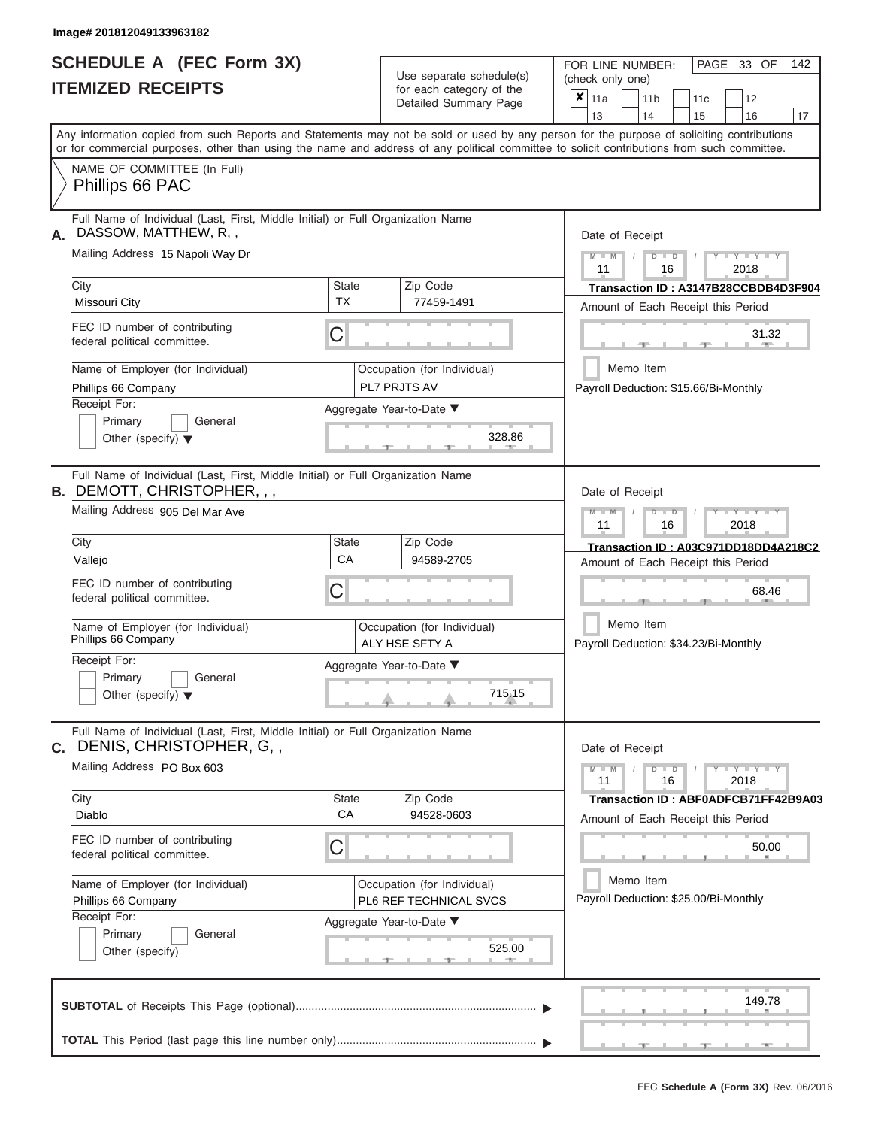|                          | <b>SCHEDULE A (FEC Form 3X)</b> |
|--------------------------|---------------------------------|
| <b>ITEMIZED RECEIPTS</b> |                                 |

| SCHEDULE A (FEC Form 3X)<br><b>ITEMIZED RECEIPTS</b>                                                                                                                                                                                                                                                                                                                                                             | Use separate schedule(s)<br>for each category of the<br>Detailed Summary Page                                         | 142<br>FOR LINE NUMBER:<br>PAGE 33 OF<br>(check only one)<br>$\overline{\mathbf{x}}$   11a<br>11 <sub>b</sub><br>12<br>11c                                                                                                                                                                                                                    |
|------------------------------------------------------------------------------------------------------------------------------------------------------------------------------------------------------------------------------------------------------------------------------------------------------------------------------------------------------------------------------------------------------------------|-----------------------------------------------------------------------------------------------------------------------|-----------------------------------------------------------------------------------------------------------------------------------------------------------------------------------------------------------------------------------------------------------------------------------------------------------------------------------------------|
| Any information copied from such Reports and Statements may not be sold or used by any person for the purpose of soliciting contributions<br>or for commercial purposes, other than using the name and address of any political committee to solicit contributions from such committee.                                                                                                                          |                                                                                                                       | 13<br>14<br>15<br>16<br>17                                                                                                                                                                                                                                                                                                                    |
| NAME OF COMMITTEE (In Full)<br>Phillips 66 PAC                                                                                                                                                                                                                                                                                                                                                                   |                                                                                                                       |                                                                                                                                                                                                                                                                                                                                               |
| Full Name of Individual (Last, First, Middle Initial) or Full Organization Name<br>DASSOW, MATTHEW, R,,<br>А.<br>Mailing Address 15 Napoli Way Dr<br>City<br>State<br><b>TX</b><br>Missouri City<br>FEC ID number of contributing<br>С<br>federal political committee.<br>Name of Employer (for Individual)<br>Phillips 66 Company<br>Receipt For:<br>Primary<br>General<br>Other (specify) $\blacktriangledown$ | Zip Code<br>77459-1491<br>Occupation (for Individual)<br><b>PL7 PRJTS AV</b><br>Aggregate Year-to-Date ▼<br>328.86    | Date of Receipt<br>$Y = Y = Y$<br>$M - M$<br>$D$ $D$<br>11<br>16<br>2018<br>Transaction ID: A3147B28CCBDB4D3F904<br>Amount of Each Receipt this Period<br>31.32<br><b>AND A</b><br>Memo Item<br>Payroll Deduction: \$15.66/Bi-Monthly                                                                                                         |
| Full Name of Individual (Last, First, Middle Initial) or Full Organization Name<br><b>B. DEMOTT, CHRISTOPHER, , ,</b><br>Mailing Address 905 Del Mar Ave<br>City<br>State<br>CA<br>Vallejo<br>FEC ID number of contributing<br>С<br>federal political committee.<br>Name of Employer (for Individual)<br>Phillips 66 Company<br>Receipt For:<br>Primary<br>General<br>Other (specify) $\blacktriangledown$       | Zip Code<br>94589-2705<br>Occupation (for Individual)<br>ALY HSE SFTY A<br>Aggregate Year-to-Date ▼<br>715.15         | Date of Receipt<br>$M - M$<br>$D$ $D$<br>$\blacksquare \blacksquare \blacksquare \blacksquare \blacksquare \blacksquare \blacksquare \blacksquare \blacksquare \blacksquare$<br>11<br>2018<br>16<br>Transaction ID: A03C971DD18DD4A218C2<br>Amount of Each Receipt this Period<br>68.46<br>Memo Item<br>Payroll Deduction: \$34.23/Bi-Monthly |
| Full Name of Individual (Last, First, Middle Initial) or Full Organization Name<br><b>c.</b> DENIS, CHRISTOPHER, G, ,<br>Mailing Address PO Box 603<br>City<br>State<br>CA<br>Diablo<br>FEC ID number of contributing<br>С<br>federal political committee.<br>Name of Employer (for Individual)<br>Phillips 66 Company<br>Receipt For:<br>Primary<br>General<br>Other (specify)                                  | Zip Code<br>94528-0603<br>Occupation (for Individual)<br>PL6 REF TECHNICAL SVCS<br>Aggregate Year-to-Date ▼<br>525.00 | Date of Receipt<br>$M - M$<br>$Y - Y - Y - Y - Y$<br>$D$ $D$<br>11<br>16<br>2018<br>Transaction ID: ABF0ADFCB71FF42B9A03<br>Amount of Each Receipt this Period<br>50.00<br>Memo Item<br>Payroll Deduction: \$25.00/Bi-Monthly                                                                                                                 |
|                                                                                                                                                                                                                                                                                                                                                                                                                  |                                                                                                                       | 149.78<br>$-1$<br>$-1$                                                                                                                                                                                                                                                                                                                        |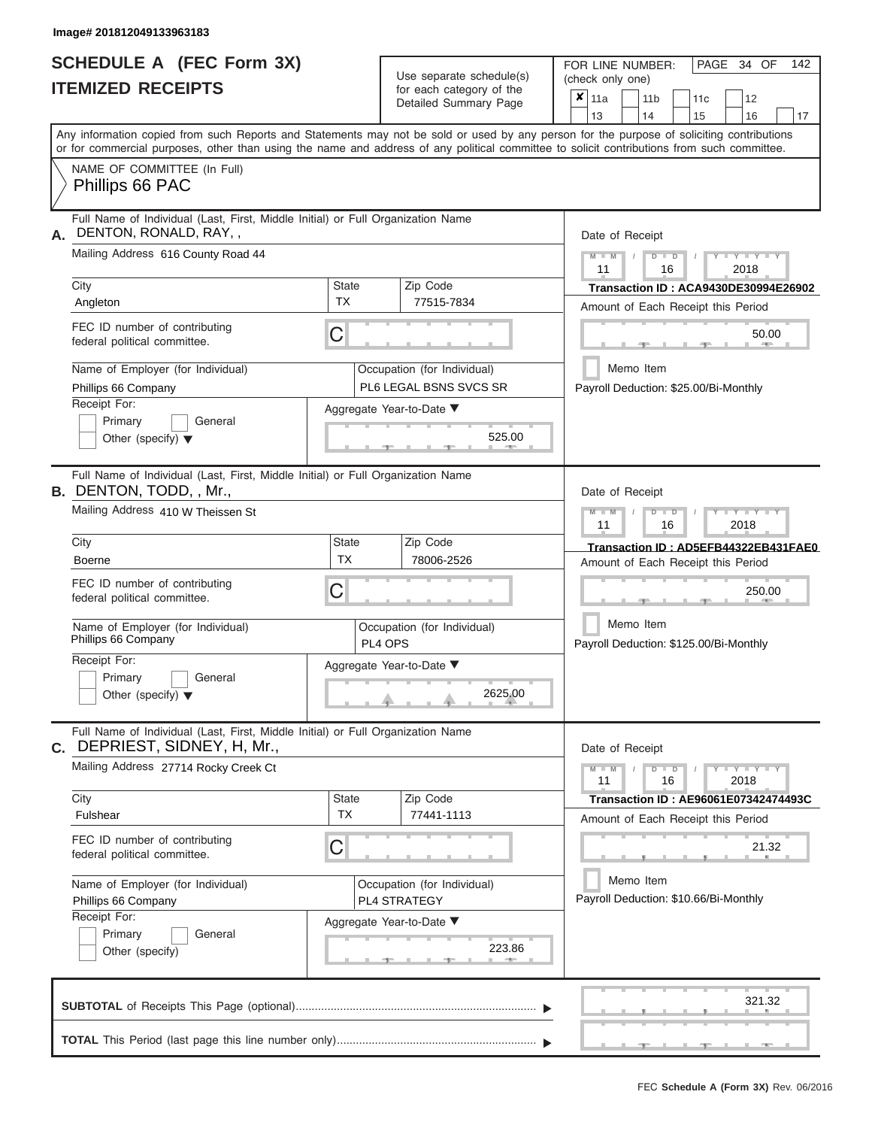# **SCHEDULE A (FEC Form 3X)**

| SCHEDULE A (FEC Form 3X)<br><b>ITEMIZED RECEIPTS</b>                                                                                                                                                                                                                                    |                                                                                                                                            | Use separate schedule(s)<br>for each category of the<br>Detailed Summary Page | 142<br>FOR LINE NUMBER:<br>PAGE 34 OF<br>(check only one)<br>$\overline{\mathbf{x}}$   11a<br>11 <sub>b</sub><br>12<br>11 <sub>c</sub> |  |  |
|-----------------------------------------------------------------------------------------------------------------------------------------------------------------------------------------------------------------------------------------------------------------------------------------|--------------------------------------------------------------------------------------------------------------------------------------------|-------------------------------------------------------------------------------|----------------------------------------------------------------------------------------------------------------------------------------|--|--|
|                                                                                                                                                                                                                                                                                         |                                                                                                                                            |                                                                               | 13<br>14<br>15<br>16<br>17                                                                                                             |  |  |
| Any information copied from such Reports and Statements may not be sold or used by any person for the purpose of soliciting contributions<br>or for commercial purposes, other than using the name and address of any political committee to solicit contributions from such committee. |                                                                                                                                            |                                                                               |                                                                                                                                        |  |  |
| NAME OF COMMITTEE (In Full)<br>Phillips 66 PAC                                                                                                                                                                                                                                          |                                                                                                                                            |                                                                               |                                                                                                                                        |  |  |
| DENTON, RONALD, RAY,<br>А.<br>Mailing Address 616 County Road 44                                                                                                                                                                                                                        | Full Name of Individual (Last, First, Middle Initial) or Full Organization Name                                                            |                                                                               |                                                                                                                                        |  |  |
| City                                                                                                                                                                                                                                                                                    | <b>State</b>                                                                                                                               | 11<br>2018<br>16<br><b>Transaction ID: ACA9430DE30994E26902</b>               |                                                                                                                                        |  |  |
| Angleton                                                                                                                                                                                                                                                                                | <b>TX</b>                                                                                                                                  | 77515-7834                                                                    | Amount of Each Receipt this Period                                                                                                     |  |  |
| federal political committee.                                                                                                                                                                                                                                                            | FEC ID number of contributing<br>С                                                                                                         |                                                                               |                                                                                                                                        |  |  |
| Name of Employer (for Individual)<br>Phillips 66 Company                                                                                                                                                                                                                                |                                                                                                                                            | Occupation (for Individual)<br>PL6 LEGAL BSNS SVCS SR                         | Memo Item<br>Payroll Deduction: \$25.00/Bi-Monthly                                                                                     |  |  |
| Receipt For:<br>Primary<br>General<br>Other (specify) $\blacktriangledown$                                                                                                                                                                                                              |                                                                                                                                            | Aggregate Year-to-Date ▼<br>525.00                                            |                                                                                                                                        |  |  |
| <b>B.</b> DENTON, TODD, , Mr.,                                                                                                                                                                                                                                                          | Full Name of Individual (Last, First, Middle Initial) or Full Organization Name                                                            |                                                                               |                                                                                                                                        |  |  |
| Mailing Address 410 W Theissen St                                                                                                                                                                                                                                                       | $M - M$<br>$D$ $\Box$ $D$<br>$\blacksquare$ $\blacksquare$ $\blacksquare$ $\blacksquare$ $\blacksquare$ $\blacksquare$<br>11<br>2018<br>16 |                                                                               |                                                                                                                                        |  |  |
| City                                                                                                                                                                                                                                                                                    | <b>State</b>                                                                                                                               | Zip Code                                                                      | Transaction ID: AD5EFB44322EB431FAE0                                                                                                   |  |  |
| <b>Boerne</b>                                                                                                                                                                                                                                                                           | <b>TX</b>                                                                                                                                  | 78006-2526                                                                    | Amount of Each Receipt this Period                                                                                                     |  |  |
| FEC ID number of contributing<br>federal political committee.                                                                                                                                                                                                                           | С                                                                                                                                          |                                                                               | 250.00                                                                                                                                 |  |  |
| Name of Employer (for Individual)<br>Phillips 66 Company                                                                                                                                                                                                                                |                                                                                                                                            | Occupation (for Individual)<br>PL4 OPS                                        | Memo Item<br>Payroll Deduction: \$125.00/Bi-Monthly                                                                                    |  |  |
| Receipt For:                                                                                                                                                                                                                                                                            |                                                                                                                                            | Aggregate Year-to-Date ▼                                                      |                                                                                                                                        |  |  |
| Primary<br>General<br>Other (specify) $\blacktriangledown$                                                                                                                                                                                                                              |                                                                                                                                            | 2625.00                                                                       |                                                                                                                                        |  |  |
| C. DEPRIEST, SIDNEY, H, Mr.,                                                                                                                                                                                                                                                            | Full Name of Individual (Last, First, Middle Initial) or Full Organization Name                                                            |                                                                               |                                                                                                                                        |  |  |
| Mailing Address 27714 Rocky Creek Ct                                                                                                                                                                                                                                                    |                                                                                                                                            |                                                                               | $Y - Y - Y - Y - Y$<br>$M - M$<br>$D$ $D$<br>11<br>16<br>2018                                                                          |  |  |
| City<br>Fulshear                                                                                                                                                                                                                                                                        | <b>State</b><br><b>TX</b>                                                                                                                  | Zip Code<br>77441-1113                                                        | Transaction ID: AE96061E07342474493C<br>Amount of Each Receipt this Period                                                             |  |  |
| FEC ID number of contributing<br>federal political committee.                                                                                                                                                                                                                           | С                                                                                                                                          |                                                                               | 21.32                                                                                                                                  |  |  |
| Name of Employer (for Individual)<br>Phillips 66 Company                                                                                                                                                                                                                                |                                                                                                                                            | Occupation (for Individual)<br>PL4 STRATEGY                                   | Memo Item<br>Payroll Deduction: \$10.66/Bi-Monthly                                                                                     |  |  |
| Receipt For:<br>Primary<br>General<br>Other (specify)                                                                                                                                                                                                                                   |                                                                                                                                            | Aggregate Year-to-Date ▼<br>223.86                                            |                                                                                                                                        |  |  |
|                                                                                                                                                                                                                                                                                         |                                                                                                                                            |                                                                               | 321.32                                                                                                                                 |  |  |
|                                                                                                                                                                                                                                                                                         |                                                                                                                                            |                                                                               | $-40-$                                                                                                                                 |  |  |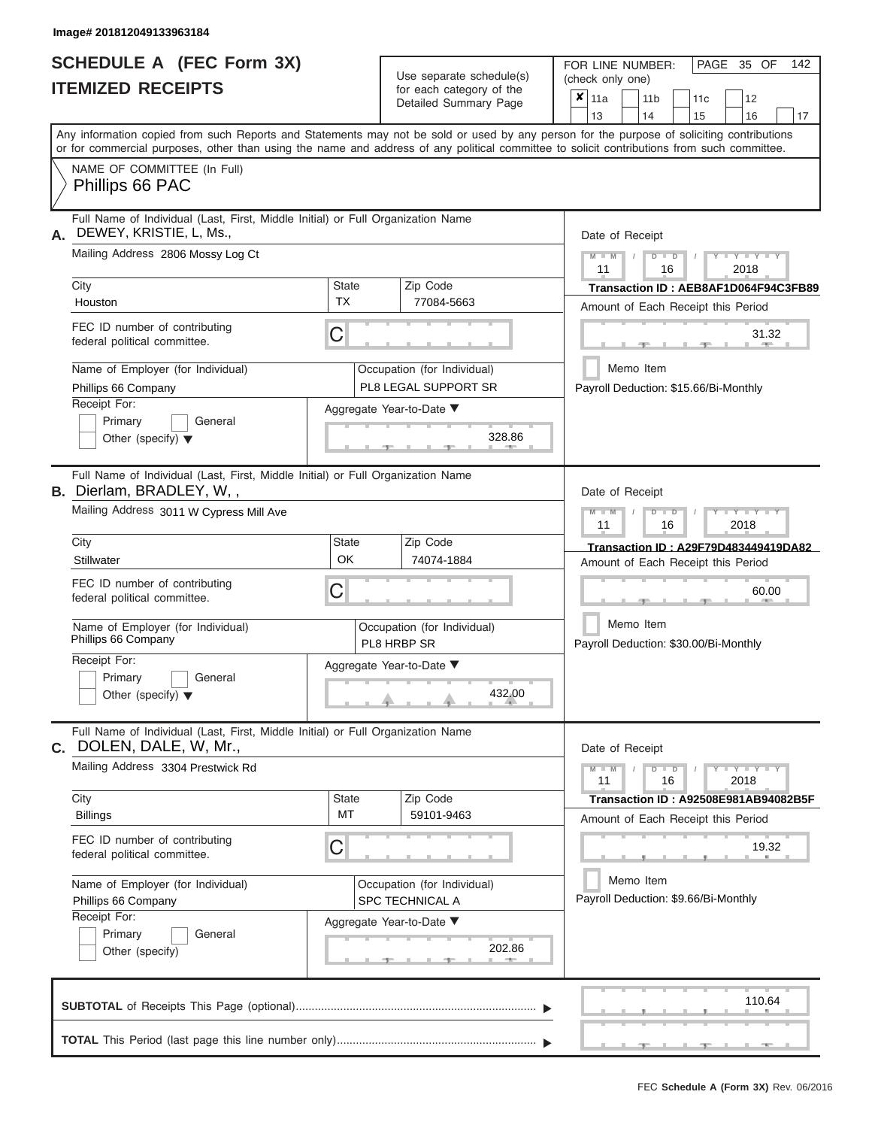|                          | <b>SCHEDULE A (FEC Form 3X)</b> |
|--------------------------|---------------------------------|
| <b>ITEMIZED RECEIPTS</b> |                                 |

Use separate schedule(s)<br>for each category of the

FOR LINE NUMBER:

PAGE 35 OF 142

| <b>ITEMIZED RECEIPTS</b>                                                                                   |                                                                                 | Use separate schedule(s)<br>for each category of the     | (check only one)                                                                                                                                                                                                                                                                        |  |  |  |  |
|------------------------------------------------------------------------------------------------------------|---------------------------------------------------------------------------------|----------------------------------------------------------|-----------------------------------------------------------------------------------------------------------------------------------------------------------------------------------------------------------------------------------------------------------------------------------------|--|--|--|--|
|                                                                                                            |                                                                                 | Detailed Summary Page                                    | $x \mid_{11a}$<br>11 <sub>b</sub><br>11c<br>12<br>13<br>14<br>15<br>16<br>17                                                                                                                                                                                                            |  |  |  |  |
|                                                                                                            |                                                                                 |                                                          | Any information copied from such Reports and Statements may not be sold or used by any person for the purpose of soliciting contributions<br>or for commercial purposes, other than using the name and address of any political committee to solicit contributions from such committee. |  |  |  |  |
| NAME OF COMMITTEE (In Full)<br>Phillips 66 PAC                                                             |                                                                                 |                                                          |                                                                                                                                                                                                                                                                                         |  |  |  |  |
| DEWEY, KRISTIE, L, Ms.,<br>А.                                                                              | Full Name of Individual (Last, First, Middle Initial) or Full Organization Name |                                                          |                                                                                                                                                                                                                                                                                         |  |  |  |  |
| Mailing Address 2806 Mossy Log Ct                                                                          |                                                                                 |                                                          |                                                                                                                                                                                                                                                                                         |  |  |  |  |
| City<br>Houston                                                                                            | <b>State</b><br><b>TX</b>                                                       | Zip Code<br>77084-5663                                   | Transaction ID: AEB8AF1D064F94C3FB89<br>Amount of Each Receipt this Period                                                                                                                                                                                                              |  |  |  |  |
| FEC ID number of contributing<br>federal political committee.                                              | C                                                                               |                                                          | 31.32                                                                                                                                                                                                                                                                                   |  |  |  |  |
| Name of Employer (for Individual)<br>Phillips 66 Company                                                   |                                                                                 | Occupation (for Individual)<br>PL8 LEGAL SUPPORT SR      | Memo Item<br>Payroll Deduction: \$15.66/Bi-Monthly                                                                                                                                                                                                                                      |  |  |  |  |
| Receipt For:<br>Primary<br>General<br>Other (specify) $\blacktriangledown$                                 |                                                                                 | Aggregate Year-to-Date ▼<br>328.86                       |                                                                                                                                                                                                                                                                                         |  |  |  |  |
| <b>B.</b> Dierlam, BRADLEY, W,,                                                                            | Full Name of Individual (Last, First, Middle Initial) or Full Organization Name |                                                          |                                                                                                                                                                                                                                                                                         |  |  |  |  |
| Mailing Address 3011 W Cypress Mill Ave<br>City                                                            | <b>State</b>                                                                    | Zip Code                                                 | $M - M$<br>$T - Y = T - Y = T$<br>$\Box$<br>ъ<br>11<br>16<br>2018                                                                                                                                                                                                                       |  |  |  |  |
| Stillwater                                                                                                 | OK                                                                              | 74074-1884                                               | Transaction ID: A29F79D483449419DA82<br>Amount of Each Receipt this Period                                                                                                                                                                                                              |  |  |  |  |
| FEC ID number of contributing<br>federal political committee.                                              | C                                                                               |                                                          | 60.00                                                                                                                                                                                                                                                                                   |  |  |  |  |
| Name of Employer (for Individual)<br>Phillips 66 Company                                                   |                                                                                 | Occupation (for Individual)<br>PL8 HRBP SR               | Memo Item<br>Payroll Deduction: \$30.00/Bi-Monthly                                                                                                                                                                                                                                      |  |  |  |  |
| Receipt For:<br>Primary<br>General<br>Other (specify) $\blacktriangledown$                                 |                                                                                 | Aggregate Year-to-Date ▼<br>432.00                       |                                                                                                                                                                                                                                                                                         |  |  |  |  |
| Full Name of Individual (Last, First, Middle Initial) or Full Organization Name<br>C. DOLEN, DALE, W, Mr., |                                                                                 |                                                          | Date of Receipt                                                                                                                                                                                                                                                                         |  |  |  |  |
| Mailing Address 3304 Prestwick Rd                                                                          |                                                                                 |                                                          |                                                                                                                                                                                                                                                                                         |  |  |  |  |
| City<br><b>Billings</b>                                                                                    | State<br>MT                                                                     | Zip Code<br>59101-9463                                   | <b>Transaction ID: A92508E981AB94082B5F</b><br>Amount of Each Receipt this Period                                                                                                                                                                                                       |  |  |  |  |
| FEC ID number of contributing<br>federal political committee.                                              | C                                                                               |                                                          | 19.32                                                                                                                                                                                                                                                                                   |  |  |  |  |
| Name of Employer (for Individual)<br>Phillips 66 Company                                                   |                                                                                 | Occupation (for Individual)<br>SPC TECHNICAL A           | Memo Item<br>Payroll Deduction: \$9.66/Bi-Monthly                                                                                                                                                                                                                                       |  |  |  |  |
| Receipt For:<br>Primary<br>General<br>Other (specify)                                                      |                                                                                 | Aggregate Year-to-Date ▼<br>202.86<br><b>All Control</b> |                                                                                                                                                                                                                                                                                         |  |  |  |  |
|                                                                                                            |                                                                                 |                                                          | 110.64                                                                                                                                                                                                                                                                                  |  |  |  |  |
|                                                                                                            |                                                                                 |                                                          |                                                                                                                                                                                                                                                                                         |  |  |  |  |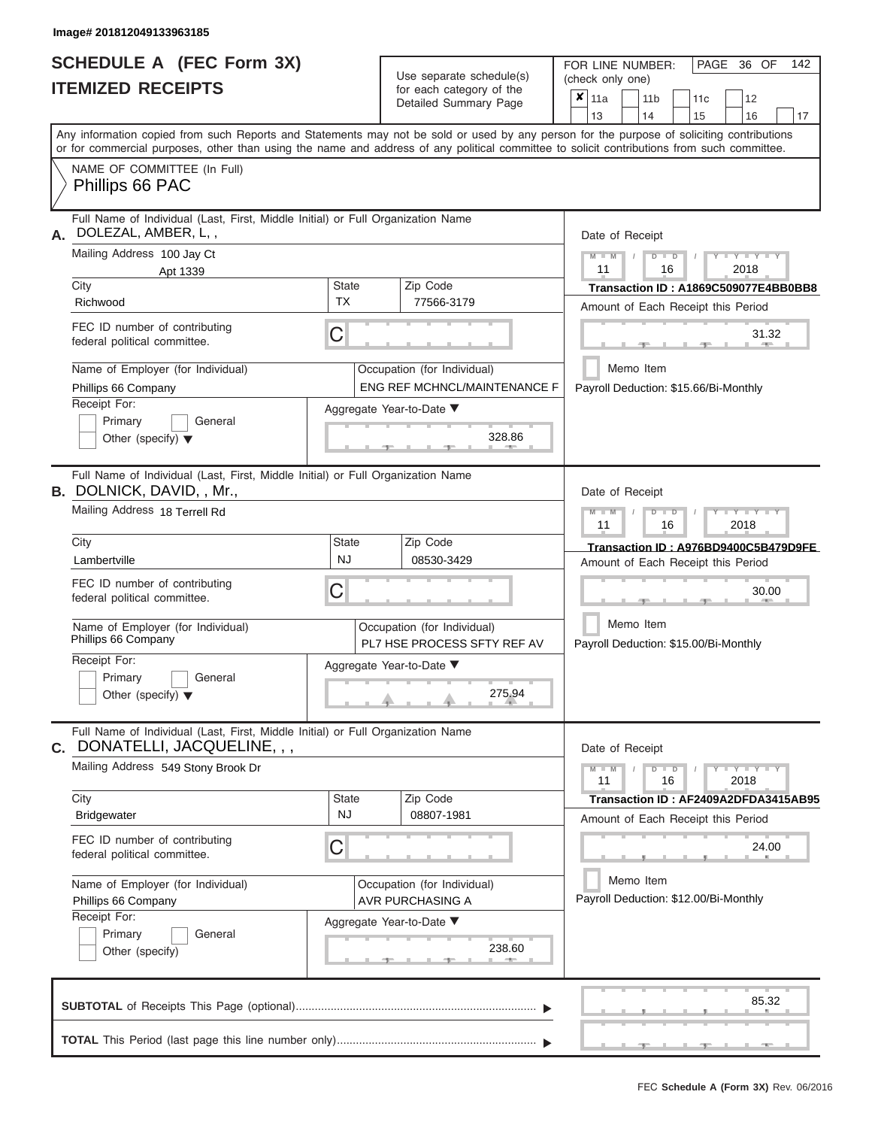# **SCHEDULE A (FEC Form 3X)**

|    | SCHEDULE A (FEC Form 3X)<br><b>ITEMIZED RECEIPTS</b>                                                                                                                                                                                                                                    |                                                                             | Use separate schedule(s)<br>for each category of the<br>Detailed Summary Page | 142<br>FOR LINE NUMBER:<br>PAGE 36 OF<br>(check only one)<br>$\overline{\mathbf{x}}$   11a<br>11 <sub>b</sub><br>12<br>11c                                                   |  |  |  |  |
|----|-----------------------------------------------------------------------------------------------------------------------------------------------------------------------------------------------------------------------------------------------------------------------------------------|-----------------------------------------------------------------------------|-------------------------------------------------------------------------------|------------------------------------------------------------------------------------------------------------------------------------------------------------------------------|--|--|--|--|
|    |                                                                                                                                                                                                                                                                                         |                                                                             |                                                                               | 13<br>14<br>15<br>16<br>17                                                                                                                                                   |  |  |  |  |
|    | Any information copied from such Reports and Statements may not be sold or used by any person for the purpose of soliciting contributions<br>or for commercial purposes, other than using the name and address of any political committee to solicit contributions from such committee. |                                                                             |                                                                               |                                                                                                                                                                              |  |  |  |  |
|    | NAME OF COMMITTEE (In Full)<br>Phillips 66 PAC                                                                                                                                                                                                                                          |                                                                             |                                                                               |                                                                                                                                                                              |  |  |  |  |
| А. | Full Name of Individual (Last, First, Middle Initial) or Full Organization Name<br>DOLEZAL, AMBER, L,,<br>Mailing Address 100 Jay Ct<br>Apt 1339                                                                                                                                        | Date of Receipt<br>$M = M$ /<br>$+Y + Y + Y$<br>$D$ $D$<br>11<br>2018<br>16 |                                                                               |                                                                                                                                                                              |  |  |  |  |
|    | City<br>Richwood                                                                                                                                                                                                                                                                        | <b>State</b><br><b>TX</b>                                                   | Zip Code<br>77566-3179                                                        | Transaction ID: A1869C509077E4BB0BB8                                                                                                                                         |  |  |  |  |
|    | FEC ID number of contributing<br>federal political committee.                                                                                                                                                                                                                           | С                                                                           |                                                                               | Amount of Each Receipt this Period<br>31.32<br><b>STATE</b>                                                                                                                  |  |  |  |  |
|    | Name of Employer (for Individual)<br>Phillips 66 Company<br>Receipt For:                                                                                                                                                                                                                |                                                                             | Occupation (for Individual)<br>ENG REF MCHNCL/MAINTENANCE F                   | Memo Item<br>Payroll Deduction: \$15.66/Bi-Monthly                                                                                                                           |  |  |  |  |
|    | Primary<br>General<br>Other (specify) $\blacktriangledown$                                                                                                                                                                                                                              |                                                                             | Aggregate Year-to-Date ▼<br>328.86                                            |                                                                                                                                                                              |  |  |  |  |
|    | Full Name of Individual (Last, First, Middle Initial) or Full Organization Name<br><b>B.</b> DOLNICK, DAVID, , Mr.,<br>Mailing Address 18 Terrell Rd                                                                                                                                    |                                                                             |                                                                               | Date of Receipt<br>$M$ $M$<br>$D$ $D$<br>$\blacksquare \blacksquare \blacksquare \blacksquare \blacksquare \blacksquare \blacksquare \blacksquare \blacksquare \blacksquare$ |  |  |  |  |
|    |                                                                                                                                                                                                                                                                                         |                                                                             | 11<br>2018<br>16                                                              |                                                                                                                                                                              |  |  |  |  |
|    | City<br>Lambertville                                                                                                                                                                                                                                                                    | State<br><b>NJ</b>                                                          | Zip Code<br>08530-3429                                                        | Transaction ID: A976BD9400C5B479D9FE<br>Amount of Each Receipt this Period                                                                                                   |  |  |  |  |
|    | FEC ID number of contributing<br>federal political committee.                                                                                                                                                                                                                           | С                                                                           |                                                                               | 30.00                                                                                                                                                                        |  |  |  |  |
|    | Name of Employer (for Individual)<br>Phillips 66 Company                                                                                                                                                                                                                                |                                                                             | Occupation (for Individual)<br>PL7 HSE PROCESS SFTY REF AV                    | Memo Item<br>Payroll Deduction: \$15.00/Bi-Monthly                                                                                                                           |  |  |  |  |
|    | Receipt For:<br>Primary<br>General<br>Other (specify) $\blacktriangledown$                                                                                                                                                                                                              |                                                                             | Aggregate Year-to-Date ▼<br>275.94                                            |                                                                                                                                                                              |  |  |  |  |
| C. | Full Name of Individual (Last, First, Middle Initial) or Full Organization Name<br>DONATELLI, JACQUELINE, , ,                                                                                                                                                                           | Date of Receipt                                                             |                                                                               |                                                                                                                                                                              |  |  |  |  |
|    | Mailing Address 549 Stony Brook Dr                                                                                                                                                                                                                                                      |                                                                             |                                                                               | $M - M$<br>$D$ $D$<br>$Y - Y - Y - Y - Y$<br>11<br>16<br>2018                                                                                                                |  |  |  |  |
|    | City<br><b>Bridgewater</b>                                                                                                                                                                                                                                                              | <b>State</b><br><b>NJ</b>                                                   | Zip Code<br>08807-1981                                                        | Transaction ID: AF2409A2DFDA3415AB95<br>Amount of Each Receipt this Period                                                                                                   |  |  |  |  |
|    | FEC ID number of contributing<br>federal political committee.                                                                                                                                                                                                                           | С                                                                           |                                                                               | 24.00                                                                                                                                                                        |  |  |  |  |
|    | Name of Employer (for Individual)<br>Phillips 66 Company                                                                                                                                                                                                                                |                                                                             | Occupation (for Individual)<br>AVR PURCHASING A                               | Memo Item<br>Payroll Deduction: \$12.00/Bi-Monthly                                                                                                                           |  |  |  |  |
|    | Receipt For:<br>Primary<br>General<br>Other (specify)                                                                                                                                                                                                                                   |                                                                             | Aggregate Year-to-Date ▼<br>238.60                                            |                                                                                                                                                                              |  |  |  |  |
|    |                                                                                                                                                                                                                                                                                         |                                                                             |                                                                               | 85.32                                                                                                                                                                        |  |  |  |  |
|    |                                                                                                                                                                                                                                                                                         |                                                                             |                                                                               | $-1$                                                                                                                                                                         |  |  |  |  |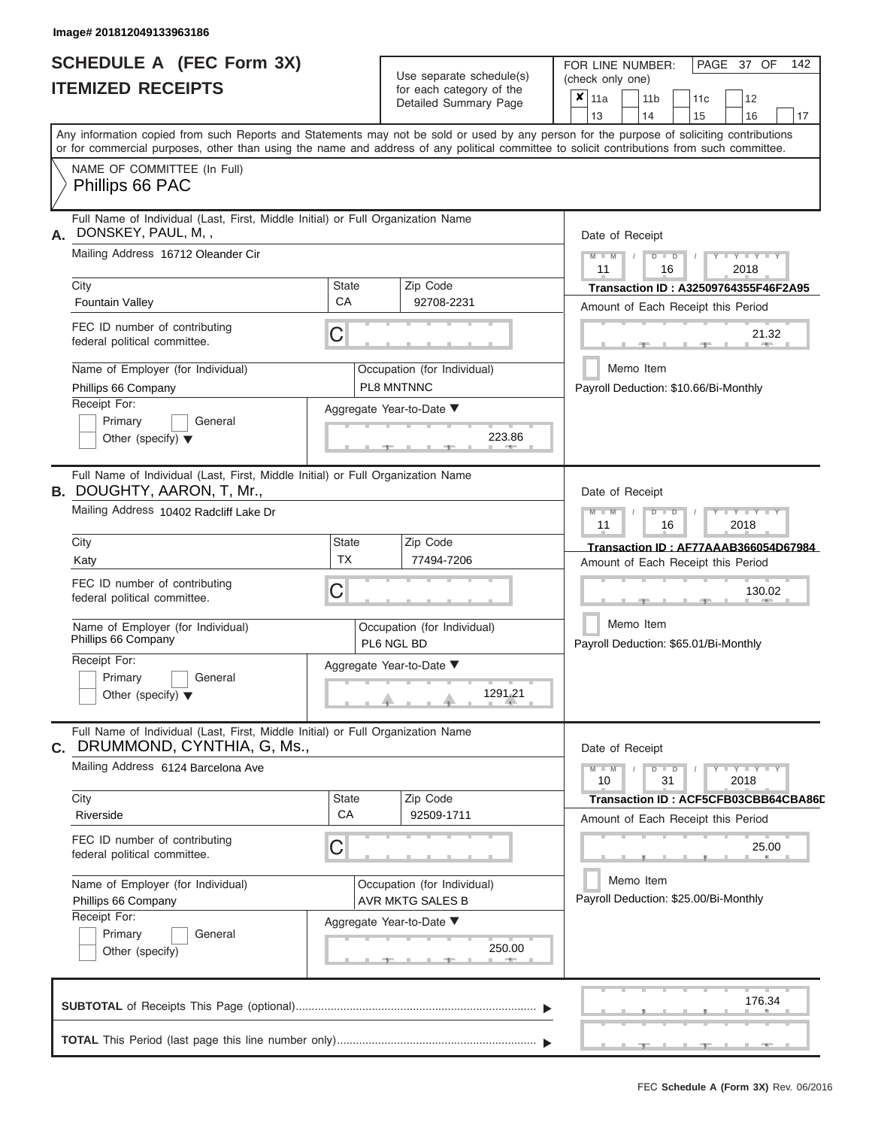ı

|                          | <b>SCHEDULE A (FEC Form 3X)</b> |
|--------------------------|---------------------------------|
| <b>ITEMIZED RECEIPTS</b> |                                 |

Use separate schedule(s)<br>for each category of the

FOR LINE NUMBER:

PAGE 37 OF 142

|                                                                                                                      |                           | Use separate schedule(s)                               | (check only one)                                                                                                                                                                                                                                                                        |
|----------------------------------------------------------------------------------------------------------------------|---------------------------|--------------------------------------------------------|-----------------------------------------------------------------------------------------------------------------------------------------------------------------------------------------------------------------------------------------------------------------------------------------|
| <b>ITEMIZED RECEIPTS</b>                                                                                             |                           | for each category of the<br>Detailed Summary Page      | x<br>11a<br>12<br>11 <sub>b</sub><br>11c<br>14<br>13<br>15<br>16<br>17                                                                                                                                                                                                                  |
|                                                                                                                      |                           |                                                        | Any information copied from such Reports and Statements may not be sold or used by any person for the purpose of soliciting contributions<br>or for commercial purposes, other than using the name and address of any political committee to solicit contributions from such committee. |
| NAME OF COMMITTEE (In Full)<br>Phillips 66 PAC                                                                       |                           |                                                        |                                                                                                                                                                                                                                                                                         |
| Full Name of Individual (Last, First, Middle Initial) or Full Organization Name<br>DONSKEY, PAUL, M,,<br>А.          |                           |                                                        | Date of Receipt                                                                                                                                                                                                                                                                         |
| Mailing Address 16712 Oleander Cir                                                                                   |                           |                                                        | $Y = Y = Y$<br>ъ<br>2018<br>11<br>16                                                                                                                                                                                                                                                    |
| City<br><b>Fountain Valley</b>                                                                                       | <b>State</b><br>СA        | Zip Code<br>92708-2231                                 | Transaction ID: A32509764355F46F2A95<br>Amount of Each Receipt this Period                                                                                                                                                                                                              |
| FEC ID number of contributing<br>federal political committee.                                                        | C                         |                                                        | 21.32                                                                                                                                                                                                                                                                                   |
| Name of Employer (for Individual)<br>Phillips 66 Company                                                             |                           | Occupation (for Individual)<br>PL8 MNTNNC              | Memo Item<br>Payroll Deduction: \$10.66/Bi-Monthly                                                                                                                                                                                                                                      |
| Receipt For:<br>Primary<br>General<br>Other (specify) $\blacktriangledown$                                           |                           | Aggregate Year-to-Date ▼<br>223.86                     |                                                                                                                                                                                                                                                                                         |
| Full Name of Individual (Last, First, Middle Initial) or Full Organization Name<br><b>B. DOUGHTY, AARON, T, Mr.,</b> |                           |                                                        | Date of Receipt                                                                                                                                                                                                                                                                         |
| Mailing Address 10402 Radcliff Lake Dr                                                                               |                           |                                                        | Y TYT<br>$\blacksquare$<br>11<br>16<br>2018                                                                                                                                                                                                                                             |
| City<br>Katy                                                                                                         | <b>State</b><br><b>TX</b> | Zip Code<br>77494-7206                                 | Transaction ID: AF77AAAB366054D67984<br>Amount of Each Receipt this Period                                                                                                                                                                                                              |
| FEC ID number of contributing<br>federal political committee.                                                        | C                         |                                                        | 130.02                                                                                                                                                                                                                                                                                  |
| Name of Employer (for Individual)<br>Phillips 66 Company                                                             |                           | Occupation (for Individual)<br>PL6 NGL BD              | Memo Item<br>Payroll Deduction: \$65.01/Bi-Monthly                                                                                                                                                                                                                                      |
| Receipt For:<br>Primary<br>General<br>Other (specify) $\blacktriangledown$                                           |                           | Aggregate Year-to-Date ▼<br>1291.21                    |                                                                                                                                                                                                                                                                                         |
| Full Name of Individual (Last, First, Middle Initial) or Full Organization Name<br>C. DRUMMOND, CYNTHIA, G, Ms.,     |                           |                                                        | Date of Receipt                                                                                                                                                                                                                                                                         |
| Mailing Address 6124 Barcelona Ave                                                                                   |                           |                                                        | Y I Y I<br>$\blacksquare$<br>31<br>2018<br>10                                                                                                                                                                                                                                           |
| City<br>Riverside                                                                                                    | <b>State</b><br>CA        | Zip Code<br>92509-1711                                 | Transaction ID: ACF5CFB03CBB64CBA86D<br>Amount of Each Receipt this Period                                                                                                                                                                                                              |
| FEC ID number of contributing<br>federal political committee.                                                        | С                         |                                                        | 25.00                                                                                                                                                                                                                                                                                   |
| Name of Employer (for Individual)<br>Phillips 66 Company<br>Receipt For:                                             |                           | Occupation (for Individual)<br><b>AVR MKTG SALES B</b> | Memo Item<br>Payroll Deduction: \$25.00/Bi-Monthly                                                                                                                                                                                                                                      |
| Primary<br>General<br>Other (specify)                                                                                |                           | Aggregate Year-to-Date ▼<br>250.00                     |                                                                                                                                                                                                                                                                                         |
|                                                                                                                      |                           |                                                        | 176.34                                                                                                                                                                                                                                                                                  |
|                                                                                                                      |                           |                                                        |                                                                                                                                                                                                                                                                                         |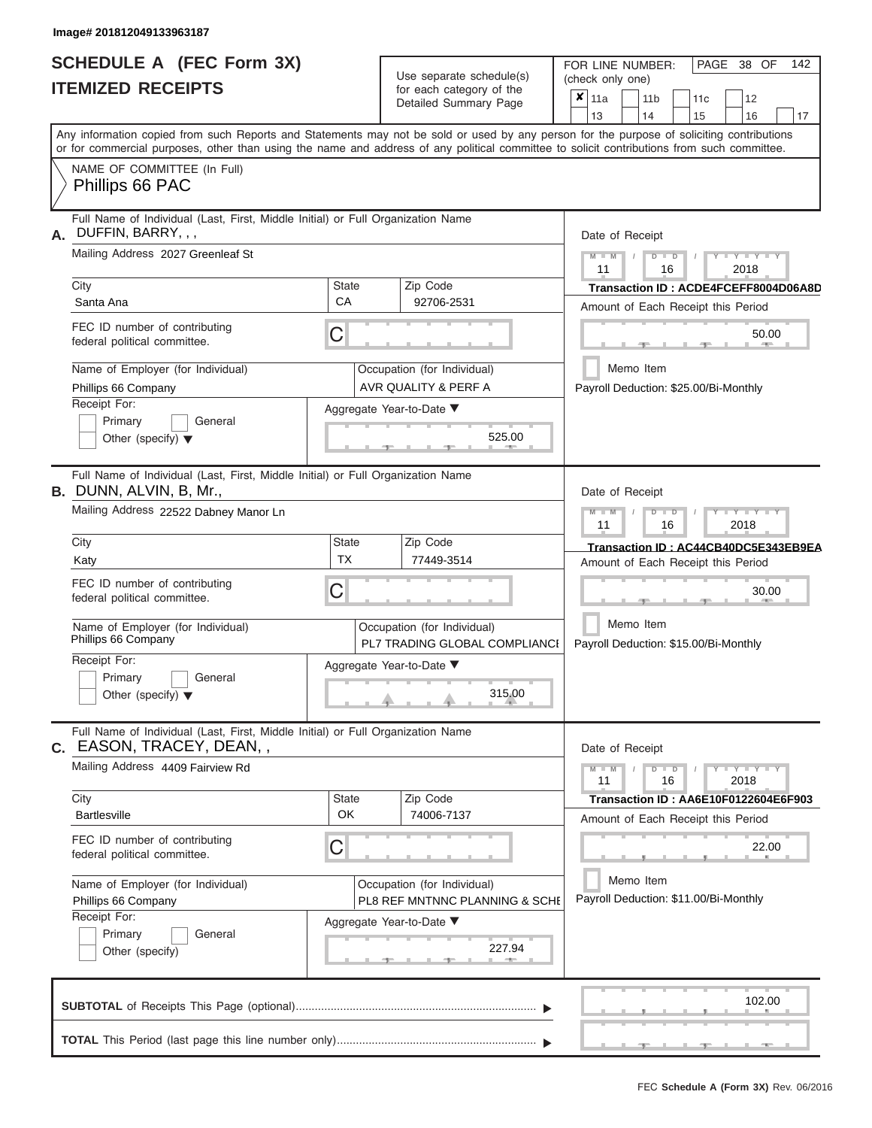|                          | <b>SCHEDULE A (FEC Form 3X)</b> |
|--------------------------|---------------------------------|
| <b>ITEMIZED RECEIPTS</b> |                                 |

Use separate schedule(s) (check only one)<br>for each category of the  $\begin{array}{|c|c|c|c|c|}\n\hline\n\text{Initial Summary goes} & & \text{with } & \text{with } & \text{with } & \text{with } & \text{with } & \text{with } & \text{with } & \text{with } & \text{with } & \text{with } & \text{with } & \text{with } & \text{with } & \text{with } & \text{with } & \text{with } & \text{with } & \text{with } & \text{with } & \text{with } & \text$ 

FOR LINE NUMBER:

PAGE 38 OF 142

|                                                                                                                   |                    | Detailed Summary Page                                         | $x_{\parallel 11a}$<br>12<br>11 <sub>b</sub><br>11c<br>13<br>14<br>15<br>16<br>17                                                                                                                                                                                                       |
|-------------------------------------------------------------------------------------------------------------------|--------------------|---------------------------------------------------------------|-----------------------------------------------------------------------------------------------------------------------------------------------------------------------------------------------------------------------------------------------------------------------------------------|
|                                                                                                                   |                    |                                                               | Any information copied from such Reports and Statements may not be sold or used by any person for the purpose of soliciting contributions<br>or for commercial purposes, other than using the name and address of any political committee to solicit contributions from such committee. |
| NAME OF COMMITTEE (In Full)<br>Phillips 66 PAC                                                                    |                    |                                                               |                                                                                                                                                                                                                                                                                         |
| Full Name of Individual (Last, First, Middle Initial) or Full Organization Name<br>DUFFIN, BARRY, , ,<br>А.       | Date of Receipt    |                                                               |                                                                                                                                                                                                                                                                                         |
| Mailing Address 2027 Greenleaf St                                                                                 |                    |                                                               | $Y = Y =$<br>$M - M$<br>$D$ $D$<br>11<br>16<br>2018                                                                                                                                                                                                                                     |
| City<br>Santa Ana                                                                                                 | <b>State</b><br>CA | Zip Code<br>92706-2531                                        | Transaction ID: ACDE4FCEFF8004D06A8D<br>Amount of Each Receipt this Period                                                                                                                                                                                                              |
| FEC ID number of contributing<br>federal political committee.                                                     | 50.00              |                                                               |                                                                                                                                                                                                                                                                                         |
| Name of Employer (for Individual)<br>Phillips 66 Company                                                          |                    | Occupation (for Individual)<br>AVR QUALITY & PERF A           | Memo Item<br>Payroll Deduction: \$25.00/Bi-Monthly                                                                                                                                                                                                                                      |
| Receipt For:<br>Primary<br>General<br>Other (specify) $\blacktriangledown$                                        |                    | Aggregate Year-to-Date ▼<br>525.00                            |                                                                                                                                                                                                                                                                                         |
| Full Name of Individual (Last, First, Middle Initial) or Full Organization Name<br><b>B.</b> DUNN, ALVIN, B, Mr., | Date of Receipt    |                                                               |                                                                                                                                                                                                                                                                                         |
| Mailing Address 22522 Dabney Manor Ln                                                                             |                    |                                                               | Y TYT<br>$M - M$<br>$D$ $\Box$ $D$<br>11<br>16<br>2018                                                                                                                                                                                                                                  |
| City<br>Katy                                                                                                      | <b>State</b><br>ТX | Zip Code<br>77449-3514                                        | Transaction ID: AC44CB40DC5E343EB9EA<br>Amount of Each Receipt this Period                                                                                                                                                                                                              |
| FEC ID number of contributing<br>federal political committee.                                                     | C                  |                                                               | 30.00                                                                                                                                                                                                                                                                                   |
| Name of Employer (for Individual)<br>Phillips 66 Company                                                          |                    | Occupation (for Individual)<br>PL7 TRADING GLOBAL COMPLIANCI  | Memo Item<br>Payroll Deduction: \$15.00/Bi-Monthly                                                                                                                                                                                                                                      |
| Receipt For:<br>Primary<br>General<br>Other (specify) $\blacktriangledown$                                        |                    | Aggregate Year-to-Date ▼<br>315.00                            |                                                                                                                                                                                                                                                                                         |
| Full Name of Individual (Last, First, Middle Initial) or Full Organization Name<br>C. EASON, TRACEY, DEAN,,       |                    |                                                               | Date of Receipt                                                                                                                                                                                                                                                                         |
| Mailing Address 4409 Fairview Rd                                                                                  |                    |                                                               | $+Y+Y+Y$<br>$M - M$<br>$D$ $D$<br>11<br>2018<br>16                                                                                                                                                                                                                                      |
| City<br><b>Bartlesville</b>                                                                                       | <b>State</b><br>OK | Zip Code<br>74006-7137                                        | Transaction ID: AA6E10F0122604E6F903<br>Amount of Each Receipt this Period                                                                                                                                                                                                              |
| FEC ID number of contributing<br>federal political committee.                                                     | С                  |                                                               | 22.00                                                                                                                                                                                                                                                                                   |
| Name of Employer (for Individual)<br>Phillips 66 Company<br>Receipt For:                                          |                    | Occupation (for Individual)<br>PL8 REF MNTNNC PLANNING & SCHE | Memo Item<br>Payroll Deduction: \$11.00/Bi-Monthly                                                                                                                                                                                                                                      |
| Primary<br>General<br>Other (specify)                                                                             |                    | Aggregate Year-to-Date ▼<br>227.94                            |                                                                                                                                                                                                                                                                                         |
|                                                                                                                   |                    |                                                               | 102.00                                                                                                                                                                                                                                                                                  |
|                                                                                                                   |                    |                                                               |                                                                                                                                                                                                                                                                                         |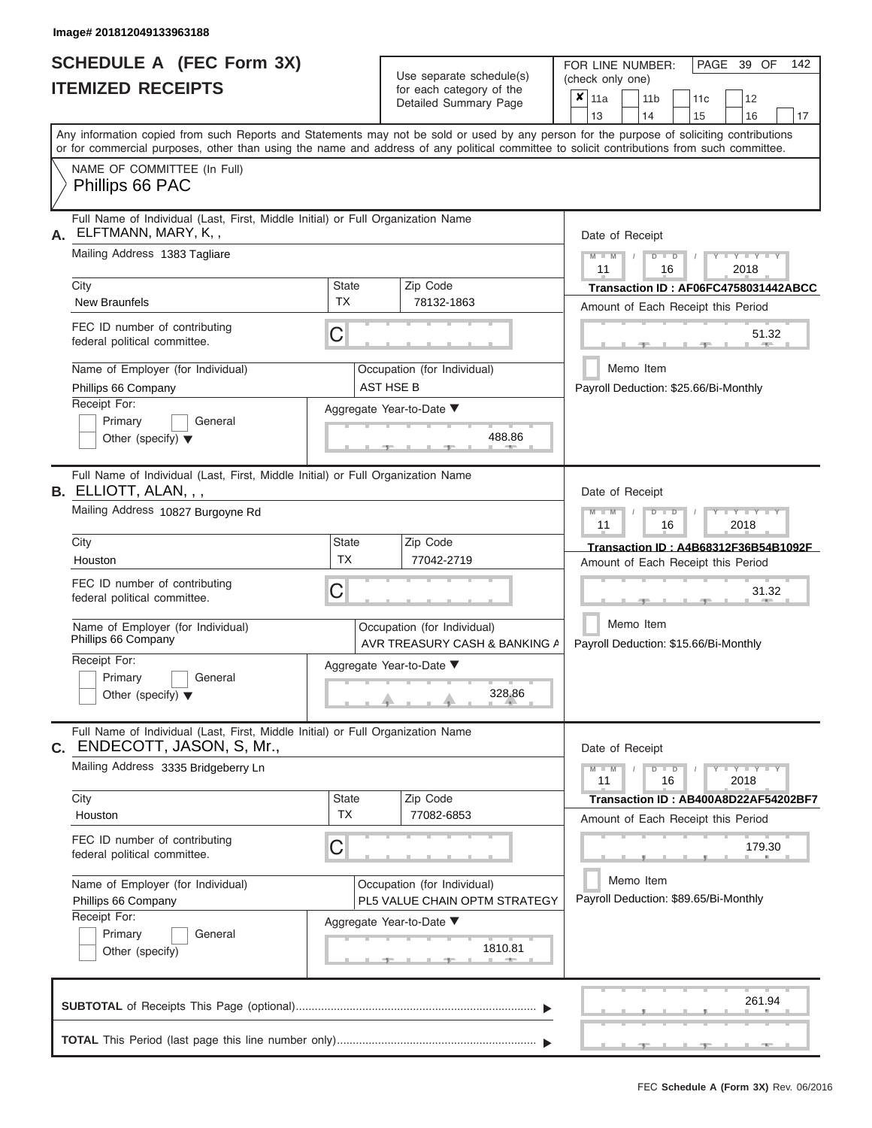|                          | <b>SCHEDULE A (FEC Form 3X)</b> |
|--------------------------|---------------------------------|
| <b>ITEMIZED RECEIPTS</b> |                                 |

Use separate schedule(s)<br>for each category of the

FOR LINE NUMBER:<br>(check only one)

PAGE 39 OF 142

|                                                                                                                                                                                                                                                                                         |             | ivi vavii valvyviy vi liiv<br>Detailed Summary Page          |  | $x \mid$ 11a    |           | 11 <sub>b</sub> |               | 11 <sub>c</sub> | 12                                    |    |
|-----------------------------------------------------------------------------------------------------------------------------------------------------------------------------------------------------------------------------------------------------------------------------------------|-------------|--------------------------------------------------------------|--|-----------------|-----------|-----------------|---------------|-----------------|---------------------------------------|----|
|                                                                                                                                                                                                                                                                                         |             |                                                              |  | 13              |           | 14              |               | 15              | 16                                    | 17 |
| Any information copied from such Reports and Statements may not be sold or used by any person for the purpose of soliciting contributions<br>or for commercial purposes, other than using the name and address of any political committee to solicit contributions from such committee. |             |                                                              |  |                 |           |                 |               |                 |                                       |    |
| NAME OF COMMITTEE (In Full)                                                                                                                                                                                                                                                             |             |                                                              |  |                 |           |                 |               |                 |                                       |    |
| Phillips 66 PAC                                                                                                                                                                                                                                                                         |             |                                                              |  |                 |           |                 |               |                 |                                       |    |
| Full Name of Individual (Last, First, Middle Initial) or Full Organization Name<br>ELFTMANN, MARY, K,,<br>А.                                                                                                                                                                            |             |                                                              |  |                 |           | Date of Receipt |               |                 |                                       |    |
| Mailing Address 1383 Tagliare                                                                                                                                                                                                                                                           |             |                                                              |  | $M - M$<br>11   |           |                 | $D$ $D$<br>16 |                 | $Y - Y - Y$<br>2018                   |    |
| City                                                                                                                                                                                                                                                                                    | State       | Zip Code                                                     |  |                 |           |                 |               |                 | Transaction ID: AF06FC4758031442ABCC  |    |
| <b>New Braunfels</b>                                                                                                                                                                                                                                                                    | <b>TX</b>   | 78132-1863                                                   |  |                 |           |                 |               |                 | Amount of Each Receipt this Period    |    |
| FEC ID number of contributing<br>federal political committee.                                                                                                                                                                                                                           | C           |                                                              |  |                 |           |                 |               | $-9 -$          | 51.32<br>$1 - 400$                    |    |
| Name of Employer (for Individual)<br>Phillips 66 Company                                                                                                                                                                                                                                |             | Occupation (for Individual)<br><b>AST HSE B</b>              |  |                 | Memo Item |                 |               |                 | Payroll Deduction: \$25.66/Bi-Monthly |    |
| Receipt For:                                                                                                                                                                                                                                                                            |             | Aggregate Year-to-Date ▼                                     |  |                 |           |                 |               |                 |                                       |    |
| Primary<br>General<br>Other (specify) $\blacktriangledown$                                                                                                                                                                                                                              |             | 488.86<br>-91                                                |  |                 |           |                 |               |                 |                                       |    |
| Full Name of Individual (Last, First, Middle Initial) or Full Organization Name<br>B. ELLIOTT, ALAN, , ,                                                                                                                                                                                |             |                                                              |  | Date of Receipt |           |                 |               |                 |                                       |    |
| Mailing Address 10827 Burgoyne Rd                                                                                                                                                                                                                                                       |             |                                                              |  | $M - M$<br>11   |           |                 | $D$ $D$<br>16 |                 | Y I Y I Y<br>2018                     |    |
| City                                                                                                                                                                                                                                                                                    | State       | Zip Code                                                     |  |                 |           |                 |               |                 | Transaction ID: A4B68312F36B54B1092F  |    |
| Houston                                                                                                                                                                                                                                                                                 | <b>TX</b>   | 77042-2719                                                   |  |                 |           |                 |               |                 | Amount of Each Receipt this Period    |    |
| FEC ID number of contributing<br>federal political committee.                                                                                                                                                                                                                           | С           |                                                              |  |                 |           |                 |               | $-1$            | 31.32                                 |    |
| Name of Employer (for Individual)<br>Phillips 66 Company                                                                                                                                                                                                                                |             | Occupation (for Individual)<br>AVR TREASURY CASH & BANKING A |  |                 |           | Memo Item       |               |                 | Payroll Deduction: \$15.66/Bi-Monthly |    |
| Receipt For:                                                                                                                                                                                                                                                                            |             | Aggregate Year-to-Date ▼                                     |  |                 |           |                 |               |                 |                                       |    |
| Primary<br>General<br>Other (specify) $\blacktriangledown$                                                                                                                                                                                                                              |             | 328.86                                                       |  |                 |           |                 |               |                 |                                       |    |
| Full Name of Individual (Last, First, Middle Initial) or Full Organization Name<br>ENDECOTT, JASON, S, Mr.,<br>С.                                                                                                                                                                       |             |                                                              |  | Date of Receipt |           |                 |               |                 |                                       |    |
| Mailing Address 3335 Bridgeberry Ln                                                                                                                                                                                                                                                     |             |                                                              |  | $M - M$<br>11   |           |                 | $D$ $D$<br>16 |                 | $+Y+Y+Y$<br>2018                      |    |
| City<br>Houston                                                                                                                                                                                                                                                                         | State<br>TX | Zip Code<br>77082-6853                                       |  |                 |           |                 |               |                 | Transaction ID: AB400A8D22AF54202BF7  |    |
|                                                                                                                                                                                                                                                                                         |             |                                                              |  |                 |           |                 |               |                 | Amount of Each Receipt this Period    |    |
| FEC ID number of contributing<br>federal political committee.                                                                                                                                                                                                                           | C           |                                                              |  |                 |           |                 |               |                 | 179.30                                |    |
| Name of Employer (for Individual)                                                                                                                                                                                                                                                       |             | Occupation (for Individual)                                  |  |                 | Memo Item |                 |               |                 |                                       |    |
| Phillips 66 Company                                                                                                                                                                                                                                                                     |             | PL5 VALUE CHAIN OPTM STRATEGY                                |  |                 |           |                 |               |                 | Payroll Deduction: \$89.65/Bi-Monthly |    |
| Receipt For:<br>Primary<br>General                                                                                                                                                                                                                                                      |             | Aggregate Year-to-Date ▼                                     |  |                 |           |                 |               |                 |                                       |    |
| Other (specify)                                                                                                                                                                                                                                                                         |             | 1810.81                                                      |  |                 |           |                 |               |                 |                                       |    |
|                                                                                                                                                                                                                                                                                         |             |                                                              |  |                 |           |                 |               |                 | 261.94                                |    |
|                                                                                                                                                                                                                                                                                         |             |                                                              |  |                 |           |                 |               |                 |                                       |    |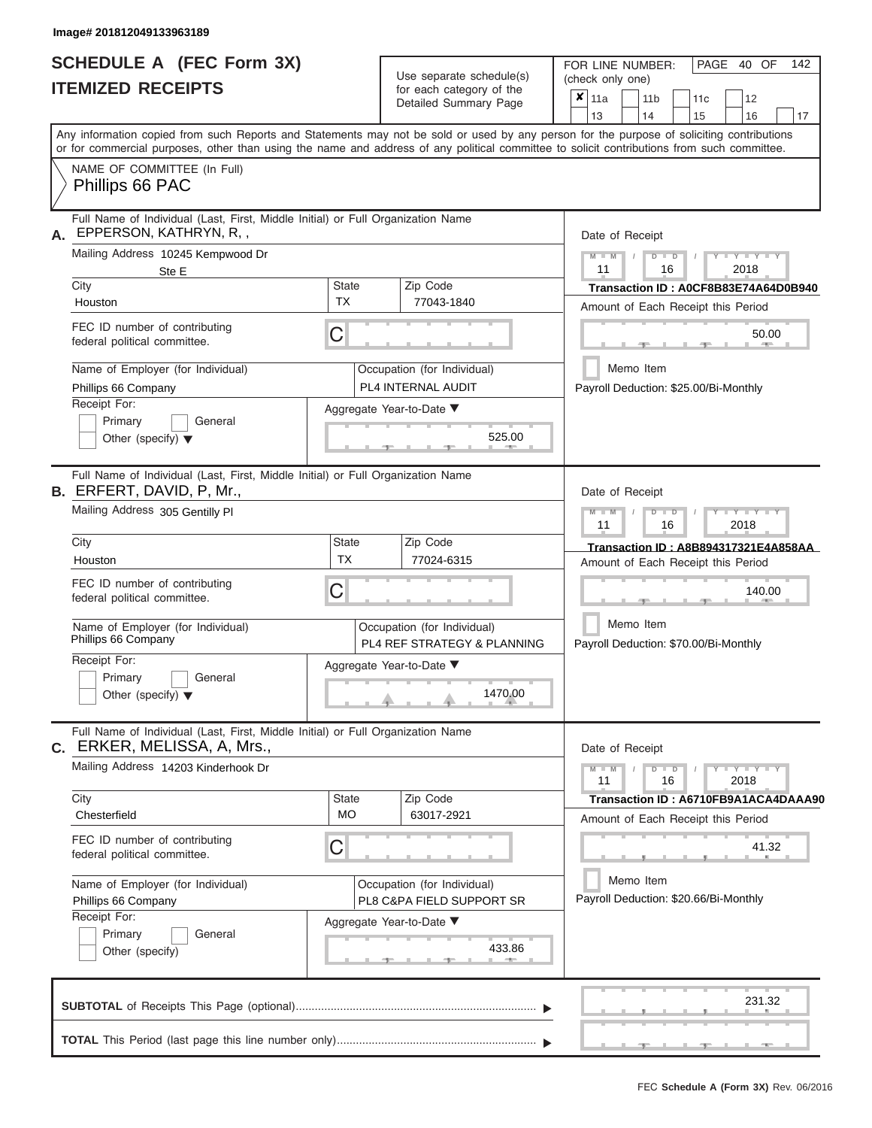# **SCHEDULE A (FEC Form 3X) ITEMIZED RECEIPTS**

| SCHEDULE A (FEC Form 3X)<br><b>ITEMIZED RECEIPTS</b>                                                                                                                                                                                                                                                                                                                                 |                         | Use separate schedule(s)<br>for each category of the<br>Detailed Summary Page                                               | FOR LINE NUMBER:<br>PAGE 40 OF<br>142<br>(check only one)<br>$\pmb{\times}$<br>11a<br>11 <sub>b</sub><br>12<br>11 <sub>c</sub>                                                                                                                                                           |
|--------------------------------------------------------------------------------------------------------------------------------------------------------------------------------------------------------------------------------------------------------------------------------------------------------------------------------------------------------------------------------------|-------------------------|-----------------------------------------------------------------------------------------------------------------------------|------------------------------------------------------------------------------------------------------------------------------------------------------------------------------------------------------------------------------------------------------------------------------------------|
| Any information copied from such Reports and Statements may not be sold or used by any person for the purpose of soliciting contributions<br>or for commercial purposes, other than using the name and address of any political committee to solicit contributions from such committee.<br>NAME OF COMMITTEE (In Full)<br>Phillips 66 PAC                                            |                         |                                                                                                                             | 13<br>14<br>15<br>16<br>17                                                                                                                                                                                                                                                               |
| Full Name of Individual (Last, First, Middle Initial) or Full Organization Name                                                                                                                                                                                                                                                                                                      |                         |                                                                                                                             |                                                                                                                                                                                                                                                                                          |
| EPPERSON, KATHRYN, R,,<br>А.<br>Mailing Address 10245 Kempwood Dr<br>Ste E<br>City<br>Houston<br>FEC ID number of contributing<br>federal political committee.<br>Name of Employer (for Individual)<br>Phillips 66 Company<br>Receipt For:<br>Primary<br>General<br>Other (specify) $\blacktriangledown$                                                                             | State<br><b>TX</b><br>С | Zip Code<br>77043-1840<br>Occupation (for Individual)<br>PL4 INTERNAL AUDIT<br>Aggregate Year-to-Date ▼<br>525.00           | Date of Receipt<br>$M = M$ /<br>$Y - Y - Y$<br>$D$ $D$<br>11<br>16<br>2018<br>Transaction ID: A0CF8B83E74A64D0B940<br>Amount of Each Receipt this Period<br>50.00<br><b>AND A</b><br>Memo Item<br>Payroll Deduction: \$25.00/Bi-Monthly                                                  |
| Full Name of Individual (Last, First, Middle Initial) or Full Organization Name<br><b>B.</b> ERFERT, DAVID, P, Mr.,<br>Mailing Address 305 Gentilly PI<br>City<br>Houston<br>FEC ID number of contributing<br>federal political committee.<br>Name of Employer (for Individual)<br>Phillips 66 Company<br>Receipt For:<br>Primary<br>General<br>Other (specify) $\blacktriangledown$ | State<br><b>TX</b><br>C | Zip Code<br>77024-6315<br>Occupation (for Individual)<br>PL4 REF STRATEGY & PLANNING<br>Aggregate Year-to-Date ▼<br>1470.00 | Date of Receipt<br>$M - M$<br>$D$ $D$<br>$\blacksquare$ $\vdash$ $\vdash$ $\vdash$ $\vdash$ $\vdash$ $\vdash$ $\vdash$<br>11<br>16<br>2018<br>Transaction ID: A8B894317321E4A858AA<br>Amount of Each Receipt this Period<br>140.00<br>Memo Item<br>Payroll Deduction: \$70.00/Bi-Monthly |
| Full Name of Individual (Last, First, Middle Initial) or Full Organization Name<br>C. ERKER, MELISSA, A, Mrs.,<br>Mailing Address 14203 Kinderhook Dr<br>City<br>Chesterfield<br>FEC ID number of contributing<br>federal political committee.<br>Name of Employer (for Individual)<br>Phillips 66 Company<br>Receipt For:<br>Primary<br>General<br>Other (specify)                  | State<br><b>MO</b><br>U | Zip Code<br>63017-2921<br>Occupation (for Individual)<br>PL8 C&PA FIELD SUPPORT SR<br>Aggregate Year-to-Date ▼<br>433.86    | Date of Receipt<br>$M - M$<br>$D$ $D$<br>$+Y+Y+Y$<br>16<br>2018<br>11<br>Transaction ID: A6710FB9A1ACA4DAAA90<br>Amount of Each Receipt this Period<br>41.32<br>Memo Item<br>Payroll Deduction: \$20.66/Bi-Monthly                                                                       |
|                                                                                                                                                                                                                                                                                                                                                                                      |                         |                                                                                                                             | 231.32                                                                                                                                                                                                                                                                                   |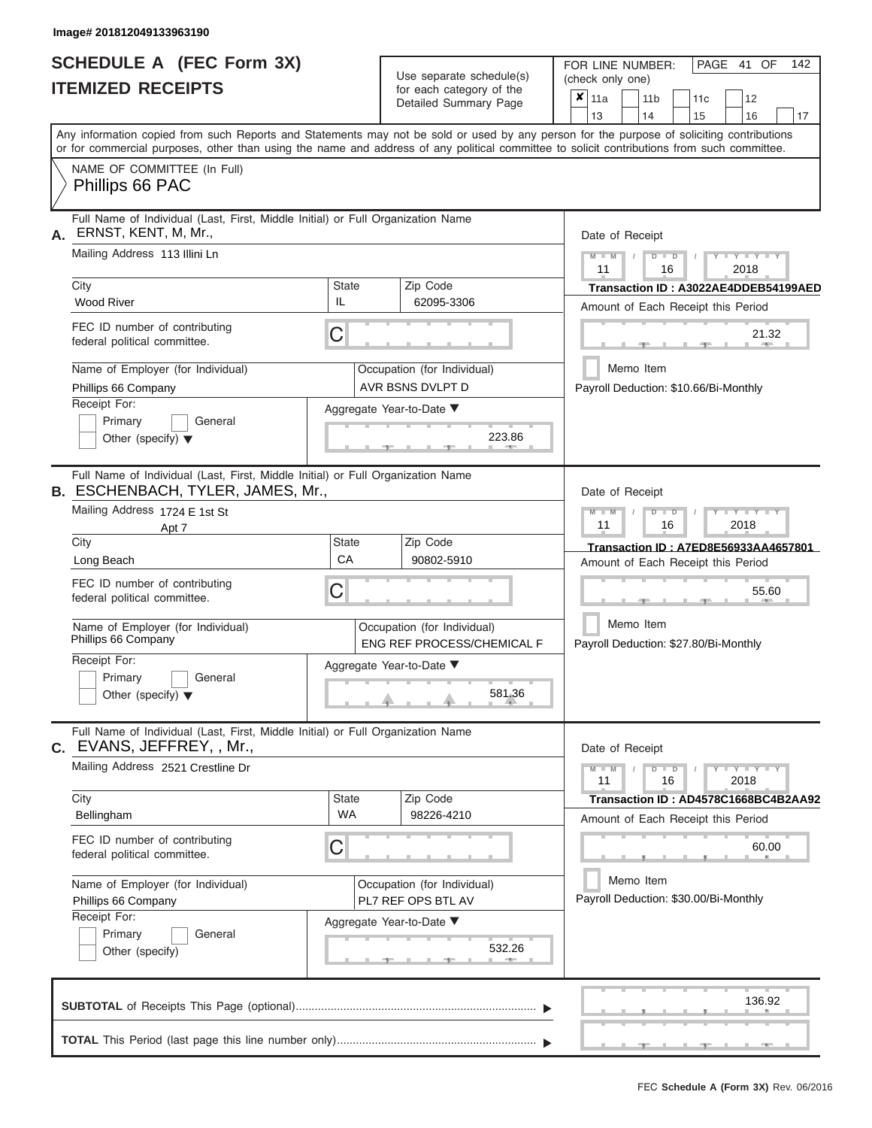|                          | <b>SCHEDULE A (FEC Form 3X)</b> |
|--------------------------|---------------------------------|
| <b>ITEMIZED RECEIPTS</b> |                                 |

Use separate schedule(s)<br>for each category of the

FOR LINE NUMBER:<br>(check only one)

PAGE 41 OF 142

|                                                                                                                                                                                                                                                                                         |                                                           | babii balogory<br>Detailed Summary Page         |  | $x \mid$ 11a    | 11 <sub>b</sub> |               | 11 <sub>c</sub>                       | 12                                                                                                                                           |    |
|-----------------------------------------------------------------------------------------------------------------------------------------------------------------------------------------------------------------------------------------------------------------------------------------|-----------------------------------------------------------|-------------------------------------------------|--|-----------------|-----------------|---------------|---------------------------------------|----------------------------------------------------------------------------------------------------------------------------------------------|----|
|                                                                                                                                                                                                                                                                                         |                                                           |                                                 |  | 13              | 14              |               | 15                                    | 16                                                                                                                                           | 17 |
| Any information copied from such Reports and Statements may not be sold or used by any person for the purpose of soliciting contributions<br>or for commercial purposes, other than using the name and address of any political committee to solicit contributions from such committee. |                                                           |                                                 |  |                 |                 |               |                                       |                                                                                                                                              |    |
| NAME OF COMMITTEE (In Full)<br>Phillips 66 PAC                                                                                                                                                                                                                                          |                                                           |                                                 |  |                 |                 |               |                                       |                                                                                                                                              |    |
| Full Name of Individual (Last, First, Middle Initial) or Full Organization Name<br>ERNST, KENT, M, Mr.,<br>А.                                                                                                                                                                           |                                                           |                                                 |  | Date of Receipt |                 |               |                                       |                                                                                                                                              |    |
| Mailing Address 113 Illini Ln                                                                                                                                                                                                                                                           |                                                           |                                                 |  | $M - M$<br>11   |                 | $D$ $D$<br>16 |                                       | $Y$ $Y$ $Y$ $Y$<br>2018                                                                                                                      |    |
| City                                                                                                                                                                                                                                                                                    | <b>State</b>                                              | Zip Code                                        |  |                 |                 |               |                                       | Transaction ID: A3022AE4DDEB54199AED                                                                                                         |    |
| <b>Wood River</b>                                                                                                                                                                                                                                                                       | IL                                                        | 62095-3306                                      |  |                 |                 |               |                                       | Amount of Each Receipt this Period                                                                                                           |    |
| FEC ID number of contributing<br>federal political committee.                                                                                                                                                                                                                           | C                                                         |                                                 |  |                 |                 |               |                                       | 21.32<br>$-$ 400 $-$                                                                                                                         |    |
| Name of Employer (for Individual)<br>Phillips 66 Company                                                                                                                                                                                                                                |                                                           | Occupation (for Individual)<br>AVR BSNS DVLPT D |  |                 | Memo Item       |               |                                       | Payroll Deduction: \$10.66/Bi-Monthly                                                                                                        |    |
| Receipt For:                                                                                                                                                                                                                                                                            |                                                           | Aggregate Year-to-Date ▼                        |  |                 |                 |               |                                       |                                                                                                                                              |    |
| Primary<br>General<br>Other (specify) $\blacktriangledown$                                                                                                                                                                                                                              | 223.86                                                    |                                                 |  |                 |                 |               |                                       |                                                                                                                                              |    |
| Full Name of Individual (Last, First, Middle Initial) or Full Organization Name<br><b>B. ESCHENBACH, TYLER, JAMES, Mr.,</b>                                                                                                                                                             |                                                           |                                                 |  | Date of Receipt |                 |               |                                       |                                                                                                                                              |    |
| Mailing Address 1724 E 1st St<br>Apt 7                                                                                                                                                                                                                                                  |                                                           |                                                 |  | $M - M$<br>11   |                 | $D$ $D$<br>16 |                                       | Y TYT<br>2018                                                                                                                                |    |
| City                                                                                                                                                                                                                                                                                    | State                                                     | Zip Code                                        |  |                 |                 |               |                                       | Transaction ID: A7ED8E56933AA4657801                                                                                                         |    |
| Long Beach                                                                                                                                                                                                                                                                              | CA                                                        | 90802-5910                                      |  |                 |                 |               |                                       | Amount of Each Receipt this Period                                                                                                           |    |
| FEC ID number of contributing<br>federal political committee.                                                                                                                                                                                                                           | С                                                         |                                                 |  |                 |                 |               |                                       | 55.60                                                                                                                                        |    |
| Name of Employer (for Individual)<br>Phillips 66 Company                                                                                                                                                                                                                                | Occupation (for Individual)<br>ENG REF PROCESS/CHEMICAL F |                                                 |  |                 | Memo Item       |               | Payroll Deduction: \$27.80/Bi-Monthly |                                                                                                                                              |    |
| Receipt For:                                                                                                                                                                                                                                                                            |                                                           | Aggregate Year-to-Date ▼                        |  |                 |                 |               |                                       |                                                                                                                                              |    |
| Primary<br>General<br>Other (specify) $\blacktriangledown$                                                                                                                                                                                                                              |                                                           |                                                 |  |                 |                 |               |                                       |                                                                                                                                              |    |
|                                                                                                                                                                                                                                                                                         | 581.36                                                    |                                                 |  |                 |                 |               |                                       |                                                                                                                                              |    |
| Full Name of Individual (Last, First, Middle Initial) or Full Organization Name<br>C. EVANS, JEFFREY, , Mr.,                                                                                                                                                                            |                                                           |                                                 |  | Date of Receipt |                 |               |                                       |                                                                                                                                              |    |
| Mailing Address 2521 Crestline Dr                                                                                                                                                                                                                                                       |                                                           |                                                 |  | $M - M$<br>11   |                 | $D$ $D$<br>16 |                                       | $\begin{array}{c c c c c c} \hline \textbf{I} & \textbf{Y} & \textbf{I} & \textbf{Y} & \textbf{I} & \textbf{Y} \\\hline \end{array}$<br>2018 |    |
| City<br>Bellingham                                                                                                                                                                                                                                                                      | State<br>WA                                               | Zip Code<br>98226-4210                          |  |                 |                 |               |                                       | Transaction ID: AD4578C1668BC4B2AA92                                                                                                         |    |
|                                                                                                                                                                                                                                                                                         |                                                           |                                                 |  |                 |                 |               |                                       | Amount of Each Receipt this Period                                                                                                           |    |
| FEC ID number of contributing<br>federal political committee.                                                                                                                                                                                                                           | C                                                         |                                                 |  |                 |                 |               |                                       | 60.00                                                                                                                                        |    |
| Name of Employer (for Individual)                                                                                                                                                                                                                                                       |                                                           | Occupation (for Individual)                     |  |                 | Memo Item       |               |                                       |                                                                                                                                              |    |
| Phillips 66 Company                                                                                                                                                                                                                                                                     | PL7 REF OPS BTL AV                                        |                                                 |  |                 |                 |               |                                       | Payroll Deduction: \$30.00/Bi-Monthly                                                                                                        |    |
| Receipt For:                                                                                                                                                                                                                                                                            |                                                           | Aggregate Year-to-Date ▼                        |  |                 |                 |               |                                       |                                                                                                                                              |    |
| Primary<br>General<br>Other (specify)                                                                                                                                                                                                                                                   |                                                           | 532.26                                          |  |                 |                 |               |                                       |                                                                                                                                              |    |
|                                                                                                                                                                                                                                                                                         |                                                           |                                                 |  |                 |                 |               |                                       | 136.92                                                                                                                                       |    |
|                                                                                                                                                                                                                                                                                         |                                                           |                                                 |  |                 |                 |               |                                       |                                                                                                                                              |    |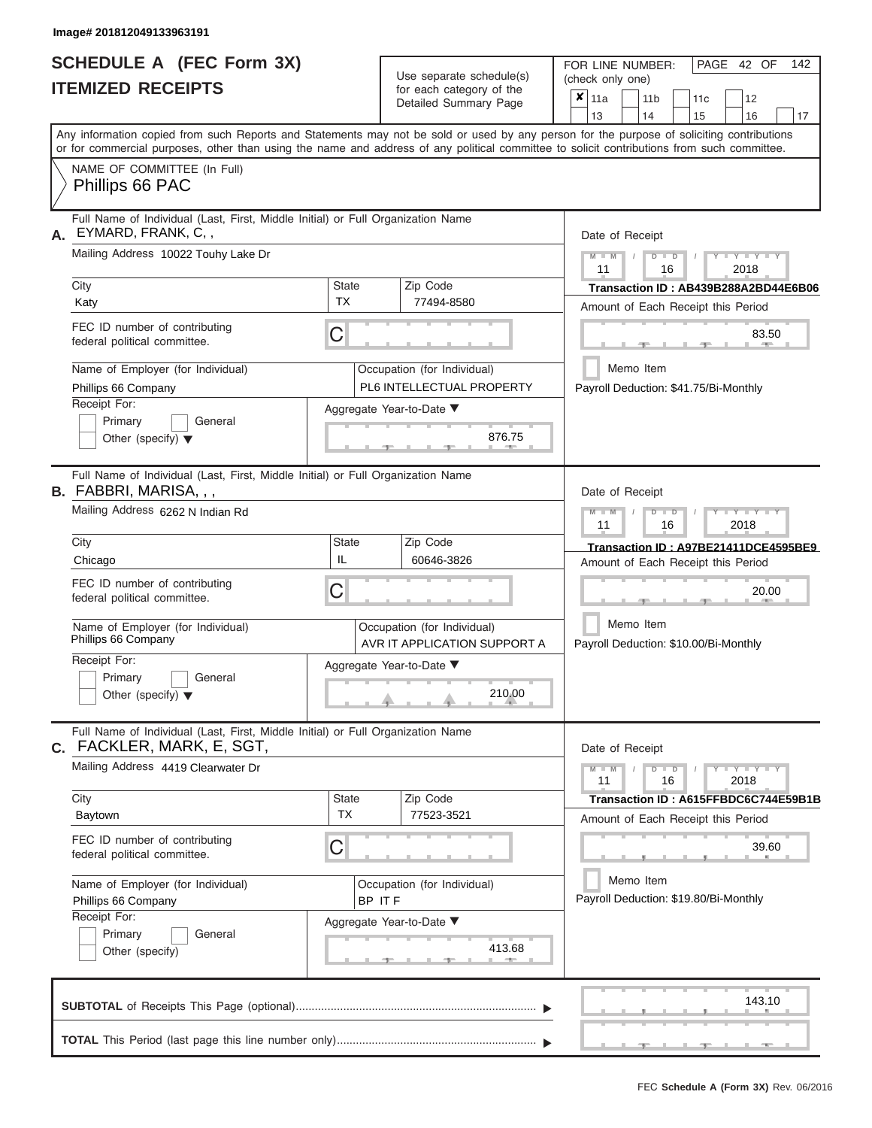|                          | <b>SCHEDULE A (FEC Form 3X)</b> |
|--------------------------|---------------------------------|
| <b>ITEMIZED RECEIPTS</b> |                                 |

Use separate schedule(s) (check only one) for each category of the  $\sqrt{\frac{1}{12}}$ 

FOR LINE NUMBER:<br>(check only one)

PAGE 42 OF 142

| IIEMIZED RECEIPIS                                                                                                                                  |                                                     | for each category of the<br>Detailed Summary Page                                    | ×<br>11a<br>11 <sub>b</sub><br>11c<br>12<br>13<br>14<br>15<br>16<br>17                                                                                                                                                                                                                  |
|----------------------------------------------------------------------------------------------------------------------------------------------------|-----------------------------------------------------|--------------------------------------------------------------------------------------|-----------------------------------------------------------------------------------------------------------------------------------------------------------------------------------------------------------------------------------------------------------------------------------------|
|                                                                                                                                                    |                                                     |                                                                                      | Any information copied from such Reports and Statements may not be sold or used by any person for the purpose of soliciting contributions<br>or for commercial purposes, other than using the name and address of any political committee to solicit contributions from such committee. |
| NAME OF COMMITTEE (In Full)<br>Phillips 66 PAC                                                                                                     |                                                     |                                                                                      |                                                                                                                                                                                                                                                                                         |
| Full Name of Individual (Last, First, Middle Initial) or Full Organization Name<br>EYMARD, FRANK, C,,<br>А.<br>Mailing Address 10022 Touhy Lake Dr |                                                     |                                                                                      | Date of Receipt<br>$Y = Y = Y$<br>M<br>$\blacksquare$<br>D                                                                                                                                                                                                                              |
| City                                                                                                                                               | <b>State</b>                                        | Zip Code                                                                             | 2018<br>11<br>16<br>Transaction ID: AB439B288A2BD44E6B06                                                                                                                                                                                                                                |
| Katy                                                                                                                                               | <b>TX</b>                                           | 77494-8580                                                                           | Amount of Each Receipt this Period                                                                                                                                                                                                                                                      |
| FEC ID number of contributing<br>federal political committee.                                                                                      | C                                                   |                                                                                      | 83.50                                                                                                                                                                                                                                                                                   |
| Name of Employer (for Individual)<br>Phillips 66 Company<br>Receipt For:                                                                           |                                                     | Occupation (for Individual)<br>PL6 INTELLECTUAL PROPERTY<br>Aggregate Year-to-Date ▼ | Memo Item<br>Payroll Deduction: \$41.75/Bi-Monthly                                                                                                                                                                                                                                      |
| Primary<br>General<br>Other (specify) $\blacktriangledown$                                                                                         |                                                     |                                                                                      |                                                                                                                                                                                                                                                                                         |
| Full Name of Individual (Last, First, Middle Initial) or Full Organization Name<br><b>B.</b> FABBRI, MARISA, , ,                                   |                                                     |                                                                                      | Date of Receipt                                                                                                                                                                                                                                                                         |
| Mailing Address 6262 N Indian Rd                                                                                                                   | Y TY<br>$\overline{\mathbb{D}}$<br>2018<br>11<br>16 |                                                                                      |                                                                                                                                                                                                                                                                                         |
| City<br>Chicago                                                                                                                                    | <b>State</b><br>IL                                  | Zip Code<br>60646-3826                                                               | Transaction ID: A97BE21411DCE4595BE9<br>Amount of Each Receipt this Period                                                                                                                                                                                                              |
| FEC ID number of contributing<br>federal political committee.                                                                                      | С                                                   | 20.00                                                                                |                                                                                                                                                                                                                                                                                         |
| Name of Employer (for Individual)<br>Phillips 66 Company                                                                                           | Memo Item<br>Payroll Deduction: \$10.00/Bi-Monthly  |                                                                                      |                                                                                                                                                                                                                                                                                         |
| Receipt For:<br>Primary<br>General<br>Other (specify) $\blacktriangledown$                                                                         |                                                     | Aggregate Year-to-Date ▼<br>210.00                                                   |                                                                                                                                                                                                                                                                                         |
| Full Name of Individual (Last, First, Middle Initial) or Full Organization Name<br>C. FACKLER, MARK, E, SGT,                                       |                                                     |                                                                                      | Date of Receipt                                                                                                                                                                                                                                                                         |
| Mailing Address 4419 Clearwater Dr                                                                                                                 |                                                     |                                                                                      | $Y - Y - Y$<br>$\blacksquare$<br>$M - M$<br>$\overline{D}$<br>11<br>16<br>2018                                                                                                                                                                                                          |
| City<br>Baytown                                                                                                                                    | State<br><b>TX</b>                                  | Zip Code<br>77523-3521                                                               | Transaction ID: A615FFBDC6C744E59B1B<br>Amount of Each Receipt this Period                                                                                                                                                                                                              |
| FEC ID number of contributing<br>federal political committee.                                                                                      | C                                                   |                                                                                      | 39.60                                                                                                                                                                                                                                                                                   |
| Name of Employer (for Individual)<br>Phillips 66 Company                                                                                           | BP IT F                                             | Occupation (for Individual)                                                          | Memo Item<br>Payroll Deduction: \$19.80/Bi-Monthly                                                                                                                                                                                                                                      |
| Receipt For:                                                                                                                                       |                                                     | Aggregate Year-to-Date ▼                                                             |                                                                                                                                                                                                                                                                                         |
| Primary<br>General<br>Other (specify)                                                                                                              |                                                     | 413.68                                                                               |                                                                                                                                                                                                                                                                                         |
|                                                                                                                                                    |                                                     |                                                                                      | 143.10                                                                                                                                                                                                                                                                                  |
|                                                                                                                                                    |                                                     |                                                                                      |                                                                                                                                                                                                                                                                                         |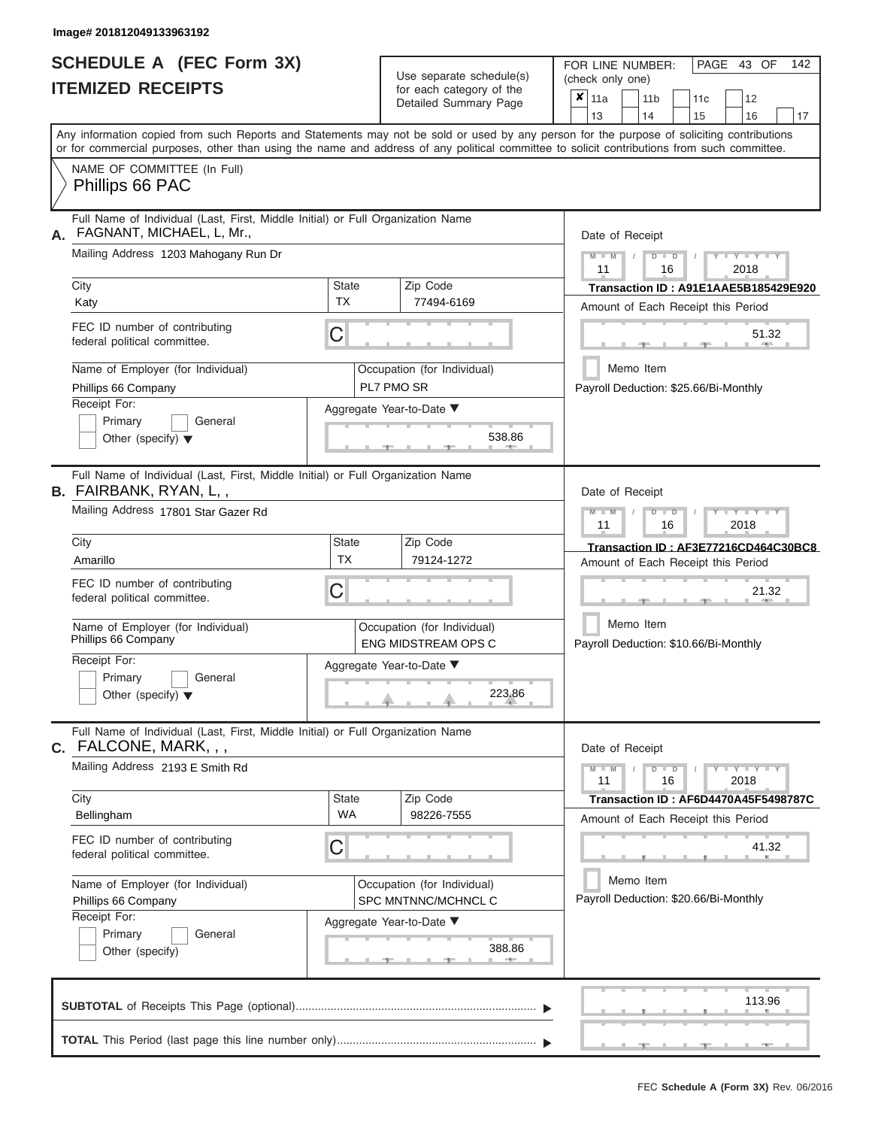ı

|                          | <b>SCHEDULE A (FEC Form 3X)</b> |  |
|--------------------------|---------------------------------|--|
| <b>ITEMIZED RECEIPTS</b> |                                 |  |

Use separate schedule(s) (check only one) (one)

FOR LINE NUMBER:

PAGE 43 OF 142

|                                                                                                                                                                                                                                                                                         |                     | $\alpha$<br>Detailed Summary Page                  |                                      | $x \mid$ 11a                                       |           | 11 <sub>b</sub> |               | 11 <sub>c</sub> | 12                                                                  |    |  |  |  |  |
|-----------------------------------------------------------------------------------------------------------------------------------------------------------------------------------------------------------------------------------------------------------------------------------------|---------------------|----------------------------------------------------|--------------------------------------|----------------------------------------------------|-----------|-----------------|---------------|-----------------|---------------------------------------------------------------------|----|--|--|--|--|
|                                                                                                                                                                                                                                                                                         |                     |                                                    |                                      | 13                                                 |           | 14              |               | 15              | 16                                                                  | 17 |  |  |  |  |
| Any information copied from such Reports and Statements may not be sold or used by any person for the purpose of soliciting contributions<br>or for commercial purposes, other than using the name and address of any political committee to solicit contributions from such committee. |                     |                                                    |                                      |                                                    |           |                 |               |                 |                                                                     |    |  |  |  |  |
| NAME OF COMMITTEE (In Full)                                                                                                                                                                                                                                                             |                     |                                                    |                                      |                                                    |           |                 |               |                 |                                                                     |    |  |  |  |  |
| Phillips 66 PAC                                                                                                                                                                                                                                                                         |                     |                                                    |                                      |                                                    |           |                 |               |                 |                                                                     |    |  |  |  |  |
| Full Name of Individual (Last, First, Middle Initial) or Full Organization Name<br>FAGNANT, MICHAEL, L, Mr.,<br>А.                                                                                                                                                                      |                     |                                                    | Date of Receipt                      |                                                    |           |                 |               |                 |                                                                     |    |  |  |  |  |
| Mailing Address 1203 Mahogany Run Dr                                                                                                                                                                                                                                                    |                     |                                                    |                                      | $M - M$<br>11                                      |           |                 | $D$ $D$<br>16 |                 | $Y - Y - Y$<br>2018                                                 |    |  |  |  |  |
| City                                                                                                                                                                                                                                                                                    | <b>State</b>        | Zip Code                                           | Transaction ID: A91E1AAE5B185429E920 |                                                    |           |                 |               |                 |                                                                     |    |  |  |  |  |
| Katy                                                                                                                                                                                                                                                                                    | <b>TX</b>           | 77494-6169                                         |                                      |                                                    |           |                 |               |                 | Amount of Each Receipt this Period                                  |    |  |  |  |  |
| FEC ID number of contributing<br>federal political committee.                                                                                                                                                                                                                           | С                   |                                                    |                                      |                                                    |           |                 |               |                 | 51.32                                                               |    |  |  |  |  |
| Name of Employer (for Individual)                                                                                                                                                                                                                                                       |                     | Occupation (for Individual)                        |                                      |                                                    | Memo Item |                 |               |                 |                                                                     |    |  |  |  |  |
| Phillips 66 Company                                                                                                                                                                                                                                                                     |                     | PL7 PMO SR                                         |                                      |                                                    |           |                 |               |                 | Payroll Deduction: \$25.66/Bi-Monthly                               |    |  |  |  |  |
| Receipt For:                                                                                                                                                                                                                                                                            |                     | Aggregate Year-to-Date ▼                           |                                      |                                                    |           |                 |               |                 |                                                                     |    |  |  |  |  |
| Primary<br>General                                                                                                                                                                                                                                                                      |                     | 538.86                                             |                                      |                                                    |           |                 |               |                 |                                                                     |    |  |  |  |  |
| Other (specify) $\blacktriangledown$                                                                                                                                                                                                                                                    |                     |                                                    |                                      |                                                    |           |                 |               |                 |                                                                     |    |  |  |  |  |
| Full Name of Individual (Last, First, Middle Initial) or Full Organization Name<br><b>B.</b> FAIRBANK, RYAN, L,,                                                                                                                                                                        |                     |                                                    |                                      | Date of Receipt                                    |           |                 |               |                 |                                                                     |    |  |  |  |  |
| Mailing Address 17801 Star Gazer Rd                                                                                                                                                                                                                                                     |                     |                                                    |                                      | $M - M$<br>Y TYT<br>$D$ $D$<br>11<br>16<br>2018    |           |                 |               |                 |                                                                     |    |  |  |  |  |
| City                                                                                                                                                                                                                                                                                    | State               | Zip Code                                           |                                      |                                                    |           |                 |               |                 | Transaction ID: AF3E77216CD464C30BC8                                |    |  |  |  |  |
| Amarillo                                                                                                                                                                                                                                                                                | <b>TX</b>           | 79124-1272                                         |                                      |                                                    |           |                 |               |                 | Amount of Each Receipt this Period                                  |    |  |  |  |  |
| FEC ID number of contributing<br>federal political committee.                                                                                                                                                                                                                           |                     |                                                    |                                      |                                                    |           |                 |               | 21.32           |                                                                     |    |  |  |  |  |
| Name of Employer (for Individual)<br>Phillips 66 Company                                                                                                                                                                                                                                |                     | Occupation (for Individual)<br>ENG MIDSTREAM OPS C |                                      | Memo Item<br>Payroll Deduction: \$10.66/Bi-Monthly |           |                 |               |                 |                                                                     |    |  |  |  |  |
| Receipt For:                                                                                                                                                                                                                                                                            |                     | Aggregate Year-to-Date ▼                           |                                      |                                                    |           |                 |               |                 |                                                                     |    |  |  |  |  |
| Primary<br>General                                                                                                                                                                                                                                                                      |                     |                                                    |                                      |                                                    |           |                 |               |                 |                                                                     |    |  |  |  |  |
| Other (specify) $\blacktriangledown$                                                                                                                                                                                                                                                    |                     | 223.86                                             |                                      |                                                    |           |                 |               |                 |                                                                     |    |  |  |  |  |
| Full Name of Individual (Last, First, Middle Initial) or Full Organization Name<br>$C.$ FALCONE, MARK, , ,                                                                                                                                                                              |                     |                                                    |                                      | Date of Receipt                                    |           |                 |               |                 |                                                                     |    |  |  |  |  |
| Mailing Address 2193 E Smith Rd                                                                                                                                                                                                                                                         |                     |                                                    |                                      | $M - M$<br>11                                      |           |                 | $D$ $D$<br>16 |                 | $\overline{Y} = \overline{Y} - \overline{Y} - \overline{Y}$<br>2018 |    |  |  |  |  |
| City                                                                                                                                                                                                                                                                                    | State               | Zip Code                                           |                                      |                                                    |           |                 |               |                 | Transaction ID: AF6D4470A45F5498787C                                |    |  |  |  |  |
| Bellingham                                                                                                                                                                                                                                                                              | <b>WA</b>           | 98226-7555                                         |                                      |                                                    |           |                 |               |                 | Amount of Each Receipt this Period                                  |    |  |  |  |  |
| FEC ID number of contributing<br>federal political committee.                                                                                                                                                                                                                           | С                   |                                                    |                                      |                                                    |           |                 |               |                 | 41.32                                                               |    |  |  |  |  |
| Name of Employer (for Individual)                                                                                                                                                                                                                                                       |                     | Occupation (for Individual)                        |                                      |                                                    | Memo Item |                 |               |                 |                                                                     |    |  |  |  |  |
| Phillips 66 Company                                                                                                                                                                                                                                                                     | SPC MNTNNC/MCHNCL C |                                                    |                                      |                                                    |           |                 |               |                 | Payroll Deduction: \$20.66/Bi-Monthly                               |    |  |  |  |  |
| Receipt For:                                                                                                                                                                                                                                                                            |                     | Aggregate Year-to-Date ▼                           |                                      |                                                    |           |                 |               |                 |                                                                     |    |  |  |  |  |
| Primary<br>General                                                                                                                                                                                                                                                                      |                     |                                                    |                                      |                                                    |           |                 |               |                 |                                                                     |    |  |  |  |  |
| Other (specify)                                                                                                                                                                                                                                                                         |                     | 388.86                                             |                                      |                                                    |           |                 |               |                 |                                                                     |    |  |  |  |  |
|                                                                                                                                                                                                                                                                                         |                     |                                                    |                                      |                                                    |           |                 |               |                 | 113.96                                                              |    |  |  |  |  |
|                                                                                                                                                                                                                                                                                         |                     |                                                    |                                      |                                                    |           |                 |               |                 |                                                                     |    |  |  |  |  |
|                                                                                                                                                                                                                                                                                         |                     |                                                    |                                      |                                                    |           |                 |               |                 |                                                                     |    |  |  |  |  |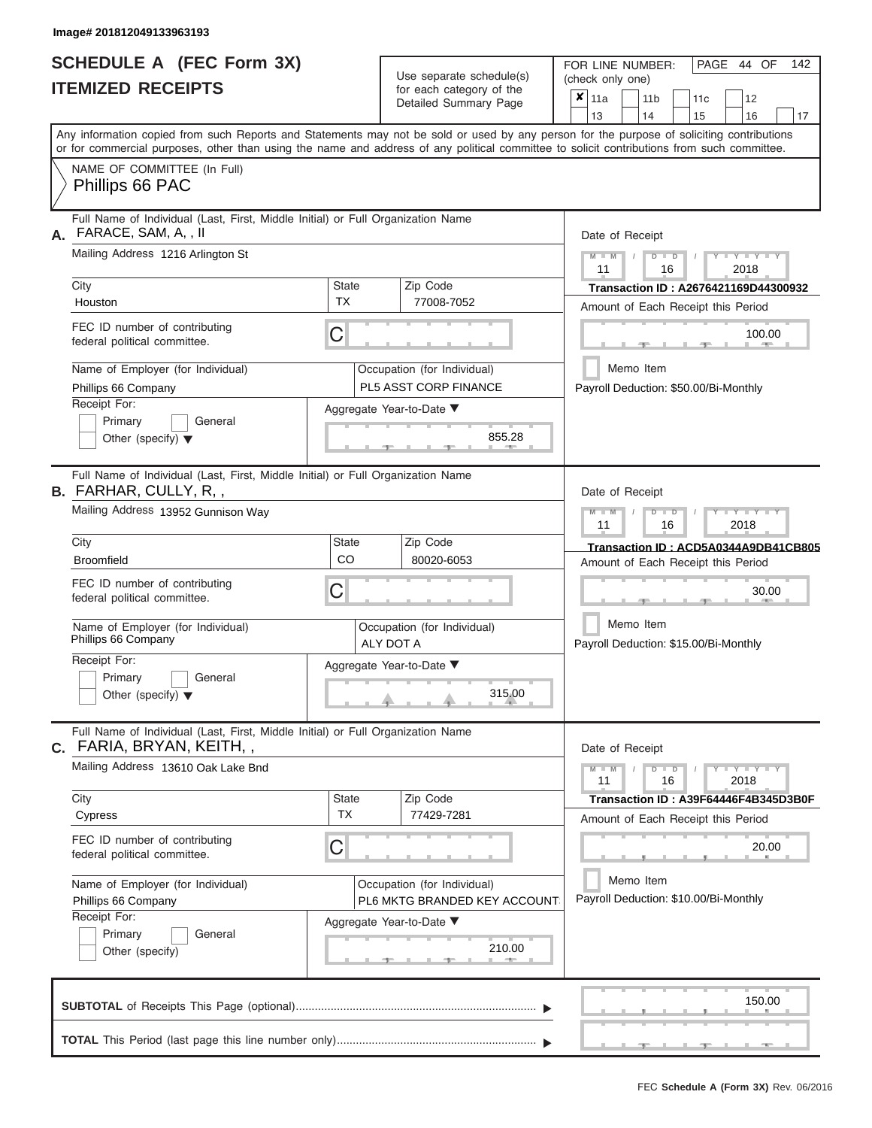ı

|                          | <b>SCHEDULE A (FEC Form 3X)</b> |
|--------------------------|---------------------------------|
| <b>ITEMIZED RECEIPTS</b> |                                 |

Use separate schedule(s)<br>for each category of the

FOR LINE NUMBER:

PAGE 44 OF 142

|                                                                    |                                                                                                                                                                                                                                                                                         |                           | Use separate schedule(s)                                    |               | (check only one)                             |                       |                                                                            |                                 |                                      |  |  |  |  |  |  |
|--------------------------------------------------------------------|-----------------------------------------------------------------------------------------------------------------------------------------------------------------------------------------------------------------------------------------------------------------------------------------|---------------------------|-------------------------------------------------------------|---------------|----------------------------------------------|-----------------------|----------------------------------------------------------------------------|---------------------------------|--------------------------------------|--|--|--|--|--|--|
|                                                                    | <b>ITEMIZED RECEIPTS</b>                                                                                                                                                                                                                                                                |                           | for each category of the<br>Detailed Summary Page           |               | $x \mid_{11a}$<br>13                         | 11 <sub>b</sub><br>14 | 11c<br>15                                                                  | 12<br>16                        | 17                                   |  |  |  |  |  |  |
|                                                                    | Any information copied from such Reports and Statements may not be sold or used by any person for the purpose of soliciting contributions<br>or for commercial purposes, other than using the name and address of any political committee to solicit contributions from such committee. |                           |                                                             |               |                                              |                       |                                                                            |                                 |                                      |  |  |  |  |  |  |
|                                                                    | NAME OF COMMITTEE (In Full)<br>Phillips 66 PAC                                                                                                                                                                                                                                          |                           |                                                             |               |                                              |                       |                                                                            |                                 |                                      |  |  |  |  |  |  |
| А.                                                                 | Full Name of Individual (Last, First, Middle Initial) or Full Organization Name<br>FARACE, SAM, A, , II                                                                                                                                                                                 |                           |                                                             |               |                                              | Date of Receipt       |                                                                            |                                 |                                      |  |  |  |  |  |  |
|                                                                    | Mailing Address 1216 Arlington St                                                                                                                                                                                                                                                       |                           |                                                             |               | $M - M$<br>11                                |                       | $D$ $\Box$ $D$<br>16                                                       | $+Y+Y+Y$<br>2018                |                                      |  |  |  |  |  |  |
|                                                                    | City<br>Houston                                                                                                                                                                                                                                                                         | <b>State</b><br><b>TX</b> | Zip Code<br>77008-7052                                      |               |                                              |                       | Transaction ID: A2676421169D44300932                                       |                                 |                                      |  |  |  |  |  |  |
| FEC ID number of contributing<br>С<br>federal political committee. |                                                                                                                                                                                                                                                                                         |                           |                                                             |               | Amount of Each Receipt this Period<br>100.00 |                       |                                                                            |                                 |                                      |  |  |  |  |  |  |
|                                                                    | Name of Employer (for Individual)<br>Phillips 66 Company                                                                                                                                                                                                                                |                           | Occupation (for Individual)<br>PL5 ASST CORP FINANCE        |               |                                              | Memo Item             | Payroll Deduction: \$50.00/Bi-Monthly                                      |                                 |                                      |  |  |  |  |  |  |
|                                                                    | Receipt For:<br>Primary<br>General<br>Other (specify) $\blacktriangledown$                                                                                                                                                                                                              |                           | Aggregate Year-to-Date ▼                                    | 855.28        |                                              |                       |                                                                            |                                 |                                      |  |  |  |  |  |  |
|                                                                    | Full Name of Individual (Last, First, Middle Initial) or Full Organization Name<br><b>B.</b> FARHAR, CULLY, R, ,                                                                                                                                                                        |                           |                                                             |               |                                              | Date of Receipt       |                                                                            |                                 |                                      |  |  |  |  |  |  |
|                                                                    | Mailing Address 13952 Gunnison Way                                                                                                                                                                                                                                                      |                           |                                                             |               | $M - M$<br>11                                |                       | $D$ $D$<br>16                                                              | $T - Y = T - Y = T - Y$<br>2018 |                                      |  |  |  |  |  |  |
|                                                                    | City<br><b>Broomfield</b>                                                                                                                                                                                                                                                               | <b>State</b><br>CO        | Zip Code<br>80020-6053                                      |               |                                              |                       | Amount of Each Receipt this Period                                         |                                 | Transaction ID: ACD5A0344A9DB41CB805 |  |  |  |  |  |  |
|                                                                    | FEC ID number of contributing<br>federal political committee.                                                                                                                                                                                                                           | C                         |                                                             |               |                                              |                       |                                                                            |                                 | 30.00                                |  |  |  |  |  |  |
|                                                                    | Name of Employer (for Individual)<br>Phillips 66 Company                                                                                                                                                                                                                                |                           | Occupation (for Individual)<br>ALY DOT A                    |               |                                              | Memo Item             | Payroll Deduction: \$15.00/Bi-Monthly                                      |                                 |                                      |  |  |  |  |  |  |
|                                                                    | Receipt For:<br>Primary<br>General<br>Other (specify) $\blacktriangledown$                                                                                                                                                                                                              |                           | Aggregate Year-to-Date ▼                                    | 315.00        |                                              |                       |                                                                            |                                 |                                      |  |  |  |  |  |  |
|                                                                    | Full Name of Individual (Last, First, Middle Initial) or Full Organization Name<br><b>c.</b> FARIA, BRYAN, KEITH, ,                                                                                                                                                                     |                           |                                                             |               |                                              | Date of Receipt       |                                                                            |                                 |                                      |  |  |  |  |  |  |
|                                                                    | Mailing Address 13610 Oak Lake Bnd                                                                                                                                                                                                                                                      |                           |                                                             |               | $M - M$<br>11                                |                       | $D$ $D$<br>16                                                              | $Y - Y - Y - Y - Y$<br>2018     |                                      |  |  |  |  |  |  |
|                                                                    | City<br>Cypress                                                                                                                                                                                                                                                                         | <b>State</b><br><b>TX</b> | Zip Code<br>77429-7281                                      |               |                                              |                       | Transaction ID: A39F64446F4B345D3B0F<br>Amount of Each Receipt this Period |                                 |                                      |  |  |  |  |  |  |
|                                                                    | FEC ID number of contributing<br>federal political committee.                                                                                                                                                                                                                           | С                         |                                                             |               |                                              |                       |                                                                            |                                 | 20.00                                |  |  |  |  |  |  |
|                                                                    | Name of Employer (for Individual)<br>Phillips 66 Company<br>Receipt For:                                                                                                                                                                                                                |                           | Occupation (for Individual)<br>PL6 MKTG BRANDED KEY ACCOUNT |               |                                              | Memo Item             | Payroll Deduction: \$10.00/Bi-Monthly                                      |                                 |                                      |  |  |  |  |  |  |
|                                                                    | Primary<br>General<br>Other (specify)                                                                                                                                                                                                                                                   |                           | Aggregate Year-to-Date ▼                                    | 210.00<br>$-$ |                                              |                       |                                                                            |                                 |                                      |  |  |  |  |  |  |
|                                                                    |                                                                                                                                                                                                                                                                                         |                           |                                                             |               |                                              |                       |                                                                            | 150.00                          |                                      |  |  |  |  |  |  |
|                                                                    |                                                                                                                                                                                                                                                                                         |                           |                                                             |               |                                              |                       |                                                                            |                                 |                                      |  |  |  |  |  |  |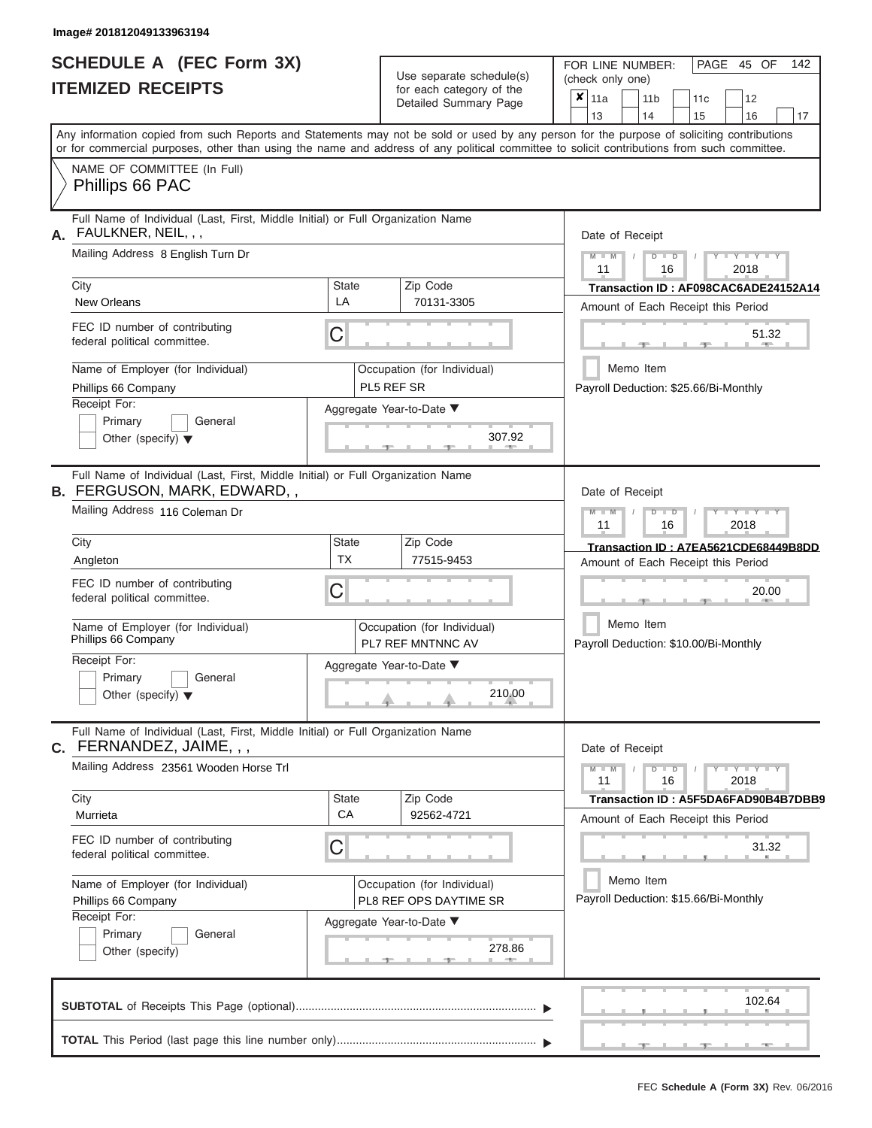|                          | <b>SCHEDULE A (FEC Form 3X)</b> |
|--------------------------|---------------------------------|
| <b>ITEMIZED RECEIPTS</b> |                                 |

Use separate schedule(s) (check only one) (one)

FOR LINE NUMBER:

PAGE 45 OF 142

|    |                                                                                                                                            |             |                                                | Detailed Summary Page                            | ×                                                  | 11a             |           | 11 <sub>b</sub> |                                       | 11c                                   |       | 12                              |                                      |  |  |  |
|----|--------------------------------------------------------------------------------------------------------------------------------------------|-------------|------------------------------------------------|--------------------------------------------------|----------------------------------------------------|-----------------|-----------|-----------------|---------------------------------------|---------------------------------------|-------|---------------------------------|--------------------------------------|--|--|--|
|    | Any information copied from such Reports and Statements may not be sold or used by any person for the purpose of soliciting contributions  |             |                                                |                                                  |                                                    | 13              |           | 14              |                                       | 15                                    |       | 16                              | 17                                   |  |  |  |
|    | or for commercial purposes, other than using the name and address of any political committee to solicit contributions from such committee. |             |                                                |                                                  |                                                    |                 |           |                 |                                       |                                       |       |                                 |                                      |  |  |  |
|    | NAME OF COMMITTEE (In Full)<br>Phillips 66 PAC                                                                                             |             |                                                |                                                  |                                                    |                 |           |                 |                                       |                                       |       |                                 |                                      |  |  |  |
| А. | Full Name of Individual (Last, First, Middle Initial) or Full Organization Name<br>FAULKNER, NEIL, , ,                                     |             |                                                | Date of Receipt                                  |                                                    |                 |           |                 |                                       |                                       |       |                                 |                                      |  |  |  |
|    | Mailing Address 8 English Turn Dr                                                                                                          |             |                                                |                                                  | $M - M$<br>$D$ $D$<br>Y TY T<br>2018<br>11<br>16   |                 |           |                 |                                       |                                       |       |                                 |                                      |  |  |  |
|    | City                                                                                                                                       | State       |                                                | Zip Code                                         |                                                    |                 |           |                 |                                       |                                       |       |                                 | Transaction ID: AF098CAC6ADE24152A14 |  |  |  |
|    | <b>New Orleans</b>                                                                                                                         | LA          |                                                | 70131-3305                                       |                                                    |                 |           |                 |                                       | Amount of Each Receipt this Period    |       |                                 |                                      |  |  |  |
|    | FEC ID number of contributing<br>federal political committee.                                                                              | С           |                                                |                                                  |                                                    |                 |           |                 |                                       |                                       |       | 51.32                           |                                      |  |  |  |
|    | Name of Employer (for Individual)<br>Phillips 66 Company                                                                                   | PL5 REF SR  | Occupation (for Individual)                    |                                                  |                                                    | Memo Item       |           |                 | Payroll Deduction: \$25.66/Bi-Monthly |                                       |       |                                 |                                      |  |  |  |
|    | Receipt For:                                                                                                                               |             |                                                | Aggregate Year-to-Date ▼                         |                                                    |                 |           |                 |                                       |                                       |       |                                 |                                      |  |  |  |
|    | Primary<br>General<br>Other (specify) $\blacktriangledown$                                                                                 |             |                                                | 307.92                                           |                                                    |                 |           |                 |                                       |                                       |       |                                 |                                      |  |  |  |
|    | Full Name of Individual (Last, First, Middle Initial) or Full Organization Name<br><b>B. FERGUSON, MARK, EDWARD,,</b>                      |             |                                                |                                                  |                                                    | Date of Receipt |           |                 |                                       |                                       |       |                                 |                                      |  |  |  |
|    | Mailing Address 116 Coleman Dr                                                                                                             |             | $M - M$<br>$D$ $D$<br>Y TY<br>11<br>16<br>2018 |                                                  |                                                    |                 |           |                 |                                       |                                       |       |                                 |                                      |  |  |  |
|    | City                                                                                                                                       | State       |                                                | Zip Code                                         |                                                    |                 |           |                 |                                       | Transaction ID: A7EA5621CDE68449B8DD  |       |                                 |                                      |  |  |  |
|    | Angleton                                                                                                                                   | <b>TX</b>   |                                                | 77515-9453                                       |                                                    |                 |           |                 |                                       | Amount of Each Receipt this Period    |       |                                 |                                      |  |  |  |
|    | FEC ID number of contributing<br>federal political committee.                                                                              |             |                                                |                                                  |                                                    |                 |           |                 |                                       |                                       | 20.00 |                                 |                                      |  |  |  |
|    | Name of Employer (for Individual)<br>Phillips 66 Company                                                                                   |             |                                                | Occupation (for Individual)<br>PL7 REF MNTNNC AV | Memo Item<br>Payroll Deduction: \$10.00/Bi-Monthly |                 |           |                 |                                       |                                       |       |                                 |                                      |  |  |  |
|    | Receipt For:<br>Primary<br>General                                                                                                         |             |                                                | Aggregate Year-to-Date ▼                         |                                                    |                 |           |                 |                                       |                                       |       |                                 |                                      |  |  |  |
|    | Other (specify) $\blacktriangledown$                                                                                                       |             |                                                | 210.00                                           |                                                    |                 |           |                 |                                       |                                       |       |                                 |                                      |  |  |  |
|    | Full Name of Individual (Last, First, Middle Initial) or Full Organization Name<br>C. FERNANDEZ, JAIME, , ,                                |             |                                                |                                                  |                                                    | Date of Receipt |           |                 |                                       |                                       |       |                                 |                                      |  |  |  |
|    | Mailing Address 23561 Wooden Horse Trl                                                                                                     |             |                                                |                                                  |                                                    | $M - M$<br>11   |           |                 | $D$ $D$<br>16                         |                                       |       | $Y$ $Y$ $Y$ $Y$ $Y$ $Y$<br>2018 |                                      |  |  |  |
|    | City                                                                                                                                       | State<br>CA |                                                | Zip Code                                         |                                                    |                 |           |                 |                                       | Transaction ID: A5F5DA6FAD90B4B7DBB9  |       |                                 |                                      |  |  |  |
|    | Murrieta                                                                                                                                   |             |                                                | 92562-4721                                       |                                                    |                 |           |                 |                                       | Amount of Each Receipt this Period    |       |                                 |                                      |  |  |  |
|    | FEC ID number of contributing<br>federal political committee.                                                                              | С           |                                                |                                                  |                                                    |                 |           |                 |                                       |                                       |       | 31.32                           |                                      |  |  |  |
|    | Name of Employer (for Individual)                                                                                                          |             |                                                | Occupation (for Individual)                      |                                                    |                 | Memo Item |                 |                                       | Payroll Deduction: \$15.66/Bi-Monthly |       |                                 |                                      |  |  |  |
|    | Phillips 66 Company<br>Receipt For:                                                                                                        |             |                                                | PL8 REF OPS DAYTIME SR                           |                                                    |                 |           |                 |                                       |                                       |       |                                 |                                      |  |  |  |
|    | Primary<br>General                                                                                                                         |             |                                                | Aggregate Year-to-Date ▼                         |                                                    |                 |           |                 |                                       |                                       |       |                                 |                                      |  |  |  |
|    | Other (specify)                                                                                                                            |             |                                                | 278.86                                           |                                                    |                 |           |                 |                                       |                                       |       |                                 |                                      |  |  |  |
|    |                                                                                                                                            |             |                                                |                                                  |                                                    |                 |           |                 |                                       |                                       |       |                                 |                                      |  |  |  |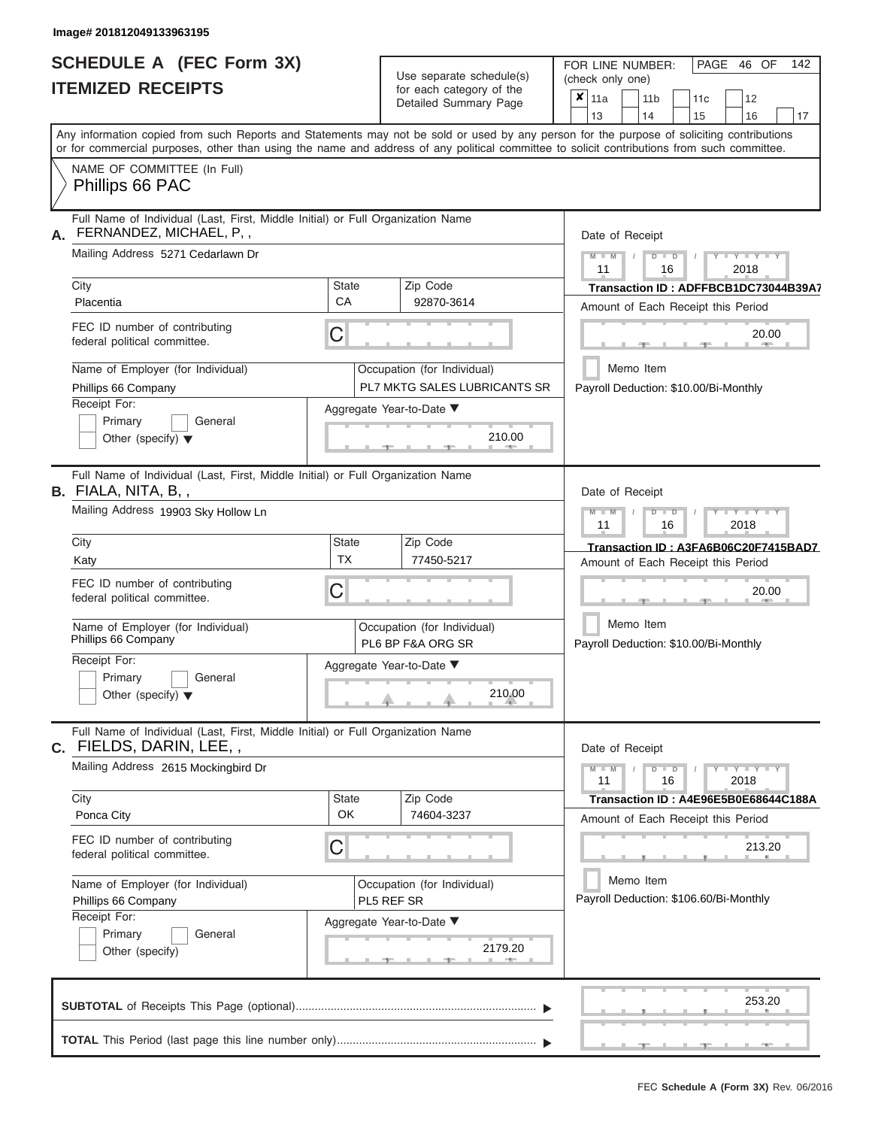|                          | <b>SCHEDULE A (FEC Form 3X)</b> |
|--------------------------|---------------------------------|
| <b>ITEMIZED RECEIPTS</b> |                                 |

Use separate schedule(s)<br>for each category of the

FOR LINE NUMBER:<br>(check only one)

PAGE 46 OF 142

|                                                                                                                                                                                                                                                                                         |              | or oaon oatogory<br>Detailed Summary Page                   |                                                    | $x \mid$ 11a    |           | 11 <sub>b</sub> |               | 11 <sub>c</sub>                       | 12                                       |    |  |  |  |  |
|-----------------------------------------------------------------------------------------------------------------------------------------------------------------------------------------------------------------------------------------------------------------------------------------|--------------|-------------------------------------------------------------|----------------------------------------------------|-----------------|-----------|-----------------|---------------|---------------------------------------|------------------------------------------|----|--|--|--|--|
|                                                                                                                                                                                                                                                                                         |              |                                                             |                                                    | 13              |           | 14              |               | 15                                    | 16                                       | 17 |  |  |  |  |
| Any information copied from such Reports and Statements may not be sold or used by any person for the purpose of soliciting contributions<br>or for commercial purposes, other than using the name and address of any political committee to solicit contributions from such committee. |              |                                                             |                                                    |                 |           |                 |               |                                       |                                          |    |  |  |  |  |
| NAME OF COMMITTEE (In Full)<br>Phillips 66 PAC                                                                                                                                                                                                                                          |              |                                                             |                                                    |                 |           |                 |               |                                       |                                          |    |  |  |  |  |
| Full Name of Individual (Last, First, Middle Initial) or Full Organization Name<br>FERNANDEZ, MICHAEL, P,,<br>А.                                                                                                                                                                        |              |                                                             |                                                    | Date of Receipt |           |                 |               |                                       |                                          |    |  |  |  |  |
| Mailing Address 5271 Cedarlawn Dr                                                                                                                                                                                                                                                       |              |                                                             |                                                    | $M - M$<br>11   |           |                 | $D$ $D$<br>16 |                                       | $Y - Y - Y$<br>2018                      |    |  |  |  |  |
| City                                                                                                                                                                                                                                                                                    | <b>State</b> | Zip Code                                                    | Transaction ID: ADFFBCB1DC73044B39A7               |                 |           |                 |               |                                       |                                          |    |  |  |  |  |
| Placentia                                                                                                                                                                                                                                                                               | CA           | 92870-3614                                                  |                                                    |                 |           |                 |               |                                       | Amount of Each Receipt this Period       |    |  |  |  |  |
| FEC ID number of contributing<br>federal political committee.                                                                                                                                                                                                                           | C            |                                                             |                                                    |                 |           |                 |               |                                       | 20.00<br>$-$                             |    |  |  |  |  |
| Name of Employer (for Individual)<br>Phillips 66 Company                                                                                                                                                                                                                                |              | Occupation (for Individual)<br>PL7 MKTG SALES LUBRICANTS SR |                                                    |                 | Memo Item |                 |               | Payroll Deduction: \$10.00/Bi-Monthly |                                          |    |  |  |  |  |
| Receipt For:                                                                                                                                                                                                                                                                            |              | Aggregate Year-to-Date ▼                                    |                                                    |                 |           |                 |               |                                       |                                          |    |  |  |  |  |
| Primary<br>General<br>Other (specify) $\blacktriangledown$                                                                                                                                                                                                                              |              | 210.00<br>-91                                               |                                                    |                 |           |                 |               |                                       |                                          |    |  |  |  |  |
| Full Name of Individual (Last, First, Middle Initial) or Full Organization Name<br><b>B.</b> FIALA, NITA, B, ,                                                                                                                                                                          |              | Date of Receipt                                             |                                                    |                 |           |                 |               |                                       |                                          |    |  |  |  |  |
| Mailing Address 19903 Sky Hollow Ln                                                                                                                                                                                                                                                     |              |                                                             | $M - M$<br>Y TYT<br>$D$ $D$<br>11<br>16<br>2018    |                 |           |                 |               |                                       |                                          |    |  |  |  |  |
| City                                                                                                                                                                                                                                                                                    | State        | Zip Code                                                    |                                                    |                 |           |                 |               |                                       | Transaction ID: A3FA6B06C20F7415BAD7     |    |  |  |  |  |
| Katy                                                                                                                                                                                                                                                                                    | <b>TX</b>    | 77450-5217                                                  |                                                    |                 |           |                 |               |                                       | Amount of Each Receipt this Period       |    |  |  |  |  |
| FEC ID number of contributing<br>federal political committee.                                                                                                                                                                                                                           | С            |                                                             |                                                    |                 |           |                 |               |                                       | 20.00                                    |    |  |  |  |  |
| Name of Employer (for Individual)<br>Phillips 66 Company                                                                                                                                                                                                                                |              | Occupation (for Individual)<br>PL6 BP F&A ORG SR            | Memo Item<br>Payroll Deduction: \$10.00/Bi-Monthly |                 |           |                 |               |                                       |                                          |    |  |  |  |  |
| Receipt For:<br>Primary<br>General<br>Other (specify) $\blacktriangledown$                                                                                                                                                                                                              |              | Aggregate Year-to-Date ▼<br>210.00                          |                                                    |                 |           |                 |               |                                       |                                          |    |  |  |  |  |
| Full Name of Individual (Last, First, Middle Initial) or Full Organization Name<br>C. FIELDS, DARIN, LEE,,                                                                                                                                                                              |              |                                                             |                                                    | Date of Receipt |           |                 |               |                                       |                                          |    |  |  |  |  |
| Mailing Address 2615 Mockingbird Dr                                                                                                                                                                                                                                                     |              |                                                             |                                                    | $M - M$<br>11   |           |                 | $D$ $D$<br>16 |                                       | $\overline{Y} = Y = Y' + Y' + Y$<br>2018 |    |  |  |  |  |
| City                                                                                                                                                                                                                                                                                    | State        | Zip Code                                                    |                                                    |                 |           |                 |               |                                       | Transaction ID: A4E96E5B0E68644C188A     |    |  |  |  |  |
| Ponca City                                                                                                                                                                                                                                                                              | OK           | 74604-3237                                                  |                                                    |                 |           |                 |               |                                       | Amount of Each Receipt this Period       |    |  |  |  |  |
| FEC ID number of contributing<br>federal political committee.                                                                                                                                                                                                                           | C            |                                                             |                                                    |                 |           |                 |               |                                       | 213.20                                   |    |  |  |  |  |
| Name of Employer (for Individual)<br>Phillips 66 Company                                                                                                                                                                                                                                |              | Occupation (for Individual)<br>PL5 REF SR                   |                                                    |                 | Memo Item |                 |               |                                       | Payroll Deduction: \$106.60/Bi-Monthly   |    |  |  |  |  |
| Receipt For:                                                                                                                                                                                                                                                                            |              | Aggregate Year-to-Date ▼                                    |                                                    |                 |           |                 |               |                                       |                                          |    |  |  |  |  |
| Primary<br>General<br>Other (specify)                                                                                                                                                                                                                                                   |              | 2179.20                                                     |                                                    |                 |           |                 |               |                                       |                                          |    |  |  |  |  |
|                                                                                                                                                                                                                                                                                         |              |                                                             |                                                    |                 |           |                 |               |                                       | 253.20                                   |    |  |  |  |  |
|                                                                                                                                                                                                                                                                                         |              |                                                             |                                                    |                 |           |                 |               |                                       |                                          |    |  |  |  |  |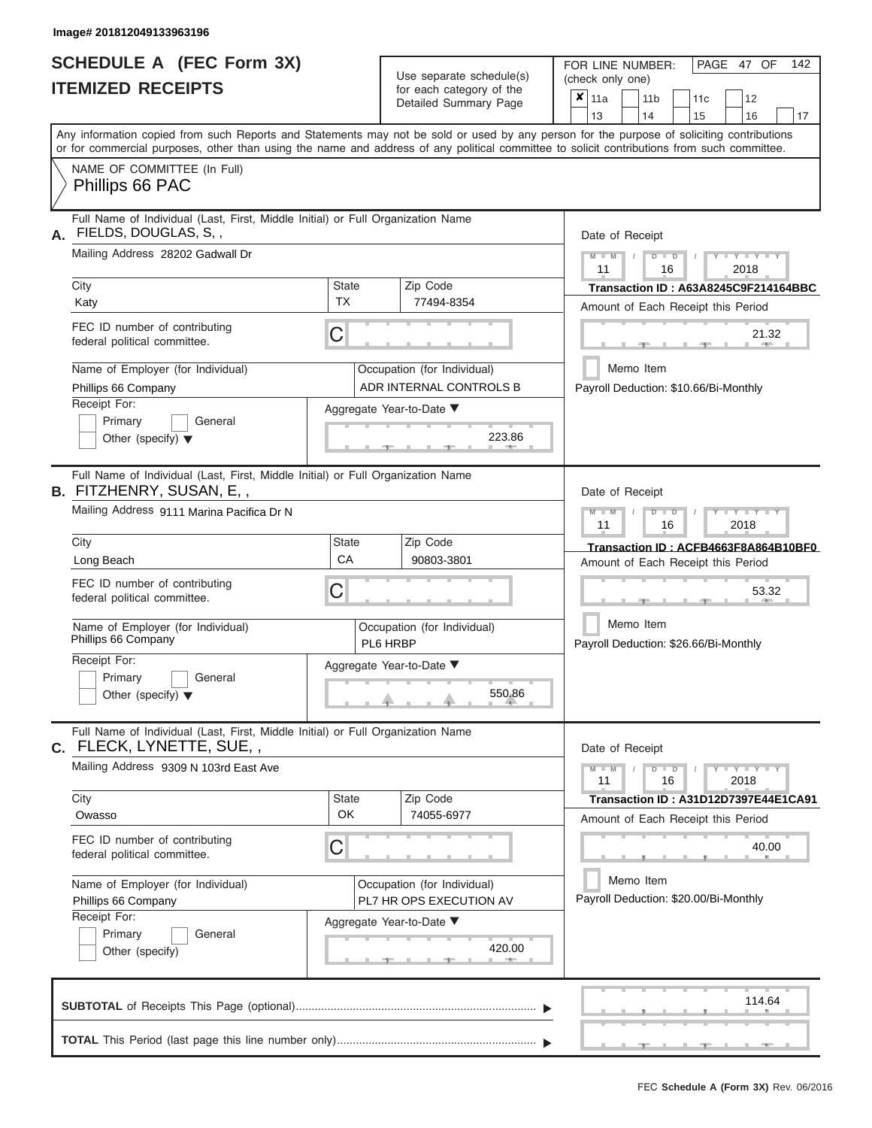|                          | <b>SCHEDULE A (FEC Form 3X)</b> |
|--------------------------|---------------------------------|
| <b>ITEMIZED RECEIPTS</b> |                                 |

Use separate schedule(s)<br>for each category of the

FOR LINE NUMBER:<br>(check only one)

PAGE 47 OF 142

|                                                                                                                                                                                                                                                                                         |                                                        | $\alpha$<br>Detailed Summary Page       |                                      | $x \mid$ 11a<br>13                                 |           | 11 <sub>b</sub><br>14 |               | 11 <sub>c</sub><br>15                 | 12<br>16                                                                        | 17 |  |  |  |  |  |  |
|-----------------------------------------------------------------------------------------------------------------------------------------------------------------------------------------------------------------------------------------------------------------------------------------|--------------------------------------------------------|-----------------------------------------|--------------------------------------|----------------------------------------------------|-----------|-----------------------|---------------|---------------------------------------|---------------------------------------------------------------------------------|----|--|--|--|--|--|--|
| Any information copied from such Reports and Statements may not be sold or used by any person for the purpose of soliciting contributions<br>or for commercial purposes, other than using the name and address of any political committee to solicit contributions from such committee. |                                                        |                                         |                                      |                                                    |           |                       |               |                                       |                                                                                 |    |  |  |  |  |  |  |
| NAME OF COMMITTEE (In Full)<br>Phillips 66 PAC                                                                                                                                                                                                                                          |                                                        |                                         |                                      |                                                    |           |                       |               |                                       |                                                                                 |    |  |  |  |  |  |  |
| Full Name of Individual (Last, First, Middle Initial) or Full Organization Name<br>FIELDS, DOUGLAS, S,,<br>А.                                                                                                                                                                           |                                                        |                                         | Date of Receipt                      |                                                    |           |                       |               |                                       |                                                                                 |    |  |  |  |  |  |  |
| Mailing Address 28202 Gadwall Dr                                                                                                                                                                                                                                                        | $M - M$<br>$Y - Y - Y$<br>$D$ $D$<br>2018<br>11<br>16  |                                         |                                      |                                                    |           |                       |               |                                       |                                                                                 |    |  |  |  |  |  |  |
| City                                                                                                                                                                                                                                                                                    | <b>State</b>                                           | Zip Code                                | Transaction ID: A63A8245C9F214164BBC |                                                    |           |                       |               |                                       |                                                                                 |    |  |  |  |  |  |  |
| Katy                                                                                                                                                                                                                                                                                    | <b>TX</b>                                              | 77494-8354                              |                                      |                                                    |           |                       |               |                                       | Amount of Each Receipt this Period                                              |    |  |  |  |  |  |  |
| FEC ID number of contributing<br>federal political committee.                                                                                                                                                                                                                           | С                                                      |                                         |                                      |                                                    |           |                       |               |                                       | 21.32                                                                           |    |  |  |  |  |  |  |
| Name of Employer (for Individual)<br>Phillips 66 Company                                                                                                                                                                                                                                | Occupation (for Individual)<br>ADR INTERNAL CONTROLS B |                                         |                                      | Memo Item                                          |           |                       |               | Payroll Deduction: \$10.66/Bi-Monthly |                                                                                 |    |  |  |  |  |  |  |
| Receipt For:                                                                                                                                                                                                                                                                            |                                                        | Aggregate Year-to-Date ▼                |                                      |                                                    |           |                       |               |                                       |                                                                                 |    |  |  |  |  |  |  |
| Primary<br>General<br>Other (specify) $\blacktriangledown$                                                                                                                                                                                                                              |                                                        | 223.86                                  |                                      |                                                    |           |                       |               |                                       |                                                                                 |    |  |  |  |  |  |  |
| Full Name of Individual (Last, First, Middle Initial) or Full Organization Name<br><b>B.</b> FITZHENRY, SUSAN, E,,                                                                                                                                                                      |                                                        |                                         |                                      | Date of Receipt                                    |           |                       |               |                                       |                                                                                 |    |  |  |  |  |  |  |
| Mailing Address 9111 Marina Pacifica Dr N                                                                                                                                                                                                                                               |                                                        |                                         | $M - M$<br>11                        |                                                    |           | $D$ $D$<br>16         |               | Y TY<br>2018                          |                                                                                 |    |  |  |  |  |  |  |
| City                                                                                                                                                                                                                                                                                    | State                                                  | Zip Code                                |                                      |                                                    |           |                       |               |                                       | Transaction ID: ACFB4663F8A864B10BF0                                            |    |  |  |  |  |  |  |
| Long Beach                                                                                                                                                                                                                                                                              | CA                                                     | 90803-3801                              |                                      |                                                    |           |                       |               |                                       | Amount of Each Receipt this Period                                              |    |  |  |  |  |  |  |
| FEC ID number of contributing<br>federal political committee.                                                                                                                                                                                                                           | С                                                      |                                         |                                      |                                                    |           |                       | 53.32         |                                       |                                                                                 |    |  |  |  |  |  |  |
| Name of Employer (for Individual)<br>Phillips 66 Company                                                                                                                                                                                                                                |                                                        | Occupation (for Individual)<br>PL6 HRBP |                                      | Memo Item<br>Payroll Deduction: \$26.66/Bi-Monthly |           |                       |               |                                       |                                                                                 |    |  |  |  |  |  |  |
| Receipt For:<br>Primary<br>General<br>Other (specify) $\blacktriangledown$                                                                                                                                                                                                              |                                                        | Aggregate Year-to-Date ▼<br>550.86      |                                      |                                                    |           |                       |               |                                       |                                                                                 |    |  |  |  |  |  |  |
| Full Name of Individual (Last, First, Middle Initial) or Full Organization Name<br>C. FLECK, LYNETTE, SUE,,                                                                                                                                                                             |                                                        |                                         |                                      | Date of Receipt                                    |           |                       |               |                                       |                                                                                 |    |  |  |  |  |  |  |
| Mailing Address 9309 N 103rd East Ave                                                                                                                                                                                                                                                   |                                                        |                                         |                                      | $M - M$<br>11                                      |           |                       | $D$ $D$<br>16 |                                       | $\overline{Y} \perp \overline{Y} \perp \overline{Y} \perp \overline{Y}$<br>2018 |    |  |  |  |  |  |  |
| City                                                                                                                                                                                                                                                                                    | State                                                  | Zip Code                                |                                      |                                                    |           |                       |               |                                       | Transaction ID: A31D12D7397E44E1CA91                                            |    |  |  |  |  |  |  |
| Owasso                                                                                                                                                                                                                                                                                  | OK                                                     | 74055-6977                              |                                      |                                                    |           |                       |               |                                       | Amount of Each Receipt this Period                                              |    |  |  |  |  |  |  |
| FEC ID number of contributing<br>federal political committee.                                                                                                                                                                                                                           | С                                                      |                                         |                                      |                                                    |           |                       |               |                                       | 40.00                                                                           |    |  |  |  |  |  |  |
| Name of Employer (for Individual)                                                                                                                                                                                                                                                       |                                                        | Occupation (for Individual)             |                                      |                                                    | Memo Item |                       |               |                                       |                                                                                 |    |  |  |  |  |  |  |
| Phillips 66 Company                                                                                                                                                                                                                                                                     |                                                        | PL7 HR OPS EXECUTION AV                 |                                      |                                                    |           |                       |               |                                       | Payroll Deduction: \$20.00/Bi-Monthly                                           |    |  |  |  |  |  |  |
| Receipt For:<br>Primary<br>General                                                                                                                                                                                                                                                      |                                                        | Aggregate Year-to-Date ▼                |                                      |                                                    |           |                       |               |                                       |                                                                                 |    |  |  |  |  |  |  |
| Other (specify)                                                                                                                                                                                                                                                                         |                                                        | 420.00                                  |                                      |                                                    |           |                       |               |                                       |                                                                                 |    |  |  |  |  |  |  |
|                                                                                                                                                                                                                                                                                         |                                                        |                                         |                                      |                                                    |           |                       |               |                                       | 114.64                                                                          |    |  |  |  |  |  |  |
|                                                                                                                                                                                                                                                                                         |                                                        |                                         |                                      |                                                    |           |                       |               |                                       |                                                                                 |    |  |  |  |  |  |  |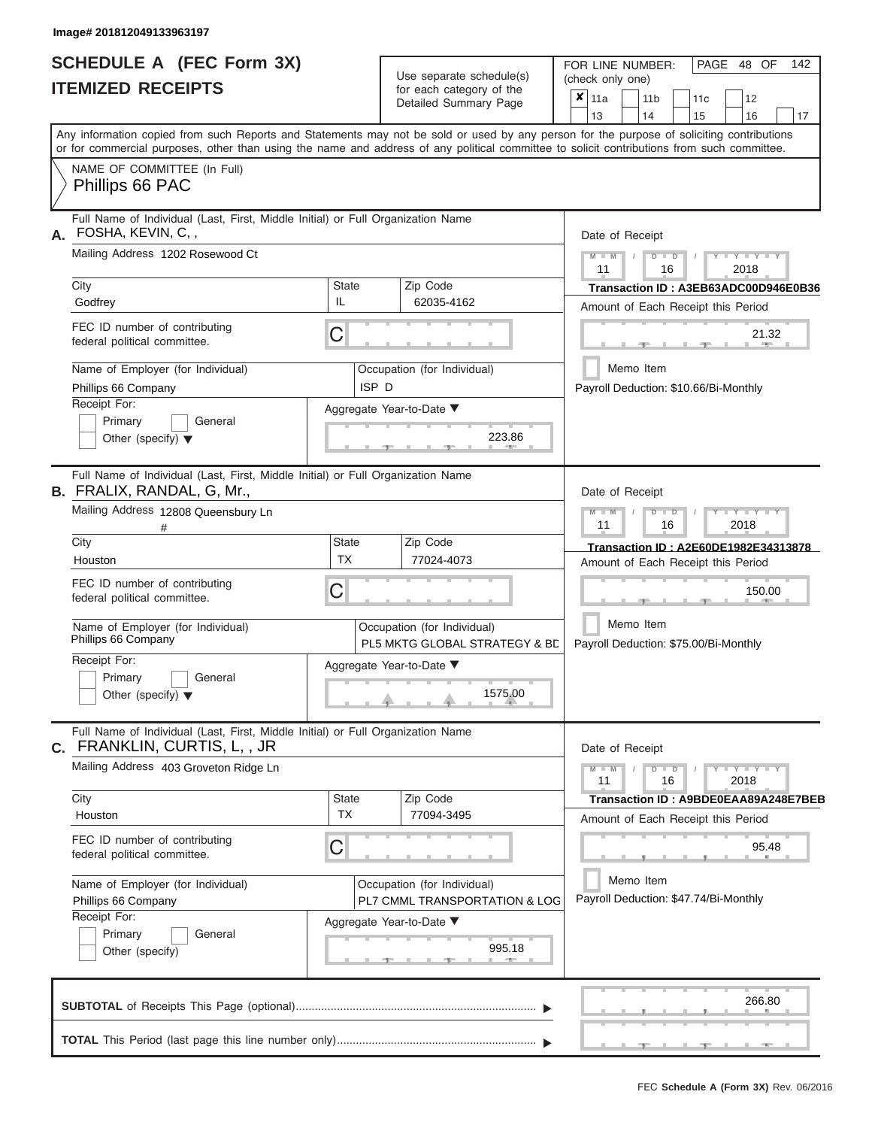| <b>SCHEDULE A (FEC Form 3X)</b> |  |  |
|---------------------------------|--|--|
| <b>ITEMIZED RECEIPTS</b>        |  |  |

Use separate schedule(s)<br>for each category of the

FOR LINE NUMBER:<br>(check only one)

PAGE 48 OF 142

|    |                                                                                                                                                                                                                                                                                         |                                                                                          | $\frac{1}{2}$<br>Detailed Summary Page                       | ×               | 11a<br>13                                          |               | 11 <sub>b</sub><br>14 |               | 11c | 12<br>16                              |                                      |  |  |  |
|----|-----------------------------------------------------------------------------------------------------------------------------------------------------------------------------------------------------------------------------------------------------------------------------------------|------------------------------------------------------------------------------------------|--------------------------------------------------------------|-----------------|----------------------------------------------------|---------------|-----------------------|---------------|-----|---------------------------------------|--------------------------------------|--|--|--|
|    | Any information copied from such Reports and Statements may not be sold or used by any person for the purpose of soliciting contributions<br>or for commercial purposes, other than using the name and address of any political committee to solicit contributions from such committee. |                                                                                          |                                                              |                 |                                                    |               |                       |               | 15  |                                       | 17                                   |  |  |  |
|    | NAME OF COMMITTEE (In Full)<br>Phillips 66 PAC                                                                                                                                                                                                                                          |                                                                                          |                                                              |                 |                                                    |               |                       |               |     |                                       |                                      |  |  |  |
| А. | Full Name of Individual (Last, First, Middle Initial) or Full Organization Name<br>FOSHA, KEVIN, C,,                                                                                                                                                                                    |                                                                                          |                                                              | Date of Receipt |                                                    |               |                       |               |     |                                       |                                      |  |  |  |
|    | Mailing Address 1202 Rosewood Ct                                                                                                                                                                                                                                                        | $M - M$<br>$D$ $D$<br>Y TY T<br>2018<br>11<br>16<br>Transaction ID: A3EB63ADC00D946E0B36 |                                                              |                 |                                                    |               |                       |               |     |                                       |                                      |  |  |  |
|    | City                                                                                                                                                                                                                                                                                    | State                                                                                    | Zip Code                                                     |                 |                                                    |               |                       |               |     |                                       |                                      |  |  |  |
|    | Godfrey                                                                                                                                                                                                                                                                                 | IL                                                                                       | 62035-4162                                                   |                 |                                                    |               |                       |               |     | Amount of Each Receipt this Period    |                                      |  |  |  |
|    | FEC ID number of contributing<br>federal political committee.                                                                                                                                                                                                                           | С                                                                                        |                                                              |                 |                                                    |               |                       |               |     |                                       | 21.32                                |  |  |  |
|    | Name of Employer (for Individual)<br>Phillips 66 Company                                                                                                                                                                                                                                | ISP D                                                                                    | Occupation (for Individual)                                  |                 |                                                    |               | Memo Item             |               |     | Payroll Deduction: \$10.66/Bi-Monthly |                                      |  |  |  |
|    | Receipt For:                                                                                                                                                                                                                                                                            |                                                                                          | Aggregate Year-to-Date ▼                                     |                 |                                                    |               |                       |               |     |                                       |                                      |  |  |  |
|    | Primary<br>General<br>Other (specify) $\blacktriangledown$                                                                                                                                                                                                                              |                                                                                          | 223.86                                                       |                 |                                                    |               |                       |               |     |                                       |                                      |  |  |  |
|    | Full Name of Individual (Last, First, Middle Initial) or Full Organization Name<br>B. FRALIX, RANDAL, G, Mr.,                                                                                                                                                                           |                                                                                          |                                                              |                 | Date of Receipt                                    |               |                       |               |     |                                       |                                      |  |  |  |
|    | Mailing Address 12808 Queensbury Ln                                                                                                                                                                                                                                                     |                                                                                          | $M - M$<br>11                                                |                 |                                                    | $D$ $D$<br>16 |                       | Y TY<br>2018  |     |                                       |                                      |  |  |  |
|    | City                                                                                                                                                                                                                                                                                    | <b>State</b>                                                                             | Zip Code                                                     |                 |                                                    |               |                       |               |     |                                       | Transaction ID: A2E60DE1982E34313878 |  |  |  |
|    | Houston                                                                                                                                                                                                                                                                                 | <b>TX</b>                                                                                | 77024-4073                                                   |                 | Amount of Each Receipt this Period                 |               |                       |               |     |                                       |                                      |  |  |  |
|    | FEC ID number of contributing<br>federal political committee.                                                                                                                                                                                                                           | С                                                                                        |                                                              |                 |                                                    | 150.00        |                       |               |     |                                       |                                      |  |  |  |
|    | Name of Employer (for Individual)<br>Phillips 66 Company                                                                                                                                                                                                                                |                                                                                          | Occupation (for Individual)<br>PL5 MKTG GLOBAL STRATEGY & BD |                 | Memo Item<br>Payroll Deduction: \$75.00/Bi-Monthly |               |                       |               |     |                                       |                                      |  |  |  |
|    | Receipt For:                                                                                                                                                                                                                                                                            |                                                                                          | Aggregate Year-to-Date ▼                                     |                 |                                                    |               |                       |               |     |                                       |                                      |  |  |  |
|    | Primary<br>General                                                                                                                                                                                                                                                                      |                                                                                          |                                                              |                 |                                                    |               |                       |               |     |                                       |                                      |  |  |  |
|    | Other (specify) $\blacktriangledown$                                                                                                                                                                                                                                                    |                                                                                          | 1575.00                                                      |                 |                                                    |               |                       |               |     |                                       |                                      |  |  |  |
|    | Full Name of Individual (Last, First, Middle Initial) or Full Organization Name<br>C. FRANKLIN, CURTIS, L,, JR                                                                                                                                                                          |                                                                                          |                                                              |                 | Date of Receipt                                    |               |                       |               |     |                                       |                                      |  |  |  |
|    | Mailing Address 403 Groveton Ridge Ln                                                                                                                                                                                                                                                   |                                                                                          |                                                              |                 | $M - M$<br>11                                      |               |                       | $D$ $D$<br>16 |     | $Y - I - Y - I - Y - I - Y$<br>2018   |                                      |  |  |  |
|    | City                                                                                                                                                                                                                                                                                    | <b>State</b>                                                                             | Zip Code                                                     |                 |                                                    |               |                       |               |     |                                       | Transaction ID: A9BDE0EAA89A248E7BEB |  |  |  |
|    | Houston                                                                                                                                                                                                                                                                                 | <b>TX</b>                                                                                | 77094-3495                                                   |                 |                                                    |               |                       |               |     | Amount of Each Receipt this Period    |                                      |  |  |  |
|    | FEC ID number of contributing<br>federal political committee.                                                                                                                                                                                                                           | С                                                                                        |                                                              |                 |                                                    |               |                       |               |     |                                       | 95.48                                |  |  |  |
|    | Name of Employer (for Individual)                                                                                                                                                                                                                                                       |                                                                                          | Occupation (for Individual)                                  |                 |                                                    |               | Memo Item             |               |     |                                       |                                      |  |  |  |
|    | Phillips 66 Company                                                                                                                                                                                                                                                                     |                                                                                          | PL7 CMML TRANSPORTATION & LOG                                |                 |                                                    |               |                       |               |     | Payroll Deduction: \$47.74/Bi-Monthly |                                      |  |  |  |
|    | Receipt For:                                                                                                                                                                                                                                                                            |                                                                                          | Aggregate Year-to-Date ▼                                     |                 |                                                    |               |                       |               |     |                                       |                                      |  |  |  |
|    | Primary<br>General                                                                                                                                                                                                                                                                      |                                                                                          |                                                              |                 |                                                    |               |                       |               |     |                                       |                                      |  |  |  |
|    | Other (specify)                                                                                                                                                                                                                                                                         |                                                                                          | 995.18                                                       |                 |                                                    |               |                       |               |     |                                       |                                      |  |  |  |
|    |                                                                                                                                                                                                                                                                                         |                                                                                          |                                                              |                 |                                                    |               |                       |               |     |                                       | 266.80                               |  |  |  |
|    |                                                                                                                                                                                                                                                                                         |                                                                                          |                                                              |                 |                                                    |               |                       |               |     |                                       |                                      |  |  |  |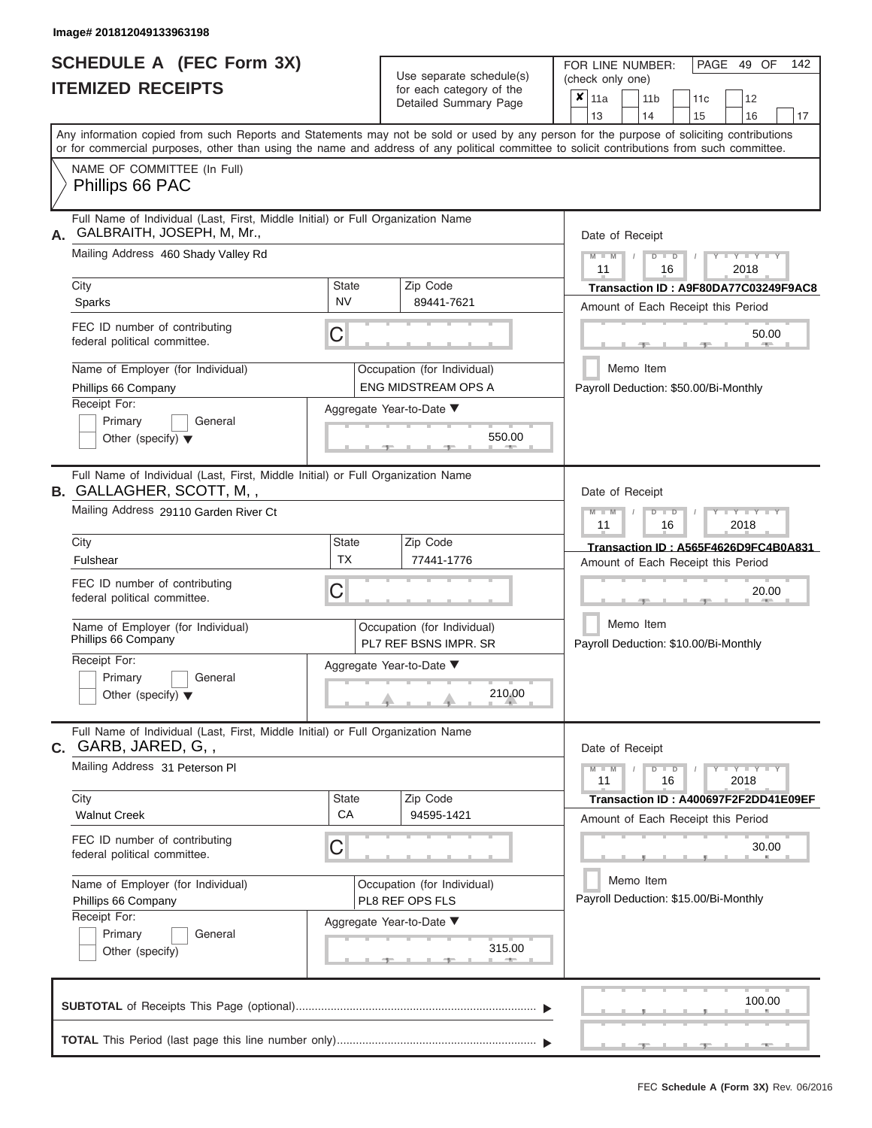# **SCHEDULE A (FEC Form 3X)**

| SCHEDULE A (FEC Form 3X)<br><b>ITEMIZED RECEIPTS</b>                                                                                                                                                                                                                                                                                                                                        |                                | Use separate schedule(s)<br>for each category of the<br>Detailed Summary Page                                             | 142<br>FOR LINE NUMBER:<br>PAGE 49 OF<br>(check only one)<br>$\overline{\mathbf{x}}$   11a<br>11 <sub>b</sub><br>11c<br>12                                                                                                                                                                                 |
|---------------------------------------------------------------------------------------------------------------------------------------------------------------------------------------------------------------------------------------------------------------------------------------------------------------------------------------------------------------------------------------------|--------------------------------|---------------------------------------------------------------------------------------------------------------------------|------------------------------------------------------------------------------------------------------------------------------------------------------------------------------------------------------------------------------------------------------------------------------------------------------------|
| Any information copied from such Reports and Statements may not be sold or used by any person for the purpose of soliciting contributions<br>or for commercial purposes, other than using the name and address of any political committee to solicit contributions from such committee.                                                                                                     |                                |                                                                                                                           | 13<br>14<br>15<br>16<br>17                                                                                                                                                                                                                                                                                 |
| NAME OF COMMITTEE (In Full)<br>Phillips 66 PAC                                                                                                                                                                                                                                                                                                                                              |                                |                                                                                                                           |                                                                                                                                                                                                                                                                                                            |
| Full Name of Individual (Last, First, Middle Initial) or Full Organization Name<br>GALBRAITH, JOSEPH, M, Mr.,<br>А.<br>Mailing Address 460 Shady Valley Rd<br>City<br>Sparks<br>FEC ID number of contributing<br>federal political committee.<br>Name of Employer (for Individual)<br>Phillips 66 Company<br>Receipt For:<br>Primary<br>General<br>Other (specify) $\blacktriangledown$     | State<br><b>NV</b><br>С        | Zip Code<br>89441-7621<br>Occupation (for Individual)<br><b>ENG MIDSTREAM OPS A</b><br>Aggregate Year-to-Date ▼<br>550.00 | Date of Receipt<br>$M - M$<br>$+Y + Y + Y$<br>$D$ $D$<br>11<br>2018<br>16<br>Transaction ID: A9F80DA77C03249F9AC8<br>Amount of Each Receipt this Period<br>50.00<br><b>AND </b><br>Memo Item<br>Payroll Deduction: \$50.00/Bi-Monthly                                                                      |
| Full Name of Individual (Last, First, Middle Initial) or Full Organization Name<br><b>B.</b> GALLAGHER, SCOTT, M, ,<br>Mailing Address 29110 Garden River Ct<br>City<br>Fulshear<br>FEC ID number of contributing<br>federal political committee.<br>Name of Employer (for Individual)<br>Phillips 66 Company<br>Receipt For:<br>Primary<br>General<br>Other (specify) $\blacktriangledown$ | <b>State</b><br><b>TX</b><br>С | Zip Code<br>77441-1776<br>Occupation (for Individual)<br>PL7 REF BSNS IMPR. SR<br>Aggregate Year-to-Date ▼<br>210.00      | Date of Receipt<br>$M - M$<br>$D$ $\Box$ $D$<br>$\blacksquare$ $\blacksquare$ $\blacksquare$ $\blacksquare$ $\blacksquare$ $\blacksquare$<br>11<br>2018<br>16<br>Transaction ID: A565F4626D9FC4B0A831<br>Amount of Each Receipt this Period<br>20.00<br>Memo Item<br>Payroll Deduction: \$10.00/Bi-Monthly |
| Full Name of Individual (Last, First, Middle Initial) or Full Organization Name<br>C. GARB, JARED, G,,<br>Mailing Address 31 Peterson Pl<br>City<br><b>Walnut Creek</b><br>FEC ID number of contributing<br>federal political committee.<br>Name of Employer (for Individual)<br>Phillips 66 Company<br>Receipt For:<br>Primary<br>General<br>Other (specify)                               | <b>State</b><br>CA<br>С        | Zip Code<br>94595-1421<br>Occupation (for Individual)<br>PL8 REF OPS FLS<br>Aggregate Year-to-Date ▼<br>315.00            | Date of Receipt<br>$Y - Y - Y - Y - Y$<br>$M - M$<br>$D$ $D$<br>11<br>16<br>2018<br>Transaction ID : A400697F2F2DD41E09EF<br>Amount of Each Receipt this Period<br>30.00<br>Memo Item<br>Payroll Deduction: \$15.00/Bi-Monthly                                                                             |
|                                                                                                                                                                                                                                                                                                                                                                                             |                                |                                                                                                                           | 100.00<br>- 70 - 11<br>$-40-$                                                                                                                                                                                                                                                                              |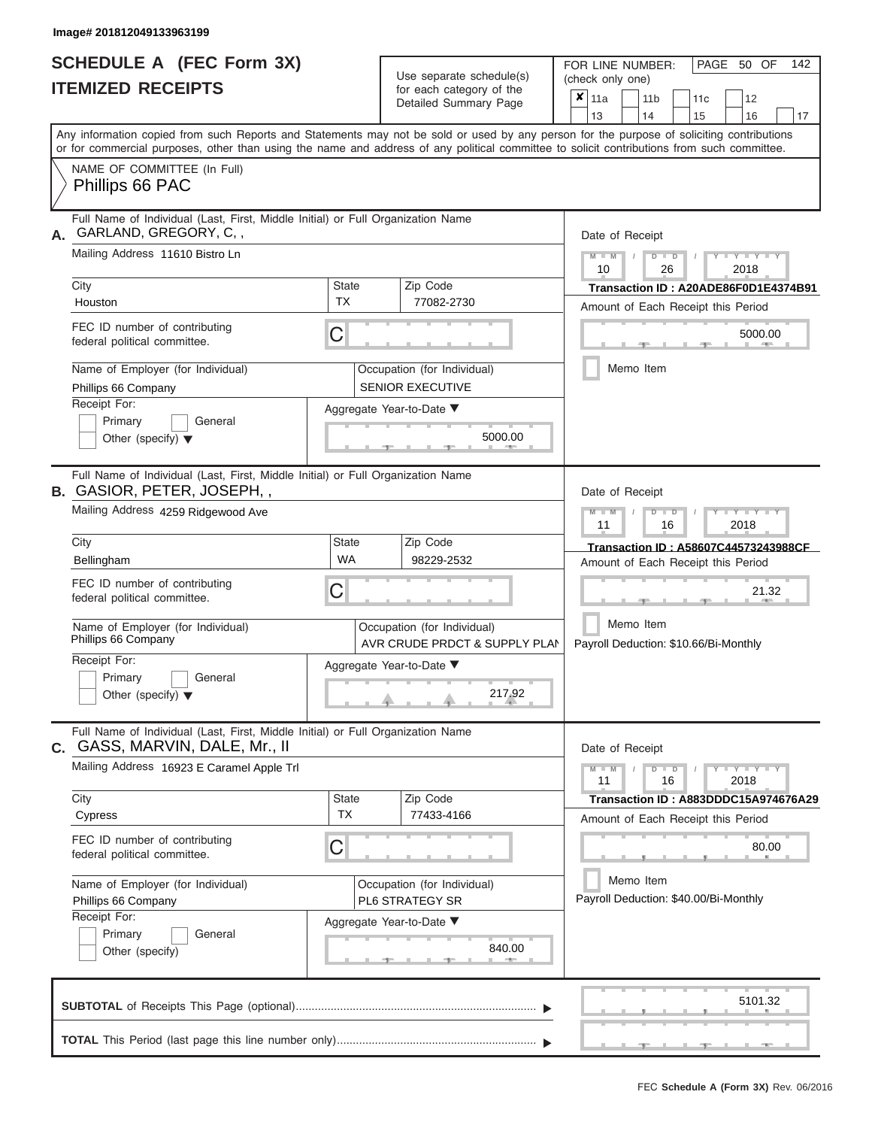|                          | <b>SCHEDULE A (FEC Form 3X)</b> |  |
|--------------------------|---------------------------------|--|
| <b>ITEMIZED RECEIPTS</b> |                                 |  |

Use separate schedule(s)<br>for each category of the

FOR LINE NUMBER:<br>(check only one)

PAGE 50 OF 142

|                                                                                                                                                                                                                                                                                         | IILMILLV IILVLII I                                                                                             |                                                              | iui cauli calcyuly ul lile<br>Detailed Summary Page    | × | 11a<br>13       |           | 11 <sub>b</sub><br>14 |               | 11c<br>15 | 12<br>16                                                                   | 17 |
|-----------------------------------------------------------------------------------------------------------------------------------------------------------------------------------------------------------------------------------------------------------------------------------------|----------------------------------------------------------------------------------------------------------------|--------------------------------------------------------------|--------------------------------------------------------|---|-----------------|-----------|-----------------------|---------------|-----------|----------------------------------------------------------------------------|----|
| Any information copied from such Reports and Statements may not be sold or used by any person for the purpose of soliciting contributions<br>or for commercial purposes, other than using the name and address of any political committee to solicit contributions from such committee. |                                                                                                                |                                                              |                                                        |   |                 |           |                       |               |           |                                                                            |    |
|                                                                                                                                                                                                                                                                                         | NAME OF COMMITTEE (In Full)<br>Phillips 66 PAC                                                                 |                                                              |                                                        |   |                 |           |                       |               |           |                                                                            |    |
| Full Name of Individual (Last, First, Middle Initial) or Full Organization Name<br>GARLAND, GREGORY, C,,<br>А.                                                                                                                                                                          |                                                                                                                |                                                              |                                                        |   |                 |           | Date of Receipt       |               |           |                                                                            |    |
|                                                                                                                                                                                                                                                                                         | Mailing Address 11610 Bistro Ln                                                                                |                                                              |                                                        |   | $M - M$<br>10   | $\prime$  |                       | $D$ $D$<br>26 |           | $-1$ $-1$<br>2018                                                          |    |
|                                                                                                                                                                                                                                                                                         | City<br>Houston                                                                                                | <b>State</b><br><b>TX</b>                                    | Zip Code<br>77082-2730                                 |   |                 |           |                       |               |           | Transaction ID: A20ADE86F0D1E4374B91<br>Amount of Each Receipt this Period |    |
|                                                                                                                                                                                                                                                                                         | FEC ID number of contributing<br>federal political committee.                                                  | С                                                            |                                                        |   |                 |           |                       |               |           | 5000.00                                                                    |    |
|                                                                                                                                                                                                                                                                                         | Name of Employer (for Individual)<br>Phillips 66 Company                                                       |                                                              | Occupation (for Individual)<br><b>SENIOR EXECUTIVE</b> |   |                 | Memo Item |                       |               |           |                                                                            |    |
|                                                                                                                                                                                                                                                                                         | Receipt For:<br>Primary<br>General<br>Other (specify) $\blacktriangledown$                                     |                                                              | Aggregate Year-to-Date ▼<br>5000.00                    |   |                 |           |                       |               |           |                                                                            |    |
|                                                                                                                                                                                                                                                                                         | Full Name of Individual (Last, First, Middle Initial) or Full Organization Name<br>B. GASIOR, PETER, JOSEPH,,  |                                                              |                                                        |   | Date of Receipt |           |                       |               |           |                                                                            |    |
|                                                                                                                                                                                                                                                                                         | Mailing Address 4259 Ridgewood Ave                                                                             |                                                              |                                                        |   | $M - M$<br>11   |           |                       | $D$ $D$<br>16 |           | $-Y$<br>2018                                                               |    |
|                                                                                                                                                                                                                                                                                         | City<br>Bellingham                                                                                             | State<br><b>WA</b>                                           | Zip Code<br>98229-2532                                 |   |                 |           |                       |               |           | Transaction ID: A58607C44573243988CF<br>Amount of Each Receipt this Period |    |
|                                                                                                                                                                                                                                                                                         | FEC ID number of contributing<br>federal political committee.                                                  | С                                                            |                                                        |   |                 |           |                       |               |           | 21.32                                                                      |    |
|                                                                                                                                                                                                                                                                                         | Name of Employer (for Individual)<br>Phillips 66 Company                                                       | Occupation (for Individual)<br>AVR CRUDE PRDCT & SUPPLY PLAN |                                                        |   |                 | Memo Item |                       |               |           | Payroll Deduction: \$10.66/Bi-Monthly                                      |    |
|                                                                                                                                                                                                                                                                                         | Receipt For:<br>Primary<br>General<br>Other (specify) $\blacktriangledown$                                     | Aggregate Year-to-Date ▼<br>217.92                           |                                                        |   |                 |           |                       |               |           |                                                                            |    |
| С.                                                                                                                                                                                                                                                                                      | Full Name of Individual (Last, First, Middle Initial) or Full Organization Name<br>GASS, MARVIN, DALE, Mr., II |                                                              |                                                        |   | Date of Receipt |           |                       |               |           |                                                                            |    |
|                                                                                                                                                                                                                                                                                         | Mailing Address 16923 E Caramel Apple Trl                                                                      |                                                              |                                                        |   | $M - M$<br>11   |           |                       | $D$ $D$<br>16 |           | $T - Y = Y + Y$<br>2018                                                    |    |
|                                                                                                                                                                                                                                                                                         | City<br>Cypress                                                                                                | <b>State</b><br><b>TX</b>                                    | Zip Code<br>77433-4166                                 |   |                 |           |                       |               |           | Transaction ID: A883DDDC15A974676A29<br>Amount of Each Receipt this Period |    |
|                                                                                                                                                                                                                                                                                         | FEC ID number of contributing<br>federal political committee.                                                  | С                                                            |                                                        |   |                 |           |                       |               |           | 80.00                                                                      |    |
|                                                                                                                                                                                                                                                                                         | Name of Employer (for Individual)<br>Phillips 66 Company                                                       | Occupation (for Individual)<br>PL6 STRATEGY SR               |                                                        |   |                 | Memo Item |                       |               |           | Payroll Deduction: \$40.00/Bi-Monthly                                      |    |
|                                                                                                                                                                                                                                                                                         | Receipt For:<br>Primary<br>General<br>Other (specify)                                                          |                                                              | Aggregate Year-to-Date ▼<br>840.00                     |   |                 |           |                       |               |           |                                                                            |    |
|                                                                                                                                                                                                                                                                                         |                                                                                                                |                                                              |                                                        |   |                 |           |                       |               |           | 5101.32                                                                    |    |
|                                                                                                                                                                                                                                                                                         |                                                                                                                |                                                              |                                                        |   |                 |           |                       |               |           |                                                                            |    |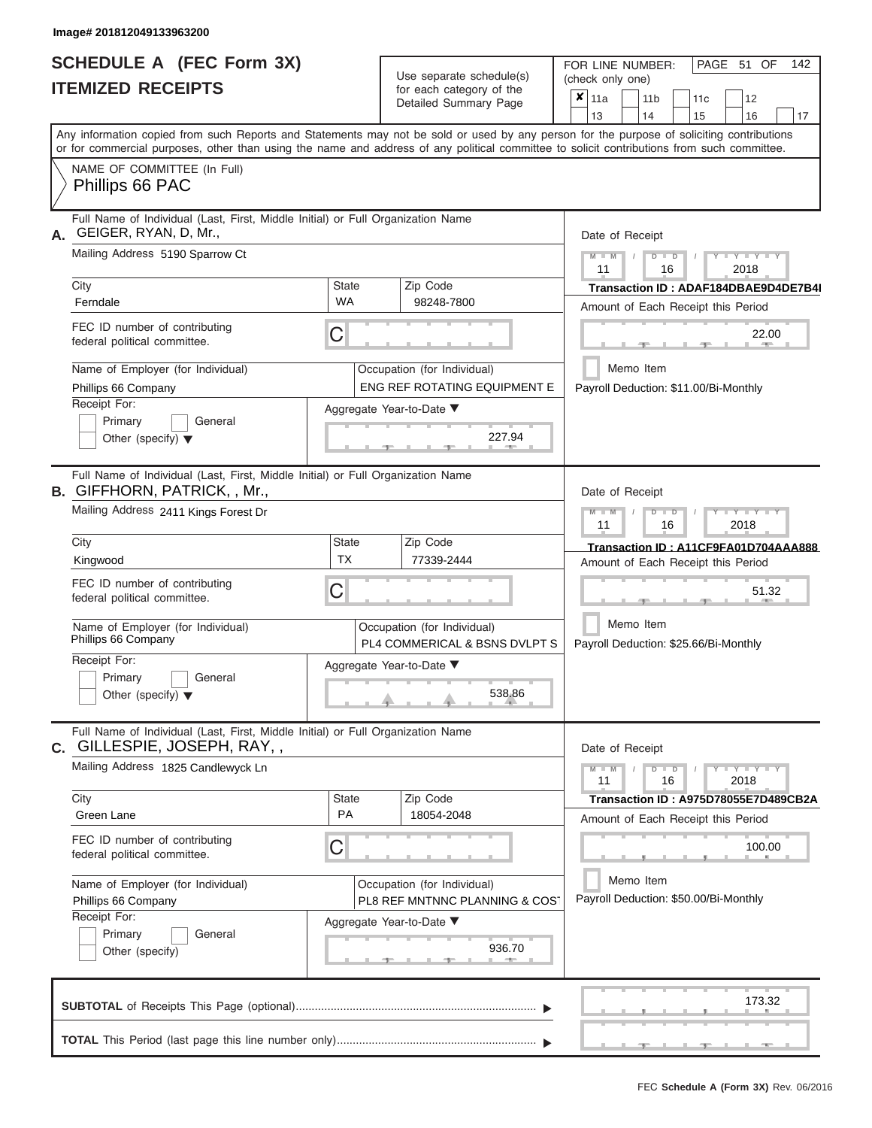|                          | <b>SCHEDULE A (FEC Form 3X)</b> |
|--------------------------|---------------------------------|
| <b>ITEMIZED RECEIPTS</b> |                                 |

Use separate schedule(s) (check only one)<br>for each category of the  $\begin{array}{|c|c|c|c|c|}\n\hline\n\text{Initial Summary goes} & & \text{with } & \text{with } & \text{with } & \text{with } & \text{with } & \text{with } & \text{with } & \text{with } & \text{with } & \text{with } & \text{with } & \text{with } & \text{with } & \text{with } & \text{with } & \text{with } & \text{with } & \text{with } & \text{with } & \text{with } & \text$ 

FOR LINE NUMBER:

 $\overline{\phantom{0}}$ 

PAGE 51 OF 142

 $\overline{\phantom{0}}$ 

|                                                                                                                                                                                                                                                                                         |                    | Detailed Summary Page                                         | $x_{\parallel 11a}$<br>12<br>11 <sub>b</sub><br>11c<br>13<br>14<br>15<br>16<br>17 |
|-----------------------------------------------------------------------------------------------------------------------------------------------------------------------------------------------------------------------------------------------------------------------------------------|--------------------|---------------------------------------------------------------|-----------------------------------------------------------------------------------|
| Any information copied from such Reports and Statements may not be sold or used by any person for the purpose of soliciting contributions<br>or for commercial purposes, other than using the name and address of any political committee to solicit contributions from such committee. |                    |                                                               |                                                                                   |
| NAME OF COMMITTEE (In Full)<br>Phillips 66 PAC                                                                                                                                                                                                                                          |                    |                                                               |                                                                                   |
| Full Name of Individual (Last, First, Middle Initial) or Full Organization Name<br>GEIGER, RYAN, D, Mr.,<br>А.                                                                                                                                                                          |                    |                                                               | Date of Receipt                                                                   |
| Mailing Address 5190 Sparrow Ct                                                                                                                                                                                                                                                         |                    |                                                               | $Y = Y = Y$<br>$D$ $D$<br>11<br>16<br>2018                                        |
| City<br>Ferndale                                                                                                                                                                                                                                                                        | State<br><b>WA</b> | Zip Code<br>98248-7800                                        | Transaction ID: ADAF184DBAE9D4DE7B4I<br>Amount of Each Receipt this Period        |
| FEC ID number of contributing<br>federal political committee.                                                                                                                                                                                                                           | C                  |                                                               | 22.00<br><b>AND</b>                                                               |
| Name of Employer (for Individual)<br>Phillips 66 Company                                                                                                                                                                                                                                |                    | Occupation (for Individual)<br>ENG REF ROTATING EQUIPMENT E   | Memo Item<br>Payroll Deduction: \$11.00/Bi-Monthly                                |
| Receipt For:<br>Primary<br>General<br>Other (specify) $\blacktriangledown$                                                                                                                                                                                                              |                    | Aggregate Year-to-Date ▼<br>227.94                            |                                                                                   |
| Full Name of Individual (Last, First, Middle Initial) or Full Organization Name<br><b>B.</b> GIFFHORN, PATRICK, , Mr.,                                                                                                                                                                  |                    |                                                               | Date of Receipt                                                                   |
| Mailing Address 2411 Kings Forest Dr                                                                                                                                                                                                                                                    |                    |                                                               | Y TYT<br>$M - M$<br>$D$ $D$<br>11<br>16<br>2018                                   |
| City<br>Kingwood                                                                                                                                                                                                                                                                        | State<br>ТX        | Zip Code<br>77339-2444                                        | Transaction ID: A11CF9FA01D704AAA888<br>Amount of Each Receipt this Period        |
| FEC ID number of contributing<br>federal political committee.                                                                                                                                                                                                                           | C                  |                                                               | 51.32                                                                             |
| Name of Employer (for Individual)<br>Phillips 66 Company                                                                                                                                                                                                                                |                    | Occupation (for Individual)<br>PL4 COMMERICAL & BSNS DVLPT S  | Memo Item<br>Payroll Deduction: \$25.66/Bi-Monthly                                |
| Receipt For:<br>Primary<br>General<br>Other (specify) $\blacktriangledown$                                                                                                                                                                                                              |                    | Aggregate Year-to-Date<br>538.86                              |                                                                                   |
| Full Name of Individual (Last, First, Middle Initial) or Full Organization Name<br>C. GILLESPIE, JOSEPH, RAY,,                                                                                                                                                                          |                    |                                                               | Date of Receipt                                                                   |
| Mailing Address 1825 Candlewyck Ln                                                                                                                                                                                                                                                      |                    |                                                               | $-Y - Y - Y - Y$<br>$M - M$<br>$D$ $D$<br>2018<br>11<br>16                        |
| City<br>Green Lane                                                                                                                                                                                                                                                                      | <b>State</b><br>PA | Zip Code<br>18054-2048                                        | Transaction ID: A975D78055E7D489CB2A<br>Amount of Each Receipt this Period        |
| FEC ID number of contributing<br>federal political committee.                                                                                                                                                                                                                           | С                  |                                                               | 100.00                                                                            |
| Name of Employer (for Individual)<br>Phillips 66 Company                                                                                                                                                                                                                                |                    | Occupation (for Individual)<br>PL8 REF MNTNNC PLANNING & COST | Memo Item<br>Payroll Deduction: \$50.00/Bi-Monthly                                |
| Receipt For:<br>Primary<br>General<br>Other (specify)                                                                                                                                                                                                                                   |                    | Aggregate Year-to-Date ▼<br>936.70                            |                                                                                   |
|                                                                                                                                                                                                                                                                                         |                    |                                                               | 173.32                                                                            |
|                                                                                                                                                                                                                                                                                         |                    |                                                               |                                                                                   |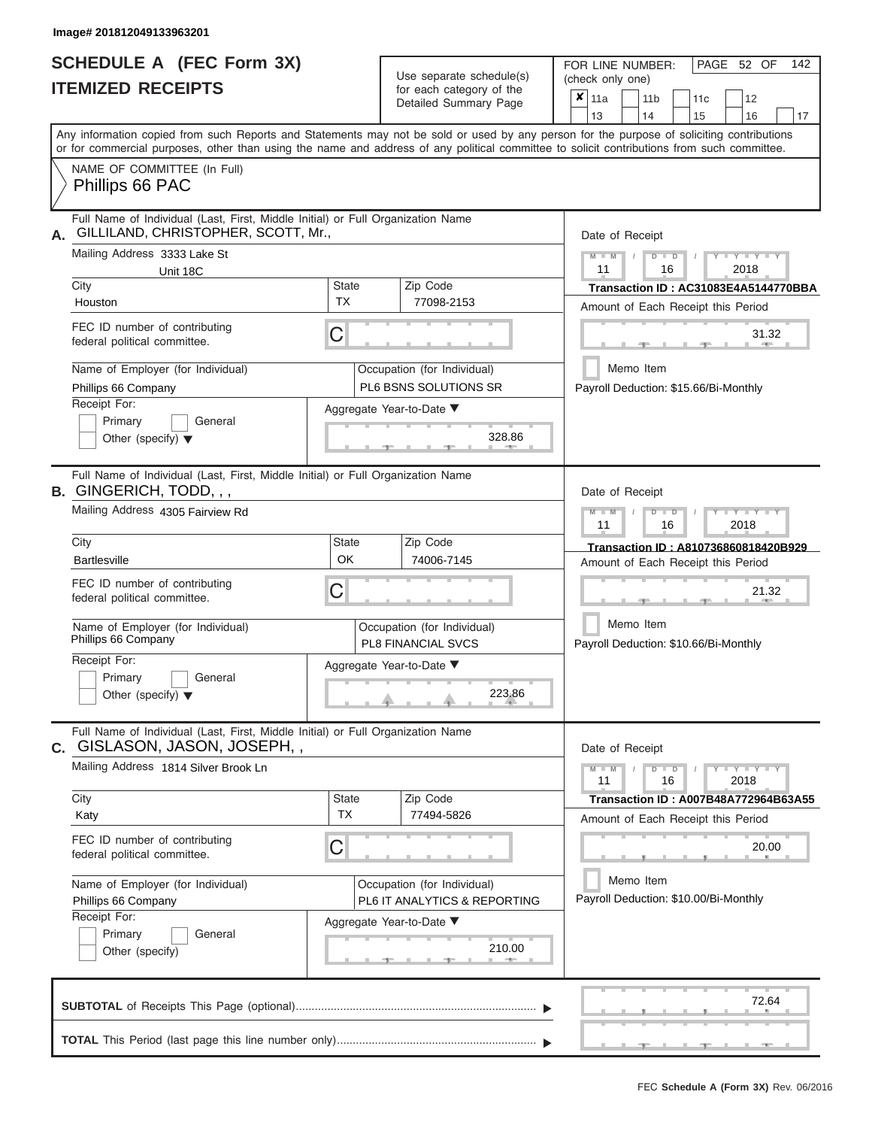# **SCHEDULE A (FEC Form 3X) ITEMIZED RECEIPTS**

| SCHEDULE A (FEC Form 3X)<br><b>ITEMIZED RECEIPTS</b>                                                                                                                                                                                                                                    |                           | Use separate schedule(s)<br>for each category of the<br>Detailed Summary Page    | 142<br>FOR LINE NUMBER:<br>PAGE 52 OF<br>(check only one)<br>$\overline{\mathbf{x}}$   11a<br>11 <sub>b</sub><br>12<br>11 <sub>c</sub>     |
|-----------------------------------------------------------------------------------------------------------------------------------------------------------------------------------------------------------------------------------------------------------------------------------------|---------------------------|----------------------------------------------------------------------------------|--------------------------------------------------------------------------------------------------------------------------------------------|
|                                                                                                                                                                                                                                                                                         |                           |                                                                                  | 13<br>14<br>15<br>16<br>17                                                                                                                 |
| Any information copied from such Reports and Statements may not be sold or used by any person for the purpose of soliciting contributions<br>or for commercial purposes, other than using the name and address of any political committee to solicit contributions from such committee. |                           |                                                                                  |                                                                                                                                            |
| NAME OF COMMITTEE (In Full)<br>Phillips 66 PAC                                                                                                                                                                                                                                          |                           |                                                                                  |                                                                                                                                            |
| Full Name of Individual (Last, First, Middle Initial) or Full Organization Name<br>GILLILAND, CHRISTOPHER, SCOTT, Mr.,<br>А.<br>Mailing Address 3333 Lake St<br>Unit 18C                                                                                                                |                           |                                                                                  | Date of Receipt<br>$M = M$<br>$T - Y - T - Y - T - Y$<br>$D$ $D$<br>11<br>2018<br>16                                                       |
| City                                                                                                                                                                                                                                                                                    | <b>State</b><br><b>TX</b> | Zip Code<br>77098-2153                                                           | Transaction ID: AC31083E4A5144770BBA                                                                                                       |
| Houston<br>FEC ID number of contributing<br>federal political committee.                                                                                                                                                                                                                | С                         |                                                                                  | Amount of Each Receipt this Period<br>31.32                                                                                                |
| Name of Employer (for Individual)<br>Phillips 66 Company<br>Receipt For:                                                                                                                                                                                                                |                           | Occupation (for Individual)<br>PL6 BSNS SOLUTIONS SR<br>Aggregate Year-to-Date ▼ | <b>AND A</b><br>Memo Item<br>Payroll Deduction: \$15.66/Bi-Monthly                                                                         |
| Primary<br>General<br>Other (specify) $\blacktriangledown$                                                                                                                                                                                                                              |                           | 328.86                                                                           |                                                                                                                                            |
| Full Name of Individual (Last, First, Middle Initial) or Full Organization Name<br><b>B.</b> GINGERICH, TODD, , ,                                                                                                                                                                       | Date of Receipt           |                                                                                  |                                                                                                                                            |
| Mailing Address 4305 Fairview Rd                                                                                                                                                                                                                                                        |                           |                                                                                  | $M$ $M$<br>$D$ $\Box$ $D$<br>$\blacksquare$ $\blacksquare$ $\blacksquare$ $\blacksquare$ $\blacksquare$ $\blacksquare$<br>11<br>2018<br>16 |
| City<br><b>Bartlesville</b>                                                                                                                                                                                                                                                             | State<br><b>OK</b>        | Zip Code<br>74006-7145                                                           | Transaction ID: A810736860818420B929<br>Amount of Each Receipt this Period                                                                 |
| FEC ID number of contributing<br>federal political committee.                                                                                                                                                                                                                           | С                         |                                                                                  | 21.32                                                                                                                                      |
| Name of Employer (for Individual)<br>Phillips 66 Company                                                                                                                                                                                                                                |                           | Occupation (for Individual)<br><b>PL8 FINANCIAL SVCS</b>                         | Memo Item<br>Payroll Deduction: \$10.66/Bi-Monthly                                                                                         |
| Receipt For:<br>Primary<br>General                                                                                                                                                                                                                                                      |                           | Aggregate Year-to-Date ▼                                                         |                                                                                                                                            |
| Other (specify) $\blacktriangledown$                                                                                                                                                                                                                                                    |                           | 223.86                                                                           |                                                                                                                                            |
| Full Name of Individual (Last, First, Middle Initial) or Full Organization Name<br>C. GISLASON, JASON, JOSEPH,,                                                                                                                                                                         |                           |                                                                                  | Date of Receipt                                                                                                                            |
| Mailing Address 1814 Silver Brook Ln                                                                                                                                                                                                                                                    |                           |                                                                                  | $Y - Y - Y - Y - Y$<br>$M - M$<br>$D$ $D$<br>11<br>16<br>2018                                                                              |
| City<br>Katy                                                                                                                                                                                                                                                                            | <b>State</b><br><b>TX</b> | Zip Code<br>77494-5826                                                           | Transaction ID : A007B48A772964B63A55<br>Amount of Each Receipt this Period                                                                |
| FEC ID number of contributing<br>federal political committee.                                                                                                                                                                                                                           | С                         |                                                                                  | 20.00                                                                                                                                      |
| Name of Employer (for Individual)<br>Phillips 66 Company                                                                                                                                                                                                                                |                           | Occupation (for Individual)<br>PL6 IT ANALYTICS & REPORTING                      | Memo Item<br>Payroll Deduction: \$10.00/Bi-Monthly                                                                                         |
| Receipt For:<br>Primary<br>General<br>Other (specify)                                                                                                                                                                                                                                   |                           | Aggregate Year-to-Date ▼<br>210.00                                               |                                                                                                                                            |
|                                                                                                                                                                                                                                                                                         |                           |                                                                                  | 72.64                                                                                                                                      |
|                                                                                                                                                                                                                                                                                         |                           |                                                                                  | $-9$<br>$-9$                                                                                                                               |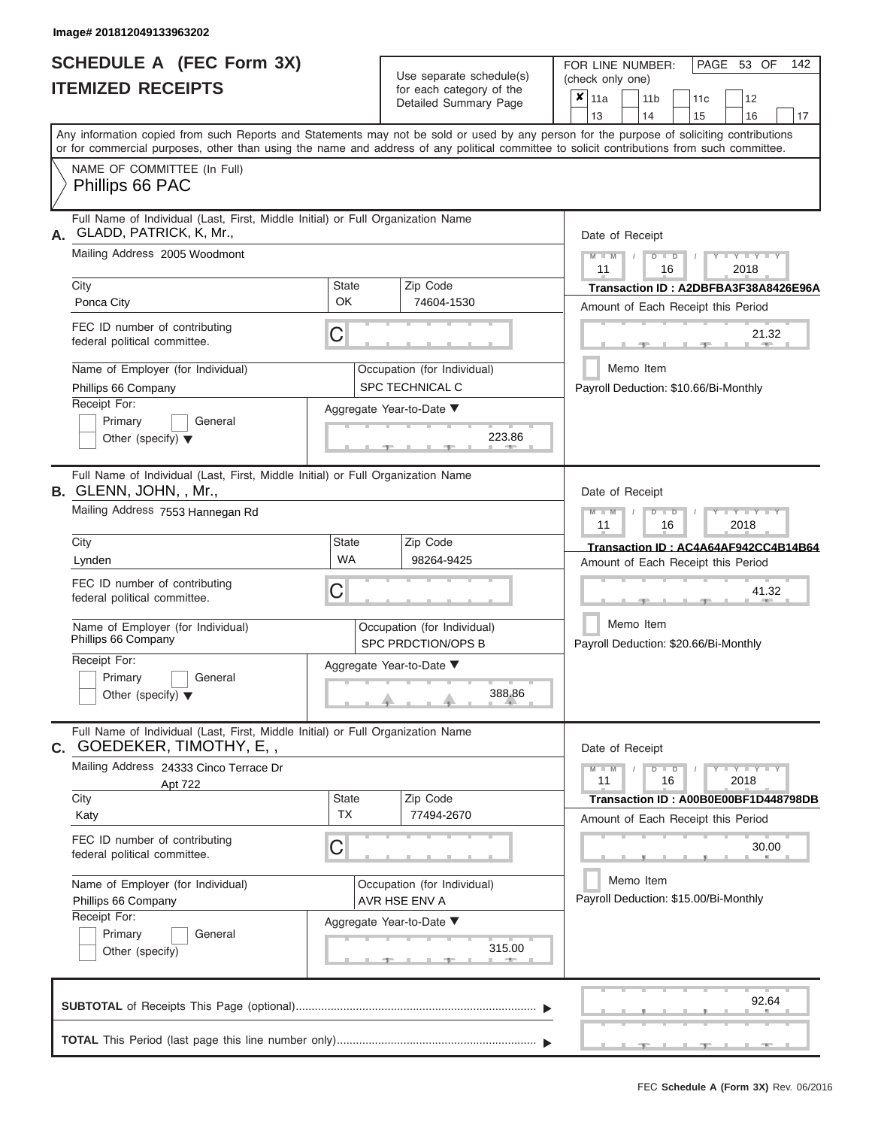# **SCHEDULE A (FEC Form 3X)**

| SCHEDULE A (FEC Form 3X)<br><b>ITEMIZED RECEIPTS</b>                                                                                                                                                                                                                                                                                                                                                               |                                | Use separate schedule(s)<br>for each category of the<br>Detailed Summary Page                                                      | 142<br>FOR LINE NUMBER:<br>PAGE 53 OF<br>(check only one)<br>$\overline{\mathbf{x}}$   11a<br>11 <sub>b</sub><br>12<br>11 <sub>c</sub>                                                                                                                                       |
|--------------------------------------------------------------------------------------------------------------------------------------------------------------------------------------------------------------------------------------------------------------------------------------------------------------------------------------------------------------------------------------------------------------------|--------------------------------|------------------------------------------------------------------------------------------------------------------------------------|------------------------------------------------------------------------------------------------------------------------------------------------------------------------------------------------------------------------------------------------------------------------------|
| Any information copied from such Reports and Statements may not be sold or used by any person for the purpose of soliciting contributions<br>or for commercial purposes, other than using the name and address of any political committee to solicit contributions from such committee.                                                                                                                            |                                |                                                                                                                                    | 13<br>14<br>15<br>16<br>17                                                                                                                                                                                                                                                   |
| NAME OF COMMITTEE (In Full)<br>Phillips 66 PAC                                                                                                                                                                                                                                                                                                                                                                     |                                |                                                                                                                                    |                                                                                                                                                                                                                                                                              |
| Full Name of Individual (Last, First, Middle Initial) or Full Organization Name<br>GLADD, PATRICK, K, Mr.,<br>А.<br>Mailing Address 2005 Woodmont<br>City<br>Ponca City<br>FEC ID number of contributing<br>federal political committee.<br>Name of Employer (for Individual)<br>Phillips 66 Company<br>Receipt For:<br>Primary<br>General                                                                         | <b>State</b><br><b>OK</b><br>С | Zip Code<br>74604-1530<br>Occupation (for Individual)<br>SPC TECHNICAL C<br>Aggregate Year-to-Date ▼                               | Date of Receipt<br>$M - M$ /<br>$Y - Y - Y$<br>$D$ $D$<br>11<br>2018<br>16<br>Transaction ID: A2DBFBA3F38A8426E96A<br>Amount of Each Receipt this Period<br>21.32<br><b>AND I</b><br>Memo Item<br>Payroll Deduction: \$10.66/Bi-Monthly                                      |
| Other (specify) $\blacktriangledown$<br>Full Name of Individual (Last, First, Middle Initial) or Full Organization Name<br>B. GLENN, JOHN, , Mr.,<br>Mailing Address 7553 Hannegan Rd<br>City<br>Lynden<br>FEC ID number of contributing<br>federal political committee.<br>Name of Employer (for Individual)<br>Phillips 66 Company<br>Receipt For:<br>Primary<br>General<br>Other (specify) $\blacktriangledown$ | <b>State</b><br><b>WA</b><br>С | 223.86<br>Zip Code<br>98264-9425<br>Occupation (for Individual)<br><b>SPC PRDCTION/OPS B</b><br>Aggregate Year-to-Date ▼<br>388.86 | Date of Receipt<br>$M - M$<br>$D$ $\Box$ $D$<br>$\blacksquare$ $\vdash$ $\vdash$ $\vdash$ $\vdash$ $\vdash$<br>11<br>2018<br>16<br>Transaction ID: AC4A64AF942CC4B14B64<br>Amount of Each Receipt this Period<br>41.32<br>Memo Item<br>Payroll Deduction: \$20.66/Bi-Monthly |
| Full Name of Individual (Last, First, Middle Initial) or Full Organization Name<br><b>c.</b> Goedeker, Timothy, E, ,<br>Mailing Address 24333 Cinco Terrace Dr<br>Apt 722<br>City<br>Katy<br>FEC ID number of contributing<br>federal political committee.<br>Name of Employer (for Individual)<br>Phillips 66 Company<br>Receipt For:<br>Primary<br>General<br>Other (specify)                                    | State<br><b>TX</b><br>С        | Zip Code<br>77494-2670<br>Occupation (for Individual)<br>AVR HSE ENV A<br>Aggregate Year-to-Date ▼<br>315.00                       | Date of Receipt<br>$M - M$<br>$D$ $D$<br>$Y - Y - Y - Y - Y$<br>11<br>16<br>2018<br>Transaction ID: A00B0E00BF1D448798DB<br>Amount of Each Receipt this Period<br>30.00<br>Memo Item<br>Payroll Deduction: \$15.00/Bi-Monthly                                                |
|                                                                                                                                                                                                                                                                                                                                                                                                                    |                                |                                                                                                                                    | 92.64<br>- 7 - 1<br>$-1$<br>$-1$                                                                                                                                                                                                                                             |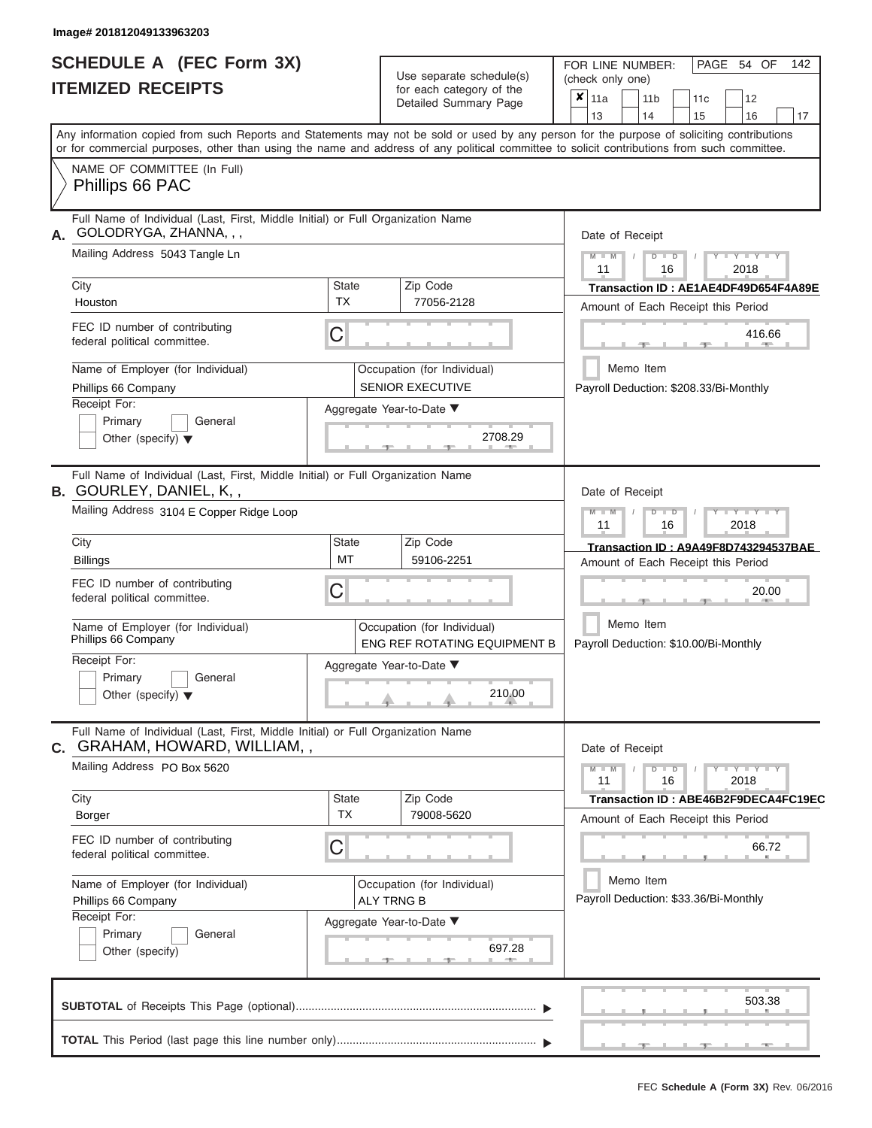|                          | SCHEDULE A (FEC Form 3X) |
|--------------------------|--------------------------|
| <b>ITEMIZED RECEIPTS</b> |                          |

Use separate schedule(s)<br>for each category of the

FOR LINE NUMBER:

PAGE 54 OF 142

|                                                                                                                         |                           | Use separate schedule(s)                                    | (check only one)                                                                                                                                                                                                                                                                        |
|-------------------------------------------------------------------------------------------------------------------------|---------------------------|-------------------------------------------------------------|-----------------------------------------------------------------------------------------------------------------------------------------------------------------------------------------------------------------------------------------------------------------------------------------|
| <b>ITEMIZED RECEIPTS</b>                                                                                                |                           | for each category of the<br>Detailed Summary Page           | $x _{11a}$<br>11c<br>12<br>11 <sub>b</sub><br>13<br>14<br>15<br>16<br>17                                                                                                                                                                                                                |
|                                                                                                                         |                           |                                                             | Any information copied from such Reports and Statements may not be sold or used by any person for the purpose of soliciting contributions<br>or for commercial purposes, other than using the name and address of any political committee to solicit contributions from such committee. |
| NAME OF COMMITTEE (In Full)<br>Phillips 66 PAC                                                                          |                           |                                                             |                                                                                                                                                                                                                                                                                         |
| Full Name of Individual (Last, First, Middle Initial) or Full Organization Name<br>GOLODRYGA, ZHANNA, , ,<br>А.         |                           |                                                             | Date of Receipt                                                                                                                                                                                                                                                                         |
| Mailing Address 5043 Tangle Ln                                                                                          |                           |                                                             | $Y - Y - Y$<br>$M - M$<br>$D$ $D$<br>11<br>16<br>2018                                                                                                                                                                                                                                   |
| City<br>Houston                                                                                                         | <b>State</b><br><b>TX</b> | Zip Code<br>77056-2128                                      | Transaction ID: AE1AE4DF49D654F4A89E<br>Amount of Each Receipt this Period                                                                                                                                                                                                              |
| FEC ID number of contributing<br>federal political committee.                                                           | C                         |                                                             | 416.66                                                                                                                                                                                                                                                                                  |
| Name of Employer (for Individual)<br>Phillips 66 Company                                                                |                           | Occupation (for Individual)<br><b>SENIOR EXECUTIVE</b>      | Memo Item<br>Payroll Deduction: \$208.33/Bi-Monthly                                                                                                                                                                                                                                     |
| Receipt For:<br>Primary<br>General<br>Other (specify) $\blacktriangledown$                                              |                           | Aggregate Year-to-Date ▼<br>2708.29                         |                                                                                                                                                                                                                                                                                         |
| Full Name of Individual (Last, First, Middle Initial) or Full Organization Name<br><b>B.</b> GOURLEY, DANIEL, K, ,      |                           |                                                             | Date of Receipt                                                                                                                                                                                                                                                                         |
| Mailing Address 3104 E Copper Ridge Loop                                                                                |                           |                                                             | $M - M$<br>Y I Y I Y<br>$\overline{\mathsf{D}}$<br>$\Box$<br>11<br>16<br>2018                                                                                                                                                                                                           |
| City<br><b>Billings</b>                                                                                                 | <b>State</b><br>MT        | Zip Code<br>59106-2251                                      | Transaction ID: A9A49F8D743294537BAE<br>Amount of Each Receipt this Period                                                                                                                                                                                                              |
| FEC ID number of contributing<br>federal political committee.                                                           | C                         |                                                             | 20.00                                                                                                                                                                                                                                                                                   |
| Name of Employer (for Individual)<br>Phillips 66 Company                                                                |                           | Occupation (for Individual)<br>ENG REF ROTATING EQUIPMENT B | Memo Item<br>Payroll Deduction: \$10.00/Bi-Monthly                                                                                                                                                                                                                                      |
| Receipt For:<br>Primary<br>General<br>Other (specify) $\blacktriangledown$                                              |                           | Aggregate Year-to-Date ▼<br>210.00                          |                                                                                                                                                                                                                                                                                         |
| Full Name of Individual (Last, First, Middle Initial) or Full Organization Name<br><b>c.</b> GRAHAM, HOWARD, WILLIAM, , |                           |                                                             | Date of Receipt                                                                                                                                                                                                                                                                         |
| Mailing Address PO Box 5620                                                                                             |                           |                                                             | $Y - Y - Y - Y$<br>$M - M$<br>$D$ $D$<br>11<br>16<br>2018                                                                                                                                                                                                                               |
| City<br>Borger                                                                                                          | State<br><b>TX</b>        | Zip Code<br>79008-5620                                      | Transaction ID: ABE46B2F9DECA4FC19EC<br>Amount of Each Receipt this Period                                                                                                                                                                                                              |
| FEC ID number of contributing<br>federal political committee.                                                           | 66.72                     |                                                             |                                                                                                                                                                                                                                                                                         |
| Name of Employer (for Individual)<br>Phillips 66 Company                                                                |                           | Occupation (for Individual)<br><b>ALY TRNG B</b>            | Memo Item<br>Payroll Deduction: \$33.36/Bi-Monthly                                                                                                                                                                                                                                      |
| Receipt For:<br>Primary<br>General<br>Other (specify)                                                                   |                           | Aggregate Year-to-Date ▼<br>697.28<br><b>AND</b>            |                                                                                                                                                                                                                                                                                         |
|                                                                                                                         |                           |                                                             | 503.38                                                                                                                                                                                                                                                                                  |
|                                                                                                                         |                           |                                                             |                                                                                                                                                                                                                                                                                         |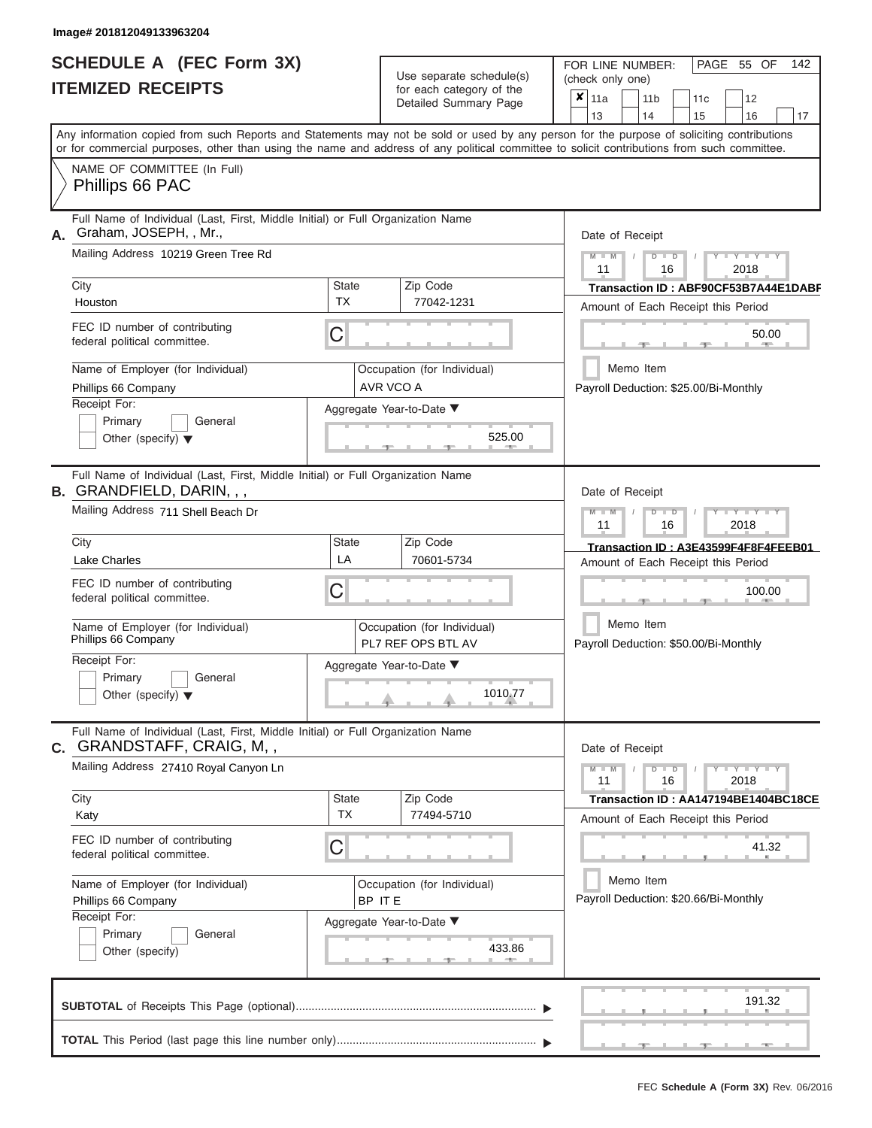|                          | <b>SCHEDULE A (FEC Form 3X)</b> |
|--------------------------|---------------------------------|
| <b>ITEMIZED RECEIPTS</b> |                                 |

|                                                                                                                                                                                                                                                                                                                                                                                                                               | Detailed Summary Page                                                                                                                                   | $\overline{\mathbf{x}}$   11a<br>11 <sub>b</sub><br>12<br>11 <sub>c</sub>                                                                                                                                                                                                        |
|-------------------------------------------------------------------------------------------------------------------------------------------------------------------------------------------------------------------------------------------------------------------------------------------------------------------------------------------------------------------------------------------------------------------------------|---------------------------------------------------------------------------------------------------------------------------------------------------------|----------------------------------------------------------------------------------------------------------------------------------------------------------------------------------------------------------------------------------------------------------------------------------|
| Any information copied from such Reports and Statements may not be sold or used by any person for the purpose of soliciting contributions<br>or for commercial purposes, other than using the name and address of any political committee to solicit contributions from such committee.<br>NAME OF COMMITTEE (In Full)<br>Phillips 66 PAC                                                                                     |                                                                                                                                                         | 13<br>14<br>15<br>16<br>17                                                                                                                                                                                                                                                       |
| Full Name of Individual (Last, First, Middle Initial) or Full Organization Name<br>Graham, JOSEPH, , Mr.,<br>Mailing Address 10219 Green Tree Rd<br>City<br>Houston<br>FEC ID number of contributing<br>federal political committee.<br>Name of Employer (for Individual)<br>Phillips 66 Company<br>Receipt For:<br>Primary<br>General                                                                                        | Zip Code<br><b>State</b><br><b>TX</b><br>77042-1231<br>C<br>Occupation (for Individual)<br>AVR VCO A<br>Aggregate Year-to-Date ▼                        | Date of Receipt<br>$M$ – $M$ /<br>$+Y+Y+Y$<br>$D$ $D$<br>11<br>2018<br>16<br>Transaction ID: ABF90CF53B7A44E1DABF<br>Amount of Each Receipt this Period<br>50.00<br><b>Brita Allen</b><br>-40-<br>Memo Item<br>Payroll Deduction: \$25.00/Bi-Monthly                             |
| Other (specify) $\blacktriangledown$<br>Full Name of Individual (Last, First, Middle Initial) or Full Organization Name<br>B. GRANDFIELD, DARIN, , ,<br>Mailing Address 711 Shell Beach Dr<br>City<br>Lake Charles<br>FEC ID number of contributing<br>federal political committee.<br>Name of Employer (for Individual)<br>Phillips 66 Company<br>Receipt For:<br>Primary<br>General<br>Other (specify) $\blacktriangledown$ | 525.00<br>Zip Code<br><b>State</b><br>LA<br>70601-5734<br>C<br>Occupation (for Individual)<br>PL7 REF OPS BTL AV<br>Aggregate Year-to-Date ▼<br>1010.77 | Date of Receipt<br>$M - M$<br>$D$ $D$<br>$\Box$ $\Upsilon$ $\Box$ $\Upsilon$ $\Upsilon$ $\Upsilon$<br>$\prime$<br>11<br>2018<br>16<br>Transaction ID: A3E43599F4F8F4FEEB01<br>Amount of Each Receipt this Period<br>100.00<br>Memo Item<br>Payroll Deduction: \$50.00/Bi-Monthly |
| Full Name of Individual (Last, First, Middle Initial) or Full Organization Name<br>C. GRANDSTAFF, CRAIG, M,,<br>Mailing Address 27410 Royal Canyon Ln<br>City<br>Katy<br>FEC ID number of contributing<br>federal political committee.<br>Name of Employer (for Individual)<br>Phillips 66 Company<br>Receipt For:<br>Primary<br>General<br>Other (specify)                                                                   | State<br>Zip Code<br><b>TX</b><br>77494-5710<br>C<br>Occupation (for Individual)<br>BP ITE<br>Aggregate Year-to-Date ▼<br>433.86                        | Date of Receipt<br>$M - M$<br>$D$ $D$<br>$  Y$ $  Y$ $  Y$<br>11<br>2018<br>16<br>Transaction ID: AA147194BE1404BC18CE<br>Amount of Each Receipt this Period<br>41.32<br>Memo Item<br>Payroll Deduction: \$20.66/Bi-Monthly                                                      |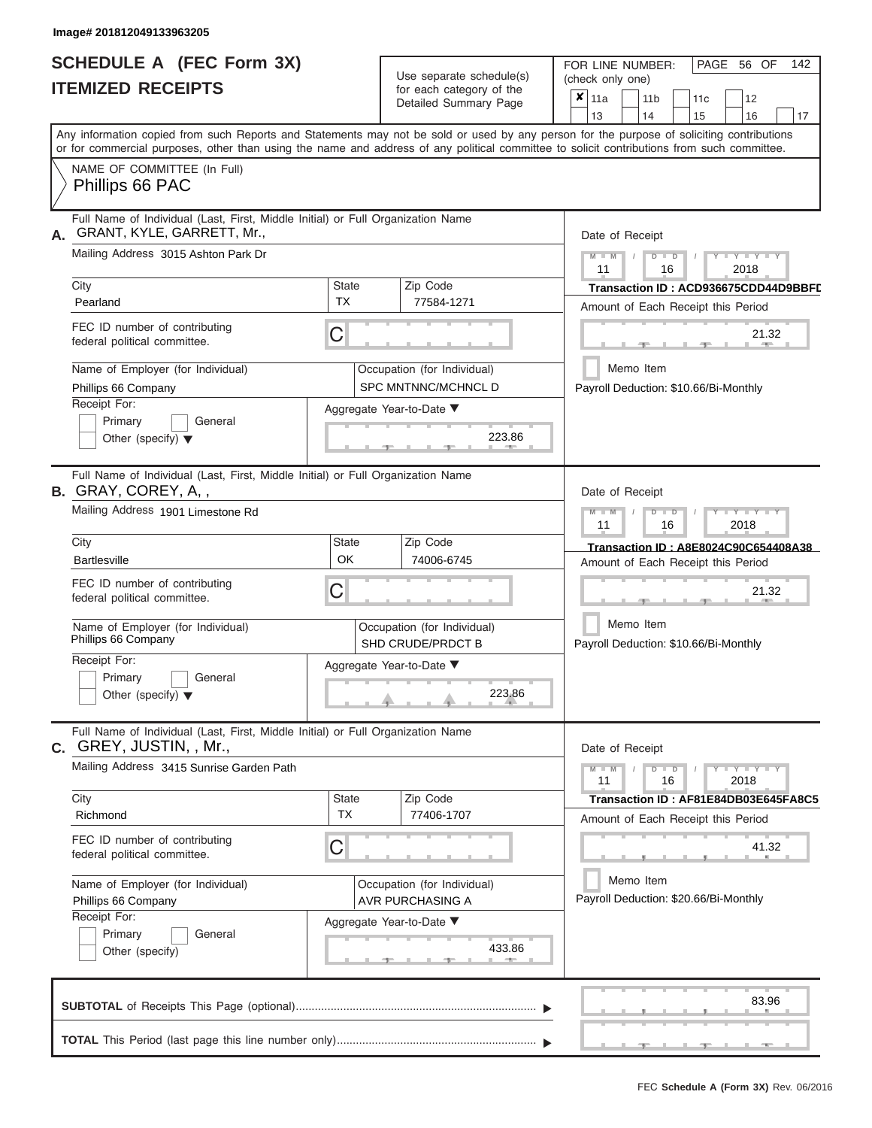# **SCHEDULE A (FEC Form 3X) ITEMIZED RECEIPTS**

| SCHEDULE A (FEC Form 3X)<br><b>ITEMIZED RECEIPTS</b>                                                                                                                                                                                                                                                                                                                                                     |                                | Use separate schedule(s)<br>for each category of the<br>Detailed Summary Page                                             | 142<br>FOR LINE NUMBER:<br>PAGE 56 OF<br>(check only one)<br>$\overline{\mathbf{x}}$   11a<br>11 <sub>b</sub><br>12<br>11 <sub>c</sub><br>14                                                                                                                                            |
|----------------------------------------------------------------------------------------------------------------------------------------------------------------------------------------------------------------------------------------------------------------------------------------------------------------------------------------------------------------------------------------------------------|--------------------------------|---------------------------------------------------------------------------------------------------------------------------|-----------------------------------------------------------------------------------------------------------------------------------------------------------------------------------------------------------------------------------------------------------------------------------------|
| Any information copied from such Reports and Statements may not be sold or used by any person for the purpose of soliciting contributions<br>or for commercial purposes, other than using the name and address of any political committee to solicit contributions from such committee.<br>NAME OF COMMITTEE (In Full)<br>Phillips 66 PAC                                                                |                                |                                                                                                                           | 15<br>16<br>13<br>17                                                                                                                                                                                                                                                                    |
| Full Name of Individual (Last, First, Middle Initial) or Full Organization Name<br>GRANT, KYLE, GARRETT, Mr.,<br>Mailing Address 3015 Ashton Park Dr<br>City<br>Pearland<br>FEC ID number of contributing<br>federal political committee.                                                                                                                                                                | State<br><b>TX</b><br>C        | Zip Code<br>77584-1271                                                                                                    | Date of Receipt<br>$M$ – $M$ /<br>$T - Y = Y - T Y$<br>$D$ $D$<br>11<br>2018<br>16<br>Transaction ID: ACD936675CDD44D9BBFL<br>Amount of Each Receipt this Period<br>21.32<br><b>Britannia</b><br>$-1$                                                                                   |
| Name of Employer (for Individual)<br>Phillips 66 Company<br>Receipt For:<br>Primary<br>General<br>Other (specify) $\blacktriangledown$                                                                                                                                                                                                                                                                   |                                | Occupation (for Individual)<br>SPC MNTNNC/MCHNCL D<br>Aggregate Year-to-Date ▼<br>223.86                                  | Memo Item<br>Payroll Deduction: \$10.66/Bi-Monthly                                                                                                                                                                                                                                      |
| Full Name of Individual (Last, First, Middle Initial) or Full Organization Name<br><b>B.</b> GRAY, COREY, A,,<br>Mailing Address 1901 Limestone Rd<br>City<br><b>Bartlesville</b><br>FEC ID number of contributing<br>federal political committee.<br>Name of Employer (for Individual)<br>Phillips 66 Company<br>Receipt For:<br>Primary<br>General                                                     | State<br>OK<br>С               | Zip Code<br>74006-6745<br>Occupation (for Individual)<br>SHD CRUDE/PRDCT B<br>Aggregate Year-to-Date ▼                    | Date of Receipt<br>$M - M$<br>$D$ $D$<br>$\blacksquare$ $\vdash$ $\vdash$ $\vdash$ $\vdash$ $\vdash$ $\vdash$ $\vdash$<br>11<br>2018<br>16<br>Transaction ID: A8E8024C90C654408A38<br>Amount of Each Receipt this Period<br>21.32<br>Memo Item<br>Payroll Deduction: \$10.66/Bi-Monthly |
| Other (specify) $\blacktriangledown$<br>Full Name of Individual (Last, First, Middle Initial) or Full Organization Name<br>C. GREY, JUSTIN, , Mr.,<br>Mailing Address 3415 Sunrise Garden Path<br>City<br>Richmond<br>FEC ID number of contributing<br>federal political committee.<br>Name of Employer (for Individual)<br>Phillips 66 Company<br>Receipt For:<br>Primary<br>General<br>Other (specify) | <b>State</b><br><b>TX</b><br>С | 223.86<br>Zip Code<br>77406-1707<br>Occupation (for Individual)<br>AVR PURCHASING A<br>Aggregate Year-to-Date ▼<br>433.86 | Date of Receipt<br>$M - M$<br>$D$ $D$<br>$Y - Y - Y - Y - Y$<br>11<br>2018<br>16<br>Transaction ID: AF81E84DB03E645FA8C5<br>Amount of Each Receipt this Period<br>41.32<br>Memo Item<br>Payroll Deduction: \$20.66/Bi-Monthly                                                           |
|                                                                                                                                                                                                                                                                                                                                                                                                          |                                |                                                                                                                           | 83.96                                                                                                                                                                                                                                                                                   |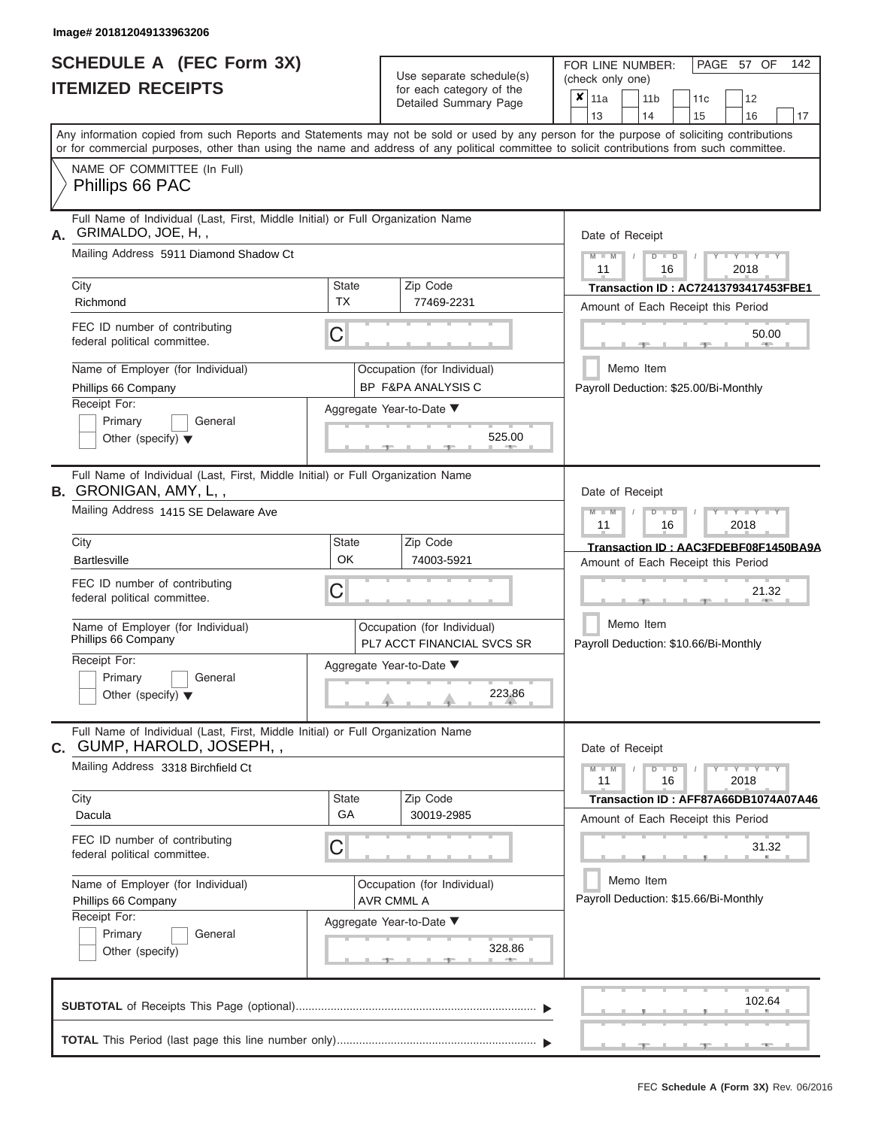|                          | <b>SCHEDULE A (FEC Form 3X)</b> |
|--------------------------|---------------------------------|
| <b>ITEMIZED RECEIPTS</b> |                                 |

| SCHEDULE A (FEC Form 3X)<br><b>ITEMIZED RECEIPTS</b>                                                                                                                                                                                                                                                                                                                                              | Use separate schedule(s)<br>for each category of the<br>Detailed Summary Page                                                                                               | 142<br>FOR LINE NUMBER:<br>PAGE 57 OF<br>(check only one)<br>$\overline{\mathbf{x}}$   11a<br>11 <sub>b</sub><br>12<br>11 <sub>c</sub><br>13                                                                                                                                                                    |
|---------------------------------------------------------------------------------------------------------------------------------------------------------------------------------------------------------------------------------------------------------------------------------------------------------------------------------------------------------------------------------------------------|-----------------------------------------------------------------------------------------------------------------------------------------------------------------------------|-----------------------------------------------------------------------------------------------------------------------------------------------------------------------------------------------------------------------------------------------------------------------------------------------------------------|
| NAME OF COMMITTEE (In Full)<br>Phillips 66 PAC                                                                                                                                                                                                                                                                                                                                                    |                                                                                                                                                                             | 14<br>15<br>16<br>17<br>Any information copied from such Reports and Statements may not be sold or used by any person for the purpose of soliciting contributions<br>or for commercial purposes, other than using the name and address of any political committee to solicit contributions from such committee. |
| Full Name of Individual (Last, First, Middle Initial) or Full Organization Name<br>GRIMALDO, JOE, H,,<br>Mailing Address 5911 Diamond Shadow Ct<br>City<br>Richmond<br>FEC ID number of contributing<br>federal political committee.<br>Name of Employer (for Individual)<br>Phillips 66 Company<br>Receipt For:<br>Primary<br>General<br>Other (specify) $\blacktriangledown$                    | Zip Code<br><b>State</b><br><b>TX</b><br>77469-2231<br>C<br>Occupation (for Individual)<br>BP F&PA ANALYSIS C<br>Aggregate Year-to-Date ▼<br>525.00<br><b>British Allen</b> | Date of Receipt<br>$M$ – $M$ /<br>$T - Y = Y + Y$<br>$D$ $D$<br>11<br>2018<br>16<br>Transaction ID: AC72413793417453FBE1<br>Amount of Each Receipt this Period<br>50.00<br><b>Brita Allen</b><br>-40-<br>Memo Item<br>Payroll Deduction: \$25.00/Bi-Monthly                                                     |
| Full Name of Individual (Last, First, Middle Initial) or Full Organization Name<br><b>B.</b> GRONIGAN, AMY, L,,<br>Mailing Address 1415 SE Delaware Ave<br>City<br><b>Bartlesville</b><br>FEC ID number of contributing<br>federal political committee.<br>Name of Employer (for Individual)<br>Phillips 66 Company<br>Receipt For:<br>Primary<br>General<br>Other (specify) $\blacktriangledown$ | Zip Code<br><b>State</b><br>OK<br>74003-5921<br>C<br>Occupation (for Individual)<br><b>PL7 ACCT FINANCIAL SVCS SR</b><br>Aggregate Year-to-Date ▼<br>223.86                 | Date of Receipt<br>$M - M$<br>$D$ $D$<br>$\Box$ $\Upsilon$ $\Box$ $\Upsilon$ $\Upsilon$ $\Upsilon$<br>$\prime$<br>11<br>2018<br>16<br>Transaction ID: AAC3FDEBF08F1450BA9A<br>Amount of Each Receipt this Period<br>21.32<br>Memo Item<br>Payroll Deduction: \$10.66/Bi-Monthly                                 |
| Full Name of Individual (Last, First, Middle Initial) or Full Organization Name<br>C. GUMP, HAROLD, JOSEPH, ,<br>Mailing Address 3318 Birchfield Ct<br>City<br>Dacula<br>FEC ID number of contributing<br>federal political committee.<br>Name of Employer (for Individual)<br>Phillips 66 Company<br>Receipt For:                                                                                | Zip Code<br>State<br>GA<br>30019-2985<br>C<br>Occupation (for Individual)<br><b>AVR CMML A</b><br>Aggregate Year-to-Date ▼                                                  | Date of Receipt<br>$M - M$<br>$D$ $D$<br>$  Y$ $  Y$ $  Y$<br>11<br>2018<br>16<br>Transaction ID: AFF87A66DB1074A07A46<br>Amount of Each Receipt this Period<br>31.32<br>Memo Item<br>Payroll Deduction: \$15.66/Bi-Monthly                                                                                     |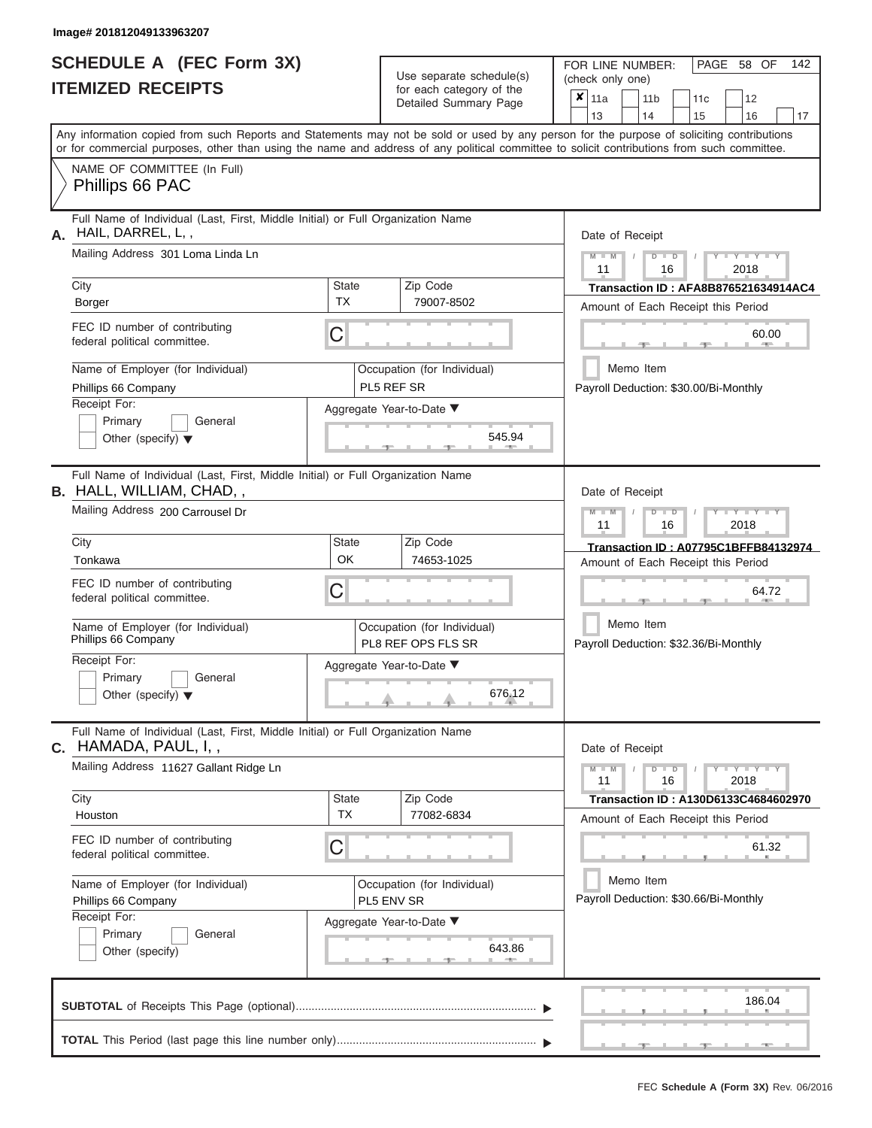|                          | <b>SCHEDULE A (FEC Form 3X)</b> |
|--------------------------|---------------------------------|
| <b>ITEMIZED RECEIPTS</b> |                                 |

Use separate schedule(s) (check only one) for each category of the

FOR LINE NUMBER:<br>(check only one)

PAGE 58 OF 142

| <b>ITEMIZED RECEIPTS</b>                                                                                                                                                                                                                                                                                                                                                             | for each category of the<br>Detailed Summary Page                                                                                                  | $\pmb{\times}$<br>11a<br>11 <sub>b</sub><br>12<br>11c<br>14<br>15<br>16<br>17<br>13                                                                                                                                                      |
|--------------------------------------------------------------------------------------------------------------------------------------------------------------------------------------------------------------------------------------------------------------------------------------------------------------------------------------------------------------------------------------|----------------------------------------------------------------------------------------------------------------------------------------------------|------------------------------------------------------------------------------------------------------------------------------------------------------------------------------------------------------------------------------------------|
| Any information copied from such Reports and Statements may not be sold or used by any person for the purpose of soliciting contributions<br>or for commercial purposes, other than using the name and address of any political committee to solicit contributions from such committee.                                                                                              |                                                                                                                                                    |                                                                                                                                                                                                                                          |
| NAME OF COMMITTEE (In Full)<br>Phillips 66 PAC                                                                                                                                                                                                                                                                                                                                       |                                                                                                                                                    |                                                                                                                                                                                                                                          |
| Full Name of Individual (Last, First, Middle Initial) or Full Organization Name<br>HAIL, DARREL, L,,<br>А.<br>Mailing Address 301 Loma Linda Ln<br>City<br>Borger<br>FEC ID number of contributing                                                                                                                                                                                   | Zip Code<br><b>State</b><br><b>TX</b><br>79007-8502                                                                                                | Date of Receipt<br>$M - M$<br>$+Y+Y+Y$<br>$D$ $D$<br>11<br>2018<br>16<br>Transaction ID: AFA8B876521634914AC4<br>Amount of Each Receipt this Period<br>60.00                                                                             |
| federal political committee.<br>Name of Employer (for Individual)<br>Phillips 66 Company<br>Receipt For:<br>Primary<br>General<br>Other (specify) $\blacktriangledown$                                                                                                                                                                                                               | С<br>Occupation (for Individual)<br>PL5 REF SR<br>Aggregate Year-to-Date ▼<br>545.94                                                               | Memo Item<br>Payroll Deduction: \$30.00/Bi-Monthly                                                                                                                                                                                       |
| Full Name of Individual (Last, First, Middle Initial) or Full Organization Name<br><b>B.</b> HALL, WILLIAM, CHAD,,<br>Mailing Address 200 Carrousel Dr<br>City<br>Tonkawa<br>FEC ID number of contributing<br>federal political committee.<br>Name of Employer (for Individual)<br>Phillips 66 Company<br>Receipt For:<br>General<br>Primary<br>Other (specify) $\blacktriangledown$ | Zip Code<br>State<br>OK<br>74653-1025<br>C<br>Occupation (for Individual)<br>PL8 REF OPS FLS SR<br>Aggregate Year-to-Date ▼<br>676.12              | Date of Receipt<br>$I - Y - I - Y - I - Y$<br>$M - M$<br>$\blacksquare$<br>11<br>16<br>2018<br>Transaction ID: A07795C1BFFB84132974<br>Amount of Each Receipt this Period<br>64.72<br>Memo Item<br>Payroll Deduction: \$32.36/Bi-Monthly |
| Full Name of Individual (Last, First, Middle Initial) or Full Organization Name<br>$C.$ HAMADA, PAUL, I,,<br>Mailing Address 11627 Gallant Ridge Ln<br>City<br>Houston<br>FEC ID number of contributing<br>federal political committee.<br>Name of Employer (for Individual)<br>Phillips 66 Company<br>Receipt For:<br>Primary<br>General<br>Other (specify)                         | Zip Code<br><b>State</b><br><b>TX</b><br>77082-6834<br>С<br>Occupation (for Individual)<br>PL5 ENV SR<br>Aggregate Year-to-Date ▼<br>643.86<br>-91 | Date of Receipt<br>$Y - Y - Y$<br>$M - M$<br>D<br>$\blacksquare$<br>2018<br>11<br>16<br>Transaction ID: A130D6133C4684602970<br>Amount of Each Receipt this Period<br>61.32<br>Memo Item<br>Payroll Deduction: \$30.66/Bi-Monthly        |
|                                                                                                                                                                                                                                                                                                                                                                                      |                                                                                                                                                    | 186.04<br>ு<br>___                                                                                                                                                                                                                       |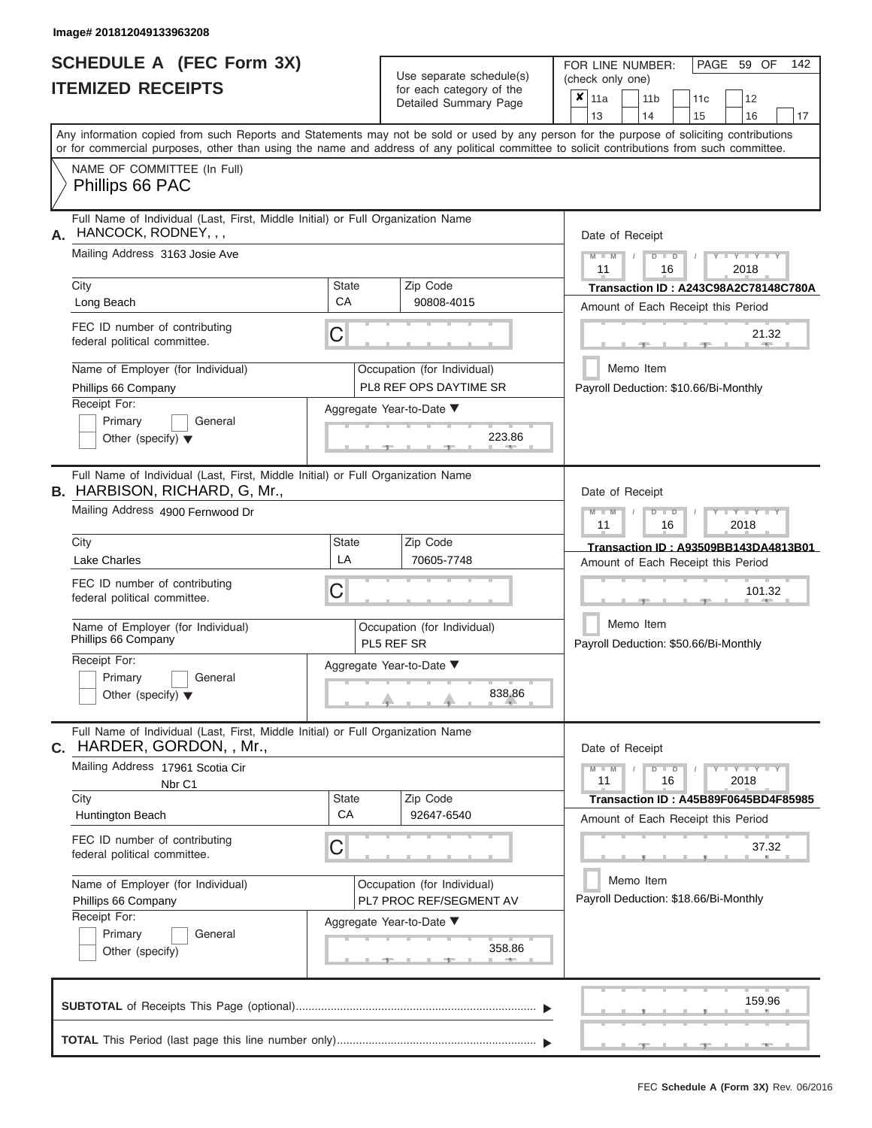ı

|                          | <b>SCHEDULE A (FEC Form 3X)</b> |
|--------------------------|---------------------------------|
| <b>ITEMIZED RECEIPTS</b> |                                 |

Use separate schedule(s)<br>for each category of the

FOR LINE NUMBER:<br>(check only one)

PAGE 59 OF 142

|                                                                                                                                                                                                                                                                                         |              | ivi vavii valvyviy vi liiv<br>Detailed Summary Page |                                                       | $x \mid$ 11a    |  | 11 <sub>b</sub> |               | 11 <sub>c</sub> | 12                                    |    |  |  |
|-----------------------------------------------------------------------------------------------------------------------------------------------------------------------------------------------------------------------------------------------------------------------------------------|--------------|-----------------------------------------------------|-------------------------------------------------------|-----------------|--|-----------------|---------------|-----------------|---------------------------------------|----|--|--|
|                                                                                                                                                                                                                                                                                         |              |                                                     |                                                       | 13              |  | 14              |               | 15              | 16                                    | 17 |  |  |
| Any information copied from such Reports and Statements may not be sold or used by any person for the purpose of soliciting contributions<br>or for commercial purposes, other than using the name and address of any political committee to solicit contributions from such committee. |              |                                                     |                                                       |                 |  |                 |               |                 |                                       |    |  |  |
| NAME OF COMMITTEE (In Full)                                                                                                                                                                                                                                                             |              |                                                     |                                                       |                 |  |                 |               |                 |                                       |    |  |  |
| Phillips 66 PAC                                                                                                                                                                                                                                                                         |              |                                                     |                                                       |                 |  |                 |               |                 |                                       |    |  |  |
| Full Name of Individual (Last, First, Middle Initial) or Full Organization Name<br>HANCOCK, RODNEY, , ,<br>А.                                                                                                                                                                           |              |                                                     |                                                       | Date of Receipt |  |                 |               |                 |                                       |    |  |  |
| Mailing Address 3163 Josie Ave                                                                                                                                                                                                                                                          |              |                                                     | $M - M$<br>$D$ $D$<br>$Y - Y - Y$<br>11<br>16<br>2018 |                 |  |                 |               |                 |                                       |    |  |  |
| City                                                                                                                                                                                                                                                                                    | <b>State</b> | Zip Code                                            |                                                       |                 |  |                 |               |                 | Transaction ID: A243C98A2C78148C780A  |    |  |  |
| Long Beach                                                                                                                                                                                                                                                                              | CA           | 90808-4015                                          |                                                       |                 |  |                 |               |                 | Amount of Each Receipt this Period    |    |  |  |
| FEC ID number of contributing<br>federal political committee.                                                                                                                                                                                                                           | C            |                                                     |                                                       |                 |  |                 |               | $-1$            | 21.32<br>$1 - 400$                    |    |  |  |
| Name of Employer (for Individual)                                                                                                                                                                                                                                                       |              | Occupation (for Individual)                         |                                                       |                 |  | Memo Item       |               |                 |                                       |    |  |  |
| Phillips 66 Company                                                                                                                                                                                                                                                                     |              | PL8 REF OPS DAYTIME SR                              |                                                       |                 |  |                 |               |                 | Payroll Deduction: \$10.66/Bi-Monthly |    |  |  |
| Receipt For:                                                                                                                                                                                                                                                                            |              | Aggregate Year-to-Date ▼                            |                                                       |                 |  |                 |               |                 |                                       |    |  |  |
| Primary<br>General<br>Other (specify) $\blacktriangledown$                                                                                                                                                                                                                              |              | 223.86<br>-91                                       |                                                       |                 |  |                 |               |                 |                                       |    |  |  |
| Full Name of Individual (Last, First, Middle Initial) or Full Organization Name<br><b>B.</b> HARBISON, RICHARD, G, Mr.,                                                                                                                                                                 |              |                                                     |                                                       | Date of Receipt |  |                 |               |                 |                                       |    |  |  |
| Mailing Address 4900 Fernwood Dr                                                                                                                                                                                                                                                        |              |                                                     |                                                       | $M - M$<br>11   |  |                 | $D$ $D$<br>16 |                 | $Y - Y - Y$<br>2018                   |    |  |  |
| City                                                                                                                                                                                                                                                                                    | State        | Zip Code                                            |                                                       |                 |  |                 |               |                 | Transaction ID: A93509BB143DA4813B01  |    |  |  |
| <b>Lake Charles</b>                                                                                                                                                                                                                                                                     | LA           | 70605-7748                                          |                                                       |                 |  |                 |               |                 | Amount of Each Receipt this Period    |    |  |  |
| FEC ID number of contributing<br>federal political committee.                                                                                                                                                                                                                           | С            |                                                     |                                                       |                 |  |                 |               |                 | 101.32                                |    |  |  |
| Name of Employer (for Individual)<br>Phillips 66 Company                                                                                                                                                                                                                                |              | Occupation (for Individual)<br>PL5 REF SR           |                                                       |                 |  | Memo Item       |               |                 | Payroll Deduction: \$50.66/Bi-Monthly |    |  |  |
| Receipt For:                                                                                                                                                                                                                                                                            |              | Aggregate Year-to-Date ▼                            |                                                       |                 |  |                 |               |                 |                                       |    |  |  |
| Primary<br>General<br>Other (specify) $\blacktriangledown$                                                                                                                                                                                                                              |              | 838.86                                              |                                                       |                 |  |                 |               |                 |                                       |    |  |  |
| Full Name of Individual (Last, First, Middle Initial) or Full Organization Name                                                                                                                                                                                                         |              |                                                     |                                                       |                 |  |                 |               |                 |                                       |    |  |  |
| HARDER, GORDON, , Mr.,<br>С.                                                                                                                                                                                                                                                            |              |                                                     |                                                       | Date of Receipt |  |                 |               |                 |                                       |    |  |  |
| Mailing Address 17961 Scotia Cir                                                                                                                                                                                                                                                        |              |                                                     |                                                       | $M - M$<br>11   |  |                 | $D$ $D$<br>16 |                 | $+Y+Y+Y$<br>2018                      |    |  |  |
| Nbr C1<br>City                                                                                                                                                                                                                                                                          | <b>State</b> | Zip Code                                            |                                                       |                 |  |                 |               |                 | Transaction ID: A45B89F0645BD4F85985  |    |  |  |
| Huntington Beach                                                                                                                                                                                                                                                                        | CA           | 92647-6540                                          |                                                       |                 |  |                 |               |                 | Amount of Each Receipt this Period    |    |  |  |
| FEC ID number of contributing<br>federal political committee.                                                                                                                                                                                                                           | С            |                                                     |                                                       |                 |  |                 |               |                 | 37.32                                 |    |  |  |
| Name of Employer (for Individual)                                                                                                                                                                                                                                                       |              | Occupation (for Individual)                         |                                                       |                 |  | Memo Item       |               |                 |                                       |    |  |  |
| Phillips 66 Company                                                                                                                                                                                                                                                                     |              | PL7 PROC REF/SEGMENT AV                             |                                                       |                 |  |                 |               |                 | Payroll Deduction: \$18.66/Bi-Monthly |    |  |  |
| Receipt For:<br>Primary<br>General                                                                                                                                                                                                                                                      |              | Aggregate Year-to-Date ▼                            |                                                       |                 |  |                 |               |                 |                                       |    |  |  |
| Other (specify)                                                                                                                                                                                                                                                                         |              | 358.86<br><u>____</u>                               |                                                       |                 |  |                 |               |                 |                                       |    |  |  |
|                                                                                                                                                                                                                                                                                         |              |                                                     |                                                       |                 |  |                 |               |                 | 159.96                                |    |  |  |
|                                                                                                                                                                                                                                                                                         |              |                                                     |                                                       |                 |  |                 |               |                 |                                       |    |  |  |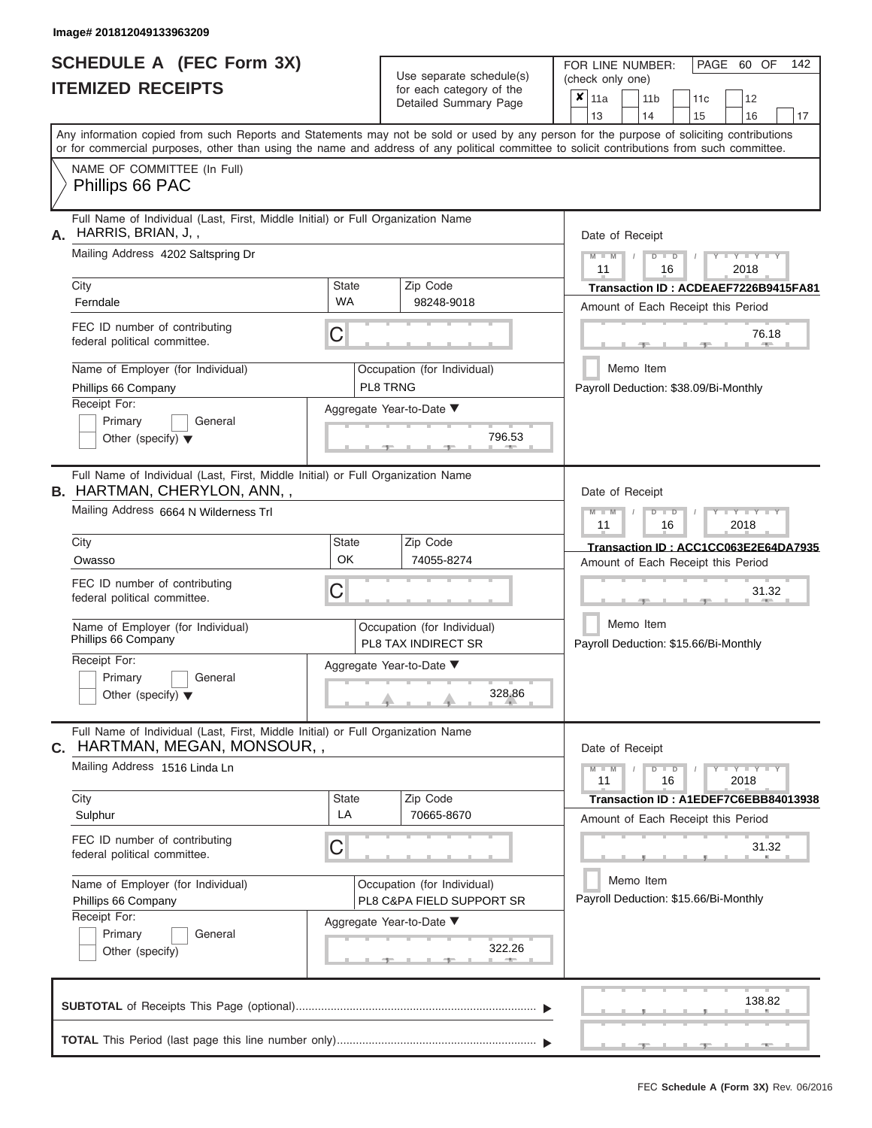|                          | <b>SCHEDULE A (FEC Form 3X)</b> |  |
|--------------------------|---------------------------------|--|
| <b>ITEMIZED RECEIPTS</b> |                                 |  |

Use separate schedule(s) (check only one) for each category of the

FOR LINE NUMBER:<br>(check only one)

PAGE 60 OF 142

| <b>ITEMIZED RECEIPTS</b>                                                                                                                                                                                                                                                                                                                                                                                           | for each category of the<br>Detailed Summary Page                                                                        | $x _{11a}$<br>12<br>11 <sub>b</sub><br>11 <sub>c</sub><br>14<br>13<br>15<br>16<br>17                                                                                                                                                                                                                                                                                                                      |
|--------------------------------------------------------------------------------------------------------------------------------------------------------------------------------------------------------------------------------------------------------------------------------------------------------------------------------------------------------------------------------------------------------------------|--------------------------------------------------------------------------------------------------------------------------|-----------------------------------------------------------------------------------------------------------------------------------------------------------------------------------------------------------------------------------------------------------------------------------------------------------------------------------------------------------------------------------------------------------|
| Any information copied from such Reports and Statements may not be sold or used by any person for the purpose of soliciting contributions<br>or for commercial purposes, other than using the name and address of any political committee to solicit contributions from such committee.                                                                                                                            |                                                                                                                          |                                                                                                                                                                                                                                                                                                                                                                                                           |
| NAME OF COMMITTEE (In Full)<br>Phillips 66 PAC                                                                                                                                                                                                                                                                                                                                                                     |                                                                                                                          |                                                                                                                                                                                                                                                                                                                                                                                                           |
| Full Name of Individual (Last, First, Middle Initial) or Full Organization Name<br>HARRIS, BRIAN, J,,<br>А.<br>Mailing Address 4202 Saltspring Dr<br>City<br><b>State</b><br><b>WA</b><br>Ferndale<br>FEC ID number of contributing<br>C<br>federal political committee.<br>Name of Employer (for Individual)<br>Phillips 66 Company<br>Receipt For:<br>Primary<br>General<br>Other (specify) $\blacktriangledown$ | Zip Code<br>98248-9018<br>Occupation (for Individual)<br>PL8 TRNG<br>Aggregate Year-to-Date ▼<br>796.53                  | Date of Receipt<br>$Y = Y + Y$<br>$M - M$<br>$D$ $D$<br>$\sqrt{ }$<br>11<br>16<br>2018<br>Transaction ID: ACDEAEF7226B9415FA81<br>Amount of Each Receipt this Period<br>76.18<br>Memo Item<br>Payroll Deduction: \$38.09/Bi-Monthly                                                                                                                                                                       |
| Full Name of Individual (Last, First, Middle Initial) or Full Organization Name<br><b>B.</b> HARTMAN, CHERYLON, ANN,,<br>Mailing Address 6664 N Wilderness Trl<br>City<br>State<br>OK<br>Owasso<br>FEC ID number of contributing<br>C<br>federal political committee.<br>Name of Employer (for Individual)<br>Phillips 66 Company<br>Receipt For:<br>General<br>Primary<br>Other (specify) $\blacktriangledown$    | Zip Code<br>74055-8274<br>Occupation (for Individual)<br>PL8 TAX INDIRECT SR<br>Aggregate Year-to-Date ▼<br>328.86       | Date of Receipt<br>$\begin{array}{c} \mathbf{1} \quad \mathbf{1} \quad \mathbf{1} \quad \mathbf{1} \quad \mathbf{1} \quad \mathbf{1} \quad \mathbf{1} \quad \mathbf{1} \quad \mathbf{1} \end{array}$<br>$M - M$<br>$D$ $D$<br>$\sqrt{2}$<br>11<br>16<br>2018<br>Transaction ID: ACC1CC063E2E64DA7935<br>Amount of Each Receipt this Period<br>31.32<br>Memo Item<br>Payroll Deduction: \$15.66/Bi-Monthly |
| Full Name of Individual (Last, First, Middle Initial) or Full Organization Name<br>HARTMAN, MEGAN, MONSOUR,,<br>C.<br>Mailing Address 1516 Linda Ln<br>City<br><b>State</b><br>LA<br>Sulphur<br>FEC ID number of contributing<br>С<br>federal political committee.<br>Name of Employer (for Individual)<br>Phillips 66 Company<br>Receipt For:<br>Primary<br>General<br>Other (specify)                            | Zip Code<br>70665-8670<br>Occupation (for Individual)<br>PL8 C&PA FIELD SUPPORT SR<br>Aggregate Year-to-Date ▼<br>322.26 | Date of Receipt<br>$M - M$<br>$\overline{D}$<br>$Y - Y - T$<br>$\blacksquare$<br>11<br>16<br>2018<br>Transaction ID: A1EDEF7C6EBB84013938<br>Amount of Each Receipt this Period<br>31.32<br>Memo Item<br>Payroll Deduction: \$15.66/Bi-Monthly                                                                                                                                                            |
|                                                                                                                                                                                                                                                                                                                                                                                                                    |                                                                                                                          | 138.82                                                                                                                                                                                                                                                                                                                                                                                                    |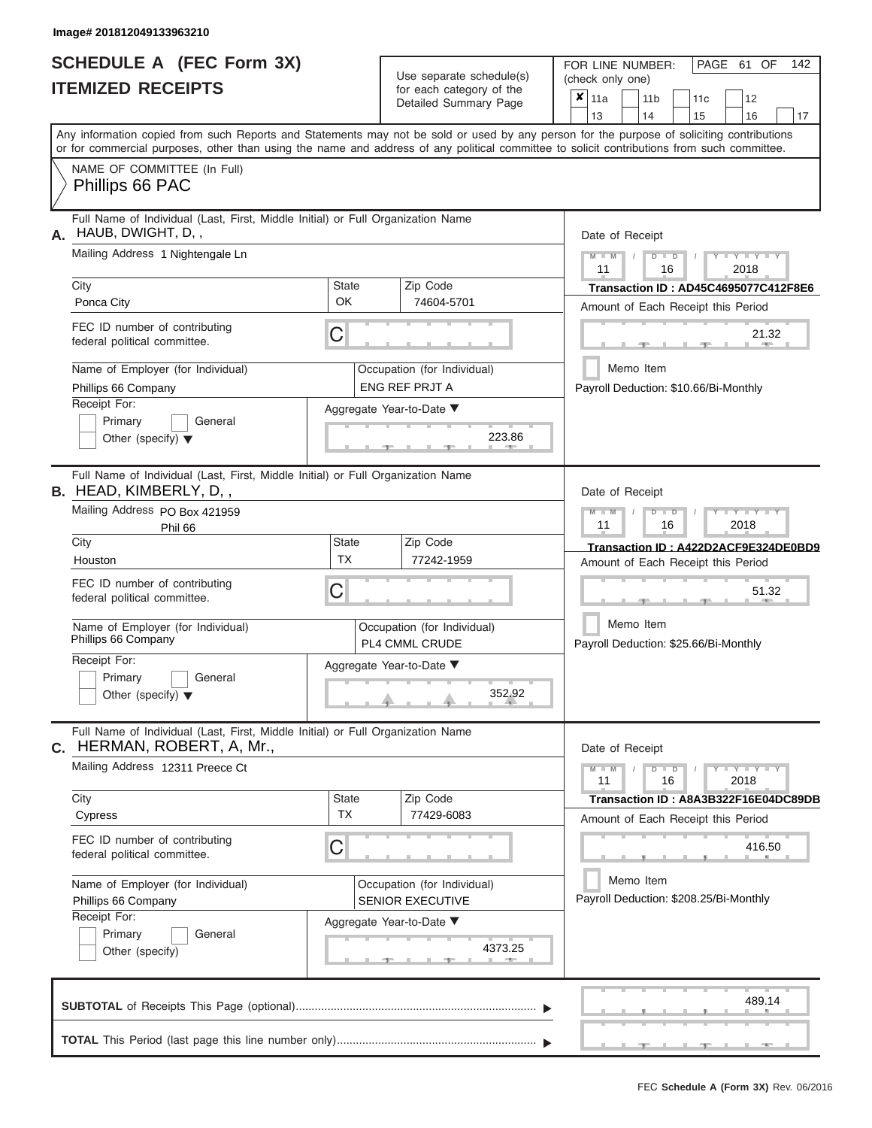# **SCHEDULE A (FEC Form 3X)**

| <b>ITEMIZED RECEIPTS</b>                                                                                                                                                                                                                                                                                                                                                                        | for each category of the<br>Detailed Summary Page                                                                                                    | (check only one)<br>$\overline{\mathbf{x}}$   11a<br>11 <sub>b</sub><br>12<br>11 <sub>c</sub>                                                                                                                                               |
|-------------------------------------------------------------------------------------------------------------------------------------------------------------------------------------------------------------------------------------------------------------------------------------------------------------------------------------------------------------------------------------------------|------------------------------------------------------------------------------------------------------------------------------------------------------|---------------------------------------------------------------------------------------------------------------------------------------------------------------------------------------------------------------------------------------------|
| Any information copied from such Reports and Statements may not be sold or used by any person for the purpose of soliciting contributions<br>or for commercial purposes, other than using the name and address of any political committee to solicit contributions from such committee.                                                                                                         |                                                                                                                                                      | 13<br>14<br>15<br>16<br>17                                                                                                                                                                                                                  |
| NAME OF COMMITTEE (In Full)<br>Phillips 66 PAC                                                                                                                                                                                                                                                                                                                                                  |                                                                                                                                                      |                                                                                                                                                                                                                                             |
| Full Name of Individual (Last, First, Middle Initial) or Full Organization Name<br>HAUB, DWIGHT, D,,<br>А.<br>Mailing Address 1 Nightengale Ln<br>City<br>Ponca City<br>FEC ID number of contributing<br>С<br>federal political committee.<br>Name of Employer (for Individual)<br>Phillips 66 Company<br>Receipt For:<br>Primary<br>General<br>Other (specify) $\blacktriangledown$            | Zip Code<br><b>State</b><br><b>OK</b><br>74604-5701<br>Occupation (for Individual)<br><b>ENG REF PRJT A</b><br>Aggregate Year-to-Date ▼<br>223.86    | Date of Receipt<br>$M$ – $M$ /<br>$+Y+Y+Y$<br>$D$ $D$<br>11<br>2018<br>16<br>Transaction ID: AD45C4695077C412F8E6<br>Amount of Each Receipt this Period<br>21.32<br><b>STATISTICS</b><br>Memo Item<br>Payroll Deduction: \$10.66/Bi-Monthly |
| Full Name of Individual (Last, First, Middle Initial) or Full Organization Name<br><b>B.</b> HEAD, KIMBERLY, D,,<br>Mailing Address PO Box 421959<br>Phil 66<br>City<br>Houston<br>FEC ID number of contributing<br>С<br>federal political committee.<br>Name of Employer (for Individual)<br>Phillips 66 Company<br>Receipt For:<br>Primary<br>General<br>Other (specify) $\blacktriangledown$ | Zip Code<br><b>State</b><br><b>TX</b><br>77242-1959<br>Occupation (for Individual)<br>PL4 CMML CRUDE<br>Aggregate Year-to-Date ▼<br>352.92           | Date of Receipt<br>$M - M$<br>$D$ $\Box$ $D$<br>$T - Y = Y - T Y$<br>11<br>2018<br>16<br>Transaction ID: A422D2ACF9E324DE0BD9<br>Amount of Each Receipt this Period<br>51.32<br>Memo Item<br>Payroll Deduction: \$25.66/Bi-Monthly          |
| Full Name of Individual (Last, First, Middle Initial) or Full Organization Name<br>HERMAN, ROBERT, A, Mr.,<br>C.<br>Mailing Address 12311 Preece Ct<br>City<br>Cypress<br>FEC ID number of contributing<br>С<br>federal political committee.<br>Name of Employer (for Individual)<br>Phillips 66 Company<br>Receipt For:<br>Primary<br>General<br>Other (specify)                               | Zip Code<br><b>State</b><br><b>TX</b><br>77429-6083<br>Occupation (for Individual)<br><b>SENIOR EXECUTIVE</b><br>Aggregate Year-to-Date ▼<br>4373.25 | Date of Receipt<br>$M - M$<br>$D$ $D$<br>$Y - Y - Y - Y - Y$<br>11<br>16<br>2018<br>Transaction ID: A8A3B322F16E04DC89DB<br>Amount of Each Receipt this Period<br>416.50<br>Memo Item<br>Payroll Deduction: \$208.25/Bi-Monthly             |
|                                                                                                                                                                                                                                                                                                                                                                                                 |                                                                                                                                                      | 489.14                                                                                                                                                                                                                                      |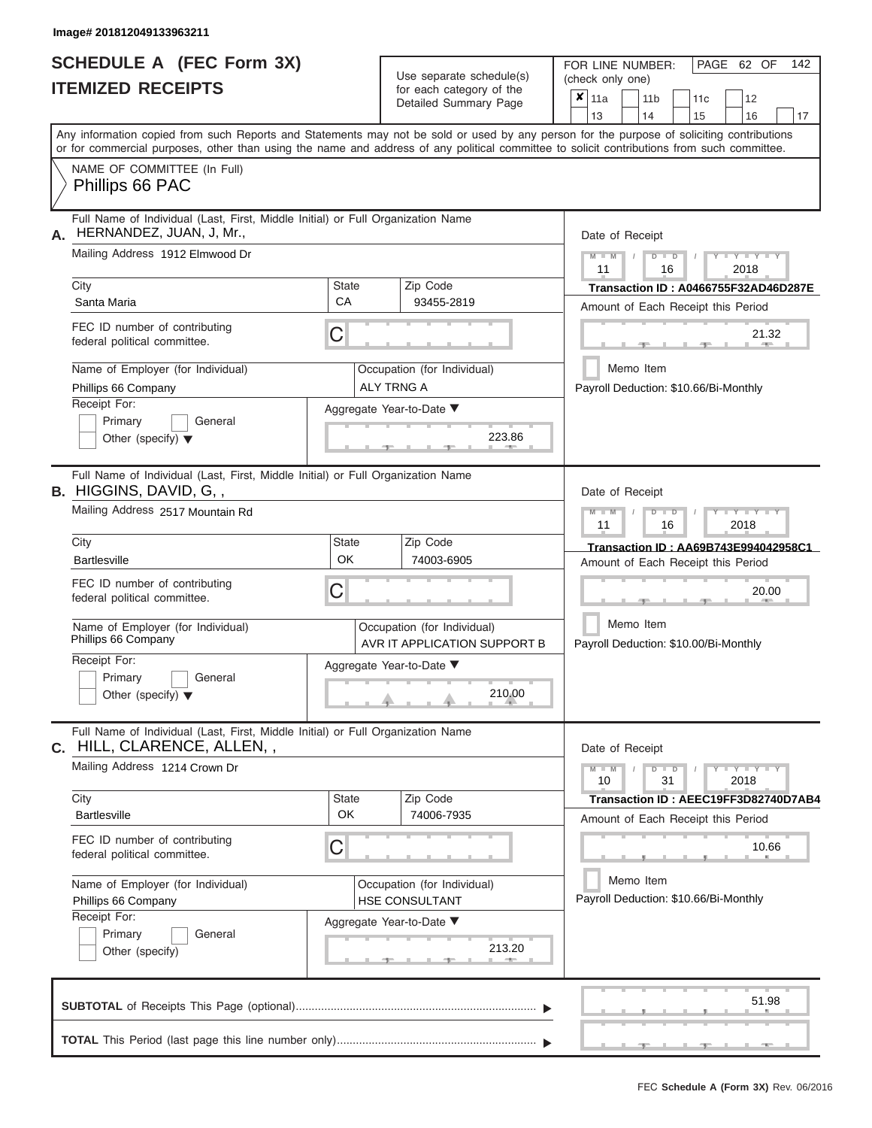|                          | SCHEDULE A (FEC Form 3X) |
|--------------------------|--------------------------|
| <b>ITEMIZED RECEIPTS</b> |                          |

Use separate schedule(s)<br>for each category of the

FOR LINE NUMBER:<br>(check only one)

PAGE 62 OF 142

|                                                                                                                                                                                                                                                                                         |              | Detailed Summary Page                                       |  | $x \mid$ 11a                                       |                                                 | 11 b |               | 11c | 12                                    |       |  |  |  |
|-----------------------------------------------------------------------------------------------------------------------------------------------------------------------------------------------------------------------------------------------------------------------------------------|--------------|-------------------------------------------------------------|--|----------------------------------------------------|-------------------------------------------------|------|---------------|-----|---------------------------------------|-------|--|--|--|
|                                                                                                                                                                                                                                                                                         |              |                                                             |  | 13                                                 |                                                 | 14   |               | 15  | 16                                    | 17    |  |  |  |
| Any information copied from such Reports and Statements may not be sold or used by any person for the purpose of soliciting contributions<br>or for commercial purposes, other than using the name and address of any political committee to solicit contributions from such committee. |              |                                                             |  |                                                    |                                                 |      |               |     |                                       |       |  |  |  |
| NAME OF COMMITTEE (In Full)<br>Phillips 66 PAC                                                                                                                                                                                                                                          |              |                                                             |  |                                                    |                                                 |      |               |     |                                       |       |  |  |  |
| Full Name of Individual (Last, First, Middle Initial) or Full Organization Name<br>HERNANDEZ, JUAN, J, Mr.,                                                                                                                                                                             |              |                                                             |  | Date of Receipt                                    |                                                 |      |               |     |                                       |       |  |  |  |
| Mailing Address 1912 Elmwood Dr                                                                                                                                                                                                                                                         |              |                                                             |  | 11                                                 | $M - M$<br>$Y = Y = Y$<br>$D$ $D$<br>2018<br>16 |      |               |     |                                       |       |  |  |  |
| City                                                                                                                                                                                                                                                                                    | <b>State</b> | Zip Code                                                    |  |                                                    |                                                 |      |               |     | Transaction ID: A0466755F32AD46D287E  |       |  |  |  |
| Santa Maria                                                                                                                                                                                                                                                                             | CA           | 93455-2819                                                  |  |                                                    |                                                 |      |               |     | Amount of Each Receipt this Period    |       |  |  |  |
| FEC ID number of contributing<br>federal political committee.                                                                                                                                                                                                                           | C            |                                                             |  |                                                    |                                                 |      |               |     | 21.32                                 |       |  |  |  |
| Name of Employer (for Individual)<br>Occupation (for Individual)                                                                                                                                                                                                                        |              |                                                             |  |                                                    | Memo Item                                       |      |               |     |                                       |       |  |  |  |
| Phillips 66 Company                                                                                                                                                                                                                                                                     |              | <b>ALY TRNG A</b>                                           |  |                                                    |                                                 |      |               |     | Payroll Deduction: \$10.66/Bi-Monthly |       |  |  |  |
| Receipt For:<br>Primary<br>General<br>Other (specify) $\blacktriangledown$                                                                                                                                                                                                              |              | Aggregate Year-to-Date ▼<br>223.86                          |  |                                                    |                                                 |      |               |     |                                       |       |  |  |  |
| Full Name of Individual (Last, First, Middle Initial) or Full Organization Name<br><b>B.</b> HIGGINS, DAVID, G,,                                                                                                                                                                        |              |                                                             |  | Date of Receipt                                    |                                                 |      |               |     |                                       |       |  |  |  |
| Mailing Address 2517 Mountain Rd                                                                                                                                                                                                                                                        |              |                                                             |  | $M - M$<br>11                                      |                                                 |      | $D$ $D$<br>16 |     | $Y - Y - I$<br>2018                   |       |  |  |  |
| City                                                                                                                                                                                                                                                                                    | <b>State</b> | Zip Code                                                    |  |                                                    |                                                 |      |               |     | Transaction ID: AA69B743E994042958C1  |       |  |  |  |
| <b>Bartlesville</b>                                                                                                                                                                                                                                                                     | OK           | 74003-6905                                                  |  |                                                    |                                                 |      |               |     | Amount of Each Receipt this Period    |       |  |  |  |
| FEC ID number of contributing<br>federal political committee.                                                                                                                                                                                                                           | C            |                                                             |  |                                                    |                                                 |      |               |     | 20.00                                 |       |  |  |  |
| Name of Employer (for Individual)<br>Phillips 66 Company                                                                                                                                                                                                                                |              | Occupation (for Individual)<br>AVR IT APPLICATION SUPPORT B |  | Memo Item<br>Payroll Deduction: \$10.00/Bi-Monthly |                                                 |      |               |     |                                       |       |  |  |  |
| Receipt For:<br>Primary<br>General<br>Other (specify) $\blacktriangledown$                                                                                                                                                                                                              |              | Aggregate Year-to-Date ▼<br>210.00                          |  |                                                    |                                                 |      |               |     |                                       |       |  |  |  |
| Full Name of Individual (Last, First, Middle Initial) or Full Organization Name<br>C. HILL, CLARENCE, ALLEN, ,                                                                                                                                                                          |              |                                                             |  | Date of Receipt                                    |                                                 |      |               |     |                                       |       |  |  |  |
| Mailing Address 1214 Crown Dr                                                                                                                                                                                                                                                           |              |                                                             |  | $M - M$<br>10                                      |                                                 |      | $D$ $D$<br>31 |     | $Y - Y - Y - Y - Y$<br>2018           |       |  |  |  |
| City                                                                                                                                                                                                                                                                                    | <b>State</b> | Zip Code                                                    |  |                                                    |                                                 |      |               |     | Transaction ID: AEEC19FF3D82740D7AB4  |       |  |  |  |
| <b>Bartlesville</b>                                                                                                                                                                                                                                                                     | OK           | 74006-7935                                                  |  |                                                    |                                                 |      |               |     | Amount of Each Receipt this Period    |       |  |  |  |
| FEC ID number of contributing<br>federal political committee.                                                                                                                                                                                                                           | C            |                                                             |  | 10.66                                              |                                                 |      |               |     |                                       |       |  |  |  |
| Name of Employer (for Individual)                                                                                                                                                                                                                                                       |              | Occupation (for Individual)                                 |  |                                                    | Memo Item                                       |      |               |     |                                       |       |  |  |  |
| Phillips 66 Company                                                                                                                                                                                                                                                                     |              | <b>HSE CONSULTANT</b>                                       |  | Payroll Deduction: \$10.66/Bi-Monthly              |                                                 |      |               |     |                                       |       |  |  |  |
| Receipt For:                                                                                                                                                                                                                                                                            |              | Aggregate Year-to-Date ▼                                    |  |                                                    |                                                 |      |               |     |                                       |       |  |  |  |
| Primary<br>General<br>Other (specify)                                                                                                                                                                                                                                                   |              | 213.20                                                      |  |                                                    |                                                 |      |               |     |                                       |       |  |  |  |
|                                                                                                                                                                                                                                                                                         |              |                                                             |  |                                                    |                                                 |      |               |     |                                       | 51.98 |  |  |  |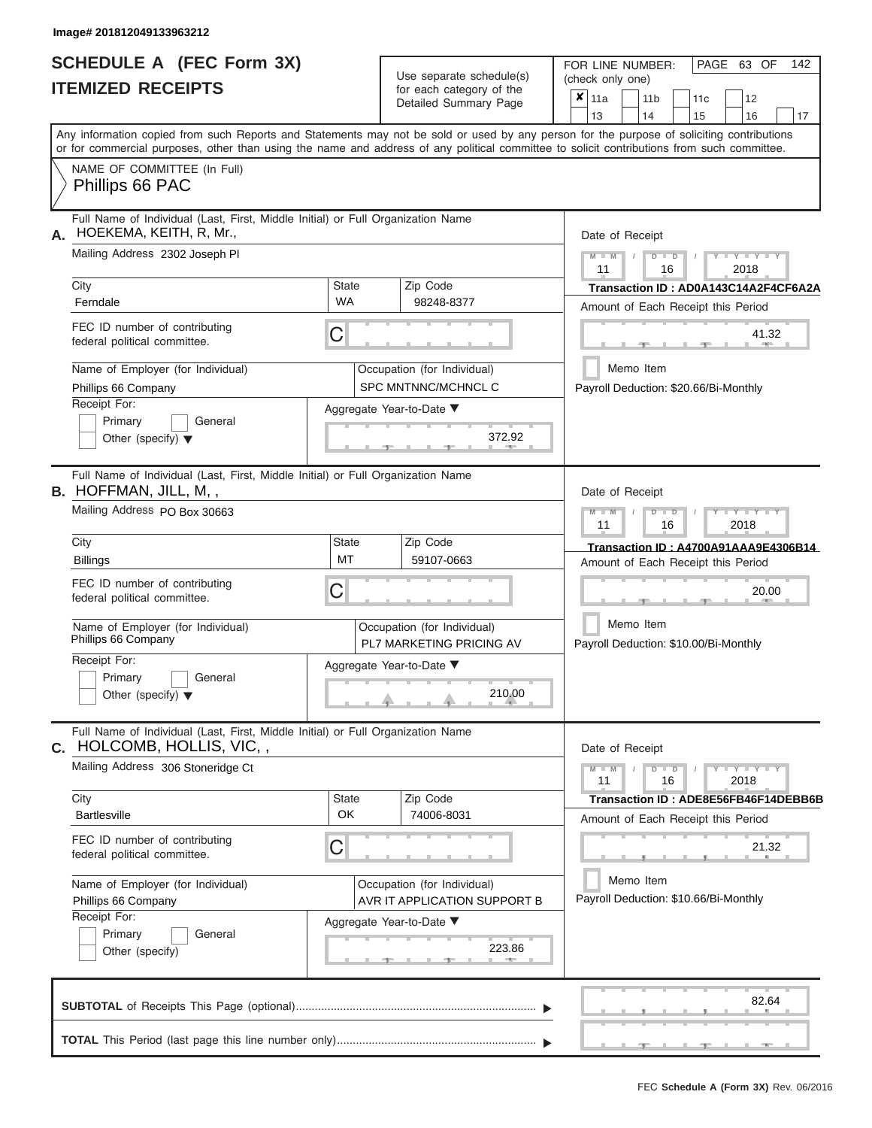|                          | SCHEDULE A (FEC Form 3X) |
|--------------------------|--------------------------|
| <b>ITEMIZED RECEIPTS</b> |                          |

Use separate schedule(s)<br>for each category of the

FOR LINE NUMBER:<br>(check only one)

PAGE 63 OF 142

|                                                                                                                                                                                                                                                                                         |                           | badii balogory of life<br>Detailed Summary Page             | × | 11a<br>13       | 11 <sub>b</sub><br>14 |               | 11c<br>15 | 12<br>16                                                                   |       | 17 |
|-----------------------------------------------------------------------------------------------------------------------------------------------------------------------------------------------------------------------------------------------------------------------------------------|---------------------------|-------------------------------------------------------------|---|-----------------|-----------------------|---------------|-----------|----------------------------------------------------------------------------|-------|----|
| Any information copied from such Reports and Statements may not be sold or used by any person for the purpose of soliciting contributions<br>or for commercial purposes, other than using the name and address of any political committee to solicit contributions from such committee. |                           |                                                             |   |                 |                       |               |           |                                                                            |       |    |
| NAME OF COMMITTEE (In Full)<br>Phillips 66 PAC                                                                                                                                                                                                                                          |                           |                                                             |   |                 |                       |               |           |                                                                            |       |    |
| Full Name of Individual (Last, First, Middle Initial) or Full Organization Name<br>HOEKEMA, KEITH, R, Mr.,<br>А.                                                                                                                                                                        |                           |                                                             |   | Date of Receipt |                       |               |           |                                                                            |       |    |
| Mailing Address 2302 Joseph PI                                                                                                                                                                                                                                                          |                           |                                                             |   | $M - M$<br>11   |                       | $D$ $D$<br>16 |           | Y I Y I<br>2018                                                            |       |    |
| City<br>Ferndale                                                                                                                                                                                                                                                                        | <b>State</b><br><b>WA</b> | Zip Code<br>98248-8377                                      |   |                 |                       |               |           | Transaction ID: AD0A143C14A2F4CF6A2A<br>Amount of Each Receipt this Period |       |    |
| FEC ID number of contributing<br>federal political committee.                                                                                                                                                                                                                           | C                         |                                                             |   |                 |                       |               |           |                                                                            | 41.32 |    |
| Name of Employer (for Individual)<br>Phillips 66 Company                                                                                                                                                                                                                                |                           | Occupation (for Individual)<br>SPC MNTNNC/MCHNCL C          |   |                 | Memo Item             |               |           | Payroll Deduction: \$20.66/Bi-Monthly                                      |       |    |
| Receipt For:<br>Primary<br>General<br>Other (specify) $\blacktriangledown$                                                                                                                                                                                                              |                           | Aggregate Year-to-Date ▼<br>372.92<br>ு                     |   |                 |                       |               |           |                                                                            |       |    |
| Full Name of Individual (Last, First, Middle Initial) or Full Organization Name<br><b>B.</b> HOFFMAN, JILL, M,,                                                                                                                                                                         |                           |                                                             |   | Date of Receipt |                       |               |           |                                                                            |       |    |
| Mailing Address PO Box 30663                                                                                                                                                                                                                                                            |                           |                                                             |   | $M - M$<br>11   |                       | $D$ $D$<br>16 |           | Y Y Y<br>2018                                                              |       |    |
| City<br><b>Billings</b>                                                                                                                                                                                                                                                                 | <b>State</b><br>MT        | Zip Code<br>59107-0663                                      |   |                 |                       |               |           | Transaction ID: A4700A91AAA9E4306B14<br>Amount of Each Receipt this Period |       |    |
| FEC ID number of contributing<br>federal political committee.                                                                                                                                                                                                                           | С                         |                                                             |   |                 |                       |               |           |                                                                            | 20.00 |    |
| Name of Employer (for Individual)<br>Phillips 66 Company                                                                                                                                                                                                                                |                           | Occupation (for Individual)<br>PL7 MARKETING PRICING AV     |   |                 | Memo Item             |               |           | Payroll Deduction: \$10.00/Bi-Monthly                                      |       |    |
| Receipt For:<br>Primary<br>General<br>Other (specify) $\blacktriangledown$                                                                                                                                                                                                              |                           | Aggregate Year-to-Date ▼<br>210.00                          |   |                 |                       |               |           |                                                                            |       |    |
| Full Name of Individual (Last, First, Middle Initial) or Full Organization Name<br>C. HOLCOMB, HOLLIS, VIC,,                                                                                                                                                                            |                           |                                                             |   | Date of Receipt |                       |               |           |                                                                            |       |    |
| Mailing Address 306 Stoneridge Ct                                                                                                                                                                                                                                                       |                           |                                                             |   | $M - M$<br>11   |                       | $D$ $D$<br>16 |           | $Y$ $Y$ $Y$ $Y$ $Y$ $Y$<br>2018                                            |       |    |
| City<br><b>Bartlesville</b>                                                                                                                                                                                                                                                             | <b>State</b><br>OK        | Zip Code<br>74006-8031                                      |   |                 |                       |               |           | Transaction ID: ADE8E56FB46F14DEBB6B<br>Amount of Each Receipt this Period |       |    |
| FEC ID number of contributing<br>federal political committee.                                                                                                                                                                                                                           | С                         |                                                             |   |                 |                       |               |           |                                                                            | 21.32 |    |
| Name of Employer (for Individual)<br>Phillips 66 Company                                                                                                                                                                                                                                |                           | Occupation (for Individual)<br>AVR IT APPLICATION SUPPORT B |   |                 | Memo Item             |               |           | Payroll Deduction: \$10.66/Bi-Monthly                                      |       |    |
| Receipt For:<br>Primary<br>General<br>Other (specify)                                                                                                                                                                                                                                   |                           | Aggregate Year-to-Date ▼<br>223.86                          |   |                 |                       |               |           |                                                                            |       |    |
|                                                                                                                                                                                                                                                                                         |                           |                                                             |   |                 |                       |               |           |                                                                            | 82.64 |    |
|                                                                                                                                                                                                                                                                                         |                           |                                                             |   |                 |                       |               | ___       |                                                                            |       |    |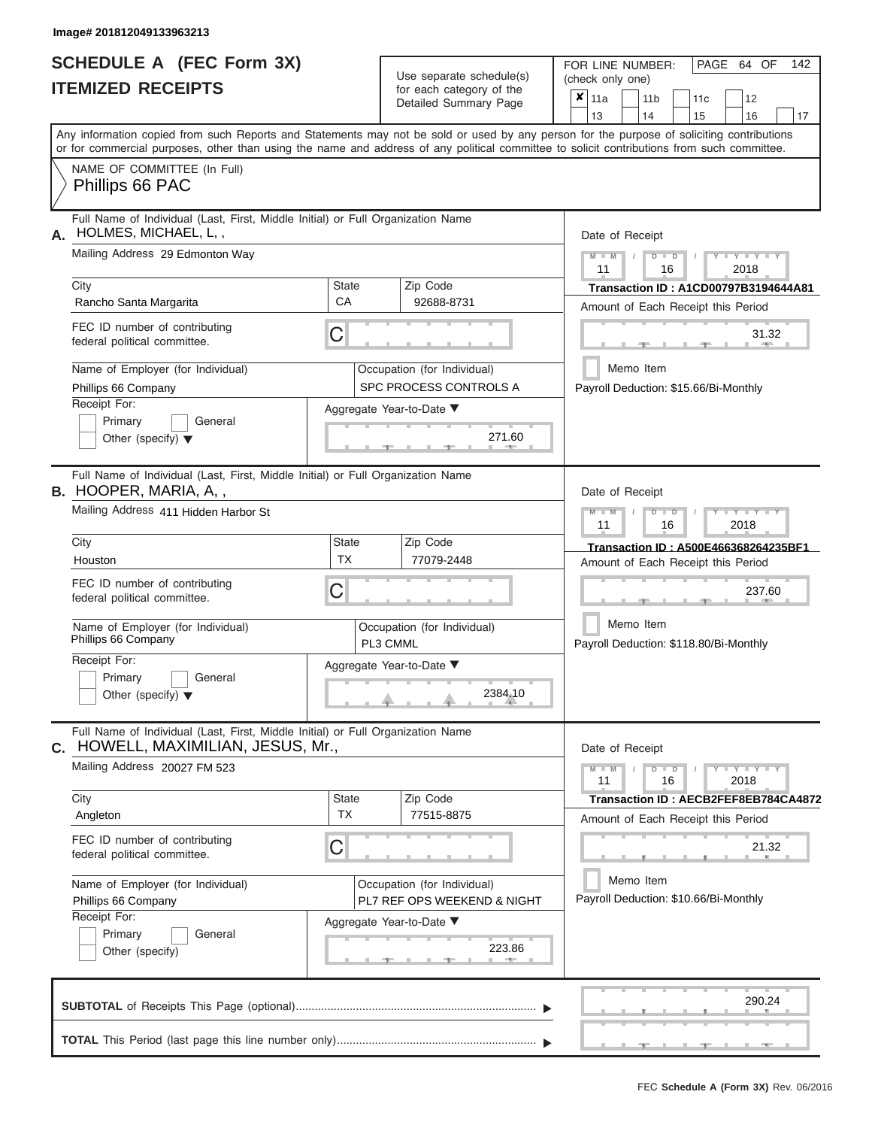# **SCHEDULE A (FEC Form 3X)**

| SCHEDULE A (FEC Form 3X)<br><b>ITEMIZED RECEIPTS</b>                                                                                                    |                           | Use separate schedule(s)<br>for each category of the<br>Detailed Summary Page | 142<br>FOR LINE NUMBER:<br>PAGE 64 OF<br>(check only one)<br>$\overline{\mathbf{x}}$   11a<br>11 <sub>b</sub><br>12<br>11 <sub>c</sub>                                  |
|---------------------------------------------------------------------------------------------------------------------------------------------------------|---------------------------|-------------------------------------------------------------------------------|-------------------------------------------------------------------------------------------------------------------------------------------------------------------------|
|                                                                                                                                                         |                           |                                                                               | 13<br>14<br>15<br>16<br>17<br>Any information copied from such Reports and Statements may not be sold or used by any person for the purpose of soliciting contributions |
|                                                                                                                                                         |                           |                                                                               | or for commercial purposes, other than using the name and address of any political committee to solicit contributions from such committee.                              |
| NAME OF COMMITTEE (In Full)<br>Phillips 66 PAC                                                                                                          |                           |                                                                               |                                                                                                                                                                         |
| Full Name of Individual (Last, First, Middle Initial) or Full Organization Name<br>HOLMES, MICHAEL, L,,<br>А.<br>Mailing Address 29 Edmonton Way        |                           |                                                                               | Date of Receipt<br>$M$ – $M$ /<br>$+Y+Y+Y$<br>$D$ $D$                                                                                                                   |
| City<br>Rancho Santa Margarita                                                                                                                          | <b>State</b><br><b>CA</b> | Zip Code<br>92688-8731                                                        | 11<br>2018<br>16<br>Transaction ID: A1CD00797B3194644A81<br>Amount of Each Receipt this Period                                                                          |
| FEC ID number of contributing<br>federal political committee.                                                                                           | C                         |                                                                               | 31.32<br><b>STATISTICS</b>                                                                                                                                              |
| Name of Employer (for Individual)<br>Phillips 66 Company                                                                                                |                           | Occupation (for Individual)<br>SPC PROCESS CONTROLS A                         | Memo Item<br>Payroll Deduction: \$15.66/Bi-Monthly                                                                                                                      |
| Receipt For:<br>Primary<br>General<br>Other (specify) $\blacktriangledown$                                                                              |                           | Aggregate Year-to-Date ▼<br>271.60<br><b>British Allen</b>                    |                                                                                                                                                                         |
| Full Name of Individual (Last, First, Middle Initial) or Full Organization Name<br><b>B.</b> HOOPER, MARIA, A,,<br>Mailing Address 411 Hidden Harbor St |                           |                                                                               | Date of Receipt<br>$M - M$<br>$D$ $D$<br>$T - Y = Y - T Y$                                                                                                              |
|                                                                                                                                                         |                           |                                                                               | 11<br>2018<br>16                                                                                                                                                        |
| City<br>Houston                                                                                                                                         | <b>State</b><br><b>TX</b> | Zip Code<br>77079-2448                                                        | Transaction ID: A500E466368264235BF1                                                                                                                                    |
| FEC ID number of contributing<br>federal political committee.                                                                                           | С                         |                                                                               | Amount of Each Receipt this Period<br>237.60                                                                                                                            |
| Name of Employer (for Individual)<br>Phillips 66 Company                                                                                                |                           | Occupation (for Individual)<br>PL3 CMML                                       | Memo Item<br>Payroll Deduction: \$118.80/Bi-Monthly                                                                                                                     |
| Receipt For:<br>Primary<br>General                                                                                                                      |                           | Aggregate Year-to-Date ▼                                                      |                                                                                                                                                                         |
| Other (specify) $\blacktriangledown$                                                                                                                    |                           | 2384.10                                                                       |                                                                                                                                                                         |
| Full Name of Individual (Last, First, Middle Initial) or Full Organization Name<br>HOWELL, MAXIMILIAN, JESUS, Mr.,<br>C.                                |                           |                                                                               | Date of Receipt                                                                                                                                                         |
| Mailing Address 20027 FM 523                                                                                                                            |                           |                                                                               | $M - M$<br>$D$ $D$<br>$Y - Y - Y - Y - Y$<br>11<br>16<br>2018                                                                                                           |
| City<br>Angleton                                                                                                                                        | State<br><b>TX</b>        | Zip Code<br>77515-8875                                                        | Transaction ID: AECB2FEF8EB784CA4872<br>Amount of Each Receipt this Period                                                                                              |
| FEC ID number of contributing<br>federal political committee.                                                                                           | С                         |                                                                               | 21.32                                                                                                                                                                   |
| Name of Employer (for Individual)<br>Phillips 66 Company<br>Receipt For:                                                                                |                           | Occupation (for Individual)<br>PL7 REF OPS WEEKEND & NIGHT                    | Memo Item<br>Payroll Deduction: \$10.66/Bi-Monthly                                                                                                                      |
| Primary<br>General<br>Other (specify)                                                                                                                   |                           | Aggregate Year-to-Date ▼<br>223.86                                            |                                                                                                                                                                         |
|                                                                                                                                                         |                           |                                                                               | 290.24                                                                                                                                                                  |
|                                                                                                                                                         |                           |                                                                               | $-1$<br>$-9$<br>$-1$                                                                                                                                                    |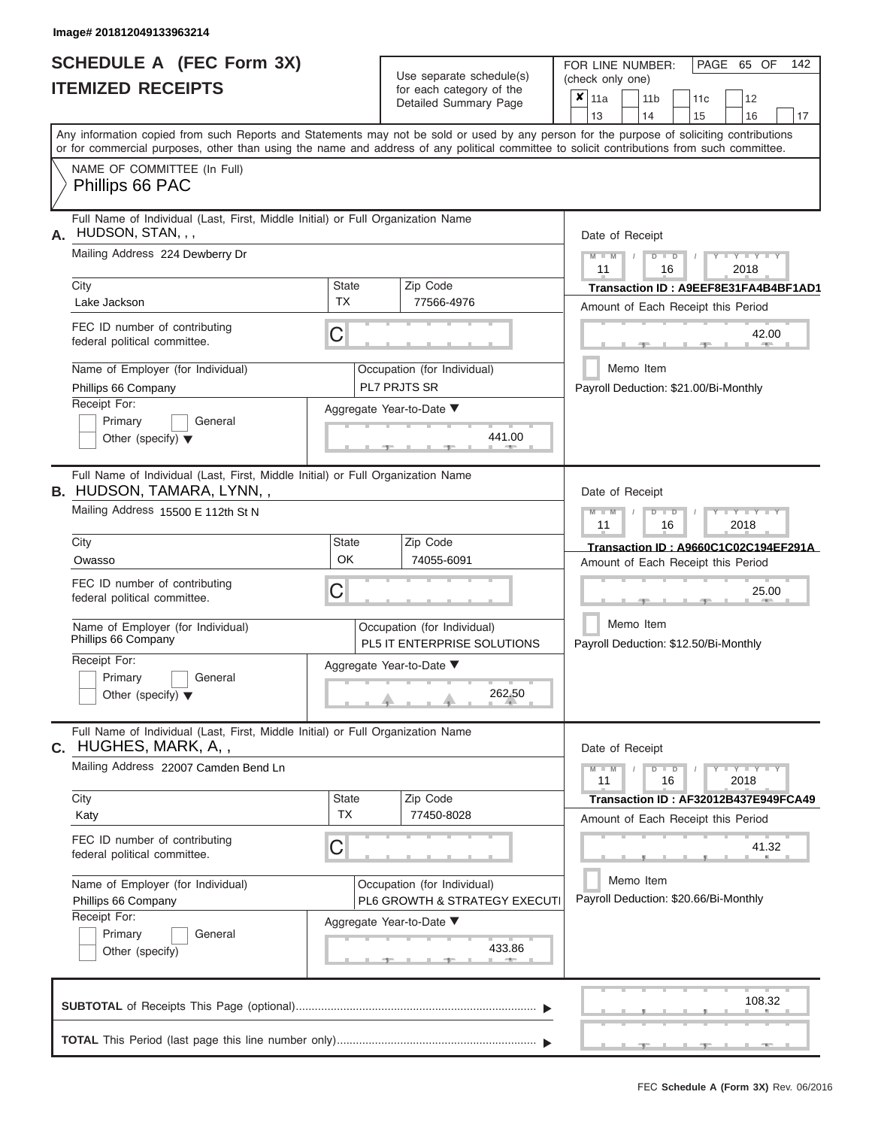|                          | SCHEDULE A (FEC Form 3X) |
|--------------------------|--------------------------|
| <b>ITEMIZED RECEIPTS</b> |                          |

Use separate schedule(s)<br>for each category of the

FOR LINE NUMBER:<br>(check only one)

PAGE 65 OF 142

|                                                                                                                                                                                                                                                                                         |                           | babii balogory<br>Detailed Summary Page                      |  | $x \mid$ 11a                     |           |    | 11 <sub>b</sub>                                    | 11 <sub>c</sub>                       | 12                                       |    |  |  |
|-----------------------------------------------------------------------------------------------------------------------------------------------------------------------------------------------------------------------------------------------------------------------------------------|---------------------------|--------------------------------------------------------------|--|----------------------------------|-----------|----|----------------------------------------------------|---------------------------------------|------------------------------------------|----|--|--|
| Any information copied from such Reports and Statements may not be sold or used by any person for the purpose of soliciting contributions<br>or for commercial purposes, other than using the name and address of any political committee to solicit contributions from such committee. |                           |                                                              |  | 13                               |           | 14 |                                                    | 15                                    | 16                                       | 17 |  |  |
| NAME OF COMMITTEE (In Full)<br>Phillips 66 PAC                                                                                                                                                                                                                                          |                           |                                                              |  |                                  |           |    |                                                    |                                       |                                          |    |  |  |
| Full Name of Individual (Last, First, Middle Initial) or Full Organization Name<br>HUDSON, STAN, , ,<br>А.                                                                                                                                                                              |                           |                                                              |  | Date of Receipt                  |           |    |                                                    |                                       |                                          |    |  |  |
| Mailing Address 224 Dewberry Dr                                                                                                                                                                                                                                                         |                           |                                                              |  | $M - M$<br>11                    |           |    | $D$ $D$<br>16                                      |                                       | $Y - Y - Y$<br>2018                      |    |  |  |
| City<br>Lake Jackson                                                                                                                                                                                                                                                                    | <b>State</b><br><b>TX</b> | Zip Code<br>77566-4976                                       |  |                                  |           |    |                                                    |                                       | Transaction ID: A9EEF8E31FA4B4BF1AD1     |    |  |  |
|                                                                                                                                                                                                                                                                                         |                           |                                                              |  |                                  |           |    |                                                    |                                       | Amount of Each Receipt this Period       |    |  |  |
| FEC ID number of contributing<br>federal political committee.                                                                                                                                                                                                                           | С                         |                                                              |  |                                  |           |    |                                                    |                                       | 42.00                                    |    |  |  |
| Name of Employer (for Individual)<br>Phillips 66 Company                                                                                                                                                                                                                                |                           | Occupation (for Individual)<br>PL7 PRJTS SR                  |  |                                  | Memo Item |    |                                                    |                                       | Payroll Deduction: \$21.00/Bi-Monthly    |    |  |  |
| Receipt For:                                                                                                                                                                                                                                                                            |                           | Aggregate Year-to-Date ▼                                     |  |                                  |           |    |                                                    |                                       |                                          |    |  |  |
| Primary<br>General<br>Other (specify) $\blacktriangledown$                                                                                                                                                                                                                              |                           | 441.00                                                       |  |                                  |           |    |                                                    |                                       |                                          |    |  |  |
| Full Name of Individual (Last, First, Middle Initial) or Full Organization Name<br><b>B. HUDSON, TAMARA, LYNN,,</b>                                                                                                                                                                     |                           |                                                              |  | Date of Receipt                  |           |    |                                                    |                                       |                                          |    |  |  |
| Mailing Address 15500 E 112th St N                                                                                                                                                                                                                                                      |                           |                                                              |  | $M - M$<br>11                    |           |    | $D$ $D$<br>16                                      |                                       | Y TYT<br>2018                            |    |  |  |
| City                                                                                                                                                                                                                                                                                    | State                     | Zip Code                                                     |  |                                  |           |    |                                                    |                                       | Transaction ID: A9660C1C02C194EF291A     |    |  |  |
| Owasso                                                                                                                                                                                                                                                                                  | OK                        | 74055-6091                                                   |  |                                  |           |    |                                                    |                                       | Amount of Each Receipt this Period       |    |  |  |
| FEC ID number of contributing<br>federal political committee.                                                                                                                                                                                                                           | С                         |                                                              |  | 25.00                            |           |    |                                                    |                                       |                                          |    |  |  |
| Name of Employer (for Individual)<br>Phillips 66 Company                                                                                                                                                                                                                                |                           | Occupation (for Individual)<br>PL5 IT ENTERPRISE SOLUTIONS   |  |                                  | Memo Item |    |                                                    | Payroll Deduction: \$12.50/Bi-Monthly |                                          |    |  |  |
| Receipt For:<br>Primary<br>General<br>Other (specify) $\blacktriangledown$                                                                                                                                                                                                              |                           | Aggregate Year-to-Date ▼<br>262.50                           |  |                                  |           |    |                                                    |                                       |                                          |    |  |  |
| Full Name of Individual (Last, First, Middle Initial) or Full Organization Name                                                                                                                                                                                                         |                           |                                                              |  |                                  |           |    |                                                    |                                       |                                          |    |  |  |
| <b>c.</b> HUGHES, MARK, A, ,<br>Mailing Address 22007 Camden Bend Ln                                                                                                                                                                                                                    |                           |                                                              |  | Date of Receipt<br>$M - M$<br>11 |           |    | $D$ $D$<br>16                                      |                                       | $\overline{Y} = Y = Y' + Y' + Y$<br>2018 |    |  |  |
| City                                                                                                                                                                                                                                                                                    | <b>State</b>              | Zip Code                                                     |  |                                  |           |    |                                                    |                                       | Transaction ID: AF32012B437E949FCA49     |    |  |  |
| Katy                                                                                                                                                                                                                                                                                    | <b>TX</b>                 | 77450-8028                                                   |  |                                  |           |    |                                                    |                                       | Amount of Each Receipt this Period       |    |  |  |
| FEC ID number of contributing<br>federal political committee.                                                                                                                                                                                                                           | С                         |                                                              |  |                                  |           |    |                                                    |                                       | 41.32                                    |    |  |  |
| Name of Employer (for Individual)<br>Phillips 66 Company                                                                                                                                                                                                                                |                           | Occupation (for Individual)<br>PL6 GROWTH & STRATEGY EXECUTI |  |                                  |           |    | Memo Item<br>Payroll Deduction: \$20.66/Bi-Monthly |                                       |                                          |    |  |  |
| Receipt For:                                                                                                                                                                                                                                                                            |                           | Aggregate Year-to-Date ▼                                     |  |                                  |           |    |                                                    |                                       |                                          |    |  |  |
| Primary<br>General<br>Other (specify)                                                                                                                                                                                                                                                   |                           | 433.86                                                       |  |                                  |           |    |                                                    |                                       |                                          |    |  |  |
|                                                                                                                                                                                                                                                                                         |                           |                                                              |  |                                  |           |    |                                                    |                                       | 108.32                                   |    |  |  |
|                                                                                                                                                                                                                                                                                         |                           |                                                              |  |                                  |           |    |                                                    |                                       |                                          |    |  |  |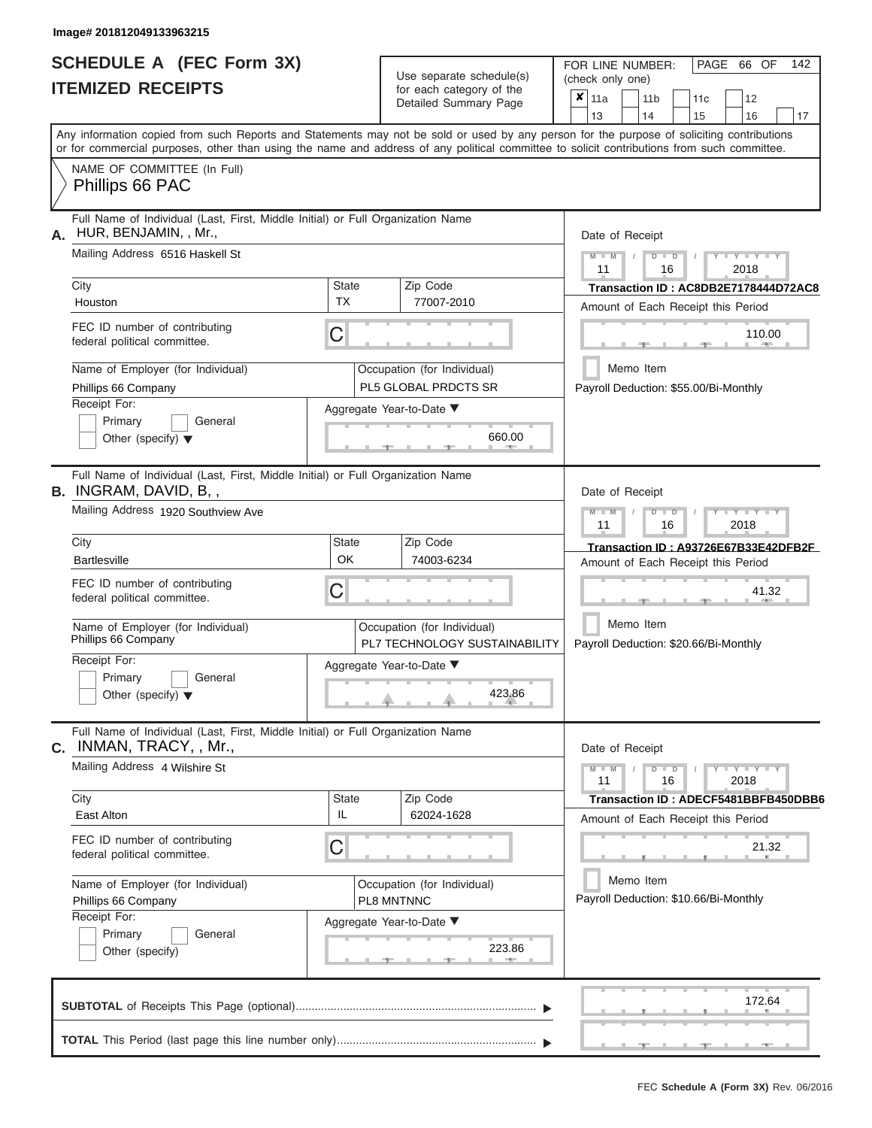|                          | SCHEDULE A (FEC Form 3X) |
|--------------------------|--------------------------|
| <b>ITEMIZED RECEIPTS</b> |                          |

FOR LINE NUMBER:

PAGE 66 OF 142

| <b>ITEMIZED RECEIPTS</b>                                                                                         |                           | Use separate schedule(s)<br>for each category of the<br>Detailed Summary Page | UIT LINE INUMPLIT.<br>LAUL 00<br>(check only one)<br>$\overline{\mathbf{x}}$   11a<br>11 <sub>b</sub><br>11 <sub>c</sub><br>12<br>14<br>13<br>15<br>16<br>17                                                                                                                            |
|------------------------------------------------------------------------------------------------------------------|---------------------------|-------------------------------------------------------------------------------|-----------------------------------------------------------------------------------------------------------------------------------------------------------------------------------------------------------------------------------------------------------------------------------------|
|                                                                                                                  |                           |                                                                               | Any information copied from such Reports and Statements may not be sold or used by any person for the purpose of soliciting contributions<br>or for commercial purposes, other than using the name and address of any political committee to solicit contributions from such committee. |
| NAME OF COMMITTEE (In Full)<br>Phillips 66 PAC                                                                   |                           |                                                                               |                                                                                                                                                                                                                                                                                         |
| Full Name of Individual (Last, First, Middle Initial) or Full Organization Name<br>A. HUR, BENJAMIN, , Mr.,      |                           |                                                                               | Date of Receipt                                                                                                                                                                                                                                                                         |
| Mailing Address 6516 Haskell St                                                                                  |                           |                                                                               | $M - M$<br>$Y - Y - Y - Y - Y$<br>$D$ $D$<br>11<br>16<br>2018                                                                                                                                                                                                                           |
| City<br>Houston                                                                                                  | <b>State</b><br><b>TX</b> | Zip Code<br>77007-2010                                                        | Transaction ID: AC8DB2E7178444D72AC8<br>Amount of Each Receipt this Period                                                                                                                                                                                                              |
| FEC ID number of contributing<br>federal political committee.                                                    | C                         |                                                                               | 110.00                                                                                                                                                                                                                                                                                  |
| Name of Employer (for Individual)<br>Phillips 66 Company                                                         |                           | Occupation (for Individual)<br>PL5 GLOBAL PRDCTS SR                           | Memo Item<br>Payroll Deduction: \$55.00/Bi-Monthly                                                                                                                                                                                                                                      |
| Receipt For:<br>Primary<br>General<br>Other (specify) $\blacktriangledown$                                       |                           | Aggregate Year-to-Date ▼<br>660.00                                            |                                                                                                                                                                                                                                                                                         |
| Full Name of Individual (Last, First, Middle Initial) or Full Organization Name<br><b>B.</b> INGRAM, DAVID, B, , |                           |                                                                               | Date of Receipt                                                                                                                                                                                                                                                                         |
| Mailing Address 1920 Southview Ave                                                                               |                           |                                                                               | $M - M$<br>Y TYT<br>$\blacksquare$<br>11<br>16<br>2018                                                                                                                                                                                                                                  |
| City<br><b>Bartlesville</b>                                                                                      | <b>State</b><br>OK        | Zip Code<br>74003-6234                                                        | Transaction ID: A93726E67B33E42DFB2F<br>Amount of Each Receipt this Period                                                                                                                                                                                                              |
| FEC ID number of contributing<br>federal political committee.                                                    | C                         |                                                                               | 41.32                                                                                                                                                                                                                                                                                   |
| Name of Employer (for Individual)<br>Phillips 66 Company                                                         |                           | Occupation (for Individual)<br>PL7 TECHNOLOGY SUSTAINABILITY                  | Memo Item<br>Payroll Deduction: \$20.66/Bi-Monthly                                                                                                                                                                                                                                      |
| Receipt For:<br>General<br>Primary<br>Other (specify) $\blacktriangledown$                                       |                           | Aggregate Year-to-Date ▼<br>423.86                                            |                                                                                                                                                                                                                                                                                         |
| Full Name of Individual (Last, First, Middle Initial) or Full Organization Name<br>C. INMAN, TRACY, , Mr.,       |                           |                                                                               | Date of Receipt                                                                                                                                                                                                                                                                         |
| Mailing Address 4 Wilshire St                                                                                    |                           |                                                                               | Y I Y I<br>$M - M$<br>$\Box$<br>11<br>16<br>2018                                                                                                                                                                                                                                        |
| City<br>East Alton                                                                                               | <b>State</b><br>IL        | Zip Code<br>62024-1628                                                        | Transaction ID: ADECF5481BBFB450DBB6<br>Amount of Each Receipt this Period                                                                                                                                                                                                              |
| FEC ID number of contributing<br>federal political committee.                                                    | С                         |                                                                               | 21.32                                                                                                                                                                                                                                                                                   |
| Name of Employer (for Individual)<br>Phillips 66 Company                                                         |                           | Occupation (for Individual)<br>PL8 MNTNNC                                     | Memo Item<br>Payroll Deduction: \$10.66/Bi-Monthly                                                                                                                                                                                                                                      |
| Receipt For:<br>Primary<br>General<br>Other (specify)                                                            |                           | Aggregate Year-to-Date ▼<br>223.86<br>$-1$                                    |                                                                                                                                                                                                                                                                                         |
|                                                                                                                  |                           |                                                                               | 172.64                                                                                                                                                                                                                                                                                  |
|                                                                                                                  |                           |                                                                               |                                                                                                                                                                                                                                                                                         |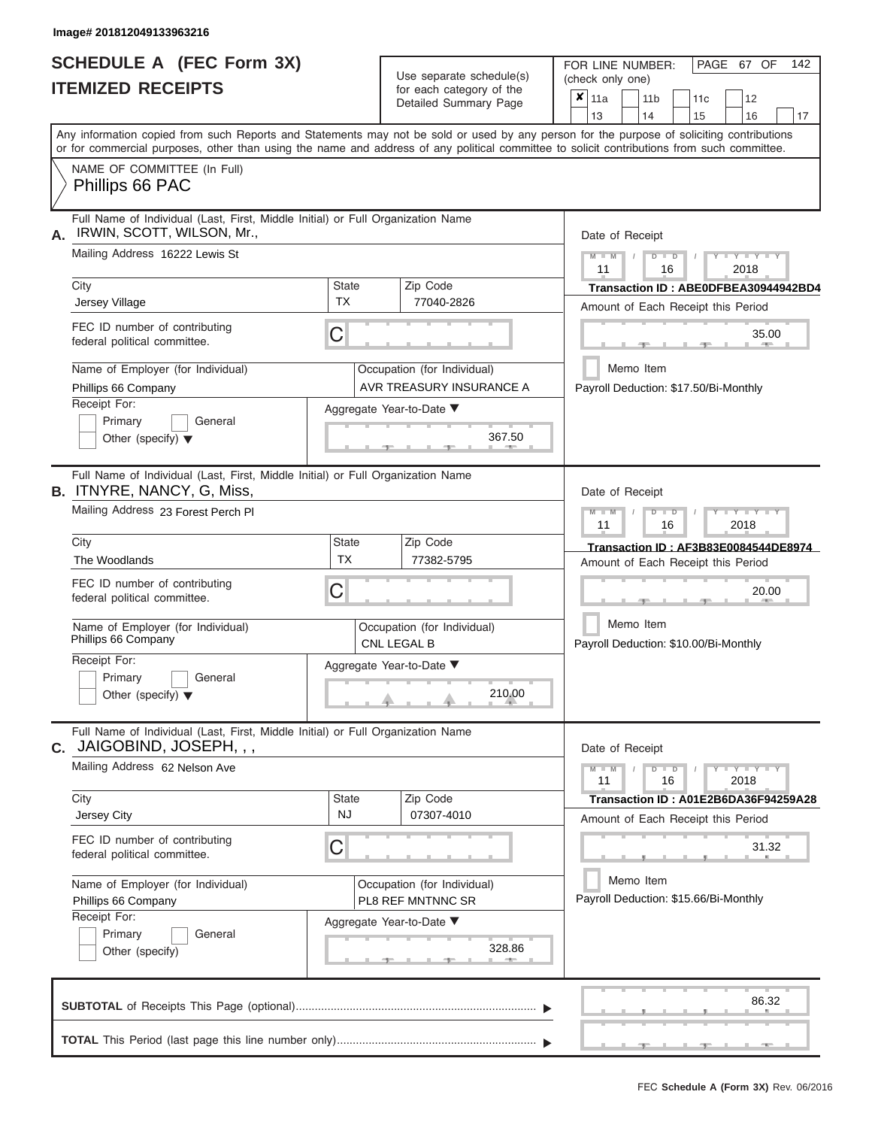|                          | <b>SCHEDULE A (FEC Form 3X)</b> |
|--------------------------|---------------------------------|
| <b>ITEMIZED RECEIPTS</b> |                                 |

Use separate schedule(s)<br>for each category of the

FOR LINE NUMBER:<br>(check only one)

PAGE 67 OF 142

| IILMILLU NLVLIF IJ                                                                                                                                                                                                                                                                      |                    | iul each caleguly of the<br>Detailed Summary Page       | X. | 11a                                                |           | 11 <sub>b</sub> |                   |    | 11 <sub>c</sub> | 12                                    |                                      |
|-----------------------------------------------------------------------------------------------------------------------------------------------------------------------------------------------------------------------------------------------------------------------------------------|--------------------|---------------------------------------------------------|----|----------------------------------------------------|-----------|-----------------|-------------------|----|-----------------|---------------------------------------|--------------------------------------|
|                                                                                                                                                                                                                                                                                         |                    |                                                         |    | 13                                                 |           | 14              |                   | 15 |                 | 16                                    | 17                                   |
| Any information copied from such Reports and Statements may not be sold or used by any person for the purpose of soliciting contributions<br>or for commercial purposes, other than using the name and address of any political committee to solicit contributions from such committee. |                    |                                                         |    |                                                    |           |                 |                   |    |                 |                                       |                                      |
| NAME OF COMMITTEE (In Full)<br>Phillips 66 PAC                                                                                                                                                                                                                                          |                    |                                                         |    |                                                    |           |                 |                   |    |                 |                                       |                                      |
| Full Name of Individual (Last, First, Middle Initial) or Full Organization Name<br>IRWIN, SCOTT, WILSON, Mr.,<br>Α.                                                                                                                                                                     |                    |                                                         |    | Date of Receipt                                    |           |                 |                   |    |                 |                                       |                                      |
| Mailing Address 16222 Lewis St                                                                                                                                                                                                                                                          |                    |                                                         |    | $M - M$<br>11                                      |           |                 | $D$ $D$<br>16     |    |                 | $Y + Y$<br>2018                       |                                      |
| City<br>Jersey Village                                                                                                                                                                                                                                                                  | State<br>TX        | Zip Code<br>77040-2826                                  |    |                                                    |           |                 |                   |    |                 | Amount of Each Receipt this Period    | Transaction ID: ABE0DFBEA30944942BD4 |
| FEC ID number of contributing<br>federal political committee.                                                                                                                                                                                                                           | С                  |                                                         |    |                                                    |           |                 |                   |    |                 | 35.00                                 |                                      |
| Name of Employer (for Individual)<br>Phillips 66 Company                                                                                                                                                                                                                                |                    | Occupation (for Individual)<br>AVR TREASURY INSURANCE A |    |                                                    | Memo Item |                 |                   |    |                 | Payroll Deduction: \$17.50/Bi-Monthly |                                      |
| Receipt For:<br>Primary<br>General<br>Other (specify) $\blacktriangledown$                                                                                                                                                                                                              |                    | Aggregate Year-to-Date ▼<br>367.50                      |    |                                                    |           |                 |                   |    |                 |                                       |                                      |
| Full Name of Individual (Last, First, Middle Initial) or Full Organization Name<br><b>B.</b> ITNYRE, NANCY, G, Miss,                                                                                                                                                                    |                    |                                                         |    | Date of Receipt                                    |           |                 |                   |    |                 |                                       |                                      |
| Mailing Address 23 Forest Perch PI                                                                                                                                                                                                                                                      |                    |                                                         |    | $M - M$<br>11                                      |           |                 | $\Box$<br>D<br>16 |    |                 | <b>TEXT</b><br>2018                   |                                      |
| City<br>The Woodlands                                                                                                                                                                                                                                                                   | State<br><b>TX</b> | Zip Code<br>77382-5795                                  |    |                                                    |           |                 |                   |    |                 | Amount of Each Receipt this Period    | Transaction ID: AF3B83E0084544DE8974 |
| FEC ID number of contributing<br>federal political committee.                                                                                                                                                                                                                           | С                  |                                                         |    |                                                    |           |                 |                   |    |                 | 20.00                                 |                                      |
| Name of Employer (for Individual)<br>Phillips 66 Company                                                                                                                                                                                                                                |                    | Occupation (for Individual)<br><b>CNL LEGAL B</b>       |    |                                                    | Memo Item |                 |                   |    |                 | Payroll Deduction: \$10.00/Bi-Monthly |                                      |
| Receipt For:<br>Primary<br>General<br>Other (specify) $\blacktriangledown$                                                                                                                                                                                                              |                    | Aggregate Year-to-Date ▼<br>210.00                      |    |                                                    |           |                 |                   |    |                 |                                       |                                      |
| Full Name of Individual (Last, First, Middle Initial) or Full Organization Name<br>JAIGOBIND, JOSEPH, , ,<br>С.                                                                                                                                                                         |                    |                                                         |    | Date of Receipt                                    |           |                 |                   |    |                 |                                       |                                      |
| Mailing Address 62 Nelson Ave                                                                                                                                                                                                                                                           |                    |                                                         |    | $M - M$<br>11                                      |           |                 | $D$ $D$<br>16     |    |                 | 2018                                  |                                      |
| City<br>Jersey City                                                                                                                                                                                                                                                                     | <b>State</b><br>NJ | Zip Code<br>07307-4010                                  |    |                                                    |           |                 |                   |    |                 | Amount of Each Receipt this Period    | Transaction ID: A01E2B6DA36F94259A28 |
| FEC ID number of contributing<br>federal political committee.                                                                                                                                                                                                                           | C                  |                                                         |    |                                                    |           |                 |                   |    |                 | 31.32                                 |                                      |
| Name of Employer (for Individual)<br>Phillips 66 Company                                                                                                                                                                                                                                |                    | Occupation (for Individual)<br>PL8 REF MNTNNC SR        |    | Memo Item<br>Payroll Deduction: \$15.66/Bi-Monthly |           |                 |                   |    |                 |                                       |                                      |
| Receipt For:<br>Primary<br>General<br>Other (specify)                                                                                                                                                                                                                                   |                    | Aggregate Year-to-Date ▼<br>328.86                      |    |                                                    |           |                 |                   |    |                 |                                       |                                      |
|                                                                                                                                                                                                                                                                                         |                    |                                                         |    |                                                    |           |                 |                   |    |                 | 86.32                                 |                                      |
|                                                                                                                                                                                                                                                                                         |                    |                                                         |    |                                                    |           |                 |                   |    |                 |                                       |                                      |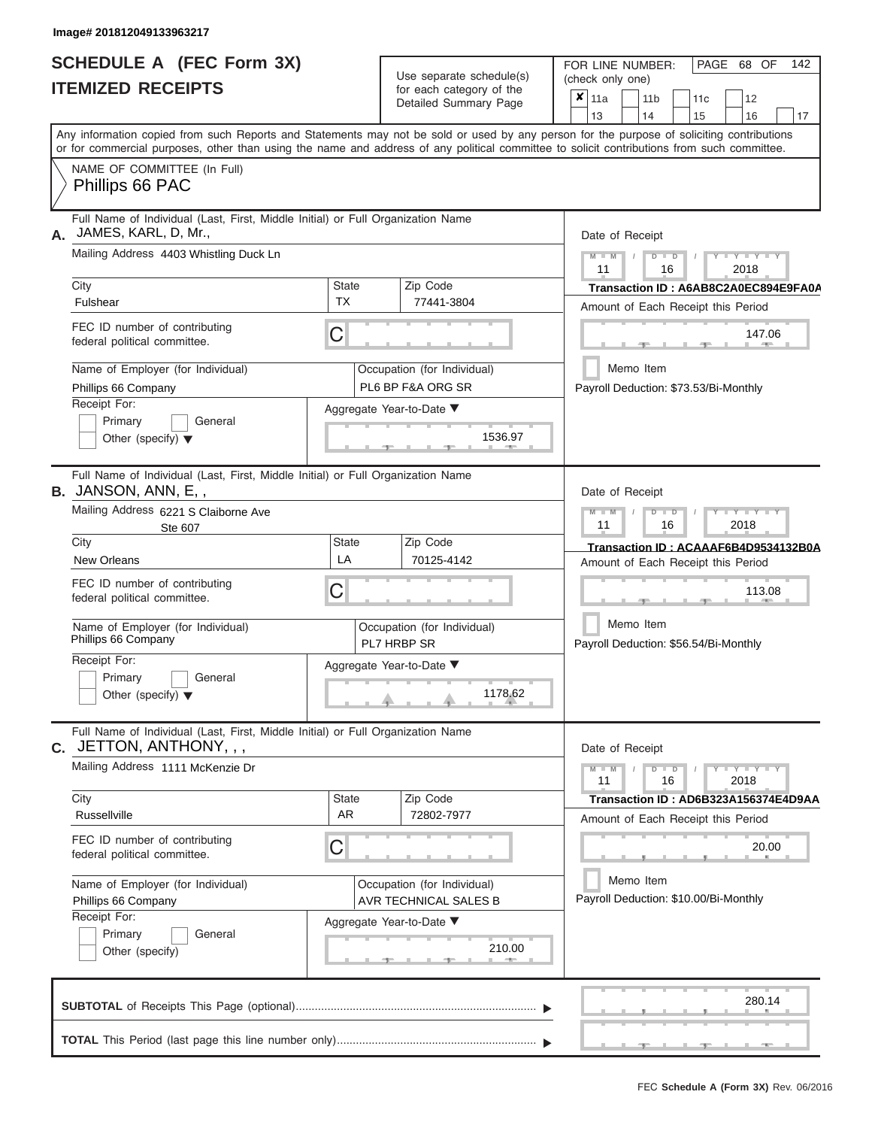|                          | SCHEDULE A (FEC Form 3X) |
|--------------------------|--------------------------|
| <b>ITEMIZED RECEIPTS</b> |                          |

Use separate schedule(s)<br>for each category of the

FOR LINE NUMBER:<br>(check only one)

PAGE 68 OF 142

|                                                                                                                                                                                                                                                                                         |                           | badii balogory of life<br>Detailed Summary Page      |  | $x \mid$ 11a<br>13                                 |  | 11 <sub>b</sub><br>14 |               | 11c<br>15 | 12<br>16                                                                   |       | 17 |
|-----------------------------------------------------------------------------------------------------------------------------------------------------------------------------------------------------------------------------------------------------------------------------------------|---------------------------|------------------------------------------------------|--|----------------------------------------------------|--|-----------------------|---------------|-----------|----------------------------------------------------------------------------|-------|----|
| Any information copied from such Reports and Statements may not be sold or used by any person for the purpose of soliciting contributions<br>or for commercial purposes, other than using the name and address of any political committee to solicit contributions from such committee. |                           |                                                      |  |                                                    |  |                       |               |           |                                                                            |       |    |
| NAME OF COMMITTEE (In Full)<br>Phillips 66 PAC                                                                                                                                                                                                                                          |                           |                                                      |  |                                                    |  |                       |               |           |                                                                            |       |    |
| Full Name of Individual (Last, First, Middle Initial) or Full Organization Name<br>JAMES, KARL, D, Mr.,<br>А.                                                                                                                                                                           |                           |                                                      |  | Date of Receipt                                    |  |                       |               |           |                                                                            |       |    |
| Mailing Address 4403 Whistling Duck Ln                                                                                                                                                                                                                                                  |                           |                                                      |  | $M - M$<br>11                                      |  |                       | $D$ $D$<br>16 |           | Y TYT<br>2018                                                              |       |    |
| City<br>Fulshear                                                                                                                                                                                                                                                                        | <b>State</b><br><b>TX</b> | Zip Code<br>77441-3804                               |  |                                                    |  |                       |               |           | Transaction ID: A6AB8C2A0EC894E9FA0A                                       |       |    |
| FEC ID number of contributing<br>federal political committee.                                                                                                                                                                                                                           | C                         |                                                      |  |                                                    |  |                       |               |           | Amount of Each Receipt this Period<br>147.06                               | $-$   |    |
| Name of Employer (for Individual)<br>Phillips 66 Company                                                                                                                                                                                                                                |                           | Occupation (for Individual)<br>PL6 BP F&A ORG SR     |  |                                                    |  | Memo Item             |               |           | Payroll Deduction: \$73.53/Bi-Monthly                                      |       |    |
| Receipt For:<br>Primary<br>General<br>Other (specify) $\blacktriangledown$                                                                                                                                                                                                              |                           | Aggregate Year-to-Date ▼<br>1536.97                  |  |                                                    |  |                       |               |           |                                                                            |       |    |
| Full Name of Individual (Last, First, Middle Initial) or Full Organization Name<br>B. JANSON, ANN, E,,                                                                                                                                                                                  |                           |                                                      |  | Date of Receipt                                    |  |                       |               |           |                                                                            |       |    |
| Mailing Address 6221 S Claiborne Ave<br>Ste 607                                                                                                                                                                                                                                         |                           |                                                      |  | $M - M$<br>11                                      |  |                       | $D$ $D$<br>16 |           | Y TYT<br>2018                                                              |       |    |
| City<br><b>New Orleans</b>                                                                                                                                                                                                                                                              | <b>State</b><br>LA        | Zip Code<br>70125-4142                               |  |                                                    |  |                       |               |           | Transaction ID: ACAAAF6B4D9534132B0A<br>Amount of Each Receipt this Period |       |    |
| FEC ID number of contributing<br>federal political committee.                                                                                                                                                                                                                           | С                         |                                                      |  |                                                    |  | 113.08                |               |           |                                                                            |       |    |
| Name of Employer (for Individual)<br>Phillips 66 Company                                                                                                                                                                                                                                |                           | Occupation (for Individual)<br>PL7 HRBP SR           |  |                                                    |  | Memo Item             |               |           | Payroll Deduction: \$56.54/Bi-Monthly                                      |       |    |
| Receipt For:<br>Primary<br>General<br>Other (specify) $\blacktriangledown$                                                                                                                                                                                                              |                           | Aggregate Year-to-Date ▼<br>1178.62                  |  |                                                    |  |                       |               |           |                                                                            |       |    |
| Full Name of Individual (Last, First, Middle Initial) or Full Organization Name<br>C. JETTON, ANTHONY, , ,                                                                                                                                                                              |                           |                                                      |  | Date of Receipt                                    |  |                       |               |           |                                                                            |       |    |
| Mailing Address 1111 McKenzie Dr                                                                                                                                                                                                                                                        |                           |                                                      |  | $M - M$<br>11                                      |  |                       | $D$ $D$<br>16 |           | $Y$ $Y$ $Y$ $Y$ $Y$ $Y$<br>2018                                            |       |    |
| City<br>Russellville                                                                                                                                                                                                                                                                    | <b>State</b><br>AR        | Zip Code<br>72802-7977                               |  |                                                    |  |                       |               |           | Transaction ID: AD6B323A156374E4D9AA<br>Amount of Each Receipt this Period |       |    |
| FEC ID number of contributing<br>federal political committee.                                                                                                                                                                                                                           | С                         |                                                      |  |                                                    |  |                       |               |           |                                                                            | 20.00 |    |
| Name of Employer (for Individual)<br>Phillips 66 Company                                                                                                                                                                                                                                |                           | Occupation (for Individual)<br>AVR TECHNICAL SALES B |  | Memo Item<br>Payroll Deduction: \$10.00/Bi-Monthly |  |                       |               |           |                                                                            |       |    |
| Receipt For:<br>Primary<br>General<br>Other (specify)                                                                                                                                                                                                                                   |                           | Aggregate Year-to-Date ▼<br>210.00                   |  |                                                    |  |                       |               |           |                                                                            |       |    |
|                                                                                                                                                                                                                                                                                         |                           |                                                      |  |                                                    |  |                       |               |           | 280.14                                                                     |       |    |
|                                                                                                                                                                                                                                                                                         |                           |                                                      |  |                                                    |  |                       |               |           |                                                                            |       |    |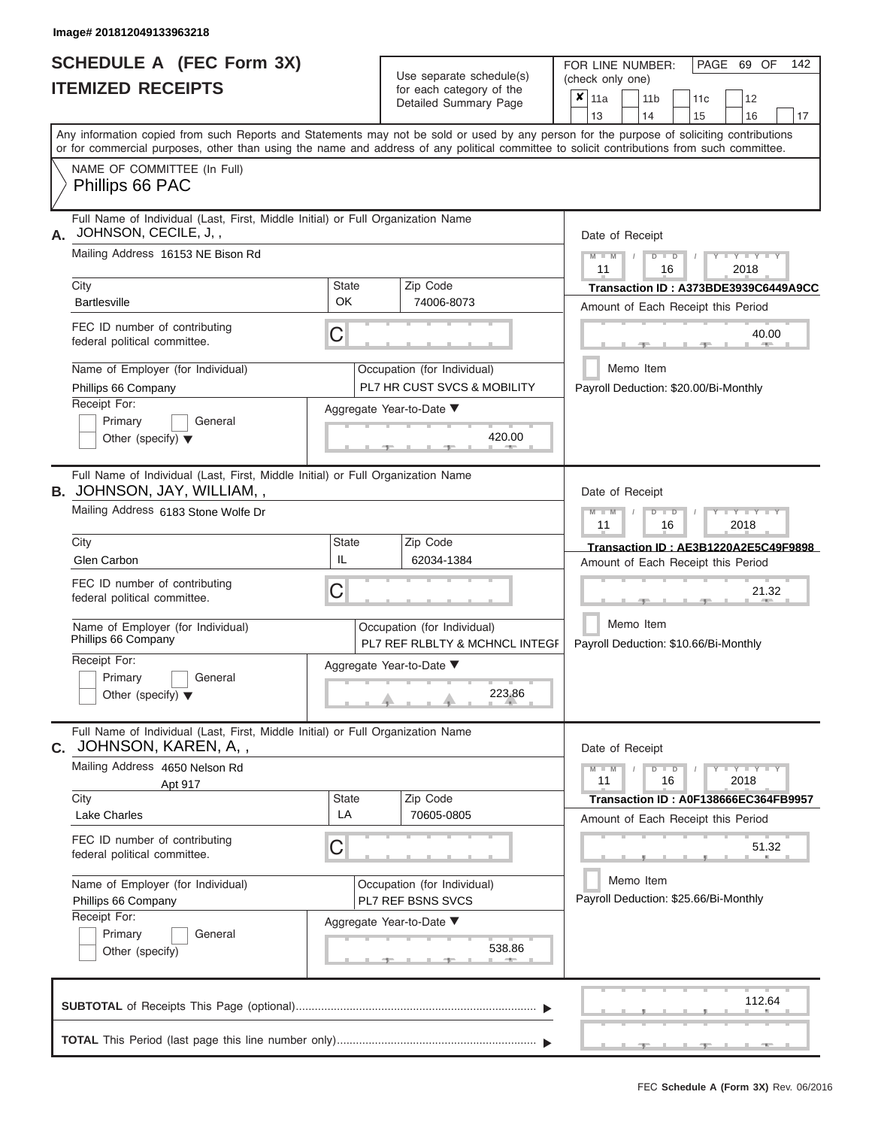# **SCHEDULE A (FEC Form 3X) ITEMIZED RECEIPTS**

| SCHEDULE A (FEC Form 3X)<br><b>ITEMIZED RECEIPTS</b>                                                                                                                                                                                                                                    |                           | Use separate schedule(s)<br>for each category of the<br>Detailed Summary Page | 142<br>FOR LINE NUMBER:<br>PAGE 69 OF<br>(check only one)<br>$\overline{\mathbf{x}}$   11a<br>11 <sub>b</sub><br>12<br>11 <sub>c</sub> |
|-----------------------------------------------------------------------------------------------------------------------------------------------------------------------------------------------------------------------------------------------------------------------------------------|---------------------------|-------------------------------------------------------------------------------|----------------------------------------------------------------------------------------------------------------------------------------|
|                                                                                                                                                                                                                                                                                         |                           |                                                                               | 13<br>14<br>15<br>16<br>17                                                                                                             |
| Any information copied from such Reports and Statements may not be sold or used by any person for the purpose of soliciting contributions<br>or for commercial purposes, other than using the name and address of any political committee to solicit contributions from such committee. |                           |                                                                               |                                                                                                                                        |
| NAME OF COMMITTEE (In Full)<br>Phillips 66 PAC                                                                                                                                                                                                                                          |                           |                                                                               |                                                                                                                                        |
| Full Name of Individual (Last, First, Middle Initial) or Full Organization Name<br>JOHNSON, CECILE, J,,<br>А.<br>Mailing Address 16153 NE Bison Rd                                                                                                                                      |                           |                                                                               | Date of Receipt<br>$M$ – $M$ /<br>$-Y - Y - Y$<br>$D$ $D$                                                                              |
| City<br><b>Bartlesville</b>                                                                                                                                                                                                                                                             | <b>State</b><br><b>OK</b> | Zip Code<br>74006-8073                                                        | 11<br>2018<br>16<br>Transaction ID: A373BDE3939C6449A9CC<br>Amount of Each Receipt this Period                                         |
| FEC ID number of contributing<br>federal political committee.                                                                                                                                                                                                                           | С                         |                                                                               | 40.00<br><b>AND</b>                                                                                                                    |
| Name of Employer (for Individual)<br>Phillips 66 Company                                                                                                                                                                                                                                |                           | Occupation (for Individual)<br>PL7 HR CUST SVCS & MOBILITY                    | Memo Item<br>Payroll Deduction: \$20.00/Bi-Monthly                                                                                     |
| Receipt For:<br>Primary<br>General<br>Other (specify) $\blacktriangledown$                                                                                                                                                                                                              |                           | Aggregate Year-to-Date ▼<br>420.00                                            |                                                                                                                                        |
| Full Name of Individual (Last, First, Middle Initial) or Full Organization Name<br>B. JOHNSON, JAY, WILLIAM,,<br>Mailing Address 6183 Stone Wolfe Dr                                                                                                                                    |                           |                                                                               | Date of Receipt<br>$M - M$<br>$D$ $\Box$ $D$<br>$T - Y = Y - T Y$                                                                      |
|                                                                                                                                                                                                                                                                                         |                           |                                                                               | 11<br>2018<br>16                                                                                                                       |
| City<br>Glen Carbon                                                                                                                                                                                                                                                                     | <b>State</b><br>IL        | Zip Code<br>62034-1384                                                        | Transaction ID: AE3B1220A2E5C49F9898<br>Amount of Each Receipt this Period                                                             |
| FEC ID number of contributing<br>federal political committee.                                                                                                                                                                                                                           | С                         |                                                                               | 21.32                                                                                                                                  |
| Name of Employer (for Individual)<br>Phillips 66 Company                                                                                                                                                                                                                                |                           | Occupation (for Individual)<br>PL7 REF RLBLTY & MCHNCL INTEGF                 | Memo Item<br>Payroll Deduction: \$10.66/Bi-Monthly                                                                                     |
| Receipt For:<br>Primary<br>General<br>Other (specify) $\blacktriangledown$                                                                                                                                                                                                              |                           | Aggregate Year-to-Date ▼<br>223.86                                            |                                                                                                                                        |
| Full Name of Individual (Last, First, Middle Initial) or Full Organization Name<br><b>C.</b> JOHNSON, KAREN, A,,                                                                                                                                                                        |                           |                                                                               | Date of Receipt                                                                                                                        |
| Mailing Address 4650 Nelson Rd<br>Apt 917                                                                                                                                                                                                                                               |                           |                                                                               | $M - M$ /<br>$D$ $D$<br>$Y - Y - Y - Y - Y$<br>11<br>16<br>2018                                                                        |
| City<br>Lake Charles                                                                                                                                                                                                                                                                    | State<br>LA               | Zip Code<br>70605-0805                                                        | Transaction ID: A0F138666EC364FB9957<br>Amount of Each Receipt this Period                                                             |
| FEC ID number of contributing<br>federal political committee.                                                                                                                                                                                                                           | С                         |                                                                               | 51.32                                                                                                                                  |
| Name of Employer (for Individual)<br>Phillips 66 Company<br>Receipt For:                                                                                                                                                                                                                |                           | Occupation (for Individual)<br>PL7 REF BSNS SVCS                              | Memo Item<br>Payroll Deduction: \$25.66/Bi-Monthly                                                                                     |
| Primary<br>General<br>Other (specify)                                                                                                                                                                                                                                                   |                           | Aggregate Year-to-Date ▼<br>538.86                                            |                                                                                                                                        |
|                                                                                                                                                                                                                                                                                         |                           |                                                                               | 112.64                                                                                                                                 |
|                                                                                                                                                                                                                                                                                         |                           |                                                                               | <b>ALC: NO</b>                                                                                                                         |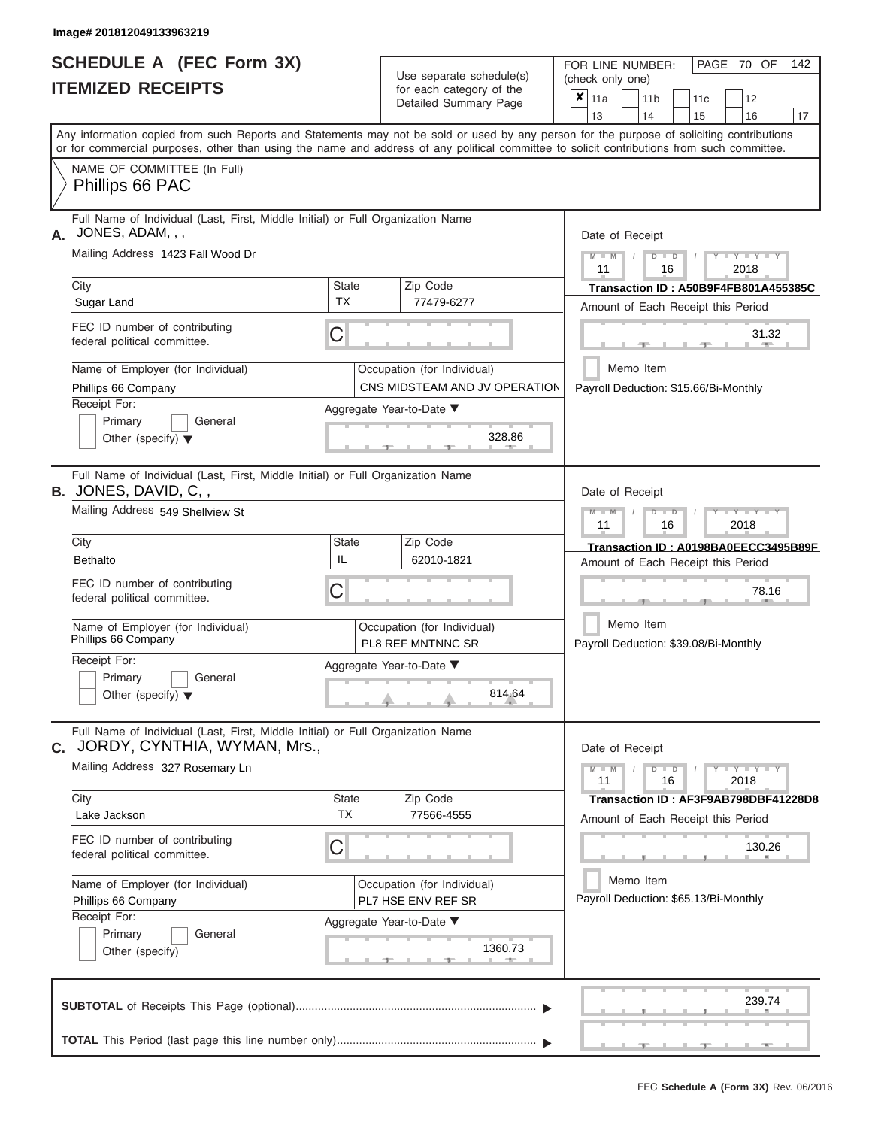|                          | <b>SCHEDULE A (FEC Form 3X)</b> |
|--------------------------|---------------------------------|
| <b>ITEMIZED RECEIPTS</b> |                                 |

Use separate schedule(s)<br>for each category of the

FOR LINE NUMBER:<br>(check only one)

PAGE 70 OF 142

|                                                               |                                                                                 | babii balogoiy<br>Detailed Summary Page                                                                                                    | × | 11a                                   |           | 11 <sub>b</sub> |               | 11 <sub>c</sub> | 12                                       |                                      |
|---------------------------------------------------------------|---------------------------------------------------------------------------------|--------------------------------------------------------------------------------------------------------------------------------------------|---|---------------------------------------|-----------|-----------------|---------------|-----------------|------------------------------------------|--------------------------------------|
|                                                               |                                                                                 | Any information copied from such Reports and Statements may not be sold or used by any person for the purpose of soliciting contributions  |   | 13                                    |           | 14              |               | 15              | 16                                       | 17                                   |
|                                                               |                                                                                 | or for commercial purposes, other than using the name and address of any political committee to solicit contributions from such committee. |   |                                       |           |                 |               |                 |                                          |                                      |
| NAME OF COMMITTEE (In Full)<br>Phillips 66 PAC                |                                                                                 |                                                                                                                                            |   |                                       |           |                 |               |                 |                                          |                                      |
| A. JONES, ADAM, , ,                                           | Full Name of Individual (Last, First, Middle Initial) or Full Organization Name |                                                                                                                                            |   | Date of Receipt                       |           |                 |               |                 |                                          |                                      |
| Mailing Address 1423 Fall Wood Dr                             |                                                                                 |                                                                                                                                            |   | $M - M$<br>11                         |           |                 | $D$ $D$<br>16 |                 | $Y = Y = Y$<br>2018                      |                                      |
| City                                                          | State                                                                           | Zip Code                                                                                                                                   |   |                                       |           |                 |               |                 |                                          | Transaction ID: A50B9F4FB801A455385C |
| Sugar Land                                                    | <b>TX</b>                                                                       | 77479-6277                                                                                                                                 |   |                                       |           |                 |               |                 | Amount of Each Receipt this Period       |                                      |
| FEC ID number of contributing<br>federal political committee. | С                                                                               |                                                                                                                                            |   |                                       |           |                 |               |                 | 31.32                                    |                                      |
| Name of Employer (for Individual)<br>Phillips 66 Company      |                                                                                 | Occupation (for Individual)<br>CNS MIDSTEAM AND JV OPERATION                                                                               |   | Payroll Deduction: \$15.66/Bi-Monthly | Memo Item |                 |               |                 |                                          |                                      |
| Receipt For:                                                  |                                                                                 | Aggregate Year-to-Date ▼                                                                                                                   |   |                                       |           |                 |               |                 |                                          |                                      |
| Primary<br>General<br>Other (specify) $\blacktriangledown$    |                                                                                 | 328.86                                                                                                                                     |   |                                       |           |                 |               |                 |                                          |                                      |
| B. JONES, DAVID, C,,                                          | Full Name of Individual (Last, First, Middle Initial) or Full Organization Name |                                                                                                                                            |   | Date of Receipt                       |           |                 |               |                 |                                          |                                      |
| Mailing Address 549 Shellview St                              |                                                                                 |                                                                                                                                            |   | $M - M$<br>11                         |           |                 | $D$ $D$<br>16 |                 | Y TYT<br>2018                            |                                      |
| City                                                          | State                                                                           | Zip Code                                                                                                                                   |   |                                       |           |                 |               |                 |                                          | Transaction ID: A0198BA0EECC3495B89F |
| <b>Bethalto</b>                                               | IL                                                                              | 62010-1821                                                                                                                                 |   |                                       |           |                 |               |                 | Amount of Each Receipt this Period       |                                      |
| FEC ID number of contributing<br>federal political committee. | С                                                                               |                                                                                                                                            |   |                                       |           |                 |               |                 | 78.16                                    |                                      |
| Name of Employer (for Individual)<br>Phillips 66 Company      |                                                                                 | Occupation (for Individual)<br>PL8 REF MNTNNC SR                                                                                           |   | Payroll Deduction: \$39.08/Bi-Monthly | Memo Item |                 |               |                 |                                          |                                      |
| Receipt For:                                                  |                                                                                 | Aggregate Year-to-Date ▼                                                                                                                   |   |                                       |           |                 |               |                 |                                          |                                      |
| Primary<br>General<br>Other (specify) $\blacktriangledown$    |                                                                                 | 814.64                                                                                                                                     |   |                                       |           |                 |               |                 |                                          |                                      |
| C. JORDY, CYNTHIA, WYMAN, Mrs.,                               | Full Name of Individual (Last, First, Middle Initial) or Full Organization Name |                                                                                                                                            |   | Date of Receipt                       |           |                 |               |                 |                                          |                                      |
| Mailing Address 327 Rosemary Ln                               |                                                                                 |                                                                                                                                            |   | $M - M$<br>11                         |           |                 | $D$ $D$<br>16 |                 | $\overline{Y} = Y - Y' + Y' + Y$<br>2018 |                                      |
| City                                                          | <b>State</b>                                                                    | Zip Code                                                                                                                                   |   |                                       |           |                 |               |                 |                                          | Transaction ID: AF3F9AB798DBF41228D8 |
| Lake Jackson                                                  | <b>TX</b>                                                                       | 77566-4555                                                                                                                                 |   |                                       |           |                 |               |                 | Amount of Each Receipt this Period       |                                      |
| FEC ID number of contributing<br>federal political committee. | C                                                                               |                                                                                                                                            |   |                                       |           |                 |               |                 | 130.26                                   |                                      |
| Name of Employer (for Individual)                             |                                                                                 | Occupation (for Individual)                                                                                                                |   |                                       | Memo Item |                 |               |                 |                                          |                                      |
| Phillips 66 Company                                           |                                                                                 | PL7 HSE ENV REF SR                                                                                                                         |   |                                       |           |                 |               |                 | Payroll Deduction: \$65.13/Bi-Monthly    |                                      |
| Receipt For:<br>Primary<br>General                            |                                                                                 | Aggregate Year-to-Date ▼                                                                                                                   |   |                                       |           |                 |               |                 |                                          |                                      |
| Other (specify)                                               |                                                                                 | 1360.73                                                                                                                                    |   |                                       |           |                 |               |                 |                                          |                                      |
|                                                               |                                                                                 |                                                                                                                                            |   |                                       |           |                 |               |                 | 239.74                                   |                                      |
|                                                               |                                                                                 |                                                                                                                                            |   |                                       |           |                 |               |                 |                                          |                                      |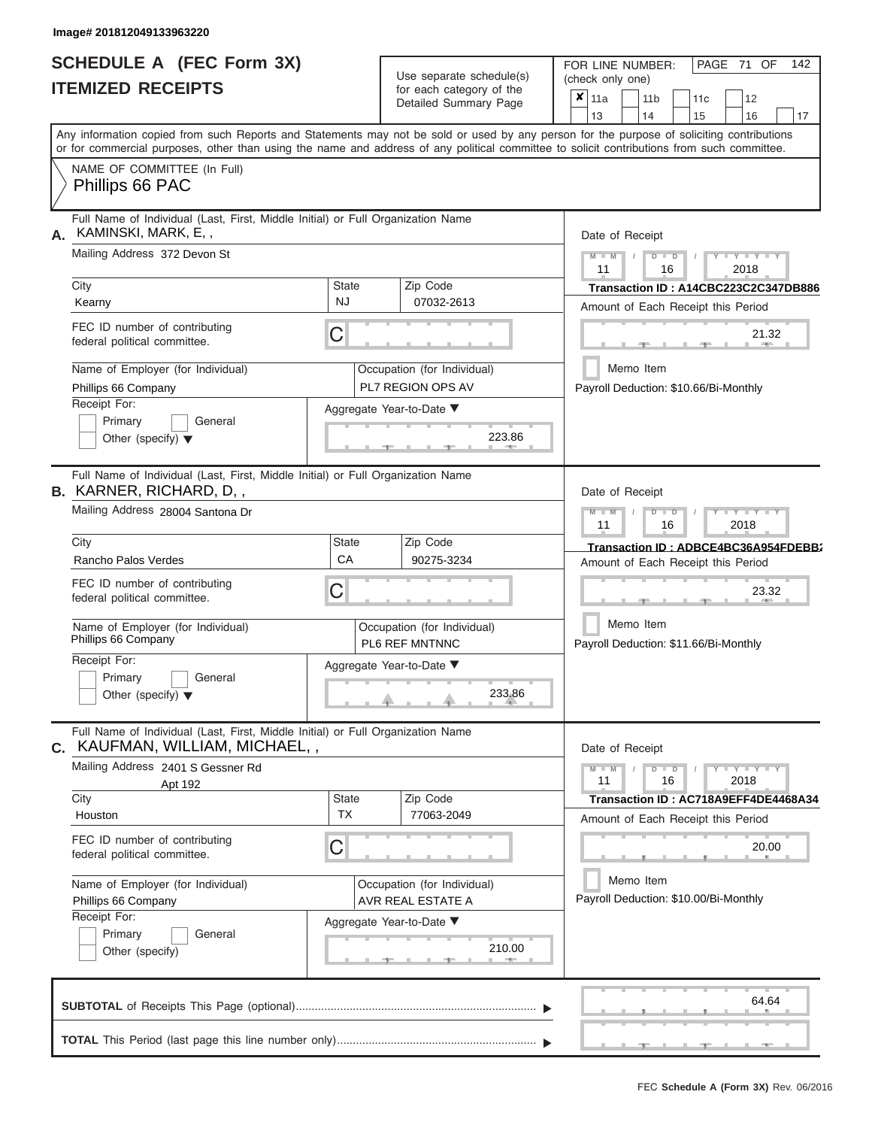# **SCHEDULE A (FEC Form 3X)**

| SCHEDULE A (FEC Form 3X)<br><b>ITEMIZED RECEIPTS</b>                                                                                                                                                                                                                                                                                                                                            |                                | Use separate schedule(s)<br>for each category of the<br>Detailed Summary Page                                    | 142<br>FOR LINE NUMBER:<br>PAGE 71 OF<br>(check only one)<br>$\boldsymbol{x}$   11a<br>11 <sub>b</sub><br>12<br>11 <sub>c</sub>                                                                                                                                                         |
|-------------------------------------------------------------------------------------------------------------------------------------------------------------------------------------------------------------------------------------------------------------------------------------------------------------------------------------------------------------------------------------------------|--------------------------------|------------------------------------------------------------------------------------------------------------------|-----------------------------------------------------------------------------------------------------------------------------------------------------------------------------------------------------------------------------------------------------------------------------------------|
| Any information copied from such Reports and Statements may not be sold or used by any person for the purpose of soliciting contributions<br>or for commercial purposes, other than using the name and address of any political committee to solicit contributions from such committee.<br>NAME OF COMMITTEE (In Full)                                                                          |                                |                                                                                                                  | 13<br>14<br>15<br>16<br>17                                                                                                                                                                                                                                                              |
| Phillips 66 PAC                                                                                                                                                                                                                                                                                                                                                                                 |                                |                                                                                                                  |                                                                                                                                                                                                                                                                                         |
| Full Name of Individual (Last, First, Middle Initial) or Full Organization Name<br>KAMINSKI, MARK, E,,<br>А.<br>Mailing Address 372 Devon St<br>City<br>Kearny<br>FEC ID number of contributing<br>federal political committee.<br>Name of Employer (for Individual)<br>Phillips 66 Company<br>Receipt For:<br>Primary<br>General<br>Other (specify) $\blacktriangledown$                       | <b>State</b><br><b>NJ</b><br>C | Zip Code<br>07032-2613<br>Occupation (for Individual)<br>PL7 REGION OPS AV<br>Aggregate Year-to-Date ▼<br>223.86 | Date of Receipt<br>$Y - Y - Y$<br>$M - M$<br>$D$ $D$<br>11<br>16<br>2018<br>Transaction ID: A14CBC223C2C347DB886<br>Amount of Each Receipt this Period<br>21.32<br>11. AND 1<br>Memo Item<br>Payroll Deduction: \$10.66/Bi-Monthly                                                      |
| Full Name of Individual (Last, First, Middle Initial) or Full Organization Name<br><b>B.</b> KARNER, RICHARD, D,,<br>Mailing Address 28004 Santona Dr<br>City<br>Rancho Palos Verdes<br>FEC ID number of contributing<br>federal political committee.<br>Name of Employer (for Individual)<br>Phillips 66 Company<br>Receipt For:<br>Primary<br>General<br>Other (specify) $\blacktriangledown$ | <b>State</b><br>CA<br>С        | Zip Code<br>90275-3234<br>Occupation (for Individual)<br>PL6 REF MNTNNC<br>Aggregate Year-to-Date ▼<br>233.86    | Date of Receipt<br>$M - M$<br>$D$ $D$<br>$\blacksquare$ $\vdash$ $\vdash$ $\vdash$ $\vdash$ $\vdash$ $\vdash$ $\vdash$<br>2018<br>11<br>16<br>Transaction ID: ADBCE4BC36A954FDEBB2<br>Amount of Each Receipt this Period<br>23.32<br>Memo Item<br>Payroll Deduction: \$11.66/Bi-Monthly |
| Full Name of Individual (Last, First, Middle Initial) or Full Organization Name<br>KAUFMAN, WILLIAM, MICHAEL,,<br>С.<br>Mailing Address 2401 S Gessner Rd<br>Apt 192<br>City<br>Houston<br>FEC ID number of contributing<br>federal political committee.<br>Name of Employer (for Individual)<br>Phillips 66 Company<br>Receipt For:<br>Primary<br>General<br>Other (specify)                   | State<br><b>TX</b><br>С        | Zip Code<br>77063-2049<br>Occupation (for Individual)<br>AVR REAL ESTATE A<br>Aggregate Year-to-Date ▼<br>210.00 | Date of Receipt<br>$M - M$<br>$D$ $D$<br>$  Y$ $ Y$ $  Y$<br>11<br>16<br>2018<br>Transaction ID: AC718A9EFF4DE4468A34<br>Amount of Each Receipt this Period<br>20.00<br>Memo Item<br>Payroll Deduction: \$10.00/Bi-Monthly                                                              |
|                                                                                                                                                                                                                                                                                                                                                                                                 |                                |                                                                                                                  | 64.64                                                                                                                                                                                                                                                                                   |
|                                                                                                                                                                                                                                                                                                                                                                                                 |                                |                                                                                                                  | $-1$                                                                                                                                                                                                                                                                                    |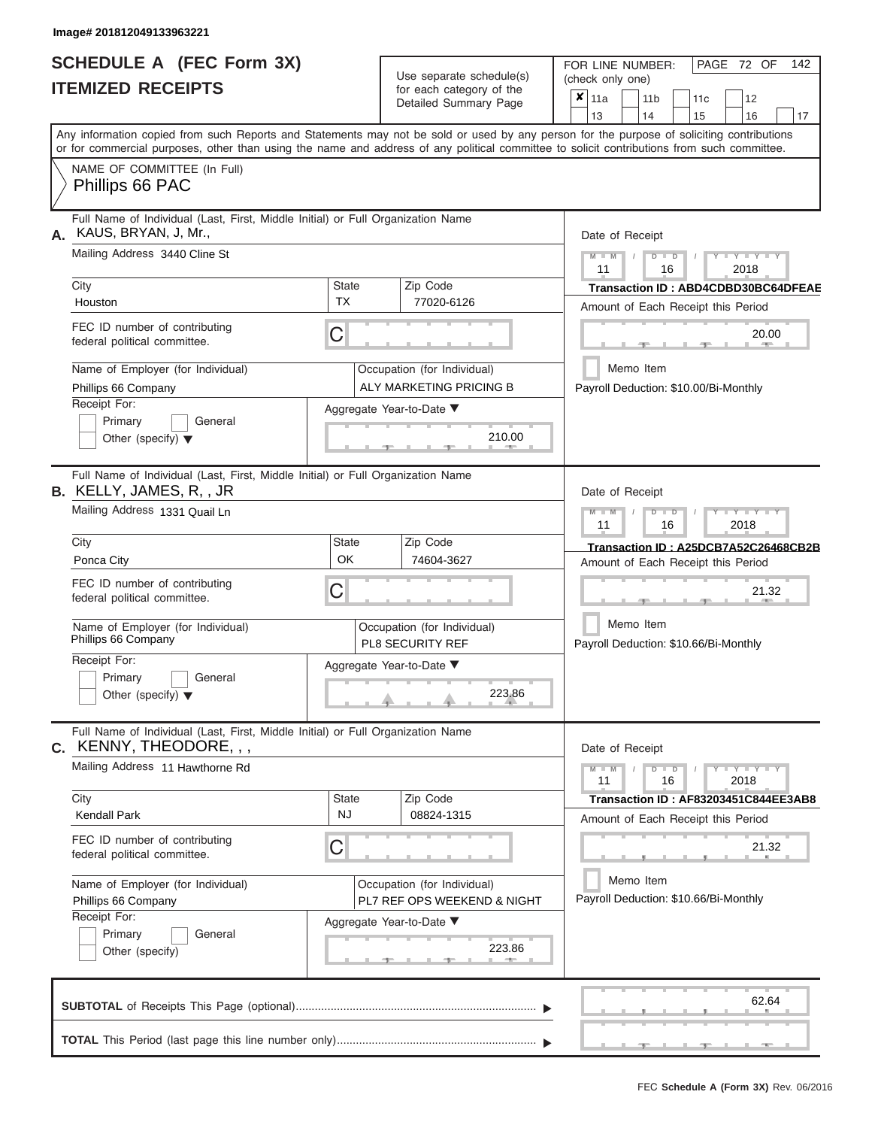|                          | SCHEDULE A (FEC Form 3X) |  |  |  |  |  |  |
|--------------------------|--------------------------|--|--|--|--|--|--|
| <b>ITEMIZED RECEIPTS</b> |                          |  |  |  |  |  |  |

Use separate schedule(s)<br>for each category of the

FOR LINE NUMBER:<br>(check only one)

PAGE 72 OF 142

| ITEMIZED RECEIPTS                                                                                                                                                                                                                                                                       |                                                                                                   | for each category of the<br>Detailed Summary Page          | ×<br>11a<br>11 <sub>b</sub><br>11c<br>12<br>14<br>13<br>15<br>16<br>17              |
|-----------------------------------------------------------------------------------------------------------------------------------------------------------------------------------------------------------------------------------------------------------------------------------------|---------------------------------------------------------------------------------------------------|------------------------------------------------------------|-------------------------------------------------------------------------------------|
| Any information copied from such Reports and Statements may not be sold or used by any person for the purpose of soliciting contributions<br>or for commercial purposes, other than using the name and address of any political committee to solicit contributions from such committee. |                                                                                                   |                                                            |                                                                                     |
| NAME OF COMMITTEE (In Full)<br>Phillips 66 PAC                                                                                                                                                                                                                                          |                                                                                                   |                                                            |                                                                                     |
| Full Name of Individual (Last, First, Middle Initial) or Full Organization Name<br>A. KAUS, BRYAN, J, Mr.,<br>Mailing Address 3440 Cline St                                                                                                                                             | Date of Receipt<br>$M - M$<br>$Y - Y - Y$<br>$\overline{D}$<br>$\blacksquare$<br>2018<br>11<br>16 |                                                            |                                                                                     |
| City<br>Houston                                                                                                                                                                                                                                                                         | <b>State</b><br><b>TX</b>                                                                         | Zip Code<br>77020-6126                                     | <b>Transaction ID: ABD4CDBD30BC64DFEAE</b><br>Amount of Each Receipt this Period    |
| FEC ID number of contributing<br>federal political committee.                                                                                                                                                                                                                           | C                                                                                                 |                                                            | 20.00                                                                               |
| Name of Employer (for Individual)<br>Phillips 66 Company<br>Receipt For:<br>Primary<br>General                                                                                                                                                                                          | Occupation (for Individual)<br>ALY MARKETING PRICING B<br>Aggregate Year-to-Date ▼                |                                                            | Memo Item<br>Payroll Deduction: \$10.00/Bi-Monthly                                  |
| Other (specify) $\blacktriangledown$<br>Full Name of Individual (Last, First, Middle Initial) or Full Organization Name                                                                                                                                                                 |                                                                                                   | 210.00                                                     |                                                                                     |
| B. KELLY, JAMES, R, , JR<br>Mailing Address 1331 Quail Ln                                                                                                                                                                                                                               |                                                                                                   |                                                            | Date of Receipt<br>Y TYT<br>M<br>2018<br>11<br>16                                   |
| City<br>Ponca City<br>FEC ID number of contributing                                                                                                                                                                                                                                     | <b>State</b><br>OK<br>C                                                                           | Zip Code<br>74604-3627                                     | Transaction ID: A25DCB7A52C26468CB2B<br>Amount of Each Receipt this Period<br>21.32 |
| federal political committee.<br>Name of Employer (for Individual)<br>Phillips 66 Company                                                                                                                                                                                                |                                                                                                   | Occupation (for Individual)<br><b>PL8 SECURITY REF</b>     | Memo Item<br>Payroll Deduction: \$10.66/Bi-Monthly                                  |
| Receipt For:<br>General<br>Primary<br>Other (specify) $\blacktriangledown$                                                                                                                                                                                                              |                                                                                                   | Aggregate Year-to-Date ▼<br>223.86                         |                                                                                     |
| Full Name of Individual (Last, First, Middle Initial) or Full Organization Name<br><b>C.</b> KENNY, THEODORE, , ,                                                                                                                                                                       | Date of Receipt                                                                                   |                                                            |                                                                                     |
| Mailing Address 11 Hawthorne Rd                                                                                                                                                                                                                                                         | $M - M$<br>Y TYT<br>$\blacksquare$<br>11<br>16<br>2018                                            |                                                            |                                                                                     |
| City<br><b>Kendall Park</b>                                                                                                                                                                                                                                                             | <b>State</b><br><b>NJ</b>                                                                         | Zip Code<br>08824-1315                                     | Transaction ID: AF83203451C844EE3AB8<br>Amount of Each Receipt this Period          |
| FEC ID number of contributing<br>federal political committee.                                                                                                                                                                                                                           | C                                                                                                 |                                                            | 21.32                                                                               |
| Name of Employer (for Individual)<br>Phillips 66 Company<br>Receipt For:                                                                                                                                                                                                                |                                                                                                   | Occupation (for Individual)<br>PL7 REF OPS WEEKEND & NIGHT | Memo Item<br>Payroll Deduction: \$10.66/Bi-Monthly                                  |
| Primary<br>General<br>Other (specify)                                                                                                                                                                                                                                                   |                                                                                                   | Aggregate Year-to-Date ▼<br>223.86<br>$-1$                 |                                                                                     |
|                                                                                                                                                                                                                                                                                         |                                                                                                   |                                                            | 62.64                                                                               |
|                                                                                                                                                                                                                                                                                         |                                                                                                   |                                                            | - 11<br>$-9-$<br>$-1$                                                               |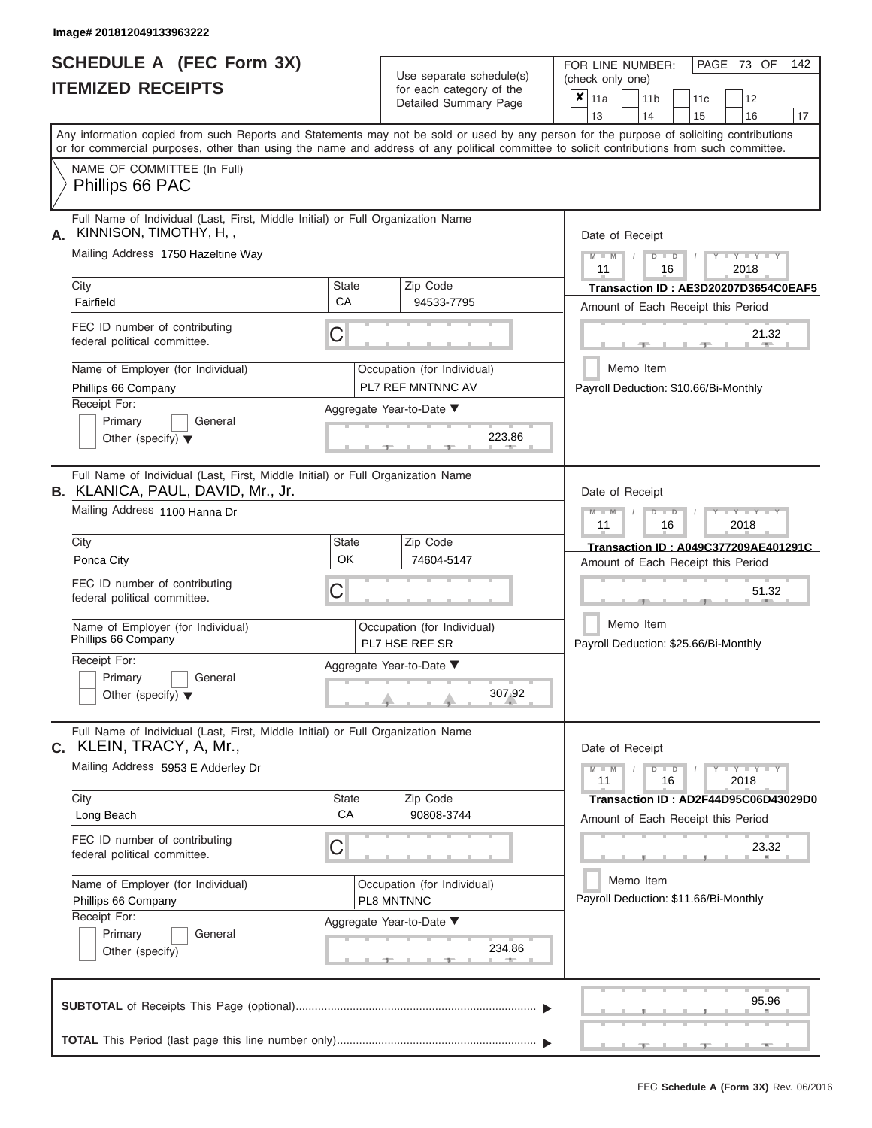|                          | SCHEDULE A (FEC Form 3X) |
|--------------------------|--------------------------|
| <b>ITEMIZED RECEIPTS</b> |                          |

| SCHEDULE A (FEC Form 3X)<br><b>ITEMIZED RECEIPTS</b>                                                                                                                                                                                                                                                                                                                                   | Use separate schedule(s)<br>for each category of the<br>Detailed Summary Page                                                            | 142<br>FOR LINE NUMBER:<br>PAGE 73 OF<br>(check only one)<br>$\overline{\mathbf{x}}$   11a<br>11 <sub>b</sub><br>12<br>11 <sub>c</sub><br>13<br>14<br>15<br>16<br>17                                                                                                                    |
|----------------------------------------------------------------------------------------------------------------------------------------------------------------------------------------------------------------------------------------------------------------------------------------------------------------------------------------------------------------------------------------|------------------------------------------------------------------------------------------------------------------------------------------|-----------------------------------------------------------------------------------------------------------------------------------------------------------------------------------------------------------------------------------------------------------------------------------------|
| NAME OF COMMITTEE (In Full)<br>Phillips 66 PAC                                                                                                                                                                                                                                                                                                                                         |                                                                                                                                          | Any information copied from such Reports and Statements may not be sold or used by any person for the purpose of soliciting contributions<br>or for commercial purposes, other than using the name and address of any political committee to solicit contributions from such committee. |
| Full Name of Individual (Last, First, Middle Initial) or Full Organization Name<br>KINNISON, TIMOTHY, H,,<br>Α.<br>Mailing Address 1750 Hazeltine Way<br>City<br>Fairfield<br>FEC ID number of contributing<br>federal political committee.<br>Name of Employer (for Individual)<br>Phillips 66 Company                                                                                | Zip Code<br><b>State</b><br>CA<br>94533-7795<br>C<br>Occupation (for Individual)<br>PL7 REF MNTNNC AV                                    | Date of Receipt<br>$M = M$ /<br>$\cdots$ Y $\cdots$ Y $\cdots$ Y<br>$D$ $D$<br>11<br>2018<br>16<br>Transaction ID: AE3D20207D3654C0EAF5<br>Amount of Each Receipt this Period<br>21.32<br><b>AND A</b><br>-10<br>Memo Item<br>Payroll Deduction: \$10.66/Bi-Monthly                     |
| Receipt For:<br>Primary<br>General<br>Other (specify) $\blacktriangledown$                                                                                                                                                                                                                                                                                                             | Aggregate Year-to-Date ▼<br>223.86<br><b>CONTRACTOR</b>                                                                                  |                                                                                                                                                                                                                                                                                         |
| Full Name of Individual (Last, First, Middle Initial) or Full Organization Name<br>B. KLANICA, PAUL, DAVID, Mr., Jr.<br>Mailing Address 1100 Hanna Dr<br>City<br>Ponca City<br>FEC ID number of contributing<br>federal political committee.<br>Name of Employer (for Individual)<br>Phillips 66 Company<br>Receipt For:<br>Primary<br>General<br>Other (specify) $\blacktriangledown$ | Zip Code<br><b>State</b><br>OK<br>74604-5147<br>C<br>Occupation (for Individual)<br>PL7 HSE REF SR<br>Aggregate Year-to-Date ▼<br>307.92 | Date of Receipt<br>$M - M$<br>$D$ $D$<br>$\Box$ $\Upsilon$ $\Box$ $\Upsilon$ $\Upsilon$ $\Upsilon$<br>$\prime$<br>11<br>2018<br>16<br>Transaction ID: A049C377209AE401291C<br>Amount of Each Receipt this Period<br>51.32<br>Memo Item<br>Payroll Deduction: \$25.66/Bi-Monthly         |
| Full Name of Individual (Last, First, Middle Initial) or Full Organization Name<br>C. KLEIN, TRACY, A, Mr.,<br>Mailing Address 5953 E Adderley Dr<br>City<br>Long Beach<br>FEC ID number of contributing<br>federal political committee.<br>Name of Employer (for Individual)<br>Phillips 66 Company<br>Receipt For:                                                                   | State<br>Zip Code<br><b>CA</b><br>90808-3744<br>C<br>Occupation (for Individual)<br>PL8 MNTNNC<br>Aggregate Year-to-Date ▼               | Date of Receipt<br>$M - M$<br>$D$ $D$<br>$Y - Y - Y - Y$<br>11<br>2018<br>16<br>Transaction ID: AD2F44D95C06D43029D0<br>Amount of Each Receipt this Period<br>23.32<br>Memo Item<br>Payroll Deduction: \$11.66/Bi-Monthly                                                               |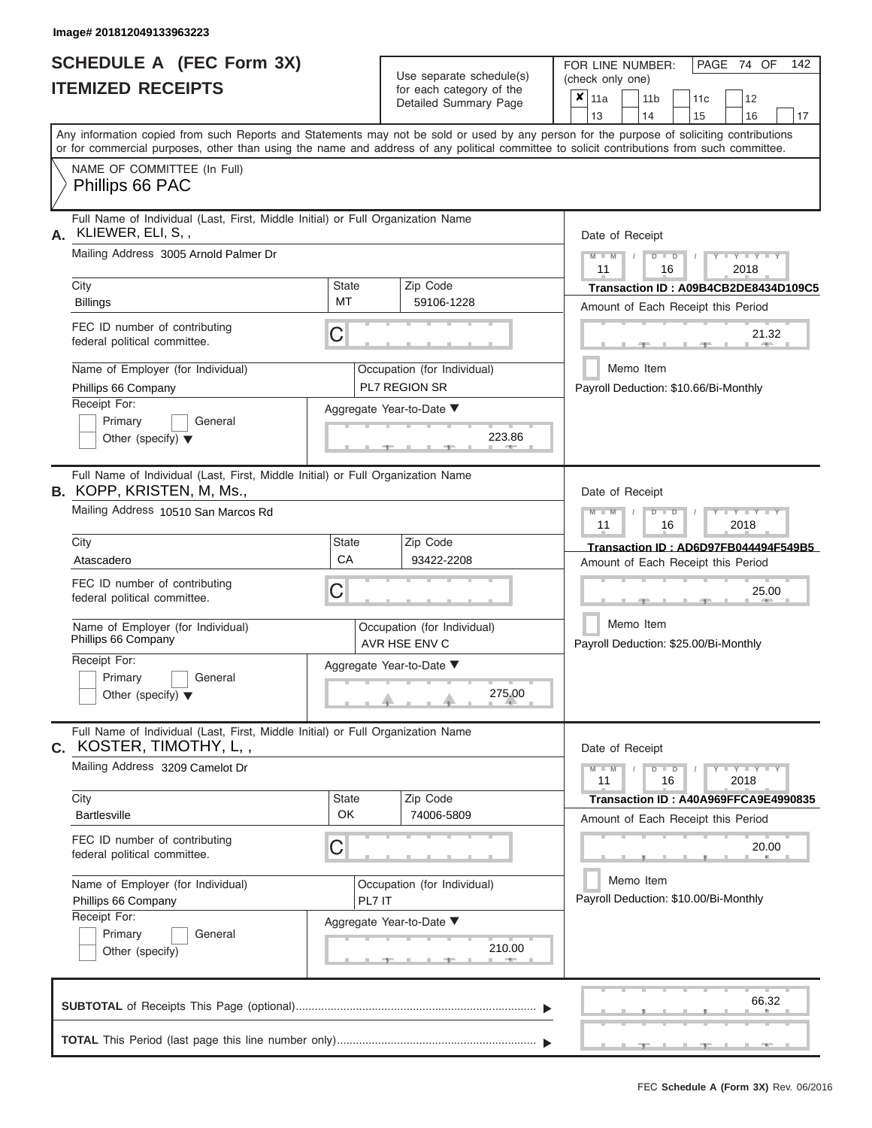|                          | SCHEDULE A (FEC Form 3X) |
|--------------------------|--------------------------|
| <b>ITEMIZED RECEIPTS</b> |                          |

Use separate schedule(s)

FOR LINE NUMBER:<br>(check only one)

PAGE 74 OF 142

|    | <u>IIEMIZED REVEIFIJ</u>                                                                                            |                                                                   | for each category of the                     | $\pmb{\mathsf{x}}$<br>12<br>11a<br>11 <sub>b</sub><br>11c                                                                                                                                                                                                                               |  |  |
|----|---------------------------------------------------------------------------------------------------------------------|-------------------------------------------------------------------|----------------------------------------------|-----------------------------------------------------------------------------------------------------------------------------------------------------------------------------------------------------------------------------------------------------------------------------------------|--|--|
|    |                                                                                                                     |                                                                   | Detailed Summary Page                        | 13<br>14<br>15<br>16<br>17                                                                                                                                                                                                                                                              |  |  |
|    |                                                                                                                     |                                                                   |                                              | Any information copied from such Reports and Statements may not be sold or used by any person for the purpose of soliciting contributions<br>or for commercial purposes, other than using the name and address of any political committee to solicit contributions from such committee. |  |  |
|    | NAME OF COMMITTEE (In Full)<br>Phillips 66 PAC                                                                      |                                                                   |                                              |                                                                                                                                                                                                                                                                                         |  |  |
| А. | Full Name of Individual (Last, First, Middle Initial) or Full Organization Name<br>KLIEWER, ELI, S,,                |                                                                   |                                              | Date of Receipt                                                                                                                                                                                                                                                                         |  |  |
|    | Mailing Address 3005 Arnold Palmer Dr                                                                               | $M - M$<br>$-Y - Y - Y - Y$<br>$D$ $D$<br>11<br>16<br>2018        |                                              |                                                                                                                                                                                                                                                                                         |  |  |
|    | City                                                                                                                | <b>State</b>                                                      | Zip Code                                     | Transaction ID: A09B4CB2DE8434D109C5                                                                                                                                                                                                                                                    |  |  |
|    | <b>Billings</b>                                                                                                     | MT                                                                | 59106-1228                                   | Amount of Each Receipt this Period                                                                                                                                                                                                                                                      |  |  |
|    | FEC ID number of contributing<br>federal political committee.                                                       | C                                                                 |                                              | 21.32                                                                                                                                                                                                                                                                                   |  |  |
|    | Name of Employer (for Individual)<br>Phillips 66 Company                                                            |                                                                   | Occupation (for Individual)<br>PL7 REGION SR | Memo Item<br>Payroll Deduction: \$10.66/Bi-Monthly                                                                                                                                                                                                                                      |  |  |
|    | Receipt For:                                                                                                        |                                                                   | Aggregate Year-to-Date ▼                     |                                                                                                                                                                                                                                                                                         |  |  |
|    | Primary<br>General<br>Other (specify) $\blacktriangledown$                                                          |                                                                   |                                              |                                                                                                                                                                                                                                                                                         |  |  |
|    | Full Name of Individual (Last, First, Middle Initial) or Full Organization Name<br><b>B.</b> KOPP, KRISTEN, M, Ms., |                                                                   |                                              | Date of Receipt                                                                                                                                                                                                                                                                         |  |  |
|    | Mailing Address 10510 San Marcos Rd                                                                                 | $M - M$<br>$T - Y = T - Y = T - Y$<br>$D$ $D$<br>11<br>16<br>2018 |                                              |                                                                                                                                                                                                                                                                                         |  |  |
|    | City                                                                                                                | <b>State</b>                                                      | Zip Code                                     | Transaction ID: AD6D97FB044494F549B5                                                                                                                                                                                                                                                    |  |  |
|    | Atascadero                                                                                                          | CA                                                                | 93422-2208                                   | Amount of Each Receipt this Period                                                                                                                                                                                                                                                      |  |  |
|    | FEC ID number of contributing<br>federal political committee.                                                       | C                                                                 |                                              | 25.00                                                                                                                                                                                                                                                                                   |  |  |
|    | Name of Employer (for Individual)<br>Phillips 66 Company                                                            |                                                                   | Occupation (for Individual)<br>AVR HSE ENV C | Memo Item<br>Payroll Deduction: \$25.00/Bi-Monthly                                                                                                                                                                                                                                      |  |  |
|    | Receipt For:<br>Primary<br>General<br>Other (specify) $\blacktriangledown$                                          |                                                                   | Aggregate Year-to-Date ▼<br>275.00           |                                                                                                                                                                                                                                                                                         |  |  |
|    | Full Name of Individual (Last, First, Middle Initial) or Full Organization Name<br><b>c.</b> KOSTER, TIMOTHY, L,,   | Date of Receipt                                                   |                                              |                                                                                                                                                                                                                                                                                         |  |  |
|    | Mailing Address 3209 Camelot Dr                                                                                     |                                                                   |                                              | $M - M$<br>$Y = Y = Y' + Y'$<br>$D$ $D$<br>11<br>16<br>2018                                                                                                                                                                                                                             |  |  |
|    | City                                                                                                                | State                                                             | Zip Code                                     | Transaction ID: A40A969FFCA9E4990835                                                                                                                                                                                                                                                    |  |  |
|    | <b>Bartlesville</b>                                                                                                 | OK                                                                | 74006-5809                                   | Amount of Each Receipt this Period                                                                                                                                                                                                                                                      |  |  |
|    | FEC ID number of contributing<br>federal political committee.                                                       | C                                                                 |                                              | 20.00                                                                                                                                                                                                                                                                                   |  |  |
|    | Name of Employer (for Individual)                                                                                   |                                                                   | Occupation (for Individual)                  | Memo Item                                                                                                                                                                                                                                                                               |  |  |
|    | Phillips 66 Company                                                                                                 | PL7 IT                                                            |                                              | Payroll Deduction: \$10.00/Bi-Monthly                                                                                                                                                                                                                                                   |  |  |
|    | Receipt For:                                                                                                        |                                                                   | Aggregate Year-to-Date ▼                     |                                                                                                                                                                                                                                                                                         |  |  |
|    |                                                                                                                     |                                                                   |                                              |                                                                                                                                                                                                                                                                                         |  |  |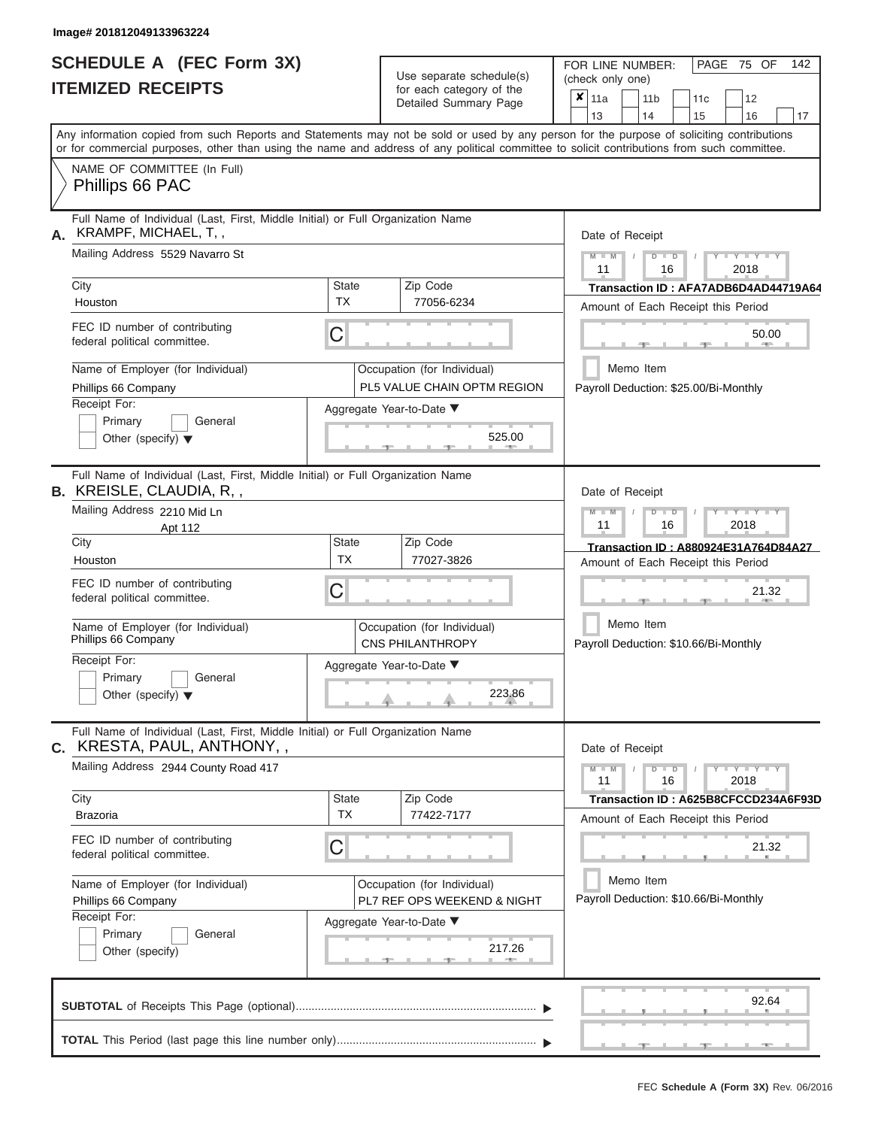|                          | <b>SCHEDULE A (FEC Form 3X)</b> |
|--------------------------|---------------------------------|
| <b>ITEMIZED RECEIPTS</b> |                                 |

Use separate schedule(s)<br>for each category of the

FOR LINE NUMBER:<br>(check only one)

PAGE 75 OF 142

|    |                                                                                                                                                                                                                                                                                         |                                                                                              |                                       | Detailed Summary Page                                      |  | $x \mid$ 11a                          |                                                    |    | 11 b          | 11 <sub>c</sub> |  | 12                                   |    |
|----|-----------------------------------------------------------------------------------------------------------------------------------------------------------------------------------------------------------------------------------------------------------------------------------------|----------------------------------------------------------------------------------------------|---------------------------------------|------------------------------------------------------------|--|---------------------------------------|----------------------------------------------------|----|---------------|-----------------|--|--------------------------------------|----|
|    |                                                                                                                                                                                                                                                                                         |                                                                                              |                                       |                                                            |  | 13                                    |                                                    | 14 |               | 15              |  | 16                                   | 17 |
|    | Any information copied from such Reports and Statements may not be sold or used by any person for the purpose of soliciting contributions<br>or for commercial purposes, other than using the name and address of any political committee to solicit contributions from such committee. |                                                                                              |                                       |                                                            |  |                                       |                                                    |    |               |                 |  |                                      |    |
|    | NAME OF COMMITTEE (In Full)<br>Phillips 66 PAC                                                                                                                                                                                                                                          |                                                                                              |                                       |                                                            |  |                                       |                                                    |    |               |                 |  |                                      |    |
|    | Full Name of Individual (Last, First, Middle Initial) or Full Organization Name<br>KRAMPF, MICHAEL, T,,                                                                                                                                                                                 |                                                                                              |                                       |                                                            |  | Date of Receipt                       |                                                    |    |               |                 |  |                                      |    |
|    | Mailing Address 5529 Navarro St                                                                                                                                                                                                                                                         |                                                                                              |                                       |                                                            |  |                                       | $M - M$                                            |    | $D$ $D$<br>16 |                 |  | $Y - Y - Y$<br>2018                  |    |
|    | City                                                                                                                                                                                                                                                                                    | <b>State</b>                                                                                 |                                       | Zip Code                                                   |  |                                       |                                                    |    |               |                 |  | Transaction ID: AFA7ADB6D4AD44719A64 |    |
|    | Houston                                                                                                                                                                                                                                                                                 | <b>TX</b>                                                                                    |                                       | 77056-6234                                                 |  | Amount of Each Receipt this Period    |                                                    |    |               |                 |  |                                      |    |
|    | FEC ID number of contributing<br>federal political committee.                                                                                                                                                                                                                           | C                                                                                            |                                       |                                                            |  |                                       |                                                    |    |               |                 |  | 50.00<br>$-$                         |    |
|    | Name of Employer (for Individual)<br>Phillips 66 Company                                                                                                                                                                                                                                |                                                                                              |                                       | Occupation (for Individual)<br>PL5 VALUE CHAIN OPTM REGION |  |                                       | Memo Item                                          |    |               |                 |  |                                      |    |
|    | Receipt For:<br>Primary<br>General<br>Other (specify) $\blacktriangledown$                                                                                                                                                                                                              |                                                                                              | Payroll Deduction: \$25.00/Bi-Monthly |                                                            |  |                                       |                                                    |    |               |                 |  |                                      |    |
|    | Full Name of Individual (Last, First, Middle Initial) or Full Organization Name<br><b>B.</b> KREISLE, CLAUDIA, R,,                                                                                                                                                                      |                                                                                              |                                       |                                                            |  | Date of Receipt                       |                                                    |    |               |                 |  |                                      |    |
|    | Mailing Address 2210 Mid Ln<br>Apt 112                                                                                                                                                                                                                                                  |                                                                                              |                                       |                                                            |  |                                       | $M - M$<br>Y TYT<br>$D$ $D$<br>11<br>2018<br>16    |    |               |                 |  |                                      |    |
|    | City                                                                                                                                                                                                                                                                                    | <b>State</b>                                                                                 |                                       | Zip Code                                                   |  | Transaction ID: A880924E31A764D84A27  |                                                    |    |               |                 |  |                                      |    |
|    | Houston                                                                                                                                                                                                                                                                                 | <b>TX</b>                                                                                    |                                       | 77027-3826                                                 |  | Amount of Each Receipt this Period    |                                                    |    |               |                 |  |                                      |    |
|    | FEC ID number of contributing<br>federal political committee.                                                                                                                                                                                                                           | C                                                                                            |                                       |                                                            |  |                                       |                                                    |    |               |                 |  | 21.32                                |    |
|    | Name of Employer (for Individual)<br>Phillips 66 Company                                                                                                                                                                                                                                | Occupation (for Individual)<br><b>CNS PHILANTHROPY</b><br>Aggregate Year-to-Date ▼<br>223.86 |                                       |                                                            |  |                                       | Memo Item<br>Payroll Deduction: \$10.66/Bi-Monthly |    |               |                 |  |                                      |    |
|    | Receipt For:<br>Primary<br>General<br>Other (specify) $\blacktriangledown$                                                                                                                                                                                                              |                                                                                              |                                       |                                                            |  |                                       |                                                    |    |               |                 |  |                                      |    |
| C. | Full Name of Individual (Last, First, Middle Initial) or Full Organization Name<br>KRESTA, PAUL, ANTHONY,,                                                                                                                                                                              |                                                                                              |                                       |                                                            |  |                                       | Date of Receipt                                    |    |               |                 |  |                                      |    |
|    | Mailing Address 2944 County Road 417                                                                                                                                                                                                                                                    |                                                                                              |                                       |                                                            |  |                                       | $M - M$                                            |    | $D$ $D$<br>16 |                 |  | $Y - Y - Y - Y - Y$<br>2018          |    |
|    | City                                                                                                                                                                                                                                                                                    | <b>State</b>                                                                                 |                                       | Zip Code                                                   |  |                                       |                                                    |    |               |                 |  | Transaction ID: A625B8CFCCD234A6F93D |    |
|    | <b>Brazoria</b>                                                                                                                                                                                                                                                                         | ТX                                                                                           |                                       | 77422-7177                                                 |  | Amount of Each Receipt this Period    |                                                    |    |               |                 |  |                                      |    |
|    | FEC ID number of contributing<br>federal political committee.                                                                                                                                                                                                                           | C                                                                                            |                                       |                                                            |  |                                       |                                                    |    |               | 21.32           |  |                                      |    |
|    | Name of Employer (for Individual)                                                                                                                                                                                                                                                       |                                                                                              |                                       | Occupation (for Individual)                                |  |                                       | Memo Item                                          |    |               |                 |  |                                      |    |
|    | Phillips 66 Company                                                                                                                                                                                                                                                                     |                                                                                              |                                       | PL7 REF OPS WEEKEND & NIGHT                                |  | Payroll Deduction: \$10.66/Bi-Monthly |                                                    |    |               |                 |  |                                      |    |
|    | Receipt For:                                                                                                                                                                                                                                                                            |                                                                                              |                                       | Aggregate Year-to-Date ▼                                   |  |                                       |                                                    |    |               |                 |  |                                      |    |
|    | Primary<br>General<br>Other (specify)                                                                                                                                                                                                                                                   |                                                                                              |                                       | 217.26                                                     |  |                                       |                                                    |    |               |                 |  |                                      |    |
|    |                                                                                                                                                                                                                                                                                         |                                                                                              |                                       |                                                            |  |                                       |                                                    |    |               |                 |  | 92.64                                |    |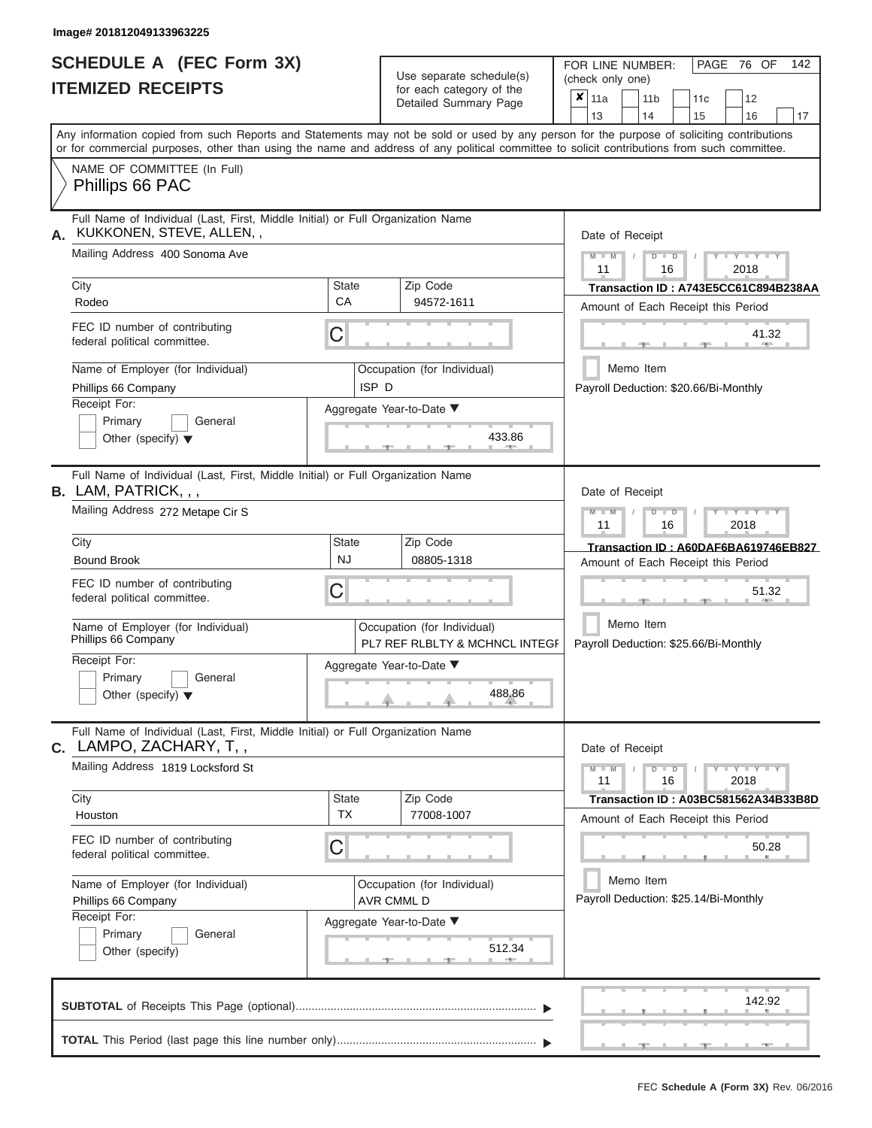|                          | <b>SCHEDULE A (FEC Form 3X)</b> |
|--------------------------|---------------------------------|
| <b>ITEMIZED RECEIPTS</b> |                                 |

Use separate schedule(s)<br>for each category of the

FOR LINE NUMBER:

PAGE 76 OF 142

|    |                                                                                                                                                                                                                                                                                         |                                                                   | Use separate schedule(s)                                                                 | (check only one)                                                                             |  |  |  |  |  |
|----|-----------------------------------------------------------------------------------------------------------------------------------------------------------------------------------------------------------------------------------------------------------------------------------------|-------------------------------------------------------------------|------------------------------------------------------------------------------------------|----------------------------------------------------------------------------------------------|--|--|--|--|--|
|    | <b>ITEMIZED RECEIPTS</b>                                                                                                                                                                                                                                                                |                                                                   | for each category of the<br>Detailed Summary Page                                        | $\mathsf{x}$   11a<br>11 <sub>b</sub><br>11 <sub>c</sub><br>12<br>13<br>14<br>15<br>16<br>17 |  |  |  |  |  |
|    | Any information copied from such Reports and Statements may not be sold or used by any person for the purpose of soliciting contributions<br>or for commercial purposes, other than using the name and address of any political committee to solicit contributions from such committee. |                                                                   |                                                                                          |                                                                                              |  |  |  |  |  |
|    | NAME OF COMMITTEE (In Full)<br>Phillips 66 PAC                                                                                                                                                                                                                                          |                                                                   |                                                                                          |                                                                                              |  |  |  |  |  |
| А. | Full Name of Individual (Last, First, Middle Initial) or Full Organization Name<br>KUKKONEN, STEVE, ALLEN,,                                                                                                                                                                             |                                                                   |                                                                                          | Date of Receipt                                                                              |  |  |  |  |  |
|    | Mailing Address 400 Sonoma Ave                                                                                                                                                                                                                                                          |                                                                   |                                                                                          | $-Y - Y - Y - Y$<br>$M - M$<br>$D$ $D$<br>11<br>2018<br>16                                   |  |  |  |  |  |
|    | City<br>Rodeo                                                                                                                                                                                                                                                                           | <b>State</b><br><b>CA</b>                                         | Zip Code<br>94572-1611                                                                   | Transaction ID: A743E5CC61C894B238AA<br>Amount of Each Receipt this Period                   |  |  |  |  |  |
|    | FEC ID number of contributing<br>federal political committee.                                                                                                                                                                                                                           | C                                                                 |                                                                                          | 41.32                                                                                        |  |  |  |  |  |
|    | Name of Employer (for Individual)<br>Phillips 66 Company                                                                                                                                                                                                                                | ISP <sub>D</sub>                                                  | Occupation (for Individual)                                                              | Memo Item<br>Payroll Deduction: \$20.66/Bi-Monthly                                           |  |  |  |  |  |
|    | Receipt For:<br>Primary<br>General<br>Other (specify) $\blacktriangledown$                                                                                                                                                                                                              |                                                                   |                                                                                          |                                                                                              |  |  |  |  |  |
|    | Full Name of Individual (Last, First, Middle Initial) or Full Organization Name<br><b>B.</b> LAM, PATRICK, , ,                                                                                                                                                                          |                                                                   |                                                                                          | Date of Receipt                                                                              |  |  |  |  |  |
|    | Mailing Address 272 Metape Cir S                                                                                                                                                                                                                                                        | $M - M$<br>$T - Y = T - Y = T - Y$<br>$D$ $D$<br>11<br>16<br>2018 |                                                                                          |                                                                                              |  |  |  |  |  |
|    | City<br><b>Bound Brook</b>                                                                                                                                                                                                                                                              | <b>State</b><br><b>NJ</b>                                         | Zip Code<br>08805-1318                                                                   | Transaction ID: A60DAF6BA619746EB827<br>Amount of Each Receipt this Period                   |  |  |  |  |  |
|    | FEC ID number of contributing<br>federal political committee.                                                                                                                                                                                                                           | C                                                                 |                                                                                          | 51.32                                                                                        |  |  |  |  |  |
|    | Name of Employer (for Individual)<br>Phillips 66 Company                                                                                                                                                                                                                                |                                                                   | Occupation (for Individual)<br>PL7 REF RLBLTY & MCHNCL INTEGF                            | Memo Item<br>Payroll Deduction: \$25.66/Bi-Monthly                                           |  |  |  |  |  |
|    | Receipt For:<br>Primary<br>General<br>Other (specify) $\blacktriangledown$                                                                                                                                                                                                              |                                                                   |                                                                                          |                                                                                              |  |  |  |  |  |
|    | Full Name of Individual (Last, First, Middle Initial) or Full Organization Name<br>C. LAMPO, ZACHARY, T,,                                                                                                                                                                               |                                                                   |                                                                                          | Date of Receipt                                                                              |  |  |  |  |  |
|    | Mailing Address 1819 Locksford St                                                                                                                                                                                                                                                       |                                                                   | $-1$ $ Y$ $-1$ $ Y$ $-1$ $ Y$<br>$M - M$<br>$D$ $D$<br>Y<br>$\prime$<br>11<br>16<br>2018 |                                                                                              |  |  |  |  |  |
|    | City<br>Houston                                                                                                                                                                                                                                                                         | State<br><b>TX</b>                                                | Zip Code<br>77008-1007                                                                   | Transaction ID: A03BC581562A34B33B8D<br>Amount of Each Receipt this Period                   |  |  |  |  |  |
|    | FEC ID number of contributing<br>federal political committee.                                                                                                                                                                                                                           | C                                                                 |                                                                                          | 50.28                                                                                        |  |  |  |  |  |
|    | Name of Employer (for Individual)<br>Phillips 66 Company                                                                                                                                                                                                                                |                                                                   | Occupation (for Individual)<br>AVR CMML D                                                | Memo Item<br>Payroll Deduction: \$25.14/Bi-Monthly                                           |  |  |  |  |  |
|    | Receipt For:<br>Primary<br>General<br>Other (specify)                                                                                                                                                                                                                                   |                                                                   | Aggregate Year-to-Date ▼<br>512.34<br><b>Allen</b>                                       |                                                                                              |  |  |  |  |  |
|    |                                                                                                                                                                                                                                                                                         |                                                                   |                                                                                          | 142.92                                                                                       |  |  |  |  |  |
|    |                                                                                                                                                                                                                                                                                         |                                                                   |                                                                                          |                                                                                              |  |  |  |  |  |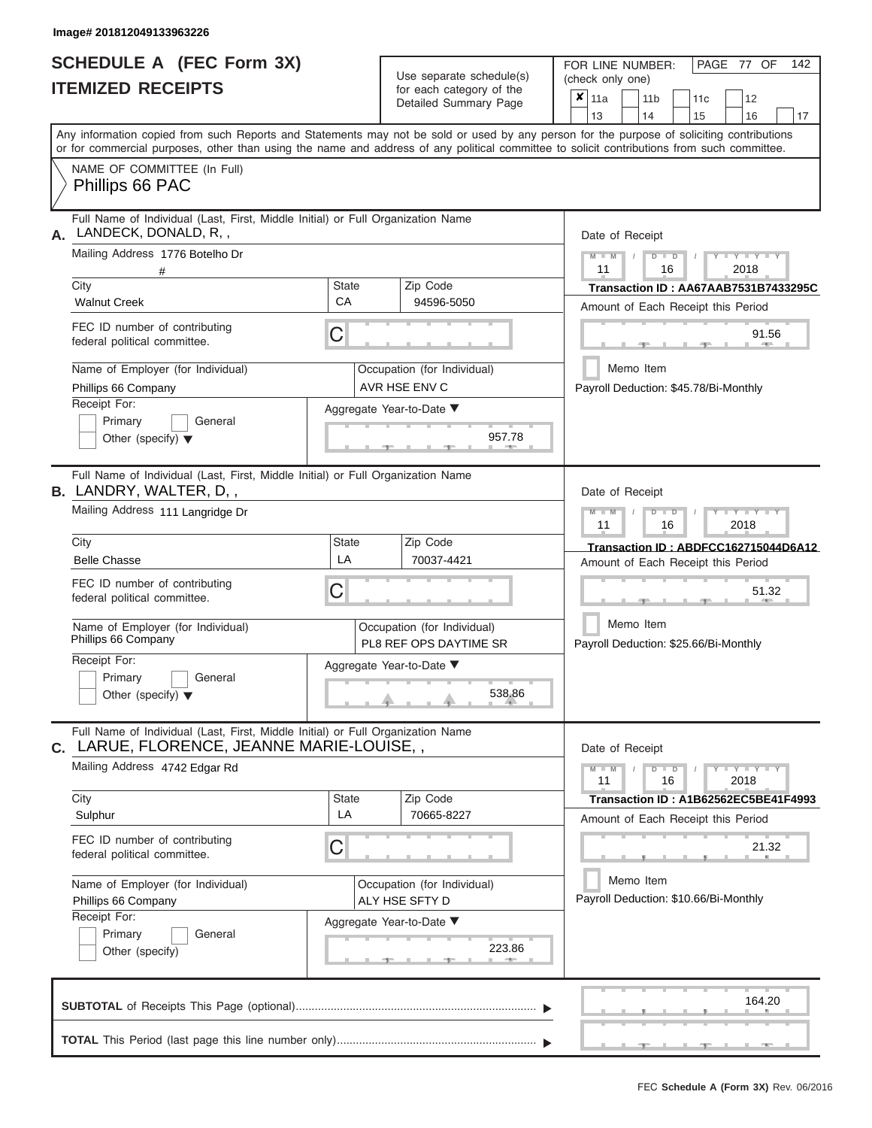# **SCHEDULE A (FEC Form 3X)**

| SCHEDULE A (FEC Form 3X)<br><b>ITEMIZED RECEIPTS</b>                                                                                                                                                                                                                                                                                                                                           | Use separate schedule(s)<br>for each category of the<br>Detailed Summary Page                                                   | 142<br>FOR LINE NUMBER:<br>PAGE 77 OF<br>(check only one)<br>$\overline{\mathbf{x}}$   11a<br>11 <sub>b</sub><br>12<br>11c                                                                                                                                                                                                                              |
|------------------------------------------------------------------------------------------------------------------------------------------------------------------------------------------------------------------------------------------------------------------------------------------------------------------------------------------------------------------------------------------------|---------------------------------------------------------------------------------------------------------------------------------|---------------------------------------------------------------------------------------------------------------------------------------------------------------------------------------------------------------------------------------------------------------------------------------------------------------------------------------------------------|
|                                                                                                                                                                                                                                                                                                                                                                                                |                                                                                                                                 | 13<br>14<br>15<br>16<br>17<br>Any information copied from such Reports and Statements may not be sold or used by any person for the purpose of soliciting contributions<br>or for commercial purposes, other than using the name and address of any political committee to solicit contributions from such committee.                                   |
| NAME OF COMMITTEE (In Full)<br>Phillips 66 PAC                                                                                                                                                                                                                                                                                                                                                 |                                                                                                                                 |                                                                                                                                                                                                                                                                                                                                                         |
| Full Name of Individual (Last, First, Middle Initial) or Full Organization Name<br>LANDECK, DONALD, R,,<br>А.<br>Mailing Address 1776 Botelho Dr<br>City<br><b>Walnut Creek</b><br>FEC ID number of contributing<br>federal political committee.<br>Name of Employer (for Individual)<br>Phillips 66 Company<br>Receipt For:<br>Primary<br>General<br>Other (specify) $\blacktriangledown$     | State<br>Zip Code<br>CA<br>94596-5050<br>С<br>Occupation (for Individual)<br>AVR HSE ENV C<br>Aggregate Year-to-Date ▼          | Date of Receipt<br>$M = M$ /<br>$+Y + Y + Y$<br>$D$ $D$<br>11<br>2018<br>16<br>Transaction ID: AA67AAB7531B7433295C<br>Amount of Each Receipt this Period<br>91.56<br><b>AND A</b><br>Memo Item<br>Payroll Deduction: \$45.78/Bi-Monthly<br>957.78                                                                                                      |
| Full Name of Individual (Last, First, Middle Initial) or Full Organization Name<br><b>B.</b> LANDRY, WALTER, D,,<br>Mailing Address 111 Langridge Dr<br>City<br><b>Belle Chasse</b><br>FEC ID number of contributing<br>federal political committee.<br>Name of Employer (for Individual)<br>Phillips 66 Company<br>Receipt For:<br>Primary<br>General<br>Other (specify) $\blacktriangledown$ | Zip Code<br>State<br>LA<br>70037-4421<br>С<br>Occupation (for Individual)<br>PL8 REF OPS DAYTIME SR<br>Aggregate Year-to-Date ▼ | Date of Receipt<br>$M$ $M$<br>$D$ $D$<br>$\blacksquare \blacksquare \blacksquare \blacksquare \blacksquare \blacksquare \blacksquare \blacksquare \blacksquare \blacksquare$<br>11<br>16<br>2018<br>Transaction ID: ABDFCC162715044D6A12<br>Amount of Each Receipt this Period<br>51.32<br>Memo Item<br>Payroll Deduction: \$25.66/Bi-Monthly<br>538.86 |
| Full Name of Individual (Last, First, Middle Initial) or Full Organization Name<br>C. LARUE, FLORENCE, JEANNE MARIE-LOUISE,,<br>Mailing Address 4742 Edgar Rd<br>City<br>Sulphur<br>FEC ID number of contributing<br>federal political committee.<br>Name of Employer (for Individual)<br>Phillips 66 Company<br>Receipt For:<br>Primary<br>General<br>Other (specify)                         | Zip Code<br>State<br>LA<br>70665-8227<br>С<br>Occupation (for Individual)<br>ALY HSE SFTY D<br>Aggregate Year-to-Date ▼         | Date of Receipt<br>$M - M$<br>$D$ $D$<br>$Y - Y - Y - Y - Y$<br>11<br>16<br>2018<br>Transaction ID: A1B62562EC5BE41F4993<br>Amount of Each Receipt this Period<br>21.32<br>Memo Item<br>Payroll Deduction: \$10.66/Bi-Monthly<br>223.86                                                                                                                 |
|                                                                                                                                                                                                                                                                                                                                                                                                |                                                                                                                                 | 164.20                                                                                                                                                                                                                                                                                                                                                  |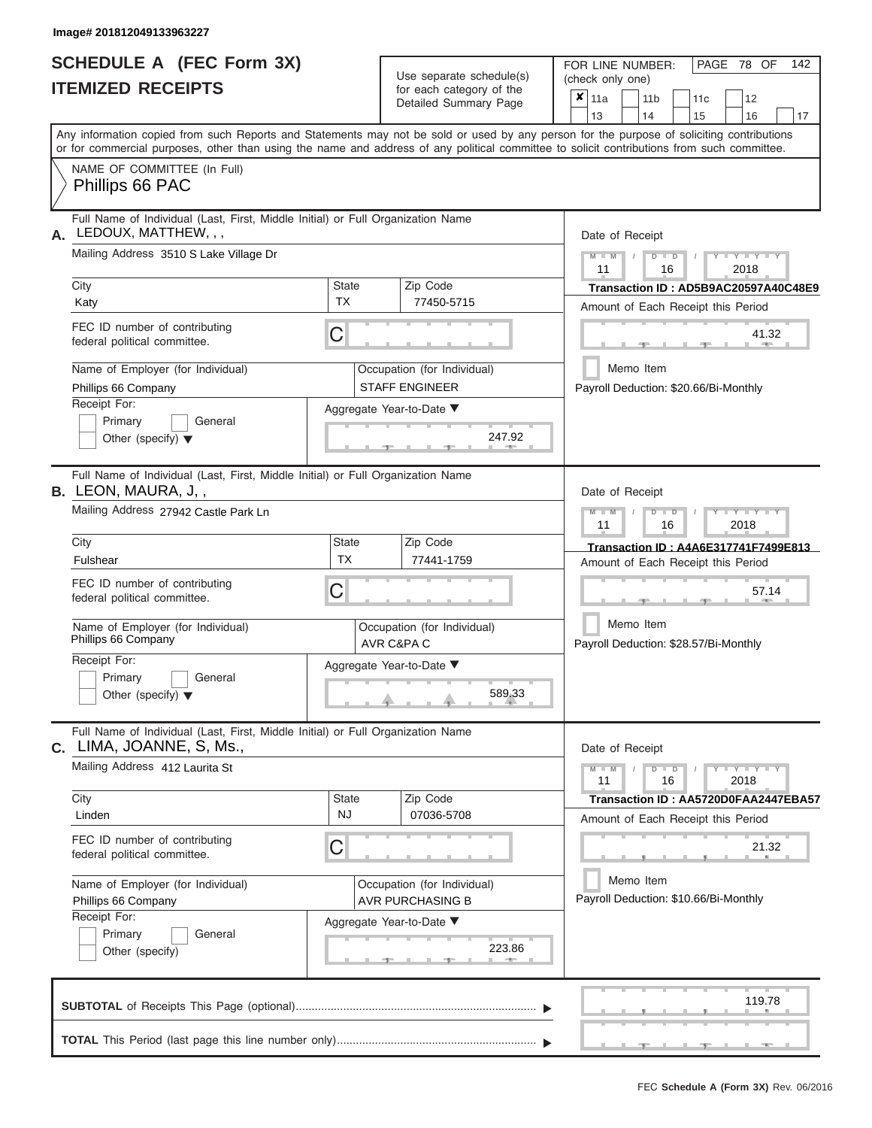|                          | <b>SCHEDULE A (FEC Form 3X)</b> |
|--------------------------|---------------------------------|
| <b>ITEMIZED RECEIPTS</b> |                                 |

Use separate schedule(s) (check only one)<br>for each category of the  $\begin{array}{|c|c|c|c|c|}\n\hline\n\text{Initial Summary goes} & & \text{with } & \text{with } & \text{with } & \text{with } & \text{with } & \text{with } & \text{with } & \text{with } & \text{with } & \text{with } & \text{with } & \text{with } & \text{with } & \text{with } & \text{with } & \text{with } & \text{with } & \text{with } & \text{with } & \text{with } & \text$ 

FOR LINE NUMBER:

PAGE 78 OF 142

| <b>ILEMIZED RECEIPIS</b>                                                                                      | for each category of the<br>Detailed Summary Page                                                                                          | X<br>11a<br>11 <sub>b</sub><br>12<br>11c<br>13<br>17<br>14<br>15<br>16                                                                    |  |  |  |  |
|---------------------------------------------------------------------------------------------------------------|--------------------------------------------------------------------------------------------------------------------------------------------|-------------------------------------------------------------------------------------------------------------------------------------------|--|--|--|--|
|                                                                                                               | or for commercial purposes, other than using the name and address of any political committee to solicit contributions from such committee. | Any information copied from such Reports and Statements may not be sold or used by any person for the purpose of soliciting contributions |  |  |  |  |
| NAME OF COMMITTEE (In Full)<br>Phillips 66 PAC                                                                |                                                                                                                                            |                                                                                                                                           |  |  |  |  |
| Full Name of Individual (Last, First, Middle Initial) or Full Organization Name<br>LEDOUX, MATTHEW, , ,<br>А. |                                                                                                                                            | Date of Receipt                                                                                                                           |  |  |  |  |
| Mailing Address 3510 S Lake Village Dr                                                                        |                                                                                                                                            |                                                                                                                                           |  |  |  |  |
| City<br>Katy                                                                                                  | Zip Code<br>State<br><b>TX</b><br>77450-5715                                                                                               | Transaction ID: AD5B9AC20597A40C48E9<br>Amount of Each Receipt this Period                                                                |  |  |  |  |
| FEC ID number of contributing<br>federal political committee.                                                 | С                                                                                                                                          | 41.32                                                                                                                                     |  |  |  |  |
| Name of Employer (for Individual)<br>Phillips 66 Company                                                      | Occupation (for Individual)<br><b>STAFF ENGINEER</b>                                                                                       | Memo Item<br>Payroll Deduction: \$20.66/Bi-Monthly                                                                                        |  |  |  |  |
| Receipt For:<br>Primary<br>General<br>Other (specify) $\blacktriangledown$                                    | Aggregate Year-to-Date ▼<br>247.92                                                                                                         |                                                                                                                                           |  |  |  |  |
| Full Name of Individual (Last, First, Middle Initial) or Full Organization Name<br><b>B.</b> LEON, MAURA, J,, |                                                                                                                                            | Date of Receipt                                                                                                                           |  |  |  |  |
| Mailing Address 27942 Castle Park Ln                                                                          | Y TY<br>W<br>$\overline{\mathsf{M}}$<br>$\Box$<br>11<br>16<br>2018                                                                         |                                                                                                                                           |  |  |  |  |
| City<br>Fulshear                                                                                              | <b>State</b><br>Zip Code<br><b>TX</b><br>77441-1759                                                                                        | Transaction ID: A4A6E317741F7499E813<br>Amount of Each Receipt this Period                                                                |  |  |  |  |
| FEC ID number of contributing<br>federal political committee.                                                 | С                                                                                                                                          | 57.14                                                                                                                                     |  |  |  |  |
| Name of Employer (for Individual)<br>Phillips 66 Company                                                      | Occupation (for Individual)<br>AVR C&PA C                                                                                                  | Memo Item<br>Payroll Deduction: \$28.57/Bi-Monthly                                                                                        |  |  |  |  |
| Receipt For:<br>Primary<br>General<br>Other (specify) $\blacktriangledown$                                    | Aggregate Year-to-Date ▼<br>589.33                                                                                                         |                                                                                                                                           |  |  |  |  |
| Full Name of Individual (Last, First, Middle Initial) or Full Organization Name<br>C. LIMA, JOANNE, S. Ms.,   |                                                                                                                                            | Date of Receipt                                                                                                                           |  |  |  |  |
| Mailing Address 412 Laurita St                                                                                | $Y = Y = Y$<br>$\Box$<br>11<br>16<br>2018                                                                                                  |                                                                                                                                           |  |  |  |  |
| City<br>Linden                                                                                                | State<br>Zip Code<br><b>NJ</b><br>07036-5708                                                                                               | Transaction ID: AA5720D0FAA2447EBA57<br>Amount of Each Receipt this Period                                                                |  |  |  |  |
| FEC ID number of contributing<br>federal political committee.                                                 | С                                                                                                                                          | 21.32                                                                                                                                     |  |  |  |  |
| Name of Employer (for Individual)<br>Phillips 66 Company<br>Receipt For:                                      | Occupation (for Individual)<br><b>AVR PURCHASING B</b>                                                                                     | Memo Item<br>Payroll Deduction: \$10.66/Bi-Monthly                                                                                        |  |  |  |  |
| Primary<br>General<br>Other (specify)                                                                         | Aggregate Year-to-Date ▼<br>223.86                                                                                                         |                                                                                                                                           |  |  |  |  |
|                                                                                                               |                                                                                                                                            | 119.78                                                                                                                                    |  |  |  |  |
|                                                                                                               |                                                                                                                                            |                                                                                                                                           |  |  |  |  |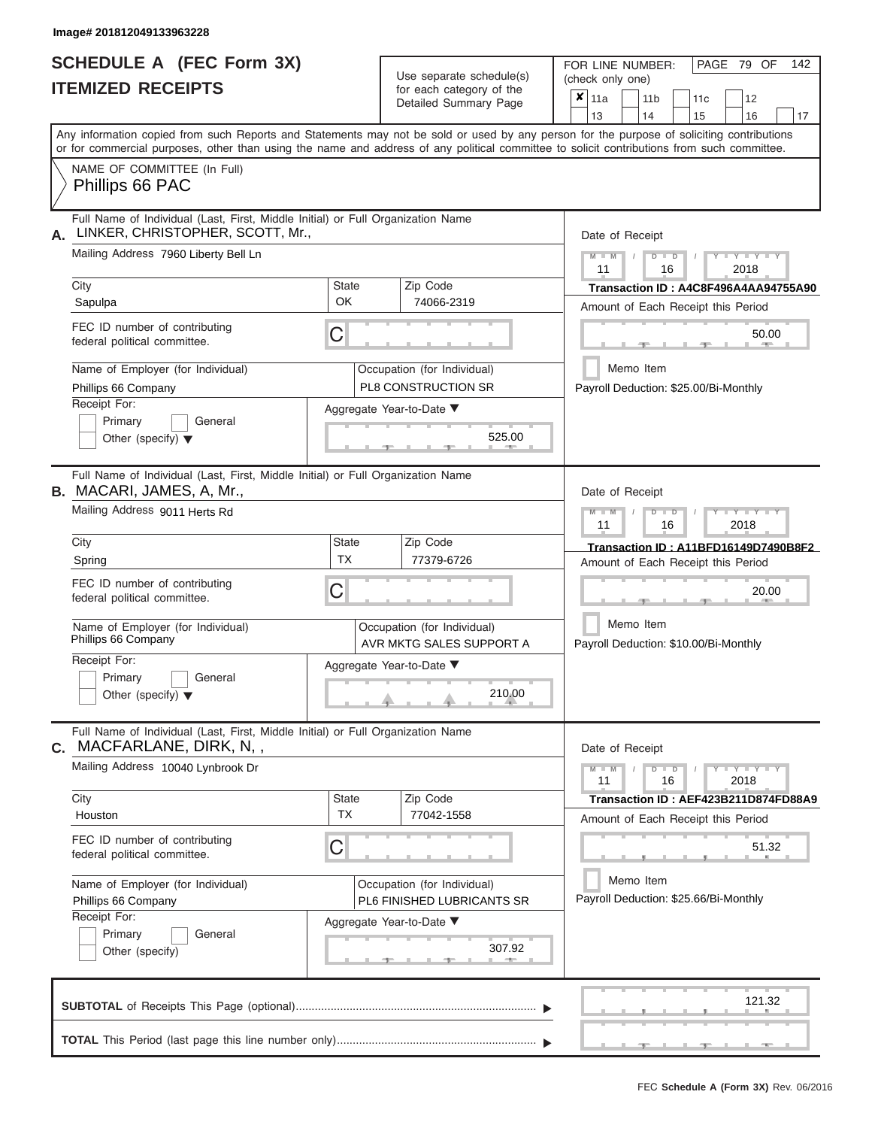ı

# **SCHEDULE A (FEC Form 3X) ITEMIZED RECEIPTS**

| SCHEDULE A (FEC Form 3X)<br><b>ITEMIZED RECEIPTS</b>                                                                                                              |                                                                                 | Use separate schedule(s)<br>for each category of the<br>Detailed Summary Page  | 142<br>FOR LINE NUMBER:<br>PAGE 79 OF<br>(check only one)<br>$\overline{\mathbf{x}}$   11a<br>11 <sub>b</sub><br>12<br>11c                                                                                                                                                              |  |
|-------------------------------------------------------------------------------------------------------------------------------------------------------------------|---------------------------------------------------------------------------------|--------------------------------------------------------------------------------|-----------------------------------------------------------------------------------------------------------------------------------------------------------------------------------------------------------------------------------------------------------------------------------------|--|
|                                                                                                                                                                   |                                                                                 |                                                                                | 13<br>14<br>15<br>16<br>17                                                                                                                                                                                                                                                              |  |
|                                                                                                                                                                   |                                                                                 |                                                                                | Any information copied from such Reports and Statements may not be sold or used by any person for the purpose of soliciting contributions<br>or for commercial purposes, other than using the name and address of any political committee to solicit contributions from such committee. |  |
| NAME OF COMMITTEE (In Full)<br>Phillips 66 PAC                                                                                                                    |                                                                                 |                                                                                |                                                                                                                                                                                                                                                                                         |  |
| Full Name of Individual (Last, First, Middle Initial) or Full Organization Name<br>LINKER, CHRISTOPHER, SCOTT, Mr.,<br>А.<br>Mailing Address 7960 Liberty Bell Ln |                                                                                 |                                                                                | Date of Receipt<br>$M - M$<br>$T - Y = T - Y = T - Y$<br>$D$ $D$<br>11<br>2018<br>16                                                                                                                                                                                                    |  |
| City<br>Sapulpa                                                                                                                                                   | State<br><b>OK</b>                                                              | Zip Code<br>74066-2319                                                         | Transaction ID: A4C8F496A4AA94755A90<br>Amount of Each Receipt this Period                                                                                                                                                                                                              |  |
| FEC ID number of contributing<br>federal political committee.                                                                                                     | С                                                                               |                                                                                | 50.00<br><b>AND </b>                                                                                                                                                                                                                                                                    |  |
| Name of Employer (for Individual)<br>Phillips 66 Company<br>Receipt For:                                                                                          |                                                                                 | Occupation (for Individual)<br>PL8 CONSTRUCTION SR<br>Aggregate Year-to-Date ▼ | Memo Item<br>Payroll Deduction: \$25.00/Bi-Monthly                                                                                                                                                                                                                                      |  |
| Primary<br>General<br>Other (specify) $\blacktriangledown$                                                                                                        |                                                                                 | 525.00                                                                         |                                                                                                                                                                                                                                                                                         |  |
| B. MACARI, JAMES, A, Mr.,                                                                                                                                         | Full Name of Individual (Last, First, Middle Initial) or Full Organization Name |                                                                                |                                                                                                                                                                                                                                                                                         |  |
|                                                                                                                                                                   | Mailing Address 9011 Herts Rd                                                   |                                                                                |                                                                                                                                                                                                                                                                                         |  |
| City                                                                                                                                                              | State<br><b>TX</b>                                                              | Zip Code                                                                       | Transaction ID: A11BFD16149D7490B8F2                                                                                                                                                                                                                                                    |  |
| Spring<br>FEC ID number of contributing<br>federal political committee.                                                                                           | С                                                                               | 77379-6726                                                                     | Amount of Each Receipt this Period<br>20.00                                                                                                                                                                                                                                             |  |
| Name of Employer (for Individual)<br>Phillips 66 Company                                                                                                          |                                                                                 | Occupation (for Individual)<br>AVR MKTG SALES SUPPORT A                        | Memo Item<br>Payroll Deduction: \$10.00/Bi-Monthly                                                                                                                                                                                                                                      |  |
| Receipt For:                                                                                                                                                      |                                                                                 | Aggregate Year-to-Date ▼                                                       |                                                                                                                                                                                                                                                                                         |  |
| Primary<br>General<br>Other (specify) $\blacktriangledown$                                                                                                        |                                                                                 | 210.00                                                                         |                                                                                                                                                                                                                                                                                         |  |
| Full Name of Individual (Last, First, Middle Initial) or Full Organization Name<br>C. MACFARLANE, DIRK, N,,                                                       |                                                                                 |                                                                                | Date of Receipt                                                                                                                                                                                                                                                                         |  |
| Mailing Address 10040 Lynbrook Dr                                                                                                                                 |                                                                                 |                                                                                | $M - M$<br>$D$ $D$<br>$Y - Y - Y - Y - Y$<br>11<br>16<br>2018                                                                                                                                                                                                                           |  |
| City<br>Houston                                                                                                                                                   | State<br><b>TX</b>                                                              | Zip Code<br>77042-1558                                                         | Transaction ID: AEF423B211D874FD88A9<br>Amount of Each Receipt this Period                                                                                                                                                                                                              |  |
| FEC ID number of contributing<br>federal political committee.                                                                                                     | С                                                                               |                                                                                | 51.32                                                                                                                                                                                                                                                                                   |  |
| Name of Employer (for Individual)<br>Phillips 66 Company                                                                                                          |                                                                                 | Occupation (for Individual)<br>PL6 FINISHED LUBRICANTS SR                      | Memo Item<br>Payroll Deduction: \$25.66/Bi-Monthly                                                                                                                                                                                                                                      |  |
| Receipt For:<br>Primary<br>General<br>Other (specify)                                                                                                             |                                                                                 | Aggregate Year-to-Date ▼<br>307.92                                             |                                                                                                                                                                                                                                                                                         |  |
|                                                                                                                                                                   |                                                                                 |                                                                                | 121.32                                                                                                                                                                                                                                                                                  |  |
|                                                                                                                                                                   |                                                                                 |                                                                                | $-$                                                                                                                                                                                                                                                                                     |  |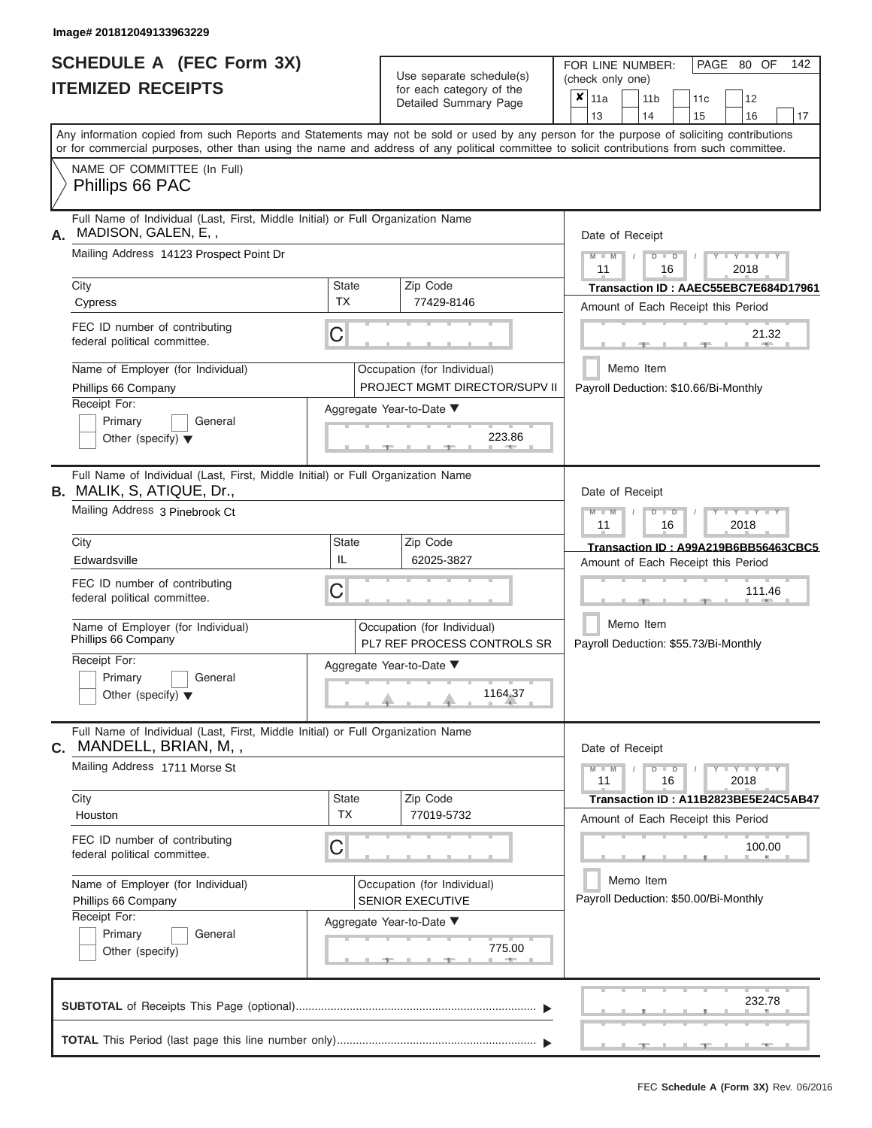|                          | SCHEDULE A (FEC Form 3X) |
|--------------------------|--------------------------|
| <b>ITEMIZED RECEIPTS</b> |                          |

| SCHEDULE A (FEC Form 3X)<br><b>ITEMIZED RECEIPTS</b>                                                                                                  |                           | Use separate schedule(s)<br>for each category of the<br>Detailed Summary Page | 142<br>FOR LINE NUMBER:<br>PAGE 80 OF<br>(check only one)<br>$\overline{\mathbf{x}}$   11a<br>11 <sub>b</sub><br>12<br>11 <sub>c</sub>                                                                                                                                                  |
|-------------------------------------------------------------------------------------------------------------------------------------------------------|---------------------------|-------------------------------------------------------------------------------|-----------------------------------------------------------------------------------------------------------------------------------------------------------------------------------------------------------------------------------------------------------------------------------------|
|                                                                                                                                                       |                           |                                                                               | 13<br>14<br>15<br>16<br>17                                                                                                                                                                                                                                                              |
|                                                                                                                                                       |                           |                                                                               | Any information copied from such Reports and Statements may not be sold or used by any person for the purpose of soliciting contributions<br>or for commercial purposes, other than using the name and address of any political committee to solicit contributions from such committee. |
| NAME OF COMMITTEE (In Full)<br>Phillips 66 PAC                                                                                                        |                           |                                                                               |                                                                                                                                                                                                                                                                                         |
| Full Name of Individual (Last, First, Middle Initial) or Full Organization Name<br>MADISON, GALEN, E,,<br>Α.                                          |                           |                                                                               | Date of Receipt                                                                                                                                                                                                                                                                         |
| Mailing Address 14123 Prospect Point Dr                                                                                                               |                           |                                                                               | $M - M$ /<br>$D$ $D$<br>$+Y + Y + Y$<br>11<br>2018<br>16                                                                                                                                                                                                                                |
| City<br>Cypress                                                                                                                                       | <b>State</b><br><b>TX</b> | Zip Code<br>77429-8146                                                        | Transaction ID: AAEC55EBC7E684D17961<br>Amount of Each Receipt this Period                                                                                                                                                                                                              |
| FEC ID number of contributing<br>federal political committee.                                                                                         | C                         |                                                                               | 21.32<br><b>Burn Allen</b><br>$-1$                                                                                                                                                                                                                                                      |
| Name of Employer (for Individual)<br>Phillips 66 Company                                                                                              |                           | Occupation (for Individual)<br>PROJECT MGMT DIRECTOR/SUPV II                  | Memo Item<br>Payroll Deduction: \$10.66/Bi-Monthly                                                                                                                                                                                                                                      |
| Receipt For:<br>Primary<br>General<br>Other (specify) $\blacktriangledown$                                                                            |                           | Aggregate Year-to-Date ▼<br>223.86<br><b>Contract Contract Contract</b>       |                                                                                                                                                                                                                                                                                         |
| Full Name of Individual (Last, First, Middle Initial) or Full Organization Name<br><b>B.</b> MALIK, S, ATIQUE, Dr.,<br>Mailing Address 3 Pinebrook Ct |                           |                                                                               | Date of Receipt                                                                                                                                                                                                                                                                         |
|                                                                                                                                                       |                           |                                                                               | $M - M$<br>$D$ $\Box$ $D$<br>$+Y+Y+Y$<br>11<br>2018<br>16                                                                                                                                                                                                                               |
| City<br>Edwardsville                                                                                                                                  | <b>State</b><br>IL        | Zip Code<br>62025-3827                                                        | Transaction ID: A99A219B6BB56463CBC5<br>Amount of Each Receipt this Period                                                                                                                                                                                                              |
| FEC ID number of contributing<br>federal political committee.                                                                                         | C                         |                                                                               | 111.46                                                                                                                                                                                                                                                                                  |
| Name of Employer (for Individual)<br>Phillips 66 Company                                                                                              |                           | Occupation (for Individual)<br>PL7 REF PROCESS CONTROLS SR                    | Memo Item<br>Payroll Deduction: \$55.73/Bi-Monthly                                                                                                                                                                                                                                      |
| Receipt For:<br>Primary<br>General<br>Other (specify) $\blacktriangledown$                                                                            |                           | Aggregate Year-to-Date ▼<br>1164.37                                           |                                                                                                                                                                                                                                                                                         |
| Full Name of Individual (Last, First, Middle Initial) or Full Organization Name<br>C. MANDELL, BRIAN, M,,                                             |                           |                                                                               | Date of Receipt                                                                                                                                                                                                                                                                         |
| Mailing Address 1711 Morse St                                                                                                                         |                           |                                                                               | $M - M$<br>$D$ $D$<br>$Y - Y - Y - Y - Y$<br>16<br>2018<br>11                                                                                                                                                                                                                           |
| City<br>Houston                                                                                                                                       | <b>State</b><br><b>TX</b> | Zip Code<br>77019-5732                                                        | Transaction ID: A11B2823BE5E24C5AB47<br>Amount of Each Receipt this Period                                                                                                                                                                                                              |
| FEC ID number of contributing<br>federal political committee.                                                                                         | C                         |                                                                               | 100.00                                                                                                                                                                                                                                                                                  |
| Name of Employer (for Individual)<br>Phillips 66 Company                                                                                              |                           | Occupation (for Individual)<br>SENIOR EXECUTIVE                               | Memo Item<br>Payroll Deduction: \$50.00/Bi-Monthly                                                                                                                                                                                                                                      |
| Receipt For:<br>Primary<br>General<br>Other (specify)                                                                                                 |                           | Aggregate Year-to-Date ▼<br>775.00                                            |                                                                                                                                                                                                                                                                                         |
|                                                                                                                                                       |                           |                                                                               | 232.78                                                                                                                                                                                                                                                                                  |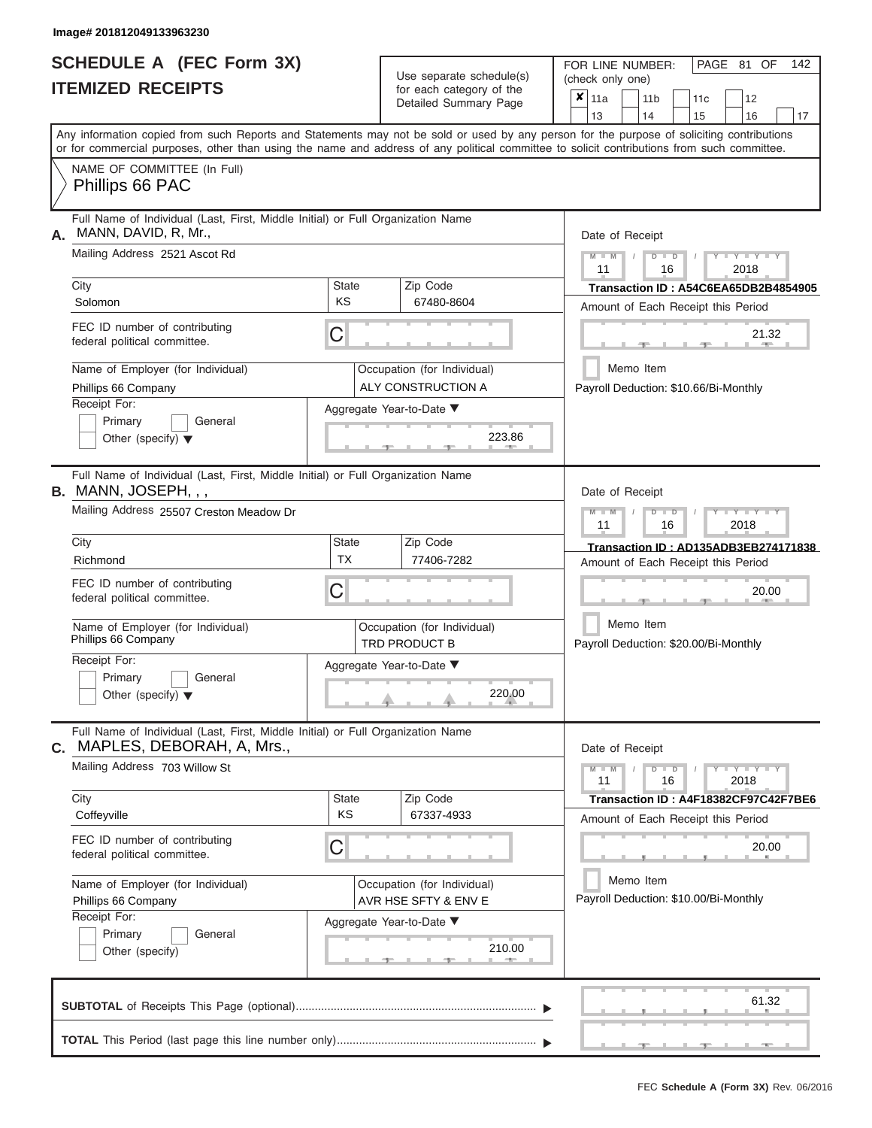# **SCHEDULE A (FEC Form 3X)**

| SCHEDULE A (FEC Form 3X)<br><b>ITEMIZED RECEIPTS</b>                                                                                                                                                                                                                                                                                                                                     |                         | Use separate schedule(s)<br>for each category of the<br>Detailed Summary Page                                                          | 142<br>FOR LINE NUMBER:<br>PAGE 81 OF<br>(check only one)<br>$\overline{\mathbf{x}}$   11a<br>11 <sub>b</sub><br>11 <sub>c</sub><br>12                                                                                                                   |
|------------------------------------------------------------------------------------------------------------------------------------------------------------------------------------------------------------------------------------------------------------------------------------------------------------------------------------------------------------------------------------------|-------------------------|----------------------------------------------------------------------------------------------------------------------------------------|----------------------------------------------------------------------------------------------------------------------------------------------------------------------------------------------------------------------------------------------------------|
| Any information copied from such Reports and Statements may not be sold or used by any person for the purpose of soliciting contributions                                                                                                                                                                                                                                                |                         |                                                                                                                                        | 13<br>14<br>15<br>16<br>17                                                                                                                                                                                                                               |
| or for commercial purposes, other than using the name and address of any political committee to solicit contributions from such committee.<br>NAME OF COMMITTEE (In Full)<br>Phillips 66 PAC                                                                                                                                                                                             |                         |                                                                                                                                        |                                                                                                                                                                                                                                                          |
| Full Name of Individual (Last, First, Middle Initial) or Full Organization Name<br>MANN, DAVID, R, Mr.,<br>А.<br>Mailing Address 2521 Ascot Rd<br>City<br>Solomon<br>FEC ID number of contributing<br>federal political committee.<br>Name of Employer (for Individual)<br>Phillips 66 Company<br>Receipt For:<br>Primary<br>General<br>Other (specify) $\blacktriangledown$             | State<br><b>KS</b><br>C | Zip Code<br>67480-8604<br>Occupation (for Individual)<br>ALY CONSTRUCTION A<br>Aggregate Year-to-Date ▼<br>223.86<br><b>CONTRACTOR</b> | Date of Receipt<br>$M - M$ /<br>$Y$ $Y$ $Y$ $Y$<br>$D$ $D$<br>11<br>2018<br>16<br>Transaction ID: A54C6EA65DB2B4854905<br>Amount of Each Receipt this Period<br>21.32<br><b>CONTRACTOR</b><br>-40-<br>Memo Item<br>Payroll Deduction: \$10.66/Bi-Monthly |
| Full Name of Individual (Last, First, Middle Initial) or Full Organization Name<br><b>B.</b> MANN, JOSEPH, , ,<br>Mailing Address 25507 Creston Meadow Dr<br>City<br>Richmond<br>FEC ID number of contributing<br>federal political committee.<br>Name of Employer (for Individual)<br>Phillips 66 Company<br>Receipt For:<br>Primary<br>General<br>Other (specify) $\blacktriangledown$ | State<br><b>TX</b><br>С | Zip Code<br>77406-7282<br>Occupation (for Individual)<br>TRD PRODUCT B<br>Aggregate Year-to-Date ▼<br>220.00                           | Date of Receipt<br>$M - M$<br>$D$ $D$<br>$+Y+Y+Y$<br>11<br>2018<br>16<br>Transaction ID: AD135ADB3EB274171838<br>Amount of Each Receipt this Period<br>20.00<br>Memo Item<br>Payroll Deduction: \$20.00/Bi-Monthly                                       |
| Full Name of Individual (Last, First, Middle Initial) or Full Organization Name<br>MAPLES, DEBORAH, A, Mrs.,<br>С.<br>Mailing Address 703 Willow St<br>City<br>Coffeyville<br>FEC ID number of contributing<br>federal political committee.<br>Name of Employer (for Individual)<br>Phillips 66 Company<br>Receipt For:<br>Primary<br>General<br>Other (specify)                         | State<br><b>KS</b><br>С | Zip Code<br>67337-4933<br>Occupation (for Individual)<br>AVR HSE SFTY & ENV E<br>Aggregate Year-to-Date ▼<br>210.00                    | Date of Receipt<br>$M - M$<br>$D$ $D$<br>$  Y$ $  Y$ $  Y$<br>11<br>16<br>2018<br>Transaction ID: A4F18382CF97C42F7BE6<br>Amount of Each Receipt this Period<br>20.00<br>Memo Item<br>Payroll Deduction: \$10.00/Bi-Monthly                              |
|                                                                                                                                                                                                                                                                                                                                                                                          |                         |                                                                                                                                        | 61.32<br>$-9$<br>$-1$                                                                                                                                                                                                                                    |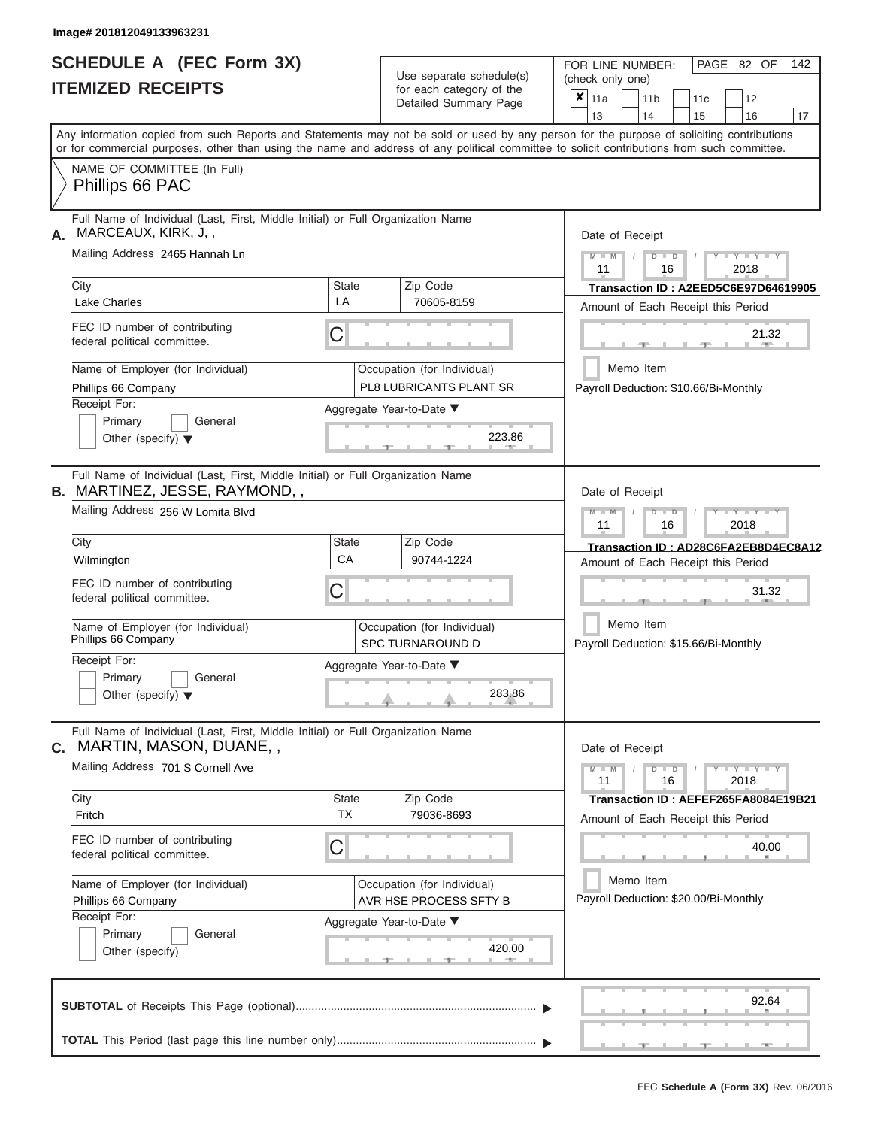|                          | SCHEDULE A (FEC Form 3X) |
|--------------------------|--------------------------|
| <b>ITEMIZED RECEIPTS</b> |                          |

Use separate schedule(s)<br>for each category of the

FOR LINE NUMBER:

PAGE 82 OF 142

| <b>ITEMIZED RECEIPTS</b>                                           |                                                                                                                                                                                                                                                                                         |                    | Use separate schedule(s)                               | (check only one) |                 |  |                                                                            |    |     |                                 |       |                                      |
|--------------------------------------------------------------------|-----------------------------------------------------------------------------------------------------------------------------------------------------------------------------------------------------------------------------------------------------------------------------------------|--------------------|--------------------------------------------------------|------------------|-----------------|--|----------------------------------------------------------------------------|----|-----|---------------------------------|-------|--------------------------------------|
|                                                                    |                                                                                                                                                                                                                                                                                         |                    | for each category of the<br>Detailed Summary Page      | $x _{11a}$       | 13              |  | 11 <sub>b</sub><br>14                                                      | 15 | 11c | 12<br>16                        |       | 17                                   |
|                                                                    | Any information copied from such Reports and Statements may not be sold or used by any person for the purpose of soliciting contributions<br>or for commercial purposes, other than using the name and address of any political committee to solicit contributions from such committee. |                    |                                                        |                  |                 |  |                                                                            |    |     |                                 |       |                                      |
|                                                                    | NAME OF COMMITTEE (In Full)<br>Phillips 66 PAC                                                                                                                                                                                                                                          |                    |                                                        |                  |                 |  |                                                                            |    |     |                                 |       |                                      |
| А.                                                                 | Full Name of Individual (Last, First, Middle Initial) or Full Organization Name<br>MARCEAUX, KIRK, J,,                                                                                                                                                                                  |                    |                                                        |                  | Date of Receipt |  |                                                                            |    |     |                                 |       |                                      |
|                                                                    | Mailing Address 2465 Hannah Ln                                                                                                                                                                                                                                                          |                    |                                                        |                  | $M - M$<br>11   |  | $D$ $D$<br>16                                                              |    |     | $Y - Y - Y$<br>2018             |       |                                      |
|                                                                    | City<br>Lake Charles                                                                                                                                                                                                                                                                    | <b>State</b><br>LA | Zip Code<br>70605-8159                                 |                  |                 |  | Transaction ID: A2EED5C6E97D64619905<br>Amount of Each Receipt this Period |    |     |                                 |       |                                      |
|                                                                    | FEC ID number of contributing<br>federal political committee.                                                                                                                                                                                                                           | C                  |                                                        |                  |                 |  |                                                                            |    |     |                                 | 21.32 |                                      |
|                                                                    | Name of Employer (for Individual)<br>Phillips 66 Company                                                                                                                                                                                                                                |                    | Occupation (for Individual)<br>PL8 LUBRICANTS PLANT SR |                  |                 |  | Memo Item<br>Payroll Deduction: \$10.66/Bi-Monthly                         |    |     |                                 |       |                                      |
|                                                                    | Receipt For:<br>Primary<br>General<br>Other (specify) $\blacktriangledown$                                                                                                                                                                                                              |                    | Aggregate Year-to-Date ▼<br>223.86                     |                  |                 |  |                                                                            |    |     |                                 |       |                                      |
|                                                                    | Full Name of Individual (Last, First, Middle Initial) or Full Organization Name<br><b>B.</b> MARTINEZ, JESSE, RAYMOND, ,                                                                                                                                                                |                    |                                                        |                  | Date of Receipt |  |                                                                            |    |     |                                 |       |                                      |
|                                                                    | Mailing Address 256 W Lomita Blvd                                                                                                                                                                                                                                                       |                    |                                                        |                  | $M - M$<br>11   |  | $D$ $\Box$ $D$<br>16                                                       |    |     | $T - Y = T - Y = T - Y$<br>2018 |       |                                      |
|                                                                    | City<br>Wilmington                                                                                                                                                                                                                                                                      | <b>State</b><br>CA | Zip Code<br>90744-1224                                 |                  |                 |  | Amount of Each Receipt this Period                                         |    |     |                                 |       | Transaction ID: AD28C6FA2EB8D4EC8A12 |
| FEC ID number of contributing<br>С<br>federal political committee. |                                                                                                                                                                                                                                                                                         |                    |                                                        |                  |                 |  |                                                                            |    |     |                                 | 31.32 |                                      |
|                                                                    | Name of Employer (for Individual)<br>Phillips 66 Company                                                                                                                                                                                                                                |                    | Occupation (for Individual)<br><b>SPC TURNAROUND D</b> |                  |                 |  | Memo Item<br>Payroll Deduction: \$15.66/Bi-Monthly                         |    |     |                                 |       |                                      |
|                                                                    | Receipt For:<br>Primary<br>General<br>Other (specify) $\blacktriangledown$                                                                                                                                                                                                              |                    | Aggregate Year-to-Date ▼<br>283.86                     |                  |                 |  |                                                                            |    |     |                                 |       |                                      |
|                                                                    | Full Name of Individual (Last, First, Middle Initial) or Full Organization Name<br><b>c.</b> MARTIN, MASON, DUANE, ,                                                                                                                                                                    |                    |                                                        |                  |                 |  | Date of Receipt                                                            |    |     |                                 |       |                                      |
|                                                                    | Mailing Address 701 S Cornell Ave                                                                                                                                                                                                                                                       |                    |                                                        |                  | $M - M$<br>11   |  | $D$ $D$<br>16                                                              |    |     | $Y - Y - Y - Y - Y$<br>2018     |       |                                      |
|                                                                    | City<br>Fritch                                                                                                                                                                                                                                                                          | State<br><b>TX</b> | Zip Code<br>79036-8693                                 |                  |                 |  | Transaction ID: AEFEF265FA8084E19B21<br>Amount of Each Receipt this Period |    |     |                                 |       |                                      |
|                                                                    | FEC ID number of contributing<br>federal political committee.                                                                                                                                                                                                                           | C                  |                                                        |                  |                 |  |                                                                            |    |     |                                 | 40.00 |                                      |
|                                                                    | Name of Employer (for Individual)<br>Phillips 66 Company                                                                                                                                                                                                                                |                    | Occupation (for Individual)<br>AVR HSE PROCESS SFTY B  |                  |                 |  | Memo Item<br>Payroll Deduction: \$20.00/Bi-Monthly                         |    |     |                                 |       |                                      |
|                                                                    | Receipt For:<br>Primary<br>General<br>Other (specify)                                                                                                                                                                                                                                   |                    | Aggregate Year-to-Date ▼<br>420.00<br>48.75            |                  |                 |  |                                                                            |    |     |                                 |       |                                      |
|                                                                    |                                                                                                                                                                                                                                                                                         |                    |                                                        |                  |                 |  |                                                                            |    |     |                                 | 92.64 |                                      |
|                                                                    |                                                                                                                                                                                                                                                                                         |                    |                                                        |                  |                 |  |                                                                            |    |     |                                 |       |                                      |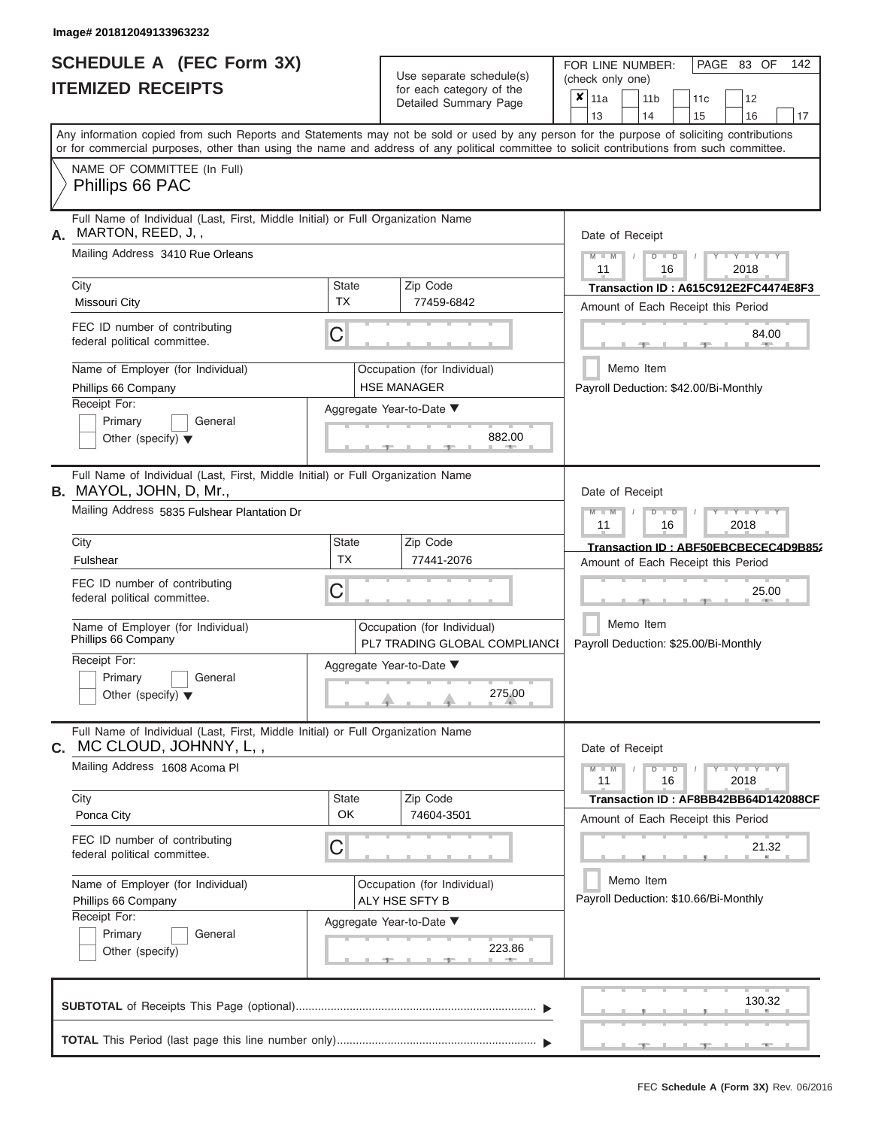|                          | SCHEDULE A (FEC Form 3X) |
|--------------------------|--------------------------|
| <b>ITEMIZED RECEIPTS</b> |                          |

Use separate schedule(s)<br>for each category of the

FOR LINE NUMBER:<br>(check only one)

PAGE 83 OF 142

|    | IILMILLU I\LVLII IV                                                                                                                                                                                                                                                                     |                           | iui cauli ualcyuly ul lilc<br>Detailed Summary Page          |  | × | 11a<br>13                             |           | 11 <sub>b</sub><br>14 |               | 15 | 11c | 12<br>16     |                       | 17                                   |
|----|-----------------------------------------------------------------------------------------------------------------------------------------------------------------------------------------------------------------------------------------------------------------------------------------|---------------------------|--------------------------------------------------------------|--|---|---------------------------------------|-----------|-----------------------|---------------|----|-----|--------------|-----------------------|--------------------------------------|
|    | Any information copied from such Reports and Statements may not be sold or used by any person for the purpose of soliciting contributions<br>or for commercial purposes, other than using the name and address of any political committee to solicit contributions from such committee. |                           |                                                              |  |   |                                       |           |                       |               |    |     |              |                       |                                      |
|    | NAME OF COMMITTEE (In Full)<br>Phillips 66 PAC                                                                                                                                                                                                                                          |                           |                                                              |  |   |                                       |           |                       |               |    |     |              |                       |                                      |
| А. | Full Name of Individual (Last, First, Middle Initial) or Full Organization Name<br>MARTON, REED, J,,                                                                                                                                                                                    |                           |                                                              |  |   | Date of Receipt                       |           |                       |               |    |     |              |                       |                                      |
|    | Mailing Address 3410 Rue Orleans                                                                                                                                                                                                                                                        |                           |                                                              |  |   | $M - M$<br>11                         |           |                       | $D$ $D$<br>16 |    |     | 2018         | $T - Y$               |                                      |
|    | City<br>Missouri City                                                                                                                                                                                                                                                                   | <b>State</b><br><b>TX</b> | Zip Code<br>77459-6842                                       |  |   | Amount of Each Receipt this Period    |           |                       |               |    |     |              |                       | Transaction ID: A615C912E2FC4474E8F3 |
|    | FEC ID number of contributing<br>federal political committee.                                                                                                                                                                                                                           | С                         |                                                              |  |   |                                       |           |                       |               |    |     |              | 84.00<br><b>ALLEY</b> |                                      |
|    | Name of Employer (for Individual)<br>Phillips 66 Company                                                                                                                                                                                                                                |                           | Occupation (for Individual)<br><b>HSE MANAGER</b>            |  |   | Payroll Deduction: \$42.00/Bi-Monthly | Memo Item |                       |               |    |     |              |                       |                                      |
|    | Receipt For:<br>Primary<br>General<br>Other (specify) $\blacktriangledown$                                                                                                                                                                                                              |                           | Aggregate Year-to-Date ▼<br>882.00<br><b>COMMA</b>           |  |   |                                       |           |                       |               |    |     |              |                       |                                      |
|    | Full Name of Individual (Last, First, Middle Initial) or Full Organization Name<br><b>B.</b> MAYOL, JOHN, D, Mr.,                                                                                                                                                                       |                           |                                                              |  |   | Date of Receipt                       |           |                       |               |    |     |              |                       |                                      |
|    | Mailing Address 5835 Fulshear Plantation Dr                                                                                                                                                                                                                                             |                           |                                                              |  |   | $M - M$<br>11                         |           |                       | $D$ $D$<br>16 |    |     | $-Y$<br>2018 |                       |                                      |
|    | City<br>Fulshear                                                                                                                                                                                                                                                                        | <b>State</b><br><b>TX</b> | Zip Code<br>77441-2076                                       |  |   | Amount of Each Receipt this Period    |           |                       |               |    |     |              |                       | Transaction ID: ABF50EBCBECEC4D9B852 |
|    | FEC ID number of contributing<br>federal political committee.                                                                                                                                                                                                                           | C                         |                                                              |  |   |                                       |           |                       |               |    |     |              | 25.00                 |                                      |
|    | Name of Employer (for Individual)<br>Phillips 66 Company                                                                                                                                                                                                                                |                           | Occupation (for Individual)<br>PL7 TRADING GLOBAL COMPLIANCI |  |   | Payroll Deduction: \$25.00/Bi-Monthly | Memo Item |                       |               |    |     |              |                       |                                      |
|    | Receipt For:<br>Primary<br>General<br>Other (specify) $\blacktriangledown$                                                                                                                                                                                                              |                           | Aggregate Year-to-Date ▼<br>275.00                           |  |   |                                       |           |                       |               |    |     |              |                       |                                      |
| С. | Full Name of Individual (Last, First, Middle Initial) or Full Organization Name<br>MC CLOUD, JOHNNY, L,,                                                                                                                                                                                |                           |                                                              |  |   | Date of Receipt                       |           |                       |               |    |     |              |                       |                                      |
|    | Mailing Address 1608 Acoma PI                                                                                                                                                                                                                                                           |                           |                                                              |  |   | $M - M$<br>11                         |           |                       | $D$ $D$<br>16 |    |     | 2018         | $-Y - Y - Y - Y$      |                                      |
|    | City<br>Ponca City                                                                                                                                                                                                                                                                      | <b>State</b><br>OK        | Zip Code<br>74604-3501                                       |  |   | Amount of Each Receipt this Period    |           |                       |               |    |     |              |                       | Transaction ID: AF8BB42BB64D142088CF |
|    | FEC ID number of contributing<br>federal political committee.                                                                                                                                                                                                                           | С                         |                                                              |  |   |                                       |           |                       |               |    |     |              | 21.32                 |                                      |
|    | Name of Employer (for Individual)<br>Phillips 66 Company                                                                                                                                                                                                                                |                           | Occupation (for Individual)<br>ALY HSE SFTY B                |  |   | Payroll Deduction: \$10.66/Bi-Monthly | Memo Item |                       |               |    |     |              |                       |                                      |
|    | Receipt For:<br>Primary<br>General<br>Other (specify)                                                                                                                                                                                                                                   |                           | Aggregate Year-to-Date ▼<br>223.86                           |  |   |                                       |           |                       |               |    |     |              |                       |                                      |
|    |                                                                                                                                                                                                                                                                                         |                           |                                                              |  |   |                                       |           |                       |               |    |     |              | 130.32                |                                      |
|    |                                                                                                                                                                                                                                                                                         |                           |                                                              |  |   |                                       |           |                       |               |    |     |              |                       |                                      |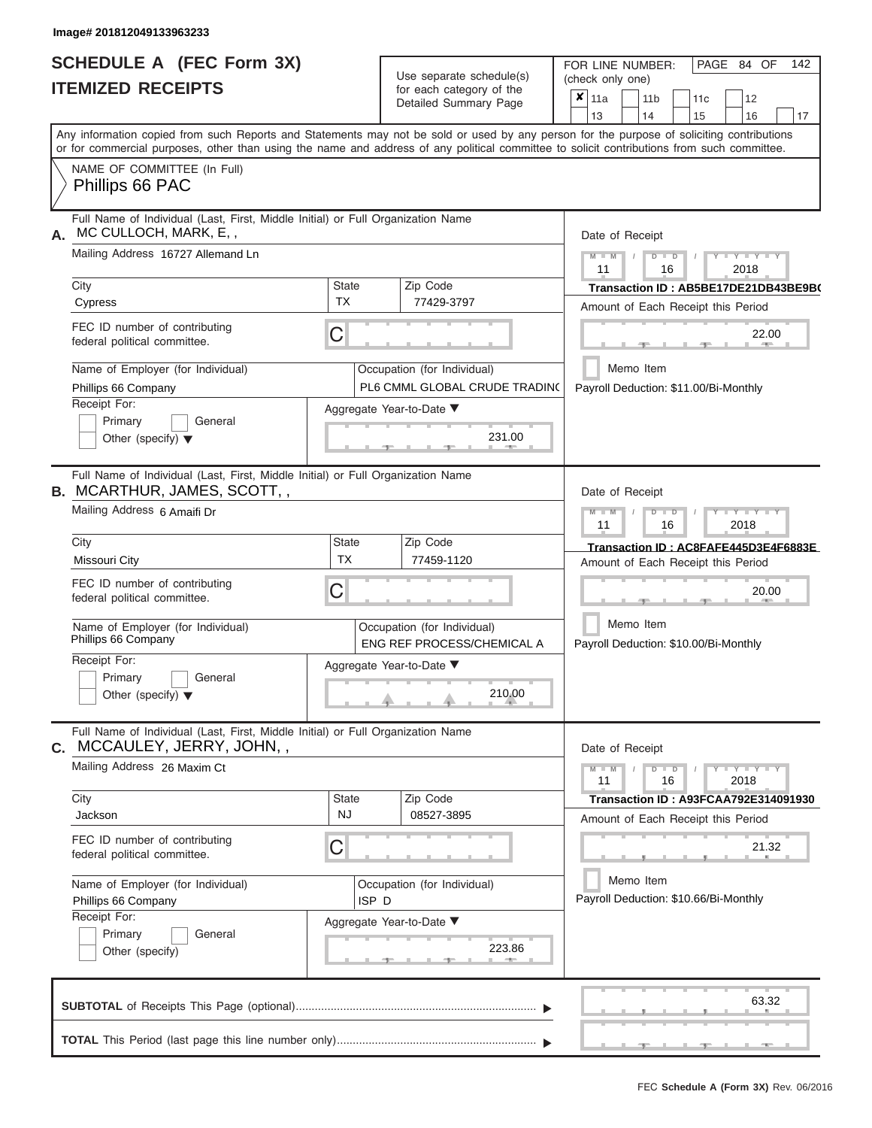|                          | <b>SCHEDULE A (FEC Form 3X)</b> |
|--------------------------|---------------------------------|
| <b>ITEMIZED RECEIPTS</b> |                                 |

| SCHEDULE A (FEC Form 3X)<br><b>ITEMIZED RECEIPTS</b>                                                                                                                                                                                                                                    |                           | Use separate schedule(s)<br>for each category of the         | 142<br>FOR LINE NUMBER:<br>PAGE 84 OF<br>(check only one)                                               |
|-----------------------------------------------------------------------------------------------------------------------------------------------------------------------------------------------------------------------------------------------------------------------------------------|---------------------------|--------------------------------------------------------------|---------------------------------------------------------------------------------------------------------|
|                                                                                                                                                                                                                                                                                         |                           | Detailed Summary Page                                        | $\overline{\mathbf{x}}$   11a<br>11 <sub>b</sub><br>12<br>11 <sub>c</sub><br>14<br>15<br>16<br>13<br>17 |
| Any information copied from such Reports and Statements may not be sold or used by any person for the purpose of soliciting contributions<br>or for commercial purposes, other than using the name and address of any political committee to solicit contributions from such committee. |                           |                                                              |                                                                                                         |
| NAME OF COMMITTEE (In Full)<br>Phillips 66 PAC                                                                                                                                                                                                                                          |                           |                                                              |                                                                                                         |
| Full Name of Individual (Last, First, Middle Initial) or Full Organization Name<br>MC CULLOCH, MARK, E,,<br>А.                                                                                                                                                                          |                           |                                                              | Date of Receipt                                                                                         |
| Mailing Address 16727 Allemand Ln                                                                                                                                                                                                                                                       |                           |                                                              | $M$ – $M$ /<br>$T - Y = Y - T Y$<br>$D$ $D$<br>11<br>2018<br>16                                         |
| City<br>Cypress                                                                                                                                                                                                                                                                         | State<br><b>TX</b>        | Zip Code<br>77429-3797                                       | Transaction ID: AB5BE17DE21DB43BE9B(<br>Amount of Each Receipt this Period                              |
| FEC ID number of contributing<br>federal political committee.                                                                                                                                                                                                                           | C                         |                                                              | 22.00<br><b>Britannia</b><br>$-1$                                                                       |
| Name of Employer (for Individual)<br>Phillips 66 Company                                                                                                                                                                                                                                |                           | Occupation (for Individual)<br>PL6 CMML GLOBAL CRUDE TRADING | Memo Item<br>Payroll Deduction: \$11.00/Bi-Monthly                                                      |
| Receipt For:<br>Primary<br>General<br>Other (specify) $\blacktriangledown$                                                                                                                                                                                                              |                           | Aggregate Year-to-Date ▼<br>231.00<br><b>CONTRACTOR</b>      |                                                                                                         |
| Full Name of Individual (Last, First, Middle Initial) or Full Organization Name<br><b>B. MCARTHUR, JAMES, SCOTT,,</b><br>Mailing Address 6 Amaifi Dr                                                                                                                                    |                           |                                                              | Date of Receipt<br>$M - M$<br>$D$ $D$<br>$+Y+Y+Y$                                                       |
| City                                                                                                                                                                                                                                                                                    | <b>State</b>              | Zip Code                                                     | 11<br>2018<br>16<br>Transaction ID: AC8FAFE445D3E4F6883E                                                |
| Missouri City                                                                                                                                                                                                                                                                           | <b>TX</b>                 | 77459-1120                                                   | Amount of Each Receipt this Period                                                                      |
| FEC ID number of contributing<br>federal political committee.                                                                                                                                                                                                                           | C                         |                                                              | 20.00                                                                                                   |
| Name of Employer (for Individual)<br>Phillips 66 Company                                                                                                                                                                                                                                |                           | Occupation (for Individual)<br>ENG REF PROCESS/CHEMICAL A    | Memo Item<br>Payroll Deduction: \$10.00/Bi-Monthly                                                      |
| Receipt For:                                                                                                                                                                                                                                                                            |                           | Aggregate Year-to-Date ▼                                     |                                                                                                         |
| Primary<br>General<br>Other (specify) $\blacktriangledown$                                                                                                                                                                                                                              |                           | 210.00                                                       |                                                                                                         |
| Full Name of Individual (Last, First, Middle Initial) or Full Organization Name<br>C. MCCAULEY, JERRY, JOHN,,                                                                                                                                                                           |                           |                                                              | Date of Receipt                                                                                         |
| Mailing Address 26 Maxim Ct                                                                                                                                                                                                                                                             |                           |                                                              | $M - M$<br>$D$ $D$<br>$Y - Y - Y - Y - Y$<br>11<br>2018<br>16                                           |
| City<br>Jackson                                                                                                                                                                                                                                                                         | <b>State</b><br><b>NJ</b> | Zip Code<br>08527-3895                                       | Transaction ID: A93FCAA792E314091930<br>Amount of Each Receipt this Period                              |
| FEC ID number of contributing<br>federal political committee.                                                                                                                                                                                                                           | С                         |                                                              | 21.32                                                                                                   |
| Name of Employer (for Individual)<br>Phillips 66 Company                                                                                                                                                                                                                                | ISP <sub>D</sub>          | Occupation (for Individual)                                  | Memo Item<br>Payroll Deduction: \$10.66/Bi-Monthly                                                      |
| Receipt For:<br>Primary<br>General<br>Other (specify)                                                                                                                                                                                                                                   |                           | Aggregate Year-to-Date ▼<br>223.86                           |                                                                                                         |
|                                                                                                                                                                                                                                                                                         |                           |                                                              | 63.32                                                                                                   |
|                                                                                                                                                                                                                                                                                         |                           |                                                              | $-9$<br>$-1$                                                                                            |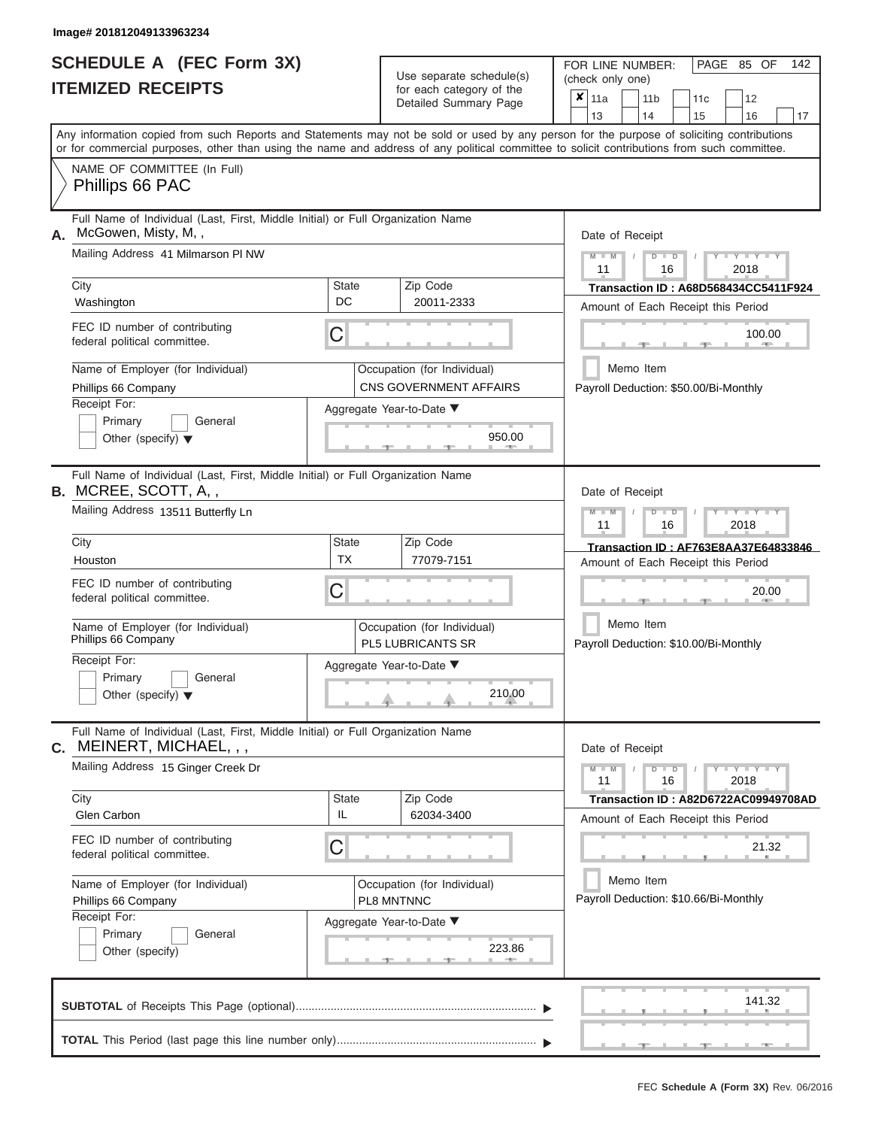ı

# **SCHEDULE A (FEC Form 3X) ITEMIZED RECEIPTS**

Use separate schedule(s)

FOR LINE NUMBER:<br>(check only one)

PAGE 85 OF 142

|      |                                                                                                                                                                                                                                                                                         |              |                                                       | $\pmb{\times}$ | 11a                                                |           | 11 <sub>b</sub> |                      | 11 <sub>c</sub>                       |       | 12                              |                                      |
|------|-----------------------------------------------------------------------------------------------------------------------------------------------------------------------------------------------------------------------------------------------------------------------------------------|--------------|-------------------------------------------------------|----------------|----------------------------------------------------|-----------|-----------------|----------------------|---------------------------------------|-------|---------------------------------|--------------------------------------|
|      |                                                                                                                                                                                                                                                                                         |              | Detailed Summary Page                                 |                | 13                                                 |           | 14              |                      | 15                                    |       | 16                              | 17                                   |
|      | Any information copied from such Reports and Statements may not be sold or used by any person for the purpose of soliciting contributions<br>or for commercial purposes, other than using the name and address of any political committee to solicit contributions from such committee. |              |                                                       |                |                                                    |           |                 |                      |                                       |       |                                 |                                      |
|      | NAME OF COMMITTEE (In Full)<br>Phillips 66 PAC                                                                                                                                                                                                                                          |              |                                                       |                |                                                    |           |                 |                      |                                       |       |                                 |                                      |
| Α.   | Full Name of Individual (Last, First, Middle Initial) or Full Organization Name<br>McGowen, Misty, M,,                                                                                                                                                                                  |              |                                                       |                | Date of Receipt                                    |           |                 |                      |                                       |       |                                 |                                      |
|      | Mailing Address 41 Milmarson PI NW                                                                                                                                                                                                                                                      |              |                                                       |                | $M - M$<br>11                                      |           |                 | $D$ $\Box$ $D$<br>16 |                                       |       | $-Y - Y - Y - Y$<br>2018        |                                      |
| City |                                                                                                                                                                                                                                                                                         | <b>State</b> | Zip Code                                              |                |                                                    |           |                 |                      |                                       |       |                                 | Transaction ID: A68D568434CC5411F924 |
|      | Washington                                                                                                                                                                                                                                                                              | DC           | 20011-2333                                            |                |                                                    |           |                 |                      | Amount of Each Receipt this Period    |       |                                 |                                      |
|      | FEC ID number of contributing<br>federal political committee.                                                                                                                                                                                                                           | С            |                                                       |                |                                                    |           |                 |                      |                                       |       | 100.00                          |                                      |
|      | Name of Employer (for Individual)<br>Phillips 66 Company                                                                                                                                                                                                                                |              | Occupation (for Individual)<br>CNS GOVERNMENT AFFAIRS |                |                                                    | Memo Item |                 |                      | Payroll Deduction: \$50.00/Bi-Monthly |       |                                 |                                      |
|      | Receipt For:<br>Primary<br>General<br>Other (specify) $\blacktriangledown$                                                                                                                                                                                                              |              | Aggregate Year-to-Date ▼<br>950.00                    |                |                                                    |           |                 |                      |                                       |       |                                 |                                      |
|      | Full Name of Individual (Last, First, Middle Initial) or Full Organization Name<br>B. MCREE, SCOTT, A,,                                                                                                                                                                                 |              |                                                       |                | Date of Receipt                                    |           |                 |                      |                                       |       |                                 |                                      |
|      | Mailing Address 13511 Butterfly Ln                                                                                                                                                                                                                                                      |              |                                                       |                | $M - M$<br>11                                      |           |                 | $D$ $\Box$ $D$<br>16 |                                       |       | $T - Y = T - Y = T - Y$<br>2018 |                                      |
| City |                                                                                                                                                                                                                                                                                         | <b>State</b> | Zip Code                                              |                |                                                    |           |                 |                      |                                       |       |                                 | Transaction ID: AF763E8AA37E64833846 |
|      | Houston                                                                                                                                                                                                                                                                                 | <b>TX</b>    | 77079-7151                                            |                |                                                    |           |                 |                      | Amount of Each Receipt this Period    |       |                                 |                                      |
|      | FEC ID number of contributing<br>federal political committee.                                                                                                                                                                                                                           |              |                                                       |                |                                                    |           |                 |                      |                                       | 20.00 |                                 |                                      |
|      | Name of Employer (for Individual)<br>Phillips 66 Company                                                                                                                                                                                                                                |              | Occupation (for Individual)<br>PL5 LUBRICANTS SR      |                | Memo Item<br>Payroll Deduction: \$10.00/Bi-Monthly |           |                 |                      |                                       |       |                                 |                                      |
|      | Receipt For:<br>Primary<br>General<br>Other (specify) $\blacktriangledown$                                                                                                                                                                                                              |              | Aggregate Year-to-Date ▼<br>210.00                    |                |                                                    |           |                 |                      |                                       |       |                                 |                                      |
|      | Full Name of Individual (Last, First, Middle Initial) or Full Organization Name<br>C. MEINERT, MICHAEL, , ,                                                                                                                                                                             |              |                                                       |                | Date of Receipt                                    |           |                 |                      |                                       |       |                                 |                                      |
|      | Mailing Address 15 Ginger Creek Dr                                                                                                                                                                                                                                                      |              |                                                       |                | $M - M$<br>11                                      |           |                 | $D$ $D$<br>16        |                                       |       | $Y = Y = Y' + Y'$<br>2018       |                                      |
| City | Glen Carbon                                                                                                                                                                                                                                                                             | State<br>IL  | Zip Code<br>62034-3400                                |                |                                                    |           |                 |                      | Amount of Each Receipt this Period    |       |                                 | Transaction ID: A82D6722AC09949708AD |
|      | FEC ID number of contributing<br>federal political committee.                                                                                                                                                                                                                           | С            |                                                       |                |                                                    |           |                 |                      |                                       |       | 21.32                           |                                      |
|      | Name of Employer (for Individual)<br>Phillips 66 Company                                                                                                                                                                                                                                |              | Occupation (for Individual)<br>PL8 MNTNNC             |                |                                                    | Memo Item |                 |                      | Payroll Deduction: \$10.66/Bi-Monthly |       |                                 |                                      |
|      | Receipt For:                                                                                                                                                                                                                                                                            |              | Aggregate Year-to-Date ▼                              |                |                                                    |           |                 |                      |                                       |       |                                 |                                      |
|      | Primary<br>General<br>Other (specify)                                                                                                                                                                                                                                                   |              | 223.86<br><b>ARCHITECT</b>                            |                |                                                    |           |                 |                      |                                       |       |                                 |                                      |
|      |                                                                                                                                                                                                                                                                                         |              |                                                       |                |                                                    |           |                 |                      |                                       |       |                                 |                                      |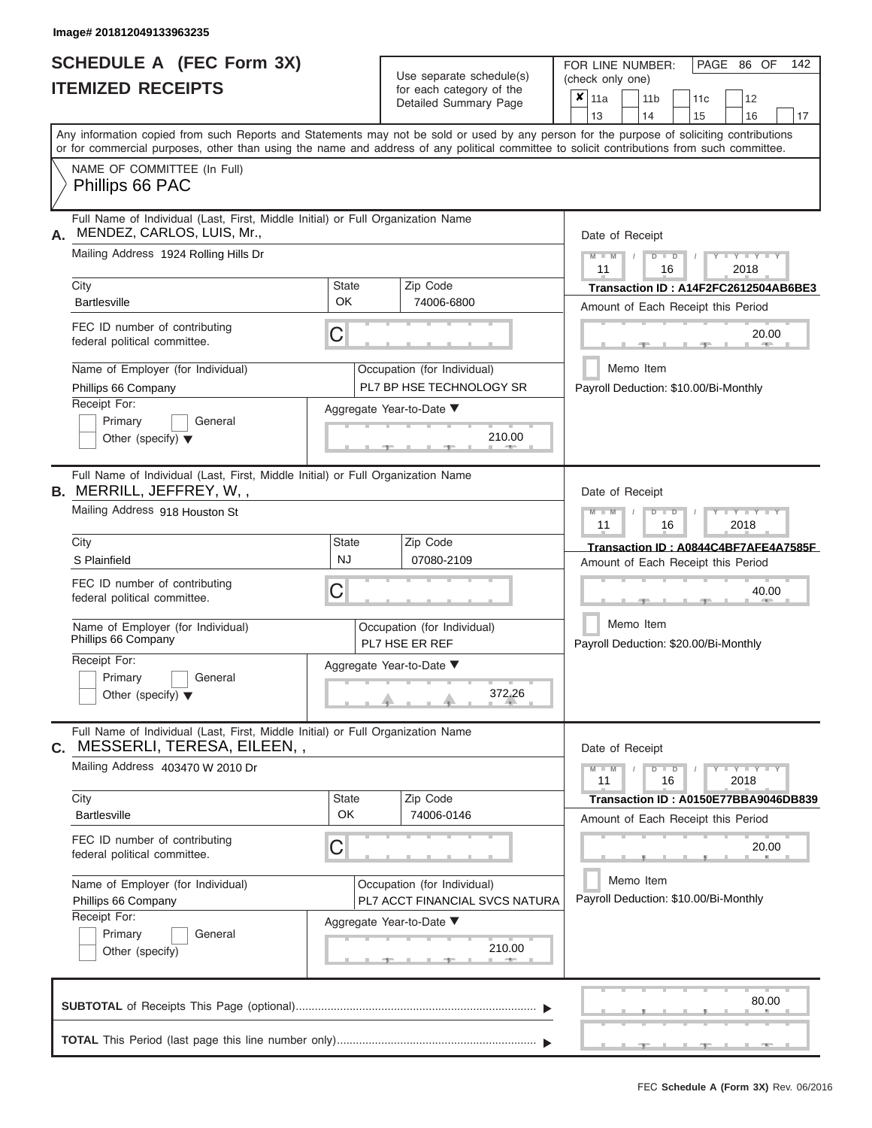# **SCHEDULE A (FEC Form 3X)**

| SCHEDULE A (FEC Form 3X)<br><b>ITEMIZED RECEIPTS</b>                                                                                                                                                                                                                                    |                           | Use separate schedule(s)<br>for each category of the<br>Detailed Summary Page | 142<br>FOR LINE NUMBER:<br>PAGE 86 OF<br>(check only one)<br>$\mathbf{\overline{x}}$   11a<br>11 <sub>b</sub><br>12<br>11 <sub>c</sub> |
|-----------------------------------------------------------------------------------------------------------------------------------------------------------------------------------------------------------------------------------------------------------------------------------------|---------------------------|-------------------------------------------------------------------------------|----------------------------------------------------------------------------------------------------------------------------------------|
|                                                                                                                                                                                                                                                                                         |                           |                                                                               | 13<br>14<br>15<br>16<br>17                                                                                                             |
| Any information copied from such Reports and Statements may not be sold or used by any person for the purpose of soliciting contributions<br>or for commercial purposes, other than using the name and address of any political committee to solicit contributions from such committee. |                           |                                                                               |                                                                                                                                        |
| NAME OF COMMITTEE (In Full)<br>Phillips 66 PAC                                                                                                                                                                                                                                          |                           |                                                                               |                                                                                                                                        |
| Full Name of Individual (Last, First, Middle Initial) or Full Organization Name<br>MENDEZ, CARLOS, LUIS, Mr.,<br>А.<br>Mailing Address 1924 Rolling Hills Dr                                                                                                                            |                           |                                                                               | Date of Receipt<br>$M$ – $M$ /<br>$+Y+Y+Y$<br>$D$ $D$                                                                                  |
| City<br><b>Bartlesville</b>                                                                                                                                                                                                                                                             | <b>State</b><br><b>OK</b> | Zip Code<br>74006-6800                                                        | 11<br>2018<br>16<br>Transaction ID: A14F2FC2612504AB6BE3<br>Amount of Each Receipt this Period                                         |
| FEC ID number of contributing<br>federal political committee.                                                                                                                                                                                                                           | С                         |                                                                               | 20.00<br><b>CONTRACTOR</b>                                                                                                             |
| Name of Employer (for Individual)<br>Phillips 66 Company                                                                                                                                                                                                                                |                           | Occupation (for Individual)<br>PL7 BP HSE TECHNOLOGY SR                       | Memo Item<br>Payroll Deduction: \$10.00/Bi-Monthly                                                                                     |
| Receipt For:<br>Primary<br>General<br>Other (specify) $\blacktriangledown$                                                                                                                                                                                                              |                           | Aggregate Year-to-Date ▼<br>210.00<br><b>CONTRACTOR</b>                       |                                                                                                                                        |
| Full Name of Individual (Last, First, Middle Initial) or Full Organization Name<br><b>B.</b> MERRILL, JEFFREY, W,,<br>Mailing Address 918 Houston St                                                                                                                                    |                           |                                                                               | Date of Receipt                                                                                                                        |
|                                                                                                                                                                                                                                                                                         |                           |                                                                               | $M - M$<br>$D$ $\Box$ $D$<br>$T - Y = Y - T Y$<br>11<br>2018<br>16                                                                     |
| City<br>S Plainfield                                                                                                                                                                                                                                                                    | <b>State</b><br><b>NJ</b> | Zip Code<br>07080-2109                                                        | Transaction ID: A0844C4BF7AFE4A7585F<br>Amount of Each Receipt this Period                                                             |
| FEC ID number of contributing<br>federal political committee.                                                                                                                                                                                                                           | С                         |                                                                               | 40.00                                                                                                                                  |
| Name of Employer (for Individual)<br>Phillips 66 Company                                                                                                                                                                                                                                |                           | Occupation (for Individual)<br>PL7 HSE ER REF                                 | Memo Item<br>Payroll Deduction: \$20.00/Bi-Monthly                                                                                     |
| Receipt For:<br>Primary<br>General<br>Other (specify) $\blacktriangledown$                                                                                                                                                                                                              |                           | Aggregate Year-to-Date ▼<br>372.26                                            |                                                                                                                                        |
| Full Name of Individual (Last, First, Middle Initial) or Full Organization Name<br>MESSERLI, TERESA, EILEEN,,<br>С.                                                                                                                                                                     |                           |                                                                               | Date of Receipt                                                                                                                        |
| Mailing Address 403470 W 2010 Dr                                                                                                                                                                                                                                                        |                           |                                                                               | $M - M$<br>$D$ $D$<br>$Y - Y - Y - Y - Y$<br>11<br>16<br>2018                                                                          |
| City<br><b>Bartlesville</b>                                                                                                                                                                                                                                                             | <b>State</b><br>OK        | Zip Code<br>74006-0146                                                        | Transaction ID: A0150E77BBA9046DB839<br>Amount of Each Receipt this Period                                                             |
| FEC ID number of contributing<br>federal political committee.                                                                                                                                                                                                                           | С                         |                                                                               | 20.00                                                                                                                                  |
| Name of Employer (for Individual)<br>Phillips 66 Company<br>Receipt For:                                                                                                                                                                                                                |                           | Occupation (for Individual)<br>PL7 ACCT FINANCIAL SVCS NATURA                 | Memo Item<br>Payroll Deduction: \$10.00/Bi-Monthly                                                                                     |
| Primary<br>General<br>Other (specify)                                                                                                                                                                                                                                                   |                           | Aggregate Year-to-Date ▼<br>210.00                                            |                                                                                                                                        |
|                                                                                                                                                                                                                                                                                         |                           |                                                                               | 80.00                                                                                                                                  |
|                                                                                                                                                                                                                                                                                         |                           |                                                                               | $-9$<br>$-9$<br>$-1$                                                                                                                   |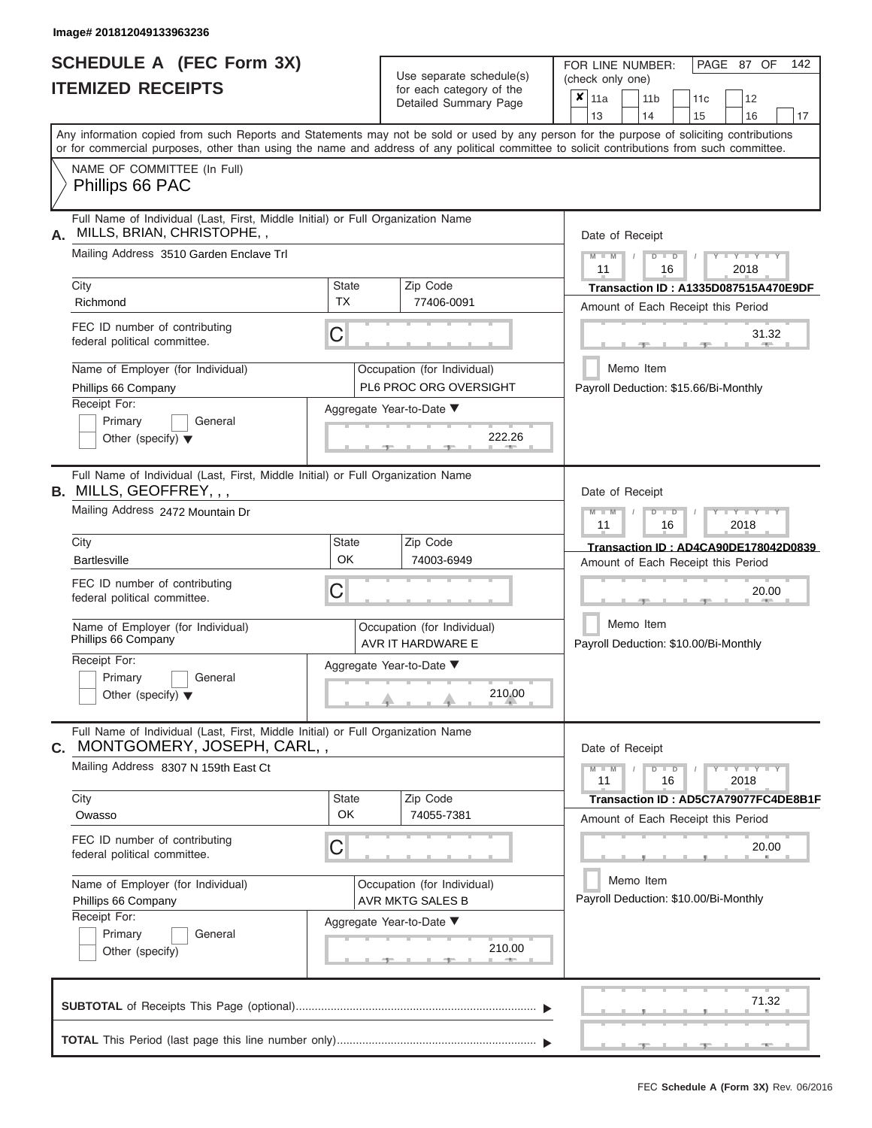# **SCHEDULE A (FEC Form 3X) ITEMIZED RECEIPTS**

| SCHEDULE A (FEC Form 3X)<br><b>ITEMIZED RECEIPTS</b>                                                                                                                                                                                                                                                                                                                                                            | Use separate schedule(s)<br>for each category of the<br>Detailed Summary Page                                                          | 142<br>FOR LINE NUMBER:<br>PAGE 87 OF<br>(check only one)<br>$\overline{\mathbf{x}}$   11a<br>11 <sub>b</sub><br>12<br>11c                                                                                                                                                                                                                    |
|-----------------------------------------------------------------------------------------------------------------------------------------------------------------------------------------------------------------------------------------------------------------------------------------------------------------------------------------------------------------------------------------------------------------|----------------------------------------------------------------------------------------------------------------------------------------|-----------------------------------------------------------------------------------------------------------------------------------------------------------------------------------------------------------------------------------------------------------------------------------------------------------------------------------------------|
| Any information copied from such Reports and Statements may not be sold or used by any person for the purpose of soliciting contributions<br>or for commercial purposes, other than using the name and address of any political committee to solicit contributions from such committee.                                                                                                                         |                                                                                                                                        | 13<br>14<br>15<br>16<br>17                                                                                                                                                                                                                                                                                                                    |
| NAME OF COMMITTEE (In Full)<br>Phillips 66 PAC                                                                                                                                                                                                                                                                                                                                                                  |                                                                                                                                        |                                                                                                                                                                                                                                                                                                                                               |
| Full Name of Individual (Last, First, Middle Initial) or Full Organization Name<br>MILLS, BRIAN, CHRISTOPHE,,<br>А.<br>Mailing Address 3510 Garden Enclave Trl<br>City<br><b>TX</b><br>Richmond<br>FEC ID number of contributing<br>С<br>federal political committee.<br>Name of Employer (for Individual)<br>Phillips 66 Company<br>Receipt For:<br>Primary<br>General<br>Other (specify) $\blacktriangledown$ | <b>State</b><br>Zip Code<br>77406-0091<br>Occupation (for Individual)<br>PL6 PROC ORG OVERSIGHT<br>Aggregate Year-to-Date ▼<br>222.26  | Date of Receipt<br>$M = M$ /<br>$+Y + Y + Y$<br>$D$ $D$<br>11<br>2018<br>16<br>Transaction ID: A1335D087515A470E9DF<br>Amount of Each Receipt this Period<br>31.32<br><b>COLLECTION</b><br>Memo Item<br>Payroll Deduction: \$15.66/Bi-Monthly                                                                                                 |
| Full Name of Individual (Last, First, Middle Initial) or Full Organization Name<br><b>B.</b> MILLS, GEOFFREY, , ,<br>Mailing Address 2472 Mountain Dr<br>City<br>OK<br><b>Bartlesville</b><br>FEC ID number of contributing<br>С<br>federal political committee.<br>Name of Employer (for Individual)<br>Phillips 66 Company<br>Receipt For:<br>Primary<br>General<br>Other (specify) $\blacktriangledown$      | Zip Code<br>State<br>74003-6949<br>Occupation (for Individual)<br>AVR IT HARDWARE E<br>Aggregate Year-to-Date ▼<br>210.00              | Date of Receipt<br>$M - M$<br>$D$ $D$<br>$\blacksquare \blacksquare \blacksquare \blacksquare \blacksquare \blacksquare \blacksquare \blacksquare \blacksquare \blacksquare$<br>11<br>16<br>2018<br>Transaction ID: AD4CA90DE178042D0839<br>Amount of Each Receipt this Period<br>20.00<br>Memo Item<br>Payroll Deduction: \$10.00/Bi-Monthly |
| Full Name of Individual (Last, First, Middle Initial) or Full Organization Name<br>MONTGOMERY, JOSEPH, CARL,,<br>С.<br>Mailing Address 8307 N 159th East Ct<br>City<br><b>OK</b><br>Owasso<br>FEC ID number of contributing<br>С<br>federal political committee.<br>Name of Employer (for Individual)<br>Phillips 66 Company<br>Receipt For:<br>Primary<br>General<br>Other (specify)                           | Zip Code<br><b>State</b><br>74055-7381<br>Occupation (for Individual)<br>AVR MKTG SALES B<br>Aggregate Year-to-Date ▼<br>210.00<br>-40 | Date of Receipt<br>$M - M$<br>$D$ $D$<br>$Y - Y - Y - Y - Y$<br>11<br>16<br>2018<br>Transaction ID: AD5C7A79077FC4DE8B1F<br>Amount of Each Receipt this Period<br>20.00<br>Memo Item<br>Payroll Deduction: \$10.00/Bi-Monthly                                                                                                                 |
|                                                                                                                                                                                                                                                                                                                                                                                                                 |                                                                                                                                        | 71.32<br>$-1$                                                                                                                                                                                                                                                                                                                                 |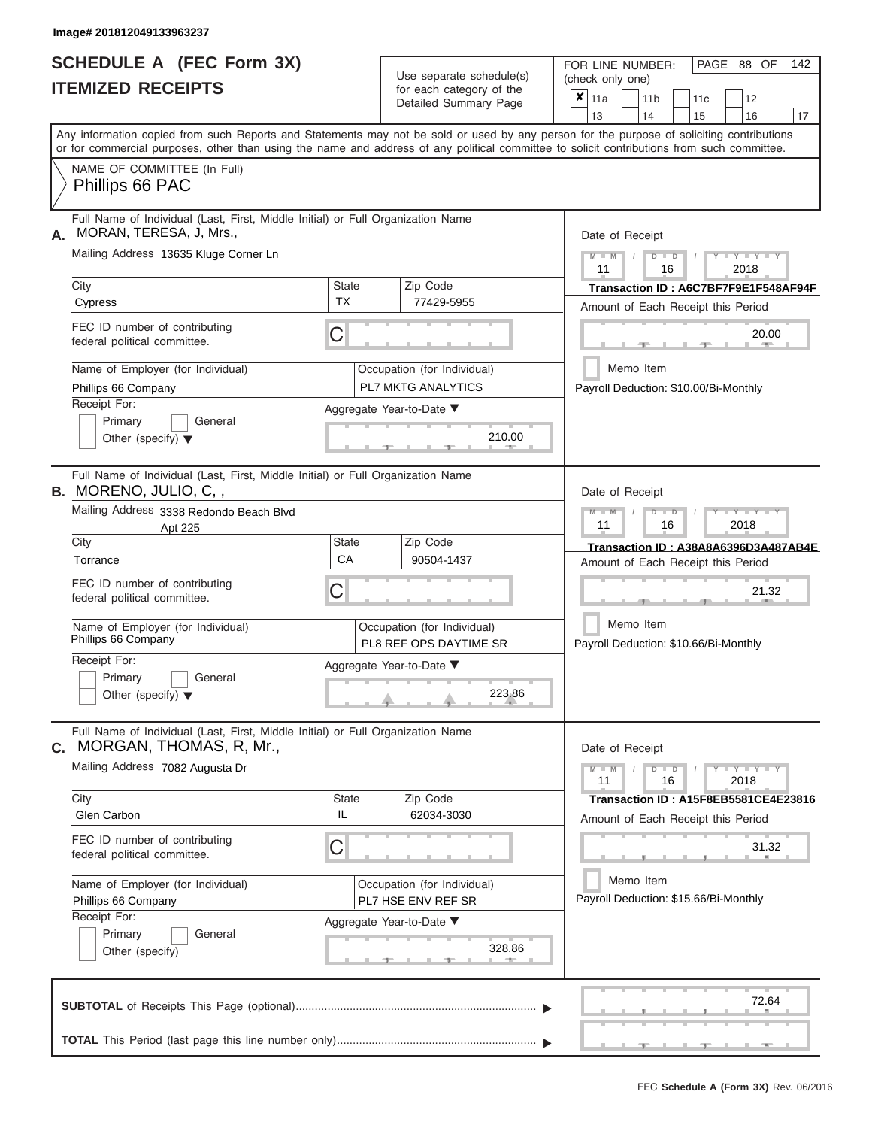|                          | SCHEDULE A (FEC Form 3X) |
|--------------------------|--------------------------|
| <b>ITEMIZED RECEIPTS</b> |                          |

| SCHEDULE A (FEC Form 3X)<br><b>ITEMIZED RECEIPTS</b>                                                                                       |                           | Use separate schedule(s)<br>for each category of the                | 142<br>FOR LINE NUMBER:<br>PAGE 88 OF<br>(check only one)                                                                                 |  |  |  |
|--------------------------------------------------------------------------------------------------------------------------------------------|---------------------------|---------------------------------------------------------------------|-------------------------------------------------------------------------------------------------------------------------------------------|--|--|--|
|                                                                                                                                            |                           | Detailed Summary Page                                               | $\overline{\mathbf{x}}$   11a<br>11 <sub>b</sub><br>12<br>11 <sub>c</sub><br>13<br>14<br>15<br>16<br>17                                   |  |  |  |
| or for commercial purposes, other than using the name and address of any political committee to solicit contributions from such committee. |                           |                                                                     | Any information copied from such Reports and Statements may not be sold or used by any person for the purpose of soliciting contributions |  |  |  |
| NAME OF COMMITTEE (In Full)<br>Phillips 66 PAC                                                                                             |                           |                                                                     |                                                                                                                                           |  |  |  |
| Full Name of Individual (Last, First, Middle Initial) or Full Organization Name<br>MORAN, TERESA, J, Mrs.,                                 |                           |                                                                     | Date of Receipt                                                                                                                           |  |  |  |
| Mailing Address 13635 Kluge Corner Ln                                                                                                      |                           |                                                                     | $M$ – $M$ /<br>$+Y+Y+Y$<br>$D$ $D$<br>11<br>2018<br>16                                                                                    |  |  |  |
| City<br>Cypress                                                                                                                            | <b>State</b><br><b>TX</b> | Zip Code<br>77429-5955                                              | Transaction ID: A6C7BF7F9E1F548AF94F<br>Amount of Each Receipt this Period                                                                |  |  |  |
| FEC ID number of contributing<br>federal political committee.                                                                              | C                         |                                                                     | 20.00<br><b>CONTRACTOR</b><br>-10                                                                                                         |  |  |  |
| Name of Employer (for Individual)<br>Phillips 66 Company                                                                                   |                           | Occupation (for Individual)<br><b>PL7 MKTG ANALYTICS</b>            | Memo Item<br>Payroll Deduction: \$10.00/Bi-Monthly                                                                                        |  |  |  |
| Receipt For:<br>Primary<br>General<br>Other (specify) $\blacktriangledown$                                                                 |                           | Aggregate Year-to-Date ▼<br>210.00<br><b>British Administration</b> |                                                                                                                                           |  |  |  |
| Full Name of Individual (Last, First, Middle Initial) or Full Organization Name<br><b>B.</b> MORENO, JULIO, C,,                            |                           |                                                                     | Date of Receipt                                                                                                                           |  |  |  |
| Mailing Address 3338 Redondo Beach Blvd<br>Apt 225                                                                                         |                           |                                                                     | $M - M$<br>$D$ $D$<br>$\Box$ $\Upsilon$ $\Box$ $\Upsilon$ $\Upsilon$ $\Upsilon$<br>$\prime$<br>11<br>2018<br>16                           |  |  |  |
| City<br>Torrance                                                                                                                           | <b>State</b><br>CA        | Zip Code<br>90504-1437                                              | Transaction ID: A38A8A6396D3A487AB4E<br>Amount of Each Receipt this Period                                                                |  |  |  |
| FEC ID number of contributing<br>federal political committee.                                                                              | C                         |                                                                     | 21.32                                                                                                                                     |  |  |  |
| Name of Employer (for Individual)<br>Phillips 66 Company                                                                                   |                           | Occupation (for Individual)<br>PL8 REF OPS DAYTIME SR               | Memo Item<br>Payroll Deduction: \$10.66/Bi-Monthly                                                                                        |  |  |  |
| Receipt For:<br>Primary<br>General<br>Other (specify) $\blacktriangledown$                                                                 |                           | Aggregate Year-to-Date ▼<br>223.86                                  |                                                                                                                                           |  |  |  |
| Full Name of Individual (Last, First, Middle Initial) or Full Organization Name<br>C. MORGAN, THOMAS, R, Mr.,                              |                           |                                                                     | Date of Receipt                                                                                                                           |  |  |  |
| Mailing Address 7082 Augusta Dr                                                                                                            |                           |                                                                     | $M - M$<br>$D$ $D$<br>$Y - Y - Y - Y$<br>11<br>2018<br>16                                                                                 |  |  |  |
| City<br>Glen Carbon                                                                                                                        | <b>State</b><br>IL        | Zip Code<br>62034-3030                                              | Transaction ID: A15F8EB5581CE4E23816<br>Amount of Each Receipt this Period                                                                |  |  |  |
| FEC ID number of contributing<br>federal political committee.                                                                              | C                         |                                                                     | 31.32                                                                                                                                     |  |  |  |
| Name of Employer (for Individual)<br>Phillips 66 Company                                                                                   |                           | Occupation (for Individual)<br>PL7 HSE ENV REF SR                   | Memo Item<br>Payroll Deduction: \$15.66/Bi-Monthly                                                                                        |  |  |  |
| Receipt For:<br>Primary<br>General<br>Other (specify)                                                                                      |                           | Aggregate Year-to-Date ▼<br>328.86                                  |                                                                                                                                           |  |  |  |
|                                                                                                                                            |                           |                                                                     | 72.64                                                                                                                                     |  |  |  |
|                                                                                                                                            |                           |                                                                     | ___ <del>___</del> ______<br>$-40-$                                                                                                       |  |  |  |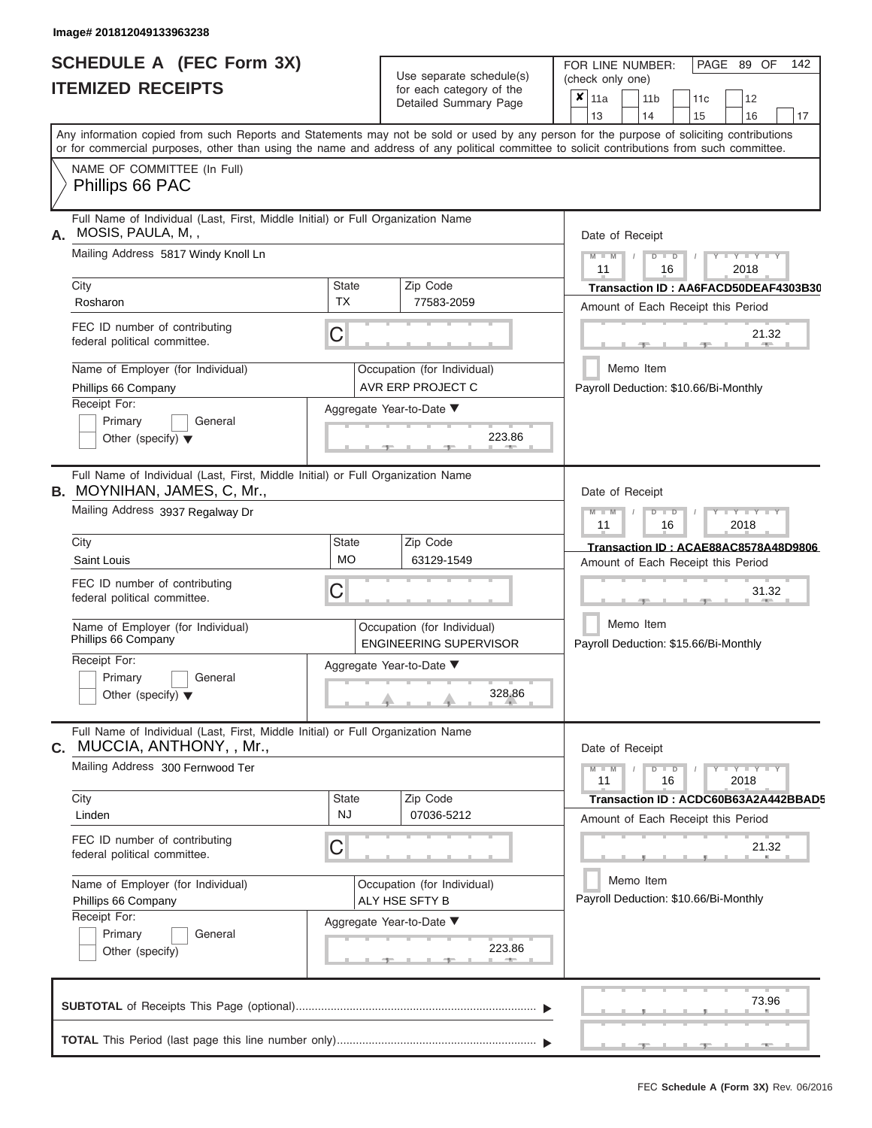|                          | <b>SCHEDULE A (FEC Form 3X)</b> |
|--------------------------|---------------------------------|
| <b>ITEMIZED RECEIPTS</b> |                                 |

Use separate schedule(s)<br>for each category of the

FOR LINE NUMBER:<br>(check only one)

PAGE 89 OF 142

|                                                                            | IILMILLU I\LVLII IJ                                                                                                                                                                                                                                                                     |                                                              | iul caull calcyuly ul lilic<br>Detailed Summary Page | × | 11a<br>13                                                                                                                           |           | 11 <sub>b</sub><br>14                                                      |                                        | 11c |  | 12                  | 17                                   |
|----------------------------------------------------------------------------|-----------------------------------------------------------------------------------------------------------------------------------------------------------------------------------------------------------------------------------------------------------------------------------------|--------------------------------------------------------------|------------------------------------------------------|---|-------------------------------------------------------------------------------------------------------------------------------------|-----------|----------------------------------------------------------------------------|----------------------------------------|-----|--|---------------------|--------------------------------------|
|                                                                            | Any information copied from such Reports and Statements may not be sold or used by any person for the purpose of soliciting contributions<br>or for commercial purposes, other than using the name and address of any political committee to solicit contributions from such committee. |                                                              |                                                      |   |                                                                                                                                     |           |                                                                            |                                        | 15  |  | 16                  |                                      |
|                                                                            | NAME OF COMMITTEE (In Full)<br>Phillips 66 PAC                                                                                                                                                                                                                                          |                                                              |                                                      |   |                                                                                                                                     |           |                                                                            |                                        |     |  |                     |                                      |
| А.                                                                         | Full Name of Individual (Last, First, Middle Initial) or Full Organization Name<br>MOSIS, PAULA, M,,                                                                                                                                                                                    |                                                              | Date of Receipt                                      |   |                                                                                                                                     |           |                                                                            |                                        |     |  |                     |                                      |
|                                                                            | Mailing Address 5817 Windy Knoll Ln                                                                                                                                                                                                                                                     |                                                              |                                                      |   | $M - M$<br><b>TEXT</b><br>$D$ $D$<br>2018<br>11<br>16<br>Transaction ID: AA6FACD50DEAF4303B30<br>Amount of Each Receipt this Period |           |                                                                            |                                        |     |  |                     |                                      |
|                                                                            | City<br>Rosharon                                                                                                                                                                                                                                                                        | <b>State</b><br><b>TX</b>                                    | Zip Code<br>77583-2059                               |   |                                                                                                                                     |           |                                                                            |                                        |     |  |                     |                                      |
|                                                                            | FEC ID number of contributing<br>federal political committee.                                                                                                                                                                                                                           | C                                                            |                                                      |   | 21.32                                                                                                                               |           |                                                                            |                                        |     |  |                     |                                      |
|                                                                            | Name of Employer (for Individual)<br>Phillips 66 Company                                                                                                                                                                                                                                |                                                              | Occupation (for Individual)<br>AVR ERP PROJECT C     |   | Payroll Deduction: \$10.66/Bi-Monthly                                                                                               | Memo Item |                                                                            |                                        |     |  |                     |                                      |
|                                                                            | Receipt For:<br>Primary<br>General<br>Other (specify) $\blacktriangledown$                                                                                                                                                                                                              |                                                              | Aggregate Year-to-Date ▼<br>223.86                   |   |                                                                                                                                     |           |                                                                            |                                        |     |  |                     |                                      |
|                                                                            | Full Name of Individual (Last, First, Middle Initial) or Full Organization Name<br><b>B.</b> MOYNIHAN, JAMES, C, Mr.,                                                                                                                                                                   |                                                              |                                                      |   | Date of Receipt                                                                                                                     |           |                                                                            |                                        |     |  |                     |                                      |
|                                                                            | Mailing Address 3937 Regalway Dr                                                                                                                                                                                                                                                        |                                                              |                                                      |   |                                                                                                                                     |           | $M - M$<br>Y T<br>$\overline{D}$<br>$\Box$<br>11<br>2018<br>16             |                                        |     |  |                     |                                      |
|                                                                            | City<br>Saint Louis                                                                                                                                                                                                                                                                     | Zip Code<br><b>State</b><br><b>MO</b><br>63129-1549          |                                                      |   |                                                                                                                                     |           | Transaction ID: ACAE88AC8578A48D9806<br>Amount of Each Receipt this Period |                                        |     |  |                     |                                      |
| FEC ID number of contributing<br>C<br>federal political committee.         |                                                                                                                                                                                                                                                                                         |                                                              |                                                      |   |                                                                                                                                     |           |                                                                            | 31.32                                  |     |  |                     |                                      |
|                                                                            | Name of Employer (for Individual)<br>Phillips 66 Company                                                                                                                                                                                                                                | Occupation (for Individual)<br><b>ENGINEERING SUPERVISOR</b> |                                                      |   | Memo Item<br>Payroll Deduction: \$15.66/Bi-Monthly                                                                                  |           |                                                                            |                                        |     |  |                     |                                      |
| Receipt For:<br>Primary<br>General<br>Other (specify) $\blacktriangledown$ |                                                                                                                                                                                                                                                                                         |                                                              | Aggregate Year-to-Date ▼<br>328.86                   |   |                                                                                                                                     |           |                                                                            |                                        |     |  |                     |                                      |
| С.                                                                         | Full Name of Individual (Last, First, Middle Initial) or Full Organization Name<br>MUCCIA, ANTHONY, , Mr.,                                                                                                                                                                              |                                                              |                                                      |   | Date of Receipt                                                                                                                     |           |                                                                            |                                        |     |  |                     |                                      |
|                                                                            | Mailing Address 300 Fernwood Ter                                                                                                                                                                                                                                                        |                                                              |                                                      |   | $M - M$<br>11                                                                                                                       |           |                                                                            | $\overline{D}$<br>$\overline{D}$<br>16 |     |  | $Y - Y - Y$<br>2018 |                                      |
|                                                                            | City<br>Linden                                                                                                                                                                                                                                                                          | <b>State</b><br>NJ                                           | Zip Code<br>07036-5212                               |   | Amount of Each Receipt this Period                                                                                                  |           |                                                                            |                                        |     |  |                     | Transaction ID: ACDC60B63A2A442BBAD5 |
|                                                                            | FEC ID number of contributing<br>federal political committee.                                                                                                                                                                                                                           | С                                                            |                                                      |   |                                                                                                                                     |           |                                                                            |                                        |     |  | 21.32               |                                      |
|                                                                            | Name of Employer (for Individual)<br>Phillips 66 Company<br>Receipt For:                                                                                                                                                                                                                |                                                              | Occupation (for Individual)<br>ALY HSE SFTY B        |   | Payroll Deduction: \$10.66/Bi-Monthly                                                                                               | Memo Item |                                                                            |                                        |     |  |                     |                                      |
|                                                                            | Primary<br>General<br>Other (specify)                                                                                                                                                                                                                                                   |                                                              | Aggregate Year-to-Date ▼<br>223.86                   |   |                                                                                                                                     |           |                                                                            |                                        |     |  |                     |                                      |
|                                                                            |                                                                                                                                                                                                                                                                                         |                                                              |                                                      |   |                                                                                                                                     |           |                                                                            |                                        |     |  | 73.96               |                                      |
|                                                                            |                                                                                                                                                                                                                                                                                         |                                                              |                                                      |   |                                                                                                                                     |           |                                                                            |                                        |     |  |                     |                                      |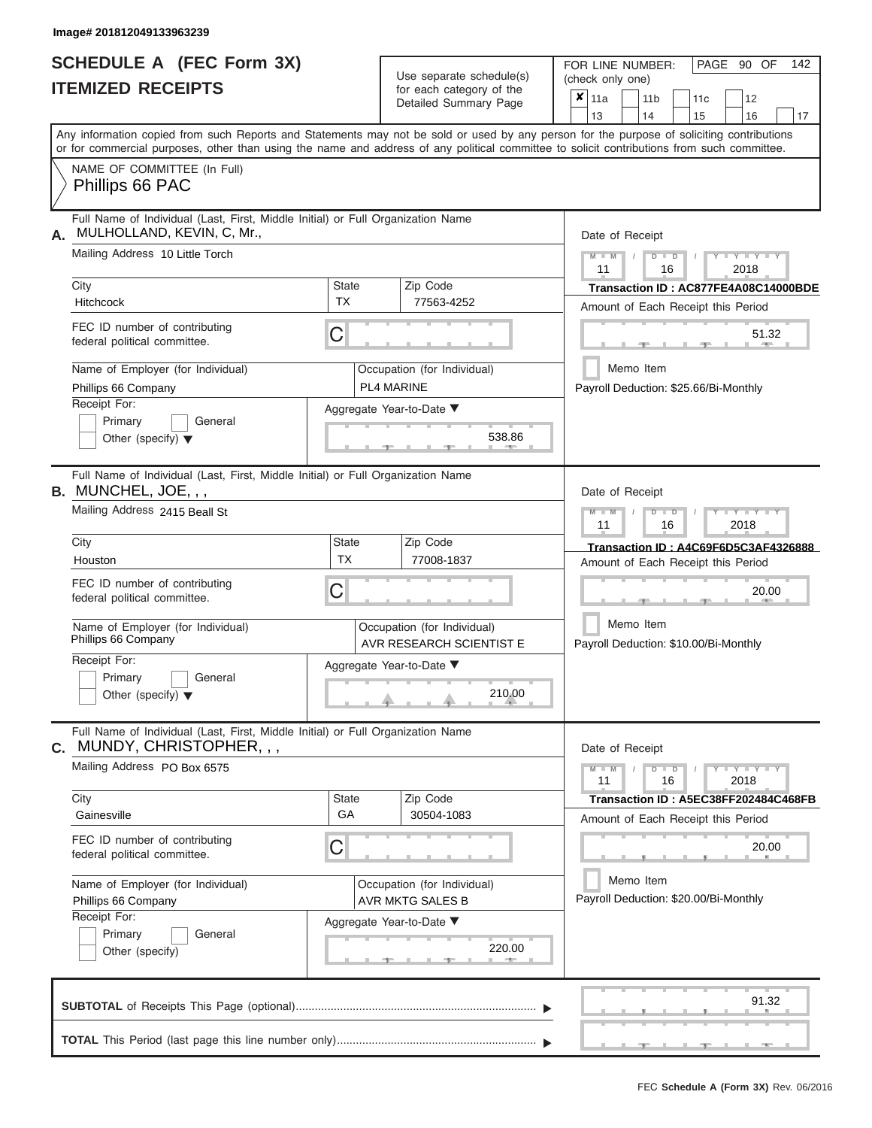# **SCHEDULE A (FEC Form 3X)**

| SCHEDULE A (FEC Form 3X)<br><b>ITEMIZED RECEIPTS</b>                                                                                                                                                                                                                                                                                                                                   |                         | Use separate schedule(s)<br>for each category of the<br>Detailed Summary Page                                           | 142<br>FOR LINE NUMBER:<br>PAGE 90 OF<br>(check only one)<br>$\overline{\mathbf{x}}$   11a<br>11 <sub>b</sub><br>11 <sub>c</sub><br>12<br>13<br>14<br>15<br>16<br>17                                                                                     |
|----------------------------------------------------------------------------------------------------------------------------------------------------------------------------------------------------------------------------------------------------------------------------------------------------------------------------------------------------------------------------------------|-------------------------|-------------------------------------------------------------------------------------------------------------------------|----------------------------------------------------------------------------------------------------------------------------------------------------------------------------------------------------------------------------------------------------------|
| Any information copied from such Reports and Statements may not be sold or used by any person for the purpose of soliciting contributions<br>or for commercial purposes, other than using the name and address of any political committee to solicit contributions from such committee.<br>NAME OF COMMITTEE (In Full)<br>Phillips 66 PAC                                              |                         |                                                                                                                         |                                                                                                                                                                                                                                                          |
| Full Name of Individual (Last, First, Middle Initial) or Full Organization Name<br>MULHOLLAND, KEVIN, C, Mr.,<br>А.<br>Mailing Address 10 Little Torch<br>City<br>Hitchcock<br>FEC ID number of contributing<br>federal political committee.<br>Name of Employer (for Individual)<br>Phillips 66 Company<br>Receipt For:<br>Primary<br>General<br>Other (specify) $\blacktriangledown$ | State<br><b>TX</b><br>C | Zip Code<br>77563-4252<br>Occupation (for Individual)<br><b>PL4 MARINE</b><br>Aggregate Year-to-Date ▼<br>538.86        | Date of Receipt<br>$M - M$ /<br>$Y$ $Y$ $Y$ $Y$<br>$D$ $D$<br>11<br>2018<br>16<br>Transaction ID: AC877FE4A08C14000BDE<br>Amount of Each Receipt this Period<br>51.32<br><b>CONTRACTOR</b><br>$-1$<br>Memo Item<br>Payroll Deduction: \$25.66/Bi-Monthly |
| Full Name of Individual (Last, First, Middle Initial) or Full Organization Name<br><b>B.</b> MUNCHEL, JOE, , ,<br>Mailing Address 2415 Beall St<br>City<br>Houston<br>FEC ID number of contributing<br>federal political committee.<br>Name of Employer (for Individual)<br>Phillips 66 Company<br>Receipt For:<br>Primary<br>General<br>Other (specify) $\blacktriangledown$          | State<br><b>TX</b><br>С | Zip Code<br>77008-1837<br>Occupation (for Individual)<br>AVR RESEARCH SCIENTIST E<br>Aggregate Year-to-Date ▼<br>210.00 | Date of Receipt<br>$M - M$<br>$D$ $D$<br>$+Y+Y+Y$<br>11<br>2018<br>16<br>Transaction ID: A4C69F6D5C3AF4326888<br>Amount of Each Receipt this Period<br>20.00<br>Memo Item<br>Payroll Deduction: \$10.00/Bi-Monthly                                       |
| Full Name of Individual (Last, First, Middle Initial) or Full Organization Name<br>MUNDY, CHRISTOPHER, , ,<br>С.<br>Mailing Address PO Box 6575<br>City<br>Gainesville<br>FEC ID number of contributing<br>federal political committee.<br>Name of Employer (for Individual)<br>Phillips 66 Company<br>Receipt For:<br>Primary<br>General<br>Other (specify)                           | State<br>GA<br>С        | Zip Code<br>30504-1083<br>Occupation (for Individual)<br>AVR MKTG SALES B<br>Aggregate Year-to-Date ▼<br>220.00<br>$-1$ | Date of Receipt<br>$M - M$<br>$D$ $D$<br>$  Y$ $ Y$ $  Y$<br>11<br>16<br>2018<br>Transaction ID: A5EC38FF202484C468FB<br>Amount of Each Receipt this Period<br>20.00<br>Memo Item<br>Payroll Deduction: \$20.00/Bi-Monthly                               |
|                                                                                                                                                                                                                                                                                                                                                                                        |                         |                                                                                                                         | 91.32                                                                                                                                                                                                                                                    |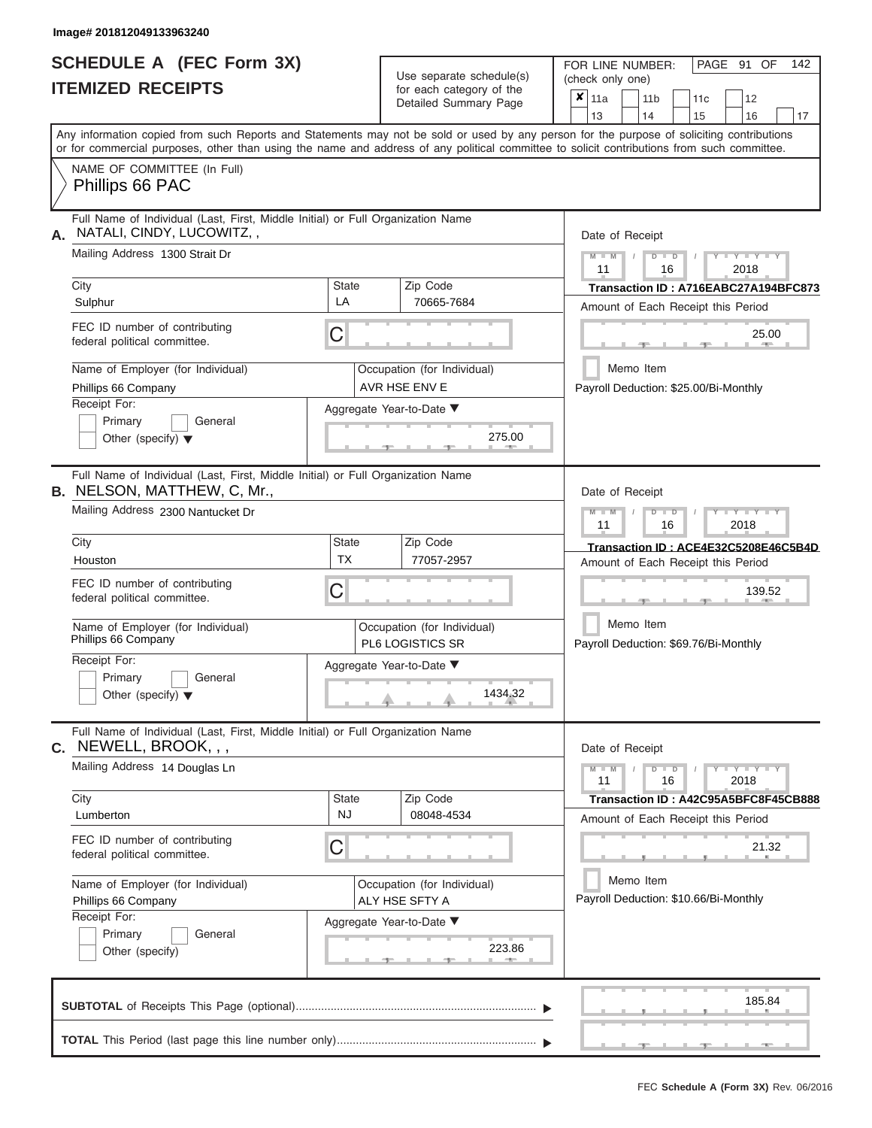# **SCHEDULE A (FEC Form 3X) ITEMIZED RECEIPTS**

| SCHEDULE A (FEC Form 3X)<br><b>ITEMIZED RECEIPTS</b>                                                                                                                                                                                                                                                                                      | Use separate schedule(s)<br>for each category of the<br>Detailed Summary Page                           | 142<br>FOR LINE NUMBER:<br>PAGE 91 OF<br>(check only one)<br>$\overline{\mathbf{x}}$   11a<br>11 <sub>b</sub><br>12<br>11 <sub>c</sub><br>14 |
|-------------------------------------------------------------------------------------------------------------------------------------------------------------------------------------------------------------------------------------------------------------------------------------------------------------------------------------------|---------------------------------------------------------------------------------------------------------|----------------------------------------------------------------------------------------------------------------------------------------------|
| Any information copied from such Reports and Statements may not be sold or used by any person for the purpose of soliciting contributions<br>or for commercial purposes, other than using the name and address of any political committee to solicit contributions from such committee.<br>NAME OF COMMITTEE (In Full)<br>Phillips 66 PAC |                                                                                                         | 13<br>15<br>16<br>17                                                                                                                         |
| Full Name of Individual (Last, First, Middle Initial) or Full Organization Name<br>NATALI, CINDY, LUCOWITZ,,<br>Mailing Address 1300 Strait Dr                                                                                                                                                                                            |                                                                                                         | Date of Receipt<br>$M - M$ /<br>$D$ $D$<br>$+Y + Y + Y$<br>11<br>2018<br>16                                                                  |
| City<br>Sulphur<br>FEC ID number of contributing<br>federal political committee.                                                                                                                                                                                                                                                          | Zip Code<br><b>State</b><br>LA<br>70665-7684<br>C                                                       | Transaction ID: A716EABC27A194BFC873<br>Amount of Each Receipt this Period<br>25.00<br>$1 - 400$<br>$-1$                                     |
| Name of Employer (for Individual)<br>Phillips 66 Company<br>Receipt For:<br>Primary<br>General<br>Other (specify) $\blacktriangledown$                                                                                                                                                                                                    | Occupation (for Individual)<br>AVR HSE ENV E<br>Aggregate Year-to-Date ▼<br>275.00<br><b>CONTRACTOR</b> | Memo Item<br>Payroll Deduction: \$25.00/Bi-Monthly                                                                                           |
| Full Name of Individual (Last, First, Middle Initial) or Full Organization Name<br><b>B.</b> NELSON, MATTHEW, C, Mr.,<br>Mailing Address 2300 Nantucket Dr                                                                                                                                                                                |                                                                                                         | Date of Receipt<br>$M - M$<br>$D$ $\Box$ $D$<br>$+Y+Y+Y$<br>11<br>2018<br>16                                                                 |
| City<br>Houston<br>FEC ID number of contributing                                                                                                                                                                                                                                                                                          | Zip Code<br><b>State</b><br><b>TX</b><br>77057-2957<br>C                                                | Transaction ID: ACE4E32C5208E46C5B4D<br>Amount of Each Receipt this Period<br>139.52                                                         |
| federal political committee.<br>Name of Employer (for Individual)<br>Phillips 66 Company<br>Receipt For:<br>Primary<br>General<br>Other (specify) $\blacktriangledown$                                                                                                                                                                    | Occupation (for Individual)<br>PL6 LOGISTICS SR<br>Aggregate Year-to-Date ▼<br>1434.32                  | Memo Item<br>Payroll Deduction: \$69.76/Bi-Monthly                                                                                           |
| Full Name of Individual (Last, First, Middle Initial) or Full Organization Name<br>C. NEWELL, BROOK, , ,<br>Mailing Address 14 Douglas Ln<br>City                                                                                                                                                                                         | <b>State</b><br>Zip Code<br><b>NJ</b>                                                                   | Date of Receipt<br>$M - M$<br>$D$ $D$<br>$Y - Y - Y - Y - Y$<br>2018<br>11<br>16<br>Transaction ID: A42C95A5BFC8F45CB888                     |
| Lumberton<br>FEC ID number of contributing<br>federal political committee.                                                                                                                                                                                                                                                                | 08048-4534<br>C                                                                                         | Amount of Each Receipt this Period<br>21.32                                                                                                  |
| Name of Employer (for Individual)<br>Phillips 66 Company<br>Receipt For:                                                                                                                                                                                                                                                                  | Occupation (for Individual)<br>ALY HSE SFTY A<br>Aggregate Year-to-Date ▼<br>223.86                     | Memo Item<br>Payroll Deduction: \$10.66/Bi-Monthly                                                                                           |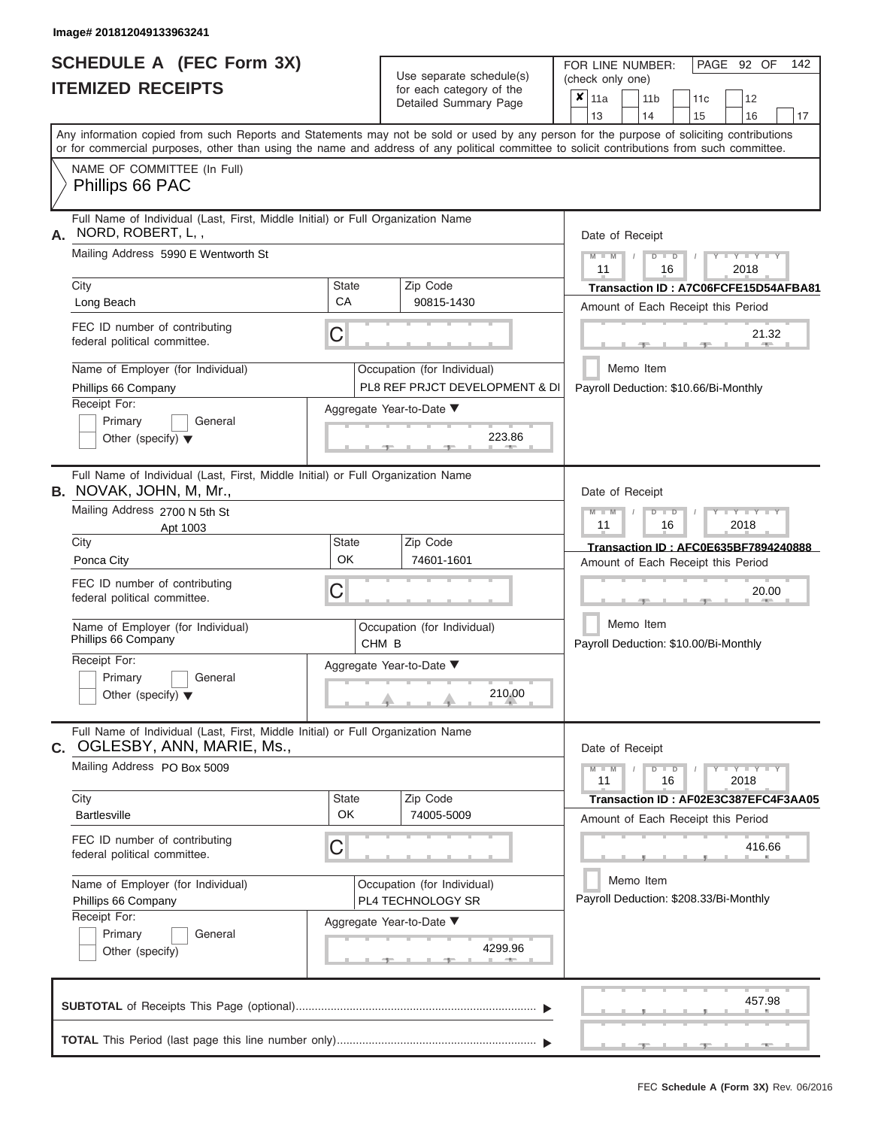|                          | SCHEDULE A (FEC Form 3X) |
|--------------------------|--------------------------|
| <b>ITEMIZED RECEIPTS</b> |                          |

Use separate schedule(s) (check only one) for each category of the

FOR LINE NUMBER:<br>(check only one)

PAGE 92 OF 142

|                                                                                                                                                                           | <b>ITEMIZED RECEIPTS</b>                                                                                                                                                                                                                                                                                                                                |                                | for each category of the<br>Detailed Summary Page                                                     | $\pmb{\times}$<br>  11a<br>11c<br>12<br>11 <sub>b</sub><br>13<br>14<br>15<br>17<br>16                                                                                                                                   |
|---------------------------------------------------------------------------------------------------------------------------------------------------------------------------|---------------------------------------------------------------------------------------------------------------------------------------------------------------------------------------------------------------------------------------------------------------------------------------------------------------------------------------------------------|--------------------------------|-------------------------------------------------------------------------------------------------------|-------------------------------------------------------------------------------------------------------------------------------------------------------------------------------------------------------------------------|
|                                                                                                                                                                           | Any information copied from such Reports and Statements may not be sold or used by any person for the purpose of soliciting contributions<br>or for commercial purposes, other than using the name and address of any political committee to solicit contributions from such committee.                                                                 |                                |                                                                                                       |                                                                                                                                                                                                                         |
|                                                                                                                                                                           | NAME OF COMMITTEE (In Full)<br>Phillips 66 PAC                                                                                                                                                                                                                                                                                                          |                                |                                                                                                       |                                                                                                                                                                                                                         |
| Full Name of Individual (Last, First, Middle Initial) or Full Organization Name<br>NORD, ROBERT, L,,<br>А.<br>Mailing Address 5990 E Wentworth St<br><b>State</b><br>City |                                                                                                                                                                                                                                                                                                                                                         |                                | Zip Code                                                                                              | Date of Receipt<br>$M - M$<br>$+Y+Y+Y$<br>$D$ $D$<br>11<br>16<br>2018<br>Transaction ID: A7C06FCFE15D54AFBA81                                                                                                           |
|                                                                                                                                                                           | Long Beach<br>FEC ID number of contributing<br>federal political committee.                                                                                                                                                                                                                                                                             | CA<br>С                        | 90815-1430                                                                                            | Amount of Each Receipt this Period<br>21.32                                                                                                                                                                             |
|                                                                                                                                                                           | Name of Employer (for Individual)<br>Phillips 66 Company<br>Receipt For:<br>Primary<br>General<br>Other (specify) $\blacktriangledown$                                                                                                                                                                                                                  |                                | Occupation (for Individual)<br>PL8 REF PRJCT DEVELOPMENT & DI<br>Aggregate Year-to-Date ▼<br>223.86   | Memo Item<br>Payroll Deduction: \$10.66/Bi-Monthly                                                                                                                                                                      |
|                                                                                                                                                                           | Full Name of Individual (Last, First, Middle Initial) or Full Organization Name<br><b>B.</b> NOVAK, JOHN, M, Mr.,<br>Mailing Address 2700 N 5th St<br>Apt 1003<br>City<br>Ponca City<br>FEC ID number of contributing<br>federal political committee.<br>Name of Employer (for Individual)<br>Phillips 66 Company<br>Receipt For:<br>Primary<br>General | <b>State</b><br>OK<br>С        | Zip Code<br>74601-1601<br>Occupation (for Individual)<br>CHM <sub>B</sub><br>Aggregate Year-to-Date ▼ | Date of Receipt<br>$M - M$<br>$+Y+Y+Y$<br>$D$ $D$<br>11<br>16<br>2018<br>Transaction ID: AFC0E635BF7894240888<br>Amount of Each Receipt this Period<br>20.00<br>Memo Item<br>Payroll Deduction: \$10.00/Bi-Monthly      |
|                                                                                                                                                                           | Other (specify) $\blacktriangledown$<br>Full Name of Individual (Last, First, Middle Initial) or Full Organization Name<br>C. OGLESBY, ANN, MARIE, Ms.,<br>Mailing Address PO Box 5009<br>City<br><b>Bartlesville</b><br>FEC ID number of contributing<br>federal political committee.<br>Name of Employer (for Individual)<br>Phillips 66 Company      | <b>State</b><br><b>OK</b><br>С | 210.00<br>Zip Code<br>74005-5009<br>Occupation (for Individual)<br>PL4 TECHNOLOGY SR                  | Date of Receipt<br>$M - M$<br>$Y - Y - Y$<br>$D$ $D$<br>11<br>16<br>2018<br>Transaction ID: AF02E3C387EFC4F3AA05<br>Amount of Each Receipt this Period<br>416.66<br>Memo Item<br>Payroll Deduction: \$208.33/Bi-Monthly |
|                                                                                                                                                                           | Receipt For:<br>Primary<br>General<br>Other (specify)                                                                                                                                                                                                                                                                                                   |                                | Aggregate Year-to-Date ▼<br>4299.96<br><b>COLLECTION</b>                                              | 457.98                                                                                                                                                                                                                  |
|                                                                                                                                                                           |                                                                                                                                                                                                                                                                                                                                                         |                                |                                                                                                       | 1 - 3 - 1 - 1 - 3 - 1 -<br>$-40-$                                                                                                                                                                                       |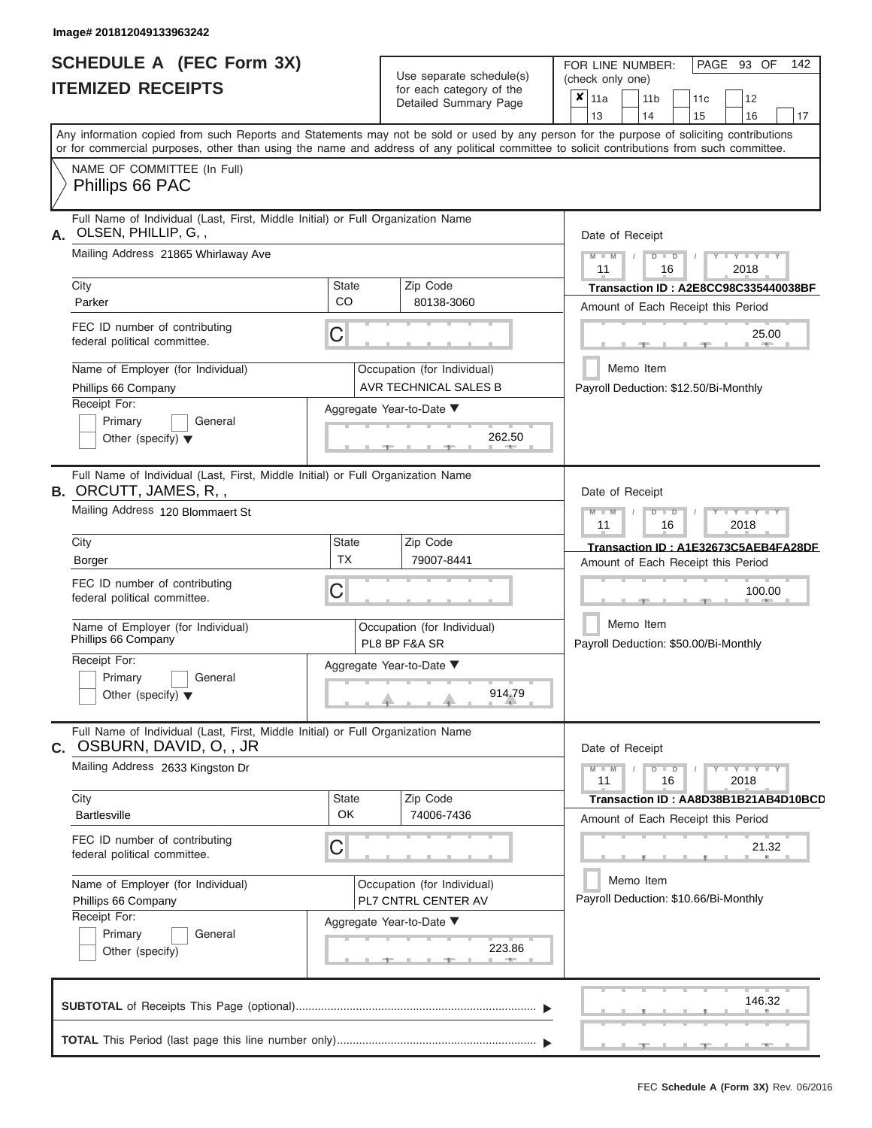|                          | <b>SCHEDULE A (FEC Form 3X)</b> |
|--------------------------|---------------------------------|
| <b>ITEMIZED RECEIPTS</b> |                                 |

| SCHEDULE A (FEC Form 3X)<br><b>ITEMIZED RECEIPTS</b>                                                                                                |                           | Use separate schedule(s)<br>for each category of the<br>Detailed Summary Page | 142<br>FOR LINE NUMBER:<br>PAGE 93 OF<br>(check only one)<br>$\boldsymbol{x}$<br>11a<br>11 <sub>b</sub><br>12<br>11c                                                    |
|-----------------------------------------------------------------------------------------------------------------------------------------------------|---------------------------|-------------------------------------------------------------------------------|-------------------------------------------------------------------------------------------------------------------------------------------------------------------------|
|                                                                                                                                                     |                           |                                                                               | 13<br>14<br>15<br>16<br>17<br>Any information copied from such Reports and Statements may not be sold or used by any person for the purpose of soliciting contributions |
|                                                                                                                                                     |                           |                                                                               | or for commercial purposes, other than using the name and address of any political committee to solicit contributions from such committee.                              |
| NAME OF COMMITTEE (In Full)<br>Phillips 66 PAC                                                                                                      |                           |                                                                               |                                                                                                                                                                         |
| Full Name of Individual (Last, First, Middle Initial) or Full Organization Name<br>OLSEN, PHILLIP, G,,<br>А.                                        |                           |                                                                               | Date of Receipt                                                                                                                                                         |
| Mailing Address 21865 Whirlaway Ave                                                                                                                 |                           |                                                                               | $M = M$ /<br>$T - Y = Y - T Y$<br>$D$ $D$<br>11<br>2018<br>16                                                                                                           |
| City<br>Parker                                                                                                                                      | State<br><b>CO</b>        | Zip Code<br>80138-3060                                                        | Transaction ID: A2E8CC98C335440038BF<br>Amount of Each Receipt this Period                                                                                              |
| FEC ID number of contributing<br>federal political committee.                                                                                       | С                         |                                                                               | 25.00<br><b>Brita Allien</b>                                                                                                                                            |
| Name of Employer (for Individual)<br>Phillips 66 Company                                                                                            |                           | Occupation (for Individual)<br>AVR TECHNICAL SALES B                          | Memo Item<br>Payroll Deduction: \$12.50/Bi-Monthly                                                                                                                      |
| Receipt For:<br>Primary<br>General<br>Other (specify) $\blacktriangledown$                                                                          |                           | Aggregate Year-to-Date ▼<br>262.50<br><b>CONTRACTOR</b>                       |                                                                                                                                                                         |
| Full Name of Individual (Last, First, Middle Initial) or Full Organization Name<br><b>B.</b> ORCUTT, JAMES, R,,<br>Mailing Address 120 Blommaert St |                           |                                                                               | Date of Receipt                                                                                                                                                         |
|                                                                                                                                                     |                           |                                                                               | $M - M$<br>$D$ $D$<br>$\mathbf{L} = \mathbf{Y} - \mathbf{L} - \mathbf{Y} - \mathbf{L}$<br>11<br>2018<br>16                                                              |
| City<br>Borger                                                                                                                                      | <b>State</b><br><b>TX</b> | Zip Code<br>79007-8441                                                        | Transaction ID: A1E32673C5AEB4FA28DF<br>Amount of Each Receipt this Period                                                                                              |
| FEC ID number of contributing<br>federal political committee.                                                                                       | С                         |                                                                               | 100.00                                                                                                                                                                  |
| Name of Employer (for Individual)<br>Phillips 66 Company                                                                                            |                           | Occupation (for Individual)<br>PL8 BP F&A SR                                  | Memo Item<br>Payroll Deduction: \$50.00/Bi-Monthly                                                                                                                      |
| Receipt For:                                                                                                                                        |                           | Aggregate Year-to-Date ▼                                                      |                                                                                                                                                                         |
| Primary<br>General<br>Other (specify) $\blacktriangledown$                                                                                          |                           | 914.79                                                                        |                                                                                                                                                                         |
| Full Name of Individual (Last, First, Middle Initial) or Full Organization Name<br>C. OSBURN, DAVID, O, , JR                                        |                           |                                                                               | Date of Receipt                                                                                                                                                         |
| Mailing Address 2633 Kingston Dr                                                                                                                    |                           |                                                                               |                                                                                                                                                                         |
| City<br><b>Bartlesville</b>                                                                                                                         | State<br>OK               | Zip Code<br>74006-7436                                                        | Transaction ID: AA8D38B1B21AB4D10BCD<br>Amount of Each Receipt this Period                                                                                              |
| FEC ID number of contributing<br>federal political committee.                                                                                       | С                         |                                                                               | 21.32                                                                                                                                                                   |
| Name of Employer (for Individual)<br>Phillips 66 Company                                                                                            |                           | Occupation (for Individual)<br>PL7 CNTRL CENTER AV                            | Memo Item<br>Payroll Deduction: \$10.66/Bi-Monthly                                                                                                                      |
| Receipt For:<br>Primary<br>General<br>Other (specify)                                                                                               |                           | Aggregate Year-to-Date ▼<br>223.86                                            |                                                                                                                                                                         |
|                                                                                                                                                     |                           |                                                                               | 146.32                                                                                                                                                                  |
|                                                                                                                                                     |                           |                                                                               |                                                                                                                                                                         |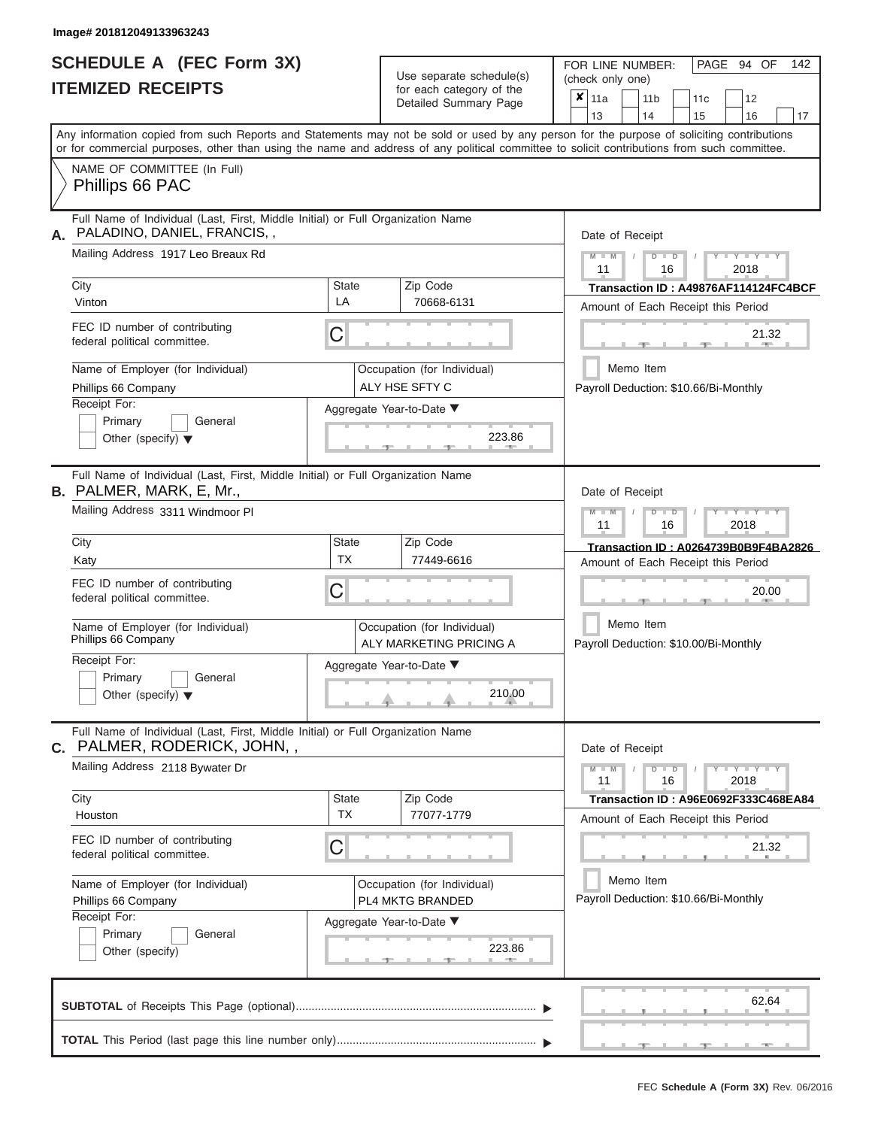|                          | <b>SCHEDULE A (FEC Form 3X)</b> |
|--------------------------|---------------------------------|
| <b>ITEMIZED RECEIPTS</b> |                                 |

| SCHEDULE A (FEC Form 3X)<br><b>ITEMIZED RECEIPTS</b>                                                           |                                                                                 | Use separate schedule(s)<br>for each category of the<br>Detailed Summary Page | 142<br>FOR LINE NUMBER:<br>PAGE 94 OF<br>(check only one)<br>$\overline{\mathbf{x}}$   11a<br>11 <sub>b</sub><br>12<br>11 <sub>c</sub>                                                                                                                                                  |
|----------------------------------------------------------------------------------------------------------------|---------------------------------------------------------------------------------|-------------------------------------------------------------------------------|-----------------------------------------------------------------------------------------------------------------------------------------------------------------------------------------------------------------------------------------------------------------------------------------|
|                                                                                                                |                                                                                 |                                                                               | 13<br>14<br>15<br>16<br>17                                                                                                                                                                                                                                                              |
|                                                                                                                |                                                                                 |                                                                               | Any information copied from such Reports and Statements may not be sold or used by any person for the purpose of soliciting contributions<br>or for commercial purposes, other than using the name and address of any political committee to solicit contributions from such committee. |
| NAME OF COMMITTEE (In Full)<br>Phillips 66 PAC                                                                 |                                                                                 |                                                                               |                                                                                                                                                                                                                                                                                         |
| Full Name of Individual (Last, First, Middle Initial) or Full Organization Name<br>PALADINO, DANIEL, FRANCIS,, |                                                                                 |                                                                               | Date of Receipt                                                                                                                                                                                                                                                                         |
| Mailing Address 1917 Leo Breaux Rd                                                                             |                                                                                 |                                                                               | $M = M$ /<br>$+Y+Y+Y$<br>$D$ $D$<br>11<br>2018<br>16                                                                                                                                                                                                                                    |
| City<br>Vinton                                                                                                 | <b>State</b><br>LA                                                              | Zip Code<br>70668-6131                                                        | Transaction ID: A49876AF114124FC4BCF<br>Amount of Each Receipt this Period                                                                                                                                                                                                              |
| FEC ID number of contributing<br>federal political committee.                                                  | C                                                                               |                                                                               | 21.32<br><b>COLLEGE</b><br>$-1$                                                                                                                                                                                                                                                         |
| Name of Employer (for Individual)<br>Phillips 66 Company                                                       |                                                                                 | Occupation (for Individual)<br>ALY HSE SFTY C                                 | Memo Item<br>Payroll Deduction: \$10.66/Bi-Monthly                                                                                                                                                                                                                                      |
| Receipt For:<br>Primary<br>General<br>Other (specify) $\blacktriangledown$                                     |                                                                                 | Aggregate Year-to-Date ▼<br>223.86<br><b>CONTRACTOR</b>                       |                                                                                                                                                                                                                                                                                         |
| <b>B.</b> PALMER, MARK, E, Mr.,<br>Mailing Address 3311 Windmoor Pl                                            | Full Name of Individual (Last, First, Middle Initial) or Full Organization Name |                                                                               | Date of Receipt<br>$M - M$<br>$D$ $D$<br>$\Box$ $\Upsilon$ $\Box$ $\Upsilon$ $\Upsilon$ $\Upsilon$<br>$\prime$                                                                                                                                                                          |
| City                                                                                                           | <b>State</b>                                                                    | Zip Code                                                                      | 11<br>2018<br>16                                                                                                                                                                                                                                                                        |
| Katy                                                                                                           | <b>TX</b>                                                                       | 77449-6616                                                                    | Transaction ID: A0264739B0B9F4BA2826<br>Amount of Each Receipt this Period                                                                                                                                                                                                              |
| FEC ID number of contributing<br>federal political committee.                                                  | C                                                                               |                                                                               | 20.00                                                                                                                                                                                                                                                                                   |
| Name of Employer (for Individual)<br>Phillips 66 Company                                                       |                                                                                 | Occupation (for Individual)<br>ALY MARKETING PRICING A                        | Memo Item<br>Payroll Deduction: \$10.00/Bi-Monthly                                                                                                                                                                                                                                      |
| Receipt For:<br>Primary<br>General                                                                             |                                                                                 | Aggregate Year-to-Date ▼                                                      |                                                                                                                                                                                                                                                                                         |
| Other (specify) $\blacktriangledown$                                                                           |                                                                                 | 210.00                                                                        |                                                                                                                                                                                                                                                                                         |
| Full Name of Individual (Last, First, Middle Initial) or Full Organization Name<br>C. PALMER, RODERICK, JOHN,, |                                                                                 |                                                                               | Date of Receipt                                                                                                                                                                                                                                                                         |
| Mailing Address 2118 Bywater Dr                                                                                |                                                                                 |                                                                               | $M - M$<br>$D$ $D$<br>$Y - Y - Y - Y$<br>11<br>2018<br>16                                                                                                                                                                                                                               |
| City<br>Houston                                                                                                | State<br><b>TX</b>                                                              | Zip Code<br>77077-1779                                                        | Transaction ID: A96E0692F333C468EA84<br>Amount of Each Receipt this Period                                                                                                                                                                                                              |
| FEC ID number of contributing<br>federal political committee.                                                  | C                                                                               |                                                                               | 21.32                                                                                                                                                                                                                                                                                   |
| Name of Employer (for Individual)<br>Phillips 66 Company                                                       |                                                                                 | Occupation (for Individual)<br>PL4 MKTG BRANDED                               | Memo Item<br>Payroll Deduction: \$10.66/Bi-Monthly                                                                                                                                                                                                                                      |
| Receipt For:<br>Primary<br>General<br>Other (specify)                                                          |                                                                                 | Aggregate Year-to-Date ▼<br>223.86                                            |                                                                                                                                                                                                                                                                                         |
|                                                                                                                |                                                                                 |                                                                               | 62.64                                                                                                                                                                                                                                                                                   |
|                                                                                                                |                                                                                 |                                                                               | $-40-$                                                                                                                                                                                                                                                                                  |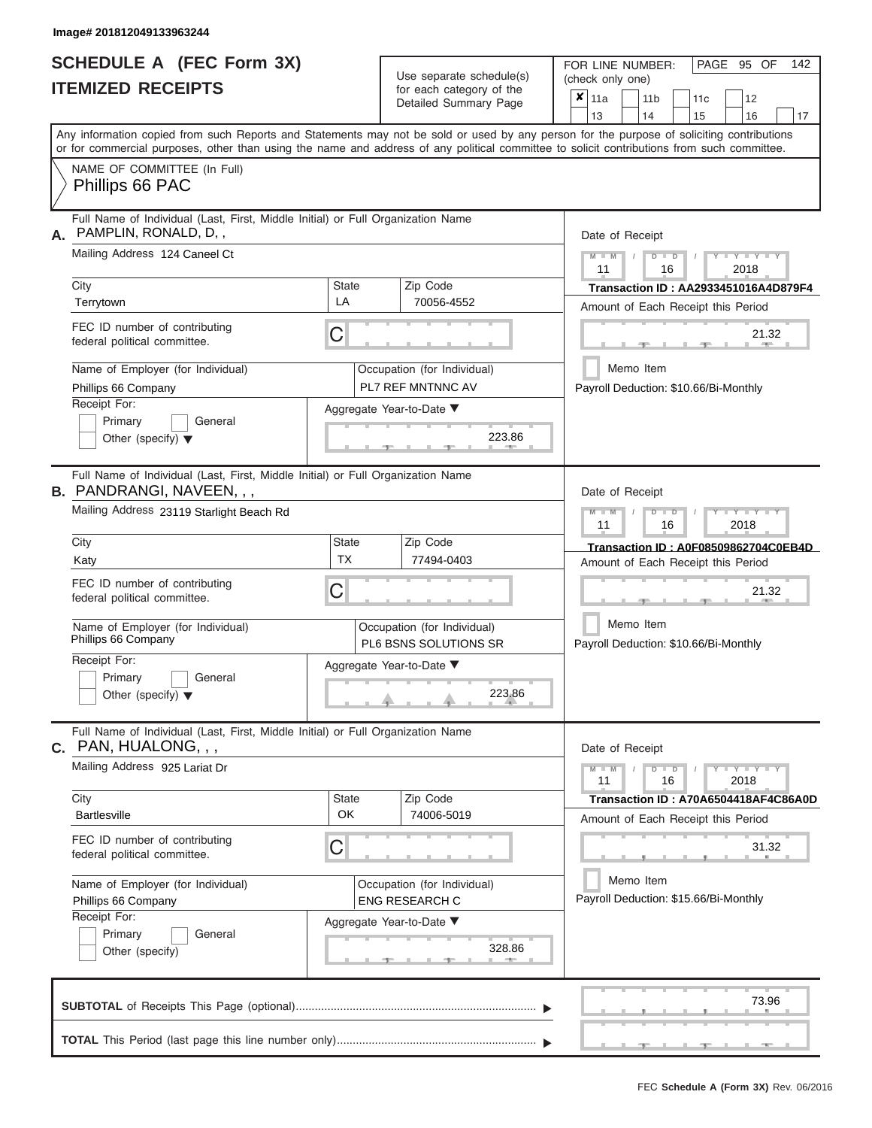# **SCHEDULE A (FEC Form 3X) ITEMIZED RECEIPTS**

| SCHEDULE A (FEC Form 3X)<br><b>ITEMIZED RECEIPTS</b> |                                                                                                                                                                                                                                                                                                                        |                                                                                       | Use separate schedule(s)<br>for each category of the<br>Detailed Summary Page                         | 142<br>FOR LINE NUMBER:<br>PAGE 95 OF<br>(check only one)<br>$\overline{\mathbf{x}}$   11a<br>11 <sub>b</sub><br>12<br>11 <sub>c</sub>                  |
|------------------------------------------------------|------------------------------------------------------------------------------------------------------------------------------------------------------------------------------------------------------------------------------------------------------------------------------------------------------------------------|---------------------------------------------------------------------------------------|-------------------------------------------------------------------------------------------------------|---------------------------------------------------------------------------------------------------------------------------------------------------------|
|                                                      | Any information copied from such Reports and Statements may not be sold or used by any person for the purpose of soliciting contributions<br>or for commercial purposes, other than using the name and address of any political committee to solicit contributions from such committee.<br>NAME OF COMMITTEE (In Full) |                                                                                       |                                                                                                       | 13<br>14<br>15<br>16<br>17                                                                                                                              |
|                                                      | Phillips 66 PAC                                                                                                                                                                                                                                                                                                        |                                                                                       |                                                                                                       |                                                                                                                                                         |
| А.                                                   | Full Name of Individual (Last, First, Middle Initial) or Full Organization Name<br>PAMPLIN, RONALD, D,,<br>Mailing Address 124 Caneel Ct<br>City<br>Terrytown                                                                                                                                                          | <b>State</b><br>LA                                                                    | Zip Code<br>70056-4552                                                                                | Date of Receipt<br>$M$ – $M$ /<br>$+Y+Y+Y$<br>$D$ $D$<br>11<br>2018<br>16<br>Transaction ID: AA2933451016A4D879F4<br>Amount of Each Receipt this Period |
|                                                      | FEC ID number of contributing<br>federal political committee.                                                                                                                                                                                                                                                          | C                                                                                     |                                                                                                       | 21.32<br><b>AND IN</b>                                                                                                                                  |
|                                                      | Name of Employer (for Individual)<br>Phillips 66 Company<br>Receipt For:<br>Primary<br>General<br>Other (specify) $\blacktriangledown$                                                                                                                                                                                 |                                                                                       | Occupation (for Individual)<br><b>PL7 REF MNTNNC AV</b><br>Aggregate Year-to-Date ▼<br>223.86         | Memo Item<br>Payroll Deduction: \$10.66/Bi-Monthly                                                                                                      |
|                                                      | Full Name of Individual (Last, First, Middle Initial) or Full Organization Name<br><b>B.</b> PANDRANGI, NAVEEN, , ,<br>Mailing Address 23119 Starlight Beach Rd                                                                                                                                                        | Date of Receipt<br>$M - M$<br>$D$ $\Box$ $D$<br>$T - Y = Y - T Y$<br>11<br>2018<br>16 |                                                                                                       |                                                                                                                                                         |
|                                                      | City<br>Katy                                                                                                                                                                                                                                                                                                           | <b>State</b><br><b>TX</b>                                                             | Zip Code<br>77494-0403                                                                                | Transaction ID: A0F08509862704C0EB4D<br>Amount of Each Receipt this Period                                                                              |
|                                                      | FEC ID number of contributing<br>federal political committee.                                                                                                                                                                                                                                                          | С                                                                                     |                                                                                                       | 21.32                                                                                                                                                   |
|                                                      | Name of Employer (for Individual)<br>Phillips 66 Company                                                                                                                                                                                                                                                               |                                                                                       | Occupation (for Individual)<br>PL6 BSNS SOLUTIONS SR                                                  | Memo Item<br>Payroll Deduction: \$10.66/Bi-Monthly                                                                                                      |
|                                                      | Receipt For:<br>Primary<br>General<br>Other (specify) $\blacktriangledown$                                                                                                                                                                                                                                             |                                                                                       | Aggregate Year-to-Date ▼<br>223.86                                                                    |                                                                                                                                                         |
|                                                      | Full Name of Individual (Last, First, Middle Initial) or Full Organization Name<br>$c.$ PAN, $HUALONG, , ,$                                                                                                                                                                                                            |                                                                                       |                                                                                                       | Date of Receipt                                                                                                                                         |
|                                                      | Mailing Address 925 Lariat Dr<br>City                                                                                                                                                                                                                                                                                  | Zip Code                                                                              | $M - M$<br>$D$ $D$<br>$Y - Y - Y - Y - Y$<br>11<br>16<br>2018<br>Transaction ID: A70A6504418AF4C86A0D |                                                                                                                                                         |
|                                                      | <b>Bartlesville</b>                                                                                                                                                                                                                                                                                                    | <b>State</b><br>OK                                                                    | 74006-5019                                                                                            | Amount of Each Receipt this Period                                                                                                                      |
|                                                      | FEC ID number of contributing<br>С<br>federal political committee.                                                                                                                                                                                                                                                     |                                                                                       |                                                                                                       | 31.32                                                                                                                                                   |
|                                                      | Name of Employer (for Individual)<br>Phillips 66 Company<br>Receipt For:                                                                                                                                                                                                                                               |                                                                                       | Occupation (for Individual)<br>ENG RESEARCH C                                                         | Memo Item<br>Payroll Deduction: \$15.66/Bi-Monthly                                                                                                      |
|                                                      | Primary<br>General<br>Other (specify)                                                                                                                                                                                                                                                                                  |                                                                                       | Aggregate Year-to-Date ▼<br>328.86                                                                    |                                                                                                                                                         |
|                                                      |                                                                                                                                                                                                                                                                                                                        |                                                                                       |                                                                                                       | 73.96                                                                                                                                                   |
|                                                      |                                                                                                                                                                                                                                                                                                                        |                                                                                       |                                                                                                       | $-9$<br>$-1$                                                                                                                                            |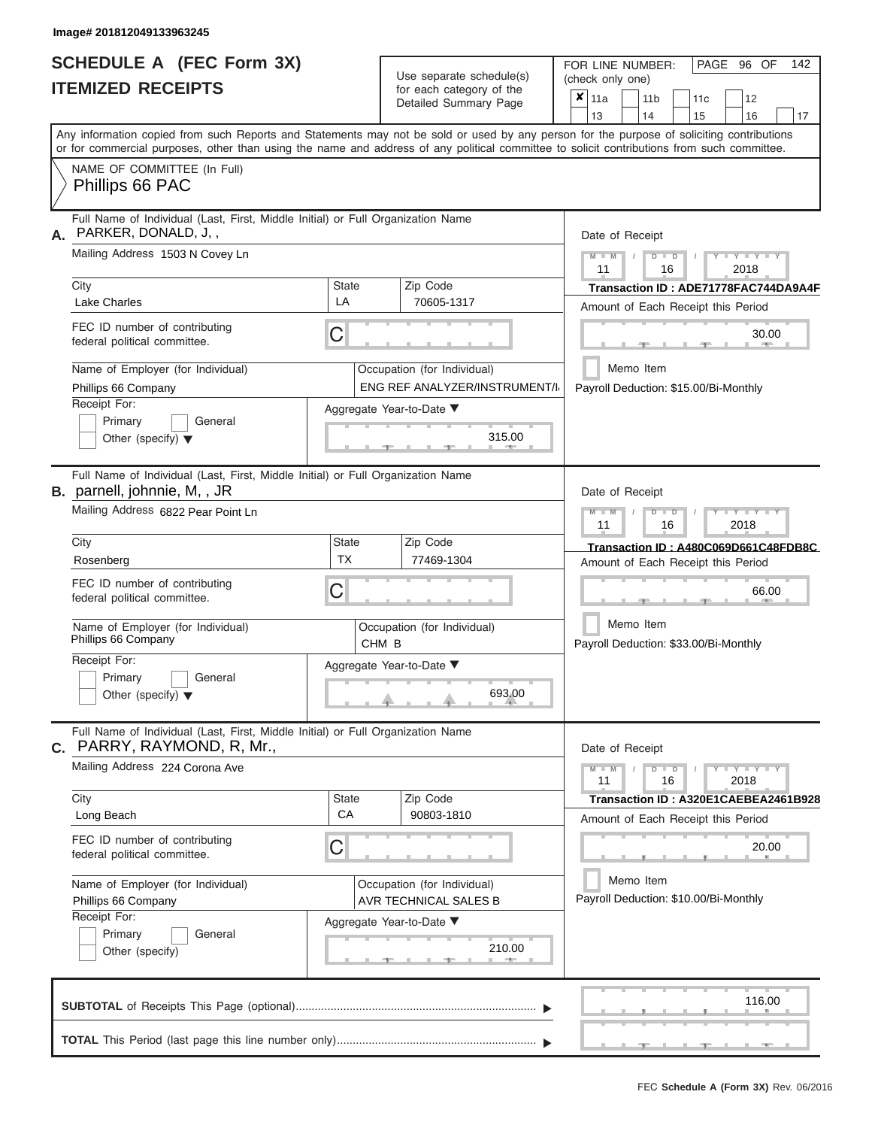|                          | SCHEDULE A (FEC Form 3X) |
|--------------------------|--------------------------|
| <b>ITEMIZED RECEIPTS</b> |                          |

Use separate schedule(s)<br>for each category of the

FOR LINE NUMBER:<br>(check only one)

PAGE 96 OF 142

|                                                                                                                                                                                                                                                                                         |                                                      | ivi cacii calcyory or life<br>Detailed Summary Page          | ×                                                  | 11a                                                |            |      | 11 <sub>b</sub> | 11 <sub>c</sub>                    | 12                                    |    |  |  |
|-----------------------------------------------------------------------------------------------------------------------------------------------------------------------------------------------------------------------------------------------------------------------------------------|------------------------------------------------------|--------------------------------------------------------------|----------------------------------------------------|----------------------------------------------------|------------|------|-----------------|------------------------------------|---------------------------------------|----|--|--|
|                                                                                                                                                                                                                                                                                         |                                                      |                                                              |                                                    | 13                                                 |            | 14   |                 | 15                                 | 16                                    | 17 |  |  |
| Any information copied from such Reports and Statements may not be sold or used by any person for the purpose of soliciting contributions<br>or for commercial purposes, other than using the name and address of any political committee to solicit contributions from such committee. |                                                      |                                                              |                                                    |                                                    |            |      |                 |                                    |                                       |    |  |  |
| NAME OF COMMITTEE (In Full)<br>Phillips 66 PAC                                                                                                                                                                                                                                          |                                                      |                                                              |                                                    |                                                    |            |      |                 |                                    |                                       |    |  |  |
| Full Name of Individual (Last, First, Middle Initial) or Full Organization Name<br>PARKER, DONALD, J,,<br>А.                                                                                                                                                                            |                                                      |                                                              |                                                    | Date of Receipt                                    |            |      |                 |                                    |                                       |    |  |  |
| Mailing Address 1503 N Covey Ln                                                                                                                                                                                                                                                         |                                                      |                                                              |                                                    | $M - M$<br>11                                      | $\sqrt{2}$ |      | $D$ $D$<br>16   |                                    | $Y - Y - Y$<br>2018                   |    |  |  |
| City                                                                                                                                                                                                                                                                                    | State                                                | Zip Code                                                     |                                                    |                                                    |            |      |                 |                                    | Transaction ID: ADE71778FAC744DA9A4F  |    |  |  |
| <b>Lake Charles</b>                                                                                                                                                                                                                                                                     | LA                                                   | 70605-1317                                                   |                                                    |                                                    |            |      |                 |                                    | Amount of Each Receipt this Period    |    |  |  |
| FEC ID number of contributing<br>federal political committee.                                                                                                                                                                                                                           | C                                                    |                                                              |                                                    |                                                    |            |      |                 |                                    | 30.00<br><b>AND IN</b>                |    |  |  |
| Name of Employer (for Individual)<br>Phillips 66 Company                                                                                                                                                                                                                                |                                                      | Occupation (for Individual)<br>ENG REF ANALYZER/INSTRUMENT/I |                                                    |                                                    | Memo Item  |      |                 |                                    | Payroll Deduction: \$15.00/Bi-Monthly |    |  |  |
| Receipt For:                                                                                                                                                                                                                                                                            |                                                      | Aggregate Year-to-Date ▼                                     |                                                    |                                                    |            |      |                 |                                    |                                       |    |  |  |
| Primary<br>General<br>Other (specify) $\blacktriangledown$                                                                                                                                                                                                                              |                                                      | 315.00                                                       |                                                    |                                                    |            |      |                 |                                    |                                       |    |  |  |
| Full Name of Individual (Last, First, Middle Initial) or Full Organization Name<br><b>B.</b> parnell, johnnie, M,, JR                                                                                                                                                                   |                                                      |                                                              |                                                    | Date of Receipt                                    |            |      |                 |                                    |                                       |    |  |  |
| Mailing Address 6822 Pear Point Ln                                                                                                                                                                                                                                                      |                                                      | $M - M$<br>$D$ $D$<br>$Y - Y - Y$<br>11<br>2018<br>16        |                                                    |                                                    |            |      |                 |                                    |                                       |    |  |  |
| City                                                                                                                                                                                                                                                                                    | State<br><b>TX</b>                                   | Zip Code                                                     |                                                    | Transaction ID: A480C069D661C48FDB8C               |            |      |                 |                                    |                                       |    |  |  |
| Rosenberg                                                                                                                                                                                                                                                                               | 77469-1304                                           |                                                              |                                                    |                                                    |            |      |                 | Amount of Each Receipt this Period |                                       |    |  |  |
| FEC ID number of contributing<br>federal political committee.                                                                                                                                                                                                                           | С                                                    |                                                              |                                                    |                                                    |            |      |                 |                                    | 66.00                                 |    |  |  |
| Name of Employer (for Individual)<br>Phillips 66 Company                                                                                                                                                                                                                                | Occupation (for Individual)<br>CHM <sub>B</sub>      |                                                              | Memo Item<br>Payroll Deduction: \$33.00/Bi-Monthly |                                                    |            |      |                 |                                    |                                       |    |  |  |
| Receipt For:<br>Primary<br>General<br>Other (specify) $\blacktriangledown$                                                                                                                                                                                                              | Aggregate Year-to-Date ▼                             |                                                              |                                                    |                                                    |            |      |                 |                                    |                                       |    |  |  |
| Full Name of Individual (Last, First, Middle Initial) or Full Organization Name<br>PARRY, RAYMOND, R, Mr.,<br>С.                                                                                                                                                                        |                                                      |                                                              |                                                    | Date of Receipt                                    |            |      |                 |                                    |                                       |    |  |  |
| Mailing Address 224 Corona Ave                                                                                                                                                                                                                                                          |                                                      |                                                              |                                                    | $M - M$<br>11                                      |            |      | $D$ $D$<br>16   |                                    | $+Y+Y+Y$<br>2018                      |    |  |  |
| City                                                                                                                                                                                                                                                                                    | State<br>CA                                          | Zip Code                                                     |                                                    |                                                    |            |      |                 |                                    | Transaction ID: A320E1CAEBEA2461B928  |    |  |  |
| Long Beach                                                                                                                                                                                                                                                                              |                                                      | 90803-1810                                                   |                                                    |                                                    |            |      |                 |                                    | Amount of Each Receipt this Period    |    |  |  |
| FEC ID number of contributing<br>federal political committee.                                                                                                                                                                                                                           | C                                                    |                                                              |                                                    |                                                    |            |      |                 |                                    | 20.00                                 |    |  |  |
| Name of Employer (for Individual)<br>Phillips 66 Company                                                                                                                                                                                                                                | Occupation (for Individual)<br>AVR TECHNICAL SALES B |                                                              |                                                    | Memo Item<br>Payroll Deduction: \$10.00/Bi-Monthly |            |      |                 |                                    |                                       |    |  |  |
| Receipt For:                                                                                                                                                                                                                                                                            | Aggregate Year-to-Date ▼                             |                                                              |                                                    |                                                    |            |      |                 |                                    |                                       |    |  |  |
| Primary<br>General<br>210.00<br>Other (specify)                                                                                                                                                                                                                                         |                                                      |                                                              |                                                    |                                                    |            |      |                 |                                    |                                       |    |  |  |
|                                                                                                                                                                                                                                                                                         |                                                      |                                                              |                                                    |                                                    |            |      |                 |                                    | 116.00                                |    |  |  |
|                                                                                                                                                                                                                                                                                         |                                                      |                                                              |                                                    |                                                    |            | $-1$ |                 | $-1$                               | $-$                                   |    |  |  |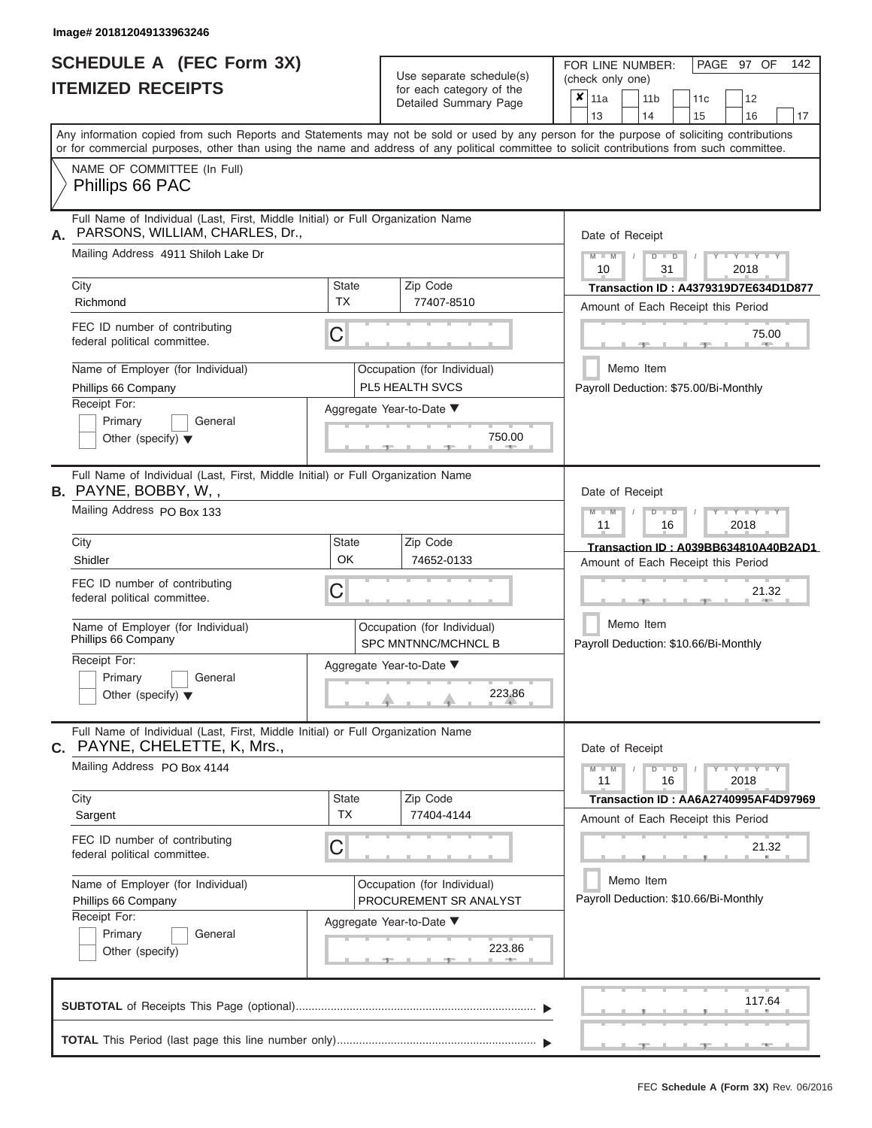# **SCHEDULE A (FEC Form 3X) ITEMIZED RECEIPTS**

| SCHEDULE A (FEC Form 3X)<br><b>ITEMIZED RECEIPTS</b>                                                                                                                                                                                                                                                                                                                                           |                         | Use separate schedule(s)<br>for each category of the<br>Detailed Summary Page                                                    | 142<br>FOR LINE NUMBER:<br>PAGE 97 OF<br>(check only one)<br>$\overline{\mathbf{x}}$   11a<br>11 <sub>b</sub><br>12<br>11 <sub>c</sub><br>13<br>14<br>15<br>16<br>17                                                                                                                                |
|------------------------------------------------------------------------------------------------------------------------------------------------------------------------------------------------------------------------------------------------------------------------------------------------------------------------------------------------------------------------------------------------|-------------------------|----------------------------------------------------------------------------------------------------------------------------------|-----------------------------------------------------------------------------------------------------------------------------------------------------------------------------------------------------------------------------------------------------------------------------------------------------|
| Any information copied from such Reports and Statements may not be sold or used by any person for the purpose of soliciting contributions<br>or for commercial purposes, other than using the name and address of any political committee to solicit contributions from such committee.<br>NAME OF COMMITTEE (In Full)<br>Phillips 66 PAC                                                      |                         |                                                                                                                                  |                                                                                                                                                                                                                                                                                                     |
| Full Name of Individual (Last, First, Middle Initial) or Full Organization Name<br>PARSONS, WILLIAM, CHARLES, Dr.,<br>А.<br>Mailing Address 4911 Shiloh Lake Dr<br>City<br>Richmond<br>FEC ID number of contributing<br>federal political committee.<br>Name of Employer (for Individual)<br>Phillips 66 Company<br>Receipt For:<br>Primary<br>General<br>Other (specify) $\blacktriangledown$ | State<br><b>TX</b><br>С | Zip Code<br>77407-8510<br>Occupation (for Individual)<br>PL5 HEALTH SVCS<br>Aggregate Year-to-Date ▼<br>750.00<br><b>Barbara</b> | Date of Receipt<br>$M$ – $M$ /<br>$+Y+Y+Y$<br>$D$ $D$<br>10<br>31<br>2018<br>Transaction ID: A4379319D7E634D1D877<br>Amount of Each Receipt this Period<br>75.00<br><b>STATION</b><br>Memo Item<br>Payroll Deduction: \$75.00/Bi-Monthly                                                            |
| Full Name of Individual (Last, First, Middle Initial) or Full Organization Name<br><b>B.</b> PAYNE, BOBBY, W,,<br>Mailing Address PO Box 133<br>City<br>Shidler<br>FEC ID number of contributing<br>federal political committee.<br>Name of Employer (for Individual)<br>Phillips 66 Company<br>Receipt For:<br>Primary<br>General<br>Other (specify) $\blacktriangledown$                     | <b>State</b><br>OK<br>С | Zip Code<br>74652-0133<br>Occupation (for Individual)<br><b>SPC MNTNNC/MCHNCL B</b><br>Aggregate Year-to-Date ▼<br>223.86        | Date of Receipt<br>$M - M$<br>$D$ $\Box$ $D$<br>$T - Y = Y - T Y$<br>11<br>2018<br>16<br>Transaction ID: A039BB634810A40B2AD1<br>Amount of Each Receipt this Period<br>21.32<br>Memo Item<br>Payroll Deduction: \$10.66/Bi-Monthly                                                                  |
| Full Name of Individual (Last, First, Middle Initial) or Full Organization Name<br>PAYNE, CHELETTE, K, Mrs.,<br>С.<br>Mailing Address PO Box 4144<br>City<br>Sargent<br>FEC ID number of contributing<br>federal political committee.<br>Name of Employer (for Individual)<br>Phillips 66 Company<br>Receipt For:<br>Primary<br>General<br>Other (specify)                                     | State<br><b>TX</b><br>С | Zip Code<br>77404-4144<br>Occupation (for Individual)<br>PROCUREMENT SR ANALYST<br>Aggregate Year-to-Date ▼<br>223.86            | Date of Receipt<br>$M - M$<br>$\overline{Y}$ $\overline{Y}$ $\overline{Y}$ $\overline{Y}$ $\overline{Y}$ $\overline{Y}$<br>$D$ $D$<br>11<br>16<br>2018<br>Transaction ID: AA6A2740995AF4D97969<br>Amount of Each Receipt this Period<br>21.32<br>Memo Item<br>Payroll Deduction: \$10.66/Bi-Monthly |
|                                                                                                                                                                                                                                                                                                                                                                                                |                         |                                                                                                                                  | 117.64                                                                                                                                                                                                                                                                                              |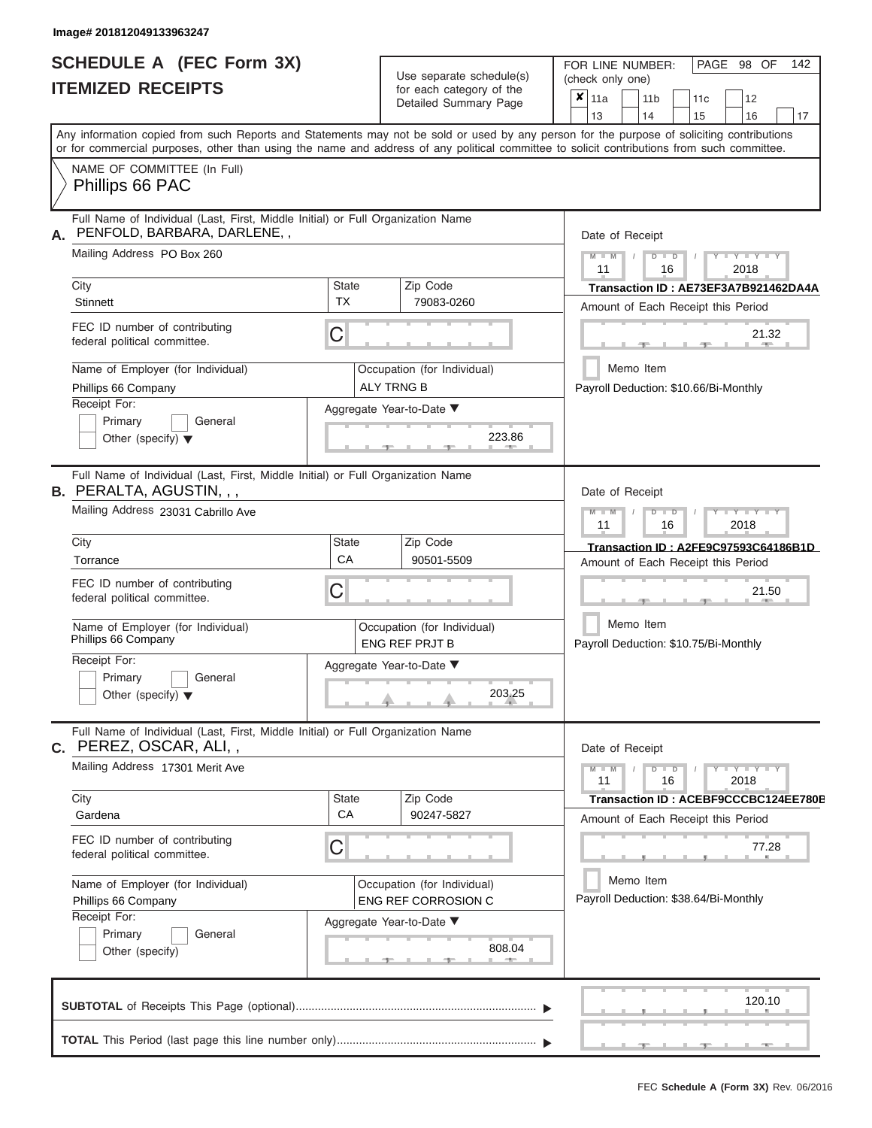|                          | SCHEDULE A (FEC Form 3X) |
|--------------------------|--------------------------|
| <b>ITEMIZED RECEIPTS</b> |                          |

Use separate schedule(s) (check only one)<br>for each category of the  $\begin{array}{|c|c|c|c|c|}\n\hline\n\text{Initial Summary goes} & & \text{with } & \text{with } & \text{with } & \text{with } & \text{with } & \text{with } & \text{with } & \text{with } & \text{with } & \text{with } & \text{with } & \text{with } & \text{with } & \text{with } & \text{with } & \text{with } & \text{with } & \text{with } & \text{with } & \text{with } & \text$ 

FOR LINE NUMBER:

PAGE 98 OF 142

|    |                                                                                                                                            |                             | Detailed Summary Page                            | $\boldsymbol{x}$ | 11a                                                    |  | 11 b                                  |               | 11 <sub>c</sub>                      |       | 12                          |    |  |
|----|--------------------------------------------------------------------------------------------------------------------------------------------|-----------------------------|--------------------------------------------------|------------------|--------------------------------------------------------|--|---------------------------------------|---------------|--------------------------------------|-------|-----------------------------|----|--|
|    | Any information copied from such Reports and Statements may not be sold or used by any person for the purpose of soliciting contributions  |                             |                                                  |                  | 13                                                     |  | 14                                    |               | 15                                   |       | 16                          | 17 |  |
|    | or for commercial purposes, other than using the name and address of any political committee to solicit contributions from such committee. |                             |                                                  |                  |                                                        |  |                                       |               |                                      |       |                             |    |  |
|    | NAME OF COMMITTEE (In Full)<br>Phillips 66 PAC                                                                                             |                             |                                                  |                  |                                                        |  |                                       |               |                                      |       |                             |    |  |
| А. | Full Name of Individual (Last, First, Middle Initial) or Full Organization Name<br>PENFOLD, BARBARA, DARLENE,,                             |                             |                                                  |                  | Date of Receipt                                        |  |                                       |               |                                      |       |                             |    |  |
|    | Mailing Address PO Box 260                                                                                                                 |                             |                                                  |                  | $M - M$<br>11                                          |  |                                       | $D$ $D$<br>16 |                                      |       | $Y - Y - Y$<br>2018         |    |  |
|    | City                                                                                                                                       | State                       | Zip Code                                         |                  |                                                        |  |                                       |               | Transaction ID: AE73EF3A7B921462DA4A |       |                             |    |  |
|    | <b>Stinnett</b>                                                                                                                            | <b>TX</b>                   | 79083-0260                                       |                  | Amount of Each Receipt this Period                     |  |                                       |               |                                      |       |                             |    |  |
|    | FEC ID number of contributing<br>federal political committee.                                                                              | С                           |                                                  |                  |                                                        |  |                                       |               |                                      |       | 21.32                       |    |  |
|    | Name of Employer (for Individual)<br>Phillips 66 Company                                                                                   |                             | Occupation (for Individual)<br><b>ALY TRNG B</b> |                  | Payroll Deduction: \$10.66/Bi-Monthly                  |  | Memo Item                             |               |                                      |       |                             |    |  |
|    | Receipt For:                                                                                                                               |                             | Aggregate Year-to-Date ▼                         |                  |                                                        |  |                                       |               |                                      |       |                             |    |  |
|    | Primary<br>General<br>Other (specify) $\blacktriangledown$                                                                                 |                             | 223.86                                           |                  |                                                        |  |                                       |               |                                      |       |                             |    |  |
|    | Full Name of Individual (Last, First, Middle Initial) or Full Organization Name<br><b>B. PERALTA, AGUSTIN, , ,</b>                         |                             |                                                  |                  | Date of Receipt                                        |  |                                       |               |                                      |       |                             |    |  |
|    | Mailing Address 23031 Cabrillo Ave                                                                                                         |                             |                                                  |                  | Y TYT<br>$M - M$<br>$D$ $\Box$ $D$<br>11<br>16<br>2018 |  |                                       |               |                                      |       |                             |    |  |
|    | City                                                                                                                                       | State                       | Zip Code                                         |                  | Transaction ID: A2FE9C97593C64186B1D                   |  |                                       |               |                                      |       |                             |    |  |
|    | Torrance                                                                                                                                   | CA                          | 90501-5509                                       |                  | Amount of Each Receipt this Period                     |  |                                       |               |                                      |       |                             |    |  |
|    | FEC ID number of contributing<br>federal political committee.                                                                              | С                           |                                                  |                  |                                                        |  |                                       |               |                                      |       | 21.50                       |    |  |
|    | Name of Employer (for Individual)<br>Phillips 66 Company                                                                                   |                             | Occupation (for Individual)<br>ENG REF PRJT B    |                  | Memo Item<br>Payroll Deduction: \$10.75/Bi-Monthly     |  |                                       |               |                                      |       |                             |    |  |
|    | Receipt For:                                                                                                                               |                             | Aggregate Year-to-Date ▼                         |                  |                                                        |  |                                       |               |                                      |       |                             |    |  |
|    | Primary<br>General<br>Other (specify) $\blacktriangledown$                                                                                 | 203.25                      |                                                  |                  |                                                        |  |                                       |               |                                      |       |                             |    |  |
| C. | Full Name of Individual (Last, First, Middle Initial) or Full Organization Name<br>PEREZ, OSCAR, ALI,,                                     |                             |                                                  |                  | Date of Receipt                                        |  |                                       |               |                                      |       |                             |    |  |
|    | Mailing Address 17301 Merit Ave                                                                                                            |                             |                                                  |                  | $M - M$<br>11                                          |  | ъ                                     | $\Box$<br>16  |                                      |       | $Y - Y - Y - Y - Y$<br>2018 |    |  |
|    | City                                                                                                                                       | State                       | Zip Code                                         |                  |                                                        |  |                                       |               | Transaction ID: ACEBF9CCCBC124EE780E |       |                             |    |  |
|    | Gardena                                                                                                                                    | CA                          | 90247-5827                                       |                  | Amount of Each Receipt this Period                     |  |                                       |               |                                      |       |                             |    |  |
|    | FEC ID number of contributing<br>federal political committee.                                                                              | С                           |                                                  |                  |                                                        |  |                                       |               |                                      | 77.28 |                             |    |  |
|    | Name of Employer (for Individual)                                                                                                          | Occupation (for Individual) |                                                  |                  |                                                        |  | Memo Item                             |               |                                      |       |                             |    |  |
|    | Phillips 66 Company                                                                                                                        | ENG REF CORROSION C         |                                                  |                  |                                                        |  | Payroll Deduction: \$38.64/Bi-Monthly |               |                                      |       |                             |    |  |
|    | Receipt For:                                                                                                                               |                             |                                                  |                  |                                                        |  |                                       |               |                                      |       |                             |    |  |
|    | Aggregate Year-to-Date ▼<br>Primary<br>General                                                                                             |                             |                                                  |                  |                                                        |  |                                       |               |                                      |       |                             |    |  |
|    | Other (specify)                                                                                                                            |                             | 808.04                                           |                  |                                                        |  |                                       |               |                                      |       |                             |    |  |
|    |                                                                                                                                            |                             |                                                  |                  |                                                        |  |                                       |               |                                      |       | 120.10                      |    |  |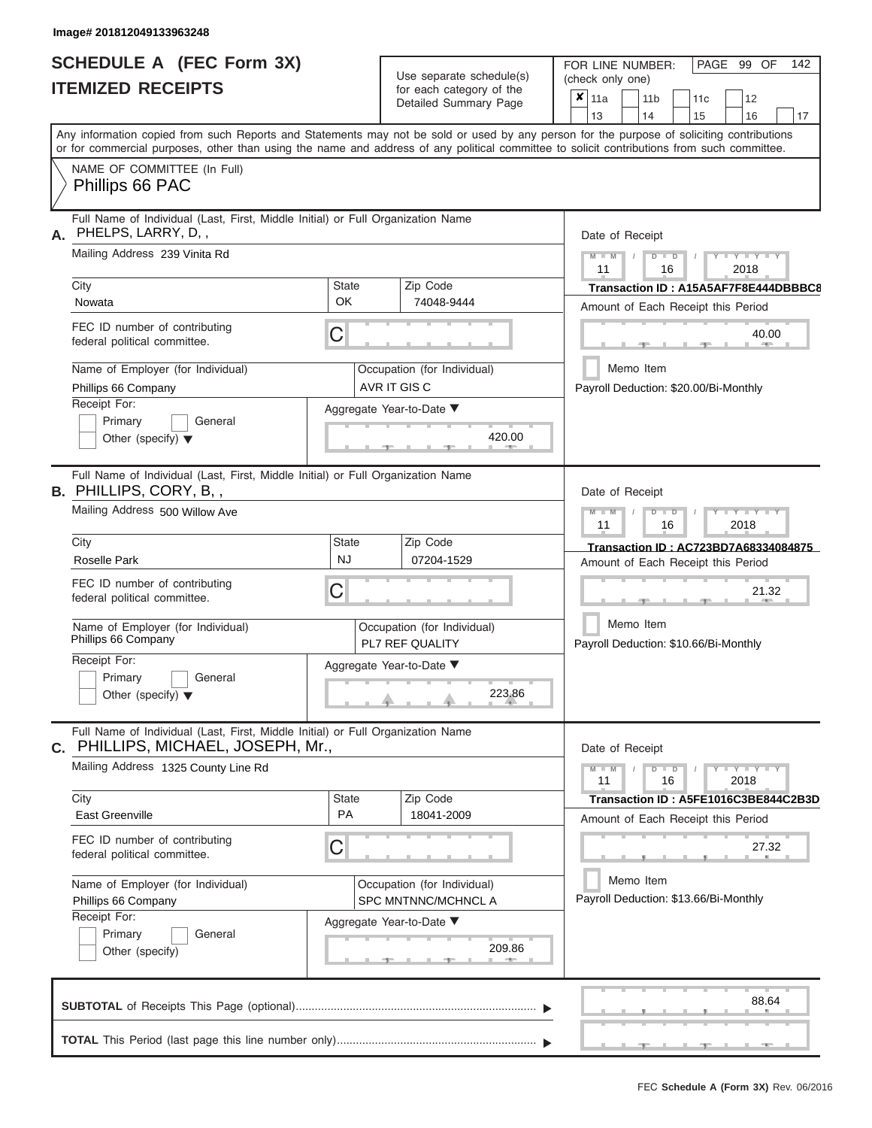# **SCHEDULE A (FEC Form 3X)**

| Any information copied from such Reports and Statements may not be sold or used by any person for the purpose of soliciting contributions<br>or for commercial purposes, other than using the name and address of any political committee to solicit contributions from such committee.<br>NAME OF COMMITTEE (In Full)<br>Phillips 66 PAC<br>Full Name of Individual (Last, First, Middle Initial) or Full Organization Name<br>PHELPS, LARRY, D,,<br>Date of Receipt<br>Mailing Address 239 Vinita Rd<br>$M = M$<br>$T - Y = Y - T Y$<br>$D$ $D$<br>11<br>2018<br>16<br>City<br><b>State</b><br>Zip Code<br><b>OK</b><br>74048-9444<br>Nowata<br>Amount of Each Receipt this Period<br>FEC ID number of contributing<br>С<br>40.00<br>federal political committee.<br><b>AND A</b><br>Memo Item<br>Name of Employer (for Individual)<br>Occupation (for Individual)<br>AVR IT GIS C<br>Phillips 66 Company<br>Payroll Deduction: \$20.00/Bi-Monthly<br>Receipt For:<br>Aggregate Year-to-Date ▼<br>Primary<br>General<br>420.00<br>Other (specify) $\blacktriangledown$<br>Full Name of Individual (Last, First, Middle Initial) or Full Organization Name<br>Date of Receipt<br>Mailing Address 500 Willow Ave<br>$M$ $M$<br>$D$ $\Box$ $D$<br>$\blacksquare$ $\blacksquare$ $\blacksquare$ $\blacksquare$ $\blacksquare$ $\blacksquare$<br>11<br>2018<br>16<br>City<br>Zip Code<br>State<br><b>NJ</b><br>Roselle Park<br>07204-1529<br>Amount of Each Receipt this Period<br>FEC ID number of contributing<br>С<br>21.32<br>federal political committee.<br>Memo Item<br>Name of Employer (for Individual)<br>Occupation (for Individual)<br>Phillips 66 Company<br>PL7 REF QUALITY<br>Payroll Deduction: \$10.66/Bi-Monthly<br>Receipt For:<br>Aggregate Year-to-Date ▼<br>Primary<br>General<br>223.86<br>Other (specify) $\blacktriangledown$<br>Full Name of Individual (Last, First, Middle Initial) or Full Organization Name<br>PHILLIPS, MICHAEL, JOSEPH, Mr.,<br>Date of Receipt<br>Mailing Address 1325 County Line Rd<br>$Y - Y - Y - Y - Y$<br>$M - M$<br>$D$ $D$<br>11<br>16<br>2018<br>Zip Code<br>City<br><b>State</b><br><b>PA</b><br>East Greenville<br>18041-2009<br>Amount of Each Receipt this Period<br>FEC ID number of contributing<br>С<br>27.32<br>federal political committee.<br>Memo Item<br>Name of Employer (for Individual)<br>Occupation (for Individual)<br>Payroll Deduction: \$13.66/Bi-Monthly<br>SPC MNTNNC/MCHNCL A<br>Phillips 66 Company<br>Receipt For:<br>Aggregate Year-to-Date ▼<br>Primary<br>General<br>209.86<br>Other (specify)<br>88.64 | SCHEDULE A (FEC Form 3X)<br><b>ITEMIZED RECEIPTS</b> |  | Use separate schedule(s)<br>for each category of the<br>Detailed Summary Page | 142<br>FOR LINE NUMBER:<br>PAGE 99 OF<br>(check only one)<br>$\overline{\mathbf{x}}$   11a<br>11 <sub>b</sub><br>12<br>11 <sub>c</sub><br>13<br>16<br>14 |
|---------------------------------------------------------------------------------------------------------------------------------------------------------------------------------------------------------------------------------------------------------------------------------------------------------------------------------------------------------------------------------------------------------------------------------------------------------------------------------------------------------------------------------------------------------------------------------------------------------------------------------------------------------------------------------------------------------------------------------------------------------------------------------------------------------------------------------------------------------------------------------------------------------------------------------------------------------------------------------------------------------------------------------------------------------------------------------------------------------------------------------------------------------------------------------------------------------------------------------------------------------------------------------------------------------------------------------------------------------------------------------------------------------------------------------------------------------------------------------------------------------------------------------------------------------------------------------------------------------------------------------------------------------------------------------------------------------------------------------------------------------------------------------------------------------------------------------------------------------------------------------------------------------------------------------------------------------------------------------------------------------------------------------------------------------------------------------------------------------------------------------------------------------------------------------------------------------------------------------------------------------------------------------------------------------------------------------------------------------------------------------------------------------------------------------------------------------------------------------------------------------------------------------------------------------------------------------------------|------------------------------------------------------|--|-------------------------------------------------------------------------------|----------------------------------------------------------------------------------------------------------------------------------------------------------|
|                                                                                                                                                                                                                                                                                                                                                                                                                                                                                                                                                                                                                                                                                                                                                                                                                                                                                                                                                                                                                                                                                                                                                                                                                                                                                                                                                                                                                                                                                                                                                                                                                                                                                                                                                                                                                                                                                                                                                                                                                                                                                                                                                                                                                                                                                                                                                                                                                                                                                                                                                                                             |                                                      |  |                                                                               | 15<br>17                                                                                                                                                 |
|                                                                                                                                                                                                                                                                                                                                                                                                                                                                                                                                                                                                                                                                                                                                                                                                                                                                                                                                                                                                                                                                                                                                                                                                                                                                                                                                                                                                                                                                                                                                                                                                                                                                                                                                                                                                                                                                                                                                                                                                                                                                                                                                                                                                                                                                                                                                                                                                                                                                                                                                                                                             |                                                      |  |                                                                               |                                                                                                                                                          |
| <b>B.</b> PHILLIPS, CORY, B,,                                                                                                                                                                                                                                                                                                                                                                                                                                                                                                                                                                                                                                                                                                                                                                                                                                                                                                                                                                                                                                                                                                                                                                                                                                                                                                                                                                                                                                                                                                                                                                                                                                                                                                                                                                                                                                                                                                                                                                                                                                                                                                                                                                                                                                                                                                                                                                                                                                                                                                                                                               | А.                                                   |  |                                                                               | Transaction ID: A15A5AF7F8E444DBBBC8                                                                                                                     |
| С.                                                                                                                                                                                                                                                                                                                                                                                                                                                                                                                                                                                                                                                                                                                                                                                                                                                                                                                                                                                                                                                                                                                                                                                                                                                                                                                                                                                                                                                                                                                                                                                                                                                                                                                                                                                                                                                                                                                                                                                                                                                                                                                                                                                                                                                                                                                                                                                                                                                                                                                                                                                          |                                                      |  |                                                                               |                                                                                                                                                          |
|                                                                                                                                                                                                                                                                                                                                                                                                                                                                                                                                                                                                                                                                                                                                                                                                                                                                                                                                                                                                                                                                                                                                                                                                                                                                                                                                                                                                                                                                                                                                                                                                                                                                                                                                                                                                                                                                                                                                                                                                                                                                                                                                                                                                                                                                                                                                                                                                                                                                                                                                                                                             |                                                      |  |                                                                               | Transaction ID: AC723BD7A68334084875                                                                                                                     |
|                                                                                                                                                                                                                                                                                                                                                                                                                                                                                                                                                                                                                                                                                                                                                                                                                                                                                                                                                                                                                                                                                                                                                                                                                                                                                                                                                                                                                                                                                                                                                                                                                                                                                                                                                                                                                                                                                                                                                                                                                                                                                                                                                                                                                                                                                                                                                                                                                                                                                                                                                                                             |                                                      |  |                                                                               | Transaction ID : A5FE1016C3BE844C2B3D                                                                                                                    |
|                                                                                                                                                                                                                                                                                                                                                                                                                                                                                                                                                                                                                                                                                                                                                                                                                                                                                                                                                                                                                                                                                                                                                                                                                                                                                                                                                                                                                                                                                                                                                                                                                                                                                                                                                                                                                                                                                                                                                                                                                                                                                                                                                                                                                                                                                                                                                                                                                                                                                                                                                                                             |                                                      |  |                                                                               |                                                                                                                                                          |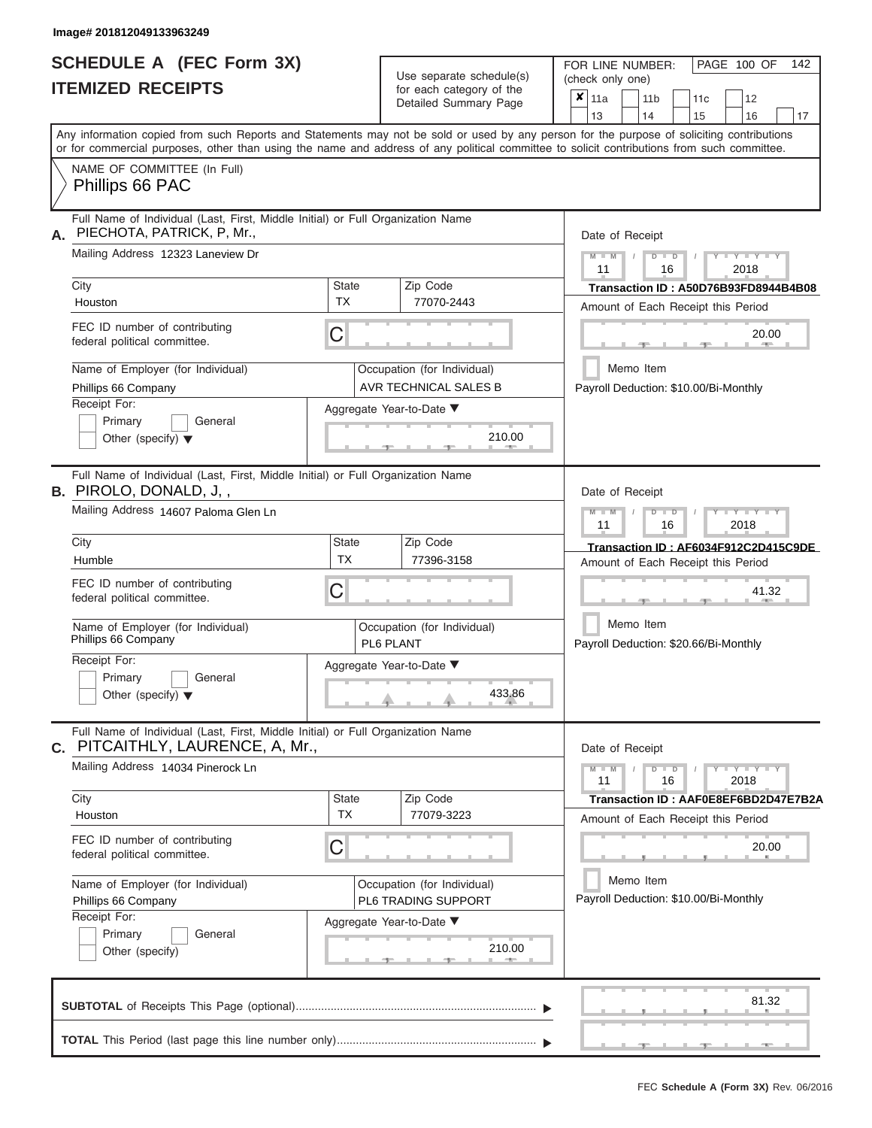# **SCHEDULE A (FEC Form 3X) ITEMIZED RECEIPTS**

| SCHEDULE A (FEC Form 3X)<br><b>ITEMIZED RECEIPTS</b>                                                                                                     |                                                         | Use separate schedule(s)<br>for each category of the | 142<br>FOR LINE NUMBER:<br>PAGE 100 OF<br>(check only one)<br>$\overline{\mathbf{x}}$   11a                                               |
|----------------------------------------------------------------------------------------------------------------------------------------------------------|---------------------------------------------------------|------------------------------------------------------|-------------------------------------------------------------------------------------------------------------------------------------------|
|                                                                                                                                                          |                                                         | Detailed Summary Page                                | 12<br>11 <sub>b</sub><br>11c<br>14<br>15<br>13<br>16<br>17                                                                                |
| or for commercial purposes, other than using the name and address of any political committee to solicit contributions from such committee.               |                                                         |                                                      | Any information copied from such Reports and Statements may not be sold or used by any person for the purpose of soliciting contributions |
| NAME OF COMMITTEE (In Full)<br>Phillips 66 PAC                                                                                                           |                                                         |                                                      |                                                                                                                                           |
| Full Name of Individual (Last, First, Middle Initial) or Full Organization Name<br>PIECHOTA, PATRICK, P, Mr.,<br>А.                                      |                                                         |                                                      | Date of Receipt                                                                                                                           |
| Mailing Address 12323 Laneview Dr                                                                                                                        |                                                         |                                                      | $M$ $M$ $N$<br>$D$ $D$<br>$+Y+Y+Y$<br>11<br>2018<br>16                                                                                    |
| City<br>Houston                                                                                                                                          | <b>State</b><br><b>TX</b>                               | Zip Code<br>77070-2443                               | Transaction ID: A50D76B93FD8944B4B08<br>Amount of Each Receipt this Period                                                                |
| FEC ID number of contributing<br>federal political committee.                                                                                            | C                                                       |                                                      | 20.00<br><b>Brita Allen</b><br>-40                                                                                                        |
| Name of Employer (for Individual)<br>Phillips 66 Company                                                                                                 |                                                         | Occupation (for Individual)<br>AVR TECHNICAL SALES B | Memo Item<br>Payroll Deduction: \$10.00/Bi-Monthly                                                                                        |
| Receipt For:<br>Primary<br>General<br>Other (specify) $\blacktriangledown$                                                                               | Aggregate Year-to-Date ▼<br>210.00<br><b>CONTRACTOR</b> |                                                      |                                                                                                                                           |
| Full Name of Individual (Last, First, Middle Initial) or Full Organization Name<br><b>B.</b> PIROLO, DONALD, J,,<br>Mailing Address 14607 Paloma Glen Ln |                                                         |                                                      | Date of Receipt<br>$M - M$<br>$D$ $D$<br>$\Box$ $\Upsilon$ $\Box$ $\Upsilon$ $\Upsilon$ $\Upsilon$                                        |
| City                                                                                                                                                     | <b>State</b>                                            | Zip Code                                             | 11<br>2018<br>16                                                                                                                          |
| Humble                                                                                                                                                   | TX                                                      | 77396-3158                                           | Transaction ID: AF6034F912C2D415C9DE<br>Amount of Each Receipt this Period                                                                |
| FEC ID number of contributing<br>federal political committee.                                                                                            | C                                                       |                                                      | 41.32                                                                                                                                     |
| Name of Employer (for Individual)<br>Phillips 66 Company                                                                                                 |                                                         | Occupation (for Individual)<br>PL6 PLANT             | Memo Item<br>Payroll Deduction: \$20.66/Bi-Monthly                                                                                        |
| Receipt For:<br>Primary<br>General                                                                                                                       |                                                         | Aggregate Year-to-Date ▼                             |                                                                                                                                           |
| Other (specify) $\blacktriangledown$                                                                                                                     |                                                         | 433.86                                               |                                                                                                                                           |
| Full Name of Individual (Last, First, Middle Initial) or Full Organization Name<br>C. PITCAITHLY, LAURENCE, A, Mr.,                                      |                                                         |                                                      | Date of Receipt                                                                                                                           |
| Mailing Address 14034 Pinerock Ln                                                                                                                        |                                                         |                                                      | $M - M$<br>$D$ $D$<br>$Y - Y - Y - Y - Y$<br>11<br>16<br>2018                                                                             |
| City<br>Houston                                                                                                                                          | <b>State</b><br><b>TX</b>                               | Zip Code<br>77079-3223                               | Transaction ID: AAF0E8EF6BD2D47E7B2A<br>Amount of Each Receipt this Period                                                                |
| FEC ID number of contributing<br>federal political committee.                                                                                            | С                                                       |                                                      | 20.00                                                                                                                                     |
| Name of Employer (for Individual)<br>Phillips 66 Company                                                                                                 |                                                         | Occupation (for Individual)<br>PL6 TRADING SUPPORT   | Memo Item<br>Payroll Deduction: \$10.00/Bi-Monthly                                                                                        |
| Receipt For:<br>Primary<br>General<br>Other (specify)                                                                                                    |                                                         | Aggregate Year-to-Date ▼<br>210.00                   |                                                                                                                                           |
|                                                                                                                                                          |                                                         |                                                      | 81.32                                                                                                                                     |
|                                                                                                                                                          |                                                         |                                                      | $-9$<br>$-9$<br>$-10-$                                                                                                                    |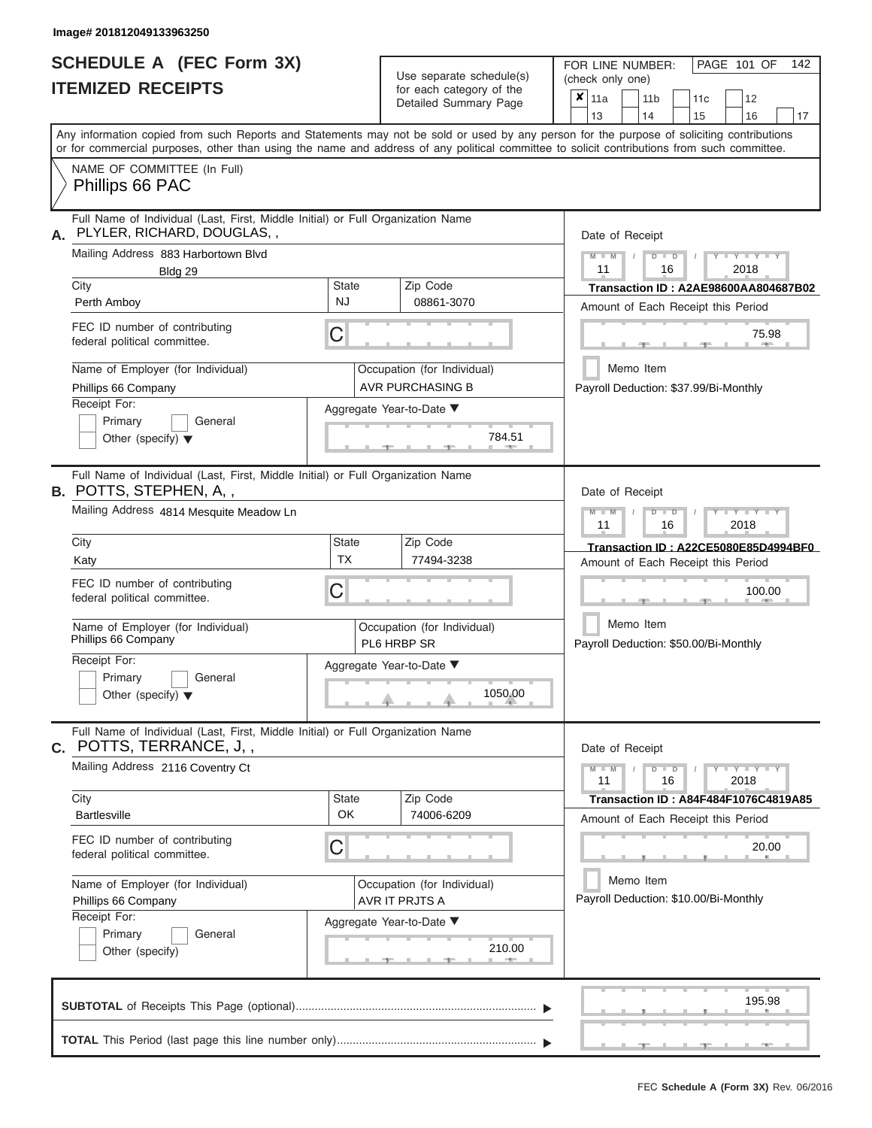# **SCHEDULE A (FEC Form 3X)**

FOR LINE NUMBER:

PAGE 101 OF 142

| <b>ITEMIZED RECEIPTS</b>                                                                                             |                                                    | Use separate schedule(s)<br>for each category of the<br>Detailed Summary Page | (check only one)<br>$x _{11a}$<br>12<br>11 <sub>b</sub><br>11c<br>13<br>14<br>16<br>15<br>17                                                                                                                                                                                            |  |  |  |  |  |
|----------------------------------------------------------------------------------------------------------------------|----------------------------------------------------|-------------------------------------------------------------------------------|-----------------------------------------------------------------------------------------------------------------------------------------------------------------------------------------------------------------------------------------------------------------------------------------|--|--|--|--|--|
|                                                                                                                      |                                                    |                                                                               | Any information copied from such Reports and Statements may not be sold or used by any person for the purpose of soliciting contributions<br>or for commercial purposes, other than using the name and address of any political committee to solicit contributions from such committee. |  |  |  |  |  |
| NAME OF COMMITTEE (In Full)<br>Phillips 66 PAC                                                                       |                                                    |                                                                               |                                                                                                                                                                                                                                                                                         |  |  |  |  |  |
| Full Name of Individual (Last, First, Middle Initial) or Full Organization Name<br>PLYLER, RICHARD, DOUGLAS, ,<br>А. |                                                    |                                                                               | Date of Receipt                                                                                                                                                                                                                                                                         |  |  |  |  |  |
| Mailing Address 883 Harbortown Blvd<br>Bldg 29                                                                       |                                                    |                                                                               | $M - M$<br>$D$ $\Box$ $D$<br>$Y - Y - Y$<br>11<br>2018<br>16                                                                                                                                                                                                                            |  |  |  |  |  |
| City<br>Perth Amboy                                                                                                  | State<br>NJ                                        | Zip Code<br>08861-3070                                                        | Transaction ID: A2AE98600AA804687B02<br>Amount of Each Receipt this Period                                                                                                                                                                                                              |  |  |  |  |  |
| FEC ID number of contributing<br>federal political committee.                                                        | С                                                  |                                                                               | 75.98                                                                                                                                                                                                                                                                                   |  |  |  |  |  |
| Name of Employer (for Individual)<br>Phillips 66 Company                                                             |                                                    | Occupation (for Individual)<br><b>AVR PURCHASING B</b>                        | Memo Item<br>Payroll Deduction: \$37.99/Bi-Monthly                                                                                                                                                                                                                                      |  |  |  |  |  |
| Receipt For:<br>Primary<br>General<br>Other (specify) $\blacktriangledown$                                           | Aggregate Year-to-Date ▼<br>784.51<br><b>COLOR</b> |                                                                               |                                                                                                                                                                                                                                                                                         |  |  |  |  |  |
| Full Name of Individual (Last, First, Middle Initial) or Full Organization Name<br><b>B.</b> POTTS, STEPHEN, A, ,    |                                                    |                                                                               | Date of Receipt                                                                                                                                                                                                                                                                         |  |  |  |  |  |
| Mailing Address 4814 Mesquite Meadow Ln                                                                              |                                                    |                                                                               | $M - M$<br>$D$ $\Box$ $D$<br>Y I Y I<br>11<br>2018<br>16                                                                                                                                                                                                                                |  |  |  |  |  |
| City<br>Katy                                                                                                         | State<br><b>TX</b>                                 | Zip Code<br>77494-3238                                                        | Transaction ID: A22CE5080E85D4994BF0<br>Amount of Each Receipt this Period                                                                                                                                                                                                              |  |  |  |  |  |
| FEC ID number of contributing<br>federal political committee.                                                        | С                                                  |                                                                               | 100.00                                                                                                                                                                                                                                                                                  |  |  |  |  |  |
| Name of Employer (for Individual)<br>Phillips 66 Company                                                             |                                                    | Occupation (for Individual)<br>PL6 HRBP SR                                    | Memo Item<br>Payroll Deduction: \$50.00/Bi-Monthly                                                                                                                                                                                                                                      |  |  |  |  |  |
| Receipt For:<br>Primary<br>General<br>Other (specify) $\blacktriangledown$                                           |                                                    | Aggregate Year-to-Date ▼<br>1050.00                                           |                                                                                                                                                                                                                                                                                         |  |  |  |  |  |
| Full Name of Individual (Last, First, Middle Initial) or Full Organization Name<br><b>c.</b> POTTS, TERRANCE, J, ,   |                                                    |                                                                               | Date of Receipt                                                                                                                                                                                                                                                                         |  |  |  |  |  |
| Mailing Address 2116 Coventry Ct                                                                                     |                                                    |                                                                               | $Y - Y - Y - Y - I - Y$<br>$M - M$<br>$D$ $D$<br>11<br>16<br>2018                                                                                                                                                                                                                       |  |  |  |  |  |
| City<br><b>Bartlesville</b>                                                                                          | State<br>OK                                        | Zip Code<br>74006-6209                                                        | <b>Transaction ID: A84F484F1076C4819A85</b><br>Amount of Each Receipt this Period                                                                                                                                                                                                       |  |  |  |  |  |
| FEC ID number of contributing<br>federal political committee.                                                        | 20.00                                              |                                                                               |                                                                                                                                                                                                                                                                                         |  |  |  |  |  |
| Name of Employer (for Individual)<br>Phillips 66 Company                                                             |                                                    | Occupation (for Individual)<br>AVR IT PRJTS A                                 | Memo Item<br>Payroll Deduction: \$10.00/Bi-Monthly                                                                                                                                                                                                                                      |  |  |  |  |  |
| Receipt For:<br>Primary<br>General<br>Other (specify)                                                                |                                                    |                                                                               |                                                                                                                                                                                                                                                                                         |  |  |  |  |  |
|                                                                                                                      |                                                    |                                                                               | 195.98                                                                                                                                                                                                                                                                                  |  |  |  |  |  |
|                                                                                                                      |                                                    |                                                                               |                                                                                                                                                                                                                                                                                         |  |  |  |  |  |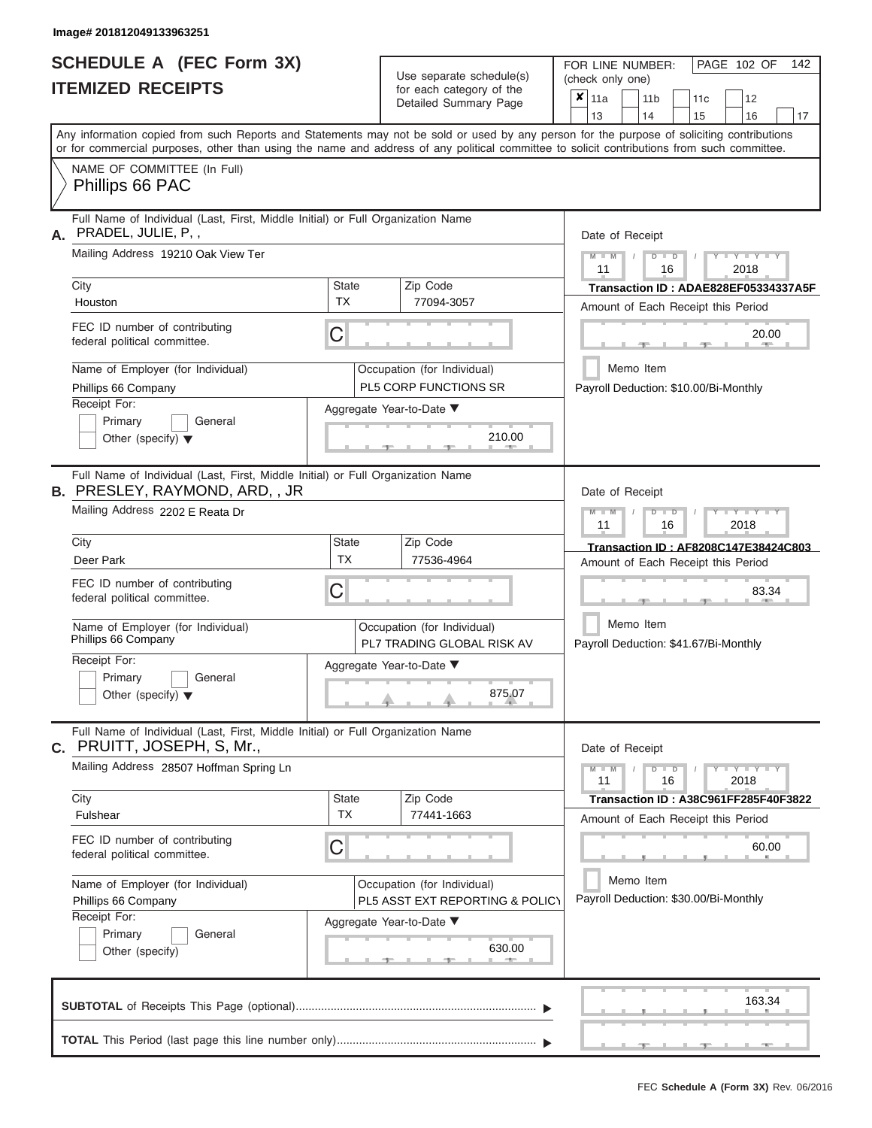|                          | SCHEDULE A (FEC Form 3X) |
|--------------------------|--------------------------|
| <b>ITEMIZED RECEIPTS</b> |                          |

Use separate schedule(s)<br>for each category of the

FOR LINE NUMBER:<br>(check only one)

PAGE 102 OF 142

|                                                          |                                                                                                                                                                                                                                                                                         |                                    | Detailed Summary Page                                          | × | 11a                                                           |  | 11 b      |                      | 11c | 12                                                                         |    |  |
|----------------------------------------------------------|-----------------------------------------------------------------------------------------------------------------------------------------------------------------------------------------------------------------------------------------------------------------------------------------|------------------------------------|----------------------------------------------------------------|---|---------------------------------------------------------------|--|-----------|----------------------|-----|----------------------------------------------------------------------------|----|--|
|                                                          |                                                                                                                                                                                                                                                                                         |                                    |                                                                |   | 13                                                            |  | 14        |                      | 15  | 16                                                                         | 17 |  |
|                                                          | Any information copied from such Reports and Statements may not be sold or used by any person for the purpose of soliciting contributions<br>or for commercial purposes, other than using the name and address of any political committee to solicit contributions from such committee. |                                    |                                                                |   |                                                               |  |           |                      |     |                                                                            |    |  |
|                                                          | NAME OF COMMITTEE (In Full)<br>Phillips 66 PAC                                                                                                                                                                                                                                          |                                    |                                                                |   |                                                               |  |           |                      |     |                                                                            |    |  |
| А.                                                       | Full Name of Individual (Last, First, Middle Initial) or Full Organization Name<br>PRADEL, JULIE, P,,                                                                                                                                                                                   |                                    |                                                                |   | Date of Receipt                                               |  |           |                      |     |                                                                            |    |  |
|                                                          | Mailing Address 19210 Oak View Ter                                                                                                                                                                                                                                                      |                                    |                                                                |   | $M - M$<br>11                                                 |  |           | $D$ $\Box$ $D$<br>16 |     | $Y + Y$<br>2018                                                            |    |  |
|                                                          | City<br>Houston                                                                                                                                                                                                                                                                         | <b>State</b><br><b>TX</b>          | Zip Code<br>77094-3057                                         |   |                                                               |  |           |                      |     | Transaction ID: ADAE828EF05334337A5F                                       |    |  |
|                                                          | FEC ID number of contributing<br>federal political committee.                                                                                                                                                                                                                           | C                                  |                                                                |   |                                                               |  |           |                      |     | Amount of Each Receipt this Period<br>20.00                                |    |  |
|                                                          | Name of Employer (for Individual)<br>Phillips 66 Company                                                                                                                                                                                                                                |                                    | Occupation (for Individual)<br>PL5 CORP FUNCTIONS SR           |   |                                                               |  | Memo Item |                      |     | Payroll Deduction: \$10.00/Bi-Monthly                                      |    |  |
|                                                          | Receipt For:<br>Primary<br>General<br>Other (specify) $\blacktriangledown$                                                                                                                                                                                                              | Aggregate Year-to-Date ▼<br>210.00 |                                                                |   |                                                               |  |           |                      |     |                                                                            |    |  |
|                                                          | Full Name of Individual (Last, First, Middle Initial) or Full Organization Name<br><b>B.</b> PRESLEY, RAYMOND, ARD, , JR                                                                                                                                                                |                                    |                                                                |   | Date of Receipt                                               |  |           |                      |     |                                                                            |    |  |
|                                                          | Mailing Address 2202 E Reata Dr                                                                                                                                                                                                                                                         |                                    |                                                                |   | $M - M$<br>$\mathbf{Y}$<br>$D$ $\Box$ $D$<br>11<br>2018<br>16 |  |           |                      |     |                                                                            |    |  |
|                                                          | City<br>Deer Park                                                                                                                                                                                                                                                                       | <b>State</b><br><b>TX</b>          | Zip Code<br>77536-4964                                         |   |                                                               |  |           |                      |     | Transaction ID: AF8208C147E38424C803<br>Amount of Each Receipt this Period |    |  |
|                                                          | FEC ID number of contributing<br>federal political committee.                                                                                                                                                                                                                           | C                                  |                                                                |   |                                                               |  |           |                      |     | 83.34                                                                      |    |  |
|                                                          | Name of Employer (for Individual)<br>Phillips 66 Company                                                                                                                                                                                                                                |                                    | Occupation (for Individual)<br>PL7 TRADING GLOBAL RISK AV      |   | Memo Item<br>Payroll Deduction: \$41.67/Bi-Monthly            |  |           |                      |     |                                                                            |    |  |
|                                                          | Receipt For:<br>Primary<br>General<br>Other (specify) $\blacktriangledown$                                                                                                                                                                                                              | Aggregate Year-to-Date ▼           |                                                                |   |                                                               |  |           |                      |     |                                                                            |    |  |
|                                                          | Full Name of Individual (Last, First, Middle Initial) or Full Organization Name<br>C. PRUITT, JOSEPH, S, Mr.,                                                                                                                                                                           |                                    |                                                                |   | Date of Receipt                                               |  |           |                      |     |                                                                            |    |  |
|                                                          | Mailing Address 28507 Hoffman Spring Ln                                                                                                                                                                                                                                                 |                                    |                                                                |   | $M - M$<br>11                                                 |  |           | $D$ $D$<br>16        |     | $T - Y = Y + Y$<br>2018                                                    |    |  |
|                                                          | City<br>Fulshear                                                                                                                                                                                                                                                                        | <b>State</b><br><b>TX</b>          | Zip Code<br>77441-1663                                         |   |                                                               |  |           |                      |     | Transaction ID: A38C961FF285F40F3822                                       |    |  |
|                                                          | FEC ID number of contributing<br>federal political committee.                                                                                                                                                                                                                           | С                                  |                                                                |   | Amount of Each Receipt this Period<br>60.00                   |  |           |                      |     |                                                                            |    |  |
| Name of Employer (for Individual)<br>Phillips 66 Company |                                                                                                                                                                                                                                                                                         |                                    | Occupation (for Individual)<br>PL5 ASST EXT REPORTING & POLICY |   | Memo Item<br>Payroll Deduction: \$30.00/Bi-Monthly            |  |           |                      |     |                                                                            |    |  |
|                                                          | Receipt For:<br>Primary<br>General<br>Other (specify)                                                                                                                                                                                                                                   |                                    | Aggregate Year-to-Date ▼<br>630.00                             |   |                                                               |  |           |                      |     |                                                                            |    |  |
|                                                          |                                                                                                                                                                                                                                                                                         |                                    |                                                                |   |                                                               |  |           |                      |     | 163.34                                                                     |    |  |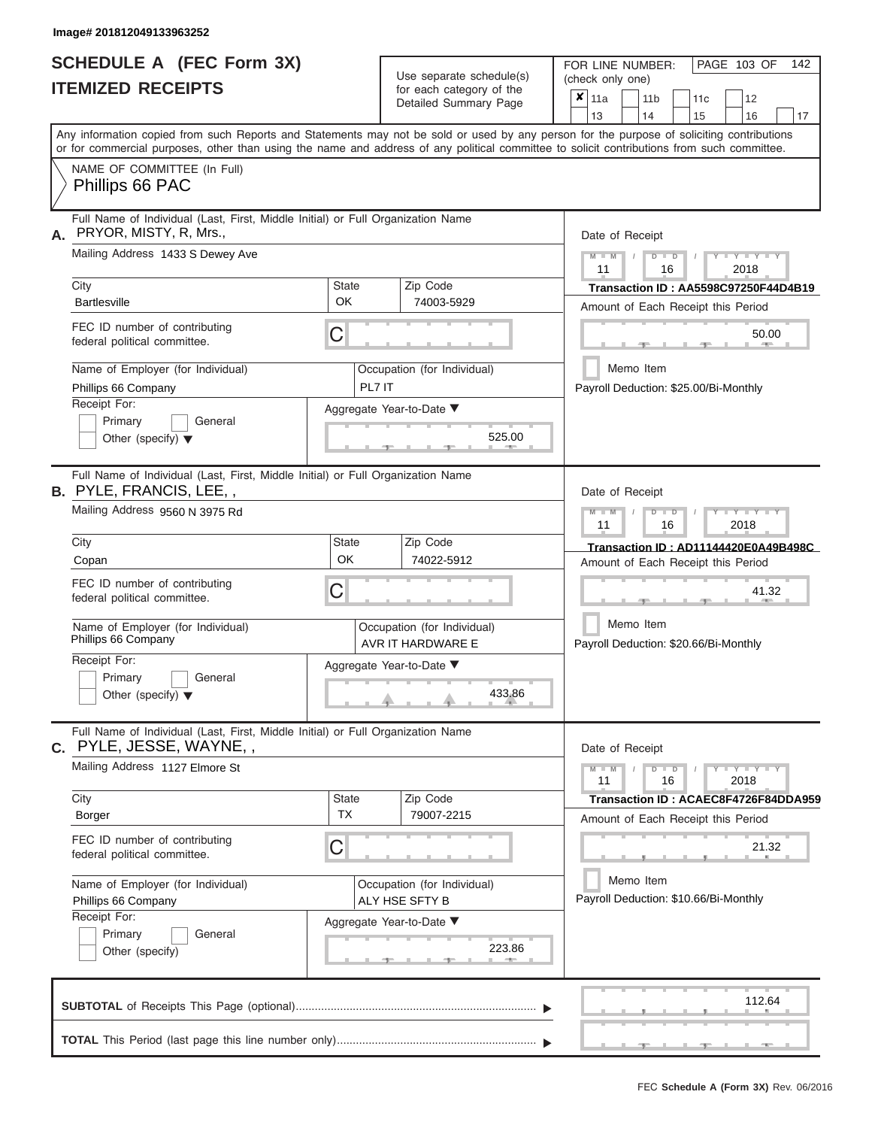|                          | <b>SCHEDULE A (FEC Form 3X)</b> |
|--------------------------|---------------------------------|
| <b>ITEMIZED RECEIPTS</b> |                                 |

Use separate schedule $(s)$  for each category of the

FOR LINE NUMBER:<br>(check only one)

PAGE 103 OF 142

|    | IIEMIZEV REVEIFIJ                                                                                                                                                                                                                                                                       |                          |                                    | for each category of the<br>Detailed Summary Page                          | ×                                     | 11a                                                |                                                            | 11 <sub>b</sub> |                  |                  | 11 <sub>c</sub> | 12                                    |                                      |  |  |  |  |
|----|-----------------------------------------------------------------------------------------------------------------------------------------------------------------------------------------------------------------------------------------------------------------------------------------|--------------------------|------------------------------------|----------------------------------------------------------------------------|---------------------------------------|----------------------------------------------------|------------------------------------------------------------|-----------------|------------------|------------------|-----------------|---------------------------------------|--------------------------------------|--|--|--|--|
|    | Any information copied from such Reports and Statements may not be sold or used by any person for the purpose of soliciting contributions<br>or for commercial purposes, other than using the name and address of any political committee to solicit contributions from such committee. |                          |                                    |                                                                            |                                       | 13                                                 |                                                            | 14              |                  |                  | 15              | 16                                    | 17                                   |  |  |  |  |
|    | NAME OF COMMITTEE (In Full)<br>Phillips 66 PAC                                                                                                                                                                                                                                          |                          |                                    |                                                                            |                                       |                                                    |                                                            |                 |                  |                  |                 |                                       |                                      |  |  |  |  |
| А. | Full Name of Individual (Last, First, Middle Initial) or Full Organization Name<br>PRYOR, MISTY, R, Mrs.,<br>Mailing Address 1433 S Dewey Ave                                                                                                                                           |                          |                                    | Date of Receipt<br>$M - M$                                                 |                                       |                                                    | $D$ $\Box$ $D$                                             |                 |                  | $-Y - Y - Y - Y$ |                 |                                       |                                      |  |  |  |  |
|    |                                                                                                                                                                                                                                                                                         |                          |                                    |                                                                            |                                       |                                                    |                                                            |                 | 11<br>16<br>2018 |                  |                 |                                       |                                      |  |  |  |  |
|    | City<br><b>Bartlesville</b>                                                                                                                                                                                                                                                             | State<br>OK              |                                    | Zip Code<br>74003-5929                                                     |                                       |                                                    |                                                            |                 |                  |                  |                 | Amount of Each Receipt this Period    | Transaction ID: AA5598C97250F44D4B19 |  |  |  |  |
|    | FEC ID number of contributing<br>federal political committee.                                                                                                                                                                                                                           | C                        |                                    |                                                                            |                                       |                                                    |                                                            |                 |                  |                  |                 | 50.00                                 |                                      |  |  |  |  |
|    | Name of Employer (for Individual)<br>Phillips 66 Company                                                                                                                                                                                                                                | PL7 IT                   |                                    | Occupation (for Individual)                                                |                                       |                                                    | Memo Item                                                  |                 |                  |                  |                 | Payroll Deduction: \$25.00/Bi-Monthly |                                      |  |  |  |  |
|    | Receipt For:<br>Primary<br>General<br>Other (specify) $\blacktriangledown$                                                                                                                                                                                                              |                          | Aggregate Year-to-Date ▼<br>525.00 |                                                                            |                                       |                                                    |                                                            |                 |                  |                  |                 |                                       |                                      |  |  |  |  |
|    | Full Name of Individual (Last, First, Middle Initial) or Full Organization Name<br><b>B.</b> PYLE, FRANCIS, LEE,,                                                                                                                                                                       |                          |                                    |                                                                            |                                       | Date of Receipt                                    |                                                            |                 |                  |                  |                 |                                       |                                      |  |  |  |  |
|    | Mailing Address 9560 N 3975 Rd                                                                                                                                                                                                                                                          |                          |                                    |                                                                            |                                       |                                                    | $M - M$<br>Y I Y I Y<br>$D$ $\Box$ $D$<br>11<br>16<br>2018 |                 |                  |                  |                 |                                       |                                      |  |  |  |  |
|    | City<br>Copan                                                                                                                                                                                                                                                                           | State<br>OK              | Zip Code<br>74022-5912             | Transaction ID: AD11144420E0A49B498C<br>Amount of Each Receipt this Period |                                       |                                                    |                                                            |                 |                  |                  |                 |                                       |                                      |  |  |  |  |
|    | FEC ID number of contributing<br>federal political committee.                                                                                                                                                                                                                           | С                        |                                    |                                                                            |                                       |                                                    |                                                            |                 | 41.32            |                  |                 |                                       |                                      |  |  |  |  |
|    | Name of Employer (for Individual)<br>Phillips 66 Company                                                                                                                                                                                                                                |                          |                                    | Occupation (for Individual)<br>AVR IT HARDWARE E                           |                                       | Memo Item<br>Payroll Deduction: \$20.66/Bi-Monthly |                                                            |                 |                  |                  |                 |                                       |                                      |  |  |  |  |
|    | Receipt For:<br>Primary<br>General<br>Other (specify) $\blacktriangledown$                                                                                                                                                                                                              | Aggregate Year-to-Date ▼ |                                    | 433.86                                                                     |                                       |                                                    |                                                            |                 |                  |                  |                 |                                       |                                      |  |  |  |  |
|    | Full Name of Individual (Last, First, Middle Initial) or Full Organization Name<br><b>C.</b> PYLE, JESSE, WAYNE, ,                                                                                                                                                                      |                          |                                    |                                                                            |                                       | Date of Receipt                                    |                                                            |                 |                  |                  |                 |                                       |                                      |  |  |  |  |
|    | Mailing Address 1127 Elmore St                                                                                                                                                                                                                                                          |                          |                                    |                                                                            |                                       | $M = M$<br>11                                      |                                                            |                 | $D$ $D$<br>16    |                  |                 | $Y - Y - Y - Y - I - Y$<br>2018       |                                      |  |  |  |  |
|    | City<br>Borger                                                                                                                                                                                                                                                                          | State<br><b>TX</b>       |                                    | Zip Code<br>79007-2215                                                     |                                       |                                                    |                                                            |                 |                  |                  |                 | Amount of Each Receipt this Period    | Transaction ID: ACAEC8F4726F84DDA959 |  |  |  |  |
|    | FEC ID number of contributing<br>federal political committee.                                                                                                                                                                                                                           | C                        |                                    |                                                                            |                                       |                                                    |                                                            |                 |                  |                  |                 | 21.32                                 |                                      |  |  |  |  |
|    | Name of Employer (for Individual)<br>Phillips 66 Company                                                                                                                                                                                                                                |                          |                                    | Memo Item                                                                  |                                       |                                                    |                                                            |                 |                  |                  |                 |                                       |                                      |  |  |  |  |
|    | Receipt For:                                                                                                                                                                                                                                                                            |                          |                                    | ALY HSE SFTY B<br>Aggregate Year-to-Date ▼                                 | Payroll Deduction: \$10.66/Bi-Monthly |                                                    |                                                            |                 |                  |                  |                 |                                       |                                      |  |  |  |  |
|    | Primary<br>General<br>Other (specify)                                                                                                                                                                                                                                                   |                          |                                    | 223.86                                                                     |                                       |                                                    |                                                            |                 |                  |                  |                 |                                       |                                      |  |  |  |  |
|    |                                                                                                                                                                                                                                                                                         |                          |                                    |                                                                            |                                       |                                                    |                                                            |                 |                  |                  |                 | 112.64                                |                                      |  |  |  |  |
|    |                                                                                                                                                                                                                                                                                         |                          |                                    |                                                                            |                                       |                                                    |                                                            |                 |                  |                  |                 |                                       |                                      |  |  |  |  |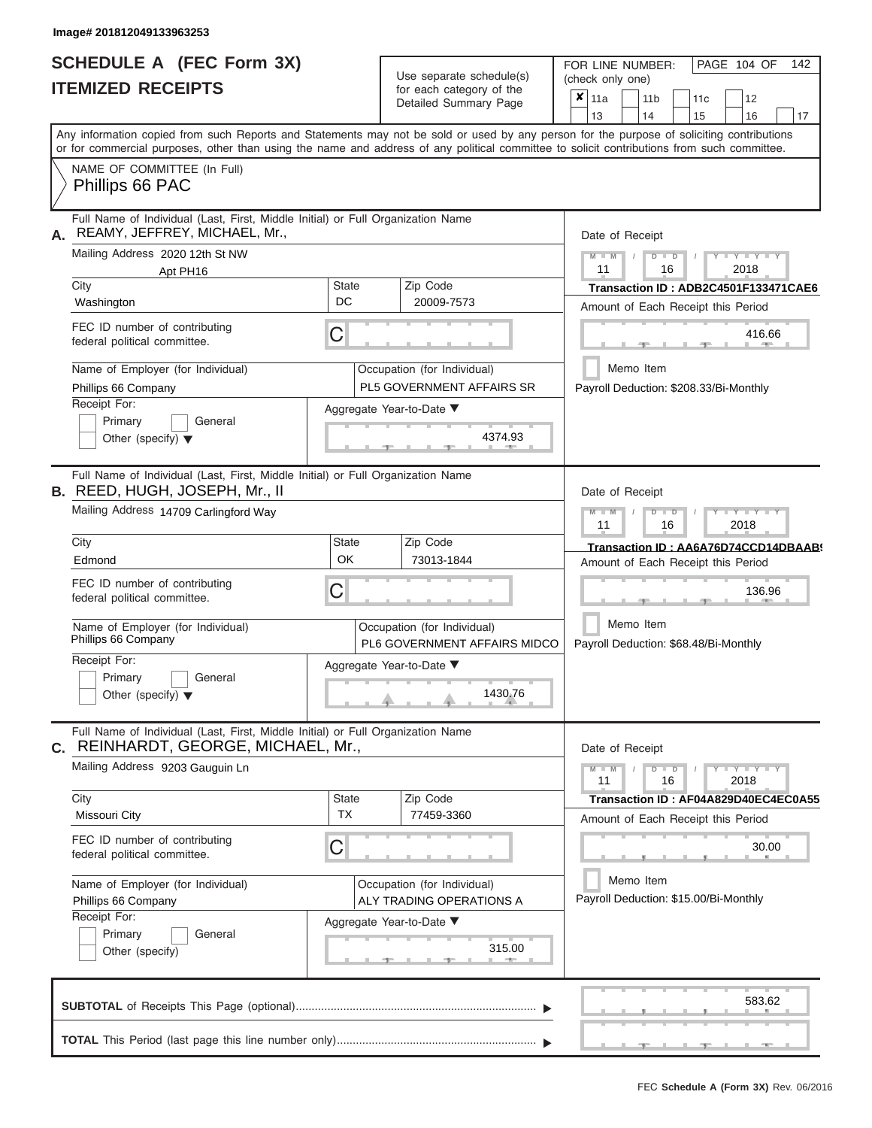# **SCHEDULE A (FEC Form 3X)**

| SCHEDULE A (FEC Form 3X)<br><b>ITEMIZED RECEIPTS</b>                                                                                                                                                                                                                                                                                                                                                   |                         | Use separate schedule(s)<br>for each category of the<br>Detailed Summary Page                                                    | 142<br>FOR LINE NUMBER:<br>PAGE 104 OF<br>(check only one)<br>×<br>111a<br>11 <sub>b</sub><br>12<br>11 <sub>c</sub>                                                                                                                                                                     |
|--------------------------------------------------------------------------------------------------------------------------------------------------------------------------------------------------------------------------------------------------------------------------------------------------------------------------------------------------------------------------------------------------------|-------------------------|----------------------------------------------------------------------------------------------------------------------------------|-----------------------------------------------------------------------------------------------------------------------------------------------------------------------------------------------------------------------------------------------------------------------------------------|
| Any information copied from such Reports and Statements may not be sold or used by any person for the purpose of soliciting contributions<br>or for commercial purposes, other than using the name and address of any political committee to solicit contributions from such committee.                                                                                                                |                         |                                                                                                                                  | 13<br>14<br>15<br>16<br>17                                                                                                                                                                                                                                                              |
| NAME OF COMMITTEE (In Full)<br>Phillips 66 PAC                                                                                                                                                                                                                                                                                                                                                         |                         |                                                                                                                                  |                                                                                                                                                                                                                                                                                         |
| Full Name of Individual (Last, First, Middle Initial) or Full Organization Name<br>REAMY, JEFFREY, MICHAEL, Mr.,<br>А.<br>Mailing Address 2020 12th St NW<br>Apt PH16<br>City<br>Washington<br>FEC ID number of contributing<br>federal political committee.<br>Name of Employer (for Individual)<br>Phillips 66 Company<br>Receipt For:<br>Primary<br>General<br>Other (specify) $\blacktriangledown$ | <b>State</b><br>DC<br>С | Zip Code<br>20009-7573<br>Occupation (for Individual)<br><b>PL5 GOVERNMENT AFFAIRS SR</b><br>Aggregate Year-to-Date ▼<br>4374.93 | Date of Receipt<br>$Y - Y - Y$<br>$M - M$<br>$D$ $D$<br>11<br>16<br>2018<br>Transaction ID: ADB2C4501F133471CAE6<br>Amount of Each Receipt this Period<br>416.66<br><b>AND A</b><br>Memo Item<br>Payroll Deduction: \$208.33/Bi-Monthly                                                 |
| Full Name of Individual (Last, First, Middle Initial) or Full Organization Name<br><b>B.</b> REED, HUGH, JOSEPH, Mr., II<br>Mailing Address 14709 Carlingford Way<br>City<br>Edmond<br>FEC ID number of contributing<br>federal political committee.<br>Name of Employer (for Individual)<br>Phillips 66 Company<br>Receipt For:<br>Primary<br>General<br>Other (specify) $\blacktriangledown$         | <b>State</b><br>OK<br>С | Zip Code<br>73013-1844<br>Occupation (for Individual)<br>PL6 GOVERNMENT AFFAIRS MIDCO<br>Aggregate Year-to-Date ▼<br>1430.76     | Date of Receipt<br>$M - M$<br>$D$ $D$<br>$\blacksquare$ $\vdash$ $\vdash$ $\vdash$ $\vdash$ $\vdash$ $\vdash$ $\vdash$<br>16<br>2018<br>11<br>Transaction ID: AA6A76D74CCD14DBAAB<br>Amount of Each Receipt this Period<br>136.96<br>Memo Item<br>Payroll Deduction: \$68.48/Bi-Monthly |
| Full Name of Individual (Last, First, Middle Initial) or Full Organization Name<br>REINHARDT, GEORGE, MICHAEL, Mr.,<br>С.<br>Mailing Address 9203 Gauguin Ln<br>City<br>Missouri City<br>FEC ID number of contributing<br>federal political committee.<br>Name of Employer (for Individual)<br>Phillips 66 Company<br>Receipt For:<br>Primary<br>General<br>Other (specify)                            | State<br><b>TX</b><br>С | Zip Code<br>77459-3360<br>Occupation (for Individual)<br>ALY TRADING OPERATIONS A<br>Aggregate Year-to-Date ▼<br>315.00          | Date of Receipt<br>$M - M$<br>$D$ $D$<br>$T - Y - T - Y - T - Y$<br>11<br>16<br>2018<br>Transaction ID: AF04A829D40EC4EC0A55<br>Amount of Each Receipt this Period<br>30.00<br>Memo Item<br>Payroll Deduction: \$15.00/Bi-Monthly                                                       |
|                                                                                                                                                                                                                                                                                                                                                                                                        |                         |                                                                                                                                  | 583.62<br>$-1$                                                                                                                                                                                                                                                                          |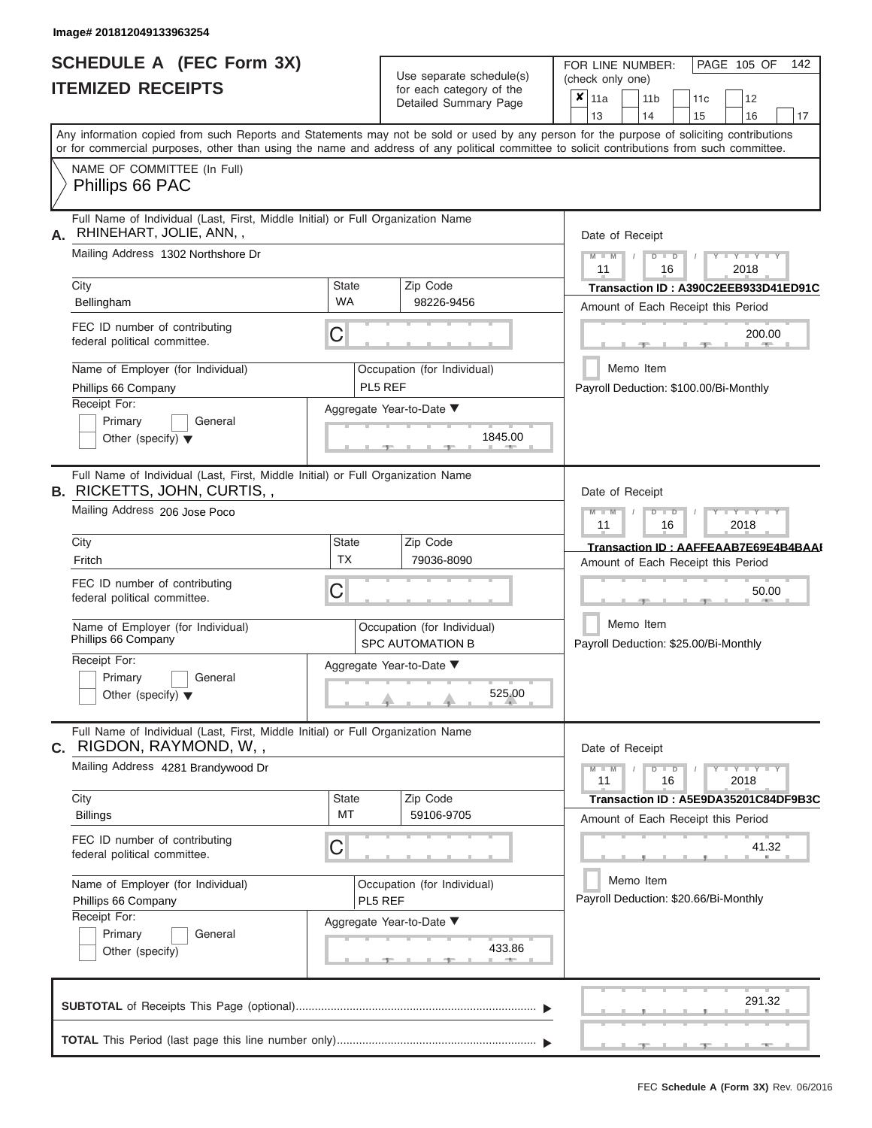|                          | <b>SCHEDULE A (FEC Form 3X)</b> |
|--------------------------|---------------------------------|
| <b>ITEMIZED RECEIPTS</b> |                                 |

| SCHEDULE A (FEC Form 3X)<br><b>ITEMIZED RECEIPTS</b>                                                                                                   |                           | Use separate schedule(s)<br>for each category of the   | 142<br>FOR LINE NUMBER:<br>PAGE 105 OF<br>(check only one)<br>$\overline{\mathbf{x}}$   11a<br>11 <sub>b</sub><br>12<br>11 <sub>c</sub>   |
|--------------------------------------------------------------------------------------------------------------------------------------------------------|---------------------------|--------------------------------------------------------|-------------------------------------------------------------------------------------------------------------------------------------------|
|                                                                                                                                                        |                           | Detailed Summary Page                                  | 13<br>14<br>15<br>16<br>17                                                                                                                |
| or for commercial purposes, other than using the name and address of any political committee to solicit contributions from such committee.             |                           |                                                        | Any information copied from such Reports and Statements may not be sold or used by any person for the purpose of soliciting contributions |
| NAME OF COMMITTEE (In Full)<br>Phillips 66 PAC                                                                                                         |                           |                                                        |                                                                                                                                           |
| Full Name of Individual (Last, First, Middle Initial) or Full Organization Name<br>RHINEHART, JOLIE, ANN,,<br>Α.<br>Mailing Address 1302 Northshore Dr |                           |                                                        | Date of Receipt<br>$M - M$<br>$T - Y = T - Y = T - Y$<br>$D$ $D$                                                                          |
| City<br>Bellingham                                                                                                                                     | <b>State</b><br><b>WA</b> | Zip Code<br>98226-9456                                 | 11<br>16<br>2018<br>Transaction ID: A390C2EEB933D41ED91C<br>Amount of Each Receipt this Period                                            |
| FEC ID number of contributing<br>federal political committee.                                                                                          | С                         |                                                        | 200.00<br>11. AND 11.                                                                                                                     |
| Name of Employer (for Individual)<br>Phillips 66 Company                                                                                               |                           | Occupation (for Individual)<br>PL5 REF                 | Memo Item<br>Payroll Deduction: \$100.00/Bi-Monthly                                                                                       |
| Receipt For:<br>Primary<br>General<br>Other (specify) $\blacktriangledown$                                                                             |                           | Aggregate Year-to-Date ▼<br>1845.00                    |                                                                                                                                           |
| Full Name of Individual (Last, First, Middle Initial) or Full Organization Name<br><b>B.</b> RICKETTS, JOHN, CURTIS,,<br>Mailing Address 206 Jose Poco |                           |                                                        | Date of Receipt<br>$M - M$<br>$D$ $D$<br>$T - Y = Y - T Y$                                                                                |
| City                                                                                                                                                   | <b>State</b>              | Zip Code                                               | 11<br>16<br>2018<br>Transaction ID: AAFFEAAB7E69E4B4BAAI                                                                                  |
| Fritch                                                                                                                                                 | <b>TX</b>                 | 79036-8090                                             | Amount of Each Receipt this Period                                                                                                        |
| FEC ID number of contributing<br>federal political committee.                                                                                          | С                         |                                                        | 50.00                                                                                                                                     |
| Name of Employer (for Individual)<br>Phillips 66 Company                                                                                               |                           | Occupation (for Individual)<br><b>SPC AUTOMATION B</b> | Memo Item<br>Payroll Deduction: \$25.00/Bi-Monthly                                                                                        |
| Receipt For:                                                                                                                                           |                           | Aggregate Year-to-Date ▼                               |                                                                                                                                           |
| Primary<br>General<br>Other (specify) $\blacktriangledown$                                                                                             |                           | 525.00                                                 |                                                                                                                                           |
| Full Name of Individual (Last, First, Middle Initial) or Full Organization Name<br>C. RIGDON, RAYMOND, W,,                                             |                           |                                                        | Date of Receipt                                                                                                                           |
| Mailing Address 4281 Brandywood Dr                                                                                                                     |                           |                                                        | $M - M$<br>$T - Y - T - Y - T - Y$<br>$D$ $D$<br>11<br>2018<br>16                                                                         |
| City<br><b>Billings</b>                                                                                                                                | <b>State</b><br>MT        | Zip Code<br>59106-9705                                 | Transaction ID: A5E9DA35201C84DF9B3C<br>Amount of Each Receipt this Period                                                                |
| FEC ID number of contributing<br>federal political committee.                                                                                          | С                         |                                                        | 41.32                                                                                                                                     |
| Name of Employer (for Individual)<br>Phillips 66 Company                                                                                               |                           | Occupation (for Individual)<br>PL5 REF                 | Memo Item<br>Payroll Deduction: \$20.66/Bi-Monthly                                                                                        |
| Receipt For:<br>Primary<br>General<br>Other (specify)                                                                                                  |                           | Aggregate Year-to-Date ▼<br>433.86                     |                                                                                                                                           |
|                                                                                                                                                        |                           |                                                        | 291.32                                                                                                                                    |
|                                                                                                                                                        |                           |                                                        | $-1$<br>$-1$<br>$-1$                                                                                                                      |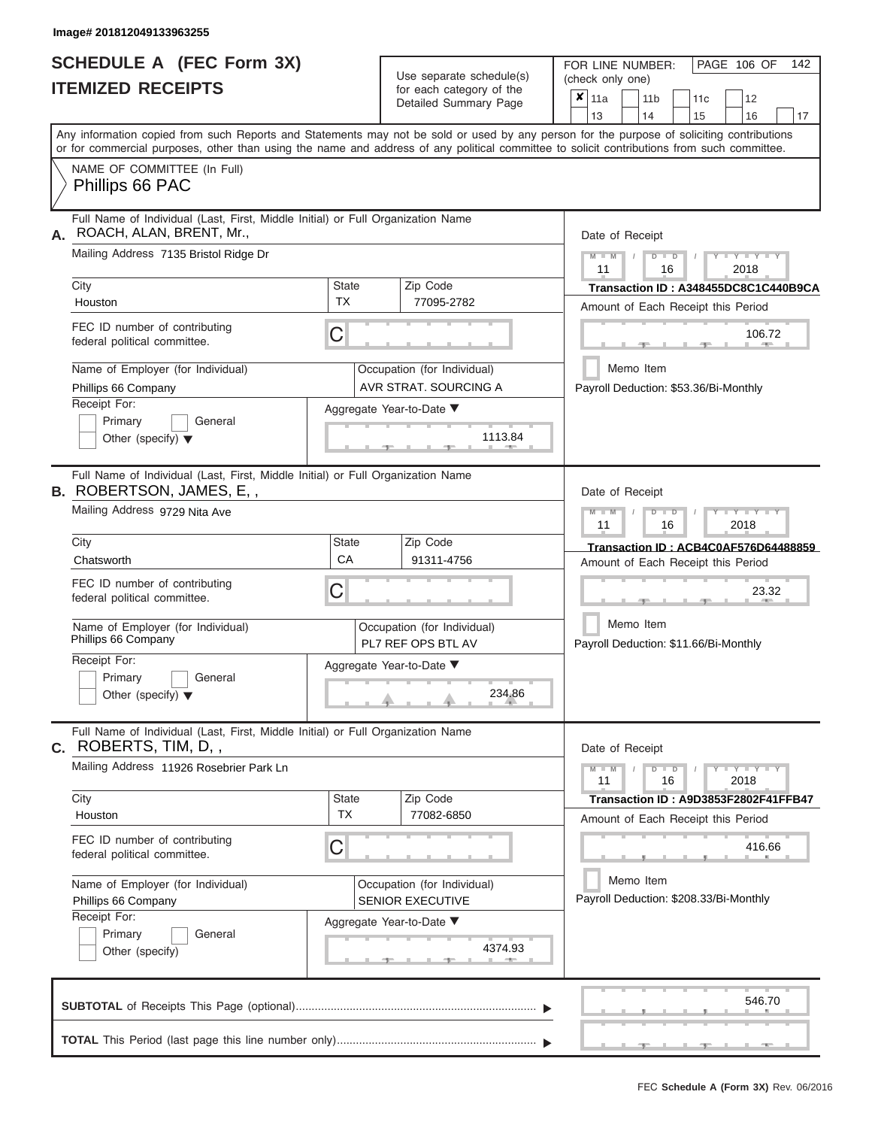|                          | SCHEDULE A (FEC Form 3X) |
|--------------------------|--------------------------|
| <b>ITEMIZED RECEIPTS</b> |                          |

| SCHEDULE A (FEC Form 3X)<br><b>ITEMIZED RECEIPTS</b>                                                                                                                                                                                                                                                                                                                                 | Use separate schedule(s)<br>for each category of the<br>Detailed Summary Page                                                                                            | 142<br>FOR LINE NUMBER:<br>PAGE 106 OF<br>(check only one)<br>$\overline{\mathbf{x}}$   11a<br>11 <sub>b</sub><br>12<br>11 <sub>c</sub><br>14<br>15<br>16<br>13<br>17                                                                                                                               |
|--------------------------------------------------------------------------------------------------------------------------------------------------------------------------------------------------------------------------------------------------------------------------------------------------------------------------------------------------------------------------------------|--------------------------------------------------------------------------------------------------------------------------------------------------------------------------|-----------------------------------------------------------------------------------------------------------------------------------------------------------------------------------------------------------------------------------------------------------------------------------------------------|
| NAME OF COMMITTEE (In Full)<br>Phillips 66 PAC                                                                                                                                                                                                                                                                                                                                       |                                                                                                                                                                          | Any information copied from such Reports and Statements may not be sold or used by any person for the purpose of soliciting contributions<br>or for commercial purposes, other than using the name and address of any political committee to solicit contributions from such committee.             |
| Full Name of Individual (Last, First, Middle Initial) or Full Organization Name<br>ROACH, ALAN, BRENT, Mr.,<br>Mailing Address 7135 Bristol Ridge Dr<br>City<br>Houston<br>FEC ID number of contributing<br>federal political committee.<br>Name of Employer (for Individual)<br>Phillips 66 Company<br>Receipt For:<br>Primary<br>General<br>Other (specify) $\blacktriangledown$   | Zip Code<br>State<br><b>TX</b><br>77095-2782<br>C<br>Occupation (for Individual)<br>AVR STRAT. SOURCING A<br>Aggregate Year-to-Date ▼<br>1113.84<br><b>British Allen</b> | Date of Receipt<br>$M$ – $M$ /<br>$+Y + Y + Y$<br>$D$ $D$<br>11<br>2018<br>16<br>Transaction ID: A348455DC8C1C440B9CA<br>Amount of Each Receipt this Period<br>106.72<br>Memo Item<br>Payroll Deduction: \$53.36/Bi-Monthly                                                                         |
| Full Name of Individual (Last, First, Middle Initial) or Full Organization Name<br><b>B.</b> ROBERTSON, JAMES, E,,<br>Mailing Address 9729 Nita Ave<br>City<br>Chatsworth<br>FEC ID number of contributing<br>federal political committee.<br>Name of Employer (for Individual)<br>Phillips 66 Company<br>Receipt For:<br>Primary<br>General<br>Other (specify) $\blacktriangledown$ | Zip Code<br>State<br>CA<br>91311-4756<br>С<br>Occupation (for Individual)<br>PL7 REF OPS BTL AV<br>Aggregate Year-to-Date ▼<br>234.86                                    | Date of Receipt<br>$M - M$<br>$D$ $D$<br>$\blacksquare$ $\blacksquare$ $\blacksquare$ $\blacksquare$ $\blacksquare$ $\blacksquare$<br>11<br>2018<br>16<br>Transaction ID: ACB4C0AF576D64488859<br>Amount of Each Receipt this Period<br>23.32<br>Memo Item<br>Payroll Deduction: \$11.66/Bi-Monthly |
| Full Name of Individual (Last, First, Middle Initial) or Full Organization Name<br>C. ROBERTS, TIM, D,,<br>Mailing Address 11926 Rosebrier Park Ln<br>City<br>Houston<br>FEC ID number of contributing<br>federal political committee.<br>Name of Employer (for Individual)<br>Phillips 66 Company<br>Receipt For:                                                                   | Zip Code<br><b>State</b><br><b>TX</b><br>77082-6850<br>С<br>Occupation (for Individual)<br><b>SENIOR EXECUTIVE</b><br>Aggregate Year-to-Date ▼                           | Date of Receipt<br>$M - M$<br>$D$ $D$<br>$Y - Y - Y - Y - Y$<br>11<br>2018<br>16<br>Transaction ID: A9D3853F2802F41FFB47<br>Amount of Each Receipt this Period<br>416.66<br>Memo Item<br>Payroll Deduction: \$208.33/Bi-Monthly                                                                     |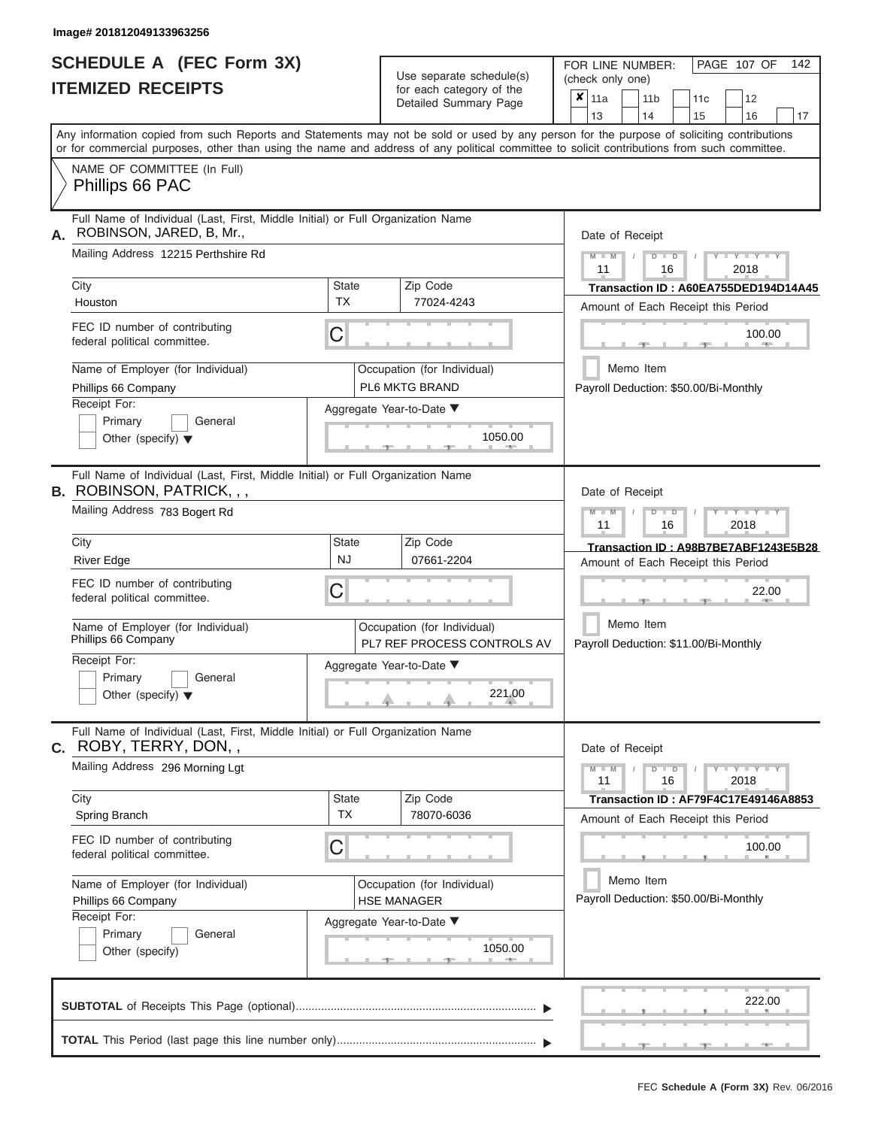ı

|                          | SCHEDULE A (FEC Form 3X) |
|--------------------------|--------------------------|
| <b>ITEMIZED RECEIPTS</b> |                          |

Use separate schedule(s)<br>for each category of the

FOR LINE NUMBER:<br>(check only one)

PAGE 107 OF 142

|                                                                                                                                                                                                                                                                                         |                           | ivi vavii valvyviy vi lik<br>Detailed Summary Page         | ×                                                  | 11a                                                     |                                                                          |    | 11 <sub>b</sub> | 11 <sub>c</sub>                                                                   | 12                          |                                |    |
|-----------------------------------------------------------------------------------------------------------------------------------------------------------------------------------------------------------------------------------------------------------------------------------------|---------------------------|------------------------------------------------------------|----------------------------------------------------|---------------------------------------------------------|--------------------------------------------------------------------------|----|-----------------|-----------------------------------------------------------------------------------|-----------------------------|--------------------------------|----|
| Any information copied from such Reports and Statements may not be sold or used by any person for the purpose of soliciting contributions<br>or for commercial purposes, other than using the name and address of any political committee to solicit contributions from such committee. |                           |                                                            |                                                    | 13                                                      |                                                                          | 14 |                 | 15                                                                                | 16                          |                                | 17 |
| NAME OF COMMITTEE (In Full)<br>Phillips 66 PAC                                                                                                                                                                                                                                          |                           |                                                            |                                                    |                                                         |                                                                          |    |                 |                                                                                   |                             |                                |    |
| Full Name of Individual (Last, First, Middle Initial) or Full Organization Name<br>ROBINSON, JARED, B, Mr.,<br>А.                                                                                                                                                                       |                           |                                                            |                                                    | Date of Receipt                                         |                                                                          |    |                 |                                                                                   |                             |                                |    |
| Mailing Address 12215 Perthshire Rd                                                                                                                                                                                                                                                     |                           |                                                            |                                                    | $M - M$ /<br>$Y - Y - Y$<br>$D$ $D$<br>11<br>16<br>2018 |                                                                          |    |                 |                                                                                   |                             |                                |    |
| City<br>Houston                                                                                                                                                                                                                                                                         | <b>State</b><br><b>TX</b> | Zip Code<br>77024-4243                                     |                                                    |                                                         |                                                                          |    |                 | Transaction ID: A60EA755DED194D14A45<br>Amount of Each Receipt this Period        |                             |                                |    |
| FEC ID number of contributing<br>federal political committee.                                                                                                                                                                                                                           | С                         |                                                            |                                                    |                                                         |                                                                          |    |                 |                                                                                   |                             | 100.00<br><b>British Allen</b> |    |
| Name of Employer (for Individual)<br>Phillips 66 Company                                                                                                                                                                                                                                |                           | Occupation (for Individual)<br>PL6 MKTG BRAND              |                                                    |                                                         |                                                                          |    | Memo Item       | Payroll Deduction: \$50.00/Bi-Monthly                                             |                             |                                |    |
| Receipt For:<br>Primary<br>General<br>Other (specify) $\blacktriangledown$                                                                                                                                                                                                              |                           | Aggregate Year-to-Date ▼<br>1050.00                        |                                                    |                                                         |                                                                          |    |                 |                                                                                   |                             |                                |    |
| Full Name of Individual (Last, First, Middle Initial) or Full Organization Name<br><b>B.</b> ROBINSON, PATRICK, , ,                                                                                                                                                                     |                           |                                                            |                                                    | Date of Receipt                                         |                                                                          |    |                 |                                                                                   |                             |                                |    |
| Mailing Address 783 Bogert Rd                                                                                                                                                                                                                                                           |                           |                                                            |                                                    |                                                         | $M - M$<br>$D$ $\Box$ $D$<br>$T - Y - T - Y - T - Y$<br>11<br>2018<br>16 |    |                 |                                                                                   |                             |                                |    |
| City<br><b>River Edge</b>                                                                                                                                                                                                                                                               | State<br><b>NJ</b>        | Zip Code<br>07661-2204                                     |                                                    |                                                         |                                                                          |    |                 | Transaction ID: A98B7BE7ABF1243E5B28<br>Amount of Each Receipt this Period        |                             |                                |    |
| FEC ID number of contributing<br>federal political committee.                                                                                                                                                                                                                           | С                         |                                                            |                                                    | 22.00                                                   |                                                                          |    |                 |                                                                                   |                             |                                |    |
| Name of Employer (for Individual)<br>Phillips 66 Company                                                                                                                                                                                                                                |                           | Occupation (for Individual)<br>PL7 REF PROCESS CONTROLS AV | Memo Item<br>Payroll Deduction: \$11.00/Bi-Monthly |                                                         |                                                                          |    |                 |                                                                                   |                             |                                |    |
| Receipt For:<br>Primary<br>General<br>Other (specify) $\blacktriangledown$                                                                                                                                                                                                              |                           | Aggregate Year-to-Date ▼<br>221.00                         |                                                    |                                                         |                                                                          |    |                 |                                                                                   |                             |                                |    |
| Full Name of Individual (Last, First, Middle Initial) or Full Organization Name<br>C. ROBY, TERRY, DON,,                                                                                                                                                                                |                           |                                                            |                                                    | Date of Receipt                                         |                                                                          |    |                 |                                                                                   |                             |                                |    |
| Mailing Address 296 Morning Lgt                                                                                                                                                                                                                                                         |                           |                                                            |                                                    | $M - M$<br>11                                           |                                                                          |    | $D$ $D$<br>16   |                                                                                   | $Y - Y - Y - Y - Y$<br>2018 |                                |    |
| City<br>Spring Branch                                                                                                                                                                                                                                                                   | State<br><b>TX</b>        | Zip Code<br>78070-6036                                     |                                                    |                                                         |                                                                          |    |                 | <b>Transaction ID: AF79F4C17E49146A8853</b><br>Amount of Each Receipt this Period |                             |                                |    |
| FEC ID number of contributing<br>federal political committee.                                                                                                                                                                                                                           | С                         |                                                            |                                                    |                                                         |                                                                          |    |                 |                                                                                   |                             | 100.00                         |    |
| Name of Employer (for Individual)<br>Phillips 66 Company                                                                                                                                                                                                                                |                           | Occupation (for Individual)<br><b>HSE MANAGER</b>          |                                                    |                                                         |                                                                          |    | Memo Item       | Payroll Deduction: \$50.00/Bi-Monthly                                             |                             |                                |    |
| Receipt For:<br>General<br>Primary<br>Other (specify)                                                                                                                                                                                                                                   |                           | Aggregate Year-to-Date ▼<br>1050.00                        |                                                    |                                                         |                                                                          |    |                 |                                                                                   |                             |                                |    |
|                                                                                                                                                                                                                                                                                         |                           |                                                            |                                                    |                                                         |                                                                          |    |                 |                                                                                   |                             | 222.00                         |    |
|                                                                                                                                                                                                                                                                                         |                           |                                                            |                                                    |                                                         |                                                                          |    |                 |                                                                                   |                             |                                |    |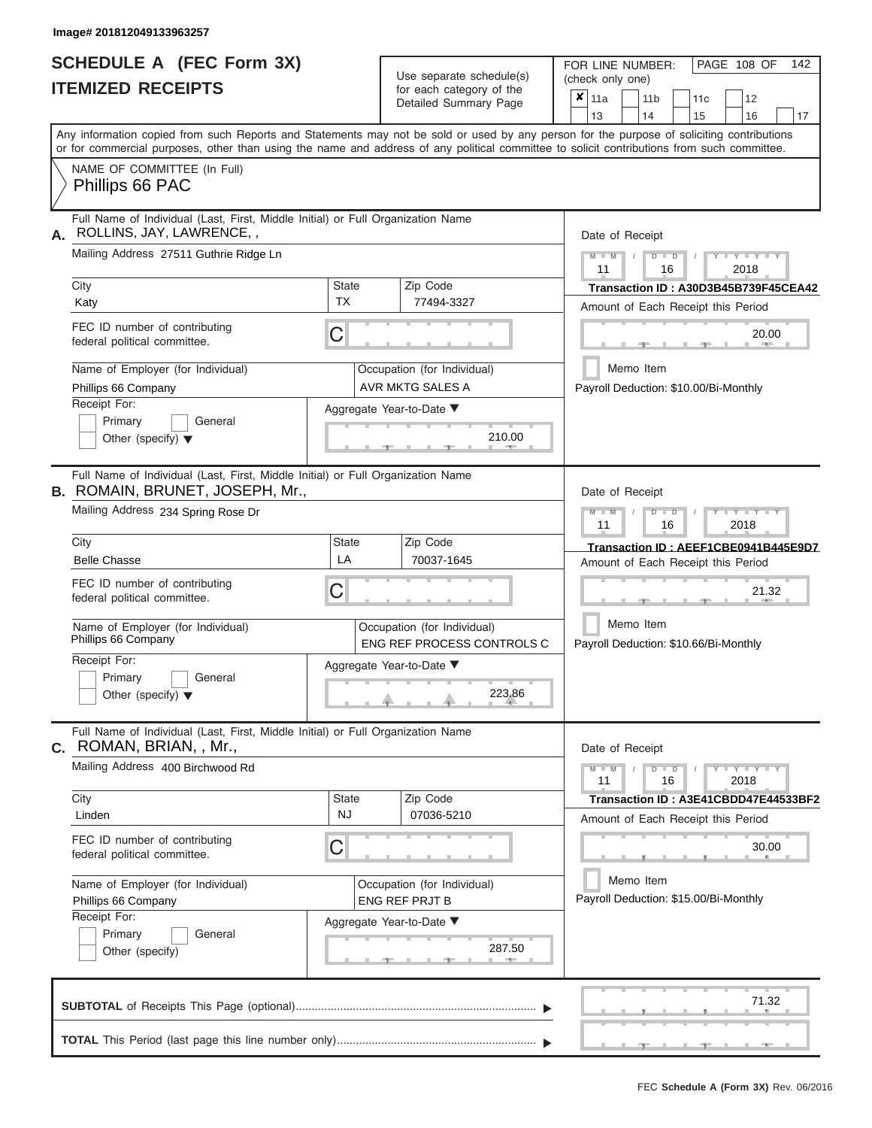|                          | SCHEDULE A (FEC Form 3X) |
|--------------------------|--------------------------|
| <b>ITEMIZED RECEIPTS</b> |                          |

Use separate schedule(s)

FOR LINE NUMBER:<br>(check only one)

PAGE 108 OF 142

| А. | NAME OF COMMITTEE (In Full)<br>Phillips 66 PAC<br>Full Name of Individual (Last, First, Middle Initial) or Full Organization Name<br>ROLLINS, JAY, LAWRENCE,,<br>Mailing Address 27511 Guthrie Ridge Ln |                    |                                                                  | 13<br>14<br>17<br>15<br>16<br>Any information copied from such Reports and Statements may not be sold or used by any person for the purpose of soliciting contributions<br>or for commercial purposes, other than using the name and address of any political committee to solicit contributions from such committee. |  |  |  |  |  |
|----|---------------------------------------------------------------------------------------------------------------------------------------------------------------------------------------------------------|--------------------|------------------------------------------------------------------|-----------------------------------------------------------------------------------------------------------------------------------------------------------------------------------------------------------------------------------------------------------------------------------------------------------------------|--|--|--|--|--|
|    |                                                                                                                                                                                                         |                    |                                                                  |                                                                                                                                                                                                                                                                                                                       |  |  |  |  |  |
|    |                                                                                                                                                                                                         |                    |                                                                  |                                                                                                                                                                                                                                                                                                                       |  |  |  |  |  |
|    |                                                                                                                                                                                                         |                    |                                                                  |                                                                                                                                                                                                                                                                                                                       |  |  |  |  |  |
|    |                                                                                                                                                                                                         |                    |                                                                  | Date of Receipt                                                                                                                                                                                                                                                                                                       |  |  |  |  |  |
|    |                                                                                                                                                                                                         |                    |                                                                  | $M - M$<br>$D$ $\Box$ $D$<br>$T - Y = Y - T$<br>11<br>16<br>2018                                                                                                                                                                                                                                                      |  |  |  |  |  |
|    | City                                                                                                                                                                                                    | <b>State</b>       | Zip Code                                                         | Transaction ID: A30D3B45B739F45CEA42                                                                                                                                                                                                                                                                                  |  |  |  |  |  |
|    | Katy                                                                                                                                                                                                    | <b>TX</b>          | 77494-3327                                                       | Amount of Each Receipt this Period                                                                                                                                                                                                                                                                                    |  |  |  |  |  |
|    | FEC ID number of contributing<br>federal political committee.                                                                                                                                           | C                  |                                                                  | 20.00                                                                                                                                                                                                                                                                                                                 |  |  |  |  |  |
|    | Name of Employer (for Individual)<br>Phillips 66 Company                                                                                                                                                |                    | Occupation (for Individual)<br><b>AVR MKTG SALES A</b>           | Memo Item<br>Payroll Deduction: \$10.00/Bi-Monthly                                                                                                                                                                                                                                                                    |  |  |  |  |  |
|    | Receipt For:                                                                                                                                                                                            |                    | Aggregate Year-to-Date ▼                                         |                                                                                                                                                                                                                                                                                                                       |  |  |  |  |  |
|    | Primary<br>General<br>Other (specify) $\blacktriangledown$                                                                                                                                              |                    | 210.00                                                           |                                                                                                                                                                                                                                                                                                                       |  |  |  |  |  |
|    | Full Name of Individual (Last, First, Middle Initial) or Full Organization Name<br><b>B. ROMAIN, BRUNET, JOSEPH, Mr.,</b>                                                                               |                    |                                                                  | Date of Receipt                                                                                                                                                                                                                                                                                                       |  |  |  |  |  |
|    | Mailing Address 234 Spring Rose Dr                                                                                                                                                                      |                    |                                                                  | $T$ $Y$ $Y$ $Y$ $Y$<br>$M - M$<br>$D$ $\Box$ $D$<br>11<br>16<br>2018                                                                                                                                                                                                                                                  |  |  |  |  |  |
|    | City                                                                                                                                                                                                    | State              | Zip Code                                                         | Transaction ID: AEEF1CBE0941B445E9D7                                                                                                                                                                                                                                                                                  |  |  |  |  |  |
|    | <b>Belle Chasse</b>                                                                                                                                                                                     | LA                 | 70037-1645                                                       | Amount of Each Receipt this Period                                                                                                                                                                                                                                                                                    |  |  |  |  |  |
|    | FEC ID number of contributing<br>federal political committee.                                                                                                                                           | C                  |                                                                  | 21.32                                                                                                                                                                                                                                                                                                                 |  |  |  |  |  |
|    | Name of Employer (for Individual)<br>Phillips 66 Company                                                                                                                                                |                    | Occupation (for Individual)<br><b>ENG REF PROCESS CONTROLS C</b> | Memo Item<br>Payroll Deduction: \$10.66/Bi-Monthly                                                                                                                                                                                                                                                                    |  |  |  |  |  |
|    | Receipt For:                                                                                                                                                                                            |                    | Aggregate Year-to-Date ▼                                         |                                                                                                                                                                                                                                                                                                                       |  |  |  |  |  |
|    | Primary<br>General<br>Other (specify) $\blacktriangledown$                                                                                                                                              |                    | 223.86                                                           |                                                                                                                                                                                                                                                                                                                       |  |  |  |  |  |
|    | Full Name of Individual (Last, First, Middle Initial) or Full Organization Name<br>C. ROMAN, BRIAN, , Mr.,                                                                                              |                    |                                                                  | Date of Receipt                                                                                                                                                                                                                                                                                                       |  |  |  |  |  |
|    | Mailing Address 400 Birchwood Rd                                                                                                                                                                        |                    |                                                                  | $Y - Y - Y - Y - I - Y$<br>$M - M$<br>$D$ $D$<br>11<br>16<br>2018                                                                                                                                                                                                                                                     |  |  |  |  |  |
|    | City<br>Linden                                                                                                                                                                                          | <b>State</b><br>NJ | Zip Code<br>07036-5210                                           | Transaction ID: A3E41CBDD47E44533BF2                                                                                                                                                                                                                                                                                  |  |  |  |  |  |
|    | FEC ID number of contributing<br>federal political committee.                                                                                                                                           | C                  |                                                                  | Amount of Each Receipt this Period<br>30.00                                                                                                                                                                                                                                                                           |  |  |  |  |  |
|    | Name of Employer (for Individual)<br>Phillips 66 Company                                                                                                                                                |                    | Occupation (for Individual)<br>ENG REF PRJT B                    | Memo Item<br>Payroll Deduction: \$15.00/Bi-Monthly                                                                                                                                                                                                                                                                    |  |  |  |  |  |
|    | Receipt For:                                                                                                                                                                                            |                    |                                                                  |                                                                                                                                                                                                                                                                                                                       |  |  |  |  |  |
|    | Primary<br>General                                                                                                                                                                                      |                    | Aggregate Year-to-Date ▼<br>287.50                               |                                                                                                                                                                                                                                                                                                                       |  |  |  |  |  |
|    | Other (specify)                                                                                                                                                                                         |                    | 11. J. P. L.                                                     |                                                                                                                                                                                                                                                                                                                       |  |  |  |  |  |
|    |                                                                                                                                                                                                         |                    |                                                                  | 71.32                                                                                                                                                                                                                                                                                                                 |  |  |  |  |  |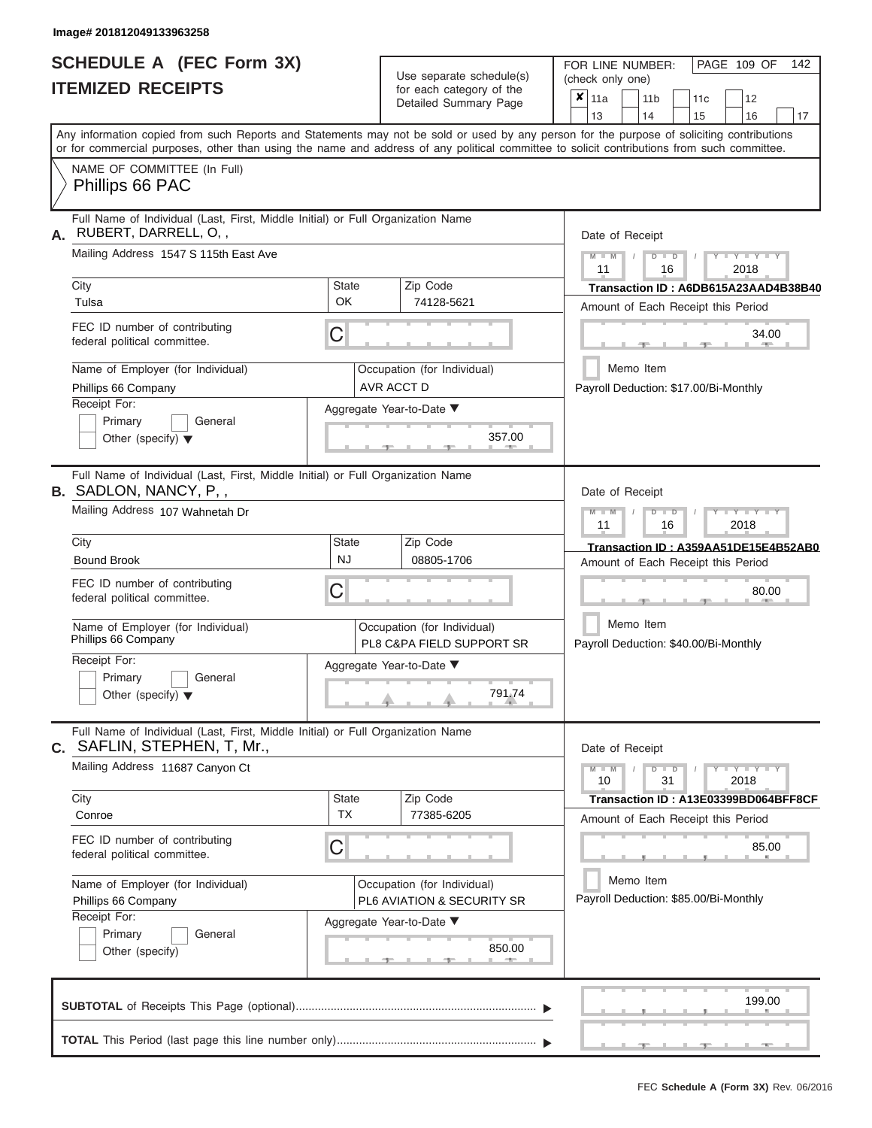|                          | <b>SCHEDULE A (FEC Form 3X)</b> |
|--------------------------|---------------------------------|
| <b>ITEMIZED RECEIPTS</b> |                                 |

FOR LINE NUMBER:

PAGE 109 OF 142

| <b>ITEMIZED RECEIPTS</b>                                                                                                                                                                                                                                                                |                                                          | Use separate schedule(s)<br>for each category of the<br>Detailed Summary Page | I UIT LIIVE IVUIVIDEIT.<br>(check only one)<br>$\overline{\mathbf{x}}$ 11a<br>11 <sub>b</sub><br>12<br>11 <sub>c</sub><br>14<br>13<br>15<br>16<br>17 |
|-----------------------------------------------------------------------------------------------------------------------------------------------------------------------------------------------------------------------------------------------------------------------------------------|----------------------------------------------------------|-------------------------------------------------------------------------------|------------------------------------------------------------------------------------------------------------------------------------------------------|
| Any information copied from such Reports and Statements may not be sold or used by any person for the purpose of soliciting contributions<br>or for commercial purposes, other than using the name and address of any political committee to solicit contributions from such committee. |                                                          |                                                                               |                                                                                                                                                      |
| NAME OF COMMITTEE (In Full)<br>Phillips 66 PAC                                                                                                                                                                                                                                          |                                                          |                                                                               |                                                                                                                                                      |
| Full Name of Individual (Last, First, Middle Initial) or Full Organization Name<br>RUBERT, DARRELL, O,,<br>А.                                                                                                                                                                           |                                                          |                                                                               | Date of Receipt                                                                                                                                      |
| Mailing Address 1547 S 115th East Ave                                                                                                                                                                                                                                                   |                                                          |                                                                               | $M - M$<br>$+Y+Y+Y$<br>$D$ $D$<br>11<br>2018<br>16                                                                                                   |
| City<br>Tulsa                                                                                                                                                                                                                                                                           | State<br>OK                                              | Zip Code<br>74128-5621                                                        | Transaction ID: A6DB615A23AAD4B38B40<br>Amount of Each Receipt this Period                                                                           |
| FEC ID number of contributing<br>federal political committee.                                                                                                                                                                                                                           | C                                                        |                                                                               | 34.00                                                                                                                                                |
| Name of Employer (for Individual)<br>Phillips 66 Company                                                                                                                                                                                                                                |                                                          | Occupation (for Individual)<br>AVR ACCT D                                     | Memo Item<br>Payroll Deduction: \$17.00/Bi-Monthly                                                                                                   |
| Receipt For:<br>Primary<br>General<br>Other (specify) $\blacktriangledown$                                                                                                                                                                                                              |                                                          | Aggregate Year-to-Date ▼<br>357.00                                            |                                                                                                                                                      |
| Full Name of Individual (Last, First, Middle Initial) or Full Organization Name<br><b>B.</b> SADLON, NANCY, P,,                                                                                                                                                                         |                                                          |                                                                               | Date of Receipt                                                                                                                                      |
| Mailing Address 107 Wahnetah Dr                                                                                                                                                                                                                                                         |                                                          |                                                                               | $M - M$<br>$+Y+Y+Y$<br>$D$ $D$<br>2018<br>11<br>16                                                                                                   |
| City<br><b>Bound Brook</b>                                                                                                                                                                                                                                                              | State<br><b>NJ</b>                                       | Zip Code<br>08805-1706                                                        | Transaction ID: A359AA51DE15E4B52AB0<br>Amount of Each Receipt this Period                                                                           |
| FEC ID number of contributing<br>C<br>federal political committee.                                                                                                                                                                                                                      |                                                          | 80.00                                                                         |                                                                                                                                                      |
| Name of Employer (for Individual)<br>Phillips 66 Company                                                                                                                                                                                                                                | Occupation (for Individual)<br>PL8 C&PA FIELD SUPPORT SR |                                                                               | Memo Item<br>Payroll Deduction: \$40.00/Bi-Monthly                                                                                                   |
| Receipt For:<br>General<br>Primary<br>Other (specify) $\blacktriangledown$                                                                                                                                                                                                              | Aggregate Year-to-Date ▼<br>791.74                       |                                                                               |                                                                                                                                                      |
| Full Name of Individual (Last, First, Middle Initial) or Full Organization Name<br>C. SAFLIN, STEPHEN, T, Mr.,                                                                                                                                                                          |                                                          |                                                                               | Date of Receipt                                                                                                                                      |
| Mailing Address 11687 Canyon Ct                                                                                                                                                                                                                                                         |                                                          |                                                                               | $Y$ $Y$ $Y$ $Y$<br>$M - M$<br>D<br>31<br>10<br>2018                                                                                                  |
| City<br>Conroe                                                                                                                                                                                                                                                                          | <b>State</b><br><b>TX</b>                                | Zip Code<br>77385-6205                                                        | Transaction ID: A13E03399BD064BFF8CF<br>Amount of Each Receipt this Period                                                                           |
| FEC ID number of contributing<br>federal political committee.                                                                                                                                                                                                                           | С                                                        |                                                                               | 85.00                                                                                                                                                |
| Name of Employer (for Individual)<br>Phillips 66 Company<br>Receipt For:                                                                                                                                                                                                                |                                                          | Occupation (for Individual)<br>PL6 AVIATION & SECURITY SR                     | Memo Item<br>Payroll Deduction: \$85.00/Bi-Monthly                                                                                                   |
| Primary<br>General<br>Other (specify)                                                                                                                                                                                                                                                   |                                                          | Aggregate Year-to-Date ▼<br>850.00<br><b>AND A</b><br>$-1$                    |                                                                                                                                                      |
|                                                                                                                                                                                                                                                                                         |                                                          |                                                                               | 199.00                                                                                                                                               |
|                                                                                                                                                                                                                                                                                         |                                                          |                                                                               |                                                                                                                                                      |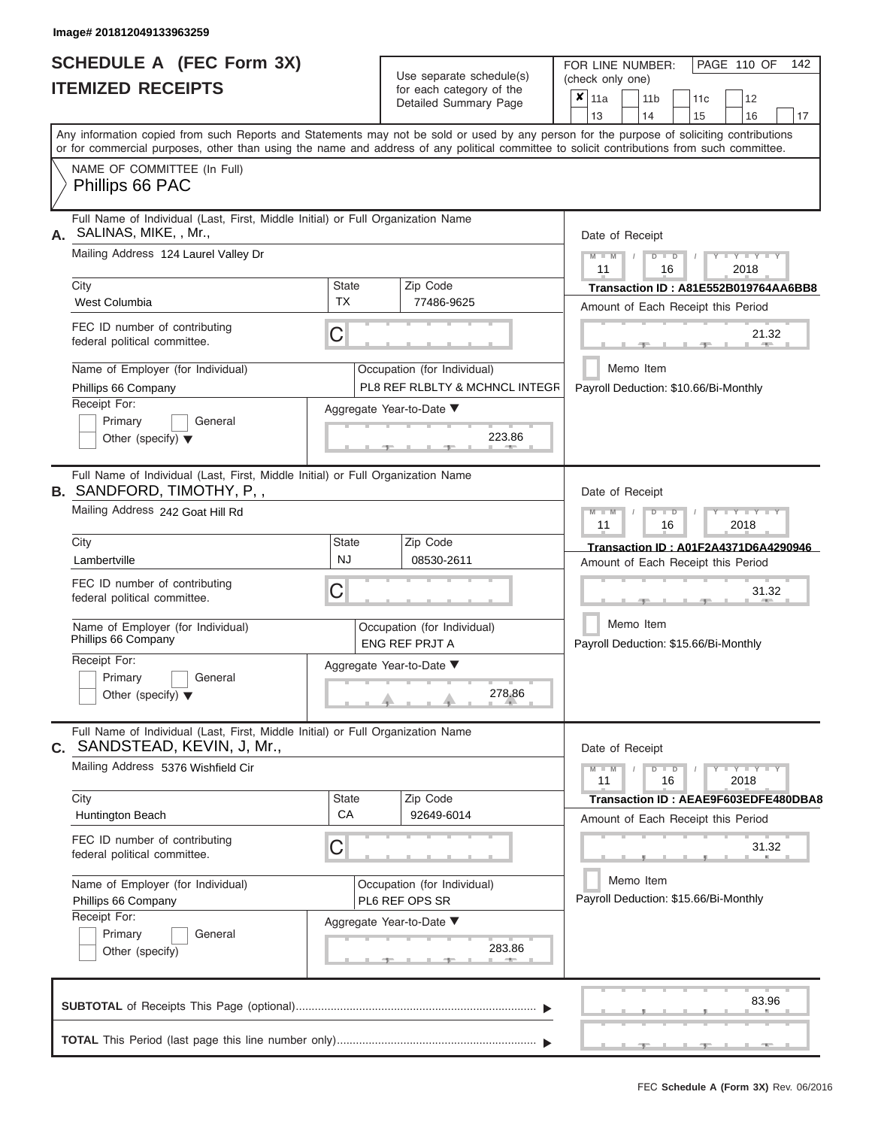|                          | <b>SCHEDULE A (FEC Form 3X)</b> |
|--------------------------|---------------------------------|
| <b>ITEMIZED RECEIPTS</b> |                                 |

| SCHEDULE A (FEC Form 3X)<br><b>ITEMIZED RECEIPTS</b>                                                                                                                                                                                                                                    |                           | Use separate schedule(s)                                      | 142<br>FOR LINE NUMBER:<br>PAGE 110 OF<br>(check only one)                                                                                |
|-----------------------------------------------------------------------------------------------------------------------------------------------------------------------------------------------------------------------------------------------------------------------------------------|---------------------------|---------------------------------------------------------------|-------------------------------------------------------------------------------------------------------------------------------------------|
|                                                                                                                                                                                                                                                                                         |                           | for each category of the<br>Detailed Summary Page             | $\overline{\mathbf{x}}$   11a<br>11 <sub>b</sub><br>12<br>11 <sub>c</sub><br>14<br>15<br>16<br>13<br>17                                   |
| Any information copied from such Reports and Statements may not be sold or used by any person for the purpose of soliciting contributions<br>or for commercial purposes, other than using the name and address of any political committee to solicit contributions from such committee. |                           |                                                               |                                                                                                                                           |
| NAME OF COMMITTEE (In Full)<br>Phillips 66 PAC                                                                                                                                                                                                                                          |                           |                                                               |                                                                                                                                           |
| Full Name of Individual (Last, First, Middle Initial) or Full Organization Name<br>SALINAS, MIKE, , Mr.,                                                                                                                                                                                |                           |                                                               | Date of Receipt                                                                                                                           |
| Mailing Address 124 Laurel Valley Dr                                                                                                                                                                                                                                                    |                           |                                                               | $M$ – $M$ /<br>$T - Y = Y - T Y$<br>$D$ $D$<br>11<br>2018<br>16                                                                           |
| City<br>West Columbia                                                                                                                                                                                                                                                                   | State<br>TX               | Zip Code<br>77486-9625                                        | Transaction ID: A81E552B019764AA6BB8<br>Amount of Each Receipt this Period                                                                |
| FEC ID number of contributing<br>federal political committee.                                                                                                                                                                                                                           | C                         |                                                               | 21.32<br><b>Britannia</b><br>$-1$                                                                                                         |
| Name of Employer (for Individual)<br>Phillips 66 Company                                                                                                                                                                                                                                |                           | Occupation (for Individual)<br>PL8 REF RLBLTY & MCHNCL INTEGR | Memo Item<br>Payroll Deduction: \$10.66/Bi-Monthly                                                                                        |
| Receipt For:<br>Primary<br>General<br>Other (specify) $\blacktriangledown$                                                                                                                                                                                                              |                           | Aggregate Year-to-Date ▼<br>223.86                            |                                                                                                                                           |
| Full Name of Individual (Last, First, Middle Initial) or Full Organization Name<br><b>B.</b> SANDFORD, TIMOTHY, P,,<br>Mailing Address 242 Goat Hill Rd                                                                                                                                 |                           |                                                               | Date of Receipt<br>$M - M$<br>$D$ $\Box$ $D$<br>$\blacksquare$ $\blacksquare$ $\blacksquare$ $\blacksquare$ $\blacksquare$ $\blacksquare$ |
| City                                                                                                                                                                                                                                                                                    | State                     | Zip Code                                                      | 11<br>2018<br>16<br>Transaction ID: A01F2A4371D6A4290946                                                                                  |
| Lambertville                                                                                                                                                                                                                                                                            | <b>NJ</b>                 | 08530-2611                                                    | Amount of Each Receipt this Period                                                                                                        |
| FEC ID number of contributing<br>federal political committee.                                                                                                                                                                                                                           | С                         |                                                               | 31.32                                                                                                                                     |
| Name of Employer (for Individual)<br>Phillips 66 Company                                                                                                                                                                                                                                |                           | Occupation (for Individual)<br><b>ENG REF PRJT A</b>          | Memo Item<br>Payroll Deduction: \$15.66/Bi-Monthly                                                                                        |
| Receipt For:                                                                                                                                                                                                                                                                            | Aggregate Year-to-Date ▼  |                                                               |                                                                                                                                           |
| Primary<br>General<br>Other (specify) $\blacktriangledown$                                                                                                                                                                                                                              | 278.86                    |                                                               |                                                                                                                                           |
| Full Name of Individual (Last, First, Middle Initial) or Full Organization Name<br>C. SANDSTEAD, KEVIN, J, Mr.,                                                                                                                                                                         |                           |                                                               | Date of Receipt                                                                                                                           |
| Mailing Address 5376 Wishfield Cir                                                                                                                                                                                                                                                      |                           |                                                               | $M - M$<br>$D$ $D$<br>$Y - Y - Y - Y - Y$<br>11<br>16<br>2018                                                                             |
| City<br>Huntington Beach                                                                                                                                                                                                                                                                | <b>State</b><br><b>CA</b> | Zip Code<br>92649-6014                                        | Transaction ID: AEAE9F603EDFE480DBA8<br>Amount of Each Receipt this Period                                                                |
| FEC ID number of contributing<br>federal political committee.                                                                                                                                                                                                                           | С                         |                                                               | 31.32                                                                                                                                     |
| Name of Employer (for Individual)<br>Phillips 66 Company                                                                                                                                                                                                                                |                           | Occupation (for Individual)<br>PL6 REF OPS SR                 | Memo Item<br>Payroll Deduction: \$15.66/Bi-Monthly                                                                                        |
| Receipt For:<br>Primary<br>General<br>Other (specify)                                                                                                                                                                                                                                   |                           | Aggregate Year-to-Date ▼<br>283.86                            |                                                                                                                                           |
|                                                                                                                                                                                                                                                                                         |                           |                                                               | 83.96                                                                                                                                     |
|                                                                                                                                                                                                                                                                                         |                           |                                                               | $-9$                                                                                                                                      |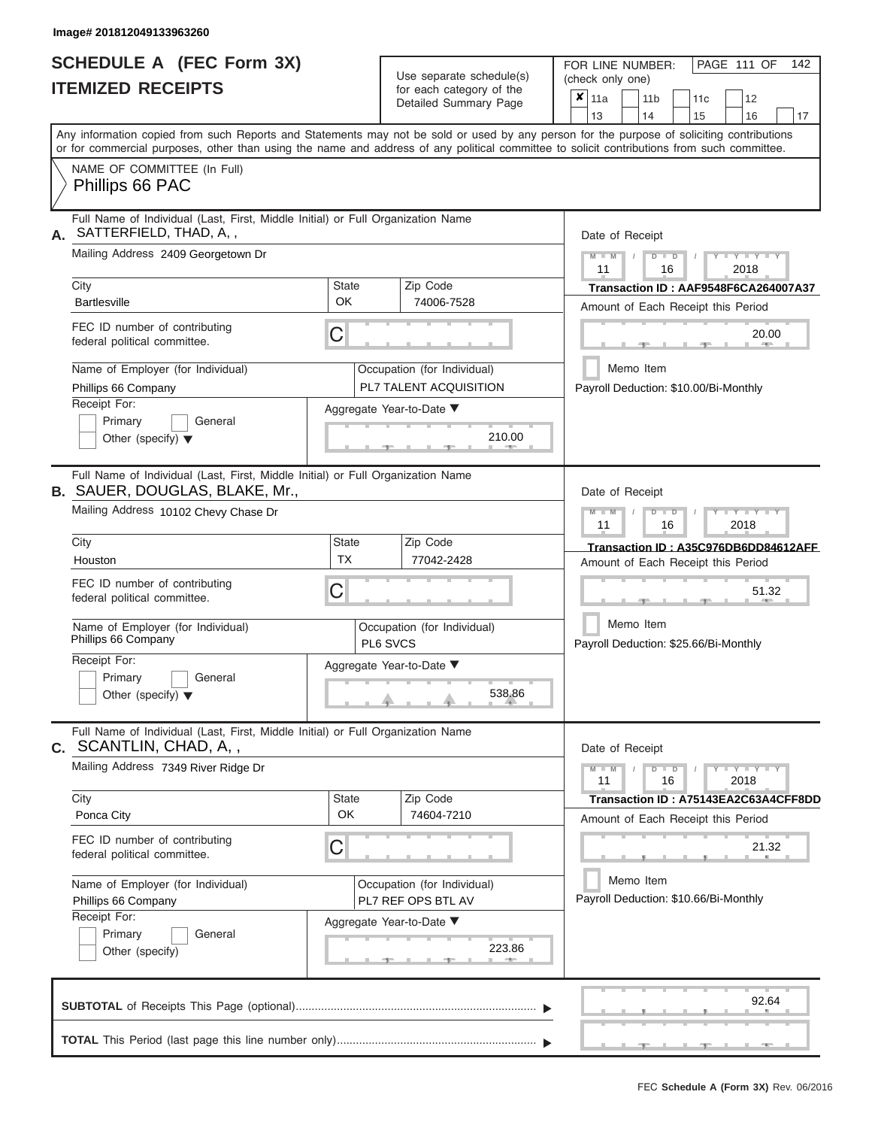|                          | <b>SCHEDULE A (FEC Form 3X)</b> |
|--------------------------|---------------------------------|
| <b>ITEMIZED RECEIPTS</b> |                                 |

| SCHEDULE A (FEC Form 3X)<br><b>ITEMIZED RECEIPTS</b>                                                                                                             |                                         | Use separate schedule(s)<br>for each category of the  | 142<br>FOR LINE NUMBER:<br>PAGE 111 OF<br>(check only one)<br>$\overline{\mathbf{x}}$   11a<br>12<br>11 <sub>b</sub><br>11 <sub>c</sub>                                                                                                                                                 |
|------------------------------------------------------------------------------------------------------------------------------------------------------------------|-----------------------------------------|-------------------------------------------------------|-----------------------------------------------------------------------------------------------------------------------------------------------------------------------------------------------------------------------------------------------------------------------------------------|
|                                                                                                                                                                  |                                         | Detailed Summary Page                                 | 13<br>14<br>15<br>16<br>17                                                                                                                                                                                                                                                              |
|                                                                                                                                                                  |                                         |                                                       | Any information copied from such Reports and Statements may not be sold or used by any person for the purpose of soliciting contributions<br>or for commercial purposes, other than using the name and address of any political committee to solicit contributions from such committee. |
| NAME OF COMMITTEE (In Full)<br>Phillips 66 PAC                                                                                                                   |                                         |                                                       |                                                                                                                                                                                                                                                                                         |
| Full Name of Individual (Last, First, Middle Initial) or Full Organization Name<br>SATTERFIELD, THAD, A,,                                                        |                                         |                                                       | Date of Receipt                                                                                                                                                                                                                                                                         |
| Mailing Address 2409 Georgetown Dr                                                                                                                               |                                         |                                                       | $M = M$ /<br>$+Y+Y+Y$<br>$D$ $D$<br>11<br>2018<br>16                                                                                                                                                                                                                                    |
| City<br><b>Bartlesville</b>                                                                                                                                      | <b>State</b><br>OK                      | Zip Code<br>74006-7528                                | Transaction ID: AAF9548F6CA264007A37<br>Amount of Each Receipt this Period                                                                                                                                                                                                              |
| FEC ID number of contributing<br>federal political committee.                                                                                                    | C                                       |                                                       | 20.00<br><b>CONTRACTOR</b><br>$-1$                                                                                                                                                                                                                                                      |
| Name of Employer (for Individual)<br>Phillips 66 Company                                                                                                         |                                         | Occupation (for Individual)<br>PL7 TALENT ACQUISITION | Memo Item<br>Payroll Deduction: \$10.00/Bi-Monthly                                                                                                                                                                                                                                      |
| Receipt For:<br>Primary<br>General<br>Other (specify) $\blacktriangledown$                                                                                       |                                         | Aggregate Year-to-Date ▼<br>210.00<br>$1 - 400$       |                                                                                                                                                                                                                                                                                         |
| Full Name of Individual (Last, First, Middle Initial) or Full Organization Name<br><b>B.</b> SAUER, DOUGLAS, BLAKE, Mr.,<br>Mailing Address 10102 Chevy Chase Dr |                                         |                                                       | Date of Receipt<br>$M - M$<br>$D$ $D$<br>$\Box$ $\Upsilon$ $\Box$ $\Upsilon$ $\Upsilon$ $\Upsilon$<br>$\prime$                                                                                                                                                                          |
| City                                                                                                                                                             | <b>State</b>                            | Zip Code                                              | 11<br>2018<br>16<br>Transaction ID: A35C976DB6DD84612AFF                                                                                                                                                                                                                                |
| Houston                                                                                                                                                          | <b>TX</b>                               | 77042-2428                                            | Amount of Each Receipt this Period                                                                                                                                                                                                                                                      |
| FEC ID number of contributing<br>C<br>federal political committee.                                                                                               |                                         | 51.32                                                 |                                                                                                                                                                                                                                                                                         |
| Name of Employer (for Individual)<br>Phillips 66 Company                                                                                                         | Occupation (for Individual)<br>PL6 SVCS |                                                       | Memo Item<br>Payroll Deduction: \$25.66/Bi-Monthly                                                                                                                                                                                                                                      |
| Receipt For:                                                                                                                                                     | Aggregate Year-to-Date ▼                |                                                       |                                                                                                                                                                                                                                                                                         |
| Primary<br>General<br>Other (specify) $\blacktriangledown$                                                                                                       | 538.86                                  |                                                       |                                                                                                                                                                                                                                                                                         |
| Full Name of Individual (Last, First, Middle Initial) or Full Organization Name<br>C. SCANTLIN, CHAD, A,,                                                        |                                         |                                                       | Date of Receipt                                                                                                                                                                                                                                                                         |
| Mailing Address 7349 River Ridge Dr                                                                                                                              |                                         |                                                       | $M - M$<br>$D$ $D$<br>$Y - Y - Y - Y$<br>11<br>2018<br>16                                                                                                                                                                                                                               |
| City<br>Ponca City                                                                                                                                               | State<br>OK                             | Zip Code<br>74604-7210                                | Transaction ID: A75143EA2C63A4CFF8DD<br>Amount of Each Receipt this Period                                                                                                                                                                                                              |
| FEC ID number of contributing<br>federal political committee.                                                                                                    | C                                       |                                                       | 21.32                                                                                                                                                                                                                                                                                   |
| Name of Employer (for Individual)<br>Phillips 66 Company                                                                                                         |                                         | Occupation (for Individual)<br>PL7 REF OPS BTL AV     | Memo Item<br>Payroll Deduction: \$10.66/Bi-Monthly                                                                                                                                                                                                                                      |
| Receipt For:<br>Primary<br>General<br>Other (specify)                                                                                                            |                                         | Aggregate Year-to-Date ▼<br>223.86                    |                                                                                                                                                                                                                                                                                         |
|                                                                                                                                                                  |                                         |                                                       | 92.64                                                                                                                                                                                                                                                                                   |
|                                                                                                                                                                  |                                         |                                                       | $-$                                                                                                                                                                                                                                                                                     |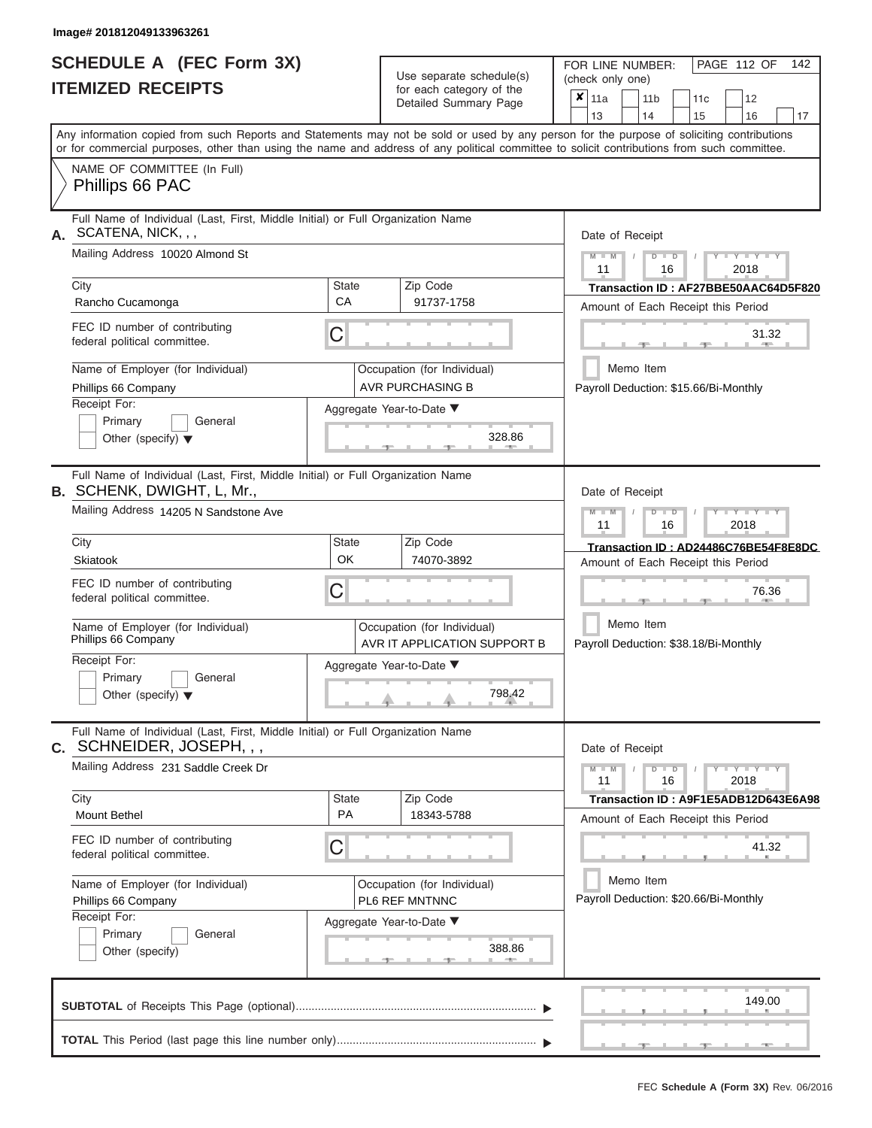|                          | SCHEDULE A (FEC Form 3X) |
|--------------------------|--------------------------|
| <b>ITEMIZED RECEIPTS</b> |                          |

FOR LINE NUMBER:

PAGE 112 OF 142

| <b>ITEMIZED RECEIPTS</b>                                                                                                                                                                                                                                                                |                                    | Use separate schedule(s)<br>for each category of the<br>Detailed Summary Page | I UIT LIIVE IVUIVIDEIT.<br>, <sub>1</sub> JUL 114 UI<br>(check only one)<br>$\overline{x}$ 11a<br>11 <sub>b</sub><br>12<br>11 <sub>c</sub><br>14<br>13<br>15<br>16<br>17 |
|-----------------------------------------------------------------------------------------------------------------------------------------------------------------------------------------------------------------------------------------------------------------------------------------|------------------------------------|-------------------------------------------------------------------------------|--------------------------------------------------------------------------------------------------------------------------------------------------------------------------|
| Any information copied from such Reports and Statements may not be sold or used by any person for the purpose of soliciting contributions<br>or for commercial purposes, other than using the name and address of any political committee to solicit contributions from such committee. |                                    |                                                                               |                                                                                                                                                                          |
| NAME OF COMMITTEE (In Full)<br>Phillips 66 PAC                                                                                                                                                                                                                                          |                                    |                                                                               |                                                                                                                                                                          |
| Full Name of Individual (Last, First, Middle Initial) or Full Organization Name<br>A. SCATENA, NICK, , ,                                                                                                                                                                                |                                    |                                                                               | Date of Receipt                                                                                                                                                          |
| Mailing Address 10020 Almond St                                                                                                                                                                                                                                                         |                                    |                                                                               | $M - M$<br>$+Y+Y+Y$<br>$D$ $D$<br>11<br>16<br>2018                                                                                                                       |
| City<br>Rancho Cucamonga                                                                                                                                                                                                                                                                | State<br>CA                        | Zip Code<br>91737-1758                                                        | Transaction ID: AF27BBE50AAC64D5F820<br>Amount of Each Receipt this Period                                                                                               |
| FEC ID number of contributing<br>federal political committee.                                                                                                                                                                                                                           | C                                  |                                                                               | 31.32                                                                                                                                                                    |
| Name of Employer (for Individual)<br>Phillips 66 Company                                                                                                                                                                                                                                |                                    | Occupation (for Individual)<br><b>AVR PURCHASING B</b>                        | Memo Item<br>Payroll Deduction: \$15.66/Bi-Monthly                                                                                                                       |
| Receipt For:<br>Primary<br>General<br>Other (specify) $\blacktriangledown$                                                                                                                                                                                                              |                                    | Aggregate Year-to-Date ▼<br>328.86                                            |                                                                                                                                                                          |
| Full Name of Individual (Last, First, Middle Initial) or Full Organization Name<br><b>B.</b> SCHENK, DWIGHT, L, Mr.,                                                                                                                                                                    |                                    |                                                                               | Date of Receipt                                                                                                                                                          |
| Mailing Address 14205 N Sandstone Ave                                                                                                                                                                                                                                                   |                                    |                                                                               | $I - Y - I - Y - I - Y$<br>$M - M$<br>$\overline{\mathsf{D}}$<br>$\blacksquare$<br>2018<br>11<br>16                                                                      |
| City<br>Skiatook                                                                                                                                                                                                                                                                        | State<br>OK                        | Zip Code<br>74070-3892                                                        | Transaction ID: AD24486C76BE54F8E8DC<br>Amount of Each Receipt this Period                                                                                               |
| FEC ID number of contributing<br>C<br>federal political committee.                                                                                                                                                                                                                      |                                    | 76.36                                                                         |                                                                                                                                                                          |
| Name of Employer (for Individual)<br>Occupation (for Individual)<br>Phillips 66 Company<br>AVR IT APPLICATION SUPPORT B                                                                                                                                                                 |                                    | Memo Item<br>Payroll Deduction: \$38.18/Bi-Monthly                            |                                                                                                                                                                          |
| Receipt For:<br>Primary<br>General<br>Other (specify) $\blacktriangledown$                                                                                                                                                                                                              | Aggregate Year-to-Date ▼<br>798.42 |                                                                               |                                                                                                                                                                          |
| Full Name of Individual (Last, First, Middle Initial) or Full Organization Name<br><b>C.</b> SCHNEIDER, JOSEPH, , ,                                                                                                                                                                     |                                    |                                                                               | Date of Receipt                                                                                                                                                          |
| Mailing Address 231 Saddle Creek Dr                                                                                                                                                                                                                                                     |                                    |                                                                               | Y I Y I Y<br>$M - M$<br>$\blacksquare$<br>11<br>16<br>2018                                                                                                               |
| City<br><b>Mount Bethel</b>                                                                                                                                                                                                                                                             | State<br>PA                        | Zip Code<br>18343-5788                                                        | Transaction ID: A9F1E5ADB12D643E6A98<br>Amount of Each Receipt this Period                                                                                               |
| FEC ID number of contributing<br>federal political committee.                                                                                                                                                                                                                           | C                                  |                                                                               | 41.32                                                                                                                                                                    |
| Name of Employer (for Individual)<br>Phillips 66 Company                                                                                                                                                                                                                                |                                    | Occupation (for Individual)<br>PL6 REF MNTNNC                                 | Memo Item<br>Payroll Deduction: \$20.66/Bi-Monthly                                                                                                                       |
| Receipt For:<br>Primary<br>General<br>Other (specify)                                                                                                                                                                                                                                   |                                    | Aggregate Year-to-Date ▼<br>388.86<br><b>AND A</b><br>ு                       |                                                                                                                                                                          |
|                                                                                                                                                                                                                                                                                         |                                    |                                                                               | 149.00                                                                                                                                                                   |
|                                                                                                                                                                                                                                                                                         |                                    |                                                                               |                                                                                                                                                                          |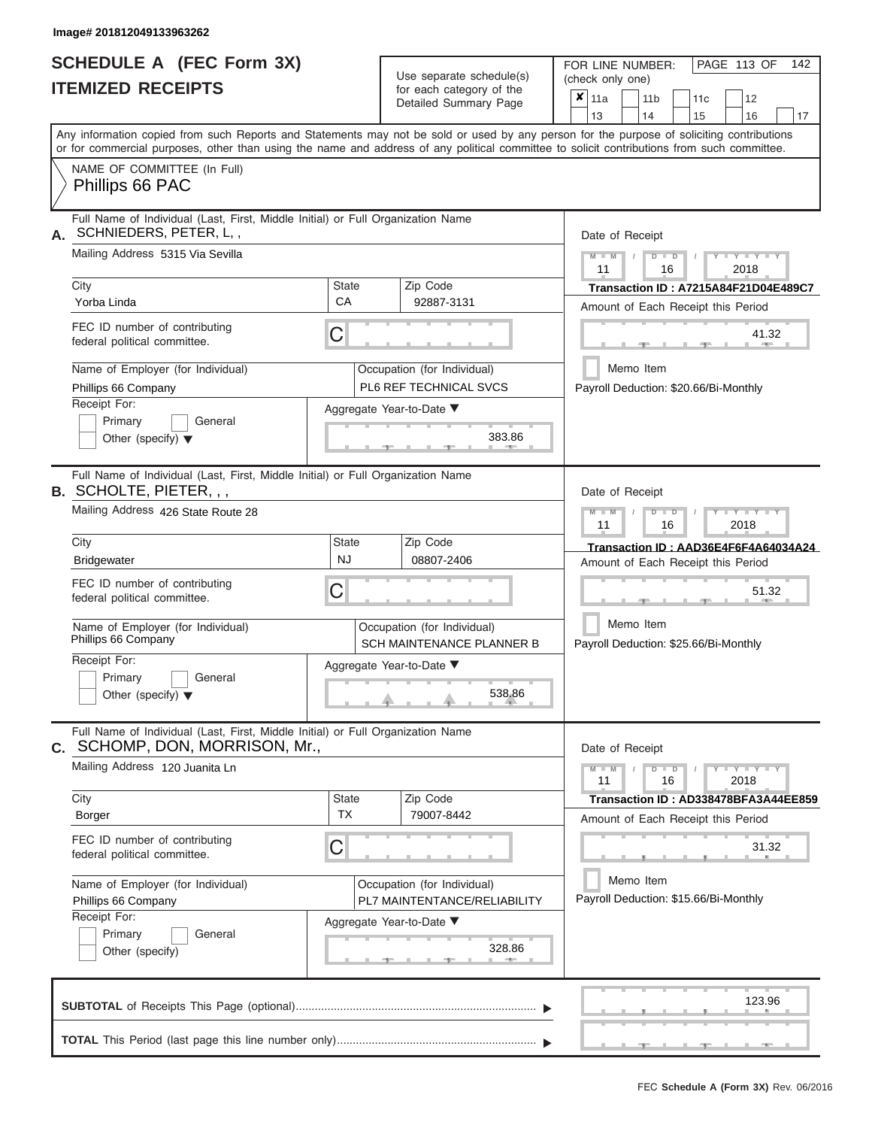# **SCHEDULE A (FEC Form 3X)**

| SCHEDULE A (FEC Form 3X)<br><b>ITEMIZED RECEIPTS</b>                                                                                                                                                                                                                                                                                                                                    |                                | Use separate schedule(s)<br>for each category of the<br>Detailed Summary Page                                               | 142<br>FOR LINE NUMBER:<br>PAGE 113 OF<br>(check only one)<br>$\overline{\mathbf{x}}$   11a<br>11 <sub>b</sub><br>12<br>11c                                                                                                                                                                 |
|-----------------------------------------------------------------------------------------------------------------------------------------------------------------------------------------------------------------------------------------------------------------------------------------------------------------------------------------------------------------------------------------|--------------------------------|-----------------------------------------------------------------------------------------------------------------------------|---------------------------------------------------------------------------------------------------------------------------------------------------------------------------------------------------------------------------------------------------------------------------------------------|
| Any information copied from such Reports and Statements may not be sold or used by any person for the purpose of soliciting contributions<br>or for commercial purposes, other than using the name and address of any political committee to solicit contributions from such committee.<br>NAME OF COMMITTEE (In Full)                                                                  |                                |                                                                                                                             | 13<br>16<br>14<br>15<br>17                                                                                                                                                                                                                                                                  |
| Phillips 66 PAC                                                                                                                                                                                                                                                                                                                                                                         |                                |                                                                                                                             |                                                                                                                                                                                                                                                                                             |
| Full Name of Individual (Last, First, Middle Initial) or Full Organization Name<br>SCHNIEDERS, PETER, L,,<br>А.<br>Mailing Address 5315 Via Sevilla<br>City<br>Yorba Linda<br>FEC ID number of contributing<br>federal political committee.<br>Name of Employer (for Individual)<br>Phillips 66 Company<br>Receipt For:<br>Primary<br>General<br>Other (specify) $\blacktriangledown$   | <b>State</b><br><b>CA</b><br>С | Zip Code<br>92887-3131<br>Occupation (for Individual)<br>PL6 REF TECHNICAL SVCS<br>Aggregate Year-to-Date ▼<br>383.86       | Date of Receipt<br>$M - M$<br>$T - Y = Y + Y$<br>$D$ $D$<br>11<br>2018<br>16<br><b>Transaction ID: A7215A84F21D04E489C7</b><br>Amount of Each Receipt this Period<br>41.32<br><b>AND A</b><br>Memo Item<br>Payroll Deduction: \$20.66/Bi-Monthly                                            |
| Full Name of Individual (Last, First, Middle Initial) or Full Organization Name<br><b>B. SCHOLTE, PIETER,,,</b><br>Mailing Address 426 State Route 28<br>City<br>Bridgewater<br>FEC ID number of contributing<br>federal political committee.<br>Name of Employer (for Individual)<br>Phillips 66 Company<br>Receipt For:<br>Primary<br>General<br>Other (specify) $\blacktriangledown$ | State<br><b>NJ</b><br>С        | Zip Code<br>08807-2406<br>Occupation (for Individual)<br>SCH MAINTENANCE PLANNER B<br>Aggregate Year-to-Date ▼<br>538.86    | Date of Receipt<br>$M$ $M$<br>$D$ $\Box$ $D$<br>$\blacksquare$ $\blacksquare$ $\blacksquare$ $\blacksquare$ $\blacksquare$<br>11<br>2018<br>16<br>Transaction ID: AAD36E4F6F4A64034A24<br>Amount of Each Receipt this Period<br>51.32<br>Memo Item<br>Payroll Deduction: \$25.66/Bi-Monthly |
| Full Name of Individual (Last, First, Middle Initial) or Full Organization Name<br>C. SCHOMP, DON, MORRISON, Mr.,<br>Mailing Address 120 Juanita Ln<br>City<br>Borger<br>FEC ID number of contributing<br>federal political committee.<br>Name of Employer (for Individual)<br>Phillips 66 Company<br>Receipt For:<br>Primary<br>General<br>Other (specify)                             | <b>State</b><br><b>TX</b><br>С | Zip Code<br>79007-8442<br>Occupation (for Individual)<br>PL7 MAINTENTANCE/RELIABILITY<br>Aggregate Year-to-Date ▼<br>328.86 | Date of Receipt<br>$M - M$<br>$Y - Y - Y - Y - Y$<br>$D$ $D$<br>11<br>16<br>2018<br>Transaction ID : AD338478BFA3A44EE859<br>Amount of Each Receipt this Period<br>31.32<br>Memo Item<br>Payroll Deduction: \$15.66/Bi-Monthly                                                              |
|                                                                                                                                                                                                                                                                                                                                                                                         |                                |                                                                                                                             | 123.96<br>$-1$<br>- 7 - 1<br>$-1$                                                                                                                                                                                                                                                           |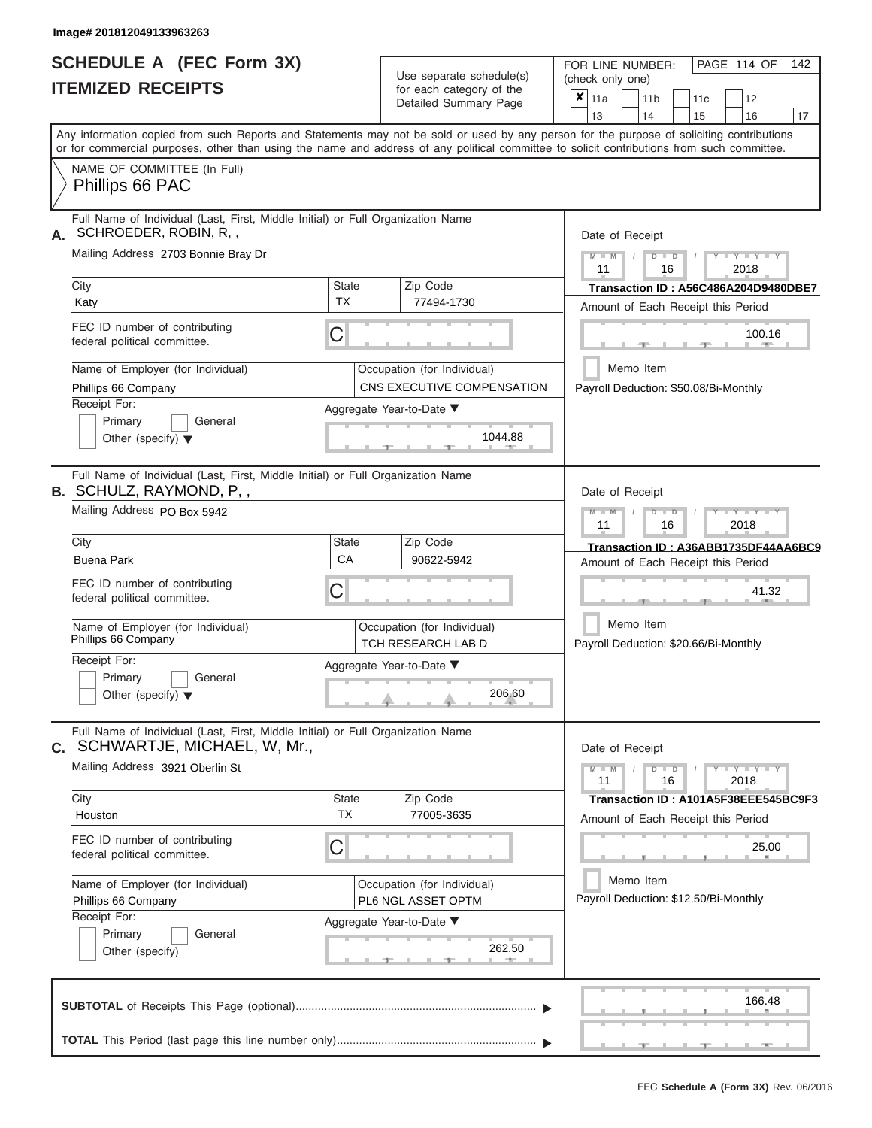|                          | <b>SCHEDULE A (FEC Form 3X)</b> |
|--------------------------|---------------------------------|
| <b>ITEMIZED RECEIPTS</b> |                                 |

|                                                                                                                   | Detailed Summary Page                                                                                                                                                                                                                                                                   |                                                                                                     |
|-------------------------------------------------------------------------------------------------------------------|-----------------------------------------------------------------------------------------------------------------------------------------------------------------------------------------------------------------------------------------------------------------------------------------|-----------------------------------------------------------------------------------------------------|
|                                                                                                                   |                                                                                                                                                                                                                                                                                         | 13<br>14<br>15<br>16<br>17                                                                          |
|                                                                                                                   | Any information copied from such Reports and Statements may not be sold or used by any person for the purpose of soliciting contributions<br>or for commercial purposes, other than using the name and address of any political committee to solicit contributions from such committee. |                                                                                                     |
| NAME OF COMMITTEE (In Full)<br>Phillips 66 PAC                                                                    |                                                                                                                                                                                                                                                                                         |                                                                                                     |
| Full Name of Individual (Last, First, Middle Initial) or Full Organization Name<br>SCHROEDER, ROBIN, R,,          |                                                                                                                                                                                                                                                                                         | Date of Receipt                                                                                     |
| Mailing Address 2703 Bonnie Bray Dr                                                                               |                                                                                                                                                                                                                                                                                         | $M = M$ /<br>$+Y+Y+Y$<br>$D$ $D$<br>11<br>2018<br>16                                                |
| City<br>Katy                                                                                                      | Zip Code<br><b>State</b><br><b>TX</b><br>77494-1730                                                                                                                                                                                                                                     | Transaction ID: A56C486A204D9480DBE7<br>Amount of Each Receipt this Period                          |
| FEC ID number of contributing<br>federal political committee.                                                     | C                                                                                                                                                                                                                                                                                       | 100.16<br><b>1. 200</b>                                                                             |
| Name of Employer (for Individual)<br>Phillips 66 Company                                                          | Occupation (for Individual)<br>CNS EXECUTIVE COMPENSATION                                                                                                                                                                                                                               | Memo Item<br>Payroll Deduction: \$50.08/Bi-Monthly                                                  |
| Receipt For:<br>Primary<br>General<br>Other (specify) $\blacktriangledown$                                        | Aggregate Year-to-Date ▼<br>1044.88                                                                                                                                                                                                                                                     |                                                                                                     |
| Full Name of Individual (Last, First, Middle Initial) or Full Organization Name<br>B. SCHULZ, RAYMOND, P,,        |                                                                                                                                                                                                                                                                                         | Date of Receipt                                                                                     |
| Mailing Address PO Box 5942                                                                                       |                                                                                                                                                                                                                                                                                         | $M - M$<br>$D$ $D$<br>$\Box$ $\Upsilon$ $\Box$ $\Upsilon$ $\Upsilon$ $\Upsilon$<br>11<br>2018<br>16 |
| City<br><b>Buena Park</b>                                                                                         | Zip Code<br><b>State</b><br>CA<br>90622-5942                                                                                                                                                                                                                                            | Transaction ID: A36ABB1735DF44AA6BC9<br>Amount of Each Receipt this Period                          |
| FEC ID number of contributing<br>federal political committee.                                                     | C                                                                                                                                                                                                                                                                                       | 41.32                                                                                               |
| Name of Employer (for Individual)<br>Phillips 66 Company                                                          | Occupation (for Individual)<br>TCH RESEARCH LAB D                                                                                                                                                                                                                                       | Memo Item<br>Payroll Deduction: \$20.66/Bi-Monthly                                                  |
| Receipt For:<br>Primary<br>General<br>Other (specify) $\blacktriangledown$                                        | Aggregate Year-to-Date ▼<br>206.60                                                                                                                                                                                                                                                      |                                                                                                     |
| Full Name of Individual (Last, First, Middle Initial) or Full Organization Name<br>C. SCHWARTJE, MICHAEL, W, Mr., |                                                                                                                                                                                                                                                                                         | Date of Receipt                                                                                     |
| Mailing Address 3921 Oberlin St                                                                                   |                                                                                                                                                                                                                                                                                         | $M - M$<br>$D$ $D$<br>$  Y$ $  Y$ $  Y$<br>11<br>2018<br>16                                         |
| City<br>Houston                                                                                                   | Zip Code<br>State<br><b>TX</b><br>77005-3635                                                                                                                                                                                                                                            | Transaction ID: A101A5F38EEE545BC9F3<br>Amount of Each Receipt this Period                          |
| FEC ID number of contributing<br>federal political committee.                                                     | C                                                                                                                                                                                                                                                                                       | 25.00                                                                                               |
| Name of Employer (for Individual)<br>Phillips 66 Company                                                          | Occupation (for Individual)<br>PL6 NGL ASSET OPTM                                                                                                                                                                                                                                       | Memo Item<br>Payroll Deduction: \$12.50/Bi-Monthly                                                  |
| Receipt For:<br>Primary<br>General<br>Other (specify)                                                             | Aggregate Year-to-Date ▼<br>262.50                                                                                                                                                                                                                                                      |                                                                                                     |
|                                                                                                                   |                                                                                                                                                                                                                                                                                         | 166.48                                                                                              |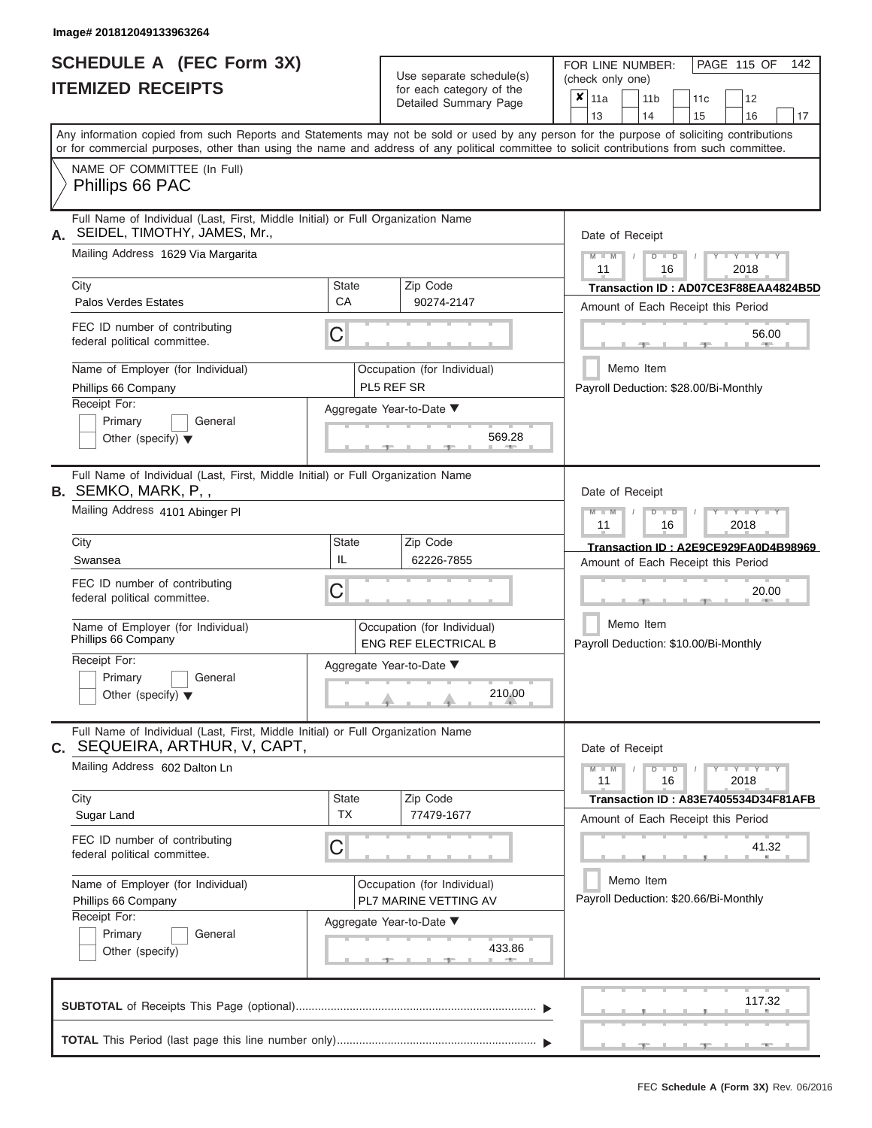|                          | SCHEDULE A (FEC Form 3X) |
|--------------------------|--------------------------|
| <b>ITEMIZED RECEIPTS</b> |                          |

Use separate schedule(s)<br>for each category of the

FOR LINE NUMBER:<br>(check only one)

PAGE 115 OF 142

|    | <u>IIEMIZED REVEIFIJ</u>                                                                                                                                                                                                                                                                |                                                                   | for each category of the<br>Detailed Summary Page          | $\pmb{\mathsf{x}}$<br>11a                          | 11 <sub>b</sub><br>11c                             | 12                        |    |  |  |  |  |  |
|----|-----------------------------------------------------------------------------------------------------------------------------------------------------------------------------------------------------------------------------------------------------------------------------------------|-------------------------------------------------------------------|------------------------------------------------------------|----------------------------------------------------|----------------------------------------------------|---------------------------|----|--|--|--|--|--|
|    |                                                                                                                                                                                                                                                                                         |                                                                   |                                                            | 13                                                 | 14<br>15                                           | 16                        | 17 |  |  |  |  |  |
|    | Any information copied from such Reports and Statements may not be sold or used by any person for the purpose of soliciting contributions<br>or for commercial purposes, other than using the name and address of any political committee to solicit contributions from such committee. |                                                                   |                                                            |                                                    |                                                    |                           |    |  |  |  |  |  |
|    | NAME OF COMMITTEE (In Full)<br>Phillips 66 PAC                                                                                                                                                                                                                                          |                                                                   |                                                            |                                                    |                                                    |                           |    |  |  |  |  |  |
| А. | Full Name of Individual (Last, First, Middle Initial) or Full Organization Name<br>SEIDEL, TIMOTHY, JAMES, Mr.,                                                                                                                                                                         |                                                                   |                                                            | Date of Receipt                                    |                                                    |                           |    |  |  |  |  |  |
|    | Mailing Address 1629 Via Margarita                                                                                                                                                                                                                                                      |                                                                   |                                                            | $M - M$<br>11                                      | $D$ $D$<br>16                                      | $-Y - Y - Y - Y$<br>2018  |    |  |  |  |  |  |
|    | City                                                                                                                                                                                                                                                                                    | <b>State</b>                                                      | Zip Code                                                   |                                                    | Transaction ID: AD07CE3F88EAA4824B5D               |                           |    |  |  |  |  |  |
|    | <b>Palos Verdes Estates</b>                                                                                                                                                                                                                                                             | CA                                                                | 90274-2147                                                 |                                                    | Amount of Each Receipt this Period                 |                           |    |  |  |  |  |  |
|    | FEC ID number of contributing<br>federal political committee.                                                                                                                                                                                                                           | C                                                                 |                                                            |                                                    |                                                    | 56.00                     |    |  |  |  |  |  |
|    | Name of Employer (for Individual)<br>Phillips 66 Company                                                                                                                                                                                                                                |                                                                   | Occupation (for Individual)<br>PL5 REF SR                  | Memo Item<br>Payroll Deduction: \$28.00/Bi-Monthly |                                                    |                           |    |  |  |  |  |  |
|    | Receipt For:                                                                                                                                                                                                                                                                            |                                                                   | Aggregate Year-to-Date ▼                                   |                                                    |                                                    |                           |    |  |  |  |  |  |
|    | Primary<br>General<br>Other (specify) $\blacktriangledown$                                                                                                                                                                                                                              |                                                                   | 569.28                                                     |                                                    |                                                    |                           |    |  |  |  |  |  |
|    | Full Name of Individual (Last, First, Middle Initial) or Full Organization Name<br><b>B.</b> SEMKO, MARK, P,,                                                                                                                                                                           |                                                                   |                                                            | Date of Receipt                                    |                                                    |                           |    |  |  |  |  |  |
|    | Mailing Address 4101 Abinger PI                                                                                                                                                                                                                                                         | $M - M$<br>$T - Y = T - Y = T - Y$<br>$D$ $D$<br>11<br>16<br>2018 |                                                            |                                                    |                                                    |                           |    |  |  |  |  |  |
|    | City                                                                                                                                                                                                                                                                                    | State                                                             | Zip Code                                                   |                                                    | Transaction ID: A2E9CE929FA0D4B98969               |                           |    |  |  |  |  |  |
|    | Swansea                                                                                                                                                                                                                                                                                 | IL                                                                | 62226-7855                                                 |                                                    | Amount of Each Receipt this Period                 |                           |    |  |  |  |  |  |
|    | FEC ID number of contributing<br>federal political committee.                                                                                                                                                                                                                           | C                                                                 |                                                            |                                                    |                                                    |                           |    |  |  |  |  |  |
|    | Name of Employer (for Individual)<br>Phillips 66 Company                                                                                                                                                                                                                                |                                                                   | Occupation (for Individual)<br><b>ENG REF ELECTRICAL B</b> |                                                    | Memo Item<br>Payroll Deduction: \$10.00/Bi-Monthly |                           |    |  |  |  |  |  |
|    | Receipt For:                                                                                                                                                                                                                                                                            | Aggregate Year-to-Date ▼                                          |                                                            |                                                    |                                                    |                           |    |  |  |  |  |  |
|    | Primary<br>General<br>Other (specify) $\blacktriangledown$                                                                                                                                                                                                                              | 210.00                                                            |                                                            |                                                    |                                                    |                           |    |  |  |  |  |  |
|    | Full Name of Individual (Last, First, Middle Initial) or Full Organization Name<br>C. SEQUEIRA, ARTHUR, V, CAPT,                                                                                                                                                                        |                                                                   |                                                            | Date of Receipt                                    |                                                    |                           |    |  |  |  |  |  |
|    | Mailing Address 602 Dalton Ln                                                                                                                                                                                                                                                           |                                                                   |                                                            | $M - M$<br>11                                      | $D$ $D$<br>16                                      | $Y = Y = Y' + Y'$<br>2018 |    |  |  |  |  |  |
|    | City                                                                                                                                                                                                                                                                                    | <b>State</b>                                                      | Zip Code                                                   |                                                    | Transaction ID: A83E7405534D34F81AFB               |                           |    |  |  |  |  |  |
|    | Sugar Land                                                                                                                                                                                                                                                                              | ТX                                                                | 77479-1677                                                 |                                                    | Amount of Each Receipt this Period                 |                           |    |  |  |  |  |  |
|    | FEC ID number of contributing<br>federal political committee.                                                                                                                                                                                                                           | C                                                                 |                                                            |                                                    |                                                    | 41.32                     |    |  |  |  |  |  |
|    | Name of Employer (for Individual)<br>Phillips 66 Company                                                                                                                                                                                                                                |                                                                   | Occupation (for Individual)<br>PL7 MARINE VETTING AV       | Memo Item<br>Payroll Deduction: \$20.66/Bi-Monthly |                                                    |                           |    |  |  |  |  |  |
|    | Receipt For:                                                                                                                                                                                                                                                                            | Aggregate Year-to-Date ▼                                          |                                                            |                                                    |                                                    |                           |    |  |  |  |  |  |
|    | Primary<br>General<br>Other (specify)                                                                                                                                                                                                                                                   |                                                                   | 433.86<br><b>ARCHITECT</b>                                 |                                                    |                                                    |                           |    |  |  |  |  |  |
|    |                                                                                                                                                                                                                                                                                         |                                                                   |                                                            |                                                    |                                                    | 117.32                    |    |  |  |  |  |  |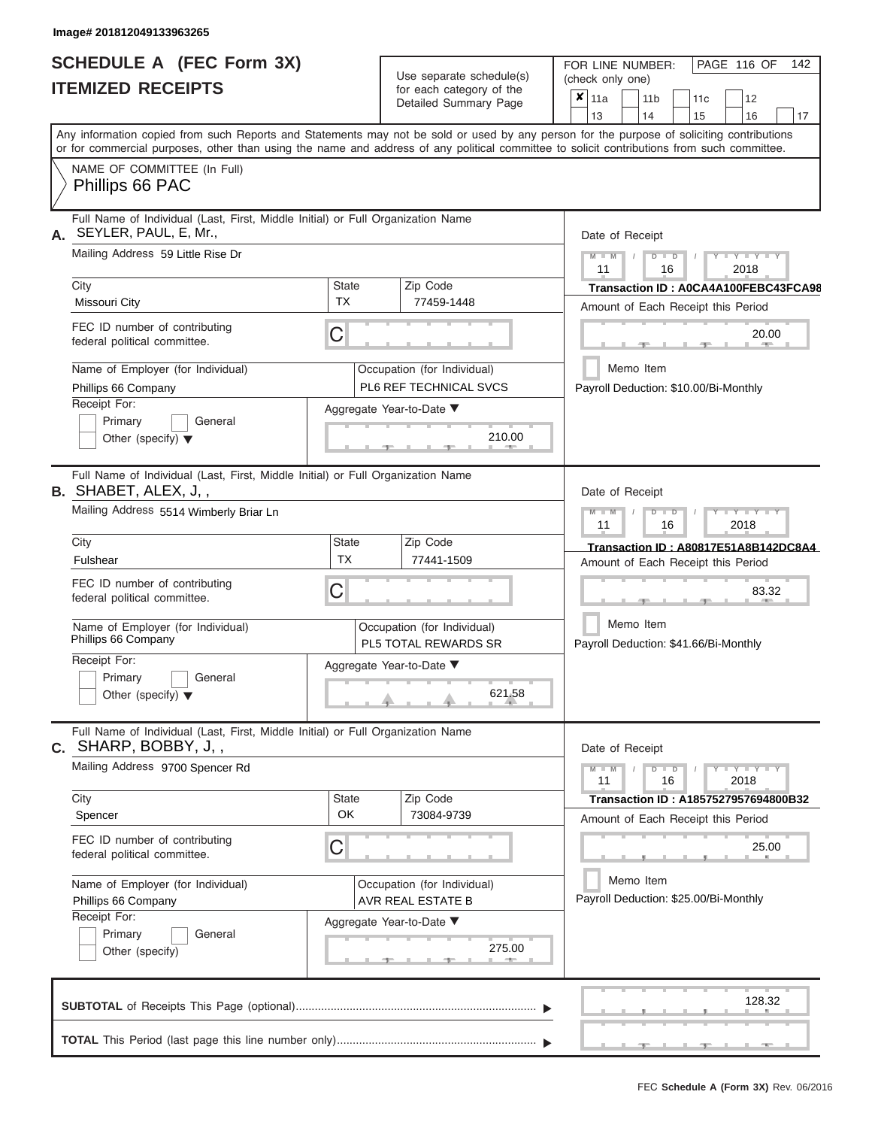# **SCHEDULE A (FEC Form 3X) ITEMIZED RECEIPTS**

Use separate schedule(s)  $\frac{1}{\pi}$  for each category of the

FOR LINE NUMBER:<br>(check only one)

PAGE 116 OF 142

| IIEMIZEU REVEIFIJ                                                                                                                                                                                                                                                                       |                           | for each category of the<br>Detailed Summary Page          | X | 11a             |           | 11 <sub>b</sub> |                      | 11c | 12                                                                         |        |    |
|-----------------------------------------------------------------------------------------------------------------------------------------------------------------------------------------------------------------------------------------------------------------------------------------|---------------------------|------------------------------------------------------------|---|-----------------|-----------|-----------------|----------------------|-----|----------------------------------------------------------------------------|--------|----|
|                                                                                                                                                                                                                                                                                         |                           |                                                            |   | 13              |           | 14              |                      | 15  | 16                                                                         |        | 17 |
| Any information copied from such Reports and Statements may not be sold or used by any person for the purpose of soliciting contributions<br>or for commercial purposes, other than using the name and address of any political committee to solicit contributions from such committee. |                           |                                                            |   |                 |           |                 |                      |     |                                                                            |        |    |
| NAME OF COMMITTEE (In Full)<br>Phillips 66 PAC                                                                                                                                                                                                                                          |                           |                                                            |   |                 |           |                 |                      |     |                                                                            |        |    |
| Full Name of Individual (Last, First, Middle Initial) or Full Organization Name<br>SEYLER, PAUL, E, Mr.,<br>А.                                                                                                                                                                          |                           |                                                            |   | Date of Receipt |           |                 |                      |     |                                                                            |        |    |
| Mailing Address 59 Little Rise Dr                                                                                                                                                                                                                                                       |                           |                                                            |   | $M - M$<br>11   |           |                 | $D$ $\Box$ $D$<br>16 |     | $Y = Y = Y + Y$<br>2018                                                    |        |    |
| City<br>Missouri City                                                                                                                                                                                                                                                                   | <b>State</b><br><b>TX</b> | Zip Code<br>77459-1448                                     |   |                 |           |                 |                      |     | Transaction ID: A0CA4A100FEBC43FCA98                                       |        |    |
| FEC ID number of contributing<br>federal political committee.                                                                                                                                                                                                                           | C                         |                                                            |   |                 |           |                 |                      |     | Amount of Each Receipt this Period                                         | 20.00  |    |
| Name of Employer (for Individual)<br>Phillips 66 Company                                                                                                                                                                                                                                |                           | Occupation (for Individual)<br>PL6 REF TECHNICAL SVCS      |   |                 | Memo Item |                 |                      |     | Payroll Deduction: \$10.00/Bi-Monthly                                      |        |    |
| Receipt For:<br>Aggregate Year-to-Date ▼<br>Primary<br>General<br>210.00<br>Other (specify) $\blacktriangledown$                                                                                                                                                                        |                           |                                                            |   |                 |           |                 |                      |     |                                                                            |        |    |
| Full Name of Individual (Last, First, Middle Initial) or Full Organization Name<br><b>B.</b> SHABET, ALEX, J,,                                                                                                                                                                          |                           |                                                            |   | Date of Receipt |           |                 |                      |     |                                                                            |        |    |
| Mailing Address 5514 Wimberly Briar Ln                                                                                                                                                                                                                                                  |                           |                                                            |   | $M - M$<br>11   |           |                 | $D$ $\Box$ $D$<br>16 |     | Y L Y L Y<br>2018                                                          |        |    |
| City<br>Fulshear                                                                                                                                                                                                                                                                        | <b>State</b><br><b>TX</b> | Zip Code<br>77441-1509                                     |   |                 |           |                 |                      |     | Transaction ID: A80817E51A8B142DC8A4<br>Amount of Each Receipt this Period |        |    |
| FEC ID number of contributing<br>federal political committee.                                                                                                                                                                                                                           | C                         |                                                            |   |                 |           |                 |                      |     |                                                                            | 83.32  |    |
| Name of Employer (for Individual)<br>Phillips 66 Company                                                                                                                                                                                                                                |                           | Occupation (for Individual)<br><b>PL5 TOTAL REWARDS SR</b> |   |                 | Memo Item |                 |                      |     | Payroll Deduction: \$41.66/Bi-Monthly                                      |        |    |
| Receipt For:<br>Primary<br>General<br>Other (specify) $\blacktriangledown$                                                                                                                                                                                                              |                           | Aggregate Year-to-Date ▼<br>621.58                         |   |                 |           |                 |                      |     |                                                                            |        |    |
| Full Name of Individual (Last, First, Middle Initial) or Full Organization Name<br>$c.$ SHARP, BOBBY, J, ,                                                                                                                                                                              |                           |                                                            |   | Date of Receipt |           |                 |                      |     |                                                                            |        |    |
| Mailing Address 9700 Spencer Rd                                                                                                                                                                                                                                                         |                           |                                                            |   | $M - M$<br>11   |           |                 | $D$ $D$<br>16        |     | $Y = Y = Y' + Y'$<br>2018                                                  |        |    |
| City<br>Spencer                                                                                                                                                                                                                                                                         | <b>State</b><br>OK        | Zip Code<br>73084-9739                                     |   |                 |           |                 |                      |     | Transaction ID: A1857527957694800B32<br>Amount of Each Receipt this Period |        |    |
| FEC ID number of contributing<br>federal political committee.                                                                                                                                                                                                                           | C                         |                                                            |   |                 |           |                 |                      |     |                                                                            | 25.00  |    |
| Name of Employer (for Individual)<br>Phillips 66 Company                                                                                                                                                                                                                                |                           | Occupation (for Individual)<br>AVR REAL ESTATE B           |   |                 | Memo Item |                 |                      |     | Payroll Deduction: \$25.00/Bi-Monthly                                      |        |    |
| Receipt For:<br>Primary<br>General<br>Other (specify)                                                                                                                                                                                                                                   |                           | Aggregate Year-to-Date ▼<br>275.00<br>$-$                  |   |                 |           |                 |                      |     |                                                                            |        |    |
|                                                                                                                                                                                                                                                                                         |                           |                                                            |   |                 |           |                 |                      |     |                                                                            | 128.32 |    |
|                                                                                                                                                                                                                                                                                         |                           |                                                            |   |                 |           |                 |                      |     |                                                                            |        |    |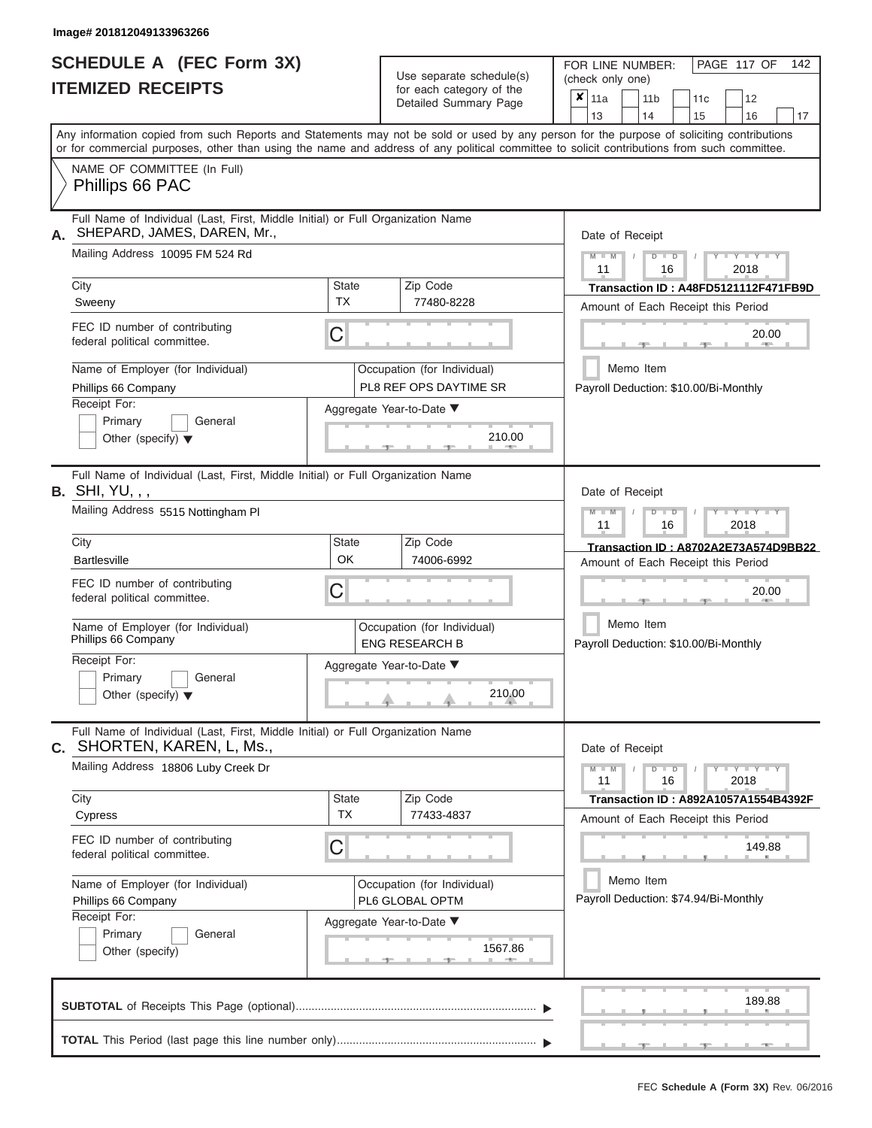|                          | <b>SCHEDULE A (FEC Form 3X)</b> |
|--------------------------|---------------------------------|
| <b>ITEMIZED RECEIPTS</b> |                                 |

Use separate schedule(s)<br>for each category of the

FOR LINE NUMBER:<br>(check only one)

PAGE 117 OF 142

|    | IILMILLV IILVLII I                                                                                                                         |                                                | iui cauli ualcyuly ul lilc<br>Detailed Summary Page        | x                                    | 11a                                                        |                                                    |    | 11 <sub>b</sub> |  | 11 <sub>c</sub> | 12                                           |    |  |  |  |
|----|--------------------------------------------------------------------------------------------------------------------------------------------|------------------------------------------------|------------------------------------------------------------|--------------------------------------|------------------------------------------------------------|----------------------------------------------------|----|-----------------|--|-----------------|----------------------------------------------|----|--|--|--|
|    | Any information copied from such Reports and Statements may not be sold or used by any person for the purpose of soliciting contributions  |                                                |                                                            |                                      | 13                                                         |                                                    | 14 |                 |  | 15              | 16                                           | 17 |  |  |  |
|    | or for commercial purposes, other than using the name and address of any political committee to solicit contributions from such committee. |                                                |                                                            |                                      |                                                            |                                                    |    |                 |  |                 |                                              |    |  |  |  |
|    | NAME OF COMMITTEE (In Full)<br>Phillips 66 PAC                                                                                             |                                                |                                                            |                                      |                                                            |                                                    |    |                 |  |                 |                                              |    |  |  |  |
| Α. | Full Name of Individual (Last, First, Middle Initial) or Full Organization Name<br>SHEPARD, JAMES, DAREN, Mr.,                             |                                                |                                                            |                                      | Date of Receipt                                            |                                                    |    |                 |  |                 |                                              |    |  |  |  |
|    | Mailing Address 10095 FM 524 Rd                                                                                                            |                                                |                                                            |                                      | $M - M$<br>11                                              |                                                    |    | $D$ $D$<br>16   |  |                 | $Y + Y$<br>2018                              |    |  |  |  |
|    | City                                                                                                                                       | <b>State</b><br><b>TX</b>                      | Zip Code                                                   | Transaction ID: A48FD5121112F471FB9D |                                                            |                                                    |    |                 |  |                 |                                              |    |  |  |  |
|    | Sweeny                                                                                                                                     |                                                | 77480-8228                                                 | Amount of Each Receipt this Period   |                                                            |                                                    |    |                 |  |                 |                                              |    |  |  |  |
|    | FEC ID number of contributing<br>federal political committee.                                                                              | C                                              |                                                            |                                      |                                                            |                                                    |    |                 |  |                 | 20.00<br><b>AND</b>                          |    |  |  |  |
|    | Name of Employer (for Individual)                                                                                                          |                                                | Occupation (for Individual)                                |                                      |                                                            | Memo Item                                          |    |                 |  |                 |                                              |    |  |  |  |
|    | Phillips 66 Company<br>Receipt For:                                                                                                        |                                                | PL8 REF OPS DAYTIME SR                                     |                                      |                                                            |                                                    |    |                 |  |                 | Payroll Deduction: \$10.00/Bi-Monthly        |    |  |  |  |
|    | Primary<br>General<br>Other (specify) $\blacktriangledown$                                                                                 |                                                | Aggregate Year-to-Date ▼<br>210.00<br><b>Contact State</b> |                                      |                                                            |                                                    |    |                 |  |                 |                                              |    |  |  |  |
|    | Full Name of Individual (Last, First, Middle Initial) or Full Organization Name<br><b>B.</b> SHI, YU, , ,                                  |                                                |                                                            |                                      | Date of Receipt                                            |                                                    |    |                 |  |                 |                                              |    |  |  |  |
|    | Mailing Address 5515 Nottingham PI                                                                                                         |                                                |                                                            |                                      | $M - M$<br>Y I Y I Y<br>$D$ $\Box$ $D$<br>11<br>16<br>2018 |                                                    |    |                 |  |                 |                                              |    |  |  |  |
|    | City                                                                                                                                       | Zip Code<br>State                              |                                                            |                                      |                                                            | Transaction ID: A8702A2E73A574D9BB22               |    |                 |  |                 |                                              |    |  |  |  |
|    | <b>Bartlesville</b>                                                                                                                        | OK<br>74006-6992                               |                                                            |                                      |                                                            |                                                    |    |                 |  |                 | Amount of Each Receipt this Period           |    |  |  |  |
|    | FEC ID number of contributing<br>federal political committee.                                                                              | С                                              |                                                            |                                      |                                                            | 20.00                                              |    |                 |  |                 |                                              |    |  |  |  |
|    | Name of Employer (for Individual)<br>Phillips 66 Company                                                                                   |                                                | Occupation (for Individual)<br><b>ENG RESEARCH B</b>       |                                      |                                                            | Memo Item                                          |    |                 |  |                 | Payroll Deduction: \$10.00/Bi-Monthly        |    |  |  |  |
|    | Receipt For:<br>Primary<br>General<br>Other (specify) $\blacktriangledown$                                                                 | Aggregate Year-to-Date ▼<br>210.00             |                                                            |                                      |                                                            |                                                    |    |                 |  |                 |                                              |    |  |  |  |
| С. | Full Name of Individual (Last, First, Middle Initial) or Full Organization Name<br>SHORTEN, KAREN, L, Ms.,                                 |                                                |                                                            |                                      | Date of Receipt                                            |                                                    |    |                 |  |                 |                                              |    |  |  |  |
|    | Mailing Address 18806 Luby Creek Dr                                                                                                        |                                                |                                                            |                                      | $M - M$<br>11                                              |                                                    |    | $D$ $D$<br>16   |  |                 | $T - Y - T - Y - T - Y$<br>2018              |    |  |  |  |
|    | City<br>Cypress                                                                                                                            | State<br><b>TX</b>                             | Zip Code<br>77433-4837                                     |                                      |                                                            |                                                    |    |                 |  |                 | Transaction ID: A892A1057A1554B4392F         |    |  |  |  |
|    | FEC ID number of contributing<br>federal political committee.                                                                              | C                                              |                                                            |                                      |                                                            |                                                    |    |                 |  |                 | Amount of Each Receipt this Period<br>149.88 |    |  |  |  |
|    | Name of Employer (for Individual)<br>Phillips 66 Company                                                                                   | Occupation (for Individual)<br>PL6 GLOBAL OPTM |                                                            |                                      |                                                            | Memo Item<br>Payroll Deduction: \$74.94/Bi-Monthly |    |                 |  |                 |                                              |    |  |  |  |
|    | Receipt For:                                                                                                                               |                                                | Aggregate Year-to-Date ▼                                   |                                      |                                                            |                                                    |    |                 |  |                 |                                              |    |  |  |  |
|    | Primary<br>General<br>1567.86<br>Other (specify)                                                                                           |                                                |                                                            |                                      |                                                            |                                                    |    |                 |  |                 |                                              |    |  |  |  |
|    |                                                                                                                                            |                                                |                                                            |                                      |                                                            |                                                    |    |                 |  |                 | 189.88                                       |    |  |  |  |
|    |                                                                                                                                            |                                                |                                                            |                                      |                                                            |                                                    |    |                 |  |                 |                                              |    |  |  |  |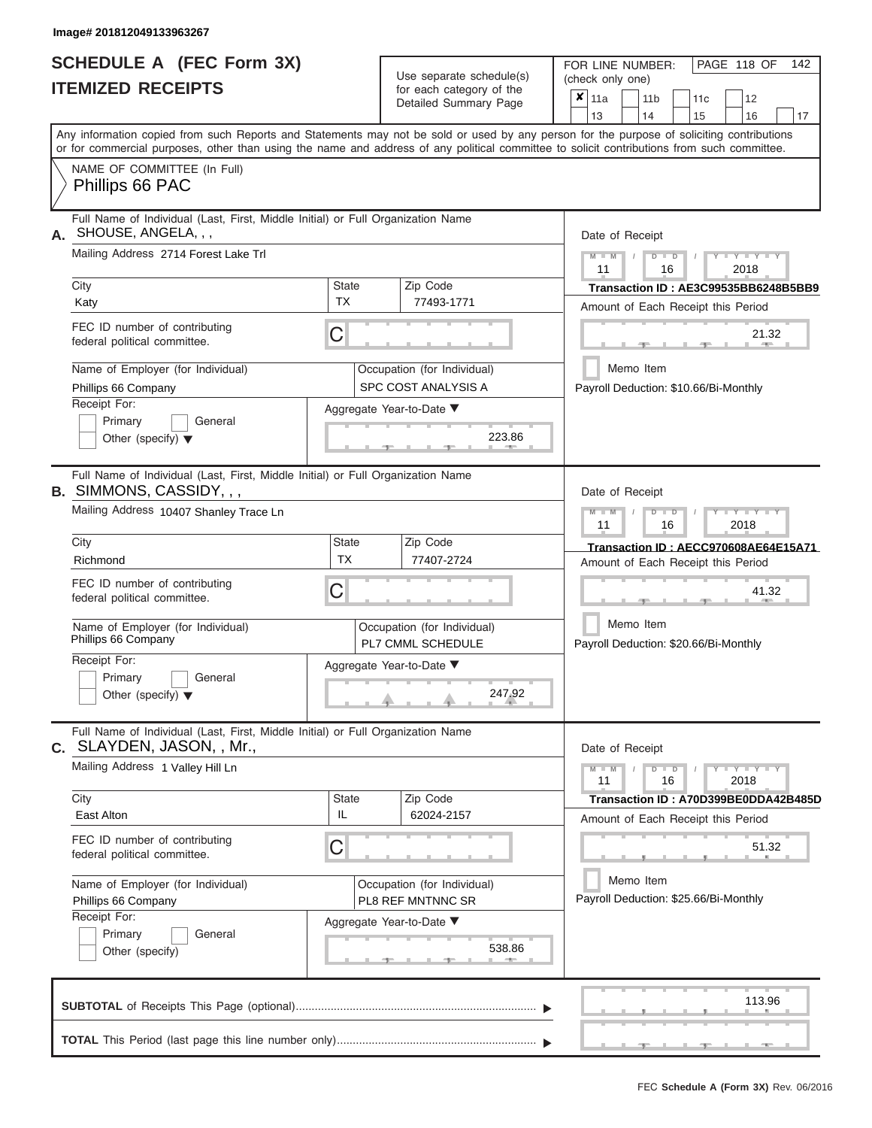ı

|                          | <b>SCHEDULE A (FEC Form 3X)</b> |
|--------------------------|---------------------------------|
| <b>ITEMIZED RECEIPTS</b> |                                 |

Use separate schedule(s)<br>for each category of the

FOR LINE NUMBER:

PAGE 118 OF 142

| <b>ITEMIZED RECEIPTS</b>                                                                                            |                           | Use separate schedule(s)                           | (check only one)                                                                                                                                                                                                                                                                        |  |  |  |  |  |  |  |  |
|---------------------------------------------------------------------------------------------------------------------|---------------------------|----------------------------------------------------|-----------------------------------------------------------------------------------------------------------------------------------------------------------------------------------------------------------------------------------------------------------------------------------------|--|--|--|--|--|--|--|--|
|                                                                                                                     |                           | for each category of the<br>Detailed Summary Page  | $\overline{\mathbf{x}}$   11a<br>12<br>11 <sub>b</sub><br>11 <sub>c</sub><br>13<br>14<br>17<br>15<br>16                                                                                                                                                                                 |  |  |  |  |  |  |  |  |
|                                                                                                                     |                           |                                                    | Any information copied from such Reports and Statements may not be sold or used by any person for the purpose of soliciting contributions<br>or for commercial purposes, other than using the name and address of any political committee to solicit contributions from such committee. |  |  |  |  |  |  |  |  |
| NAME OF COMMITTEE (In Full)<br>Phillips 66 PAC                                                                      |                           |                                                    |                                                                                                                                                                                                                                                                                         |  |  |  |  |  |  |  |  |
| Full Name of Individual (Last, First, Middle Initial) or Full Organization Name<br>SHOUSE, ANGELA, , ,<br>А.        |                           |                                                    | Date of Receipt                                                                                                                                                                                                                                                                         |  |  |  |  |  |  |  |  |
| Mailing Address 2714 Forest Lake Trl                                                                                |                           |                                                    | $Y = Y = Y$<br>$M - M$<br>$\blacksquare$<br>D<br>11<br>16<br>2018                                                                                                                                                                                                                       |  |  |  |  |  |  |  |  |
| City<br>Katy                                                                                                        | <b>State</b><br><b>TX</b> | Zip Code<br>77493-1771                             | Transaction ID: AE3C99535BB6248B5BB9<br>Amount of Each Receipt this Period                                                                                                                                                                                                              |  |  |  |  |  |  |  |  |
| FEC ID number of contributing<br>federal political committee.                                                       | C                         |                                                    | 21.32                                                                                                                                                                                                                                                                                   |  |  |  |  |  |  |  |  |
| Name of Employer (for Individual)<br>Phillips 66 Company                                                            |                           | Occupation (for Individual)<br>SPC COST ANALYSIS A | Memo Item<br>Payroll Deduction: \$10.66/Bi-Monthly                                                                                                                                                                                                                                      |  |  |  |  |  |  |  |  |
| Receipt For:<br>Primary<br>General<br>Other (specify) $\blacktriangledown$                                          |                           | Aggregate Year-to-Date ▼<br>223.86                 |                                                                                                                                                                                                                                                                                         |  |  |  |  |  |  |  |  |
| Full Name of Individual (Last, First, Middle Initial) or Full Organization Name<br><b>B.</b> SIMMONS, CASSIDY, , ,  |                           |                                                    | Date of Receipt                                                                                                                                                                                                                                                                         |  |  |  |  |  |  |  |  |
| Mailing Address 10407 Shanley Trace Ln                                                                              |                           |                                                    | YIYIY<br>$\Box$<br>11<br>16<br>2018                                                                                                                                                                                                                                                     |  |  |  |  |  |  |  |  |
| City<br>Richmond                                                                                                    | State<br><b>TX</b>        | Zip Code<br>77407-2724                             | Transaction ID: AECC970608AE64E15A71<br>Amount of Each Receipt this Period                                                                                                                                                                                                              |  |  |  |  |  |  |  |  |
| FEC ID number of contributing<br>federal political committee.                                                       | C                         |                                                    | 41.32                                                                                                                                                                                                                                                                                   |  |  |  |  |  |  |  |  |
| Name of Employer (for Individual)<br>Phillips 66 Company                                                            |                           | Occupation (for Individual)<br>PL7 CMML SCHEDULE   | Memo Item<br>Payroll Deduction: \$20.66/Bi-Monthly                                                                                                                                                                                                                                      |  |  |  |  |  |  |  |  |
| Receipt For:<br>Primary<br>General<br>Other (specify) $\blacktriangledown$                                          |                           | Aggregate Year-to-Date ▼<br>247.92                 |                                                                                                                                                                                                                                                                                         |  |  |  |  |  |  |  |  |
| Full Name of Individual (Last, First, Middle Initial) or Full Organization Name<br><b>C.</b> SLAYDEN, JASON, , Mr., |                           |                                                    | Date of Receipt                                                                                                                                                                                                                                                                         |  |  |  |  |  |  |  |  |
| Mailing Address 1 Valley Hill Ln                                                                                    |                           |                                                    | $Y = Y = Y$<br>$M - M$<br>$\overline{D}$<br>$\blacksquare$<br>11<br>16<br>2018                                                                                                                                                                                                          |  |  |  |  |  |  |  |  |
| City<br>East Alton                                                                                                  | <b>State</b><br>IL        | Zip Code<br>62024-2157                             | Transaction ID: A70D399BE0DDA42B485D<br>Amount of Each Receipt this Period                                                                                                                                                                                                              |  |  |  |  |  |  |  |  |
| FEC ID number of contributing<br>federal political committee.                                                       | С                         |                                                    | 51.32                                                                                                                                                                                                                                                                                   |  |  |  |  |  |  |  |  |
| Name of Employer (for Individual)<br>Phillips 66 Company<br>Receipt For:                                            |                           | Occupation (for Individual)<br>PL8 REF MNTNNC SR   | Memo Item<br>Payroll Deduction: \$25.66/Bi-Monthly                                                                                                                                                                                                                                      |  |  |  |  |  |  |  |  |
| Primary<br>General<br>Other (specify)                                                                               |                           | Aggregate Year-to-Date ▼<br>538.86                 |                                                                                                                                                                                                                                                                                         |  |  |  |  |  |  |  |  |
|                                                                                                                     |                           |                                                    | 113.96                                                                                                                                                                                                                                                                                  |  |  |  |  |  |  |  |  |
|                                                                                                                     |                           |                                                    |                                                                                                                                                                                                                                                                                         |  |  |  |  |  |  |  |  |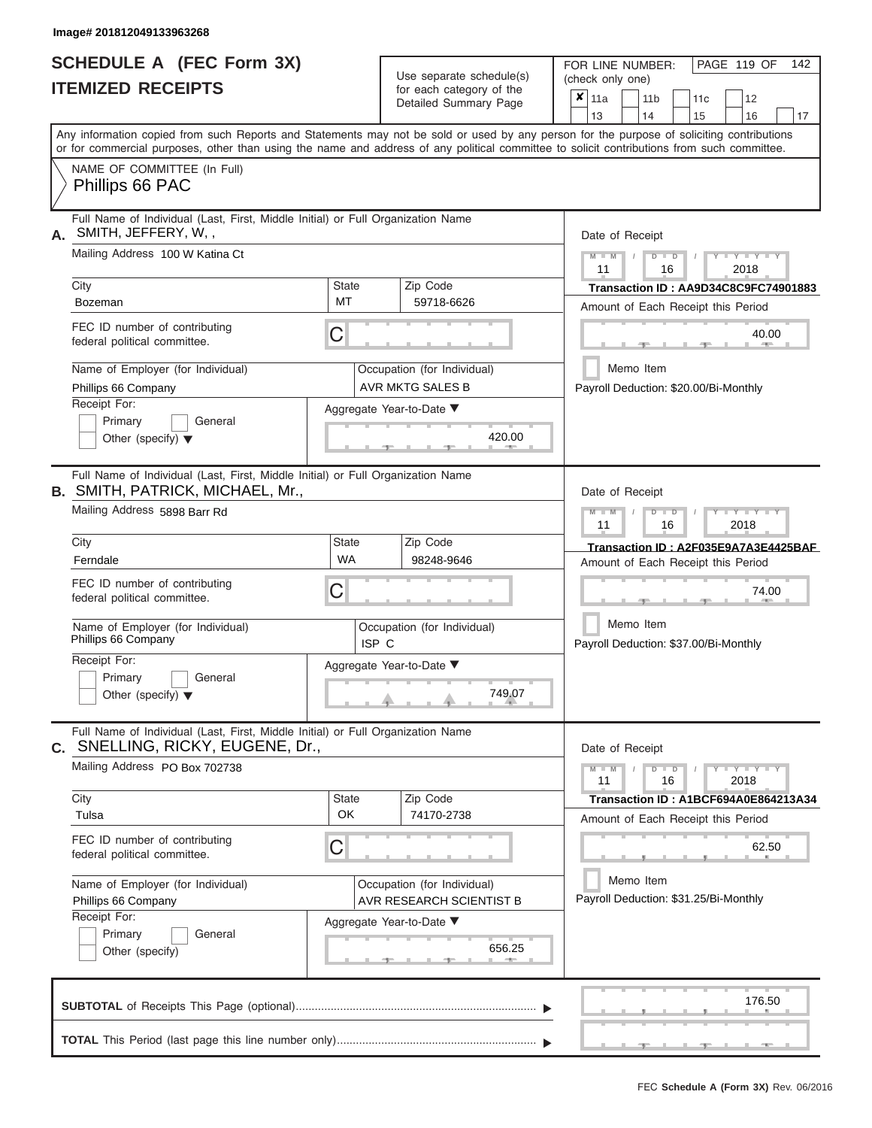|                          | <b>SCHEDULE A (FEC Form 3X)</b> |
|--------------------------|---------------------------------|
| <b>ITEMIZED RECEIPTS</b> |                                 |

Use separate schedule(s)<br>for each category of the

FOR LINE NUMBER:

PAGE 119 OF 142

|                                                                                                                            |                    | Use separate schedule(s)                                | (check only one)                                                                                                                                                                                                                                                                                                      |  |  |  |  |  |  |  |  |
|----------------------------------------------------------------------------------------------------------------------------|--------------------|---------------------------------------------------------|-----------------------------------------------------------------------------------------------------------------------------------------------------------------------------------------------------------------------------------------------------------------------------------------------------------------------|--|--|--|--|--|--|--|--|
| <b>ITEMIZED RECEIPTS</b>                                                                                                   |                    | for each category of the<br>Detailed Summary Page       | $\mathbf{\overline{x}}$   11a<br>12<br>11 <sub>b</sub><br>11 <sub>c</sub>                                                                                                                                                                                                                                             |  |  |  |  |  |  |  |  |
|                                                                                                                            |                    |                                                         | 13<br>14<br>17<br>15<br>16<br>Any information copied from such Reports and Statements may not be sold or used by any person for the purpose of soliciting contributions<br>or for commercial purposes, other than using the name and address of any political committee to solicit contributions from such committee. |  |  |  |  |  |  |  |  |
| NAME OF COMMITTEE (In Full)<br>Phillips 66 PAC                                                                             |                    |                                                         |                                                                                                                                                                                                                                                                                                                       |  |  |  |  |  |  |  |  |
| Full Name of Individual (Last, First, Middle Initial) or Full Organization Name<br>A. SMITH, JEFFERY, W,,                  |                    |                                                         | Date of Receipt                                                                                                                                                                                                                                                                                                       |  |  |  |  |  |  |  |  |
| Mailing Address 100 W Katina Ct                                                                                            |                    |                                                         | $Y = Y = Y$<br>$\Box$<br>D<br>2018<br>11<br>16                                                                                                                                                                                                                                                                        |  |  |  |  |  |  |  |  |
| City<br>Bozeman                                                                                                            | <b>State</b><br>МT | Zip Code<br>59718-6626                                  | Transaction ID: AA9D34C8C9FC74901883<br>Amount of Each Receipt this Period                                                                                                                                                                                                                                            |  |  |  |  |  |  |  |  |
| FEC ID number of contributing<br>federal political committee.                                                              | C                  |                                                         | 40.00                                                                                                                                                                                                                                                                                                                 |  |  |  |  |  |  |  |  |
| Name of Employer (for Individual)<br>Phillips 66 Company                                                                   |                    | Occupation (for Individual)<br><b>AVR MKTG SALES B</b>  | Memo Item<br>Payroll Deduction: \$20.00/Bi-Monthly                                                                                                                                                                                                                                                                    |  |  |  |  |  |  |  |  |
| Receipt For:<br>Primary<br>General<br>Other (specify) $\blacktriangledown$                                                 |                    | Aggregate Year-to-Date ▼<br>420.00                      |                                                                                                                                                                                                                                                                                                                       |  |  |  |  |  |  |  |  |
| Full Name of Individual (Last, First, Middle Initial) or Full Organization Name<br><b>B. SMITH, PATRICK, MICHAEL, Mr.,</b> |                    |                                                         | Date of Receipt                                                                                                                                                                                                                                                                                                       |  |  |  |  |  |  |  |  |
| Mailing Address 5898 Barr Rd                                                                                               |                    |                                                         | YIYIY<br>$\Box$<br>11<br>16<br>2018                                                                                                                                                                                                                                                                                   |  |  |  |  |  |  |  |  |
| City<br>Ferndale                                                                                                           | State<br><b>WA</b> | Zip Code<br>98248-9646                                  | Transaction ID: A2F035E9A7A3E4425BAF<br>Amount of Each Receipt this Period                                                                                                                                                                                                                                            |  |  |  |  |  |  |  |  |
| FEC ID number of contributing<br>federal political committee.                                                              | C                  |                                                         | 74.00                                                                                                                                                                                                                                                                                                                 |  |  |  |  |  |  |  |  |
| Name of Employer (for Individual)<br>Phillips 66 Company                                                                   | ISP C              | Occupation (for Individual)                             | Memo Item<br>Payroll Deduction: \$37.00/Bi-Monthly                                                                                                                                                                                                                                                                    |  |  |  |  |  |  |  |  |
| Receipt For:<br>Primary<br>General<br>Other (specify) $\blacktriangledown$                                                 |                    | Aggregate Year-to-Date ▼<br>749.07                      |                                                                                                                                                                                                                                                                                                                       |  |  |  |  |  |  |  |  |
| Full Name of Individual (Last, First, Middle Initial) or Full Organization Name<br>C. SNELLING, RICKY, EUGENE, Dr.,        |                    |                                                         | Date of Receipt                                                                                                                                                                                                                                                                                                       |  |  |  |  |  |  |  |  |
| Mailing Address PO Box 702738                                                                                              |                    |                                                         | $Y - Y - Y$<br>$\Box$<br>$\overline{D}$<br>$\sqrt{ }$<br>11<br>16<br>2018                                                                                                                                                                                                                                             |  |  |  |  |  |  |  |  |
| City<br>Tulsa                                                                                                              | State<br>OK        | Zip Code<br>74170-2738                                  | Transaction ID: A1BCF694A0E864213A34<br>Amount of Each Receipt this Period                                                                                                                                                                                                                                            |  |  |  |  |  |  |  |  |
| FEC ID number of contributing<br>federal political committee.                                                              | С                  |                                                         | 62.50                                                                                                                                                                                                                                                                                                                 |  |  |  |  |  |  |  |  |
| Name of Employer (for Individual)<br>Phillips 66 Company<br>Receipt For:                                                   |                    | Occupation (for Individual)<br>AVR RESEARCH SCIENTIST B | Memo Item<br>Payroll Deduction: \$31.25/Bi-Monthly                                                                                                                                                                                                                                                                    |  |  |  |  |  |  |  |  |
| Primary<br>General<br>Other (specify)                                                                                      |                    | Aggregate Year-to-Date ▼<br>656.25                      |                                                                                                                                                                                                                                                                                                                       |  |  |  |  |  |  |  |  |
|                                                                                                                            |                    |                                                         | 176.50                                                                                                                                                                                                                                                                                                                |  |  |  |  |  |  |  |  |
|                                                                                                                            |                    |                                                         |                                                                                                                                                                                                                                                                                                                       |  |  |  |  |  |  |  |  |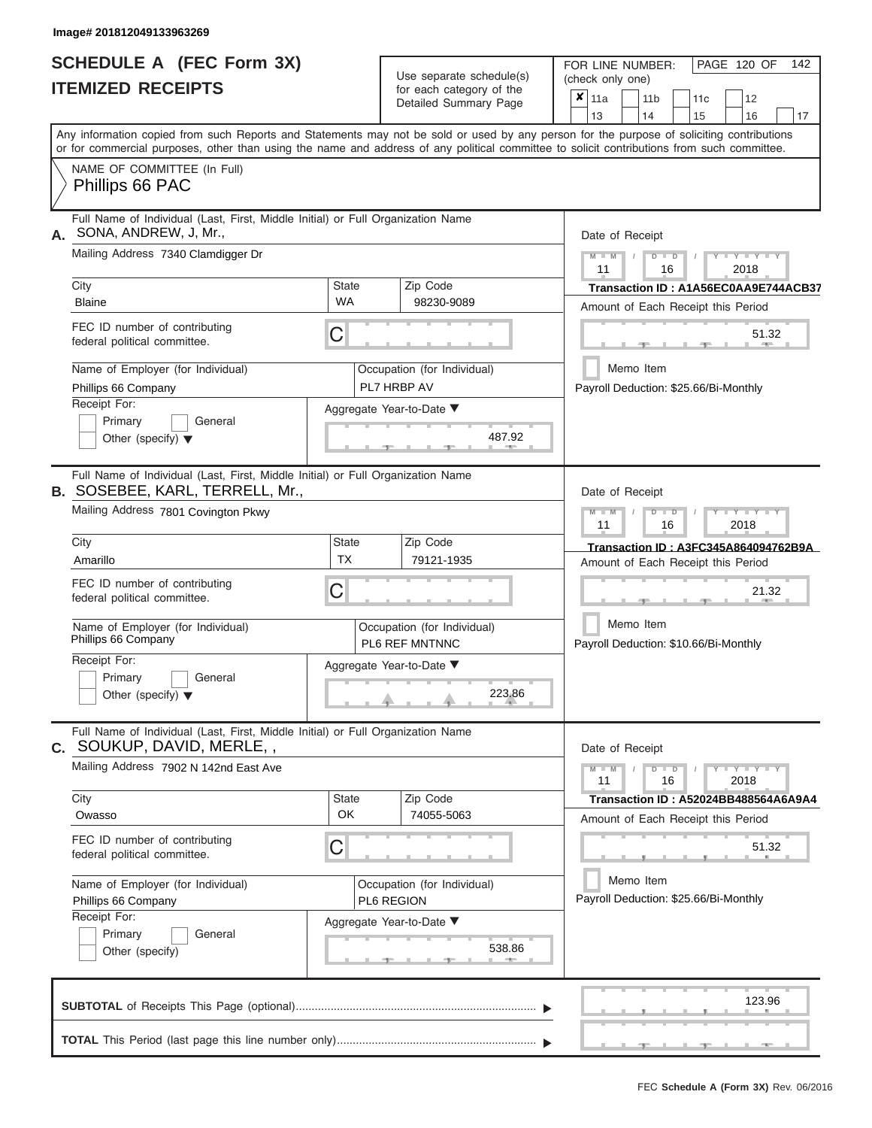|                          | <b>SCHEDULE A (FEC Form 3X)</b> |  |
|--------------------------|---------------------------------|--|
| <b>ITEMIZED RECEIPTS</b> |                                 |  |

Use separate schedule(s)<br>for each category of the

FOR LINE NUMBER:<br>(check only one)

PAGE 120 OF 142

|                                                                                                                                            |                           | ivi cacii calcyory or life<br>Detailed Summary Page | x                                                                          | 11a                                   |           | 11 <sub>b</sub> |               | 11 <sub>c</sub> |  | 12                                   |    |
|--------------------------------------------------------------------------------------------------------------------------------------------|---------------------------|-----------------------------------------------------|----------------------------------------------------------------------------|---------------------------------------|-----------|-----------------|---------------|-----------------|--|--------------------------------------|----|
| Any information copied from such Reports and Statements may not be sold or used by any person for the purpose of soliciting contributions  |                           |                                                     |                                                                            | 13                                    |           | 14              |               | 15              |  | 16                                   | 17 |
| or for commercial purposes, other than using the name and address of any political committee to solicit contributions from such committee. |                           |                                                     |                                                                            |                                       |           |                 |               |                 |  |                                      |    |
| NAME OF COMMITTEE (In Full)<br>Phillips 66 PAC                                                                                             |                           |                                                     |                                                                            |                                       |           |                 |               |                 |  |                                      |    |
| Full Name of Individual (Last, First, Middle Initial) or Full Organization Name<br>SONA, ANDREW, J, Mr.,                                   |                           |                                                     |                                                                            | Date of Receipt                       |           |                 |               |                 |  |                                      |    |
| Mailing Address 7340 Clamdigger Dr                                                                                                         |                           |                                                     |                                                                            | $M - M$<br>11                         |           |                 | $D$ $D$<br>16 |                 |  | $Y - Y - Y$<br>2018                  |    |
| City<br><b>Blaine</b>                                                                                                                      | State<br><b>WA</b>        | Zip Code<br>98230-9089                              |                                                                            | Amount of Each Receipt this Period    |           |                 |               |                 |  | Transaction ID: A1A56EC0AA9E744ACB37 |    |
| FEC ID number of contributing<br>federal political committee.                                                                              | С                         |                                                     |                                                                            |                                       |           |                 |               |                 |  | 51.32                                |    |
| Name of Employer (for Individual)<br>Phillips 66 Company                                                                                   |                           | Occupation (for Individual)<br>PL7 HRBP AV          |                                                                            |                                       | Memo Item |                 |               |                 |  |                                      |    |
| Receipt For:<br>Primary<br>General<br>Other (specify) $\blacktriangledown$                                                                 |                           | Aggregate Year-to-Date ▼<br>487.92                  | Payroll Deduction: \$25.66/Bi-Monthly                                      |                                       |           |                 |               |                 |  |                                      |    |
| Full Name of Individual (Last, First, Middle Initial) or Full Organization Name<br><b>B. SOSEBEE, KARL, TERRELL, Mr.,</b>                  |                           |                                                     |                                                                            | Date of Receipt                       |           |                 |               |                 |  |                                      |    |
| Mailing Address 7801 Covington Pkwy                                                                                                        |                           |                                                     |                                                                            | $M - M$<br>11                         |           |                 | $D$ $D$<br>16 |                 |  | Y TYT<br>2018                        |    |
| City<br>Amarillo                                                                                                                           | <b>State</b><br><b>TX</b> | Zip Code<br>79121-1935                              | Transaction ID: A3FC345A864094762B9A<br>Amount of Each Receipt this Period |                                       |           |                 |               |                 |  |                                      |    |
| FEC ID number of contributing<br>federal political committee.                                                                              | С                         | 21.32                                               |                                                                            |                                       |           |                 |               |                 |  |                                      |    |
| Name of Employer (for Individual)<br>Phillips 66 Company                                                                                   |                           | Occupation (for Individual)<br>PL6 REF MNTNNC       | Memo Item<br>Payroll Deduction: \$10.66/Bi-Monthly                         |                                       |           |                 |               |                 |  |                                      |    |
| Receipt For:<br>Primary<br>General<br>Other (specify) $\blacktriangledown$                                                                 | Aggregate Year-to-Date ▼  |                                                     |                                                                            |                                       |           |                 |               |                 |  |                                      |    |
| Full Name of Individual (Last, First, Middle Initial) or Full Organization Name<br>SOUKUP, DAVID, MERLE,,<br>С.                            |                           |                                                     |                                                                            | Date of Receipt                       |           |                 |               |                 |  |                                      |    |
| Mailing Address 7902 N 142nd East Ave                                                                                                      |                           |                                                     |                                                                            | $M - M$<br>11                         |           |                 | $D$ $D$<br>16 |                 |  | $T - Y = Y - T Y$<br>2018            |    |
| City<br>Owasso                                                                                                                             | State<br>OK               | Zip Code<br>74055-5063                              |                                                                            | Amount of Each Receipt this Period    |           |                 |               |                 |  | Transaction ID: A52024BB488564A6A9A4 |    |
| FEC ID number of contributing<br>federal political committee.                                                                              | С                         |                                                     |                                                                            |                                       |           |                 |               |                 |  | 51.32                                |    |
| Name of Employer (for Individual)<br>Phillips 66 Company                                                                                   |                           | Occupation (for Individual)<br>PL6 REGION           |                                                                            | Payroll Deduction: \$25.66/Bi-Monthly | Memo Item |                 |               |                 |  |                                      |    |
| Receipt For:<br>Primary<br>General<br>Other (specify)                                                                                      |                           | Aggregate Year-to-Date ▼<br>538.86                  |                                                                            |                                       |           |                 |               |                 |  |                                      |    |
|                                                                                                                                            |                           |                                                     |                                                                            |                                       |           |                 |               |                 |  | 123.96                               |    |
|                                                                                                                                            |                           |                                                     |                                                                            |                                       |           |                 |               |                 |  |                                      |    |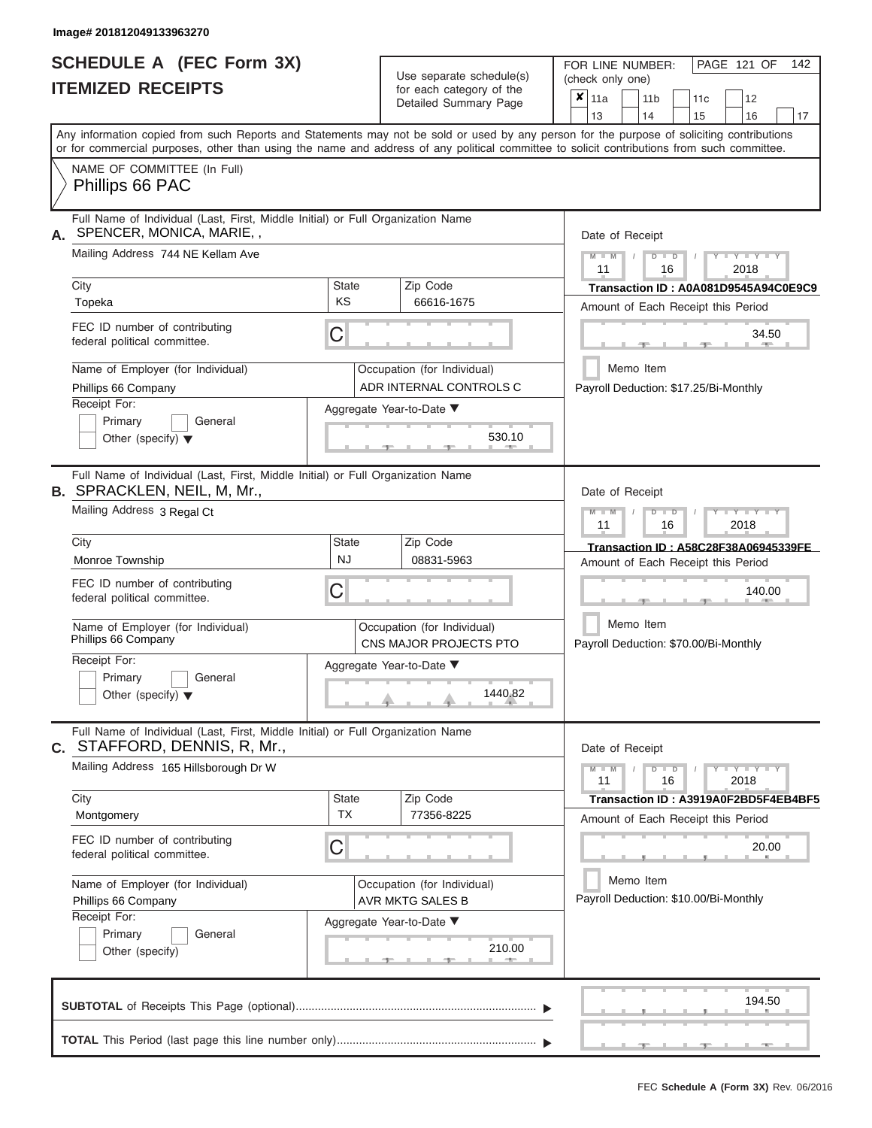# **SCHEDULE A (FEC Form 3X)**

| SCHEDULE A (FEC Form 3X)<br><b>ITEMIZED RECEIPTS</b>                                                                                                                                                                                                                                                                                                                                      |                                | Use separate schedule(s)<br>for each category of the<br>Detailed Summary Page                                          | 142<br>FOR LINE NUMBER:<br>PAGE 121 OF<br>(check only one)<br>$\overline{\mathbf{x}}$   11a<br>11 <sub>b</sub><br>12<br>11 <sub>c</sub>                                                                                                                                                         |
|-------------------------------------------------------------------------------------------------------------------------------------------------------------------------------------------------------------------------------------------------------------------------------------------------------------------------------------------------------------------------------------------|--------------------------------|------------------------------------------------------------------------------------------------------------------------|-------------------------------------------------------------------------------------------------------------------------------------------------------------------------------------------------------------------------------------------------------------------------------------------------|
| Any information copied from such Reports and Statements may not be sold or used by any person for the purpose of soliciting contributions<br>or for commercial purposes, other than using the name and address of any political committee to solicit contributions from such committee.<br>NAME OF COMMITTEE (In Full)                                                                    |                                |                                                                                                                        | 13<br>14<br>15<br>16<br>17                                                                                                                                                                                                                                                                      |
| Phillips 66 PAC                                                                                                                                                                                                                                                                                                                                                                           |                                |                                                                                                                        |                                                                                                                                                                                                                                                                                                 |
| Full Name of Individual (Last, First, Middle Initial) or Full Organization Name<br>SPENCER, MONICA, MARIE,,<br>А.<br>Mailing Address 744 NE Kellam Ave<br>City<br>Topeka<br>FEC ID number of contributing<br>federal political committee.<br>Name of Employer (for Individual)<br>Phillips 66 Company<br>Receipt For:<br>Primary<br>General<br>Other (specify) $\blacktriangledown$       | <b>State</b><br><b>KS</b><br>С | Zip Code<br>66616-1675<br>Occupation (for Individual)<br>ADR INTERNAL CONTROLS C<br>Aggregate Year-to-Date ▼<br>530.10 | Date of Receipt<br>$M - M$ /<br>$Y - Y - Y$<br>$D$ $D$<br>11<br>2018<br>16<br>Transaction ID: A0A081D9545A94C0E9C9<br>Amount of Each Receipt this Period<br>34.50<br><b>AND I</b><br>Memo Item<br>Payroll Deduction: \$17.25/Bi-Monthly                                                         |
| Full Name of Individual (Last, First, Middle Initial) or Full Organization Name<br><b>B. SPRACKLEN, NEIL, M, Mr.,</b><br>Mailing Address 3 Regal Ct<br>City<br>Monroe Township<br>FEC ID number of contributing<br>federal political committee.<br>Name of Employer (for Individual)<br>Phillips 66 Company<br>Receipt For:<br>Primary<br>General<br>Other (specify) $\blacktriangledown$ | <b>State</b><br><b>NJ</b><br>С | Zip Code<br>08831-5963<br>Occupation (for Individual)<br>CNS MAJOR PROJECTS PTO<br>Aggregate Year-to-Date ▼<br>1440.82 | Date of Receipt<br>$M - M$<br>$D$ $\Box$ $D$<br>$\blacksquare$ $\vdash$ $\vdash$ $\vdash$ $\vdash$ $\vdash$ $\vdash$ $\vdash$<br>11<br>2018<br>16<br>Transaction ID: A58C28F38A06945339FE<br>Amount of Each Receipt this Period<br>140.00<br>Memo Item<br>Payroll Deduction: \$70.00/Bi-Monthly |
| Full Name of Individual (Last, First, Middle Initial) or Full Organization Name<br>STAFFORD, DENNIS, R, Mr.,<br>С.<br>Mailing Address 165 Hillsborough Dr W<br>City<br>Montgomery<br>FEC ID number of contributing<br>federal political committee.<br>Name of Employer (for Individual)<br>Phillips 66 Company<br>Receipt For:<br>Primary<br>General<br>Other (specify)                   | <b>State</b><br><b>TX</b><br>С | Zip Code<br>77356-8225<br>Occupation (for Individual)<br><b>AVR MKTG SALES B</b><br>Aggregate Year-to-Date ▼<br>210.00 | Date of Receipt<br>$M - M$<br>$D$ $D$<br>$Y - Y - Y - Y - Y$<br>11<br>16<br>2018<br>Transaction ID: A3919A0F2BD5F4EB4BF5<br>Amount of Each Receipt this Period<br>20.00<br>Memo Item<br>Payroll Deduction: \$10.00/Bi-Monthly                                                                   |
|                                                                                                                                                                                                                                                                                                                                                                                           |                                |                                                                                                                        | 194.50                                                                                                                                                                                                                                                                                          |
|                                                                                                                                                                                                                                                                                                                                                                                           |                                |                                                                                                                        |                                                                                                                                                                                                                                                                                                 |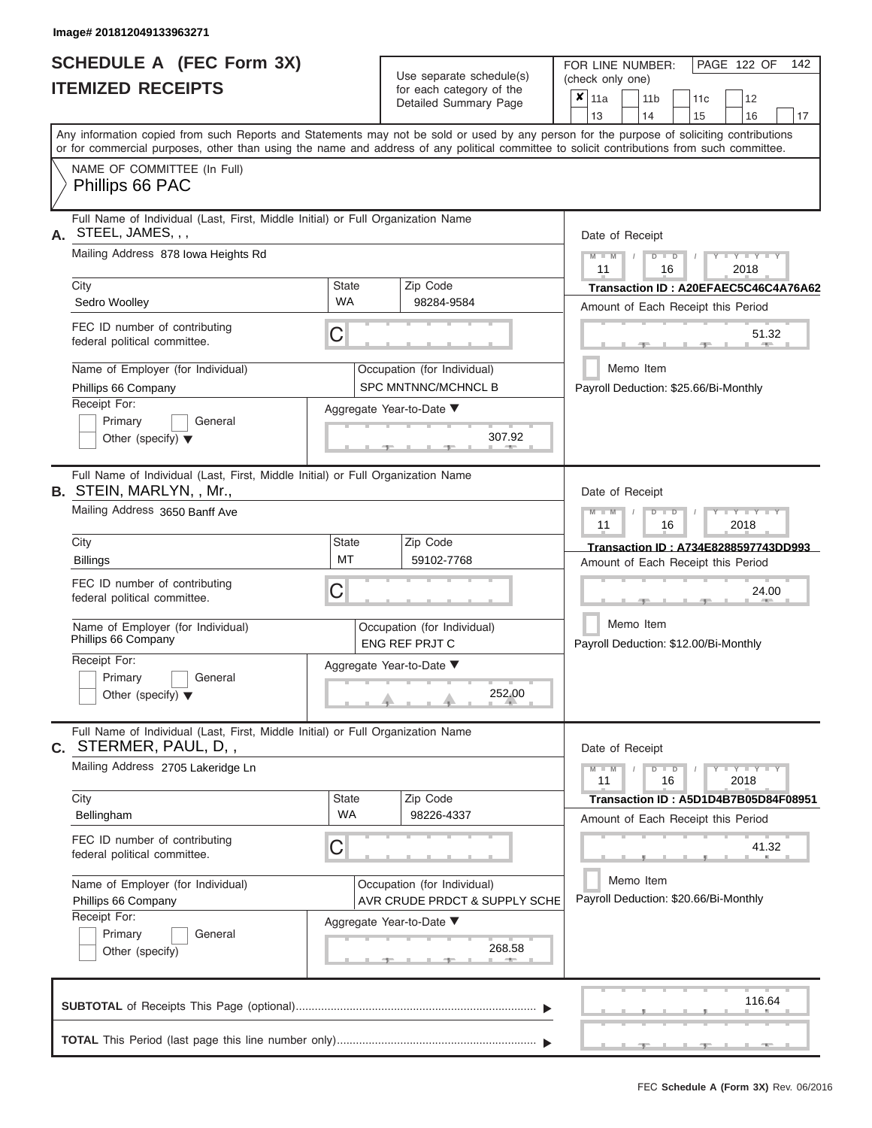|                          | SCHEDULE A (FEC Form 3X) |
|--------------------------|--------------------------|
| <b>ITEMIZED RECEIPTS</b> |                          |

Use separate schedule(s)<br>for each category of the

FOR LINE NUMBER:

PAGE 122 OF 142

|                                                                                                                 |                                              | Use separate schedule(s)                                     | (check only one)                                                                                                                                                        |  |  |  |  |  |  |  |
|-----------------------------------------------------------------------------------------------------------------|----------------------------------------------|--------------------------------------------------------------|-------------------------------------------------------------------------------------------------------------------------------------------------------------------------|--|--|--|--|--|--|--|
| <b>ITEMIZED RECEIPTS</b>                                                                                        |                                              | for each category of the<br>Detailed Summary Page            | $\boldsymbol{x}$   11a<br>11 <sub>b</sub><br>11 <sub>c</sub><br>12                                                                                                      |  |  |  |  |  |  |  |
|                                                                                                                 |                                              |                                                              | 13<br>14<br>15<br>16<br>17<br>Any information copied from such Reports and Statements may not be sold or used by any person for the purpose of soliciting contributions |  |  |  |  |  |  |  |
|                                                                                                                 |                                              |                                                              | or for commercial purposes, other than using the name and address of any political committee to solicit contributions from such committee.                              |  |  |  |  |  |  |  |
| NAME OF COMMITTEE (In Full)<br>Phillips 66 PAC                                                                  |                                              |                                                              |                                                                                                                                                                         |  |  |  |  |  |  |  |
| Full Name of Individual (Last, First, Middle Initial) or Full Organization Name<br>A. STEEL, JAMES, , ,         |                                              |                                                              | Date of Receipt                                                                                                                                                         |  |  |  |  |  |  |  |
| Mailing Address 878 Iowa Heights Rd                                                                             |                                              |                                                              | Y I Y I<br>$\blacksquare$<br>D<br>2018<br>11<br>16                                                                                                                      |  |  |  |  |  |  |  |
| City<br>Sedro Woolley                                                                                           | State<br><b>WA</b>                           | Zip Code<br>98284-9584                                       | Transaction ID: A20EFAEC5C46C4A76A62<br>Amount of Each Receipt this Period                                                                                              |  |  |  |  |  |  |  |
| FEC ID number of contributing<br>federal political committee.                                                   | C                                            |                                                              | 51.32                                                                                                                                                                   |  |  |  |  |  |  |  |
| Name of Employer (for Individual)<br>Phillips 66 Company                                                        |                                              | Occupation (for Individual)<br>SPC MNTNNC/MCHNCL B           | Memo Item<br>Payroll Deduction: \$25.66/Bi-Monthly                                                                                                                      |  |  |  |  |  |  |  |
| Receipt For:<br>Primary<br>General<br>Other (specify) $\blacktriangledown$                                      |                                              | Aggregate Year-to-Date ▼<br>307.92                           |                                                                                                                                                                         |  |  |  |  |  |  |  |
| Full Name of Individual (Last, First, Middle Initial) or Full Organization Name                                 |                                              |                                                              |                                                                                                                                                                         |  |  |  |  |  |  |  |
| <b>B.</b> STEIN, MARLYN, , Mr.,<br>Mailing Address 3650 Banff Ave                                               | Date of Receipt<br>Y I Y I<br>$\blacksquare$ |                                                              |                                                                                                                                                                         |  |  |  |  |  |  |  |
| City                                                                                                            | <b>State</b>                                 | Zip Code                                                     | 2018<br>11<br>16                                                                                                                                                        |  |  |  |  |  |  |  |
| <b>Billings</b>                                                                                                 | MT                                           | 59102-7768                                                   | Transaction ID: A734E8288597743DD993<br>Amount of Each Receipt this Period                                                                                              |  |  |  |  |  |  |  |
| FEC ID number of contributing<br>federal political committee.                                                   | C                                            |                                                              | 24.00                                                                                                                                                                   |  |  |  |  |  |  |  |
| Name of Employer (for Individual)<br>Phillips 66 Company                                                        |                                              | Occupation (for Individual)<br><b>ENG REF PRJT C</b>         | Memo Item<br>Payroll Deduction: \$12.00/Bi-Monthly                                                                                                                      |  |  |  |  |  |  |  |
| Receipt For:<br>Primary<br>General<br>Other (specify) $\blacktriangledown$                                      |                                              | Aggregate Year-to-Date ▼<br>252.00                           |                                                                                                                                                                         |  |  |  |  |  |  |  |
| Full Name of Individual (Last, First, Middle Initial) or Full Organization Name<br><b>C.</b> STERMER, PAUL, D,, |                                              |                                                              | Date of Receipt                                                                                                                                                         |  |  |  |  |  |  |  |
| Mailing Address 2705 Lakeridge Ln                                                                               |                                              |                                                              | $Y - Y - Y$<br>$\blacksquare$<br>$\overline{D}$<br>11<br>16<br>2018                                                                                                     |  |  |  |  |  |  |  |
| City<br>Bellingham                                                                                              | Zip Code<br>State<br>WA<br>98226-4337        |                                                              | Transaction ID: A5D1D4B7B05D84F08951<br>Amount of Each Receipt this Period                                                                                              |  |  |  |  |  |  |  |
| FEC ID number of contributing<br>federal political committee.                                                   | С                                            |                                                              | 41.32                                                                                                                                                                   |  |  |  |  |  |  |  |
| Name of Employer (for Individual)<br>Phillips 66 Company                                                        |                                              | Occupation (for Individual)<br>AVR CRUDE PRDCT & SUPPLY SCHE | Memo Item<br>Payroll Deduction: \$20.66/Bi-Monthly                                                                                                                      |  |  |  |  |  |  |  |
| Receipt For:<br>Primary<br>General<br>Other (specify)                                                           |                                              | Aggregate Year-to-Date ▼<br>268.58                           |                                                                                                                                                                         |  |  |  |  |  |  |  |
|                                                                                                                 |                                              |                                                              | 116.64                                                                                                                                                                  |  |  |  |  |  |  |  |
|                                                                                                                 |                                              |                                                              |                                                                                                                                                                         |  |  |  |  |  |  |  |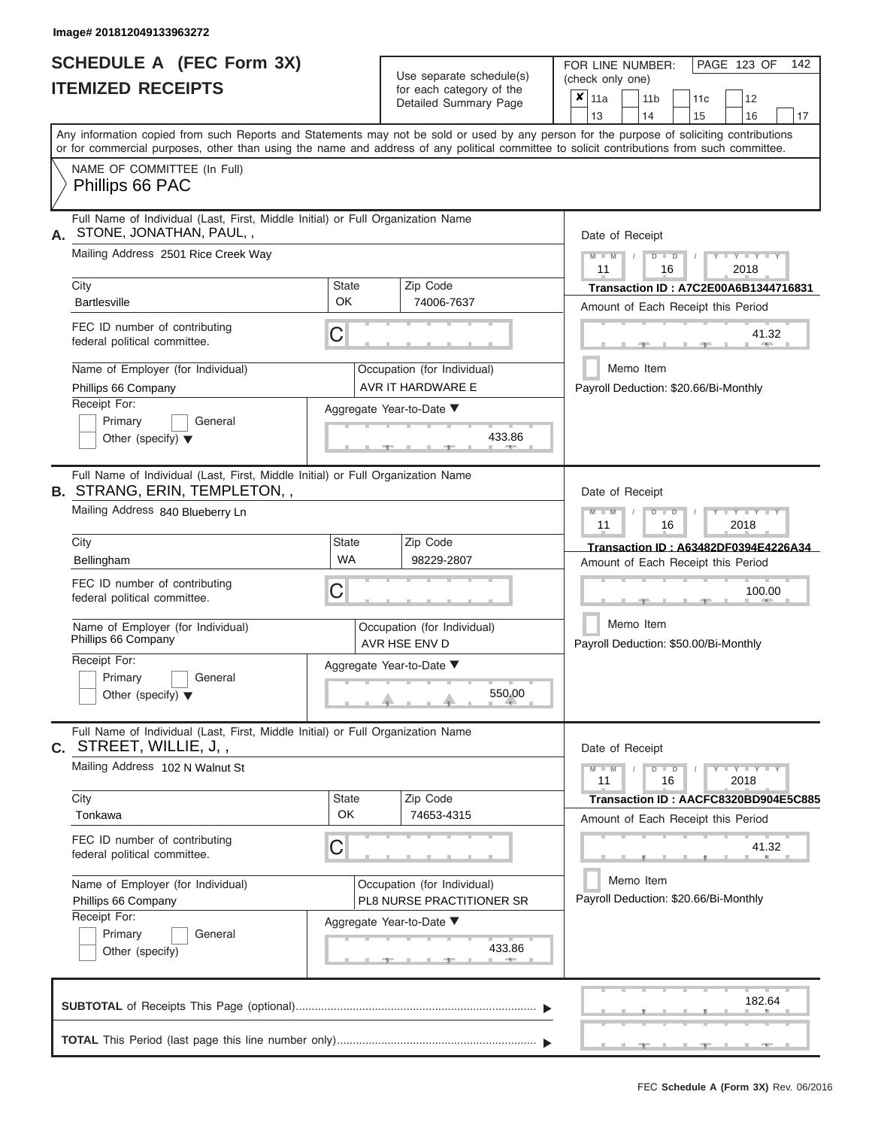# **SCHEDULE A (FEC Form 3X)**

| SCHEDULE A (FEC Form 3X)<br><b>ITEMIZED RECEIPTS</b>                                                                                                                                                                                                                                                                                                                                        |                           | Use separate schedule(s)<br>for each category of the<br>Detailed Summary Page                                            | 142<br>FOR LINE NUMBER:<br>PAGE 123 OF<br>(check only one)<br>$\overline{\mathbf{x}}$   11a<br>11 <sub>b</sub><br>12<br>11 <sub>c</sub>                                                                                             |
|---------------------------------------------------------------------------------------------------------------------------------------------------------------------------------------------------------------------------------------------------------------------------------------------------------------------------------------------------------------------------------------------|---------------------------|--------------------------------------------------------------------------------------------------------------------------|-------------------------------------------------------------------------------------------------------------------------------------------------------------------------------------------------------------------------------------|
| Any information copied from such Reports and Statements may not be sold or used by any person for the purpose of soliciting contributions<br>or for commercial purposes, other than using the name and address of any political committee to solicit contributions from such committee.<br>NAME OF COMMITTEE (In Full)                                                                      |                           |                                                                                                                          | 13<br>14<br>15<br>16<br>17                                                                                                                                                                                                          |
| Phillips 66 PAC<br>Full Name of Individual (Last, First, Middle Initial) or Full Organization Name<br>STONE, JONATHAN, PAUL,,<br>А.<br>Mailing Address 2501 Rice Creek Way<br>City<br><b>Bartlesville</b>                                                                                                                                                                                   | <b>State</b><br><b>OK</b> | Zip Code<br>74006-7637                                                                                                   | Date of Receipt<br>$M - M$ /<br>$-Y - Y - Y$<br>$D$ $D$<br>11<br>2018<br>16<br>Transaction ID: A7C2E00A6B1344716831<br>Amount of Each Receipt this Period                                                                           |
| FEC ID number of contributing<br>federal political committee.<br>Name of Employer (for Individual)<br>Phillips 66 Company<br>Receipt For:<br>Primary<br>General<br>Other (specify) $\blacktriangledown$                                                                                                                                                                                     | С                         | Occupation (for Individual)<br>AVR IT HARDWARE E<br>Aggregate Year-to-Date ▼<br>433.86                                   | 41.32<br><b>AND IN</b><br>Memo Item<br>Payroll Deduction: \$20.66/Bi-Monthly                                                                                                                                                        |
| Full Name of Individual (Last, First, Middle Initial) or Full Organization Name<br><b>B. STRANG, ERIN, TEMPLETON,,</b><br>Mailing Address 840 Blueberry Ln<br>City<br>Bellingham<br>FEC ID number of contributing<br>federal political committee.<br>Name of Employer (for Individual)<br>Phillips 66 Company<br>Receipt For:<br>Primary<br>General<br>Other (specify) $\blacktriangledown$ | State<br><b>WA</b><br>С   | Zip Code<br>98229-2807<br>Occupation (for Individual)<br>AVR HSE ENV D<br>Aggregate Year-to-Date ▼<br>$550.00$           | Date of Receipt<br>$M - M$<br>$D$ $\Box$ $D$<br>$T - Y = Y - T Y$<br>11<br>2018<br>16<br>Transaction ID: A63482DF0394E4226A34<br>Amount of Each Receipt this Period<br>100.00<br>Memo Item<br>Payroll Deduction: \$50.00/Bi-Monthly |
| Full Name of Individual (Last, First, Middle Initial) or Full Organization Name<br>C. STREET, WILLIE, J,,<br>Mailing Address 102 N Walnut St<br>City<br>Tonkawa<br>FEC ID number of contributing<br>federal political committee.<br>Name of Employer (for Individual)<br>Phillips 66 Company<br>Receipt For:<br>Primary<br>General<br>Other (specify)                                       | <b>State</b><br>OK<br>С   | Zip Code<br>74653-4315<br>Occupation (for Individual)<br>PL8 NURSE PRACTITIONER SR<br>Aggregate Year-to-Date ▼<br>433.86 | Date of Receipt<br>$M = M$ /<br>$D$ $D$<br>$Y - Y - Y - Y - Y$<br>11<br>16<br>2018<br>Transaction ID: AACFC8320BD904E5C885<br>Amount of Each Receipt this Period<br>41.32<br>Memo Item<br>Payroll Deduction: \$20.66/Bi-Monthly     |
|                                                                                                                                                                                                                                                                                                                                                                                             |                           |                                                                                                                          | 182.64                                                                                                                                                                                                                              |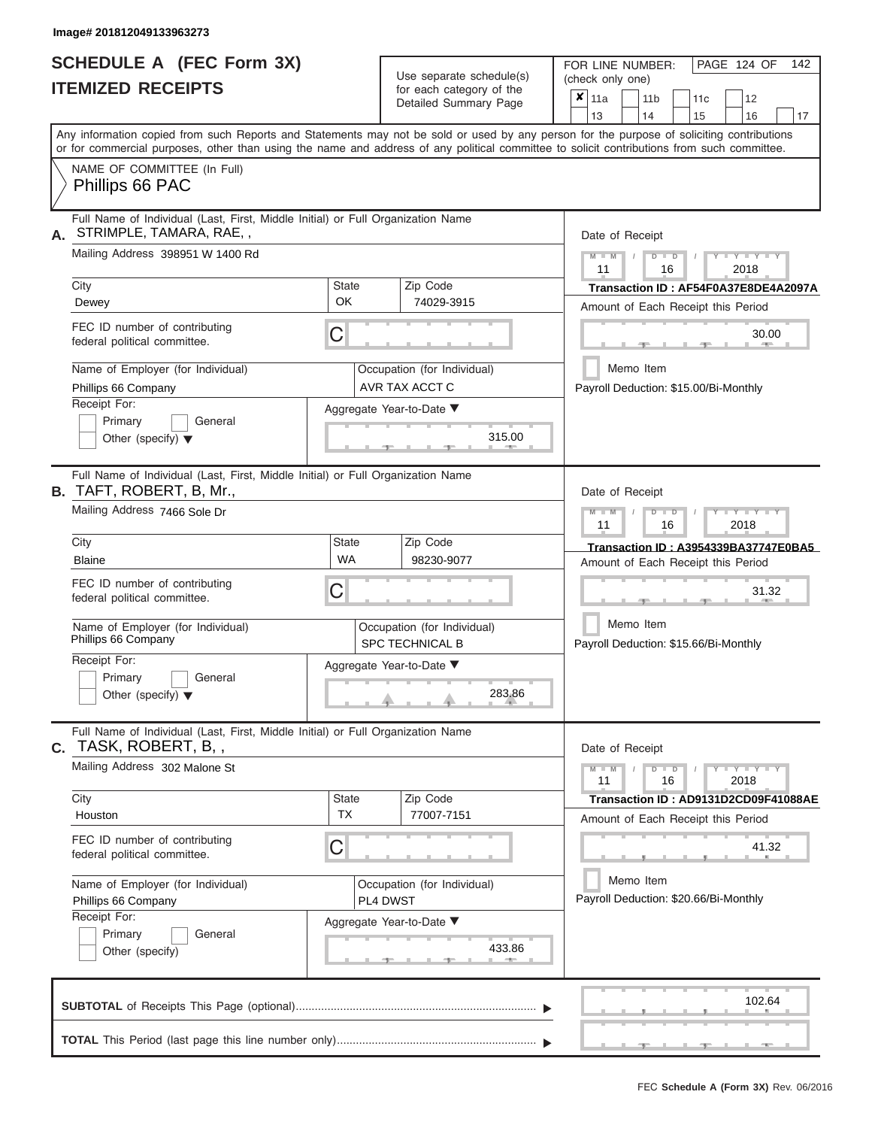# **SCHEDULE A (FEC Form 3X) ITEMIZED RECEIPTS**

| SCHEDULE A (FEC Form 3X)<br><b>ITEMIZED RECEIPTS</b>                                                                                                 |                           | Use separate schedule(s)<br>for each category of the<br>Detailed Summary Page | 142<br>FOR LINE NUMBER:<br>PAGE 124 OF<br>(check only one)<br>$\overline{\mathbf{x}}$   11a<br>11 <sub>b</sub><br>12<br>11 <sub>c</sub>                                 |
|------------------------------------------------------------------------------------------------------------------------------------------------------|---------------------------|-------------------------------------------------------------------------------|-------------------------------------------------------------------------------------------------------------------------------------------------------------------------|
|                                                                                                                                                      |                           |                                                                               | 13<br>14<br>15<br>16<br>17<br>Any information copied from such Reports and Statements may not be sold or used by any person for the purpose of soliciting contributions |
| or for commercial purposes, other than using the name and address of any political committee to solicit contributions from such committee.           |                           |                                                                               |                                                                                                                                                                         |
| NAME OF COMMITTEE (In Full)<br>Phillips 66 PAC                                                                                                       |                           |                                                                               |                                                                                                                                                                         |
| Full Name of Individual (Last, First, Middle Initial) or Full Organization Name<br>STRIMPLE, TAMARA, RAE,,<br>А.<br>Mailing Address 398951 W 1400 Rd |                           |                                                                               | Date of Receipt<br>$M$ – $M$ /<br>$+Y+Y+Y$<br>$D$ $D$                                                                                                                   |
|                                                                                                                                                      |                           |                                                                               | 11<br>2018<br>16                                                                                                                                                        |
| City<br>Dewey                                                                                                                                        | <b>State</b><br><b>OK</b> | Zip Code<br>74029-3915                                                        | Transaction ID: AF54F0A37E8DE4A2097A                                                                                                                                    |
|                                                                                                                                                      |                           |                                                                               | Amount of Each Receipt this Period                                                                                                                                      |
| FEC ID number of contributing<br>federal political committee.                                                                                        | С                         |                                                                               | 30.00<br><b>AND</b>                                                                                                                                                     |
| Name of Employer (for Individual)                                                                                                                    |                           | Occupation (for Individual)                                                   | Memo Item                                                                                                                                                               |
| Phillips 66 Company                                                                                                                                  |                           | AVR TAX ACCT C                                                                | Payroll Deduction: \$15.00/Bi-Monthly                                                                                                                                   |
| Receipt For:<br>Primary<br>General                                                                                                                   |                           | Aggregate Year-to-Date ▼                                                      |                                                                                                                                                                         |
| Other (specify) $\blacktriangledown$                                                                                                                 |                           | 315.00<br><b>CONTRACTOR</b>                                                   |                                                                                                                                                                         |
| Full Name of Individual (Last, First, Middle Initial) or Full Organization Name<br><b>B.</b> TAFT, ROBERT, B, Mr.,                                   |                           |                                                                               | Date of Receipt                                                                                                                                                         |
| Mailing Address 7466 Sole Dr                                                                                                                         |                           |                                                                               | $M - M$<br>$D$ $\Box$ $D$<br>$T - Y = Y - T Y$<br>11                                                                                                                    |
| City                                                                                                                                                 | <b>State</b>              | Zip Code                                                                      | 2018<br>16                                                                                                                                                              |
| <b>Blaine</b>                                                                                                                                        | <b>WA</b>                 | 98230-9077                                                                    | Transaction ID: A3954339BA37747E0BA5<br>Amount of Each Receipt this Period                                                                                              |
| FEC ID number of contributing<br>federal political committee.                                                                                        | С                         |                                                                               | 31.32                                                                                                                                                                   |
| Name of Employer (for Individual)<br>Phillips 66 Company                                                                                             |                           | Occupation (for Individual)<br><b>SPC TECHNICAL B</b>                         | Memo Item<br>Payroll Deduction: \$15.66/Bi-Monthly                                                                                                                      |
| Receipt For:                                                                                                                                         |                           | Aggregate Year-to-Date ▼                                                      |                                                                                                                                                                         |
| Primary<br>General<br>Other (specify) $\blacktriangledown$                                                                                           |                           | 283.86                                                                        |                                                                                                                                                                         |
| Full Name of Individual (Last, First, Middle Initial) or Full Organization Name<br>TASK, ROBERT, B,,<br>С.                                           |                           |                                                                               | Date of Receipt                                                                                                                                                         |
| Mailing Address 302 Malone St                                                                                                                        |                           |                                                                               | $M - M$<br>$D$ $D$<br>$Y - Y - Y - Y - Y$<br>11<br>16<br>2018                                                                                                           |
| City                                                                                                                                                 | <b>State</b>              | Zip Code                                                                      | Transaction ID: AD9131D2CD09F41088AE                                                                                                                                    |
| Houston                                                                                                                                              | <b>TX</b>                 | 77007-7151                                                                    | Amount of Each Receipt this Period                                                                                                                                      |
| FEC ID number of contributing<br>federal political committee.                                                                                        | С                         |                                                                               | 41.32                                                                                                                                                                   |
| Name of Employer (for Individual)                                                                                                                    |                           | Occupation (for Individual)                                                   | Memo Item<br>Payroll Deduction: \$20.66/Bi-Monthly                                                                                                                      |
| Phillips 66 Company<br>Receipt For:                                                                                                                  |                           | PL4 DWST                                                                      |                                                                                                                                                                         |
| Primary<br>General                                                                                                                                   |                           | Aggregate Year-to-Date ▼                                                      |                                                                                                                                                                         |
| Other (specify)                                                                                                                                      |                           | 433.86                                                                        |                                                                                                                                                                         |
|                                                                                                                                                      |                           |                                                                               | 102.64                                                                                                                                                                  |
|                                                                                                                                                      |                           |                                                                               | - 7 - 1<br>$-1$<br>$-1$                                                                                                                                                 |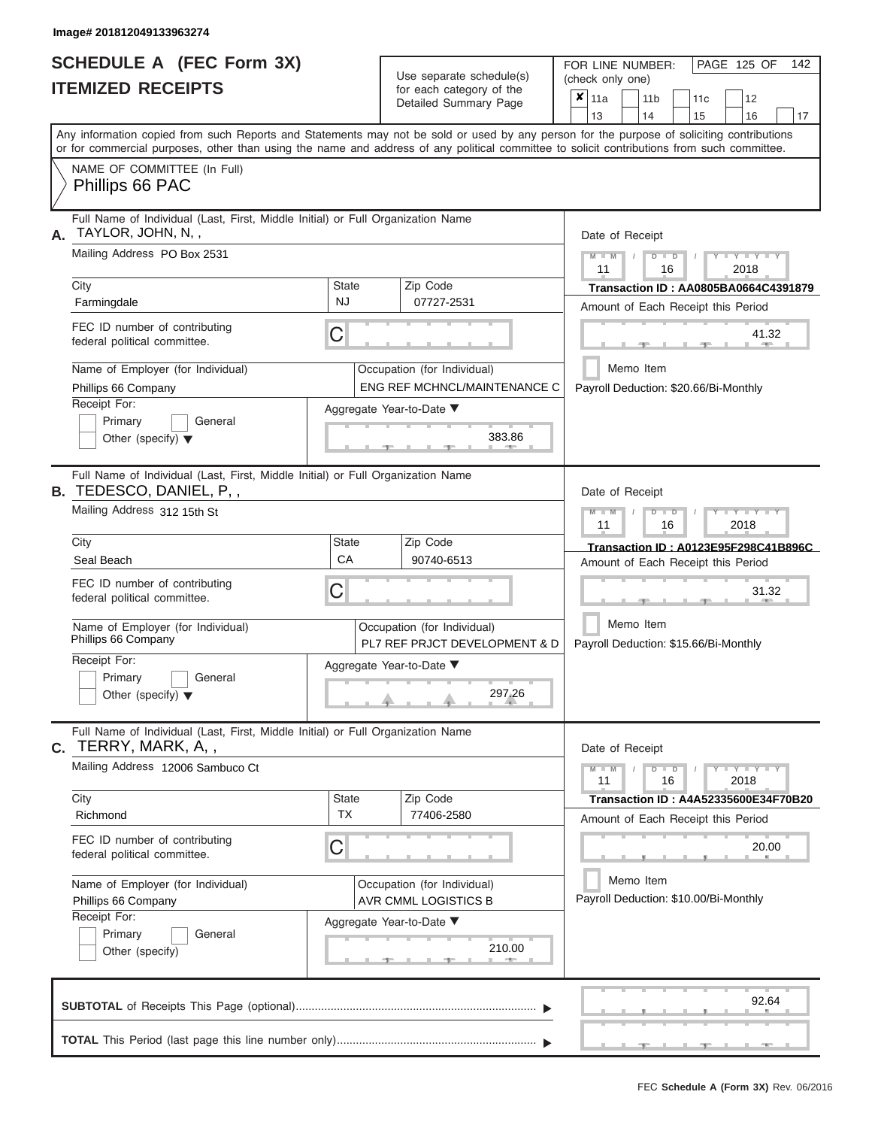ı

|                          | SCHEDULE A (FEC Form 3X) |
|--------------------------|--------------------------|
| <b>ITEMIZED RECEIPTS</b> |                          |

Use separate schedule(s)<br>for each category of the

FOR LINE NUMBER:<br>(check only one)

PAGE 125 OF 142

|                                                                                                                                                                                                                                                                                         |                    | ioi ouoii outogory oi tric<br>Detailed Summary Page          | ×     | 11a                                                     |  | 11 <sub>b</sub> |               | 11 <sub>c</sub> | 12                                                                                |    |  |  |  |
|-----------------------------------------------------------------------------------------------------------------------------------------------------------------------------------------------------------------------------------------------------------------------------------------|--------------------|--------------------------------------------------------------|-------|---------------------------------------------------------|--|-----------------|---------------|-----------------|-----------------------------------------------------------------------------------|----|--|--|--|
|                                                                                                                                                                                                                                                                                         |                    |                                                              |       | 13                                                      |  | 14              |               | 15              | 16                                                                                | 17 |  |  |  |
| Any information copied from such Reports and Statements may not be sold or used by any person for the purpose of soliciting contributions<br>or for commercial purposes, other than using the name and address of any political committee to solicit contributions from such committee. |                    |                                                              |       |                                                         |  |                 |               |                 |                                                                                   |    |  |  |  |
| NAME OF COMMITTEE (In Full)<br>Phillips 66 PAC                                                                                                                                                                                                                                          |                    |                                                              |       |                                                         |  |                 |               |                 |                                                                                   |    |  |  |  |
| Full Name of Individual (Last, First, Middle Initial) or Full Organization Name<br>TAYLOR, JOHN, N,,<br>А.                                                                                                                                                                              |                    |                                                              |       | Date of Receipt                                         |  |                 |               |                 |                                                                                   |    |  |  |  |
| Mailing Address PO Box 2531                                                                                                                                                                                                                                                             |                    |                                                              |       | $M - M$ /<br>$D$ $D$<br>$Y - Y - Y$<br>11<br>16<br>2018 |  |                 |               |                 |                                                                                   |    |  |  |  |
| City<br>Farmingdale                                                                                                                                                                                                                                                                     | State<br><b>NJ</b> | Zip Code<br>07727-2531                                       |       |                                                         |  |                 |               |                 | <b>Transaction ID: AA0805BA0664C4391879</b><br>Amount of Each Receipt this Period |    |  |  |  |
| FEC ID number of contributing<br>federal political committee.                                                                                                                                                                                                                           | С                  |                                                              |       |                                                         |  |                 |               |                 | 41.32<br><b>AND I</b>                                                             |    |  |  |  |
| Name of Employer (for Individual)<br>Phillips 66 Company                                                                                                                                                                                                                                |                    | Occupation (for Individual)<br>ENG REF MCHNCL/MAINTENANCE C  |       |                                                         |  | Memo Item       |               |                 | Payroll Deduction: \$20.66/Bi-Monthly                                             |    |  |  |  |
| Receipt For:<br>Primary<br>General<br>Other (specify) $\blacktriangledown$                                                                                                                                                                                                              |                    | Aggregate Year-to-Date ▼<br>383.86                           |       |                                                         |  |                 |               |                 |                                                                                   |    |  |  |  |
| Full Name of Individual (Last, First, Middle Initial) or Full Organization Name<br><b>B.</b> TEDESCO, DANIEL, P,,                                                                                                                                                                       |                    |                                                              |       | Date of Receipt                                         |  |                 |               |                 |                                                                                   |    |  |  |  |
| Mailing Address 312 15th St                                                                                                                                                                                                                                                             |                    |                                                              |       | $M - M$<br>11                                           |  |                 | $D$ $D$<br>16 |                 | Y TYTY<br>2018                                                                    |    |  |  |  |
| City<br>Seal Beach                                                                                                                                                                                                                                                                      | State<br>CA        | Zip Code<br>90740-6513                                       |       |                                                         |  |                 |               |                 | Transaction ID: A0123E95F298C41B896C<br>Amount of Each Receipt this Period        |    |  |  |  |
| FEC ID number of contributing<br>federal political committee.                                                                                                                                                                                                                           | С                  |                                                              | 31.32 |                                                         |  |                 |               |                 |                                                                                   |    |  |  |  |
| Name of Employer (for Individual)<br>Phillips 66 Company                                                                                                                                                                                                                                |                    | Occupation (for Individual)<br>PL7 REF PRJCT DEVELOPMENT & D |       | Memo Item<br>Payroll Deduction: \$15.66/Bi-Monthly      |  |                 |               |                 |                                                                                   |    |  |  |  |
| Receipt For:<br>Primary<br>General<br>Other (specify) $\blacktriangledown$                                                                                                                                                                                                              |                    | Aggregate Year-to-Date ▼<br>297.26                           |       |                                                         |  |                 |               |                 |                                                                                   |    |  |  |  |
| Full Name of Individual (Last, First, Middle Initial) or Full Organization Name<br>TERRY, MARK, A, ,<br>С.                                                                                                                                                                              |                    |                                                              |       | Date of Receipt                                         |  |                 |               |                 |                                                                                   |    |  |  |  |
| Mailing Address 12006 Sambuco Ct                                                                                                                                                                                                                                                        |                    |                                                              |       | $M - M$<br>11                                           |  |                 | $D$ $D$<br>16 |                 | $T - Y = Y + Y$<br>2018                                                           |    |  |  |  |
| City<br>Richmond                                                                                                                                                                                                                                                                        | State<br><b>TX</b> | Zip Code<br>77406-2580                                       |       |                                                         |  |                 |               |                 | Transaction ID: A4A52335600E34F70B20<br>Amount of Each Receipt this Period        |    |  |  |  |
| FEC ID number of contributing<br>federal political committee.                                                                                                                                                                                                                           | С                  |                                                              |       |                                                         |  |                 |               |                 | 20.00                                                                             |    |  |  |  |
| Name of Employer (for Individual)                                                                                                                                                                                                                                                       |                    | Occupation (for Individual)<br>AVR CMML LOGISTICS B          |       | Memo Item<br>Payroll Deduction: \$10.00/Bi-Monthly      |  |                 |               |                 |                                                                                   |    |  |  |  |
| Phillips 66 Company                                                                                                                                                                                                                                                                     |                    |                                                              |       |                                                         |  |                 |               |                 |                                                                                   |    |  |  |  |
| Receipt For:<br>Primary<br>General<br>Other (specify)                                                                                                                                                                                                                                   |                    | Aggregate Year-to-Date ▼<br>210.00<br>___                    |       |                                                         |  |                 |               |                 |                                                                                   |    |  |  |  |
|                                                                                                                                                                                                                                                                                         |                    |                                                              |       |                                                         |  |                 |               |                 | 92.64                                                                             |    |  |  |  |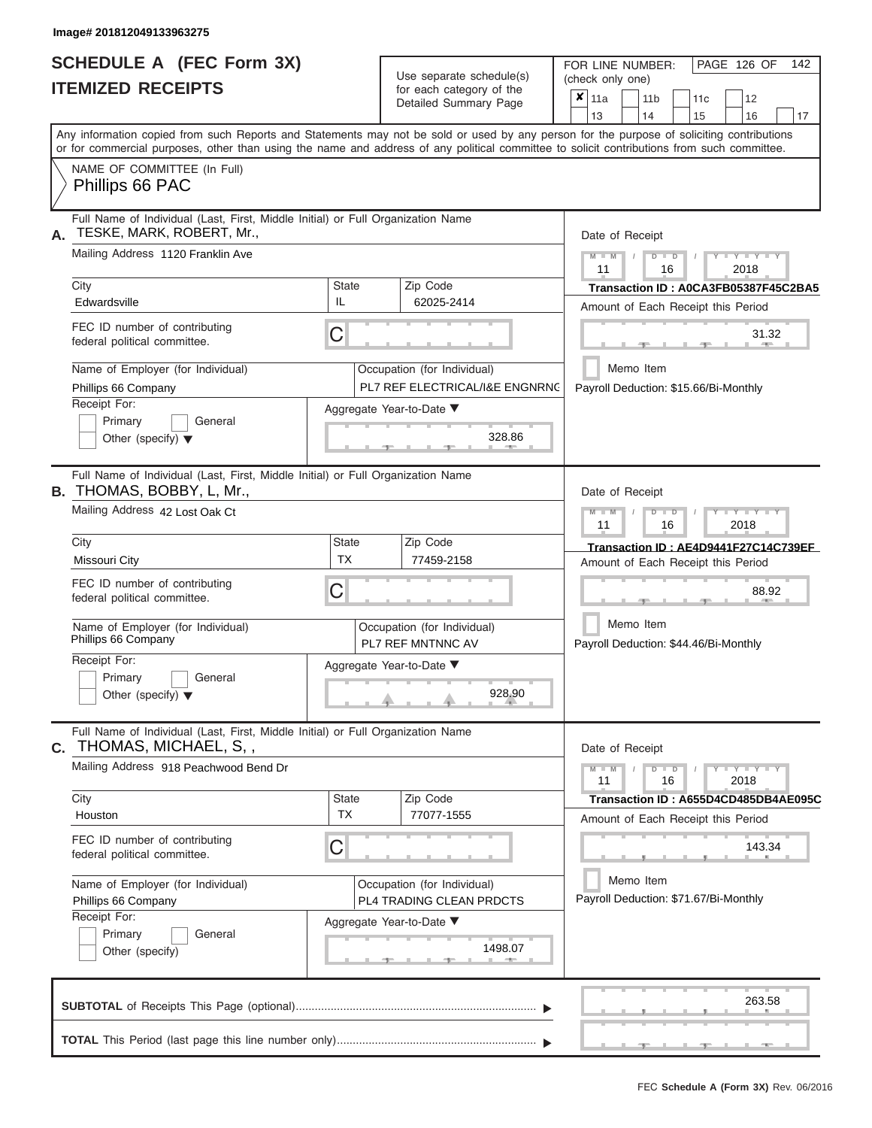# **SCHEDULE A (FEC Form 3X) ITEMIZED RECEIPTS**

Use separate schedule(s)

FOR LINE NUMBER:<br>(check only one)

PAGE 126 OF 142

|    |                                                                                                                                                                                                                                                                                         |                                                         | for each category of the<br>Detailed Summary Page             | $\pmb{\times}$                                                           | 11a             |           | 11 <sub>b</sub> |                                                                       | 11 <sub>c</sub> | 12                                    |                                      |  |  |  |  |  |
|----|-----------------------------------------------------------------------------------------------------------------------------------------------------------------------------------------------------------------------------------------------------------------------------------------|---------------------------------------------------------|---------------------------------------------------------------|--------------------------------------------------------------------------|-----------------|-----------|-----------------|-----------------------------------------------------------------------|-----------------|---------------------------------------|--------------------------------------|--|--|--|--|--|
|    |                                                                                                                                                                                                                                                                                         |                                                         |                                                               |                                                                          | 13              |           | 14              |                                                                       | 15              | 16                                    | 17                                   |  |  |  |  |  |
|    | Any information copied from such Reports and Statements may not be sold or used by any person for the purpose of soliciting contributions<br>or for commercial purposes, other than using the name and address of any political committee to solicit contributions from such committee. |                                                         |                                                               |                                                                          |                 |           |                 |                                                                       |                 |                                       |                                      |  |  |  |  |  |
|    | NAME OF COMMITTEE (In Full)<br>Phillips 66 PAC                                                                                                                                                                                                                                          |                                                         |                                                               |                                                                          |                 |           |                 |                                                                       |                 |                                       |                                      |  |  |  |  |  |
| Α. | Full Name of Individual (Last, First, Middle Initial) or Full Organization Name<br>TESKE, MARK, ROBERT, Mr.,                                                                                                                                                                            |                                                         |                                                               |                                                                          | Date of Receipt |           |                 |                                                                       |                 |                                       |                                      |  |  |  |  |  |
|    | Mailing Address 1120 Franklin Ave                                                                                                                                                                                                                                                       |                                                         |                                                               |                                                                          | $M - M$<br>11   |           |                 | $D$ $D$<br>16                                                         |                 | $+Y+Y+Y$<br>2018                      |                                      |  |  |  |  |  |
|    | City                                                                                                                                                                                                                                                                                    | <b>State</b>                                            | Zip Code                                                      |                                                                          |                 |           |                 |                                                                       |                 |                                       | Transaction ID: A0CA3FB05387F45C2BA5 |  |  |  |  |  |
|    | Edwardsville                                                                                                                                                                                                                                                                            | IL                                                      | 62025-2414                                                    |                                                                          |                 |           |                 |                                                                       |                 | Amount of Each Receipt this Period    |                                      |  |  |  |  |  |
|    | FEC ID number of contributing<br>federal political committee.                                                                                                                                                                                                                           | С                                                       |                                                               |                                                                          |                 |           |                 |                                                                       |                 |                                       | 31.32                                |  |  |  |  |  |
|    | Name of Employer (for Individual)<br>Phillips 66 Company                                                                                                                                                                                                                                |                                                         | Occupation (for Individual)<br>PL7 REF ELECTRICAL/I&E ENGNRNC |                                                                          |                 | Memo Item |                 |                                                                       |                 | Payroll Deduction: \$15.66/Bi-Monthly |                                      |  |  |  |  |  |
|    | Receipt For:                                                                                                                                                                                                                                                                            |                                                         | Aggregate Year-to-Date ▼                                      |                                                                          |                 |           |                 |                                                                       |                 |                                       |                                      |  |  |  |  |  |
|    | Primary<br>General<br>Other (specify) $\blacktriangledown$                                                                                                                                                                                                                              |                                                         | 328.86                                                        |                                                                          |                 |           |                 |                                                                       |                 |                                       |                                      |  |  |  |  |  |
|    | Full Name of Individual (Last, First, Middle Initial) or Full Organization Name<br><b>B.</b> THOMAS, BOBBY, L, Mr.,                                                                                                                                                                     |                                                         |                                                               |                                                                          | Date of Receipt |           |                 |                                                                       |                 |                                       |                                      |  |  |  |  |  |
|    | Mailing Address 42 Lost Oak Ct                                                                                                                                                                                                                                                          |                                                         |                                                               | $T - Y = T - Y = T - Y$<br>$M - M$<br>$D$ $\Box$ $D$<br>11<br>16<br>2018 |                 |           |                 |                                                                       |                 |                                       |                                      |  |  |  |  |  |
|    | City                                                                                                                                                                                                                                                                                    | <b>State</b>                                            | Zip Code                                                      |                                                                          |                 |           |                 |                                                                       |                 |                                       | Transaction ID: AE4D9441F27C14C739EF |  |  |  |  |  |
|    | <b>Missouri City</b>                                                                                                                                                                                                                                                                    | <b>TX</b>                                               | 77459-2158                                                    |                                                                          |                 |           |                 |                                                                       |                 | Amount of Each Receipt this Period    |                                      |  |  |  |  |  |
|    | FEC ID number of contributing<br>federal political committee.                                                                                                                                                                                                                           | С                                                       |                                                               |                                                                          |                 |           |                 |                                                                       |                 |                                       | 88.92                                |  |  |  |  |  |
|    | Name of Employer (for Individual)<br>Phillips 66 Company                                                                                                                                                                                                                                |                                                         | Occupation (for Individual)<br>PL7 REF MNTNNC AV              |                                                                          |                 | Memo Item |                 |                                                                       |                 | Payroll Deduction: \$44.46/Bi-Monthly |                                      |  |  |  |  |  |
|    | Receipt For:                                                                                                                                                                                                                                                                            |                                                         | Aggregate Year-to-Date ▼                                      |                                                                          |                 |           |                 |                                                                       |                 |                                       |                                      |  |  |  |  |  |
|    | Primary<br>General<br>Other (specify) $\blacktriangledown$                                                                                                                                                                                                                              |                                                         | 928.90                                                        |                                                                          |                 |           |                 |                                                                       |                 |                                       |                                      |  |  |  |  |  |
|    | Full Name of Individual (Last, First, Middle Initial) or Full Organization Name<br>C. THOMAS, MICHAEL, S,,                                                                                                                                                                              |                                                         |                                                               |                                                                          | Date of Receipt |           |                 |                                                                       |                 |                                       |                                      |  |  |  |  |  |
|    | Mailing Address 918 Peachwood Bend Dr                                                                                                                                                                                                                                                   |                                                         |                                                               |                                                                          |                 |           |                 | $Y = Y = Y + Y$<br>$M - M$<br>$D$ $D$<br>$\prime$<br>11<br>16<br>2018 |                 |                                       |                                      |  |  |  |  |  |
|    | City                                                                                                                                                                                                                                                                                    | State                                                   | Zip Code                                                      |                                                                          |                 |           |                 |                                                                       |                 |                                       | Transaction ID: A655D4CD485DB4AE095C |  |  |  |  |  |
|    | Houston                                                                                                                                                                                                                                                                                 | ТX                                                      | 77077-1555                                                    |                                                                          |                 |           |                 |                                                                       |                 | Amount of Each Receipt this Period    |                                      |  |  |  |  |  |
|    | FEC ID number of contributing<br>federal political committee.                                                                                                                                                                                                                           | С                                                       |                                                               |                                                                          |                 |           |                 |                                                                       |                 |                                       | 143.34                               |  |  |  |  |  |
|    | Name of Employer (for Individual)<br>Phillips 66 Company                                                                                                                                                                                                                                | Occupation (for Individual)<br>PL4 TRADING CLEAN PRDCTS |                                                               | Memo Item<br>Payroll Deduction: \$71.67/Bi-Monthly                       |                 |           |                 |                                                                       |                 |                                       |                                      |  |  |  |  |  |
|    | Receipt For:                                                                                                                                                                                                                                                                            |                                                         | Aggregate Year-to-Date ▼                                      |                                                                          |                 |           |                 |                                                                       |                 |                                       |                                      |  |  |  |  |  |
|    | Primary<br>General<br>Other (specify)                                                                                                                                                                                                                                                   |                                                         | 1498.07<br><b>AND</b>                                         |                                                                          |                 |           |                 |                                                                       |                 |                                       |                                      |  |  |  |  |  |
|    |                                                                                                                                                                                                                                                                                         |                                                         |                                                               |                                                                          |                 |           |                 |                                                                       |                 |                                       | 263.58                               |  |  |  |  |  |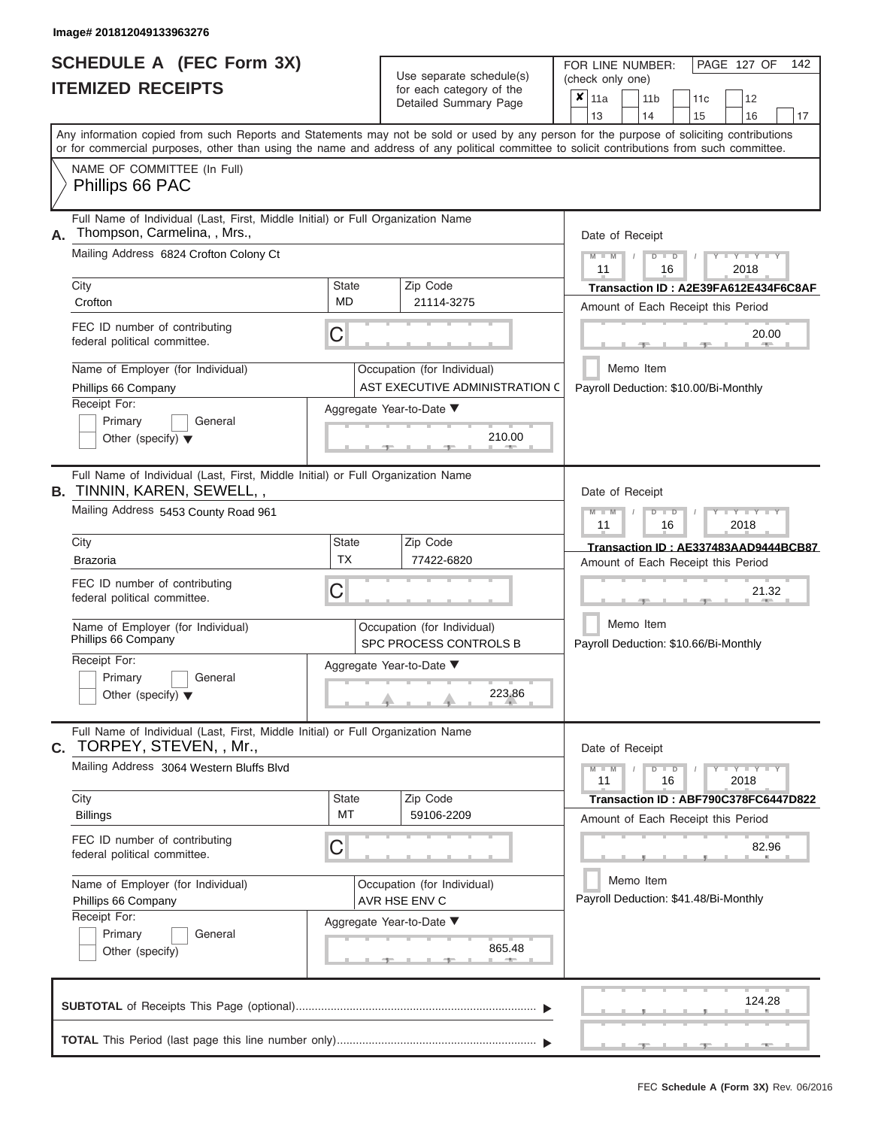|                          | SCHEDULE A (FEC Form 3X) |
|--------------------------|--------------------------|
| <b>ITEMIZED RECEIPTS</b> |                          |

| SCHEDULE A (FEC Form 3X)<br><b>ITEMIZED RECEIPTS</b>                                                                                                                                                                                                                                                                                                                                               |                                | Use separate schedule(s)<br>for each category of the<br>Detailed Summary Page                                                                                  | FOR LINE NUMBER:<br>PAGE 127 OF<br>142<br>(check only one)<br>$\boldsymbol{\mathsf{x}}$<br>11a<br>11 <sub>b</sub><br>12<br>11c                                                                                                                                                                                                                   |
|----------------------------------------------------------------------------------------------------------------------------------------------------------------------------------------------------------------------------------------------------------------------------------------------------------------------------------------------------------------------------------------------------|--------------------------------|----------------------------------------------------------------------------------------------------------------------------------------------------------------|--------------------------------------------------------------------------------------------------------------------------------------------------------------------------------------------------------------------------------------------------------------------------------------------------------------------------------------------------|
| Any information copied from such Reports and Statements may not be sold or used by any person for the purpose of soliciting contributions<br>or for commercial purposes, other than using the name and address of any political committee to solicit contributions from such committee.<br>NAME OF COMMITTEE (In Full)<br>Phillips 66 PAC                                                          |                                |                                                                                                                                                                | 13<br>14<br>15<br>16<br>17                                                                                                                                                                                                                                                                                                                       |
| Full Name of Individual (Last, First, Middle Initial) or Full Organization Name<br>Thompson, Carmelina, , Mrs.,<br>Α.<br>Mailing Address 6824 Crofton Colony Ct<br>City<br>Crofton<br>FEC ID number of contributing<br>federal political committee.<br>Name of Employer (for Individual)<br>Phillips 66 Company<br>Receipt For:<br>Primary<br>General<br>Other (specify) $\blacktriangledown$      | State<br><b>MD</b><br>C        | Zip Code<br>21114-3275<br>Occupation (for Individual)<br>AST EXECUTIVE ADMINISTRATION C<br>Aggregate Year-to-Date ▼<br>210.00<br><b>British Administration</b> | Date of Receipt<br>$M - M$ /<br>$D$ $D$<br>$\blacksquare \blacksquare \mathsf{Y} \mathrel{\sqsubseteq} \mathsf{Y} \mathrel{\sqsubseteq} \mathsf{Y}$<br>11<br>2018<br>16<br>Transaction ID: A2E39FA612E434F6C8AF<br>Amount of Each Receipt this Period<br>20.00<br><b>Britannia</b><br>- 10<br>Memo Item<br>Payroll Deduction: \$10.00/Bi-Monthly |
| Full Name of Individual (Last, First, Middle Initial) or Full Organization Name<br><b>B. TINNIN, KAREN, SEWELL,,</b><br>Mailing Address 5453 County Road 961<br>City<br><b>Brazoria</b><br>FEC ID number of contributing<br>federal political committee.<br>Name of Employer (for Individual)<br>Phillips 66 Company<br>Receipt For:<br>Primary<br>General<br>Other (specify) $\blacktriangledown$ | <b>State</b><br><b>TX</b><br>C | Zip Code<br>77422-6820<br>Occupation (for Individual)<br>SPC PROCESS CONTROLS B<br>Aggregate Year-to-Date ▼<br>223.86                                          | Date of Receipt<br>$M - M$<br>$D$ $\Box$ $D$<br>$T - Y = Y - T Y$<br>11<br>2018<br>16<br>Transaction ID: AE337483AAD9444BCB87<br>Amount of Each Receipt this Period<br>21.32<br>Memo Item<br>Payroll Deduction: \$10.66/Bi-Monthly                                                                                                               |
| Full Name of Individual (Last, First, Middle Initial) or Full Organization Name<br>TORPEY, STEVEN, , Mr.,<br>C.<br>Mailing Address 3064 Western Bluffs Blvd<br>City<br><b>Billings</b><br>FEC ID number of contributing<br>federal political committee.<br>Name of Employer (for Individual)<br>Phillips 66 Company<br>Receipt For:<br>Primary<br>General<br>Other (specify)                       | State<br>MT<br>C               | Zip Code<br>59106-2209<br>Occupation (for Individual)<br>AVR HSE ENV C<br>Aggregate Year-to-Date ▼<br>865.48                                                   | Date of Receipt<br>$M - M$<br>$D$ $D$<br>$Y - Y - Y - Y - Y$<br>11<br>16<br>2018<br>Transaction ID: ABF790C378FC6447D822<br>Amount of Each Receipt this Period<br>82.96<br>Memo Item<br>Payroll Deduction: \$41.48/Bi-Monthly                                                                                                                    |
|                                                                                                                                                                                                                                                                                                                                                                                                    |                                |                                                                                                                                                                | 124.28<br>$-1 -$                                                                                                                                                                                                                                                                                                                                 |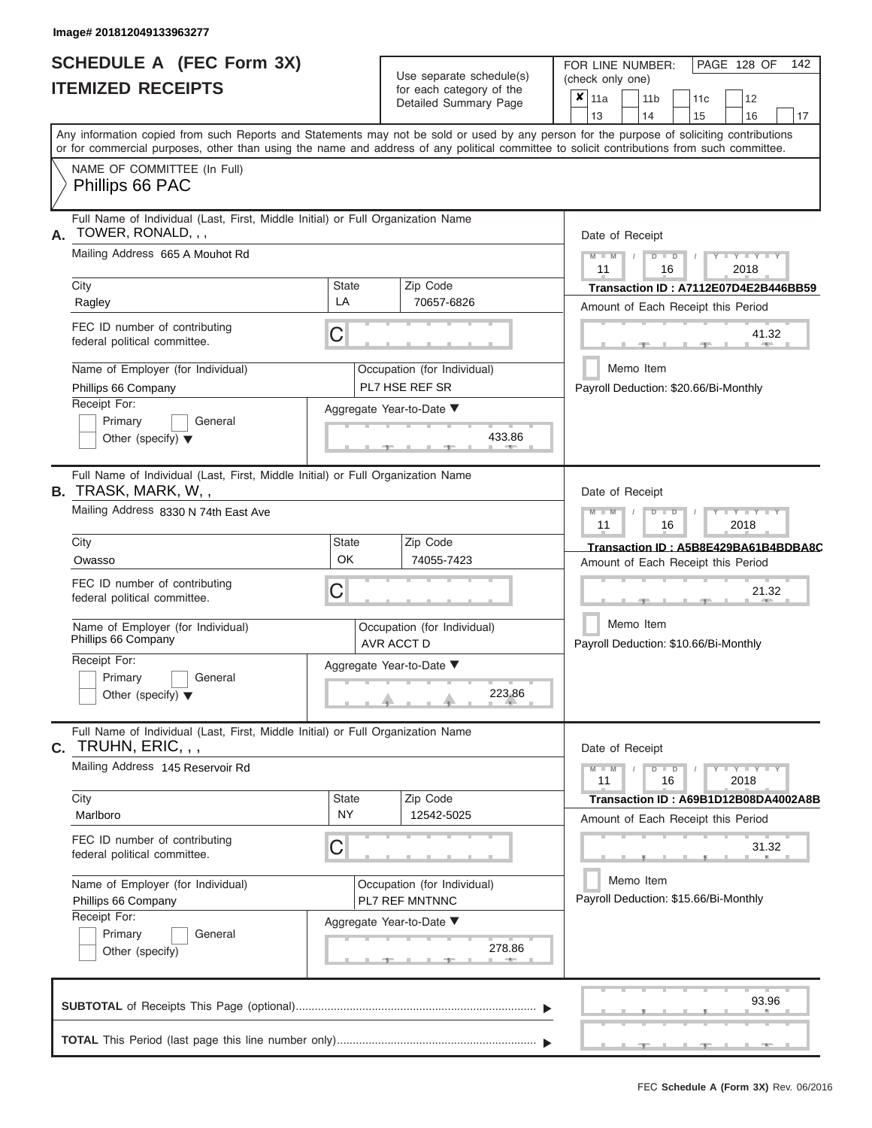|                          | SCHEDULE A (FEC Form 3X) |
|--------------------------|--------------------------|
| <b>ITEMIZED RECEIPTS</b> |                          |

Use separate schedule(s) (check only one)<br>for each category of the  $\begin{array}{|c|c|c|c|c|}\n\hline\n\text{Initial Summary goes} & & \text{with } & \text{with } & \text{with } & \text{with } & \text{with } & \text{with } & \text{with } & \text{with } & \text{with } & \text{with } & \text{with } & \text{with } & \text{with } & \text{with } & \text{with } & \text{with } & \text{with } & \text{with } & \text{with } & \text{with } & \text$ 

FOR LINE NUMBER:

PAGE 128 OF 142

|    |                                                                                                                                                       |                           | Detailed Summary Page                         |                  | $x \mid$ 11a                                                               |           | 11 <sub>b</sub> |                                                  | 11c                                   | 12                          |       |    |  |  |  |  |  |  |
|----|-------------------------------------------------------------------------------------------------------------------------------------------------------|---------------------------|-----------------------------------------------|------------------|----------------------------------------------------------------------------|-----------|-----------------|--------------------------------------------------|---------------------------------------|-----------------------------|-------|----|--|--|--|--|--|--|
|    | Any information copied from such Reports and Statements may not be sold or used by any person for the purpose of soliciting contributions             |                           |                                               |                  | 13                                                                         |           | 14              |                                                  | 15                                    | 16                          |       | 17 |  |  |  |  |  |  |
|    | or for commercial purposes, other than using the name and address of any political committee to solicit contributions from such committee.            |                           |                                               |                  |                                                                            |           |                 |                                                  |                                       |                             |       |    |  |  |  |  |  |  |
|    | NAME OF COMMITTEE (In Full)<br>Phillips 66 PAC                                                                                                        |                           |                                               |                  |                                                                            |           |                 |                                                  |                                       |                             |       |    |  |  |  |  |  |  |
|    | Full Name of Individual (Last, First, Middle Initial) or Full Organization Name<br>TOWER, RONALD, , ,                                                 |                           |                                               |                  | Date of Receipt                                                            |           |                 |                                                  |                                       |                             |       |    |  |  |  |  |  |  |
|    | Mailing Address 665 A Mouhot Rd                                                                                                                       |                           |                                               |                  | $M - M$<br>11                                                              |           |                 | $D$ $D$<br>16                                    |                                       | $Y - Y - Y$<br>2018         |       |    |  |  |  |  |  |  |
|    | City                                                                                                                                                  | <b>State</b><br>LA        | Zip Code                                      |                  |                                                                            |           |                 |                                                  | Transaction ID: A7112E07D4E2B446BB59  |                             |       |    |  |  |  |  |  |  |
|    | Ragley                                                                                                                                                |                           | 70657-6826                                    |                  |                                                                            |           |                 |                                                  | Amount of Each Receipt this Period    |                             |       |    |  |  |  |  |  |  |
|    | FEC ID number of contributing<br>federal political committee.                                                                                         | С                         |                                               |                  |                                                                            |           |                 |                                                  |                                       |                             | 41.32 |    |  |  |  |  |  |  |
|    | Name of Employer (for Individual)<br>Phillips 66 Company                                                                                              |                           | Occupation (for Individual)<br>PL7 HSE REF SR |                  |                                                                            | Memo Item |                 |                                                  | Payroll Deduction: \$20.66/Bi-Monthly |                             |       |    |  |  |  |  |  |  |
|    | Receipt For:<br>Primary<br>General<br>Other (specify) $\blacktriangledown$                                                                            |                           | Aggregate Year-to-Date ▼<br>433.86            |                  |                                                                            |           |                 |                                                  |                                       |                             |       |    |  |  |  |  |  |  |
|    | Full Name of Individual (Last, First, Middle Initial) or Full Organization Name<br><b>B.</b> TRASK, MARK, W,,<br>Mailing Address 8330 N 74th East Ave |                           |                                               |                  |                                                                            |           |                 | Date of Receipt<br>$M - M$<br>$Y = Y$<br>$D$ $D$ |                                       |                             |       |    |  |  |  |  |  |  |
|    |                                                                                                                                                       |                           |                                               | 2018<br>11<br>16 |                                                                            |           |                 |                                                  |                                       |                             |       |    |  |  |  |  |  |  |
|    | City                                                                                                                                                  | <b>State</b><br><b>OK</b> | Zip Code                                      |                  | Transaction ID: A5B8E429BA61B4BDBA8C<br>Amount of Each Receipt this Period |           |                 |                                                  |                                       |                             |       |    |  |  |  |  |  |  |
|    | Owasso                                                                                                                                                |                           | 74055-7423                                    |                  |                                                                            |           |                 |                                                  |                                       |                             |       |    |  |  |  |  |  |  |
|    | FEC ID number of contributing<br>federal political committee.                                                                                         | С                         |                                               |                  |                                                                            |           |                 |                                                  |                                       |                             | 21.32 |    |  |  |  |  |  |  |
|    | Name of Employer (for Individual)<br>Phillips 66 Company                                                                                              |                           | Occupation (for Individual)<br>AVR ACCT D     |                  |                                                                            | Memo Item |                 |                                                  | Payroll Deduction: \$10.66/Bi-Monthly |                             |       |    |  |  |  |  |  |  |
|    | Receipt For:<br>Primary<br>General<br>Other (specify) $\blacktriangledown$                                                                            |                           | Aggregate Year-to-Date ▼<br>223.86            |                  |                                                                            |           |                 |                                                  |                                       |                             |       |    |  |  |  |  |  |  |
| C. | Full Name of Individual (Last, First, Middle Initial) or Full Organization Name<br>TRUHN, ERIC, , ,                                                   |                           |                                               |                  | Date of Receipt                                                            |           |                 |                                                  |                                       |                             |       |    |  |  |  |  |  |  |
|    | Mailing Address 145 Reservoir Rd                                                                                                                      |                           |                                               |                  | $M - M$<br>11                                                              |           |                 | $D$ $D$<br>16                                    |                                       | $Y - Y - Y - Y - Y$<br>2018 |       |    |  |  |  |  |  |  |
|    | City                                                                                                                                                  | <b>State</b><br><b>NY</b> | Zip Code                                      |                  |                                                                            |           |                 |                                                  | Transaction ID: A69B1D12B08DA4002A8B  |                             |       |    |  |  |  |  |  |  |
|    | Marlboro                                                                                                                                              |                           | 12542-5025                                    |                  |                                                                            |           |                 |                                                  | Amount of Each Receipt this Period    |                             |       |    |  |  |  |  |  |  |
|    | FEC ID number of contributing<br>federal political committee.                                                                                         | С                         |                                               |                  |                                                                            |           |                 |                                                  |                                       |                             | 31.32 |    |  |  |  |  |  |  |
|    | Name of Employer (for Individual)                                                                                                                     |                           | Occupation (for Individual)                   |                  |                                                                            | Memo Item |                 |                                                  |                                       |                             |       |    |  |  |  |  |  |  |
|    | Phillips 66 Company                                                                                                                                   |                           | PL7 REF MNTNNC                                |                  |                                                                            |           |                 |                                                  | Payroll Deduction: \$15.66/Bi-Monthly |                             |       |    |  |  |  |  |  |  |
|    | Receipt For:<br>Primary<br>General                                                                                                                    |                           | Aggregate Year-to-Date ▼                      |                  |                                                                            |           |                 |                                                  |                                       |                             |       |    |  |  |  |  |  |  |
|    | Other (specify)                                                                                                                                       |                           | 278.86                                        |                  |                                                                            |           |                 |                                                  |                                       |                             |       |    |  |  |  |  |  |  |
|    |                                                                                                                                                       |                           |                                               |                  |                                                                            |           |                 |                                                  |                                       |                             | 93.96 |    |  |  |  |  |  |  |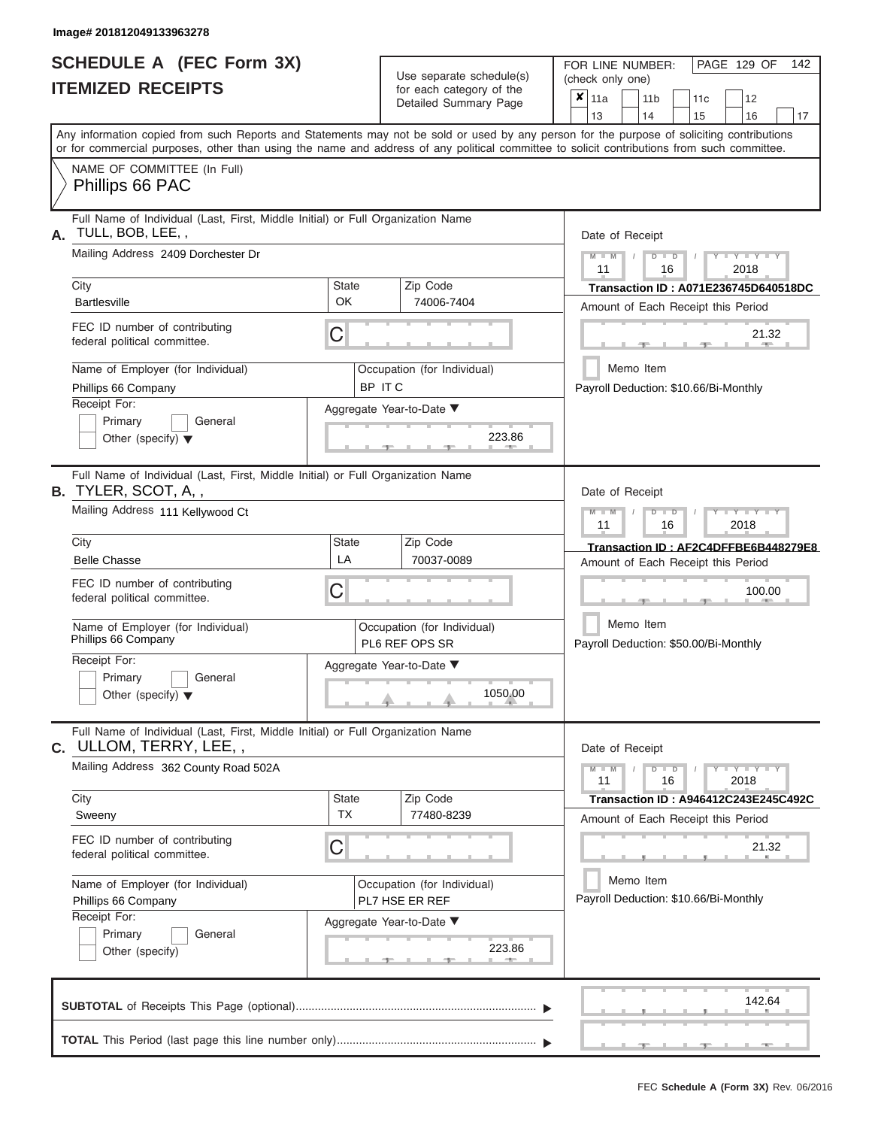|                          | SCHEDULE A (FEC Form 3X) |
|--------------------------|--------------------------|
| <b>ITEMIZED RECEIPTS</b> |                          |

Use separate schedule(s)<br>for each category of the

FOR LINE NUMBER:<br>(check only one)

PAGE 129 OF 142

| IILMILLU NLVLII IV                                                                                                                                                                                                                                                                      |                    | iui eauli calegury ul lile<br>Detailed Summary Page | ×     | 11a                                                      |  | 11 <sub>b</sub> | 11c                                                    | 12                                   |    |  |  |  |  |  |  |  |
|-----------------------------------------------------------------------------------------------------------------------------------------------------------------------------------------------------------------------------------------------------------------------------------------|--------------------|-----------------------------------------------------|-------|----------------------------------------------------------|--|-----------------|--------------------------------------------------------|--------------------------------------|----|--|--|--|--|--|--|--|
|                                                                                                                                                                                                                                                                                         |                    |                                                     |       | 13                                                       |  | 14              | 15                                                     | 16                                   | 17 |  |  |  |  |  |  |  |
| Any information copied from such Reports and Statements may not be sold or used by any person for the purpose of soliciting contributions<br>or for commercial purposes, other than using the name and address of any political committee to solicit contributions from such committee. |                    |                                                     |       |                                                          |  |                 |                                                        |                                      |    |  |  |  |  |  |  |  |
| NAME OF COMMITTEE (In Full)                                                                                                                                                                                                                                                             |                    |                                                     |       |                                                          |  |                 |                                                        |                                      |    |  |  |  |  |  |  |  |
| Phillips 66 PAC                                                                                                                                                                                                                                                                         |                    |                                                     |       |                                                          |  |                 |                                                        |                                      |    |  |  |  |  |  |  |  |
| Full Name of Individual (Last, First, Middle Initial) or Full Organization Name<br>TULL, BOB, LEE,,<br>А.                                                                                                                                                                               |                    |                                                     |       | Date of Receipt                                          |  |                 |                                                        |                                      |    |  |  |  |  |  |  |  |
| Mailing Address 2409 Dorchester Dr                                                                                                                                                                                                                                                      |                    |                                                     |       | $M - M$<br>$D$ $\Box$ $D$<br>$Y + Y$<br>11<br>16<br>2018 |  |                 |                                                        |                                      |    |  |  |  |  |  |  |  |
| City                                                                                                                                                                                                                                                                                    | <b>State</b>       | Zip Code                                            |       |                                                          |  |                 |                                                        | Transaction ID: A071E236745D640518DC |    |  |  |  |  |  |  |  |
| <b>Bartlesville</b>                                                                                                                                                                                                                                                                     | OK                 | 74006-7404                                          |       |                                                          |  |                 |                                                        | Amount of Each Receipt this Period   |    |  |  |  |  |  |  |  |
| FEC ID number of contributing<br>federal political committee.                                                                                                                                                                                                                           | C                  |                                                     | 21.32 |                                                          |  |                 |                                                        |                                      |    |  |  |  |  |  |  |  |
| Name of Employer (for Individual)<br>Phillips 66 Company                                                                                                                                                                                                                                |                    | Occupation (for Individual)<br>BP ITC               |       |                                                          |  | Memo Item       | Payroll Deduction: \$10.66/Bi-Monthly                  |                                      |    |  |  |  |  |  |  |  |
| Receipt For:                                                                                                                                                                                                                                                                            |                    | Aggregate Year-to-Date ▼                            |       |                                                          |  |                 |                                                        |                                      |    |  |  |  |  |  |  |  |
| Primary<br>General                                                                                                                                                                                                                                                                      |                    |                                                     |       |                                                          |  |                 |                                                        |                                      |    |  |  |  |  |  |  |  |
| Other (specify) $\blacktriangledown$                                                                                                                                                                                                                                                    |                    | 223.86                                              |       |                                                          |  |                 |                                                        |                                      |    |  |  |  |  |  |  |  |
| Full Name of Individual (Last, First, Middle Initial) or Full Organization Name<br>B. TYLER, SCOT, A,,                                                                                                                                                                                  |                    |                                                     |       |                                                          |  |                 |                                                        |                                      |    |  |  |  |  |  |  |  |
|                                                                                                                                                                                                                                                                                         |                    |                                                     |       | Date of Receipt                                          |  |                 |                                                        |                                      |    |  |  |  |  |  |  |  |
| Mailing Address 111 Kellywood Ct                                                                                                                                                                                                                                                        |                    |                                                     |       |                                                          |  |                 | $M - M$<br>$\mathbf{Y}$<br>$D$ $D$<br>11<br>2018<br>16 |                                      |    |  |  |  |  |  |  |  |
| City                                                                                                                                                                                                                                                                                    | <b>State</b><br>LA | Zip Code                                            |       |                                                          |  |                 |                                                        | Transaction ID: AF2C4DFFBE6B448279E8 |    |  |  |  |  |  |  |  |
| <b>Belle Chasse</b>                                                                                                                                                                                                                                                                     |                    | 70037-0089                                          |       |                                                          |  |                 |                                                        | Amount of Each Receipt this Period   |    |  |  |  |  |  |  |  |
| FEC ID number of contributing<br>federal political committee.                                                                                                                                                                                                                           | C                  |                                                     |       |                                                          |  |                 |                                                        | 100.00                               |    |  |  |  |  |  |  |  |
| Name of Employer (for Individual)<br>Phillips 66 Company                                                                                                                                                                                                                                |                    | Occupation (for Individual)<br>PL6 REF OPS SR       |       | Memo Item<br>Payroll Deduction: \$50.00/Bi-Monthly       |  |                 |                                                        |                                      |    |  |  |  |  |  |  |  |
| Receipt For:                                                                                                                                                                                                                                                                            |                    | Aggregate Year-to-Date ▼                            |       |                                                          |  |                 |                                                        |                                      |    |  |  |  |  |  |  |  |
| Primary<br>General<br>Other (specify) $\blacktriangledown$                                                                                                                                                                                                                              |                    | 1050.00                                             |       |                                                          |  |                 |                                                        |                                      |    |  |  |  |  |  |  |  |
| Full Name of Individual (Last, First, Middle Initial) or Full Organization Name<br><b>C.</b> ULLOM, TERRY, LEE,,                                                                                                                                                                        |                    |                                                     |       | Date of Receipt                                          |  |                 |                                                        |                                      |    |  |  |  |  |  |  |  |
| Mailing Address 362 County Road 502A                                                                                                                                                                                                                                                    |                    |                                                     |       | $M - M$<br>11                                            |  | $D$ $D$<br>16   |                                                        | $T - Y - T - Y - T - Y$<br>2018      |    |  |  |  |  |  |  |  |
| City                                                                                                                                                                                                                                                                                    | <b>State</b>       | Zip Code                                            |       |                                                          |  |                 |                                                        | Transaction ID: A946412C243E245C492C |    |  |  |  |  |  |  |  |
| Sweeny                                                                                                                                                                                                                                                                                  | <b>TX</b>          | 77480-8239                                          |       |                                                          |  |                 |                                                        | Amount of Each Receipt this Period   |    |  |  |  |  |  |  |  |
| FEC ID number of contributing<br>federal political committee.                                                                                                                                                                                                                           | С                  |                                                     |       |                                                          |  |                 |                                                        | 21.32                                |    |  |  |  |  |  |  |  |
| Name of Employer (for Individual)                                                                                                                                                                                                                                                       |                    | Occupation (for Individual)                         |       |                                                          |  | Memo Item       |                                                        |                                      |    |  |  |  |  |  |  |  |
| Phillips 66 Company                                                                                                                                                                                                                                                                     |                    | PL7 HSE ER REF                                      |       |                                                          |  |                 | Payroll Deduction: \$10.66/Bi-Monthly                  |                                      |    |  |  |  |  |  |  |  |
| Receipt For:                                                                                                                                                                                                                                                                            |                    | Aggregate Year-to-Date ▼                            |       |                                                          |  |                 |                                                        |                                      |    |  |  |  |  |  |  |  |
| Primary<br>General                                                                                                                                                                                                                                                                      |                    |                                                     |       |                                                          |  |                 |                                                        |                                      |    |  |  |  |  |  |  |  |
| Other (specify)                                                                                                                                                                                                                                                                         |                    | 223.86                                              |       |                                                          |  |                 |                                                        |                                      |    |  |  |  |  |  |  |  |
|                                                                                                                                                                                                                                                                                         |                    |                                                     |       |                                                          |  |                 |                                                        | 142.64                               |    |  |  |  |  |  |  |  |
|                                                                                                                                                                                                                                                                                         |                    |                                                     |       |                                                          |  |                 |                                                        |                                      |    |  |  |  |  |  |  |  |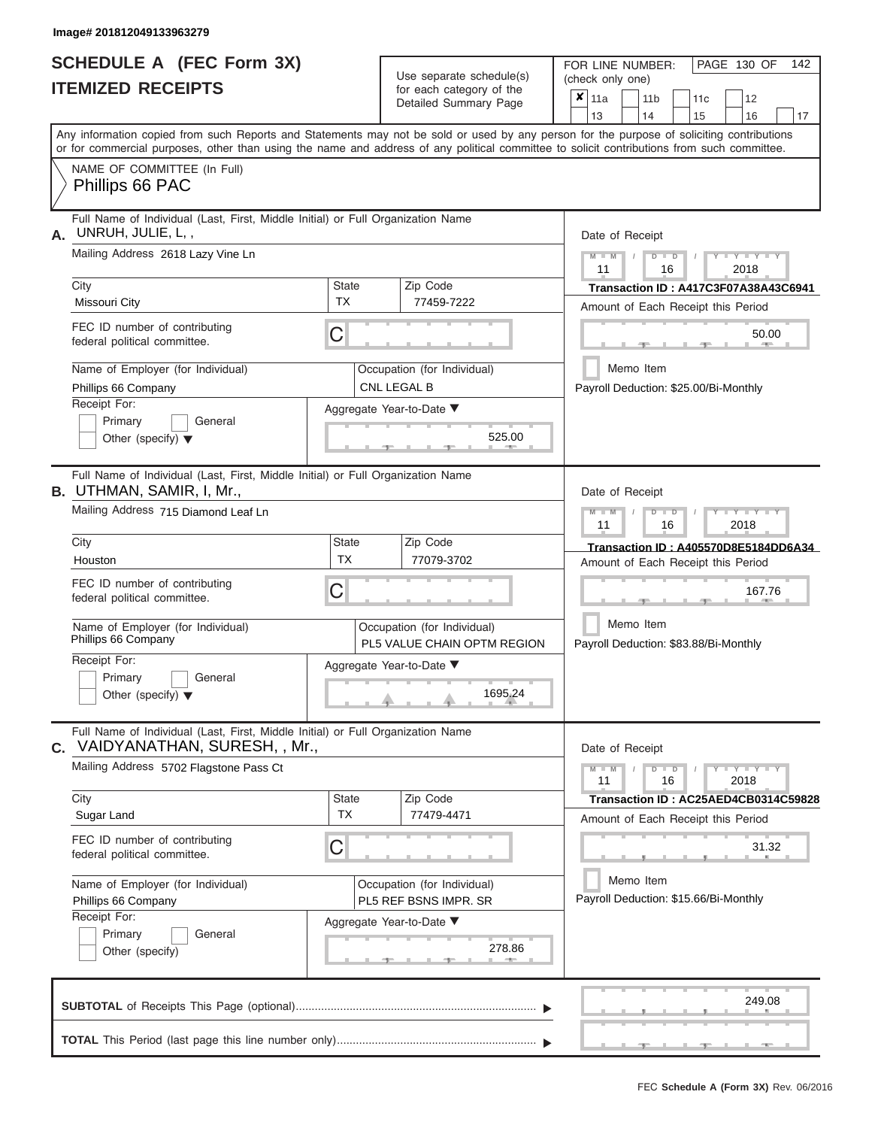# **SCHEDULE A (FEC Form 3X)**

|    | <b>SCHEDULE A (FEC Form 3X)</b><br><b>ITEMIZED RECEIPTS</b>                                                                                                                                                                                                                             |                    | Use separate schedule(s)<br>for each category of the       | PAGE 130 OF<br>142<br>FOR LINE NUMBER:<br>(check only one)                           |
|----|-----------------------------------------------------------------------------------------------------------------------------------------------------------------------------------------------------------------------------------------------------------------------------------------|--------------------|------------------------------------------------------------|--------------------------------------------------------------------------------------|
|    |                                                                                                                                                                                                                                                                                         |                    | Detailed Summary Page                                      | $\boldsymbol{x}$   11a<br>11 <sub>b</sub><br>11c<br>12<br>13<br>14<br>15<br>16<br>17 |
|    | Any information copied from such Reports and Statements may not be sold or used by any person for the purpose of soliciting contributions<br>or for commercial purposes, other than using the name and address of any political committee to solicit contributions from such committee. |                    |                                                            |                                                                                      |
|    | NAME OF COMMITTEE (In Full)<br>Phillips 66 PAC                                                                                                                                                                                                                                          |                    |                                                            |                                                                                      |
| А. | Full Name of Individual (Last, First, Middle Initial) or Full Organization Name<br>UNRUH, JULIE, L,,<br>Mailing Address 2618 Lazy Vine Ln                                                                                                                                               |                    |                                                            | Date of Receipt<br>$M - M$<br>$D$ $\Box$ $D$<br>$Y - Y - Y$<br>11<br>2018<br>16      |
|    | City<br>Missouri City                                                                                                                                                                                                                                                                   | State<br><b>TX</b> | Zip Code<br>77459-7222                                     | Transaction ID: A417C3F07A38A43C6941<br>Amount of Each Receipt this Period           |
|    | FEC ID number of contributing<br>federal political committee.                                                                                                                                                                                                                           | C                  |                                                            | 50.00                                                                                |
|    | Name of Employer (for Individual)<br>Phillips 66 Company<br>Receipt For:                                                                                                                                                                                                                |                    | Occupation (for Individual)<br>CNL LEGAL B                 | Memo Item<br>Payroll Deduction: \$25.00/Bi-Monthly                                   |
|    | Primary<br>General<br>Other (specify) $\blacktriangledown$                                                                                                                                                                                                                              |                    | Aggregate Year-to-Date ▼<br>525.00                         |                                                                                      |
|    | Full Name of Individual (Last, First, Middle Initial) or Full Organization Name<br><b>B.</b> UTHMAN, SAMIR, I, Mr.,<br>Mailing Address 715 Diamond Leaf Ln                                                                                                                              |                    |                                                            | Date of Receipt<br>Y TYT<br>$M - M$<br>$D$ $\Box$ $D$                                |
|    | City                                                                                                                                                                                                                                                                                    | State              | Zip Code                                                   | 11<br>2018<br>16                                                                     |
|    | Houston                                                                                                                                                                                                                                                                                 | <b>TX</b>          | 77079-3702                                                 | Transaction ID: A405570D8E5184DD6A34<br>Amount of Each Receipt this Period           |
|    | FEC ID number of contributing<br>federal political committee.                                                                                                                                                                                                                           | С                  |                                                            | 167.76                                                                               |
|    | Name of Employer (for Individual)<br>Phillips 66 Company                                                                                                                                                                                                                                |                    | Occupation (for Individual)<br>PL5 VALUE CHAIN OPTM REGION | Memo Item<br>Payroll Deduction: \$83.88/Bi-Monthly                                   |
|    | Receipt For:<br>Primary<br>General<br>Other (specify) $\blacktriangledown$                                                                                                                                                                                                              |                    | Aggregate Year-to-Date ▼<br>1695.24                        |                                                                                      |
|    | Full Name of Individual (Last, First, Middle Initial) or Full Organization Name<br><b>C.</b> VAIDYANATHAN, SURESH, , Mr.,                                                                                                                                                               |                    |                                                            | Date of Receipt                                                                      |
|    | Mailing Address 5702 Flagstone Pass Ct                                                                                                                                                                                                                                                  |                    |                                                            | $Y - Y - Y - Y - Y$<br>$M - M$<br>$D$ $D$<br>11<br>16<br>2018                        |
|    | City<br>Sugar Land                                                                                                                                                                                                                                                                      | State<br><b>TX</b> | Zip Code<br>77479-4471                                     | Transaction ID: AC25AED4CB0314C59828<br>Amount of Each Receipt this Period           |
|    | FEC ID number of contributing<br>federal political committee.                                                                                                                                                                                                                           | C                  |                                                            | 31.32                                                                                |
|    | Name of Employer (for Individual)<br>Phillips 66 Company<br>Receipt For:                                                                                                                                                                                                                |                    | Occupation (for Individual)<br>PL5 REF BSNS IMPR. SR       | Memo Item<br>Payroll Deduction: \$15.66/Bi-Monthly                                   |
|    | Primary<br>General<br>Other (specify)                                                                                                                                                                                                                                                   |                    | Aggregate Year-to-Date ▼<br>278.86                         |                                                                                      |
|    |                                                                                                                                                                                                                                                                                         |                    |                                                            | 249.08                                                                               |
|    |                                                                                                                                                                                                                                                                                         |                    |                                                            |                                                                                      |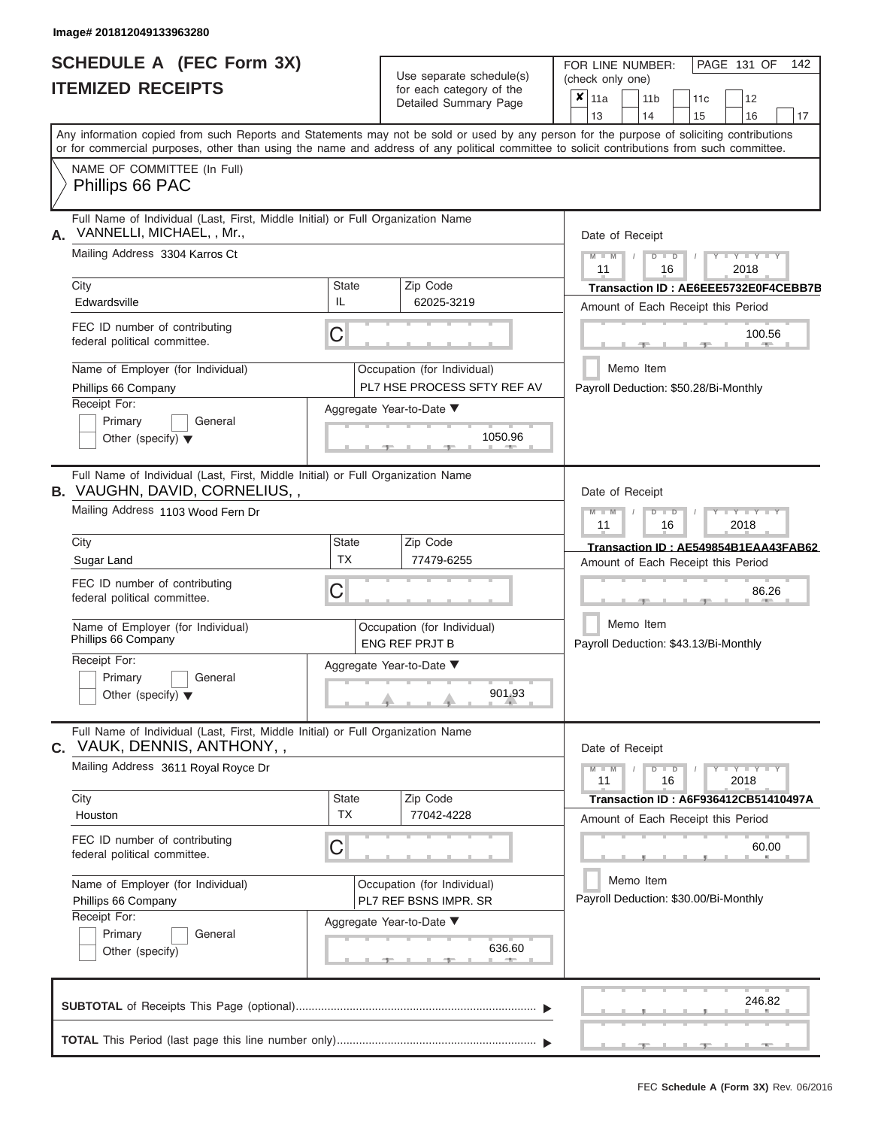# **SCHEDULE A (FEC Form 3X) ITEMIZED RECEIPTS**

| SCHEDULE A (FEC Form 3X)<br><b>ITEMIZED RECEIPTS</b>                                                                                                                                                                                                                                                                                                                                          |                                | Use separate schedule(s)<br>for each category of the<br>Detailed Summary Page                                               | 142<br>FOR LINE NUMBER:<br>PAGE 131 OF<br>(check only one)<br>$\overline{\mathbf{x}}$   11a<br>11 <sub>b</sub><br>12<br>11 <sub>c</sub>                                                                                                  |
|-----------------------------------------------------------------------------------------------------------------------------------------------------------------------------------------------------------------------------------------------------------------------------------------------------------------------------------------------------------------------------------------------|--------------------------------|-----------------------------------------------------------------------------------------------------------------------------|------------------------------------------------------------------------------------------------------------------------------------------------------------------------------------------------------------------------------------------|
| Any information copied from such Reports and Statements may not be sold or used by any person for the purpose of soliciting contributions<br>or for commercial purposes, other than using the name and address of any political committee to solicit contributions from such committee.<br>NAME OF COMMITTEE (In Full)<br>Phillips 66 PAC                                                     |                                |                                                                                                                             | 13<br>14<br>15<br>16<br>17                                                                                                                                                                                                               |
| Full Name of Individual (Last, First, Middle Initial) or Full Organization Name<br>VANNELLI, MICHAEL, , Mr.,<br>А.<br>Mailing Address 3304 Karros Ct<br>City<br>Edwardsville<br>FEC ID number of contributing<br>federal political committee.<br>Name of Employer (for Individual)<br>Phillips 66 Company<br>Receipt For:<br>Primary<br>General<br>Other (specify) $\blacktriangledown$       | <b>State</b><br>IL<br>C        | Zip Code<br>62025-3219<br>Occupation (for Individual)<br>PL7 HSE PROCESS SFTY REF AV<br>Aggregate Year-to-Date ▼<br>1050.96 | Date of Receipt<br>$M$ – $M$ /<br>$+Y+Y+Y$<br>$D$ $D$<br>11<br>2018<br>16<br>Transaction ID: AE6EEE5732E0F4CEBB7B<br>Amount of Each Receipt this Period<br>100.56<br><b>1. 400</b><br>Memo Item<br>Payroll Deduction: \$50.28/Bi-Monthly |
| Full Name of Individual (Last, First, Middle Initial) or Full Organization Name<br><b>B.</b> VAUGHN, DAVID, CORNELIUS,,<br>Mailing Address 1103 Wood Fern Dr<br>City<br>Sugar Land<br>FEC ID number of contributing<br>federal political committee.<br>Name of Employer (for Individual)<br>Phillips 66 Company<br>Receipt For:<br>Primary<br>General<br>Other (specify) $\blacktriangledown$ | <b>State</b><br><b>TX</b><br>С | Zip Code<br>77479-6255<br>Occupation (for Individual)<br><b>ENG REF PRJT B</b><br>Aggregate Year-to-Date ▼<br>901.93        | Date of Receipt<br>$M - M$<br>$D$ $D$<br>$T - Y = Y - T Y$<br>11<br>2018<br>16<br>Transaction ID: AE549854B1EAA43FAB62<br>Amount of Each Receipt this Period<br>86.26<br>Memo Item<br>Payroll Deduction: \$43.13/Bi-Monthly              |
| Full Name of Individual (Last, First, Middle Initial) or Full Organization Name<br>C. VAUK, DENNIS, ANTHONY, ,<br>Mailing Address 3611 Royal Royce Dr<br>City<br>Houston<br>FEC ID number of contributing<br>federal political committee.<br>Name of Employer (for Individual)<br>Phillips 66 Company<br>Receipt For:<br>Primary<br>General<br>Other (specify)                                | <b>State</b><br><b>TX</b><br>С | Zip Code<br>77042-4228<br>Occupation (for Individual)<br>PL7 REF BSNS IMPR. SR<br>Aggregate Year-to-Date ▼<br>636.60        | Date of Receipt<br>$M - M$<br>$D$ $D$<br>$Y - Y - Y - Y - Y$<br>11<br>16<br>2018<br>Transaction ID: A6F936412CB51410497A<br>Amount of Each Receipt this Period<br>60.00<br>Memo Item<br>Payroll Deduction: \$30.00/Bi-Monthly            |
|                                                                                                                                                                                                                                                                                                                                                                                               |                                |                                                                                                                             | 246.82<br>$-9$<br>$-1$                                                                                                                                                                                                                   |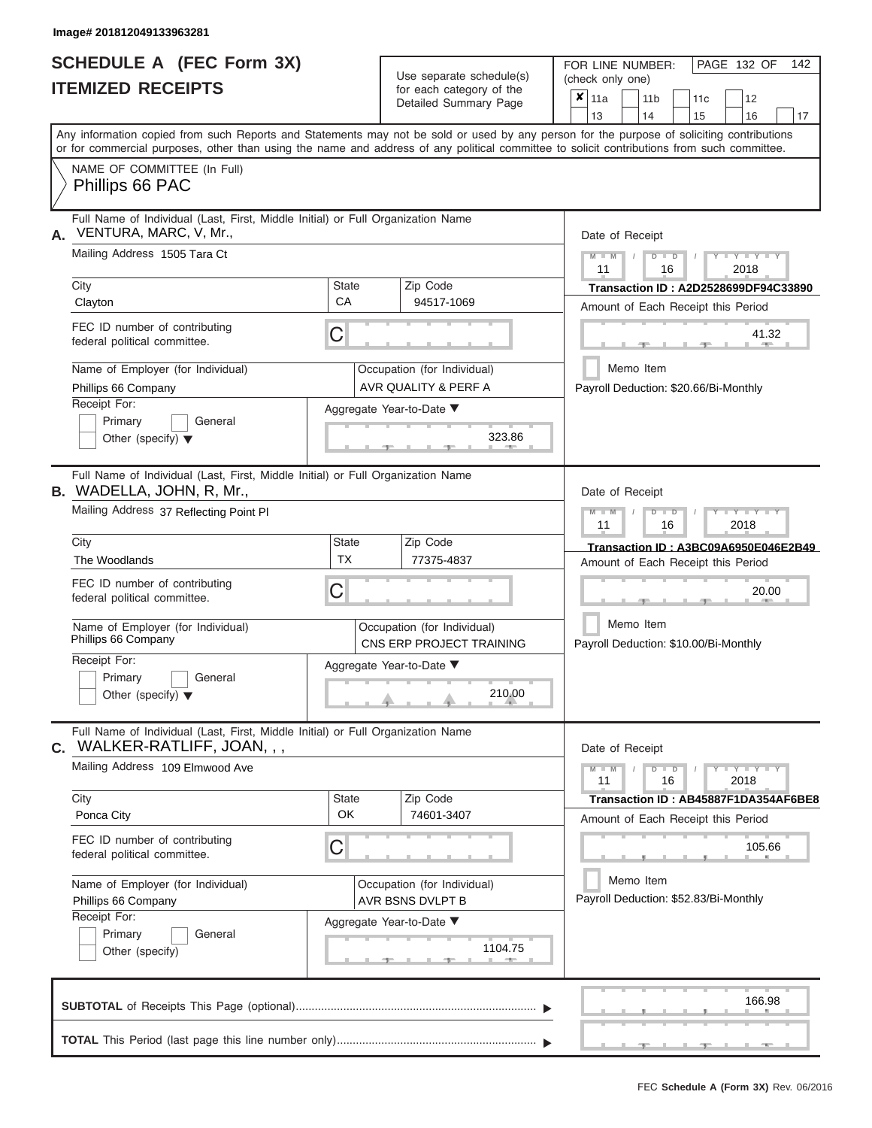# **SCHEDULE A (FEC Form 3X)**

| SCHEDULE A (FEC Form 3X)<br><b>ITEMIZED RECEIPTS</b>                                                                                                                                                                                                                                                                                                                                              |                                | Use separate schedule(s)<br>for each category of the<br>Detailed Summary Page                                           | 142<br>FOR LINE NUMBER:<br>PAGE 132 OF<br>(check only one)<br>$\mathsf{x}$   11a<br>11 <sub>b</sub><br>12<br>11 <sub>c</sub>                                                                                                           |
|---------------------------------------------------------------------------------------------------------------------------------------------------------------------------------------------------------------------------------------------------------------------------------------------------------------------------------------------------------------------------------------------------|--------------------------------|-------------------------------------------------------------------------------------------------------------------------|----------------------------------------------------------------------------------------------------------------------------------------------------------------------------------------------------------------------------------------|
| Any information copied from such Reports and Statements may not be sold or used by any person for the purpose of soliciting contributions<br>or for commercial purposes, other than using the name and address of any political committee to solicit contributions from such committee.                                                                                                           |                                |                                                                                                                         | 13<br>14<br>15<br>16<br>17                                                                                                                                                                                                             |
| NAME OF COMMITTEE (In Full)<br>Phillips 66 PAC                                                                                                                                                                                                                                                                                                                                                    |                                |                                                                                                                         |                                                                                                                                                                                                                                        |
| Full Name of Individual (Last, First, Middle Initial) or Full Organization Name<br>VENTURA, MARC, V, Mr.,<br>А.<br>Mailing Address 1505 Tara Ct<br>City<br>Clayton<br>FEC ID number of contributing<br>federal political committee.<br>Name of Employer (for Individual)<br>Phillips 66 Company<br>Receipt For:<br>Primary<br>General<br>Other (specify) $\blacktriangledown$                     | <b>State</b><br>CA<br>С        | Zip Code<br>94517-1069<br>Occupation (for Individual)<br>AVR QUALITY & PERF A<br>Aggregate Year-to-Date ▼<br>323.86     | Date of Receipt<br>$M$ – $M$ /<br>$+Y+Y+Y$<br>$D$ $D$<br>11<br>2018<br>16<br>Transaction ID: A2D2528699DF94C33890<br>Amount of Each Receipt this Period<br>41.32<br><b>AND A</b><br>Memo Item<br>Payroll Deduction: \$20.66/Bi-Monthly |
| Full Name of Individual (Last, First, Middle Initial) or Full Organization Name<br><b>B.</b> WADELLA, JOHN, R, Mr.,<br>Mailing Address 37 Reflecting Point PI<br>City<br>The Woodlands<br>FEC ID number of contributing<br>federal political committee.<br>Name of Employer (for Individual)<br>Phillips 66 Company<br>Receipt For:<br>Primary<br>General<br>Other (specify) $\blacktriangledown$ | <b>State</b><br><b>TX</b><br>С | Zip Code<br>77375-4837<br>Occupation (for Individual)<br>CNS ERP PROJECT TRAINING<br>Aggregate Year-to-Date ▼<br>210.00 | Date of Receipt<br>$M - M$<br>$D$ $D$<br>$T - Y = Y - T Y$<br>11<br>2018<br>16<br>Transaction ID: A3BC09A6950E046E2B49<br>Amount of Each Receipt this Period<br>20.00<br>Memo Item<br>Payroll Deduction: \$10.00/Bi-Monthly            |
| Full Name of Individual (Last, First, Middle Initial) or Full Organization Name<br>WALKER-RATLIFF, JOAN, , ,<br>С.<br>Mailing Address 109 Elmwood Ave<br>City<br>Ponca City<br>FEC ID number of contributing<br>federal political committee.<br>Name of Employer (for Individual)<br>Phillips 66 Company<br>Receipt For:<br>Primary<br>General<br>Other (specify)                                 | <b>State</b><br>OK<br>С        | Zip Code<br>74601-3407<br>Occupation (for Individual)<br>AVR BSNS DVLPT B<br>Aggregate Year-to-Date ▼<br>1104.75        | Date of Receipt<br>$M - M$<br>$D$ $D$<br>$Y - Y - Y - Y - Y$<br>11<br>16<br>2018<br>Transaction ID: AB45887F1DA354AF6BE8<br>Amount of Each Receipt this Period<br>105.66<br>Memo Item<br>Payroll Deduction: \$52.83/Bi-Monthly         |
|                                                                                                                                                                                                                                                                                                                                                                                                   |                                |                                                                                                                         | 166.98<br>$-1$<br><b>Allen</b>                                                                                                                                                                                                         |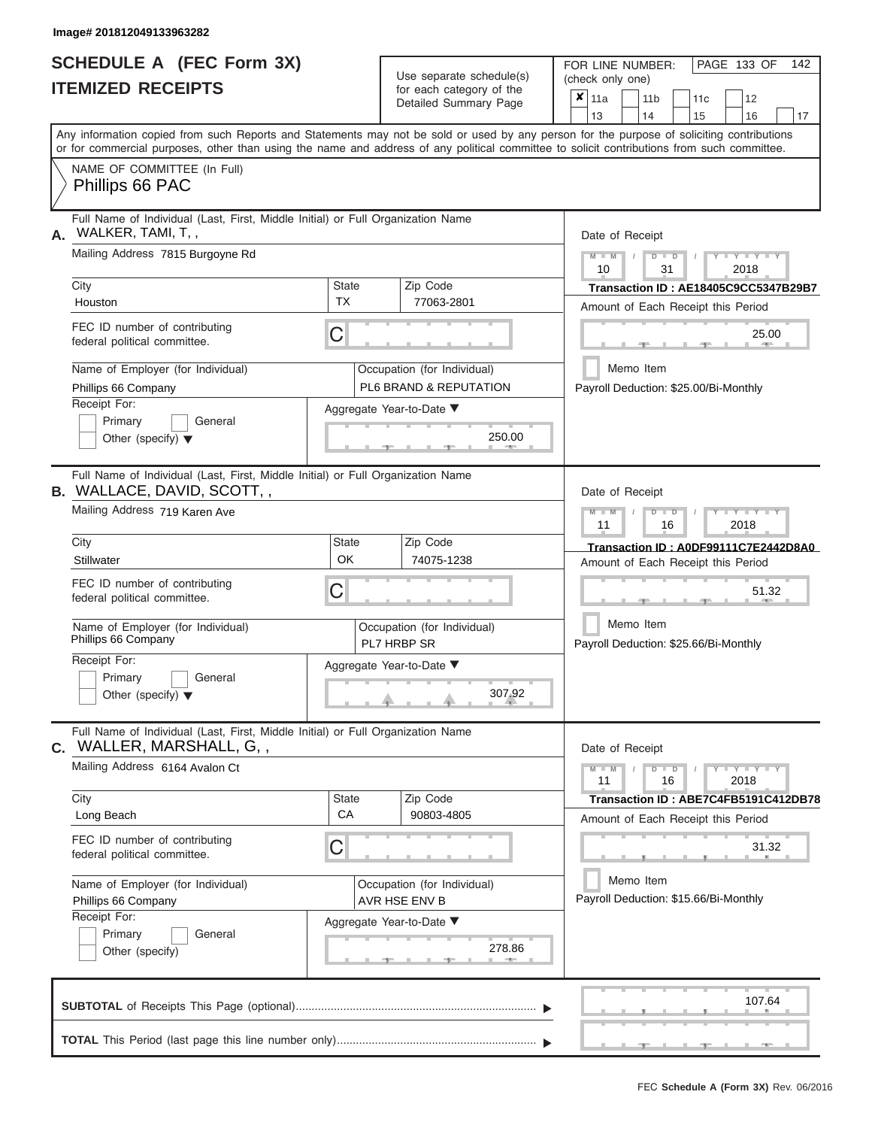ı

|                          | <b>SCHEDULE A (FEC Form 3X)</b> |
|--------------------------|---------------------------------|
| <b>ITEMIZED RECEIPTS</b> |                                 |

Use separate schedule(s)<br>for each category of the

FOR LINE NUMBER:<br>(check only one)

PAGE 133 OF 142

|    | IIEMILED REVEIFIJ                                                                                                                                                                                                                                                                       |             | ior each calegory of the<br>Detailed Summary Page     | ×               | 11a                                                                        |  | 11 <sub>b</sub>                                                    |               |    | 11 <sub>c</sub> | 12                                 |                                      |  |  |  |  |
|----|-----------------------------------------------------------------------------------------------------------------------------------------------------------------------------------------------------------------------------------------------------------------------------------------|-------------|-------------------------------------------------------|-----------------|----------------------------------------------------------------------------|--|--------------------------------------------------------------------|---------------|----|-----------------|------------------------------------|--------------------------------------|--|--|--|--|
|    |                                                                                                                                                                                                                                                                                         |             |                                                       |                 | 13                                                                         |  | 14                                                                 |               | 15 |                 | 16                                 | 17                                   |  |  |  |  |
|    | Any information copied from such Reports and Statements may not be sold or used by any person for the purpose of soliciting contributions<br>or for commercial purposes, other than using the name and address of any political committee to solicit contributions from such committee. |             |                                                       |                 |                                                                            |  |                                                                    |               |    |                 |                                    |                                      |  |  |  |  |
|    | NAME OF COMMITTEE (In Full)<br>Phillips 66 PAC                                                                                                                                                                                                                                          |             |                                                       |                 |                                                                            |  |                                                                    |               |    |                 |                                    |                                      |  |  |  |  |
| А. | Full Name of Individual (Last, First, Middle Initial) or Full Organization Name<br>WALKER, TAMI, T,,                                                                                                                                                                                    |             |                                                       |                 | Date of Receipt                                                            |  |                                                                    |               |    |                 |                                    |                                      |  |  |  |  |
|    | Mailing Address 7815 Burgoyne Rd                                                                                                                                                                                                                                                        |             |                                                       |                 | $M - M$<br>10                                                              |  |                                                                    | $D$ $D$<br>31 |    |                 | $Y - Y - Y$<br>2018                |                                      |  |  |  |  |
|    | City<br>Houston                                                                                                                                                                                                                                                                         | State<br>TX | Zip Code<br>77063-2801                                |                 |                                                                            |  |                                                                    |               |    |                 | Amount of Each Receipt this Period | Transaction ID: AE18405C9CC5347B29B7 |  |  |  |  |
|    | FEC ID number of contributing<br>federal political committee.                                                                                                                                                                                                                           | C           | 25.00                                                 |                 |                                                                            |  |                                                                    |               |    |                 |                                    |                                      |  |  |  |  |
|    | Name of Employer (for Individual)<br>Phillips 66 Company                                                                                                                                                                                                                                |             | Occupation (for Individual)<br>PL6 BRAND & REPUTATION |                 | Memo Item<br>Payroll Deduction: \$25.00/Bi-Monthly                         |  |                                                                    |               |    |                 |                                    |                                      |  |  |  |  |
|    | Receipt For:<br>Primary<br>General<br>Other (specify) $\blacktriangledown$                                                                                                                                                                                                              |             | Aggregate Year-to-Date ▼<br>250.00                    |                 |                                                                            |  |                                                                    |               |    |                 |                                    |                                      |  |  |  |  |
|    | Full Name of Individual (Last, First, Middle Initial) or Full Organization Name<br><b>B.</b> WALLACE, DAVID, SCOTT, ,                                                                                                                                                                   |             |                                                       | Date of Receipt |                                                                            |  |                                                                    |               |    |                 |                                    |                                      |  |  |  |  |
|    | Mailing Address 719 Karen Ave                                                                                                                                                                                                                                                           |             |                                                       |                 |                                                                            |  | Y I Y I<br>$M - M$<br>$\Box$<br>$\overline{D}$<br>11<br>16<br>2018 |               |    |                 |                                    |                                      |  |  |  |  |
|    | City<br>Stillwater                                                                                                                                                                                                                                                                      | State<br>OK | Zip Code<br>74075-1238                                |                 | Transaction ID: A0DF99111C7E2442D8A0<br>Amount of Each Receipt this Period |  |                                                                    |               |    |                 |                                    |                                      |  |  |  |  |
|    | FEC ID number of contributing<br>federal political committee.                                                                                                                                                                                                                           | С           |                                                       |                 | 51.32                                                                      |  |                                                                    |               |    |                 |                                    |                                      |  |  |  |  |
|    | Name of Employer (for Individual)<br>Phillips 66 Company                                                                                                                                                                                                                                |             | Occupation (for Individual)<br>PL7 HRBP SR            |                 | Memo Item<br>Payroll Deduction: \$25.66/Bi-Monthly                         |  |                                                                    |               |    |                 |                                    |                                      |  |  |  |  |
|    | Receipt For:<br>Primary<br>General<br>Other (specify) $\blacktriangledown$                                                                                                                                                                                                              |             | Aggregate Year-to-Date ▼<br>307.92                    |                 |                                                                            |  |                                                                    |               |    |                 |                                    |                                      |  |  |  |  |
| С. | Full Name of Individual (Last, First, Middle Initial) or Full Organization Name<br>WALLER, MARSHALL, G,,                                                                                                                                                                                |             |                                                       |                 | Date of Receipt                                                            |  |                                                                    |               |    |                 |                                    |                                      |  |  |  |  |
|    | Mailing Address 6164 Avalon Ct                                                                                                                                                                                                                                                          |             |                                                       |                 | $M - M$<br>11                                                              |  |                                                                    | $D$ $D$<br>16 |    |                 | $Y - Y - Y - Y - Y$<br>2018        |                                      |  |  |  |  |
|    | City<br>Long Beach                                                                                                                                                                                                                                                                      | State<br>CA | Zip Code<br>90803-4805                                |                 |                                                                            |  |                                                                    |               |    |                 | Amount of Each Receipt this Period | Transaction ID: ABE7C4FB5191C412DB78 |  |  |  |  |
|    | FEC ID number of contributing<br>federal political committee.                                                                                                                                                                                                                           | C           |                                                       |                 |                                                                            |  |                                                                    |               |    |                 | 31.32                              |                                      |  |  |  |  |
|    | Name of Employer (for Individual)<br>Phillips 66 Company                                                                                                                                                                                                                                |             | Occupation (for Individual)<br>AVR HSE ENV B          |                 | Memo Item<br>Payroll Deduction: \$15.66/Bi-Monthly                         |  |                                                                    |               |    |                 |                                    |                                      |  |  |  |  |
|    | Receipt For:<br>General<br>Primary<br>Other (specify)                                                                                                                                                                                                                                   |             | Aggregate Year-to-Date ▼<br>278.86                    |                 |                                                                            |  |                                                                    |               |    |                 |                                    |                                      |  |  |  |  |
|    |                                                                                                                                                                                                                                                                                         |             |                                                       |                 |                                                                            |  |                                                                    |               |    |                 | 107.64                             |                                      |  |  |  |  |
|    |                                                                                                                                                                                                                                                                                         |             |                                                       |                 |                                                                            |  |                                                                    |               |    |                 |                                    |                                      |  |  |  |  |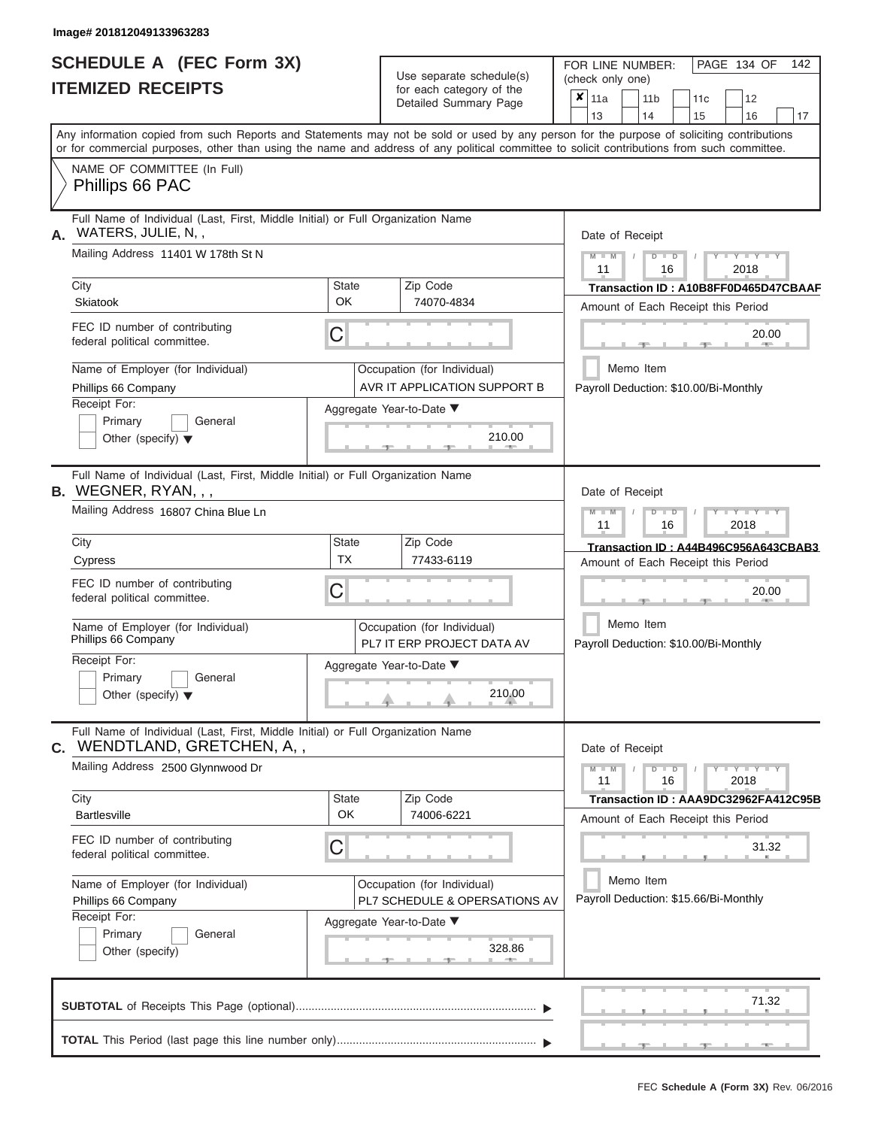|                          | <b>SCHEDULE A (FEC Form 3X)</b> |
|--------------------------|---------------------------------|
| <b>ITEMIZED RECEIPTS</b> |                                 |

| SCHEDULE A (FEC Form 3X)<br><b>ITEMIZED RECEIPTS</b>                                                                                           |                    | Use separate schedule(s)<br>for each category of the         | 142<br>FOR LINE NUMBER:<br>PAGE 134 OF<br>(check only one)                                                                                |
|------------------------------------------------------------------------------------------------------------------------------------------------|--------------------|--------------------------------------------------------------|-------------------------------------------------------------------------------------------------------------------------------------------|
|                                                                                                                                                |                    | Detailed Summary Page                                        | $\overline{\mathbf{x}}$   11a<br>12<br>11 <sub>b</sub><br>11 <sub>c</sub><br>13<br>14<br>15<br>16<br>17                                   |
| or for commercial purposes, other than using the name and address of any political committee to solicit contributions from such committee.     |                    |                                                              | Any information copied from such Reports and Statements may not be sold or used by any person for the purpose of soliciting contributions |
| NAME OF COMMITTEE (In Full)<br>Phillips 66 PAC                                                                                                 |                    |                                                              |                                                                                                                                           |
| Full Name of Individual (Last, First, Middle Initial) or Full Organization Name<br>WATERS, JULIE, N,,<br>Α.                                    |                    |                                                              | Date of Receipt                                                                                                                           |
| Mailing Address 11401 W 178th St N                                                                                                             |                    |                                                              | $M$ – $M$ /<br>$D$ $D$<br>$T - Y = T - Y = T - Y$<br>11<br>2018<br>16                                                                     |
| City<br>Skiatook                                                                                                                               | <b>State</b><br>OK | Zip Code<br>74070-4834                                       | Transaction ID: A10B8FF0D465D47CBAAF<br>Amount of Each Receipt this Period                                                                |
| FEC ID number of contributing<br>federal political committee.                                                                                  | C                  |                                                              | 20.00<br><b>Brita Allien</b><br>$-1$                                                                                                      |
| Name of Employer (for Individual)<br>Phillips 66 Company                                                                                       |                    | Occupation (for Individual)<br>AVR IT APPLICATION SUPPORT B  | Memo Item<br>Payroll Deduction: \$10.00/Bi-Monthly                                                                                        |
| Receipt For:<br>Primary<br>General<br>Other (specify) $\blacktriangledown$                                                                     |                    | Aggregate Year-to-Date ▼<br>210.00<br>11. AND 11.            |                                                                                                                                           |
| Full Name of Individual (Last, First, Middle Initial) or Full Organization Name<br>B. WEGNER, RYAN, , ,<br>Mailing Address 16807 China Blue Ln |                    |                                                              | Date of Receipt<br>$M - M$<br>$D$ $D$<br>$\Box$ $\Upsilon$ $\Box$ $\Upsilon$ $\Upsilon$ $\Upsilon$<br>$\prime$                            |
| City                                                                                                                                           | <b>State</b>       | Zip Code                                                     | 11<br>2018<br>16                                                                                                                          |
| Cypress                                                                                                                                        | <b>TX</b>          | 77433-6119                                                   | Transaction ID: A44B496C956A643CBAB3<br>Amount of Each Receipt this Period                                                                |
| FEC ID number of contributing<br>federal political committee.                                                                                  | C                  |                                                              | 20.00                                                                                                                                     |
| Name of Employer (for Individual)<br>Phillips 66 Company                                                                                       |                    | Occupation (for Individual)<br>PL7 IT ERP PROJECT DATA AV    | Memo Item<br>Payroll Deduction: \$10.00/Bi-Monthly                                                                                        |
| Receipt For:<br>Primary<br>General                                                                                                             |                    | Aggregate Year-to-Date ▼                                     |                                                                                                                                           |
| Other (specify) $\blacktriangledown$                                                                                                           |                    | 210.00                                                       |                                                                                                                                           |
| Full Name of Individual (Last, First, Middle Initial) or Full Organization Name<br>C. WENDTLAND, GRETCHEN, A,,                                 |                    |                                                              | Date of Receipt                                                                                                                           |
| Mailing Address 2500 Glynnwood Dr                                                                                                              |                    |                                                              | $M - M$<br>$D$ $D$<br>$Y - Y - Y - Y$<br>11<br>2018<br>16                                                                                 |
| City<br><b>Bartlesville</b>                                                                                                                    | State<br>OK        | Zip Code<br>74006-6221                                       | Transaction ID: AAA9DC32962FA412C95B<br>Amount of Each Receipt this Period                                                                |
| FEC ID number of contributing<br>federal political committee.                                                                                  | C                  |                                                              | 31.32                                                                                                                                     |
| Name of Employer (for Individual)<br>Phillips 66 Company                                                                                       |                    | Occupation (for Individual)<br>PL7 SCHEDULE & OPERSATIONS AV | Memo Item<br>Payroll Deduction: \$15.66/Bi-Monthly                                                                                        |
| Receipt For:<br>Primary<br>General<br>Other (specify)                                                                                          |                    | Aggregate Year-to-Date ▼<br>328.86                           |                                                                                                                                           |
|                                                                                                                                                |                    |                                                              | 71.32                                                                                                                                     |
|                                                                                                                                                |                    |                                                              | ____ <del>____</del> ____ <del>____</del><br>$-$                                                                                          |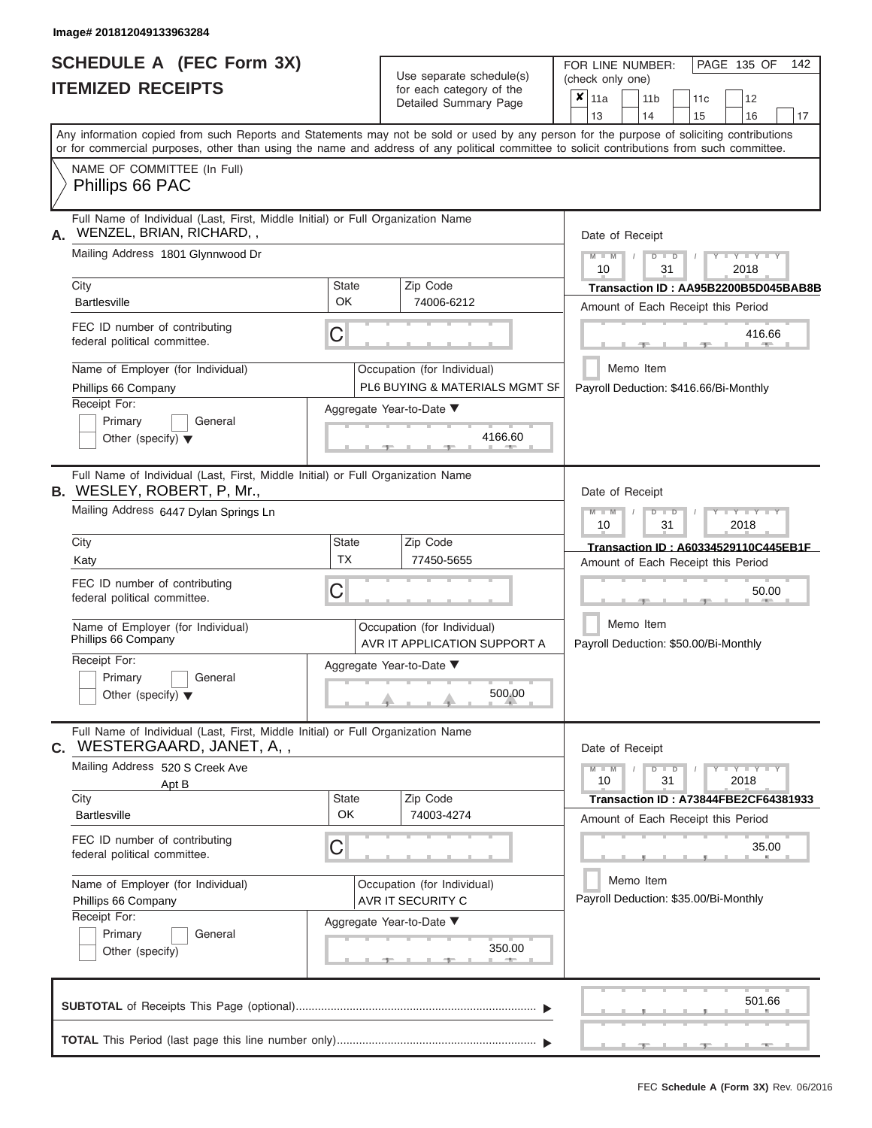# **SCHEDULE A (FEC Form 3X) ITEMIZED RECEIPTS**

| SCHEDULE A (FEC Form 3X)<br><b>ITEMIZED RECEIPTS</b>                                                                                                                                                                                                                                                                                                                                                                        | Use separate schedule(s)<br>for each category of the<br>Detailed Summary Page                                                                            | 142<br>FOR LINE NUMBER:<br>PAGE 135 OF<br>(check only one)<br>$\overline{\mathbf{x}}$   11a<br>11 <sub>b</sub><br>12<br>11c                                                                                                                                                                                                                   |
|-----------------------------------------------------------------------------------------------------------------------------------------------------------------------------------------------------------------------------------------------------------------------------------------------------------------------------------------------------------------------------------------------------------------------------|----------------------------------------------------------------------------------------------------------------------------------------------------------|-----------------------------------------------------------------------------------------------------------------------------------------------------------------------------------------------------------------------------------------------------------------------------------------------------------------------------------------------|
| Any information copied from such Reports and Statements may not be sold or used by any person for the purpose of soliciting contributions<br>or for commercial purposes, other than using the name and address of any political committee to solicit contributions from such committee.                                                                                                                                     |                                                                                                                                                          | 13<br>14<br>15<br>16<br>17                                                                                                                                                                                                                                                                                                                    |
| NAME OF COMMITTEE (In Full)<br>Phillips 66 PAC                                                                                                                                                                                                                                                                                                                                                                              |                                                                                                                                                          |                                                                                                                                                                                                                                                                                                                                               |
| Full Name of Individual (Last, First, Middle Initial) or Full Organization Name<br>WENZEL, BRIAN, RICHARD,,<br>А.<br>Mailing Address 1801 Glynnwood Dr<br>City<br>State<br><b>OK</b><br><b>Bartlesville</b><br>FEC ID number of contributing<br>С<br>federal political committee.<br>Name of Employer (for Individual)<br>Phillips 66 Company<br>Receipt For:<br>Primary<br>General<br>Other (specify) $\blacktriangledown$ | Zip Code<br>74006-6212<br>Occupation (for Individual)<br>PL6 BUYING & MATERIALS MGMT SF<br>Aggregate Year-to-Date ▼<br>4166.60<br><b>British Company</b> | Date of Receipt<br>$M - M$<br>$Y - Y - Y$<br>$D$ $D$<br>10<br>31<br>2018<br>Transaction ID: AA95B2200B5D045BAB8B<br>Amount of Each Receipt this Period<br>416.66<br><b>AND A</b><br>Memo Item<br>Payroll Deduction: \$416.66/Bi-Monthly                                                                                                       |
| Full Name of Individual (Last, First, Middle Initial) or Full Organization Name<br><b>B.</b> WESLEY, ROBERT, P, Mr.,<br>Mailing Address 6447 Dylan Springs Ln<br>City<br>State<br><b>TX</b><br>Katy<br>FEC ID number of contributing<br>С<br>federal political committee.<br>Name of Employer (for Individual)<br>Phillips 66 Company<br>Receipt For:<br>Primary<br>General<br>Other (specify) $\blacktriangledown$         | Zip Code<br>77450-5655<br>Occupation (for Individual)<br>AVR IT APPLICATION SUPPORT A<br>Aggregate Year-to-Date ▼<br>$500.00$                            | Date of Receipt<br>$M - M$<br>$D$ $D$<br>$\blacksquare \blacksquare \blacksquare \blacksquare \blacksquare \blacksquare \blacksquare \blacksquare \blacksquare \blacksquare$<br>10<br>31<br>2018<br>Transaction ID: A60334529110C445EB1F<br>Amount of Each Receipt this Period<br>50.00<br>Memo Item<br>Payroll Deduction: \$50.00/Bi-Monthly |
| Full Name of Individual (Last, First, Middle Initial) or Full Organization Name<br><b>C.</b> WESTERGAARD, JANET, A,,<br>Mailing Address 520 S Creek Ave<br>Apt B<br>State<br>City<br><b>OK</b><br><b>Bartlesville</b><br>FEC ID number of contributing<br>С<br>federal political committee.<br>Name of Employer (for Individual)<br>Phillips 66 Company<br>Receipt For:<br>Primary<br>General<br>Other (specify)            | Zip Code<br>74003-4274<br>Occupation (for Individual)<br>AVR IT SECURITY C<br>Aggregate Year-to-Date ▼<br>350.00<br>$-$                                  | Date of Receipt<br>$M - M$<br>$D$ $D$<br>$Y - Y - Y - Y - Y$<br>10<br>31<br>2018<br><b>Transaction ID: A73844FBE2CF64381933</b><br>Amount of Each Receipt this Period<br>35.00<br>Memo Item<br>Payroll Deduction: \$35.00/Bi-Monthly                                                                                                          |
|                                                                                                                                                                                                                                                                                                                                                                                                                             |                                                                                                                                                          | 501.66<br><u> Andream Maria (b. 1980)</u><br>$-$                                                                                                                                                                                                                                                                                              |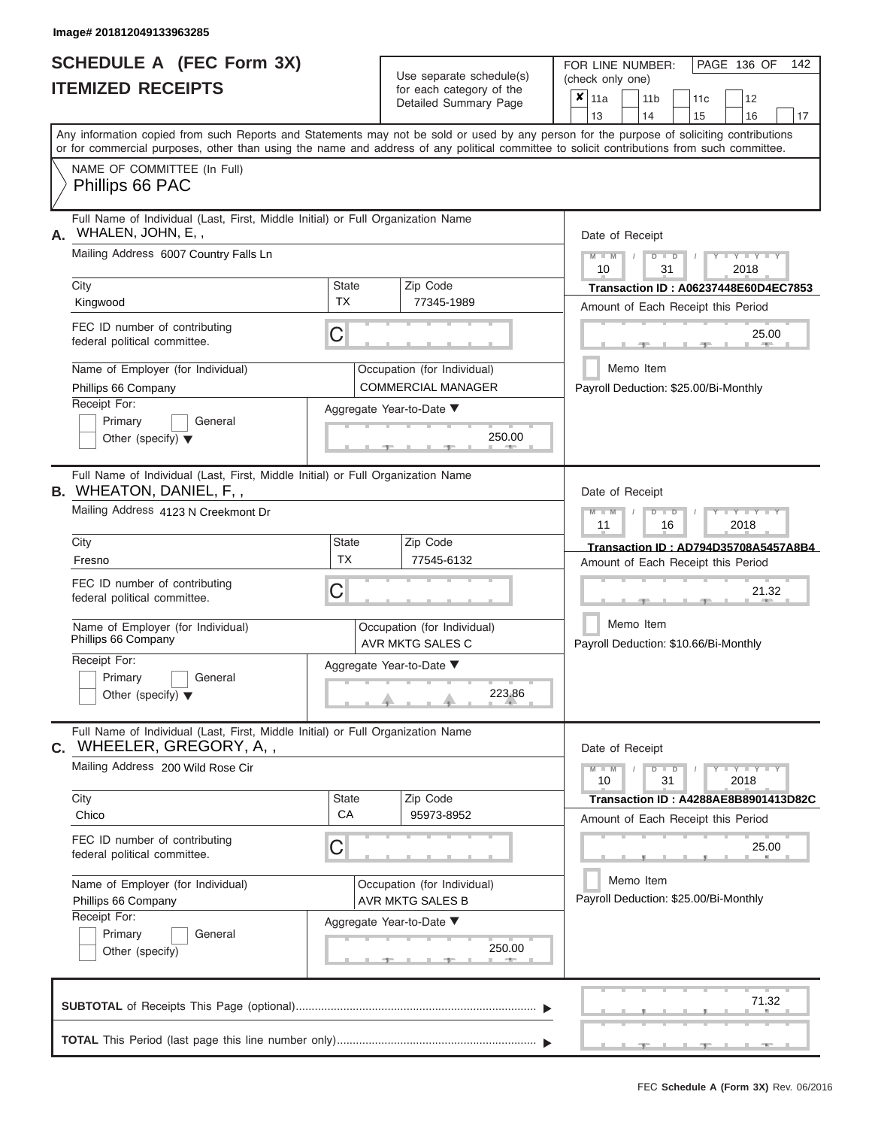|                          | SCHEDULE A (FEC Form 3X) |
|--------------------------|--------------------------|
| <b>ITEMIZED RECEIPTS</b> |                          |

| SCHEDULE A (FEC Form 3X)<br><b>ITEMIZED RECEIPTS</b>                                                                                                     |                    | Use separate schedule(s)<br>for each category of the<br>Detailed Summary Page | FOR LINE NUMBER:<br>PAGE 136 OF<br>142<br>(check only one)<br>x<br>11a<br>11 <sub>b</sub><br>12<br>11 <sub>c</sub>                                                                                                                                                                      |
|----------------------------------------------------------------------------------------------------------------------------------------------------------|--------------------|-------------------------------------------------------------------------------|-----------------------------------------------------------------------------------------------------------------------------------------------------------------------------------------------------------------------------------------------------------------------------------------|
|                                                                                                                                                          |                    |                                                                               | 13<br>14<br>15<br>16<br>17                                                                                                                                                                                                                                                              |
|                                                                                                                                                          |                    |                                                                               | Any information copied from such Reports and Statements may not be sold or used by any person for the purpose of soliciting contributions<br>or for commercial purposes, other than using the name and address of any political committee to solicit contributions from such committee. |
| NAME OF COMMITTEE (In Full)<br>Phillips 66 PAC                                                                                                           |                    |                                                                               |                                                                                                                                                                                                                                                                                         |
| Full Name of Individual (Last, First, Middle Initial) or Full Organization Name<br>WHALEN, JOHN, E,,<br>А.                                               |                    |                                                                               | Date of Receipt                                                                                                                                                                                                                                                                         |
| Mailing Address 6007 Country Falls Ln<br>City                                                                                                            | <b>State</b>       | Zip Code                                                                      | $M - M$ /<br>$D$ $D$<br>$T - Y - T - Y - T - Y$<br>10<br>31<br>2018                                                                                                                                                                                                                     |
| Kingwood                                                                                                                                                 | <b>TX</b>          | 77345-1989                                                                    | Transaction ID: A06237448E60D4EC7853<br>Amount of Each Receipt this Period                                                                                                                                                                                                              |
| FEC ID number of contributing<br>federal political committee.                                                                                            | C                  |                                                                               | 25.00<br>$1 - 400$                                                                                                                                                                                                                                                                      |
| Name of Employer (for Individual)<br>Phillips 66 Company                                                                                                 |                    | Occupation (for Individual)<br><b>COMMERCIAL MANAGER</b>                      | Memo Item<br>Payroll Deduction: \$25.00/Bi-Monthly                                                                                                                                                                                                                                      |
| Receipt For:<br>Primary<br>General<br>Other (specify) $\blacktriangledown$                                                                               |                    | Aggregate Year-to-Date ▼<br>250.00<br><b>1. 400 mm</b>                        |                                                                                                                                                                                                                                                                                         |
| Full Name of Individual (Last, First, Middle Initial) or Full Organization Name<br><b>B.</b> WHEATON, DANIEL, F,,<br>Mailing Address 4123 N Creekmont Dr |                    |                                                                               | Date of Receipt<br>$M - M$<br>$D$ $D$<br>$+Y+Y+Y$                                                                                                                                                                                                                                       |
| City                                                                                                                                                     | <b>State</b>       | Zip Code                                                                      | 11<br>2018<br>16<br>Transaction ID: AD794D35708A5457A8B4                                                                                                                                                                                                                                |
| Fresno                                                                                                                                                   | TX                 | 77545-6132                                                                    | Amount of Each Receipt this Period                                                                                                                                                                                                                                                      |
| FEC ID number of contributing<br>federal political committee.                                                                                            | C                  |                                                                               | 21.32                                                                                                                                                                                                                                                                                   |
| Name of Employer (for Individual)<br>Phillips 66 Company                                                                                                 |                    | Occupation (for Individual)<br>AVR MKTG SALES C                               | Memo Item<br>Payroll Deduction: \$10.66/Bi-Monthly                                                                                                                                                                                                                                      |
| Receipt For:<br>Primary<br>General                                                                                                                       |                    | Aggregate Year-to-Date ▼                                                      |                                                                                                                                                                                                                                                                                         |
| Other (specify) $\blacktriangledown$                                                                                                                     |                    | 223.86                                                                        |                                                                                                                                                                                                                                                                                         |
| Full Name of Individual (Last, First, Middle Initial) or Full Organization Name<br>C. WHEELER, GREGORY, A,,                                              |                    |                                                                               | Date of Receipt                                                                                                                                                                                                                                                                         |
| Mailing Address 200 Wild Rose Cir                                                                                                                        |                    |                                                                               | $M - M$<br>$D$ $D$<br>$Y - Y - Y - Y - Y$<br>10<br>31<br>2018                                                                                                                                                                                                                           |
| City<br>Chico                                                                                                                                            | <b>State</b><br>CA | Zip Code<br>95973-8952                                                        | Transaction ID : A4288AE8B8901413D82C<br>Amount of Each Receipt this Period                                                                                                                                                                                                             |
| FEC ID number of contributing<br>federal political committee.                                                                                            | C                  |                                                                               | 25.00                                                                                                                                                                                                                                                                                   |
| Name of Employer (for Individual)<br>Phillips 66 Company                                                                                                 |                    | Occupation (for Individual)<br>AVR MKTG SALES B                               | Memo Item<br>Payroll Deduction: \$25.00/Bi-Monthly                                                                                                                                                                                                                                      |
| Receipt For:<br>Primary<br>General<br>Other (specify)                                                                                                    |                    | Aggregate Year-to-Date ▼<br>250.00<br>$-1$                                    |                                                                                                                                                                                                                                                                                         |
|                                                                                                                                                          |                    |                                                                               | 71.32                                                                                                                                                                                                                                                                                   |
|                                                                                                                                                          |                    |                                                                               | $-$<br>$-1$<br>$-1$                                                                                                                                                                                                                                                                     |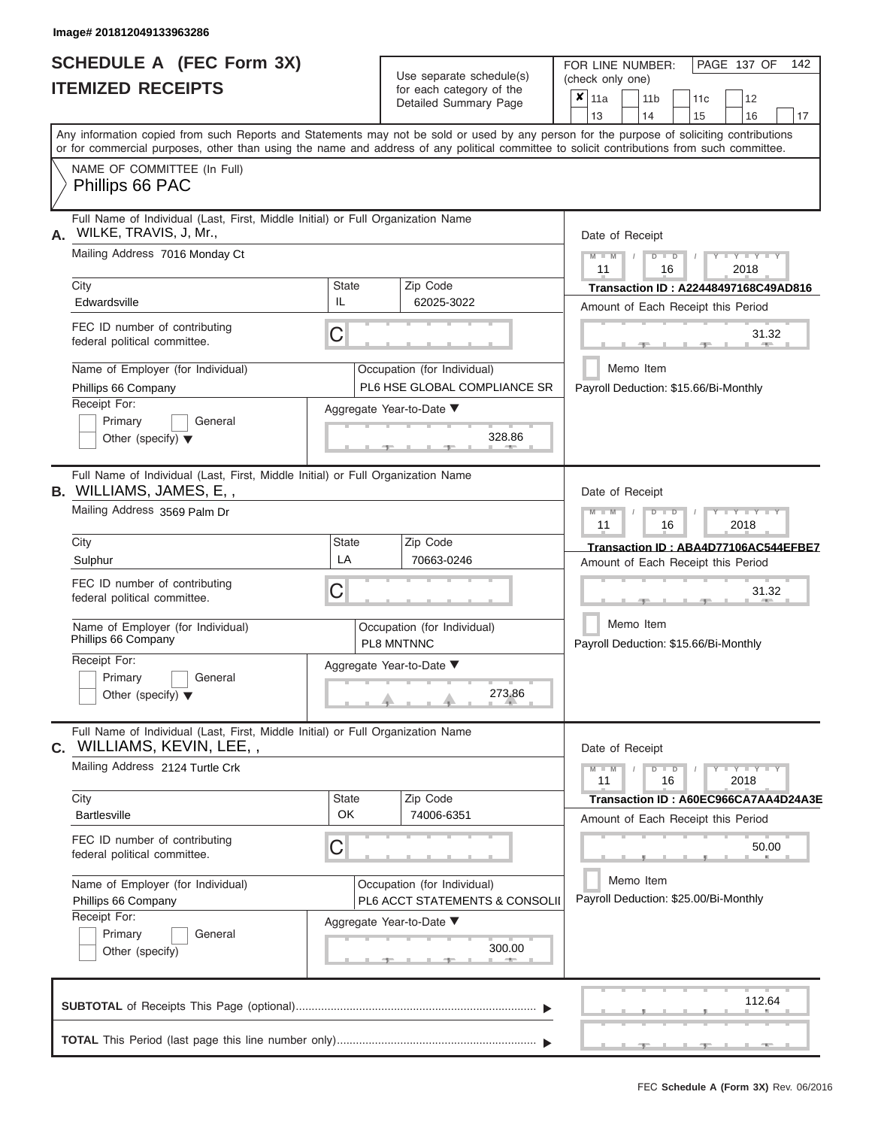ı

|                          | <b>SCHEDULE A (FEC Form 3X)</b> |
|--------------------------|---------------------------------|
| <b>ITEMIZED RECEIPTS</b> |                                 |

Use separate schedule(s)<br>for each category of the

FOR LINE NUMBER:<br>(check only one)

PAGE 137 OF 142

|                                                          | IILMILLU INLVLII IV                                                                                                                                                                                                                                                                     |                                           |  | iui eauli calegury ul lile<br>Detailed Summary Page           | ×                                     | 11a<br>13                             |           | 14              | 11 <sub>b</sub>                                       |  | 11c<br>15 |       | 12<br>16                                                                              | 17                                          |  |  |  |  |
|----------------------------------------------------------|-----------------------------------------------------------------------------------------------------------------------------------------------------------------------------------------------------------------------------------------------------------------------------------------|-------------------------------------------|--|---------------------------------------------------------------|---------------------------------------|---------------------------------------|-----------|-----------------|-------------------------------------------------------|--|-----------|-------|---------------------------------------------------------------------------------------|---------------------------------------------|--|--|--|--|
|                                                          | Any information copied from such Reports and Statements may not be sold or used by any person for the purpose of soliciting contributions<br>or for commercial purposes, other than using the name and address of any political committee to solicit contributions from such committee. |                                           |  |                                                               |                                       |                                       |           |                 |                                                       |  |           |       |                                                                                       |                                             |  |  |  |  |
|                                                          | NAME OF COMMITTEE (In Full)<br>Phillips 66 PAC                                                                                                                                                                                                                                          |                                           |  |                                                               |                                       |                                       |           |                 |                                                       |  |           |       |                                                                                       |                                             |  |  |  |  |
| А.                                                       | Full Name of Individual (Last, First, Middle Initial) or Full Organization Name<br>WILKE, TRAVIS, J, Mr.,<br>Mailing Address 7016 Monday Ct                                                                                                                                             |                                           |  |                                                               |                                       | Date of Receipt                       |           |                 |                                                       |  |           |       |                                                                                       |                                             |  |  |  |  |
|                                                          |                                                                                                                                                                                                                                                                                         |                                           |  |                                                               |                                       | $M - M$<br>11                         |           |                 | $D$ $D$<br>16                                         |  |           |       | $Y + Y$<br>2018                                                                       |                                             |  |  |  |  |
|                                                          | City<br>Edwardsville                                                                                                                                                                                                                                                                    | <b>State</b><br>IL                        |  | Zip Code<br>62025-3022                                        |                                       | Amount of Each Receipt this Period    |           |                 |                                                       |  |           |       |                                                                                       | <b>Transaction ID: A22448497168C49AD816</b> |  |  |  |  |
|                                                          | FEC ID number of contributing<br>federal political committee.                                                                                                                                                                                                                           | C                                         |  |                                                               |                                       |                                       |           |                 |                                                       |  |           |       | 31.32                                                                                 |                                             |  |  |  |  |
| Name of Employer (for Individual)<br>Phillips 66 Company |                                                                                                                                                                                                                                                                                         |                                           |  | Occupation (for Individual)<br>PL6 HSE GLOBAL COMPLIANCE SR   |                                       |                                       | Memo Item |                 |                                                       |  |           |       |                                                                                       |                                             |  |  |  |  |
|                                                          | Receipt For:<br>Primary<br>General<br>Other (specify) $\blacktriangledown$                                                                                                                                                                                                              | Aggregate Year-to-Date ▼                  |  | 328.86                                                        | Payroll Deduction: \$15.66/Bi-Monthly |                                       |           |                 |                                                       |  |           |       |                                                                                       |                                             |  |  |  |  |
|                                                          | Full Name of Individual (Last, First, Middle Initial) or Full Organization Name<br><b>B.</b> WILLIAMS, JAMES, E,,                                                                                                                                                                       |                                           |  |                                                               |                                       |                                       |           | Date of Receipt |                                                       |  |           |       |                                                                                       |                                             |  |  |  |  |
|                                                          | Mailing Address 3569 Palm Dr                                                                                                                                                                                                                                                            |                                           |  |                                                               |                                       |                                       |           |                 | $M - M$<br>Y I Y I<br>$\Box$<br>D<br>11<br>2018<br>16 |  |           |       |                                                                                       |                                             |  |  |  |  |
|                                                          | City<br>Sulphur                                                                                                                                                                                                                                                                         | <b>State</b><br>LA                        |  | Zip Code<br>70663-0246                                        |                                       | Amount of Each Receipt this Period    |           |                 |                                                       |  |           |       |                                                                                       | Transaction ID: ABA4D77106AC544EFBE7        |  |  |  |  |
|                                                          | FEC ID number of contributing<br>federal political committee.                                                                                                                                                                                                                           | C                                         |  |                                                               |                                       |                                       |           |                 |                                                       |  |           | 31.32 |                                                                                       |                                             |  |  |  |  |
|                                                          | Name of Employer (for Individual)<br>Phillips 66 Company                                                                                                                                                                                                                                | Occupation (for Individual)<br>PL8 MNTNNC |  | Memo Item<br>Payroll Deduction: \$15.66/Bi-Monthly            |                                       |                                       |           |                 |                                                       |  |           |       |                                                                                       |                                             |  |  |  |  |
|                                                          | Receipt For:<br>Primary<br>General<br>Other (specify) $\blacktriangledown$                                                                                                                                                                                                              | Aggregate Year-to-Date ▼                  |  | 273.86                                                        |                                       |                                       |           |                 |                                                       |  |           |       |                                                                                       |                                             |  |  |  |  |
| С.                                                       | Full Name of Individual (Last, First, Middle Initial) or Full Organization Name<br>WILLIAMS, KEVIN, LEE,,                                                                                                                                                                               |                                           |  |                                                               |                                       | Date of Receipt                       |           |                 |                                                       |  |           |       |                                                                                       |                                             |  |  |  |  |
|                                                          | Mailing Address 2124 Turtle Crk                                                                                                                                                                                                                                                         |                                           |  |                                                               |                                       | $M - M$<br>11                         |           |                 | $D$ $D$<br>16                                         |  |           | 2018  | $\blacksquare \blacksquare Y \blacksquare \blacksquare Y \blacksquare \blacksquare Y$ |                                             |  |  |  |  |
|                                                          | City<br><b>Bartlesville</b>                                                                                                                                                                                                                                                             | <b>State</b><br>OK                        |  | Zip Code<br>74006-6351                                        |                                       | Amount of Each Receipt this Period    |           |                 |                                                       |  |           |       |                                                                                       | Transaction ID: A60EC966CA7AA4D24A3E        |  |  |  |  |
|                                                          | FEC ID number of contributing<br>federal political committee.                                                                                                                                                                                                                           | С                                         |  |                                                               |                                       |                                       |           |                 |                                                       |  |           |       | 50.00                                                                                 |                                             |  |  |  |  |
|                                                          | Name of Employer (for Individual)<br>Phillips 66 Company                                                                                                                                                                                                                                |                                           |  | Occupation (for Individual)<br>PL6 ACCT STATEMENTS & CONSOLII |                                       | Payroll Deduction: \$25.00/Bi-Monthly | Memo Item |                 |                                                       |  |           |       |                                                                                       |                                             |  |  |  |  |
|                                                          | Receipt For:<br>Primary<br>General<br>Other (specify)                                                                                                                                                                                                                                   | Aggregate Year-to-Date ▼                  |  | 300.00                                                        |                                       |                                       |           |                 |                                                       |  |           |       |                                                                                       |                                             |  |  |  |  |
|                                                          |                                                                                                                                                                                                                                                                                         |                                           |  |                                                               |                                       |                                       |           |                 |                                                       |  |           |       | 112.64                                                                                |                                             |  |  |  |  |
|                                                          |                                                                                                                                                                                                                                                                                         |                                           |  |                                                               |                                       |                                       |           |                 |                                                       |  |           |       |                                                                                       |                                             |  |  |  |  |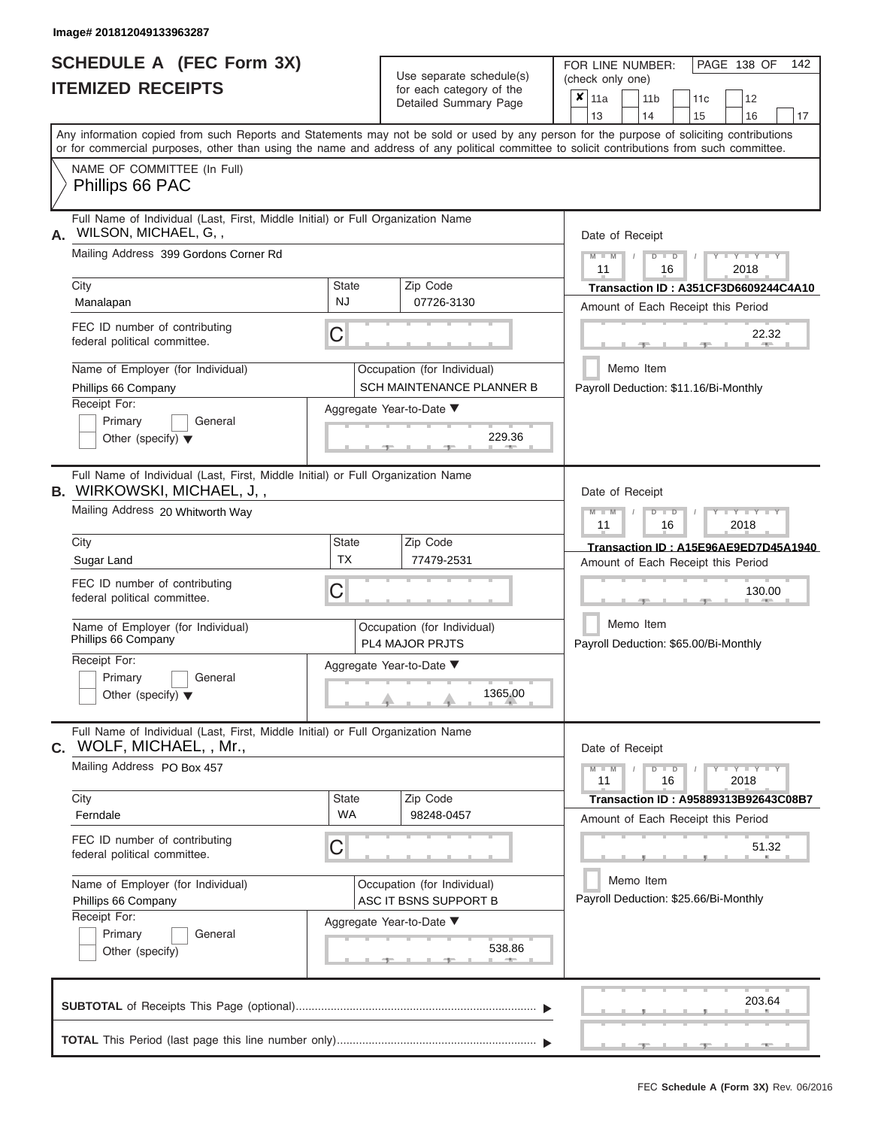|                          | <b>SCHEDULE A (FEC Form 3X)</b> |
|--------------------------|---------------------------------|
| <b>ITEMIZED RECEIPTS</b> |                                 |

Use separate schedule(s) (check only one) for each category of the  $\Box$ 

FOR LINE NUMBER:<br>(check only one)

PAGE 138 OF 142

|    | IIEMIZED RECEIPIS                                                                                                                                                                                                                                                                       |                    | for each category of the<br>Detailed Summary Page                                           | ×<br>11a<br>11 <sub>b</sub><br>11c<br>12<br>14<br>13<br>15<br>16<br>17                                           |  |  |  |  |  |  |
|----|-----------------------------------------------------------------------------------------------------------------------------------------------------------------------------------------------------------------------------------------------------------------------------------------|--------------------|---------------------------------------------------------------------------------------------|------------------------------------------------------------------------------------------------------------------|--|--|--|--|--|--|
|    | Any information copied from such Reports and Statements may not be sold or used by any person for the purpose of soliciting contributions<br>or for commercial purposes, other than using the name and address of any political committee to solicit contributions from such committee. |                    |                                                                                             |                                                                                                                  |  |  |  |  |  |  |
|    | NAME OF COMMITTEE (In Full)<br>Phillips 66 PAC                                                                                                                                                                                                                                          |                    |                                                                                             |                                                                                                                  |  |  |  |  |  |  |
| А. | Full Name of Individual (Last, First, Middle Initial) or Full Organization Name<br>WILSON, MICHAEL, G,,<br>Mailing Address 399 Gordons Corner Rd                                                                                                                                        |                    |                                                                                             | Date of Receipt<br>$\mathbf{I} = \mathbf{Y}$ and $\mathbf{Y} = \mathbf{I}$<br>$\blacksquare$<br>11<br>16<br>2018 |  |  |  |  |  |  |
|    | City<br>Manalapan                                                                                                                                                                                                                                                                       | State<br>NJ.       | Zip Code<br>07726-3130                                                                      | Transaction ID: A351CF3D6609244C4A10<br>Amount of Each Receipt this Period                                       |  |  |  |  |  |  |
|    | FEC ID number of contributing<br>federal political committee.                                                                                                                                                                                                                           | C                  |                                                                                             | 22.32                                                                                                            |  |  |  |  |  |  |
|    | Name of Employer (for Individual)<br>Phillips 66 Company<br>Receipt For:                                                                                                                                                                                                                |                    | Occupation (for Individual)<br><b>SCH MAINTENANCE PLANNER B</b><br>Aggregate Year-to-Date ▼ | Memo Item<br>Payroll Deduction: \$11.16/Bi-Monthly                                                               |  |  |  |  |  |  |
|    | Primary<br>General<br>Other (specify) $\blacktriangledown$                                                                                                                                                                                                                              |                    | 229.36                                                                                      |                                                                                                                  |  |  |  |  |  |  |
|    | Full Name of Individual (Last, First, Middle Initial) or Full Organization Name<br><b>B.</b> WIRKOWSKI, MICHAEL, J, ,                                                                                                                                                                   |                    |                                                                                             | Date of Receipt                                                                                                  |  |  |  |  |  |  |
|    | Mailing Address 20 Whitworth Way                                                                                                                                                                                                                                                        |                    |                                                                                             | Y I Y I<br>$\Box$<br>11<br>16<br>2018                                                                            |  |  |  |  |  |  |
|    | City<br>Sugar Land                                                                                                                                                                                                                                                                      | State<br><b>TX</b> | Zip Code<br>77479-2531                                                                      | Transaction ID: A15E96AE9ED7D45A1940<br>Amount of Each Receipt this Period                                       |  |  |  |  |  |  |
|    | FEC ID number of contributing<br>C<br>federal political committee.                                                                                                                                                                                                                      | 130.00             |                                                                                             |                                                                                                                  |  |  |  |  |  |  |
|    | Name of Employer (for Individual)<br>Phillips 66 Company                                                                                                                                                                                                                                |                    | Occupation (for Individual)<br><b>PL4 MAJOR PRJTS</b>                                       | Memo Item<br>Payroll Deduction: \$65.00/Bi-Monthly                                                               |  |  |  |  |  |  |
|    | Receipt For:<br>Primary<br>General<br>Other (specify) $\blacktriangledown$                                                                                                                                                                                                              |                    | Aggregate Year-to-Date ▼<br>1365.00                                                         |                                                                                                                  |  |  |  |  |  |  |
| С. | Full Name of Individual (Last, First, Middle Initial) or Full Organization Name<br>WOLF, MICHAEL, , Mr.,                                                                                                                                                                                |                    |                                                                                             | Date of Receipt                                                                                                  |  |  |  |  |  |  |
|    | Mailing Address PO Box 457                                                                                                                                                                                                                                                              |                    |                                                                                             | $Y = Y = Y$<br>$M - M$<br>$\Box$<br>D<br>2018<br>11<br>16                                                        |  |  |  |  |  |  |
|    | City<br>Ferndale                                                                                                                                                                                                                                                                        | State<br><b>WA</b> | Zip Code<br>98248-0457                                                                      | Transaction ID: A95889313B92643C08B7<br>Amount of Each Receipt this Period                                       |  |  |  |  |  |  |
|    | FEC ID number of contributing<br>federal political committee.                                                                                                                                                                                                                           | C                  |                                                                                             | 51.32                                                                                                            |  |  |  |  |  |  |
|    | Name of Employer (for Individual)<br>Phillips 66 Company<br>Receipt For:                                                                                                                                                                                                                |                    | Occupation (for Individual)<br>ASC IT BSNS SUPPORT B                                        | Memo Item<br>Payroll Deduction: \$25.66/Bi-Monthly                                                               |  |  |  |  |  |  |
|    | Primary<br>General<br>Other (specify)                                                                                                                                                                                                                                                   |                    | Aggregate Year-to-Date ▼<br>538.86                                                          |                                                                                                                  |  |  |  |  |  |  |
|    |                                                                                                                                                                                                                                                                                         |                    |                                                                                             | 203.64                                                                                                           |  |  |  |  |  |  |
|    |                                                                                                                                                                                                                                                                                         |                    |                                                                                             |                                                                                                                  |  |  |  |  |  |  |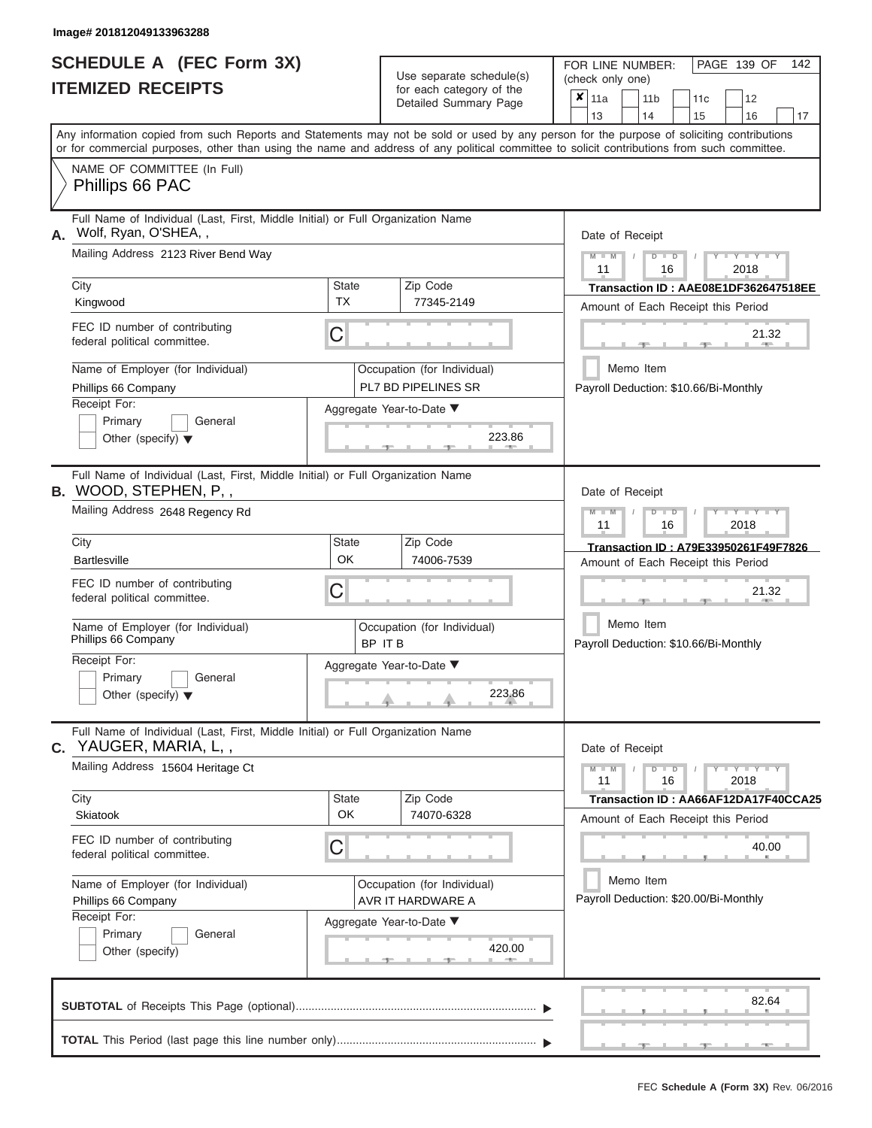|                          | <b>SCHEDULE A (FEC Form 3X)</b> |
|--------------------------|---------------------------------|
| <b>ITEMIZED RECEIPTS</b> |                                 |

| SCHEDULE A (FEC Form 3X)<br><b>ITEMIZED RECEIPTS</b>                                                                                                                                                                           | Use separate schedule(s)<br>for each category of the<br>Detailed Summary Page                                                                                                                                                                                                           | 142<br>FOR LINE NUMBER:<br>PAGE 139 OF<br>(check only one)<br>$\overline{\mathbf{x}}$   11a<br>12<br>11 <sub>b</sub><br>11 <sub>c</sub><br>13<br>14                        |
|--------------------------------------------------------------------------------------------------------------------------------------------------------------------------------------------------------------------------------|-----------------------------------------------------------------------------------------------------------------------------------------------------------------------------------------------------------------------------------------------------------------------------------------|----------------------------------------------------------------------------------------------------------------------------------------------------------------------------|
| NAME OF COMMITTEE (In Full)<br>Phillips 66 PAC                                                                                                                                                                                 | Any information copied from such Reports and Statements may not be sold or used by any person for the purpose of soliciting contributions<br>or for commercial purposes, other than using the name and address of any political committee to solicit contributions from such committee. | 15<br>16<br>17                                                                                                                                                             |
| Full Name of Individual (Last, First, Middle Initial) or Full Organization Name<br>Wolf, Ryan, O'SHEA,,<br>Mailing Address 2123 River Bend Way<br>City                                                                         | Zip Code<br><b>State</b>                                                                                                                                                                                                                                                                | Date of Receipt<br>$M = M$ /<br>$+Y+Y+Y$<br>$D$ $D$<br>11<br>2018<br>16                                                                                                    |
| Kingwood<br>FEC ID number of contributing<br>federal political committee.                                                                                                                                                      | <b>TX</b><br>77345-2149<br>C                                                                                                                                                                                                                                                            | Transaction ID: AAE08E1DF362647518EE<br>Amount of Each Receipt this Period<br>21.32<br><b>COLLEGE</b><br>$-1$                                                              |
| Name of Employer (for Individual)<br>Phillips 66 Company<br>Receipt For:<br>Primary<br>General<br>Other (specify) $\blacktriangledown$                                                                                         | Occupation (for Individual)<br>PL7 BD PIPELINES SR<br>Aggregate Year-to-Date ▼<br>223.86<br><b>British Allen</b>                                                                                                                                                                        | Memo Item<br>Payroll Deduction: \$10.66/Bi-Monthly                                                                                                                         |
| Full Name of Individual (Last, First, Middle Initial) or Full Organization Name<br><b>B.</b> WOOD, STEPHEN, P,,<br>Mailing Address 2648 Regency Rd<br>City                                                                     | Zip Code<br><b>State</b>                                                                                                                                                                                                                                                                | Date of Receipt<br>$M - M$<br>$D$ $D$<br>$\Box$ $\Upsilon$ $\Box$ $\Upsilon$ $\Upsilon$ $\Upsilon$<br>$\prime$<br>11<br>2018<br>16<br>Transaction ID: A79E33950261F49F7826 |
| <b>Bartlesville</b><br>FEC ID number of contributing<br>federal political committee.<br>Name of Employer (for Individual)<br>Phillips 66 Company<br>Receipt For:<br>Primary<br>General<br>Other (specify) $\blacktriangledown$ | OK<br>74006-7539<br>C<br>Occupation (for Individual)<br>BP IT B<br>Aggregate Year-to-Date ▼<br>223.86                                                                                                                                                                                   | Amount of Each Receipt this Period<br>21.32<br>Memo Item<br>Payroll Deduction: \$10.66/Bi-Monthly                                                                          |
| Full Name of Individual (Last, First, Middle Initial) or Full Organization Name<br>C. YAUGER, MARIA, L,,<br>Mailing Address 15604 Heritage Ct<br>City<br>Skiatook                                                              | Zip Code<br><b>State</b><br>OK<br>74070-6328                                                                                                                                                                                                                                            | Date of Receipt<br>$M - M$<br>$D$ $D$<br>$Y - Y - Y - Y$<br>11<br>2018<br>16<br>Transaction ID: AA66AF12DA17F40CCA25<br>Amount of Each Receipt this Period                 |
| FEC ID number of contributing<br>federal political committee.<br>Name of Employer (for Individual)<br>Phillips 66 Company<br>Receipt For:<br>Primary<br>General<br>Other (specify)                                             | C<br>Occupation (for Individual)<br>AVR IT HARDWARE A<br>Aggregate Year-to-Date ▼<br>420.00                                                                                                                                                                                             | 40.00<br>Memo Item<br>Payroll Deduction: \$20.00/Bi-Monthly                                                                                                                |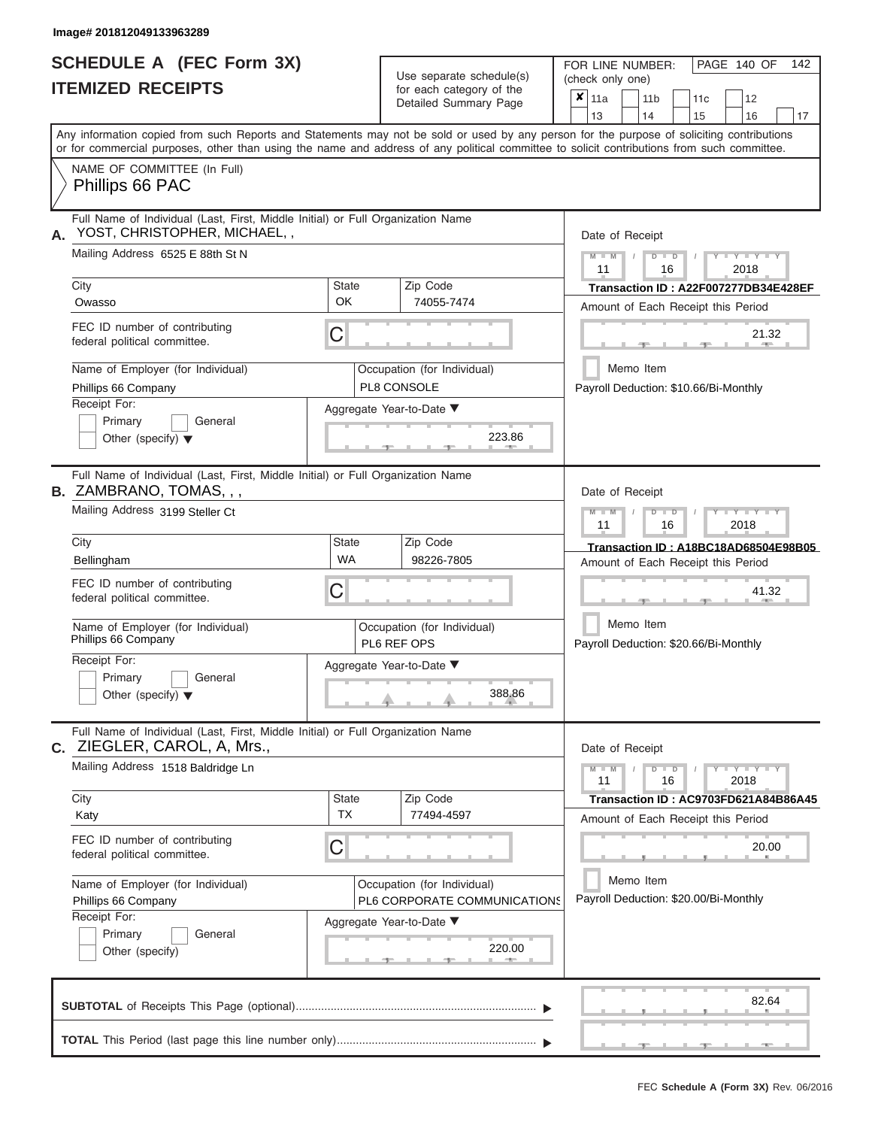# **SCHEDULE A (FEC Form 3X) ITEMIZED RECEIPTS**

| Any information copied from such Reports and Statements may not be sold or used by any person for the purpose of soliciting contributions<br>or for commercial purposes, other than using the name and address of any political committee to solicit contributions from such committee.<br>NAME OF COMMITTEE (In Full)<br>Phillips 66 PAC<br>Full Name of Individual (Last, First, Middle Initial) or Full Organization Name<br>YOST, CHRISTOPHER, MICHAEL,,<br>Date of Receipt<br>Mailing Address 6525 E 88th St N<br>$M - M$ /<br>$Y - Y - Y$<br>$D$ $D$<br>11<br>2018<br>16<br>Zip Code<br>City<br>State<br><b>OK</b><br>74055-7474<br>Owasso<br>Amount of Each Receipt this Period<br>FEC ID number of contributing<br>С<br>21.32<br>federal political committee.<br><b>COLLECTION</b><br>Memo Item<br>Name of Employer (for Individual)<br>Occupation (for Individual)<br>PL8 CONSOLE<br>Phillips 66 Company<br>Payroll Deduction: \$10.66/Bi-Monthly<br>Receipt For:<br>Aggregate Year-to-Date ▼<br>Primary<br>General<br>223.86<br>Other (specify) $\blacktriangledown$<br>Full Name of Individual (Last, First, Middle Initial) or Full Organization Name<br>Date of Receipt<br>Mailing Address 3199 Steller Ct<br>$M$ $M$<br>$D$ $D$<br>$\blacksquare \blacksquare \blacksquare \blacksquare \blacksquare \blacksquare \blacksquare \blacksquare \blacksquare \blacksquare$<br>11<br>16<br>2018<br>Zip Code<br>City<br>State<br><b>WA</b><br>98226-7805<br>Bellingham<br>Amount of Each Receipt this Period<br>FEC ID number of contributing<br>С<br>41.32<br>federal political committee.<br>Memo Item<br>Name of Employer (for Individual)<br>Occupation (for Individual)<br>Phillips 66 Company<br>PL6 REF OPS<br>Payroll Deduction: \$20.66/Bi-Monthly<br>Receipt For:<br>Aggregate Year-to-Date ▼<br>Primary<br>General<br>388.86<br>Other (specify) $\blacktriangledown$<br>Full Name of Individual (Last, First, Middle Initial) or Full Organization Name<br>Date of Receipt<br>Mailing Address 1518 Baldridge Ln<br>$M - M$<br>$Y - Y - Y - Y - Y$<br>$D$ $D$<br>11<br>16<br>2018<br>Zip Code<br>City<br>State<br><b>TX</b><br>77494-4597<br>Katy<br>Amount of Each Receipt this Period<br>FEC ID number of contributing<br>С<br>20.00<br>federal political committee.<br>Memo Item<br>Name of Employer (for Individual)<br>Occupation (for Individual)<br>Payroll Deduction: \$20.00/Bi-Monthly<br>PL6 CORPORATE COMMUNICATIONS<br>Phillips 66 Company<br>Receipt For:<br>Aggregate Year-to-Date ▼<br>Primary<br>General<br>220.00<br>Other (specify)<br>82.64 | SCHEDULE A (FEC Form 3X)<br><b>ITEMIZED RECEIPTS</b> | Use separate schedule(s)<br>for each category of the<br>Detailed Summary Page | 142<br>FOR LINE NUMBER:<br>PAGE 140 OF<br>(check only one)<br>$\overline{\mathbf{x}}$   11a<br>11 <sub>b</sub><br>12<br>11c |
|-----------------------------------------------------------------------------------------------------------------------------------------------------------------------------------------------------------------------------------------------------------------------------------------------------------------------------------------------------------------------------------------------------------------------------------------------------------------------------------------------------------------------------------------------------------------------------------------------------------------------------------------------------------------------------------------------------------------------------------------------------------------------------------------------------------------------------------------------------------------------------------------------------------------------------------------------------------------------------------------------------------------------------------------------------------------------------------------------------------------------------------------------------------------------------------------------------------------------------------------------------------------------------------------------------------------------------------------------------------------------------------------------------------------------------------------------------------------------------------------------------------------------------------------------------------------------------------------------------------------------------------------------------------------------------------------------------------------------------------------------------------------------------------------------------------------------------------------------------------------------------------------------------------------------------------------------------------------------------------------------------------------------------------------------------------------------------------------------------------------------------------------------------------------------------------------------------------------------------------------------------------------------------------------------------------------------------------------------------------------------------------------------------------------------------------------------------------------------------------------------------------------------------------------------------------------------------------|------------------------------------------------------|-------------------------------------------------------------------------------|-----------------------------------------------------------------------------------------------------------------------------|
|                                                                                                                                                                                                                                                                                                                                                                                                                                                                                                                                                                                                                                                                                                                                                                                                                                                                                                                                                                                                                                                                                                                                                                                                                                                                                                                                                                                                                                                                                                                                                                                                                                                                                                                                                                                                                                                                                                                                                                                                                                                                                                                                                                                                                                                                                                                                                                                                                                                                                                                                                                                   |                                                      |                                                                               | 13<br>14<br>15<br>16<br>17                                                                                                  |
|                                                                                                                                                                                                                                                                                                                                                                                                                                                                                                                                                                                                                                                                                                                                                                                                                                                                                                                                                                                                                                                                                                                                                                                                                                                                                                                                                                                                                                                                                                                                                                                                                                                                                                                                                                                                                                                                                                                                                                                                                                                                                                                                                                                                                                                                                                                                                                                                                                                                                                                                                                                   |                                                      |                                                                               |                                                                                                                             |
| B. ZAMBRANO, TOMAS, , ,<br><b>C.</b> ZIEGLER, CAROL, A, Mrs.,                                                                                                                                                                                                                                                                                                                                                                                                                                                                                                                                                                                                                                                                                                                                                                                                                                                                                                                                                                                                                                                                                                                                                                                                                                                                                                                                                                                                                                                                                                                                                                                                                                                                                                                                                                                                                                                                                                                                                                                                                                                                                                                                                                                                                                                                                                                                                                                                                                                                                                                     | А.                                                   |                                                                               | Transaction ID: A22F007277DB34E428EF                                                                                        |
|                                                                                                                                                                                                                                                                                                                                                                                                                                                                                                                                                                                                                                                                                                                                                                                                                                                                                                                                                                                                                                                                                                                                                                                                                                                                                                                                                                                                                                                                                                                                                                                                                                                                                                                                                                                                                                                                                                                                                                                                                                                                                                                                                                                                                                                                                                                                                                                                                                                                                                                                                                                   |                                                      |                                                                               |                                                                                                                             |
|                                                                                                                                                                                                                                                                                                                                                                                                                                                                                                                                                                                                                                                                                                                                                                                                                                                                                                                                                                                                                                                                                                                                                                                                                                                                                                                                                                                                                                                                                                                                                                                                                                                                                                                                                                                                                                                                                                                                                                                                                                                                                                                                                                                                                                                                                                                                                                                                                                                                                                                                                                                   |                                                      |                                                                               |                                                                                                                             |
|                                                                                                                                                                                                                                                                                                                                                                                                                                                                                                                                                                                                                                                                                                                                                                                                                                                                                                                                                                                                                                                                                                                                                                                                                                                                                                                                                                                                                                                                                                                                                                                                                                                                                                                                                                                                                                                                                                                                                                                                                                                                                                                                                                                                                                                                                                                                                                                                                                                                                                                                                                                   |                                                      |                                                                               | Transaction ID: A18BC18AD68504E98B05                                                                                        |
|                                                                                                                                                                                                                                                                                                                                                                                                                                                                                                                                                                                                                                                                                                                                                                                                                                                                                                                                                                                                                                                                                                                                                                                                                                                                                                                                                                                                                                                                                                                                                                                                                                                                                                                                                                                                                                                                                                                                                                                                                                                                                                                                                                                                                                                                                                                                                                                                                                                                                                                                                                                   |                                                      |                                                                               | Transaction ID: AC9703FD621A84B86A45                                                                                        |
|                                                                                                                                                                                                                                                                                                                                                                                                                                                                                                                                                                                                                                                                                                                                                                                                                                                                                                                                                                                                                                                                                                                                                                                                                                                                                                                                                                                                                                                                                                                                                                                                                                                                                                                                                                                                                                                                                                                                                                                                                                                                                                                                                                                                                                                                                                                                                                                                                                                                                                                                                                                   |                                                      |                                                                               |                                                                                                                             |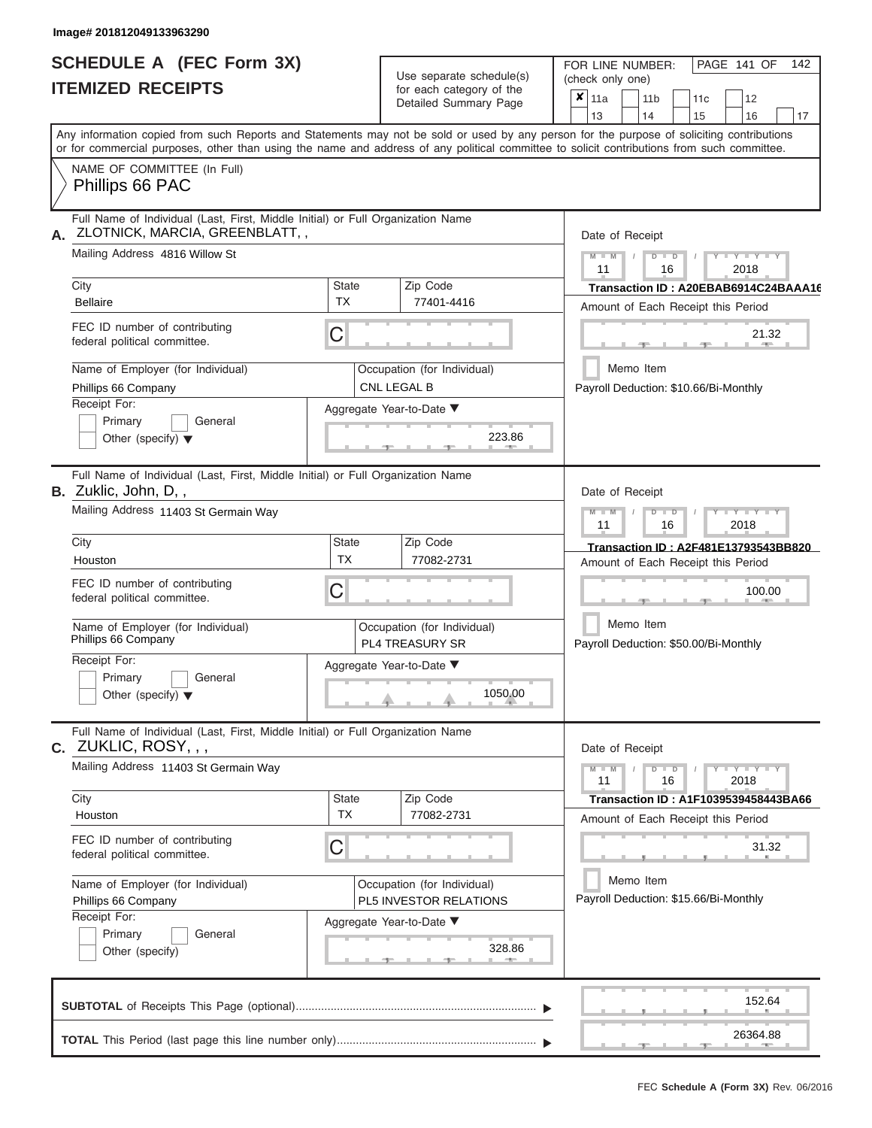# **SCHEDULE A (FEC Form 3X) ITEMIZED RECEIPTS**

Use separate schedule(s)<br>for each category of the

FOR LINE NUMBER:<br>(check only one)

PAGE 141 OF 142

| IIEMIZEV REVEIF I J                                                                                                                                                                                                                                                                     |                                                       | ior each category of the<br>Detailed Summary Page | $\boldsymbol{x}$                                                           | 11a                                                                        |           | 11 <sub>b</sub> |                                                       | 11c |        | 12                  |                                      |  |  |  |  |  |  |
|-----------------------------------------------------------------------------------------------------------------------------------------------------------------------------------------------------------------------------------------------------------------------------------------|-------------------------------------------------------|---------------------------------------------------|----------------------------------------------------------------------------|----------------------------------------------------------------------------|-----------|-----------------|-------------------------------------------------------|-----|--------|---------------------|--------------------------------------|--|--|--|--|--|--|
|                                                                                                                                                                                                                                                                                         |                                                       |                                                   |                                                                            | 13                                                                         |           | 14              |                                                       | 15  |        | 16                  | 17                                   |  |  |  |  |  |  |
| Any information copied from such Reports and Statements may not be sold or used by any person for the purpose of soliciting contributions<br>or for commercial purposes, other than using the name and address of any political committee to solicit contributions from such committee. |                                                       |                                                   |                                                                            |                                                                            |           |                 |                                                       |     |        |                     |                                      |  |  |  |  |  |  |
| NAME OF COMMITTEE (In Full)<br>Phillips 66 PAC                                                                                                                                                                                                                                          |                                                       |                                                   |                                                                            |                                                                            |           |                 |                                                       |     |        |                     |                                      |  |  |  |  |  |  |
| Full Name of Individual (Last, First, Middle Initial) or Full Organization Name<br>ZLOTNICK, MARCIA, GREENBLATT, ,<br>Α.                                                                                                                                                                |                                                       |                                                   | Date of Receipt                                                            |                                                                            |           |                 |                                                       |     |        |                     |                                      |  |  |  |  |  |  |
| Mailing Address 4816 Willow St                                                                                                                                                                                                                                                          |                                                       |                                                   |                                                                            |                                                                            |           |                 | $Y - Y - Y$<br>$M - M$<br>$D$ $D$<br>11<br>2018<br>16 |     |        |                     |                                      |  |  |  |  |  |  |
| City<br><b>Bellaire</b>                                                                                                                                                                                                                                                                 | <b>State</b><br>TX                                    | Zip Code<br>77401-4416                            |                                                                            | Amount of Each Receipt this Period                                         |           |                 |                                                       |     |        |                     | Transaction ID: A20EBAB6914C24BAAA16 |  |  |  |  |  |  |
| FEC ID number of contributing<br>federal political committee.                                                                                                                                                                                                                           | С                                                     |                                                   |                                                                            |                                                                            |           |                 |                                                       |     |        | 21.32               |                                      |  |  |  |  |  |  |
| Name of Employer (for Individual)<br>Phillips 66 Company                                                                                                                                                                                                                                |                                                       | Occupation (for Individual)<br>CNL LEGAL B        |                                                                            | Payroll Deduction: \$10.66/Bi-Monthly                                      | Memo Item |                 |                                                       |     |        |                     |                                      |  |  |  |  |  |  |
| Receipt For:<br>Primary<br>General<br>Other (specify) $\blacktriangledown$                                                                                                                                                                                                              |                                                       | Aggregate Year-to-Date ▼<br>223.86                |                                                                            |                                                                            |           |                 |                                                       |     |        |                     |                                      |  |  |  |  |  |  |
| Full Name of Individual (Last, First, Middle Initial) or Full Organization Name<br><b>B.</b> Zuklic, John, D,,                                                                                                                                                                          |                                                       |                                                   |                                                                            | Date of Receipt                                                            |           |                 |                                                       |     |        |                     |                                      |  |  |  |  |  |  |
| Mailing Address 11403 St Germain Way                                                                                                                                                                                                                                                    |                                                       |                                                   | $M - M$<br>Y TYT<br>D<br>$\Box$<br>11<br>2018<br>16                        |                                                                            |           |                 |                                                       |     |        |                     |                                      |  |  |  |  |  |  |
| City<br>Houston                                                                                                                                                                                                                                                                         | <b>State</b><br><b>TX</b>                             | Zip Code<br>77082-2731                            | Transaction ID: A2F481E13793543BB820<br>Amount of Each Receipt this Period |                                                                            |           |                 |                                                       |     |        |                     |                                      |  |  |  |  |  |  |
| FEC ID number of contributing<br>federal political committee.                                                                                                                                                                                                                           | С                                                     |                                                   |                                                                            |                                                                            |           |                 |                                                       |     | 100.00 |                     |                                      |  |  |  |  |  |  |
| Name of Employer (for Individual)<br>Phillips 66 Company                                                                                                                                                                                                                                | Occupation (for Individual)<br><b>PL4 TREASURY SR</b> |                                                   | Payroll Deduction: \$50.00/Bi-Monthly                                      | Memo Item                                                                  |           |                 |                                                       |     |        |                     |                                      |  |  |  |  |  |  |
| Receipt For:<br>Primary<br>General<br>Other (specify) $\blacktriangledown$                                                                                                                                                                                                              |                                                       | Aggregate Year-to-Date ▼<br>1050.00               |                                                                            |                                                                            |           |                 |                                                       |     |        |                     |                                      |  |  |  |  |  |  |
| Full Name of Individual (Last, First, Middle Initial) or Full Organization Name<br>$C.$ ZUKLIC, ROSY, $,$                                                                                                                                                                               |                                                       |                                                   |                                                                            | Date of Receipt                                                            |           |                 |                                                       |     |        |                     |                                      |  |  |  |  |  |  |
| Mailing Address 11403 St Germain Way                                                                                                                                                                                                                                                    |                                                       |                                                   |                                                                            | $M - M$<br>11                                                              |           |                 | $D$ $D$<br>16                                         |     | 2018   | $Y - Y - Y - Y - Y$ |                                      |  |  |  |  |  |  |
| City<br>Houston                                                                                                                                                                                                                                                                         | <b>State</b><br><b>TX</b>                             | Zip Code<br>77082-2731                            |                                                                            | Transaction ID: A1F1039539458443BA66<br>Amount of Each Receipt this Period |           |                 |                                                       |     |        |                     |                                      |  |  |  |  |  |  |
| FEC ID number of contributing<br>federal political committee.                                                                                                                                                                                                                           | С                                                     |                                                   |                                                                            |                                                                            |           |                 |                                                       |     |        | 31.32               |                                      |  |  |  |  |  |  |
| Name of Employer (for Individual)<br>Phillips 66 Company                                                                                                                                                                                                                                | Occupation (for Individual)<br>PL5 INVESTOR RELATIONS |                                                   | Memo Item<br>Payroll Deduction: \$15.66/Bi-Monthly                         |                                                                            |           |                 |                                                       |     |        |                     |                                      |  |  |  |  |  |  |
| Receipt For:<br>Primary<br>General<br>Other (specify)                                                                                                                                                                                                                                   |                                                       | Aggregate Year-to-Date ▼<br>328.86                |                                                                            |                                                                            |           |                 |                                                       |     |        |                     |                                      |  |  |  |  |  |  |
|                                                                                                                                                                                                                                                                                         |                                                       |                                                   |                                                                            |                                                                            |           |                 |                                                       |     |        | 152.64              |                                      |  |  |  |  |  |  |
|                                                                                                                                                                                                                                                                                         |                                                       |                                                   |                                                                            |                                                                            |           |                 |                                                       |     |        | 26364.88            |                                      |  |  |  |  |  |  |